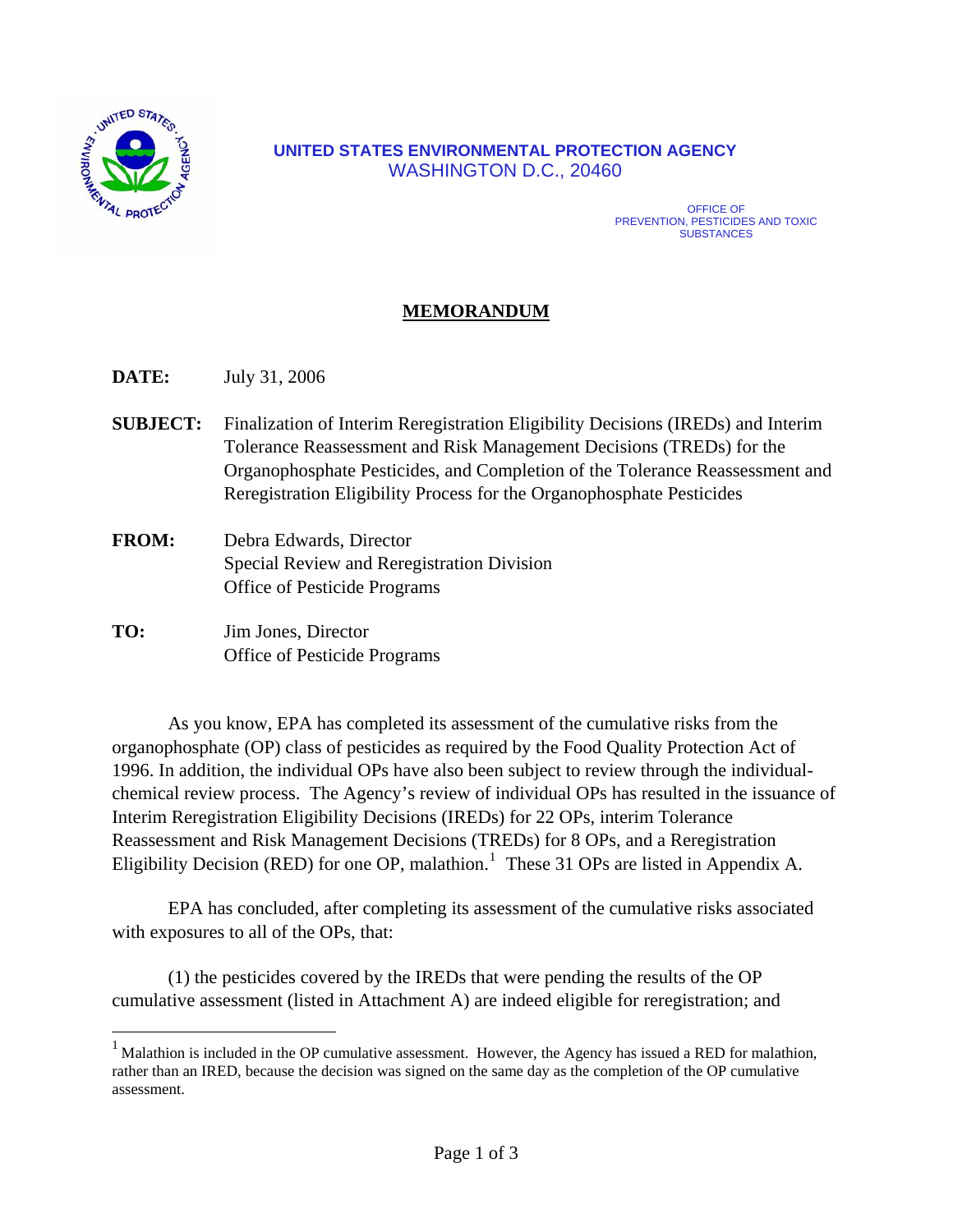

 $\overline{a}$ 

#### **UNITED STATES ENVIRONMENTAL PROTECTION AGENCY** WASHINGTON D.C., 20460

#### OFFICE OF PREVENTION, PESTICIDES AND TOXIC **SUBSTANCES**

#### **MEMORANDUM**

**DATE:** July 31, 2006

- **SUBJECT:** Finalization of Interim Reregistration Eligibility Decisions (IREDs) and Interim Tolerance Reassessment and Risk Management Decisions (TREDs) for the Organophosphate Pesticides, and Completion of the Tolerance Reassessment and Reregistration Eligibility Process for the Organophosphate Pesticides
- **FROM:** Debra Edwards, Director Special Review and Reregistration Division Office of Pesticide Programs
- **TO:** Jim Jones, Director Office of Pesticide Programs

As you know, EPA has completed its assessment of the cumulative risks from the organophosphate (OP) class of pesticides as required by the Food Quality Protection Act of 1996. In addition, the individual OPs have also been subject to review through the individualchemical review process. The Agency's review of individual OPs has resulted in the issuance of Interim Reregistration Eligibility Decisions (IREDs) for 22 OPs, interim Tolerance Reassessment and Risk Management Decisions (TREDs) for 8 OPs, and a Reregistration Eligibility Decision (RED) for one OP, malathion.<sup>[1](#page-0-0)</sup> These 31 OPs are listed in Appendix A.

EPA has concluded, after completing its assessment of the cumulative risks associated with exposures to all of the OPs, that:

(1) the pesticides covered by the IREDs that were pending the results of the OP cumulative assessment (listed in Attachment A) are indeed eligible for reregistration; and

<span id="page-0-0"></span> $1$  Malathion is included in the OP cumulative assessment. However, the Agency has issued a RED for malathion, rather than an IRED, because the decision was signed on the same day as the completion of the OP cumulative assessment.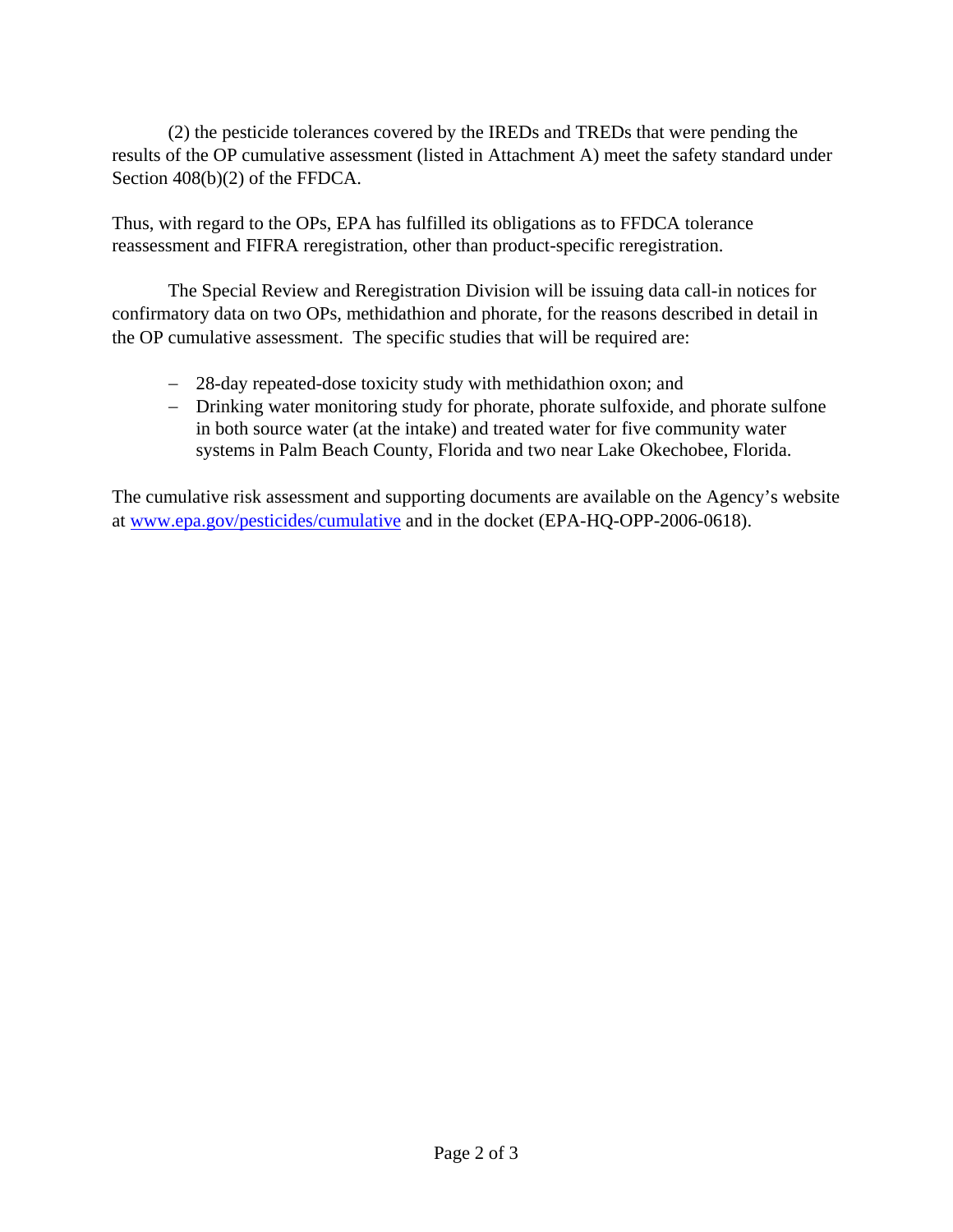(2) the pesticide tolerances covered by the IREDs and TREDs that were pending the results of the OP cumulative assessment (listed in Attachment A) meet the safety standard under Section 408(b)(2) of the FFDCA.

Thus, with regard to the OPs, EPA has fulfilled its obligations as to FFDCA tolerance reassessment and FIFRA reregistration, other than product-specific reregistration.

The Special Review and Reregistration Division will be issuing data call-in notices for confirmatory data on two OPs, methidathion and phorate, for the reasons described in detail in the OP cumulative assessment. The specific studies that will be required are:

- − 28-day repeated-dose toxicity study with methidathion oxon; and
- − Drinking water monitoring study for phorate, phorate sulfoxide, and phorate sulfone in both source water (at the intake) and treated water for five community water systems in Palm Beach County, Florida and two near Lake Okechobee, Florida.

The cumulative risk assessment and supporting documents are available on the Agency's website at [www.epa.gov/pesticides/cumulative an](http://www.epa.gov/pesticides/cumulative)d in the docket (EPA-HQ-OPP-2006-0618).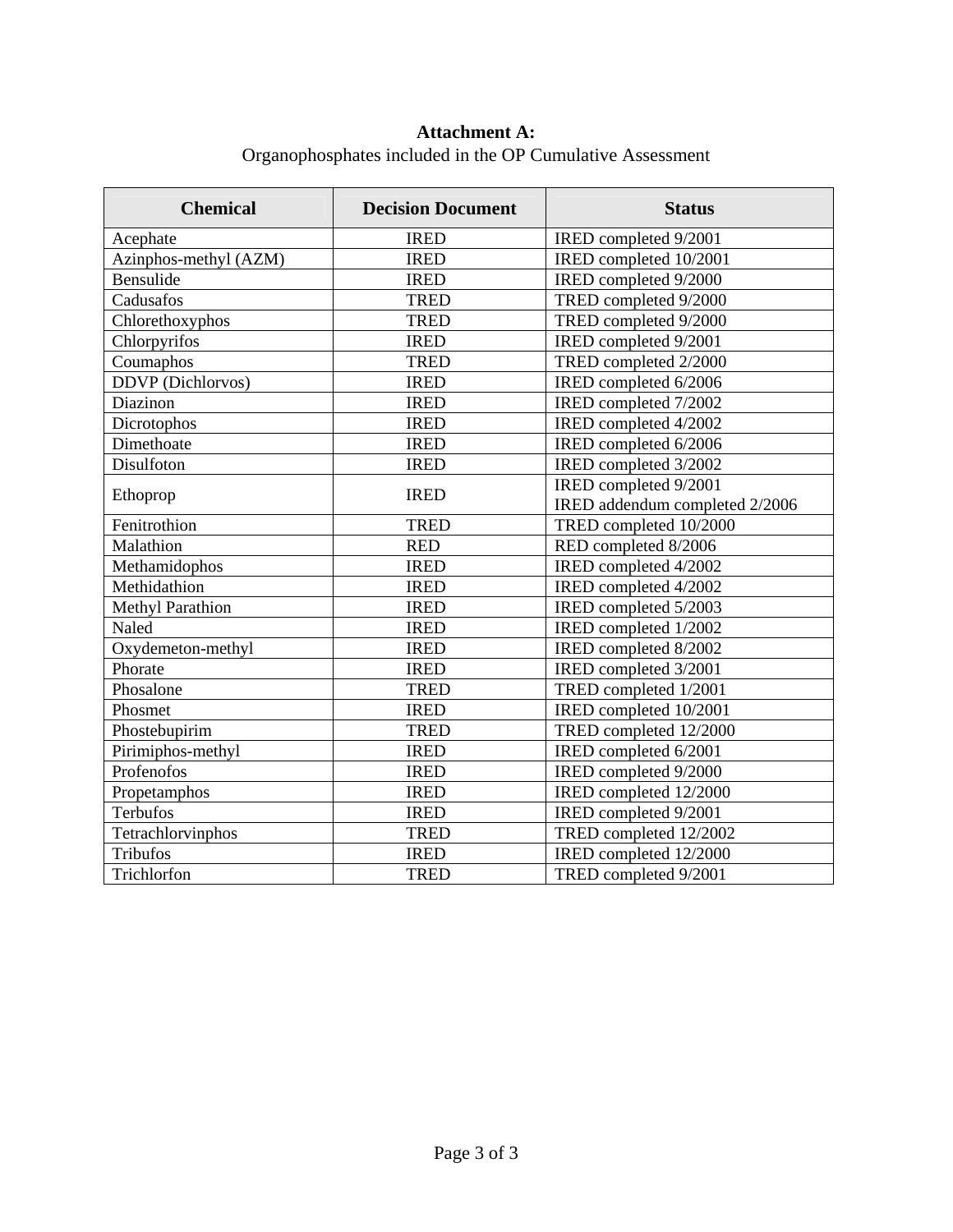#### **Attachment A:**

Organophosphates included in the OP Cumulative Assessment

| <b>Chemical</b>          | <b>Decision Document</b> | <b>Status</b>                  |
|--------------------------|--------------------------|--------------------------------|
| Acephate                 | <b>IRED</b>              | IRED completed 9/2001          |
| Azinphos-methyl (AZM)    | <b>IRED</b>              | IRED completed 10/2001         |
| Bensulide                | <b>IRED</b>              | IRED completed 9/2000          |
| Cadusafos                | <b>TRED</b>              | TRED completed 9/2000          |
| Chlorethoxyphos          | <b>TRED</b>              | TRED completed 9/2000          |
| Chlorpyrifos             | <b>IRED</b>              | IRED completed 9/2001          |
| Coumaphos                | <b>TRED</b>              | TRED completed 2/2000          |
| <b>DDVP</b> (Dichlorvos) | <b>IRED</b>              | IRED completed 6/2006          |
| Diazinon                 | <b>IRED</b>              | IRED completed 7/2002          |
| Dicrotophos              | <b>IRED</b>              | IRED completed 4/2002          |
| Dimethoate               | <b>IRED</b>              | IRED completed 6/2006          |
| Disulfoton               | <b>IRED</b>              | IRED completed 3/2002          |
|                          | <b>IRED</b>              | IRED completed 9/2001          |
| Ethoprop                 |                          | IRED addendum completed 2/2006 |
| Fenitrothion             | <b>TRED</b>              | TRED completed 10/2000         |
| Malathion                | <b>RED</b>               | RED completed 8/2006           |
| Methamidophos            | <b>IRED</b>              | IRED completed 4/2002          |
| Methidathion             | <b>IRED</b>              | IRED completed 4/2002          |
| <b>Methyl Parathion</b>  | <b>IRED</b>              | IRED completed 5/2003          |
| Naled                    | <b>IRED</b>              | IRED completed 1/2002          |
| Oxydemeton-methyl        | <b>IRED</b>              | IRED completed 8/2002          |
| Phorate                  | <b>IRED</b>              | IRED completed 3/2001          |
| Phosalone                | <b>TRED</b>              | TRED completed 1/2001          |
| Phosmet                  | <b>IRED</b>              | IRED completed 10/2001         |
| Phostebupirim            | <b>TRED</b>              | TRED completed 12/2000         |
| Pirimiphos-methyl        | <b>IRED</b>              | IRED completed 6/2001          |
| Profenofos               | <b>IRED</b>              | IRED completed 9/2000          |
| Propetamphos             | <b>IRED</b>              | IRED completed 12/2000         |
| <b>Terbufos</b>          | <b>IRED</b>              | IRED completed 9/2001          |
| Tetrachlorvinphos        | <b>TRED</b>              | TRED completed 12/2002         |
| Tribufos                 | <b>IRED</b>              | IRED completed 12/2000         |
| Trichlorfon              | <b>TRED</b>              | TRED completed 9/2001          |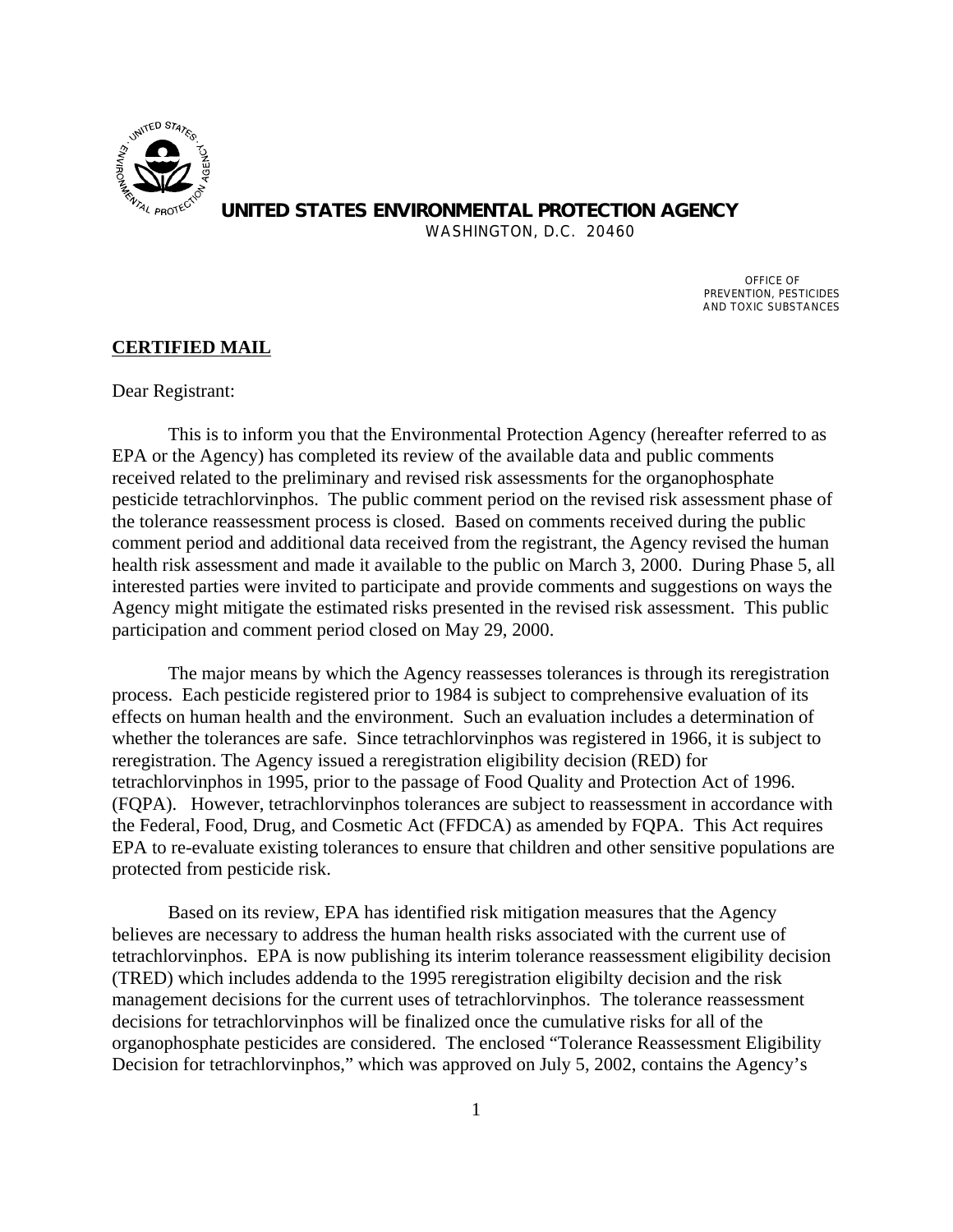

**UNITED STATES ENVIRONMENTAL PROTECTION AGENCY**  WASHINGTON, D.C. 20460

> OFFICE OF PREVENTION, PESTICIDES

AND TOXIC SUBSTANCES

#### **CERTIFIED MAIL**

Dear Registrant:

This is to inform you that the Environmental Protection Agency (hereafter referred to as EPA or the Agency) has completed its review of the available data and public comments received related to the preliminary and revised risk assessments for the organophosphate pesticide tetrachlorvinphos. The public comment period on the revised risk assessment phase of the tolerance reassessment process is closed. Based on comments received during the public comment period and additional data received from the registrant, the Agency revised the human health risk assessment and made it available to the public on March 3, 2000. During Phase 5, all interested parties were invited to participate and provide comments and suggestions on ways the Agency might mitigate the estimated risks presented in the revised risk assessment. This public participation and comment period closed on May 29, 2000.

The major means by which the Agency reassesses tolerances is through its reregistration process. Each pesticide registered prior to 1984 is subject to comprehensive evaluation of its effects on human health and the environment. Such an evaluation includes a determination of whether the tolerances are safe. Since tetrachlorvinphos was registered in 1966, it is subject to reregistration. The Agency issued a reregistration eligibility decision (RED) for tetrachlorvinphos in 1995, prior to the passage of Food Quality and Protection Act of 1996. (FQPA). However, tetrachlorvinphos tolerances are subject to reassessment in accordance with the Federal, Food, Drug, and Cosmetic Act (FFDCA) as amended by FQPA. This Act requires EPA to re-evaluate existing tolerances to ensure that children and other sensitive populations are protected from pesticide risk.

Based on its review, EPA has identified risk mitigation measures that the Agency believes are necessary to address the human health risks associated with the current use of tetrachlorvinphos. EPA is now publishing its interim tolerance reassessment eligibility decision (TRED) which includes addenda to the 1995 reregistration eligibilty decision and the risk management decisions for the current uses of tetrachlorvinphos. The tolerance reassessment decisions for tetrachlorvinphos will be finalized once the cumulative risks for all of the organophosphate pesticides are considered. The enclosed "Tolerance Reassessment Eligibility Decision for tetrachlorvinphos," which was approved on July 5, 2002, contains the Agency's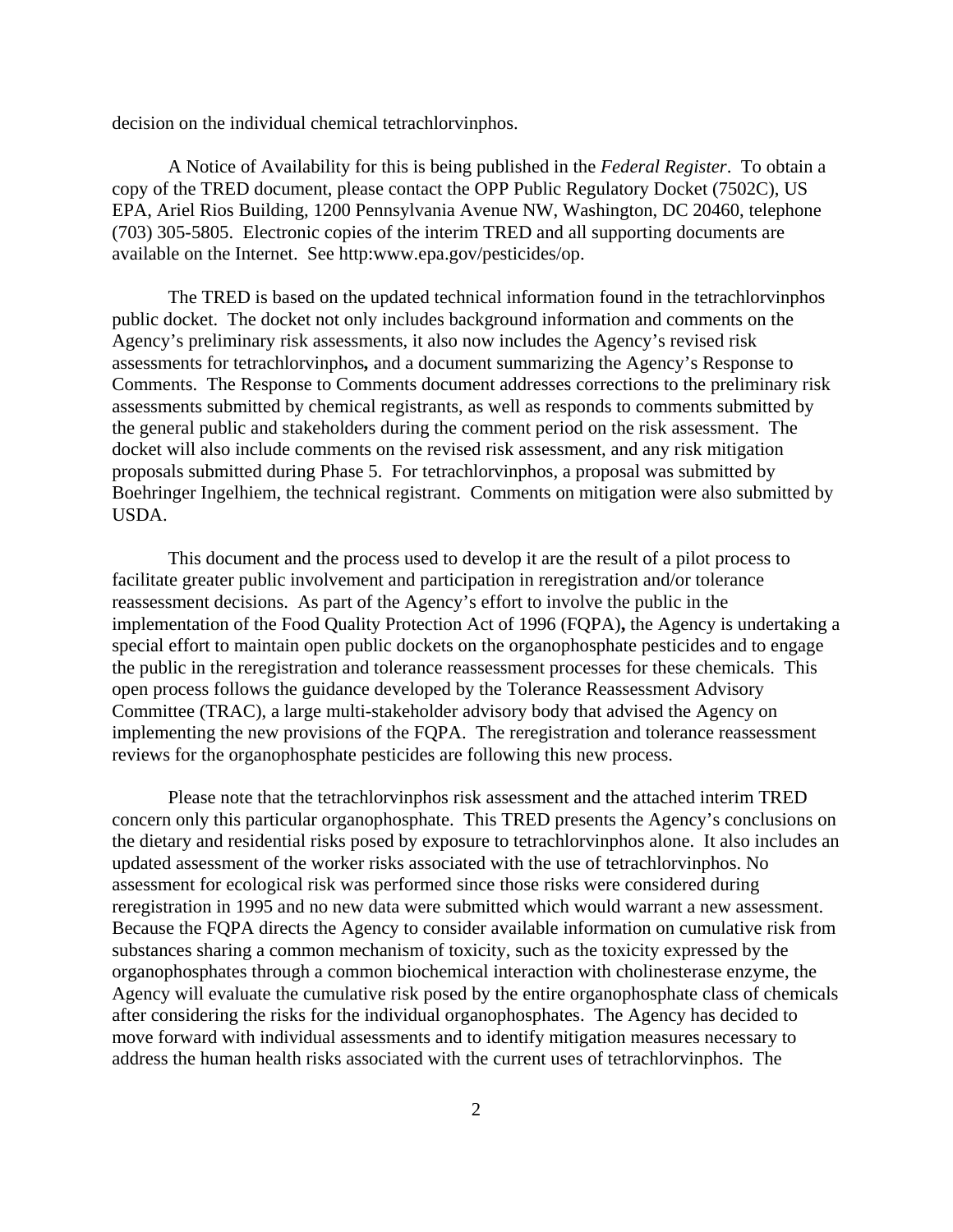decision on the individual chemical tetrachlorvinphos.

A Notice of Availability for this is being published in the *Federal Register*. To obtain a copy of the TRED document, please contact the OPP Public Regulatory Docket (7502C), US EPA, Ariel Rios Building, 1200 Pennsylvania Avenue NW, Washington, DC 20460, telephone (703) 305-5805. Electronic copies of the interim TRED and all supporting documents are available on the Internet. See http:www.epa.gov/pesticides/op.

The TRED is based on the updated technical information found in the tetrachlorvinphos public docket. The docket not only includes background information and comments on the Agency's preliminary risk assessments, it also now includes the Agency's revised risk assessments for tetrachlorvinphos*,* and a document summarizing the Agency's Response to Comments. The Response to Comments document addresses corrections to the preliminary risk assessments submitted by chemical registrants, as well as responds to comments submitted by the general public and stakeholders during the comment period on the risk assessment. The docket will also include comments on the revised risk assessment, and any risk mitigation proposals submitted during Phase 5. For tetrachlorvinphos, a proposal was submitted by Boehringer Ingelhiem, the technical registrant. Comments on mitigation were also submitted by USDA.

This document and the process used to develop it are the result of a pilot process to facilitate greater public involvement and participation in reregistration and/or tolerance reassessment decisions. As part of the Agency's effort to involve the public in the implementation of the Food Quality Protection Act of 1996 (FQPA)**,** the Agency is undertaking a special effort to maintain open public dockets on the organophosphate pesticides and to engage the public in the reregistration and tolerance reassessment processes for these chemicals. This open process follows the guidance developed by the Tolerance Reassessment Advisory Committee (TRAC), a large multi-stakeholder advisory body that advised the Agency on implementing the new provisions of the FQPA. The reregistration and tolerance reassessment reviews for the organophosphate pesticides are following this new process.

Please note that the tetrachlorvinphos risk assessment and the attached interim TRED concern only this particular organophosphate. This TRED presents the Agency's conclusions on the dietary and residential risks posed by exposure to tetrachlorvinphos alone. It also includes an updated assessment of the worker risks associated with the use of tetrachlorvinphos. No assessment for ecological risk was performed since those risks were considered during reregistration in 1995 and no new data were submitted which would warrant a new assessment. Because the FQPA directs the Agency to consider available information on cumulative risk from substances sharing a common mechanism of toxicity, such as the toxicity expressed by the organophosphates through a common biochemical interaction with cholinesterase enzyme, the Agency will evaluate the cumulative risk posed by the entire organophosphate class of chemicals after considering the risks for the individual organophosphates. The Agency has decided to move forward with individual assessments and to identify mitigation measures necessary to address the human health risks associated with the current uses of tetrachlorvinphos. The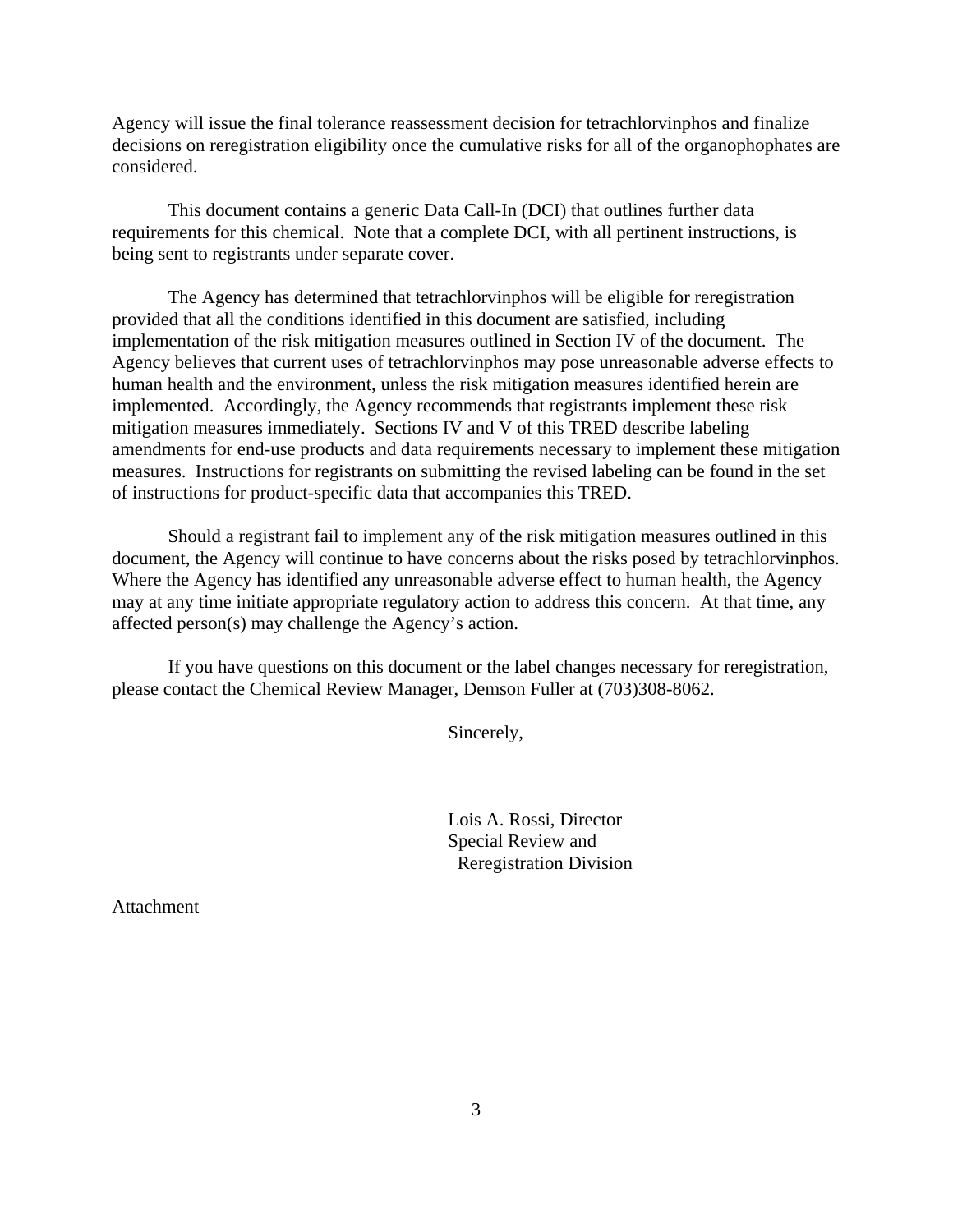Agency will issue the final tolerance reassessment decision for tetrachlorvinphos and finalize decisions on reregistration eligibility once the cumulative risks for all of the organophophates are considered.

This document contains a generic Data Call-In (DCI) that outlines further data requirements for this chemical. Note that a complete DCI, with all pertinent instructions, is being sent to registrants under separate cover.

The Agency has determined that tetrachlorvinphos will be eligible for reregistration provided that all the conditions identified in this document are satisfied, including implementation of the risk mitigation measures outlined in Section IV of the document. The Agency believes that current uses of tetrachlorvinphos may pose unreasonable adverse effects to human health and the environment, unless the risk mitigation measures identified herein are implemented. Accordingly, the Agency recommends that registrants implement these risk mitigation measures immediately. Sections IV and V of this TRED describe labeling amendments for end-use products and data requirements necessary to implement these mitigation measures. Instructions for registrants on submitting the revised labeling can be found in the set of instructions for product-specific data that accompanies this TRED.

Should a registrant fail to implement any of the risk mitigation measures outlined in this document, the Agency will continue to have concerns about the risks posed by tetrachlorvinphos. Where the Agency has identified any unreasonable adverse effect to human health, the Agency may at any time initiate appropriate regulatory action to address this concern. At that time, any affected person(s) may challenge the Agency's action.

If you have questions on this document or the label changes necessary for reregistration, please contact the Chemical Review Manager, Demson Fuller at (703)308-8062.

Sincerely,

Lois A. Rossi, Director Special Review and Reregistration Division

**Attachment**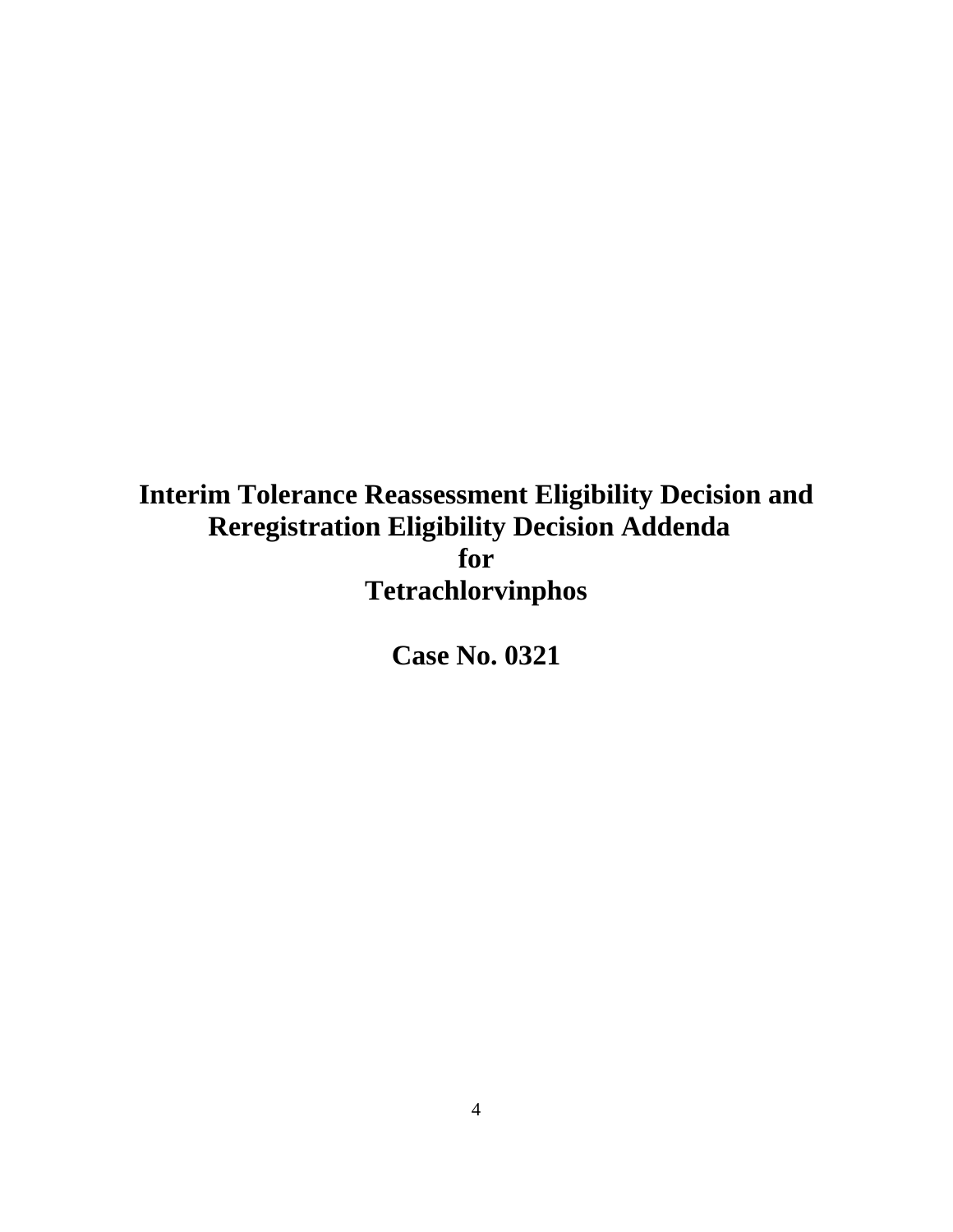# **Interim Tolerance Reassessment Eligibility Decision and Reregistration Eligibility Decision Addenda for Tetrachlorvinphos**

**Case No. 0321**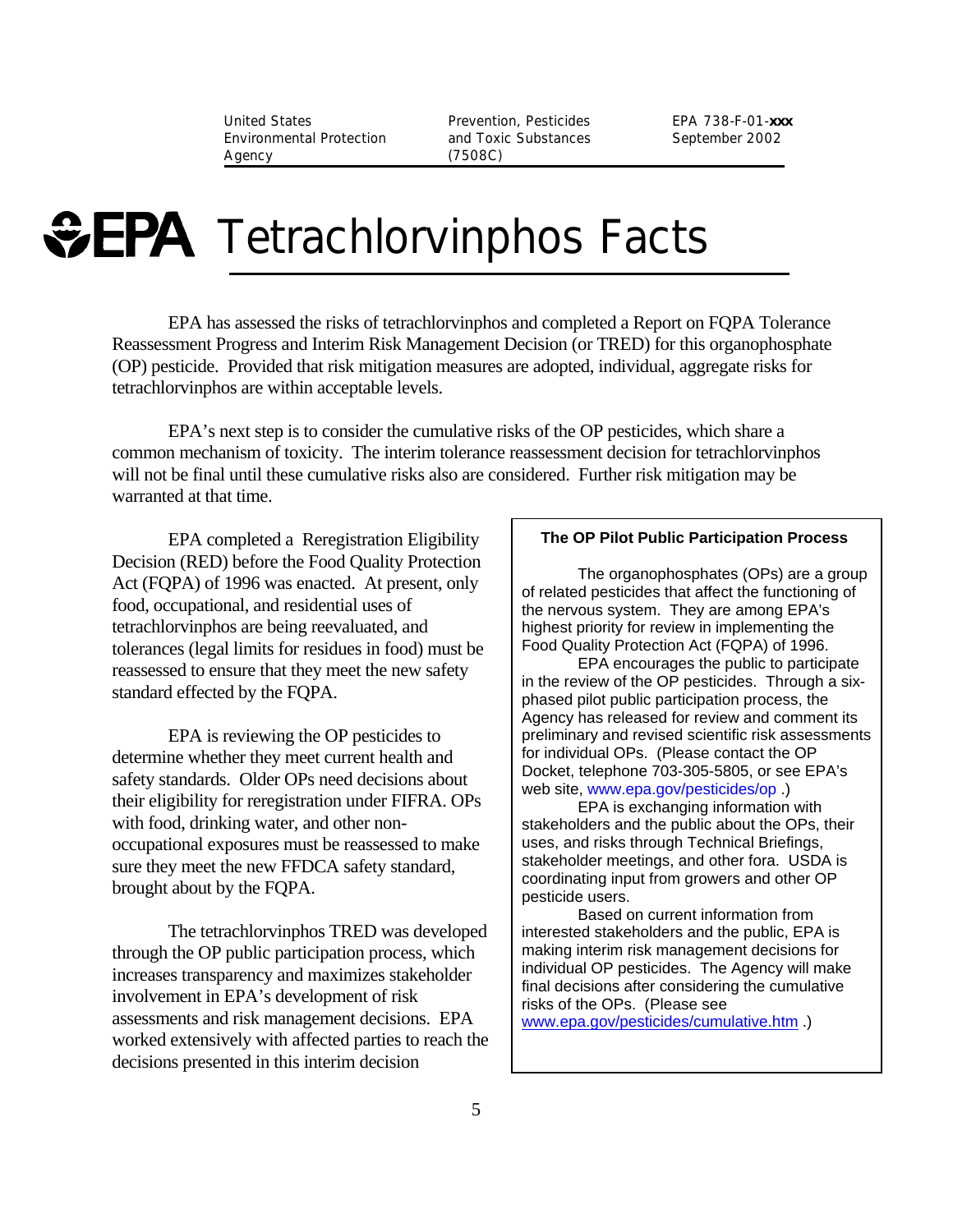United States Prevention, Pesticides EPA 738-F-01-*xxx* Environmental Protection and Toxic Substances Agency (7508C)

September 2002

# **GEPA** Tetrachlorvinphos Facts

EPA has assessed the risks of tetrachlorvinphos and completed a Report on FQPA Tolerance Reassessment Progress and Interim Risk Management Decision (or TRED) for this organophosphate (OP) pesticide. Provided that risk mitigation measures are adopted, individual, aggregate risks for tetrachlorvinphos are within acceptable levels.

EPA's next step is to consider the cumulative risks of the OP pesticides, which share a common mechanism of toxicity. The interim tolerance reassessment decision for tetrachlorvinphos will not be final until these cumulative risks also are considered. Further risk mitigation may be warranted at that time.

EPA completed a Reregistration Eligibility Decision (RED) before the Food Quality Protection Act (FQPA) of 1996 was enacted. At present, only food, occupational, and residential uses of tetrachlorvinphos are being reevaluated, and tolerances (legal limits for residues in food) must be reassessed to ensure that they meet the new safety standard effected by the FQPA.

EPA is reviewing the OP pesticides to determine whether they meet current health and safety standards. Older OPs need decisions about their eligibility for reregistration under FIFRA. OPs with food, drinking water, and other nonoccupational exposures must be reassessed to make sure they meet the new FFDCA safety standard, brought about by the FQPA.

The tetrachlorvinphos TRED was developed through the OP public participation process, which increases transparency and maximizes stakeholder involvement in EPA's development of risk assessments and risk management decisions. EPA worked extensively with affected parties to reach the decisions presented in this interim decision

#### **The OP Pilot Public Participation Process**

The organophosphates (OPs) are a group of related pesticides that affect the functioning of the nervous system. They are among EPA's highest priority for review in implementing the Food Quality Protection Act (FQPA) of 1996.

EPA encourages the public to participate in the review of the OP pesticides. Through a sixphased pilot public participation process, the Agency has released for review and comment its preliminary and revised scientific risk assessments for individual OPs. (Please contact the OP Docket, telephone 703-305-5805, or see EPA's web site, www.epa.gov/pesticides/op .)

EPA is exchanging information with stakeholders and the public about the OPs, their uses, and risks through Technical Briefings, stakeholder meetings, and other fora. USDA is coordinating input from growers and other OP pesticide users.

Based on current information from interested stakeholders and the public, EPA is making interim risk management decisions for individual OP pesticides. The Agency will make final decisions after considering the cumulative risks of the OPs. (Please see

www.epa.gov/pesticides/cumulative.htm .)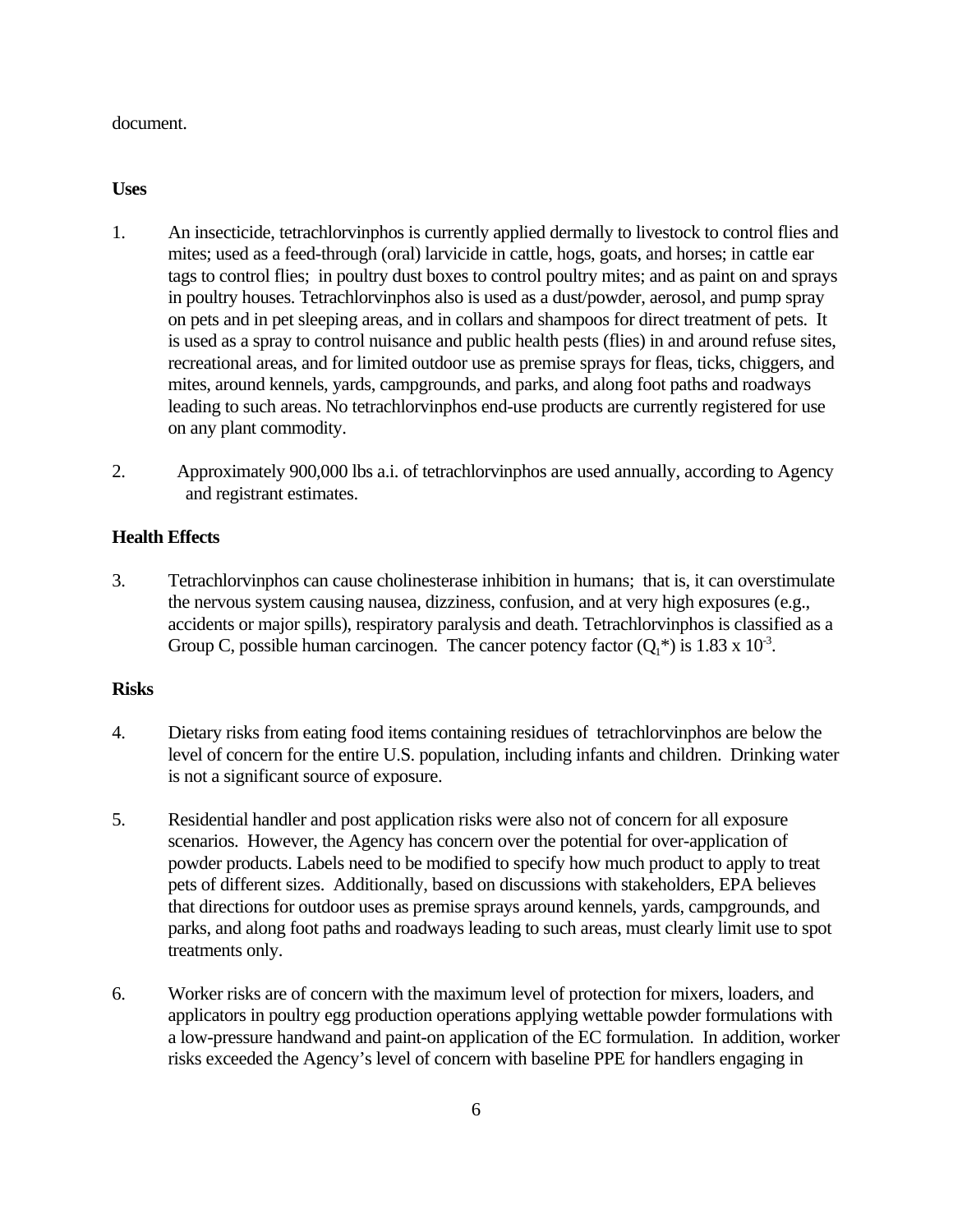#### document.

#### **Uses**

- 1. An insecticide, tetrachlorvinphos is currently applied dermally to livestock to control flies and mites; used as a feed-through (oral) larvicide in cattle, hogs, goats, and horses; in cattle ear tags to control flies; in poultry dust boxes to control poultry mites; and as paint on and sprays in poultry houses. Tetrachlorvinphos also is used as a dust/powder, aerosol, and pump spray on pets and in pet sleeping areas, and in collars and shampoos for direct treatment of pets. It is used as a spray to control nuisance and public health pests (flies) in and around refuse sites, recreational areas, and for limited outdoor use as premise sprays for fleas, ticks, chiggers, and mites, around kennels, yards, campgrounds, and parks, and along foot paths and roadways leading to such areas. No tetrachlorvinphos end-use products are currently registered for use on any plant commodity.
- 2. Approximately 900,000 lbs a.i. of tetrachlorvinphos are used annually, according to Agency and registrant estimates.

#### **Health Effects**

3. Tetrachlorvinphos can cause cholinesterase inhibition in humans; that is, it can overstimulate the nervous system causing nausea, dizziness, confusion, and at very high exposures (e.g., accidents or major spills), respiratory paralysis and death. Tetrachlorvinphos is classified as a Group C, possible human carcinogen. The cancer potency factor  $(Q_1^*)$  is 1.83 x 10<sup>3</sup>.

#### **Risks**

- 4. Dietary risks from eating food items containing residues of tetrachlorvinphos are below the level of concern for the entire U.S. population, including infants and children. Drinking water is not a significant source of exposure.
- 5. Residential handler and post application risks were also not of concern for all exposure scenarios. However, the Agency has concern over the potential for over-application of powder products. Labels need to be modified to specify how much product to apply to treat pets of different sizes. Additionally, based on discussions with stakeholders, EPA believes that directions for outdoor uses as premise sprays around kennels, yards, campgrounds, and parks, and along foot paths and roadways leading to such areas, must clearly limit use to spot treatments only.
- 6. Worker risks are of concern with the maximum level of protection for mixers, loaders, and applicators in poultry egg production operations applying wettable powder formulations with a low-pressure handwand and paint-on application of the EC formulation. In addition, worker risks exceeded the Agency's level of concern with baseline PPE for handlers engaging in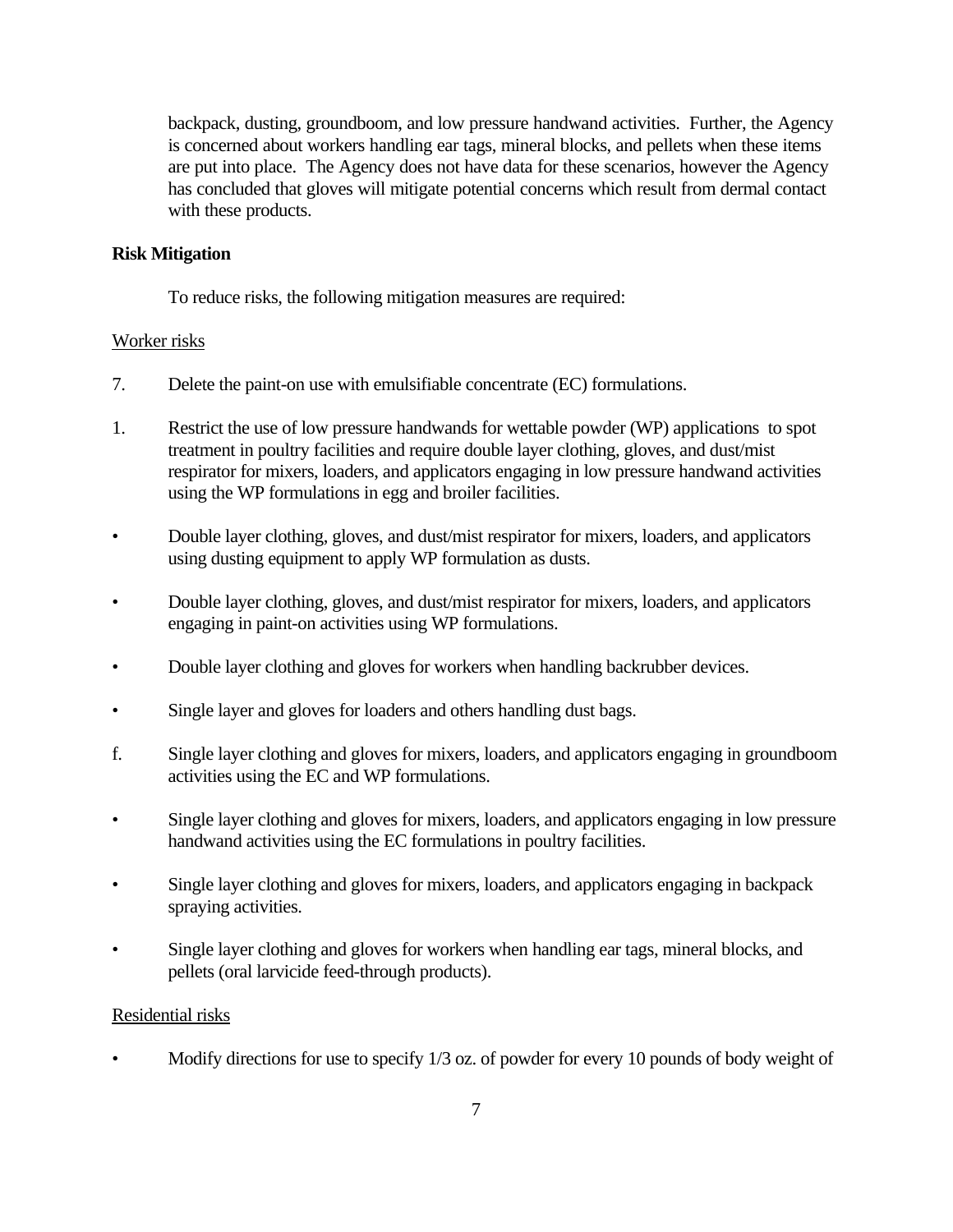backpack, dusting, groundboom, and low pressure handwand activities. Further, the Agency is concerned about workers handling ear tags, mineral blocks, and pellets when these items are put into place. The Agency does not have data for these scenarios, however the Agency has concluded that gloves will mitigate potential concerns which result from dermal contact with these products.

#### **Risk Mitigation**

To reduce risks, the following mitigation measures are required:

#### Worker risks

- 7. Delete the paint-on use with emulsifiable concentrate (EC) formulations.
- 1. Restrict the use of low pressure handwands for wettable powder (WP) applications to spot treatment in poultry facilities and require double layer clothing, gloves, and dust/mist respirator for mixers, loaders, and applicators engaging in low pressure handwand activities using the WP formulations in egg and broiler facilities.
- Double layer clothing, gloves, and dust/mist respirator for mixers, loaders, and applicators using dusting equipment to apply WP formulation as dusts.
- Double layer clothing, gloves, and dust/mist respirator for mixers, loaders, and applicators engaging in paint-on activities using WP formulations.
- Double layer clothing and gloves for workers when handling backrubber devices.
- Single layer and gloves for loaders and others handling dust bags.
- f. Single layer clothing and gloves for mixers, loaders, and applicators engaging in groundboom activities using the EC and WP formulations.
- Single layer clothing and gloves for mixers, loaders, and applicators engaging in low pressure handwand activities using the EC formulations in poultry facilities.
- Single layer clothing and gloves for mixers, loaders, and applicators engaging in backpack spraying activities.
- Single layer clothing and gloves for workers when handling ear tags, mineral blocks, and pellets (oral larvicide feed-through products).

#### Residential risks

• Modify directions for use to specify 1/3 oz. of powder for every 10 pounds of body weight of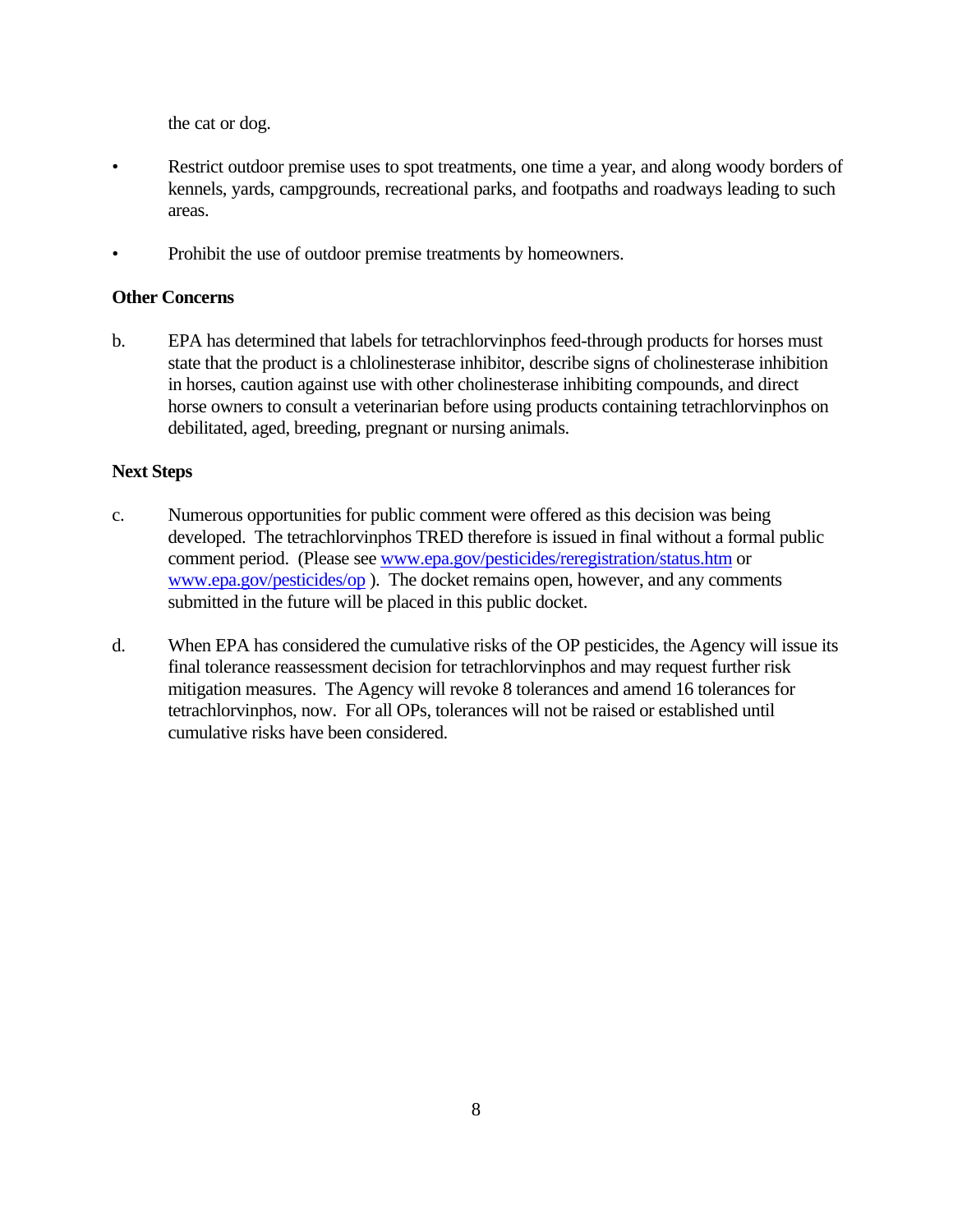the cat or dog.

- Restrict outdoor premise uses to spot treatments, one time a year, and along woody borders of kennels, yards, campgrounds, recreational parks, and footpaths and roadways leading to such areas.
- Prohibit the use of outdoor premise treatments by homeowners.

#### **Other Concerns**

b. EPA has determined that labels for tetrachlorvinphos feed-through products for horses must state that the product is a chlolinesterase inhibitor, describe signs of cholinesterase inhibition in horses, caution against use with other cholinesterase inhibiting compounds, and direct horse owners to consult a veterinarian before using products containing tetrachlorvinphos on debilitated, aged, breeding, pregnant or nursing animals.

#### **Next Steps**

- c. Numerous opportunities for public comment were offered as this decision was being developed. The tetrachlorvinphos TRED therefore is issued in final without a formal public comment period. (Please see www.epa.gov/pesticides/reregistration/status.htm or www.epa.gov/pesticides/op ). The docket remains open, however, and any comments submitted in the future will be placed in this public docket.
- d. When EPA has considered the cumulative risks of the OP pesticides, the Agency will issue its final tolerance reassessment decision for tetrachlorvinphos and may request further risk mitigation measures. The Agency will revoke 8 tolerances and amend 16 tolerances for tetrachlorvinphos, now. For all OPs, tolerances will not be raised or established until cumulative risks have been considered.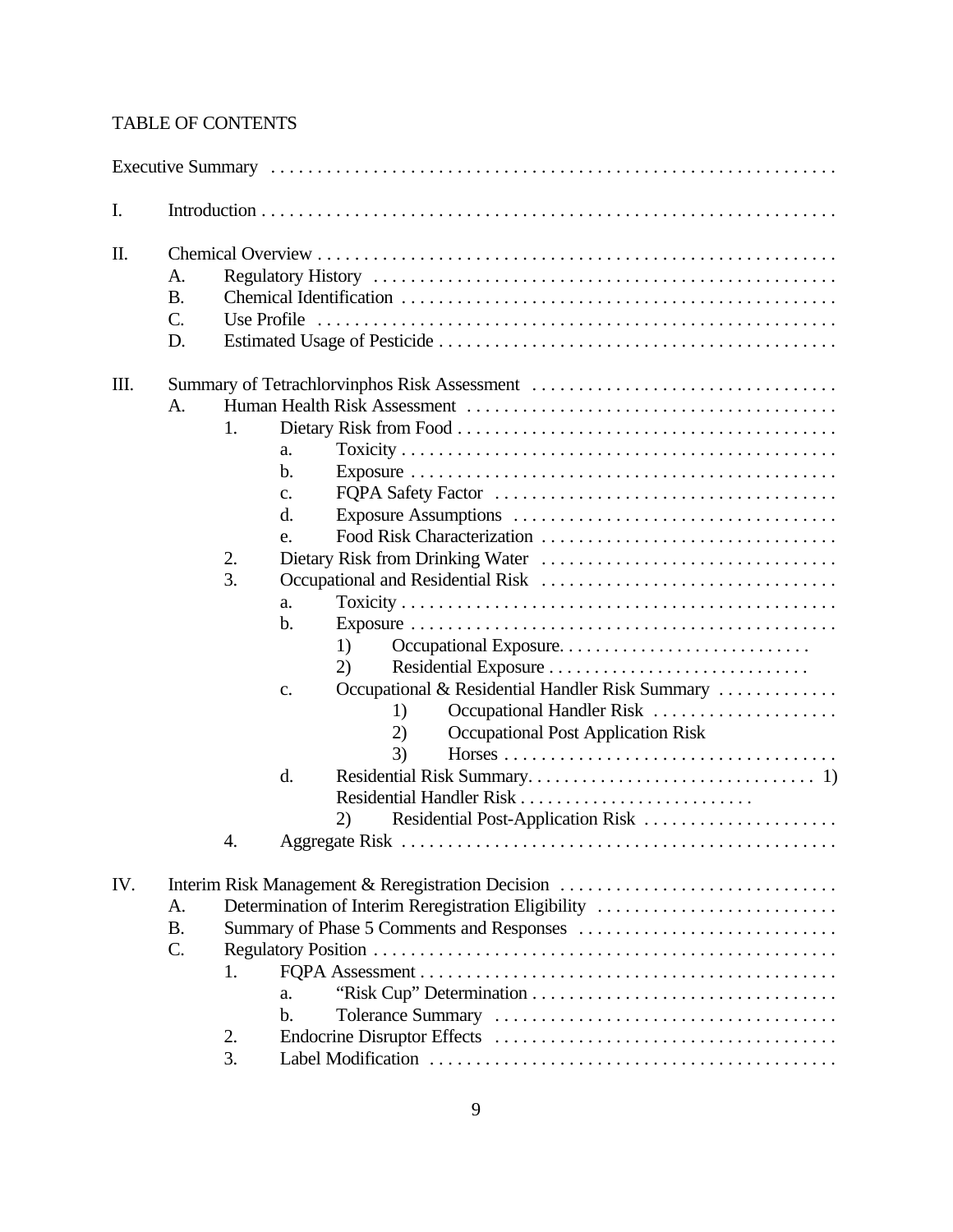### TABLE OF CONTENTS

| I.  |                                          |                                                                                                                                                                                                                                                                                                                                                                         |
|-----|------------------------------------------|-------------------------------------------------------------------------------------------------------------------------------------------------------------------------------------------------------------------------------------------------------------------------------------------------------------------------------------------------------------------------|
| Π.  | A.<br><b>B.</b><br>$\mathcal{C}$ .<br>D. |                                                                                                                                                                                                                                                                                                                                                                         |
| Ш.  | A.                                       | Summary of Tetrachlorvinphos Risk Assessment<br>1.<br>a.<br>$\mathbf b$ .<br>c.<br>d.<br>e.<br>2.<br>3.<br>a.<br>b.<br>1)<br>2)<br>Occupational & Residential Handler Risk Summary<br>c.<br>Occupational Handler Risk<br>1)<br><b>Occupational Post Application Risk</b><br>2)<br>3)<br>d.<br>Residential Handler Risk<br>Residential Post-Application Risk<br>2)<br>4. |
| IV. | A.<br><b>B.</b><br>$\mathcal{C}$ .       | Interim Risk Management & Reregistration Decision<br>Determination of Interim Reregistration Eligibility<br>Summary of Phase 5 Comments and Responses<br>1.<br>a.<br>$\mathbf b$ .<br>2.<br>3.                                                                                                                                                                          |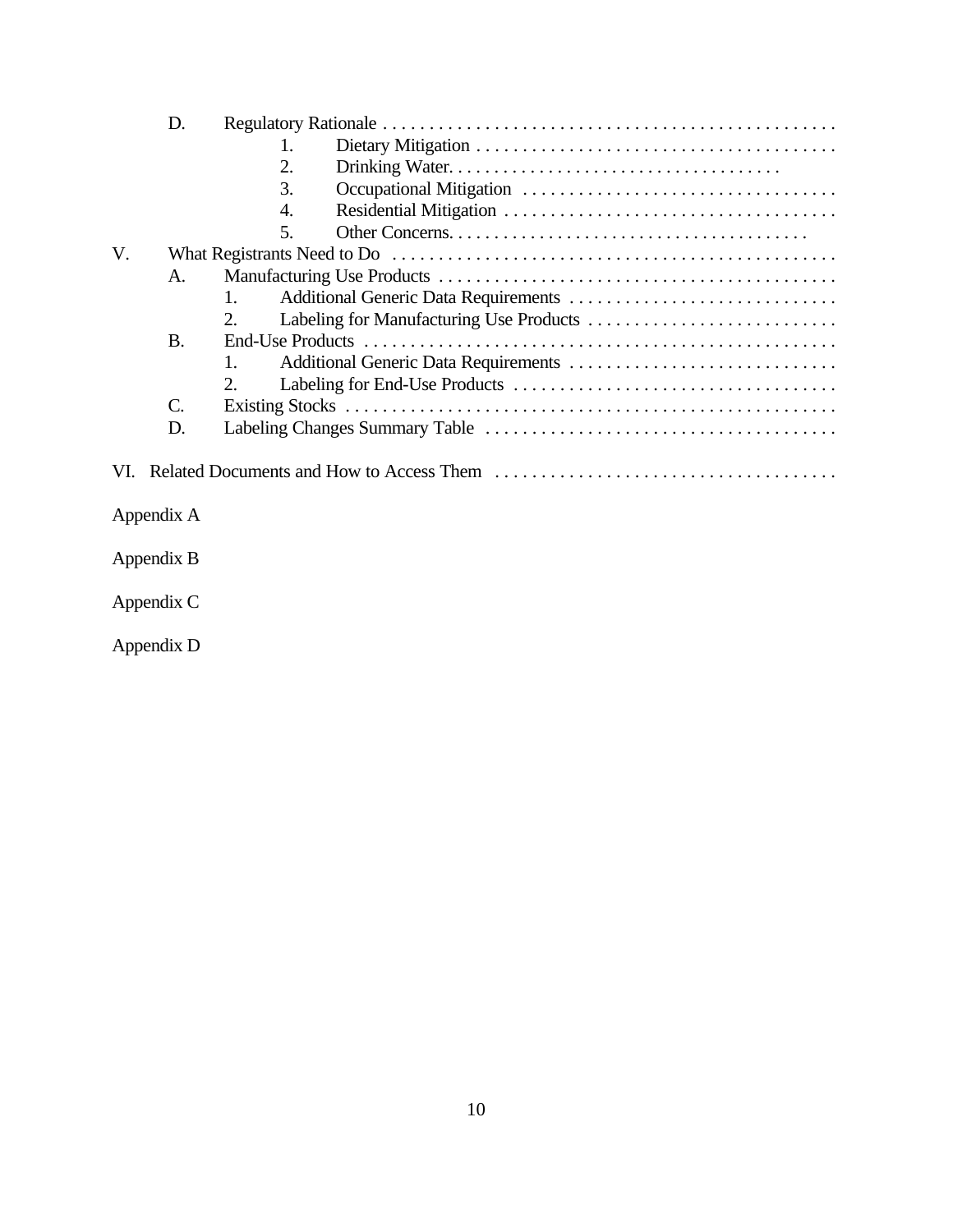|    | D.              |                |
|----|-----------------|----------------|
|    |                 | 1.             |
|    |                 | 2.             |
|    |                 | 3.             |
|    |                 | 4.             |
|    |                 | .5.            |
| V. |                 |                |
|    | $\mathsf{A}$ .  |                |
|    |                 | $\mathbf{1}$ . |
|    |                 | 2.             |
|    | <b>B.</b>       |                |
|    |                 | $\mathbf{1}$ . |
|    |                 | 2              |
|    | $\mathcal{C}$ . |                |
|    | D.              |                |
|    |                 |                |
|    |                 |                |
|    |                 |                |

Appendix A

Appendix B

Appendix C

Appendix D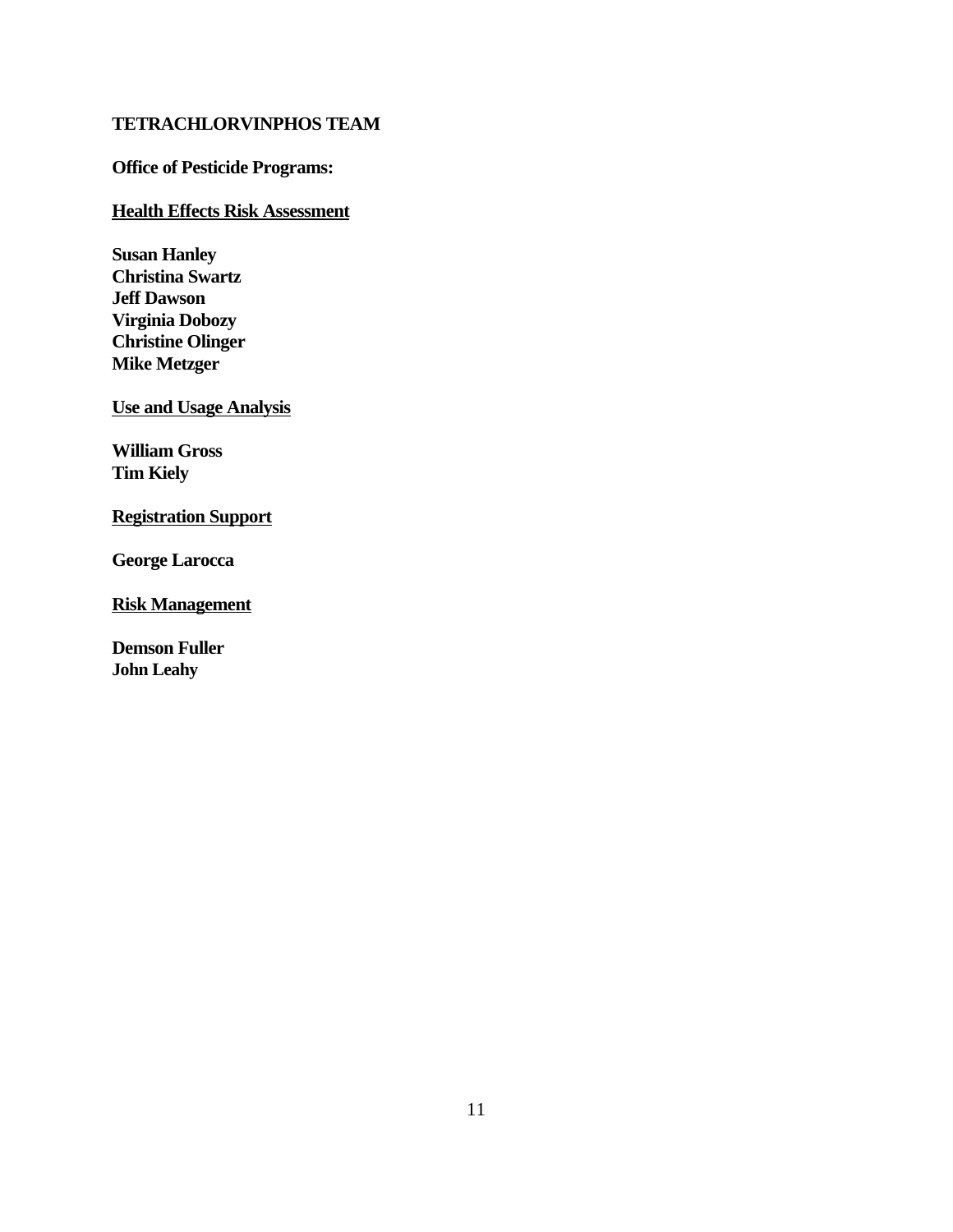#### **TETRACHLORVINPHOS TEAM**

#### **Office of Pesticide Programs:**

#### **Health Effects Risk Assessment**

**Susan Hanley Christina Swartz Jeff Dawson Virginia Dobozy Christine Olinger Mike Metzger** 

**Use and Usage Analysis** 

**William Gross Tim Kiely** 

#### **Registration Support**

**George Larocca** 

**Risk Management** 

**Demson Fuller John Leahy**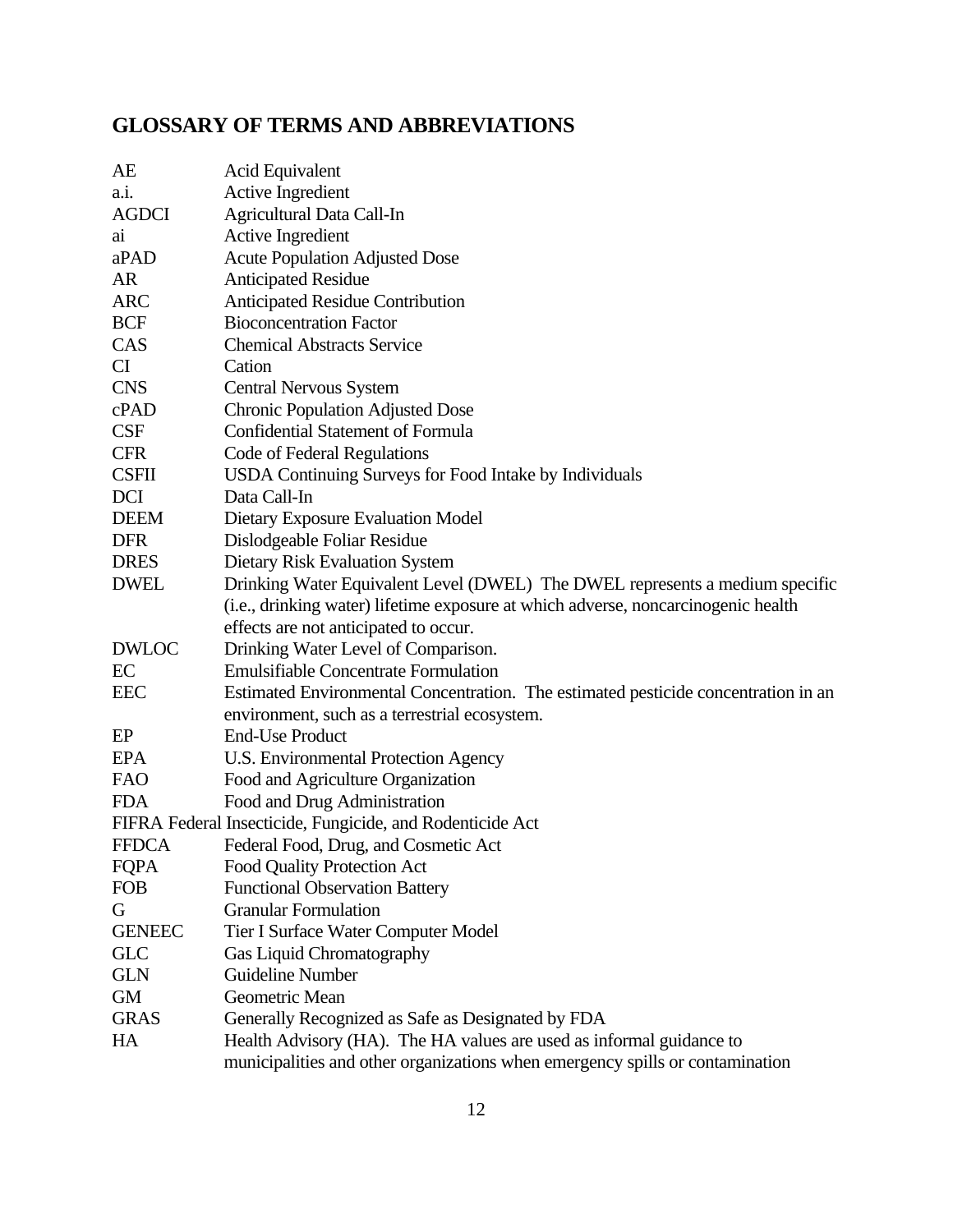## **GLOSSARY OF TERMS AND ABBREVIATIONS**

| AE            | Acid Equivalent                                                                    |
|---------------|------------------------------------------------------------------------------------|
| a.i.          | <b>Active Ingredient</b>                                                           |
| <b>AGDCI</b>  | <b>Agricultural Data Call-In</b>                                                   |
| ai            | <b>Active Ingredient</b>                                                           |
| aPAD          | <b>Acute Population Adjusted Dose</b>                                              |
| <b>AR</b>     | <b>Anticipated Residue</b>                                                         |
| <b>ARC</b>    | Anticipated Residue Contribution                                                   |
| <b>BCF</b>    | <b>Bioconcentration Factor</b>                                                     |
| CAS           | <b>Chemical Abstracts Service</b>                                                  |
| CI            | Cation                                                                             |
| <b>CNS</b>    | <b>Central Nervous System</b>                                                      |
| cPAD          | <b>Chronic Population Adjusted Dose</b>                                            |
| <b>CSF</b>    | <b>Confidential Statement of Formula</b>                                           |
| <b>CFR</b>    | Code of Federal Regulations                                                        |
| <b>CSFII</b>  | USDA Continuing Surveys for Food Intake by Individuals                             |
| DCI           | Data Call-In                                                                       |
| <b>DEEM</b>   | Dietary Exposure Evaluation Model                                                  |
| <b>DFR</b>    | Dislodgeable Foliar Residue                                                        |
| <b>DRES</b>   | Dietary Risk Evaluation System                                                     |
| <b>DWEL</b>   | Drinking Water Equivalent Level (DWEL) The DWEL represents a medium specific       |
|               | (i.e., drinking water) lifetime exposure at which adverse, noncarcinogenic health  |
|               | effects are not anticipated to occur.                                              |
| <b>DWLOC</b>  | Drinking Water Level of Comparison.                                                |
| EC            | <b>Emulsifiable Concentrate Formulation</b>                                        |
| <b>EEC</b>    | Estimated Environmental Concentration. The estimated pesticide concentration in an |
|               | environment, such as a terrestrial ecosystem.                                      |
| EP            | <b>End-Use Product</b>                                                             |
| <b>EPA</b>    | U.S. Environmental Protection Agency                                               |
| <b>FAO</b>    | Food and Agriculture Organization                                                  |
| <b>FDA</b>    | Food and Drug Administration                                                       |
|               | FIFRA Federal Insecticide, Fungicide, and Rodenticide Act                          |
| <b>FFDCA</b>  | Federal Food, Drug, and Cosmetic Act                                               |
| <b>FQPA</b>   | Food Quality Protection Act                                                        |
| <b>FOB</b>    | <b>Functional Observation Battery</b>                                              |
| G             | <b>Granular Formulation</b>                                                        |
| <b>GENEEC</b> | Tier I Surface Water Computer Model                                                |
| <b>GLC</b>    | Gas Liquid Chromatography                                                          |
| <b>GLN</b>    | <b>Guideline Number</b>                                                            |
| <b>GM</b>     | Geometric Mean                                                                     |
| <b>GRAS</b>   | Generally Recognized as Safe as Designated by FDA                                  |
| HA            | Health Advisory (HA). The HA values are used as informal guidance to               |
|               | municipalities and other organizations when emergency spills or contamination      |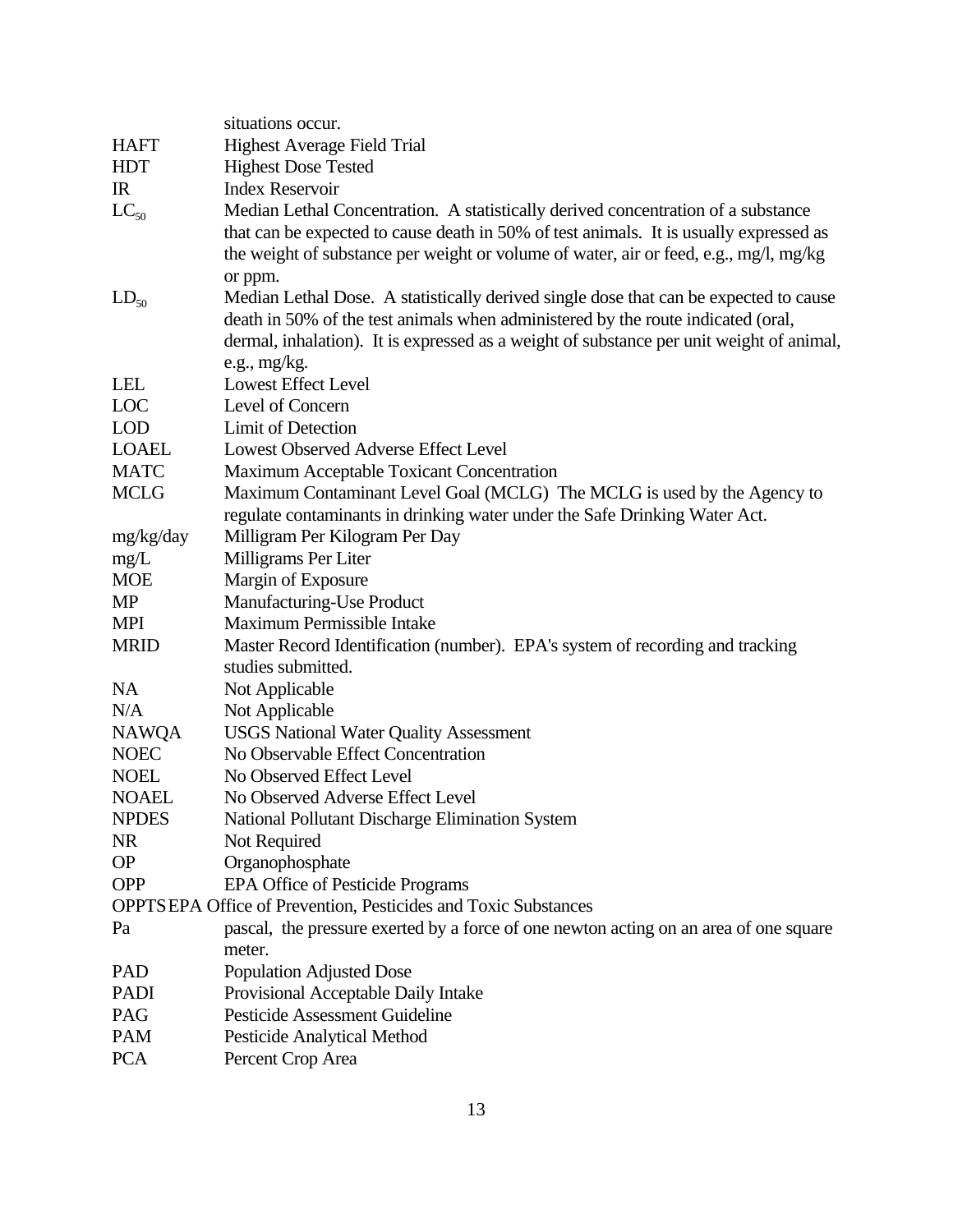|              | situations occur.                                                                        |
|--------------|------------------------------------------------------------------------------------------|
| <b>HAFT</b>  | <b>Highest Average Field Trial</b>                                                       |
| <b>HDT</b>   |                                                                                          |
|              | <b>Highest Dose Tested</b><br><b>Index Reservoir</b>                                     |
| IR           |                                                                                          |
| $LC_{50}$    | Median Lethal Concentration. A statistically derived concentration of a substance        |
|              | that can be expected to cause death in 50% of test animals. It is usually expressed as   |
|              | the weight of substance per weight or volume of water, air or feed, e.g., mg/l, mg/kg    |
|              | or ppm.                                                                                  |
| $LD_{50}$    | Median Lethal Dose. A statistically derived single dose that can be expected to cause    |
|              | death in 50% of the test animals when administered by the route indicated (oral,         |
|              | dermal, inhalation). It is expressed as a weight of substance per unit weight of animal, |
|              | e.g., $mg/kg$ .                                                                          |
| <b>LEL</b>   | <b>Lowest Effect Level</b>                                                               |
| LOC          | Level of Concern                                                                         |
| <b>LOD</b>   | <b>Limit of Detection</b>                                                                |
| <b>LOAEL</b> | Lowest Observed Adverse Effect Level                                                     |
| <b>MATC</b>  | Maximum Acceptable Toxicant Concentration                                                |
| <b>MCLG</b>  | Maximum Contaminant Level Goal (MCLG) The MCLG is used by the Agency to                  |
|              | regulate contaminants in drinking water under the Safe Drinking Water Act.               |
| mg/kg/day    | Milligram Per Kilogram Per Day                                                           |
| mg/L         | Milligrams Per Liter                                                                     |
| <b>MOE</b>   | Margin of Exposure                                                                       |
| MP           | Manufacturing-Use Product                                                                |
| <b>MPI</b>   | Maximum Permissible Intake                                                               |
| <b>MRID</b>  | Master Record Identification (number). EPA's system of recording and tracking            |
|              | studies submitted.                                                                       |
| <b>NA</b>    | Not Applicable                                                                           |
| N/A          | Not Applicable                                                                           |
| <b>NAWQA</b> | <b>USGS National Water Quality Assessment</b>                                            |
| <b>NOEC</b>  | No Observable Effect Concentration                                                       |
| <b>NOEL</b>  | No Observed Effect Level                                                                 |
| <b>NOAEL</b> | No Observed Adverse Effect Level                                                         |
| <b>NPDES</b> | National Pollutant Discharge Elimination System                                          |
| <b>NR</b>    | Not Required                                                                             |
| <b>OP</b>    | Organophosphate                                                                          |
| <b>OPP</b>   | EPA Office of Pesticide Programs                                                         |
|              | <b>OPPTSEPA Office of Prevention, Pesticides and Toxic Substances</b>                    |
| Pa           | pascal, the pressure exerted by a force of one newton acting on an area of one square    |
|              | meter.                                                                                   |
| PAD          | <b>Population Adjusted Dose</b>                                                          |
| <b>PADI</b>  | Provisional Acceptable Daily Intake                                                      |
| PAG          | <b>Pesticide Assessment Guideline</b>                                                    |
| <b>PAM</b>   | <b>Pesticide Analytical Method</b>                                                       |
| <b>PCA</b>   | Percent Crop Area                                                                        |
|              |                                                                                          |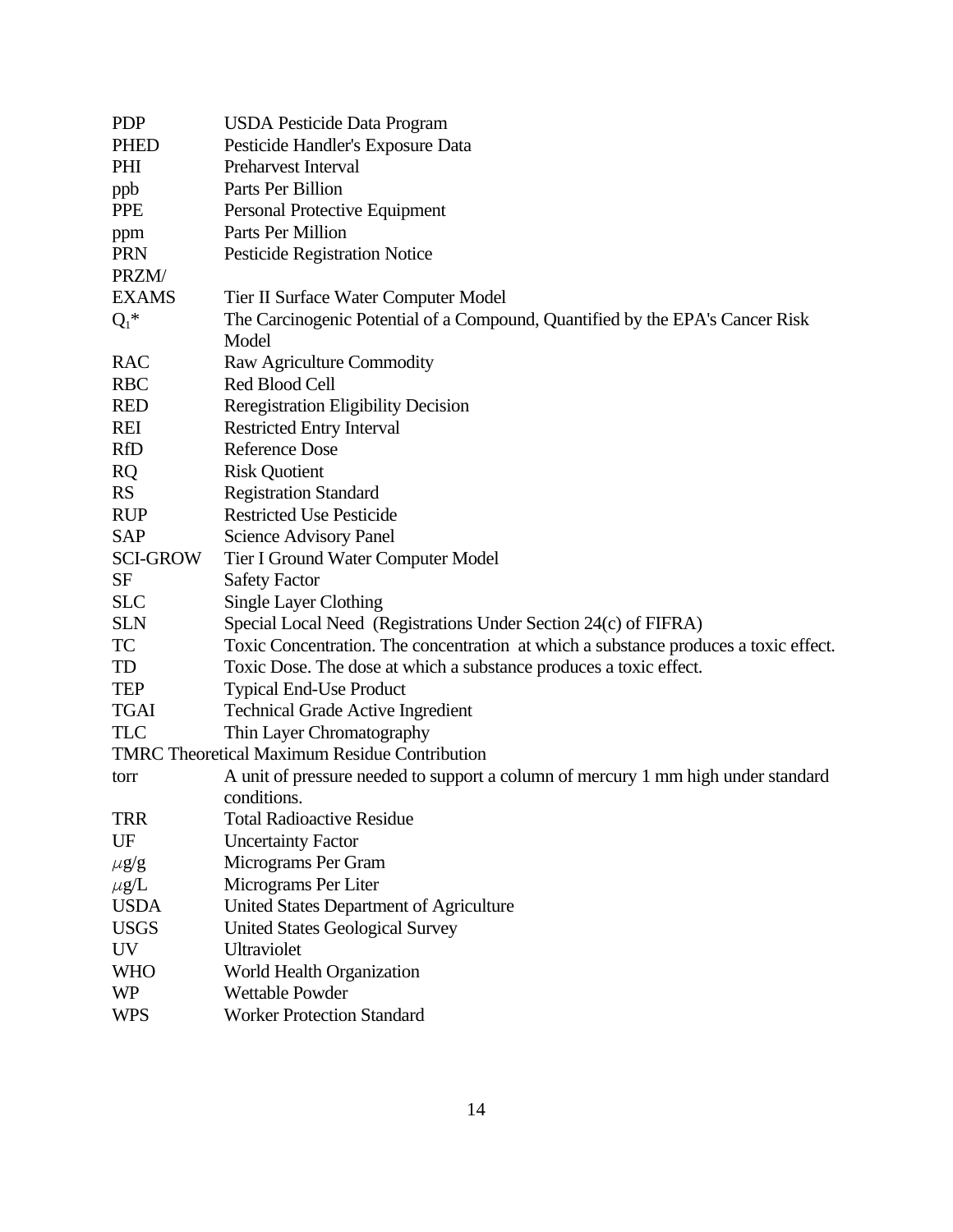| <b>PDP</b>      | <b>USDA Pesticide Data Program</b>                                                   |
|-----------------|--------------------------------------------------------------------------------------|
| <b>PHED</b>     | Pesticide Handler's Exposure Data                                                    |
| PHI             | Preharvest Interval                                                                  |
| ppb             | Parts Per Billion                                                                    |
| <b>PPE</b>      | Personal Protective Equipment                                                        |
| ppm             | Parts Per Million                                                                    |
| <b>PRN</b>      | <b>Pesticide Registration Notice</b>                                                 |
| PRZM/           |                                                                                      |
| <b>EXAMS</b>    | Tier II Surface Water Computer Model                                                 |
| $Q_1^*$         | The Carcinogenic Potential of a Compound, Quantified by the EPA's Cancer Risk        |
|                 | Model                                                                                |
| RAC             | Raw Agriculture Commodity                                                            |
| <b>RBC</b>      | Red Blood Cell                                                                       |
| <b>RED</b>      | <b>Reregistration Eligibility Decision</b>                                           |
| REI             | <b>Restricted Entry Interval</b>                                                     |
| <b>RfD</b>      | <b>Reference Dose</b>                                                                |
| <b>RQ</b>       | <b>Risk Quotient</b>                                                                 |
| <b>RS</b>       | <b>Registration Standard</b>                                                         |
| <b>RUP</b>      | <b>Restricted Use Pesticide</b>                                                      |
| <b>SAP</b>      | <b>Science Advisory Panel</b>                                                        |
| <b>SCI-GROW</b> | Tier I Ground Water Computer Model                                                   |
| <b>SF</b>       | <b>Safety Factor</b>                                                                 |
| <b>SLC</b>      | <b>Single Layer Clothing</b>                                                         |
| <b>SLN</b>      | Special Local Need (Registrations Under Section 24(c) of FIFRA)                      |
| TC              | Toxic Concentration. The concentration at which a substance produces a toxic effect. |
| TD              | Toxic Dose. The dose at which a substance produces a toxic effect.                   |
| <b>TEP</b>      | <b>Typical End-Use Product</b>                                                       |
| <b>TGAI</b>     | <b>Technical Grade Active Ingredient</b>                                             |
| <b>TLC</b>      | Thin Layer Chromatography                                                            |
|                 | <b>TMRC</b> Theoretical Maximum Residue Contribution                                 |
| torr            | A unit of pressure needed to support a column of mercury 1 mm high under standard    |
|                 | conditions.                                                                          |
| TRR             | <b>Total Radioactive Residue</b>                                                     |
| UF              | <b>Uncertainty Factor</b>                                                            |
| $\mu$ g/g       | Micrograms Per Gram                                                                  |
| $\mu$ g/L       | Micrograms Per Liter                                                                 |
| <b>USDA</b>     | United States Department of Agriculture                                              |
| <b>USGS</b>     | <b>United States Geological Survey</b>                                               |
| <b>UV</b>       | Ultraviolet                                                                          |
| <b>WHO</b>      | World Health Organization                                                            |
| <b>WP</b>       | <b>Wettable Powder</b>                                                               |
| <b>WPS</b>      | <b>Worker Protection Standard</b>                                                    |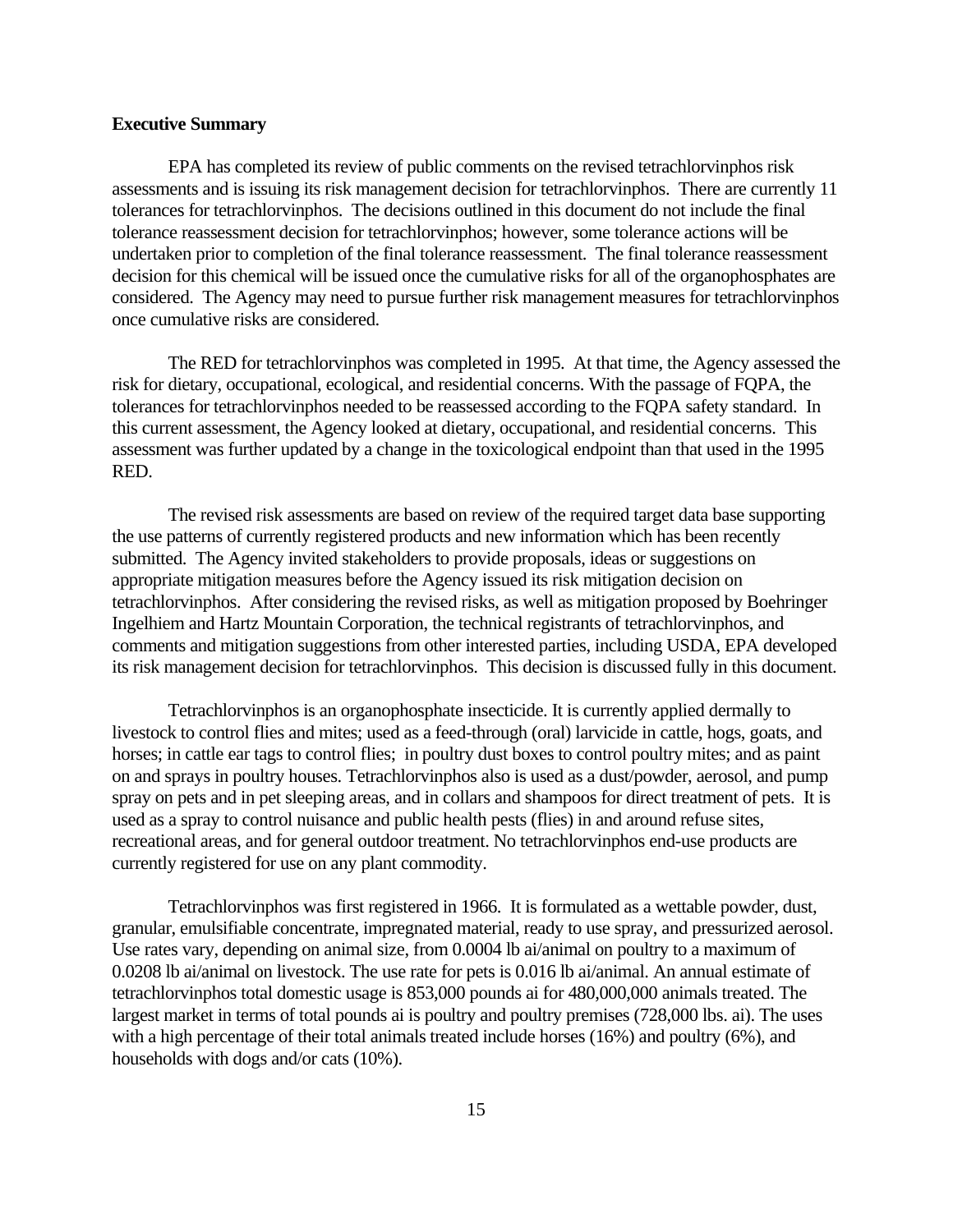#### **Executive Summary**

EPA has completed its review of public comments on the revised tetrachlorvinphos risk assessments and is issuing its risk management decision for tetrachlorvinphos. There are currently 11 tolerances for tetrachlorvinphos. The decisions outlined in this document do not include the final tolerance reassessment decision for tetrachlorvinphos; however, some tolerance actions will be undertaken prior to completion of the final tolerance reassessment. The final tolerance reassessment decision for this chemical will be issued once the cumulative risks for all of the organophosphates are considered. The Agency may need to pursue further risk management measures for tetrachlorvinphos once cumulative risks are considered.

The RED for tetrachlorvinphos was completed in 1995. At that time, the Agency assessed the risk for dietary, occupational, ecological, and residential concerns. With the passage of FQPA, the tolerances for tetrachlorvinphos needed to be reassessed according to the FQPA safety standard. In this current assessment, the Agency looked at dietary, occupational, and residential concerns. This assessment was further updated by a change in the toxicological endpoint than that used in the 1995 RED.

The revised risk assessments are based on review of the required target data base supporting the use patterns of currently registered products and new information which has been recently submitted. The Agency invited stakeholders to provide proposals, ideas or suggestions on appropriate mitigation measures before the Agency issued its risk mitigation decision on tetrachlorvinphos. After considering the revised risks, as well as mitigation proposed by Boehringer Ingelhiem and Hartz Mountain Corporation, the technical registrants of tetrachlorvinphos, and comments and mitigation suggestions from other interested parties, including USDA, EPA developed its risk management decision for tetrachlorvinphos. This decision is discussed fully in this document.

Tetrachlorvinphos is an organophosphate insecticide. It is currently applied dermally to livestock to control flies and mites; used as a feed-through (oral) larvicide in cattle, hogs, goats, and horses; in cattle ear tags to control flies; in poultry dust boxes to control poultry mites; and as paint on and sprays in poultry houses. Tetrachlorvinphos also is used as a dust/powder, aerosol, and pump spray on pets and in pet sleeping areas, and in collars and shampoos for direct treatment of pets. It is used as a spray to control nuisance and public health pests (flies) in and around refuse sites, recreational areas, and for general outdoor treatment. No tetrachlorvinphos end-use products are currently registered for use on any plant commodity.

Tetrachlorvinphos was first registered in 1966. It is formulated as a wettable powder, dust, granular, emulsifiable concentrate, impregnated material, ready to use spray, and pressurized aerosol. Use rates vary, depending on animal size, from 0.0004 lb ai/animal on poultry to a maximum of 0.0208 lb ai/animal on livestock. The use rate for pets is 0.016 lb ai/animal. An annual estimate of tetrachlorvinphos total domestic usage is 853,000 pounds ai for 480,000,000 animals treated. The largest market in terms of total pounds ai is poultry and poultry premises (728,000 lbs. ai). The uses with a high percentage of their total animals treated include horses (16%) and poultry (6%), and households with dogs and/or cats (10%).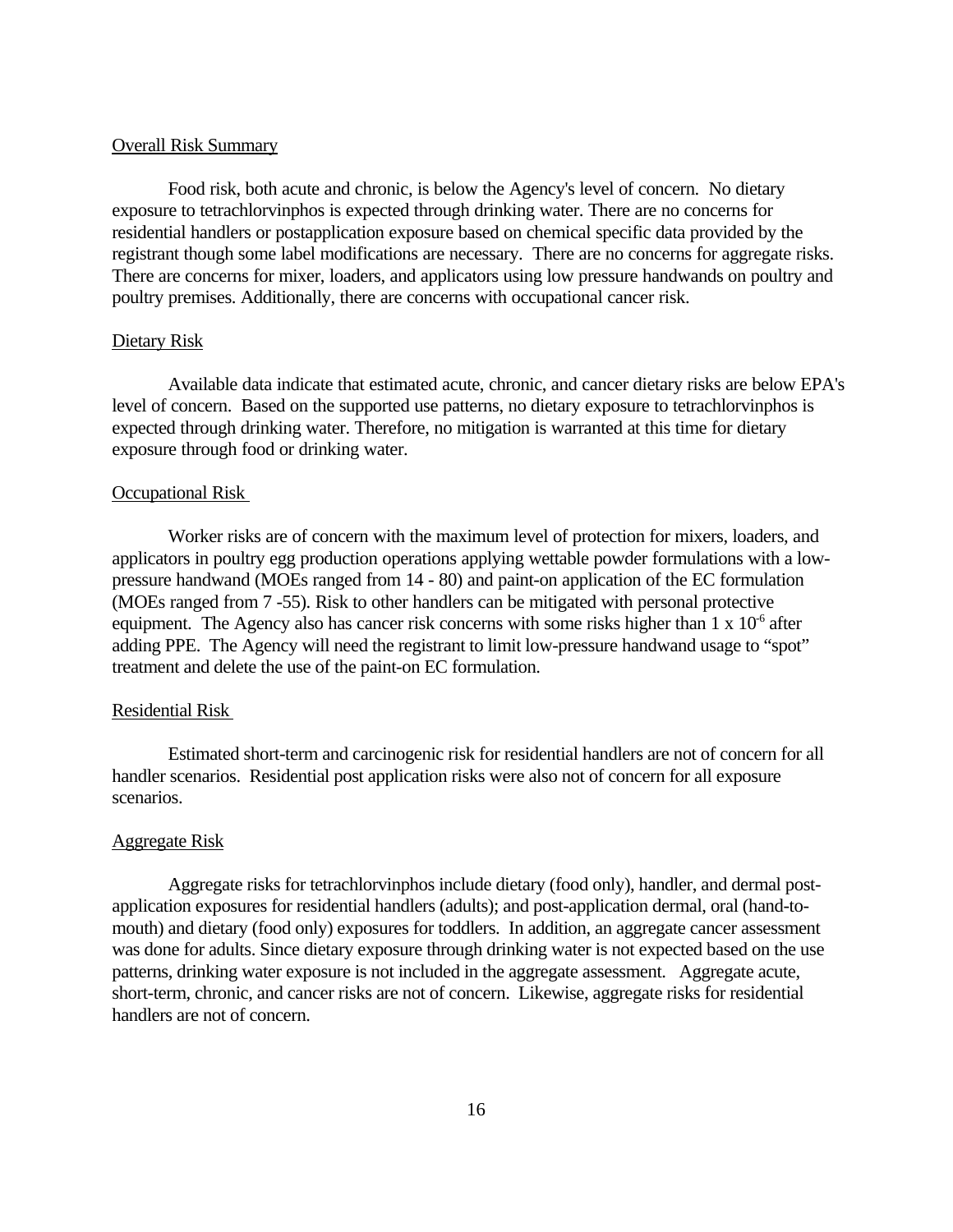#### Overall Risk Summary

Food risk, both acute and chronic, is below the Agency's level of concern. No dietary exposure to tetrachlorvinphos is expected through drinking water. There are no concerns for residential handlers or postapplication exposure based on chemical specific data provided by the registrant though some label modifications are necessary. There are no concerns for aggregate risks. There are concerns for mixer, loaders, and applicators using low pressure handwands on poultry and poultry premises. Additionally, there are concerns with occupational cancer risk.

#### Dietary Risk

Available data indicate that estimated acute, chronic, and cancer dietary risks are below EPA's level of concern. Based on the supported use patterns, no dietary exposure to tetrachlorvinphos is expected through drinking water. Therefore, no mitigation is warranted at this time for dietary exposure through food or drinking water.

#### Occupational Risk

Worker risks are of concern with the maximum level of protection for mixers, loaders, and applicators in poultry egg production operations applying wettable powder formulations with a lowpressure handwand (MOEs ranged from 14 - 80) and paint-on application of the EC formulation (MOEs ranged from 7 -55). Risk to other handlers can be mitigated with personal protective equipment. The Agency also has cancer risk concerns with some risks higher than  $1 \times 10^{-6}$  after adding PPE. The Agency will need the registrant to limit low-pressure handwand usage to "spot" treatment and delete the use of the paint-on EC formulation.

#### Residential Risk

Estimated short-term and carcinogenic risk for residential handlers are not of concern for all handler scenarios. Residential post application risks were also not of concern for all exposure scenarios.

#### Aggregate Risk

Aggregate risks for tetrachlorvinphos include dietary (food only), handler, and dermal postapplication exposures for residential handlers (adults); and post-application dermal, oral (hand-tomouth) and dietary (food only) exposures for toddlers. In addition, an aggregate cancer assessment was done for adults. Since dietary exposure through drinking water is not expected based on the use patterns, drinking water exposure is not included in the aggregate assessment. Aggregate acute, short-term, chronic, and cancer risks are not of concern. Likewise, aggregate risks for residential handlers are not of concern.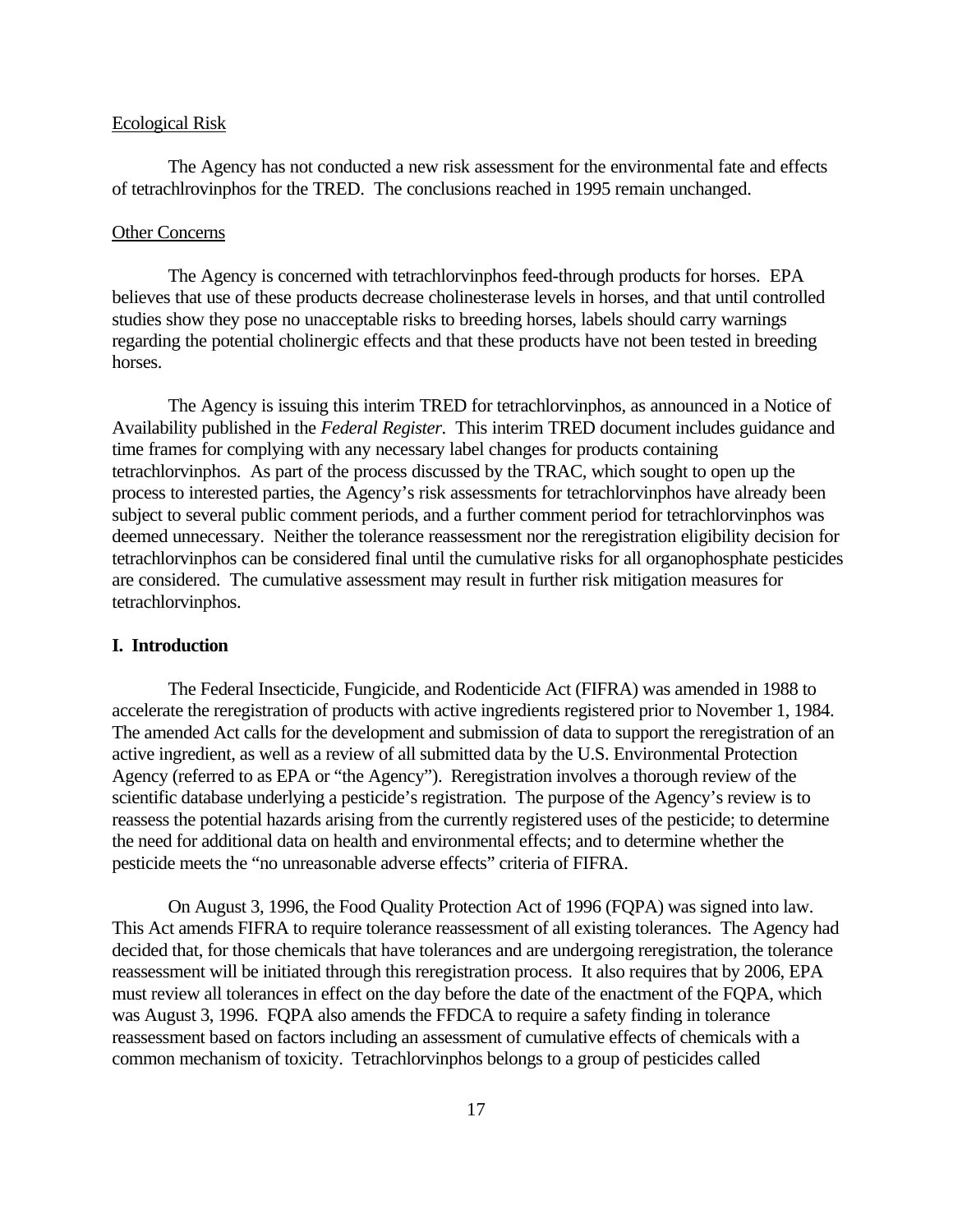#### Ecological Risk

The Agency has not conducted a new risk assessment for the environmental fate and effects of tetrachlrovinphos for the TRED. The conclusions reached in 1995 remain unchanged.

#### Other Concerns

The Agency is concerned with tetrachlorvinphos feed-through products for horses. EPA believes that use of these products decrease cholinesterase levels in horses, and that until controlled studies show they pose no unacceptable risks to breeding horses, labels should carry warnings regarding the potential cholinergic effects and that these products have not been tested in breeding horses.

The Agency is issuing this interim TRED for tetrachlorvinphos, as announced in a Notice of Availability published in the *Federal Register*. This interim TRED document includes guidance and time frames for complying with any necessary label changes for products containing tetrachlorvinphos. As part of the process discussed by the TRAC, which sought to open up the process to interested parties, the Agency's risk assessments for tetrachlorvinphos have already been subject to several public comment periods, and a further comment period for tetrachlorvinphos was deemed unnecessary. Neither the tolerance reassessment nor the reregistration eligibility decision for tetrachlorvinphos can be considered final until the cumulative risks for all organophosphate pesticides are considered. The cumulative assessment may result in further risk mitigation measures for tetrachlorvinphos.

#### **I. Introduction**

The Federal Insecticide, Fungicide, and Rodenticide Act (FIFRA) was amended in 1988 to accelerate the reregistration of products with active ingredients registered prior to November 1, 1984. The amended Act calls for the development and submission of data to support the reregistration of an active ingredient, as well as a review of all submitted data by the U.S. Environmental Protection Agency (referred to as EPA or "the Agency"). Reregistration involves a thorough review of the scientific database underlying a pesticide's registration. The purpose of the Agency's review is to reassess the potential hazards arising from the currently registered uses of the pesticide; to determine the need for additional data on health and environmental effects; and to determine whether the pesticide meets the "no unreasonable adverse effects" criteria of FIFRA.

On August 3, 1996, the Food Quality Protection Act of 1996 (FQPA) was signed into law. This Act amends FIFRA to require tolerance reassessment of all existing tolerances. The Agency had decided that, for those chemicals that have tolerances and are undergoing reregistration, the tolerance reassessment will be initiated through this reregistration process. It also requires that by 2006, EPA must review all tolerances in effect on the day before the date of the enactment of the FQPA, which was August 3, 1996. FQPA also amends the FFDCA to require a safety finding in tolerance reassessment based on factors including an assessment of cumulative effects of chemicals with a common mechanism of toxicity. Tetrachlorvinphos belongs to a group of pesticides called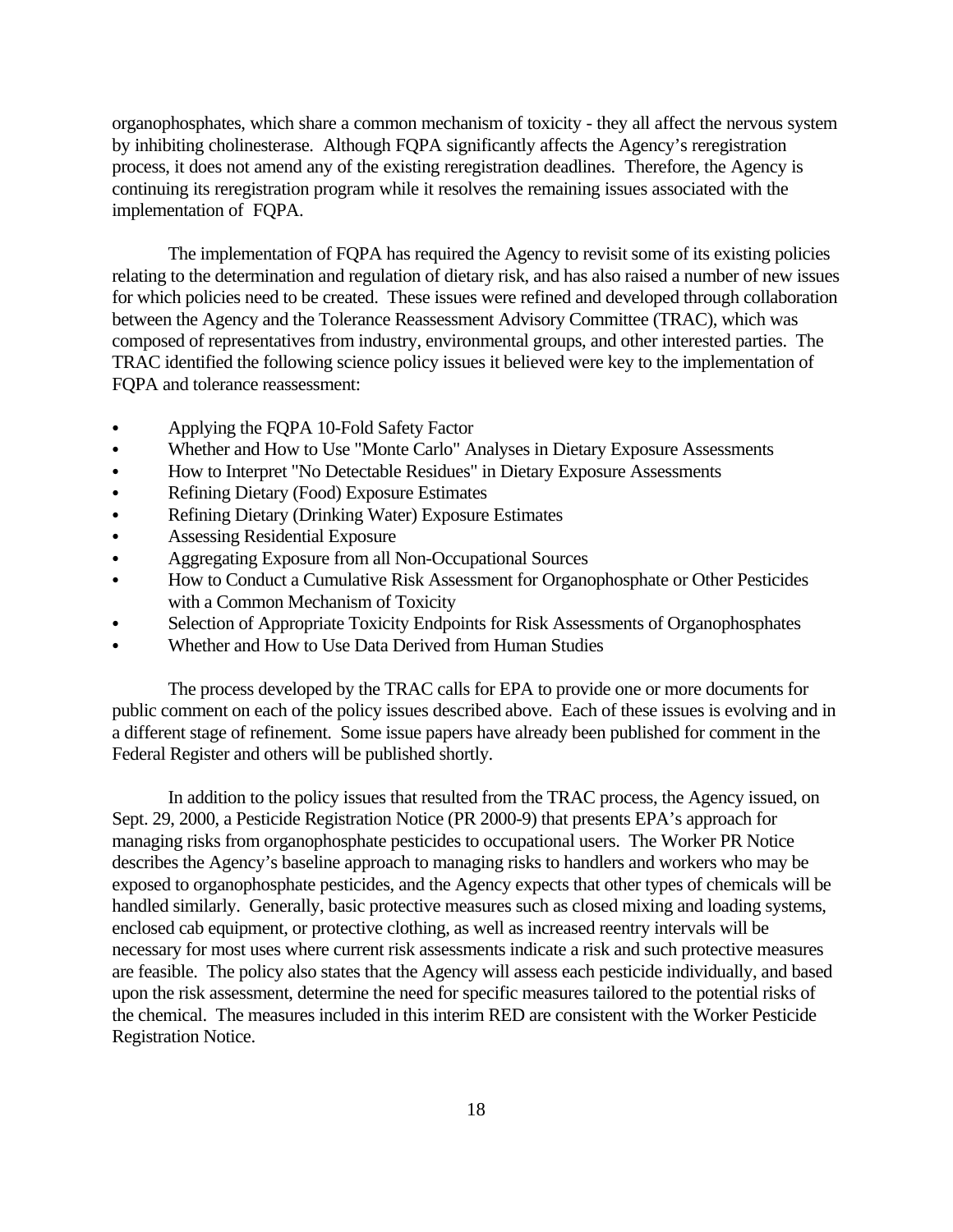organophosphates, which share a common mechanism of toxicity - they all affect the nervous system by inhibiting cholinesterase. Although FQPA significantly affects the Agency's reregistration process, it does not amend any of the existing reregistration deadlines. Therefore, the Agency is continuing its reregistration program while it resolves the remaining issues associated with the implementation of FQPA.

The implementation of FQPA has required the Agency to revisit some of its existing policies relating to the determination and regulation of dietary risk, and has also raised a number of new issues for which policies need to be created. These issues were refined and developed through collaboration between the Agency and the Tolerance Reassessment Advisory Committee (TRAC), which was composed of representatives from industry, environmental groups, and other interested parties. The TRAC identified the following science policy issues it believed were key to the implementation of FQPA and tolerance reassessment:

- Applying the FQPA 10-Fold Safety Factor
- Whether and How to Use "Monte Carlo" Analyses in Dietary Exposure Assessments
- How to Interpret "No Detectable Residues" in Dietary Exposure Assessments
- Refining Dietary (Food) Exposure Estimates
- Refining Dietary (Drinking Water) Exposure Estimates
- Assessing Residential Exposure
- Aggregating Exposure from all Non-Occupational Sources
- How to Conduct a Cumulative Risk Assessment for Organophosphate or Other Pesticides with a Common Mechanism of Toxicity
- Selection of Appropriate Toxicity Endpoints for Risk Assessments of Organophosphates
- Whether and How to Use Data Derived from Human Studies

The process developed by the TRAC calls for EPA to provide one or more documents for public comment on each of the policy issues described above. Each of these issues is evolving and in a different stage of refinement. Some issue papers have already been published for comment in the Federal Register and others will be published shortly.

In addition to the policy issues that resulted from the TRAC process, the Agency issued, on Sept. 29, 2000, a Pesticide Registration Notice (PR 2000-9) that presents EPA's approach for managing risks from organophosphate pesticides to occupational users. The Worker PR Notice describes the Agency's baseline approach to managing risks to handlers and workers who may be exposed to organophosphate pesticides, and the Agency expects that other types of chemicals will be handled similarly. Generally, basic protective measures such as closed mixing and loading systems, enclosed cab equipment, or protective clothing, as well as increased reentry intervals will be necessary for most uses where current risk assessments indicate a risk and such protective measures are feasible. The policy also states that the Agency will assess each pesticide individually, and based upon the risk assessment, determine the need for specific measures tailored to the potential risks of the chemical. The measures included in this interim RED are consistent with the Worker Pesticide Registration Notice.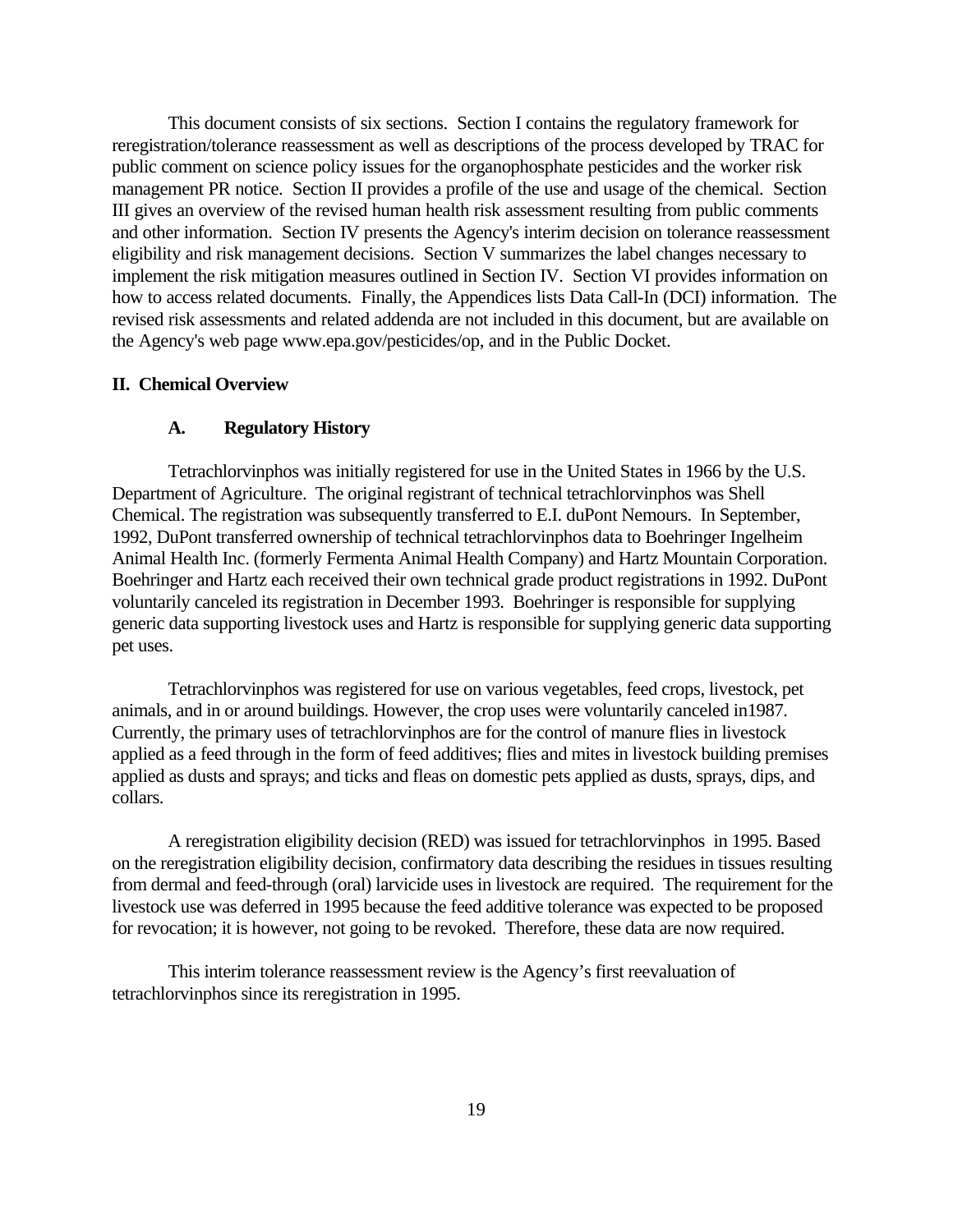This document consists of six sections. Section I contains the regulatory framework for reregistration/tolerance reassessment as well as descriptions of the process developed by TRAC for public comment on science policy issues for the organophosphate pesticides and the worker risk management PR notice. Section II provides a profile of the use and usage of the chemical. Section III gives an overview of the revised human health risk assessment resulting from public comments and other information. Section IV presents the Agency's interim decision on tolerance reassessment eligibility and risk management decisions. Section V summarizes the label changes necessary to implement the risk mitigation measures outlined in Section IV. Section VI provides information on how to access related documents. Finally, the Appendices lists Data Call-In (DCI) information. The revised risk assessments and related addenda are not included in this document, but are available on the Agency's web page www.epa.gov/pesticides/op, and in the Public Docket.

#### **II. Chemical Overview**

#### **A. Regulatory History**

Tetrachlorvinphos was initially registered for use in the United States in 1966 by the U.S. Department of Agriculture. The original registrant of technical tetrachlorvinphos was Shell Chemical. The registration was subsequently transferred to E.I. duPont Nemours. In September, 1992, DuPont transferred ownership of technical tetrachlorvinphos data to Boehringer Ingelheim Animal Health Inc. (formerly Fermenta Animal Health Company) and Hartz Mountain Corporation. Boehringer and Hartz each received their own technical grade product registrations in 1992. DuPont voluntarily canceled its registration in December 1993. Boehringer is responsible for supplying generic data supporting livestock uses and Hartz is responsible for supplying generic data supporting pet uses.

Tetrachlorvinphos was registered for use on various vegetables, feed crops, livestock, pet animals, and in or around buildings. However, the crop uses were voluntarily canceled in1987. Currently, the primary uses of tetrachlorvinphos are for the control of manure flies in livestock applied as a feed through in the form of feed additives; flies and mites in livestock building premises applied as dusts and sprays; and ticks and fleas on domestic pets applied as dusts, sprays, dips, and collars.

A reregistration eligibility decision (RED) was issued for tetrachlorvinphos in 1995. Based on the reregistration eligibility decision, confirmatory data describing the residues in tissues resulting from dermal and feed-through (oral) larvicide uses in livestock are required. The requirement for the livestock use was deferred in 1995 because the feed additive tolerance was expected to be proposed for revocation; it is however, not going to be revoked. Therefore, these data are now required.

This interim tolerance reassessment review is the Agency's first reevaluation of tetrachlorvinphos since its reregistration in 1995.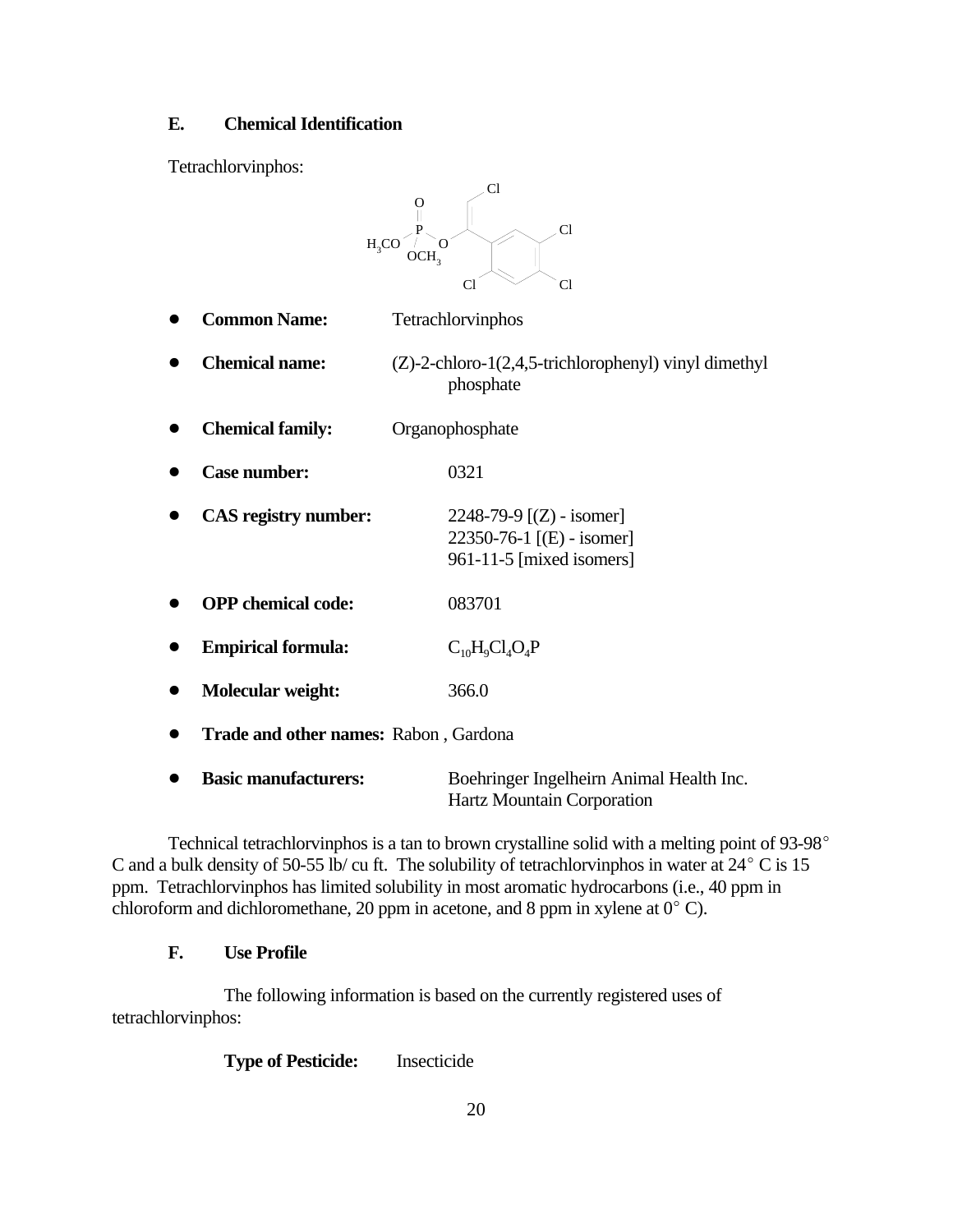#### **E. Chemical Identification**

Tetrachlorvinphos:

|           | Cl<br>O<br>Cl<br>H <sub>2</sub> CO<br>OCH.<br>Cl<br>C1 |                                                                                     |  |  |  |  |
|-----------|--------------------------------------------------------|-------------------------------------------------------------------------------------|--|--|--|--|
|           | <b>Common Name:</b>                                    | Tetrachlorvinphos                                                                   |  |  |  |  |
|           | <b>Chemical name:</b>                                  | $(Z)$ -2-chloro-1 $(2,4,5$ -trichlorophenyl) vinyl dimethyl<br>phosphate            |  |  |  |  |
|           | <b>Chemical family:</b>                                | Organophosphate                                                                     |  |  |  |  |
| 0         | <b>Case number:</b>                                    | 0321                                                                                |  |  |  |  |
|           | <b>CAS</b> registry number:                            | 2248-79-9 $[(Z)$ - isomer]<br>22350-76-1 [(E) - isomer]<br>961-11-5 [mixed isomers] |  |  |  |  |
|           | <b>OPP</b> chemical code:                              | 083701                                                                              |  |  |  |  |
|           | <b>Empirical formula:</b>                              | $C_{10}H_9Cl_4O_4P$                                                                 |  |  |  |  |
|           | <b>Molecular weight:</b>                               | 366.0                                                                               |  |  |  |  |
| $\bullet$ | Trade and other names: Rabon, Gardona                  |                                                                                     |  |  |  |  |
| ●         | <b>Basic manufacturers:</b>                            | Boehringer Ingelheirn Animal Health Inc.                                            |  |  |  |  |

Technical tetrachlorvinphos is a tan to brown crystalline solid with a melting point of 93-98° C and a bulk density of 50-55 lb/ cu ft. The solubility of tetrachlorvinphos in water at  $24^{\circ}$  C is 15 ppm. Tetrachlorvinphos has limited solubility in most aromatic hydrocarbons (i.e., 40 ppm in chloroform and dichloromethane, 20 ppm in acetone, and 8 ppm in xylene at  $0^{\circ}$  C).

Hartz Mountain Corporation

#### **F. Use Profile**

The following information is based on the currently registered uses of tetrachlorvinphos:

**Type of Pesticide:** Insecticide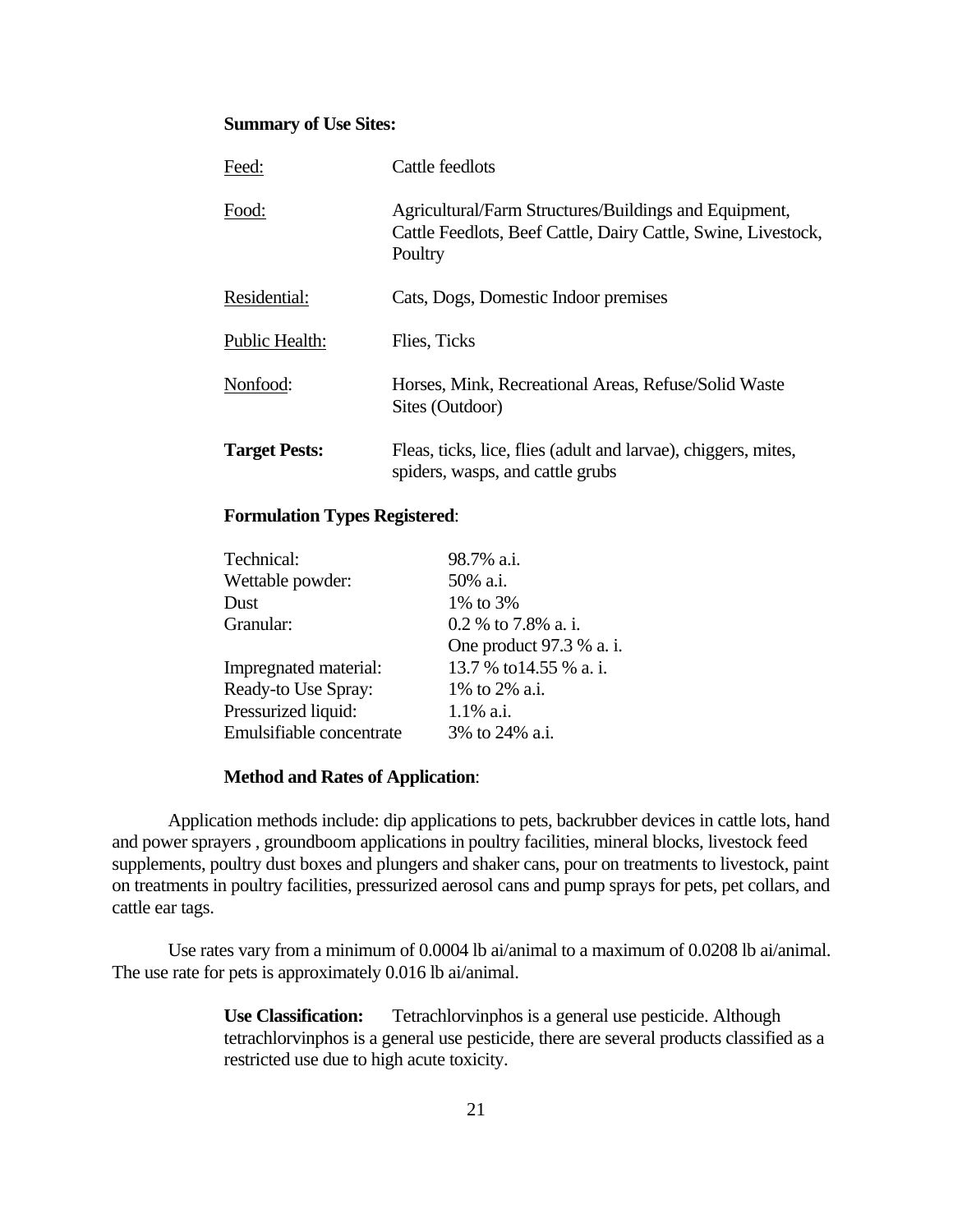#### **Summary of Use Sites:**

| Feed:                | Cattle feedlots                                                                                                                   |
|----------------------|-----------------------------------------------------------------------------------------------------------------------------------|
| Food:                | Agricultural/Farm Structures/Buildings and Equipment,<br>Cattle Feedlots, Beef Cattle, Dairy Cattle, Swine, Livestock,<br>Poultry |
| Residential:         | Cats, Dogs, Domestic Indoor premises                                                                                              |
| Public Health:       | Flies, Ticks                                                                                                                      |
| Nonfood:             | Horses, Mink, Recreational Areas, Refuse/Solid Waste<br>Sites (Outdoor)                                                           |
| <b>Target Pests:</b> | Fleas, ticks, lice, flies (adult and larvae), chiggers, mites,<br>spiders, wasps, and cattle grubs                                |

#### **Formulation Types Registered**:

| Technical:               | 98.7% a.i.               |
|--------------------------|--------------------------|
| Wettable powder:         | 50% a.i.                 |
| Dust                     | 1\% to 3\%               |
| Granular:                | 0.2 % to 7.8% a. i.      |
|                          | One product 97.3 % a. i. |
| Impregnated material:    | 13.7 % to 14.55 % a. i.  |
| Ready-to Use Spray:      | 1% to 2% a.i.            |
| Pressurized liquid:      | $1.1\%$ a.i.             |
| Emulsifiable concentrate | 3% to 24% a.i.           |
|                          |                          |

#### **Method and Rates of Application**:

Application methods include: dip applications to pets, backrubber devices in cattle lots, hand and power sprayers , groundboom applications in poultry facilities, mineral blocks, livestock feed supplements, poultry dust boxes and plungers and shaker cans, pour on treatments to livestock, paint on treatments in poultry facilities, pressurized aerosol cans and pump sprays for pets, pet collars, and cattle ear tags.

Use rates vary from a minimum of 0.0004 lb ai/animal to a maximum of 0.0208 lb ai/animal. The use rate for pets is approximately 0.016 lb ai/animal.

> **Use Classification:** Tetrachlorvinphos is a general use pesticide. Although tetrachlorvinphos is a general use pesticide, there are several products classified as a restricted use due to high acute toxicity.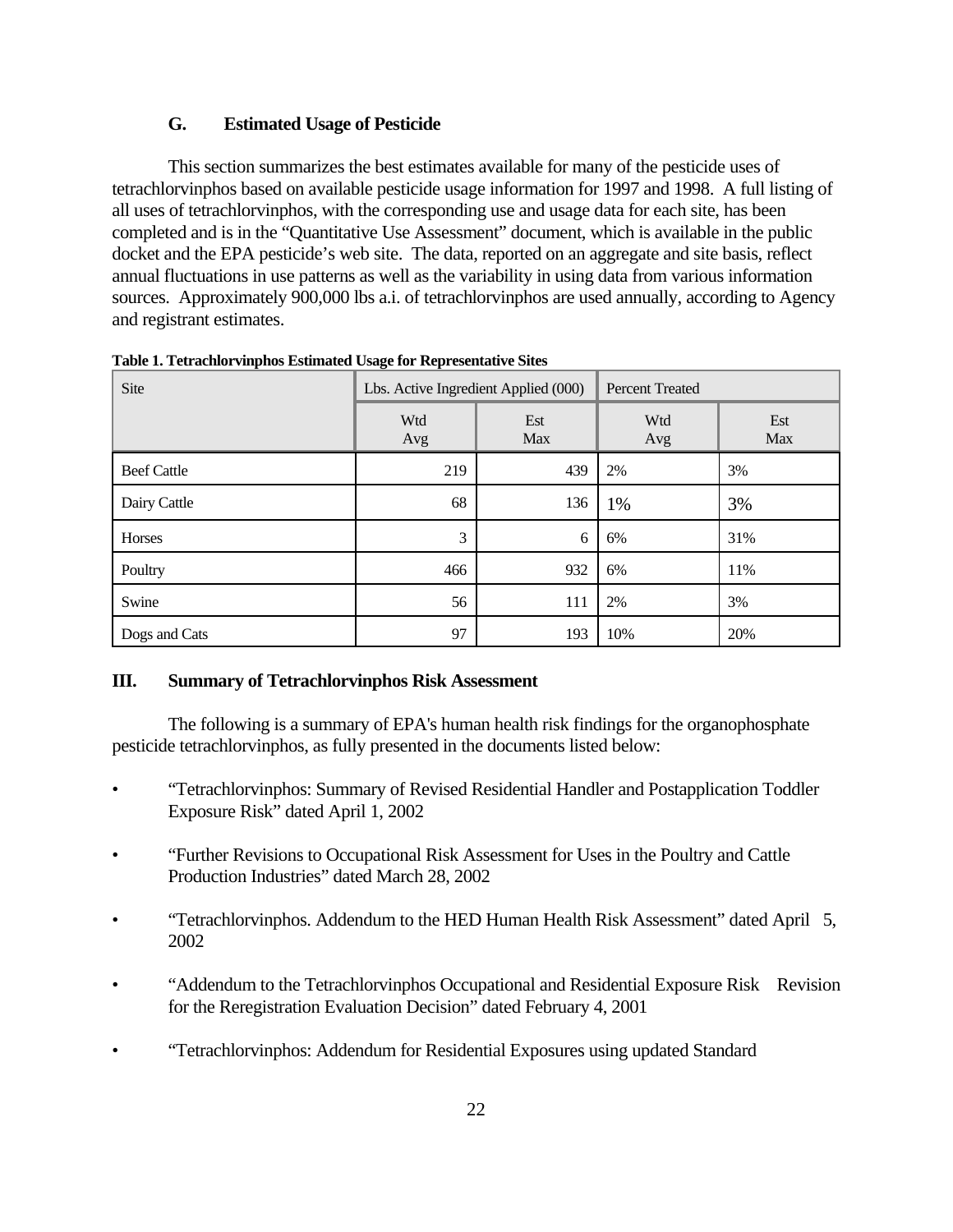#### **G. Estimated Usage of Pesticide**

This section summarizes the best estimates available for many of the pesticide uses of tetrachlorvinphos based on available pesticide usage information for 1997 and 1998. A full listing of all uses of tetrachlorvinphos, with the corresponding use and usage data for each site, has been completed and is in the "Quantitative Use Assessment" document, which is available in the public docket and the EPA pesticide's web site. The data, reported on an aggregate and site basis, reflect annual fluctuations in use patterns as well as the variability in using data from various information sources. Approximately 900,000 lbs a.i. of tetrachlorvinphos are used annually, according to Agency and registrant estimates.

| Site               | Lbs. Active Ingredient Applied (000) |            | <b>Percent Treated</b> |            |
|--------------------|--------------------------------------|------------|------------------------|------------|
|                    | Wtd<br>Avg                           | Est<br>Max | Wtd<br>Avg             | Est<br>Max |
| <b>Beef Cattle</b> | 219                                  | 439        | 2%                     | 3%         |
| Dairy Cattle       | 68                                   | 136        | 1%                     | 3%         |
| Horses             | 3                                    | 6          | 6%                     | 31%        |
| Poultry            | 466                                  | 932        | 6%                     | 11%        |
| Swine              | 56                                   | 111        | 2%                     | 3%         |
| Dogs and Cats      | 97                                   | 193        | 10%                    | 20%        |

**Table 1. Tetrachlorvinphos Estimated Usage for Representative Sites** 

#### **III. Summary of Tetrachlorvinphos Risk Assessment**

The following is a summary of EPA's human health risk findings for the organophosphate pesticide tetrachlorvinphos, as fully presented in the documents listed below:

- "Tetrachlorvinphos: Summary of Revised Residential Handler and Postapplication Toddler Exposure Risk" dated April 1, 2002
- "Further Revisions to Occupational Risk Assessment for Uses in the Poultry and Cattle Production Industries" dated March 28, 2002
- "Tetrachlorvinphos. Addendum to the HED Human Health Risk Assessment" dated April 5, 2002
- "Addendum to the Tetrachlorvinphos Occupational and Residential Exposure Risk Revision for the Reregistration Evaluation Decision" dated February 4, 2001
- "Tetrachlorvinphos: Addendum for Residential Exposures using updated Standard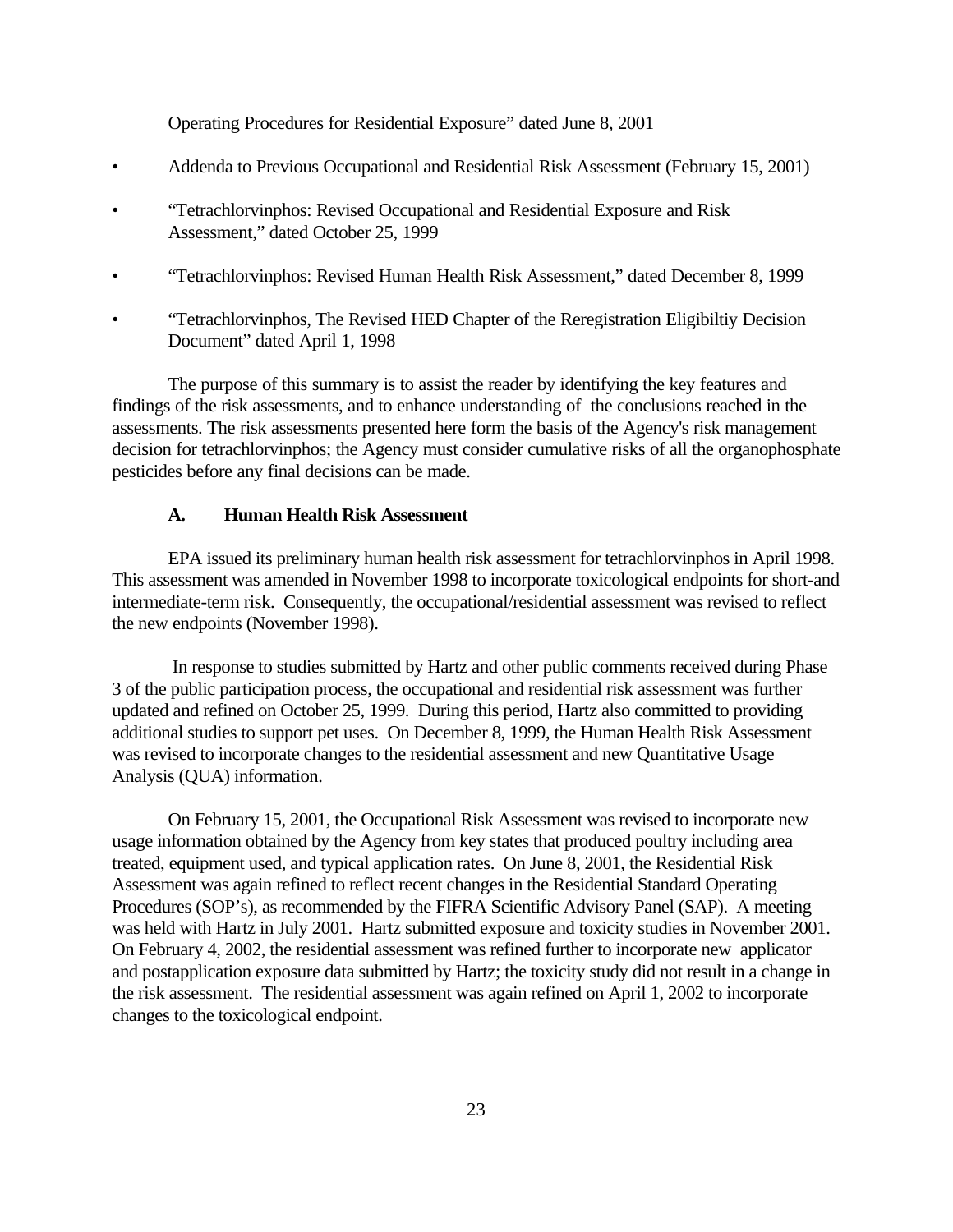Operating Procedures for Residential Exposure" dated June 8, 2001

- Addenda to Previous Occupational and Residential Risk Assessment (February 15, 2001)
- "Tetrachlorvinphos: Revised Occupational and Residential Exposure and Risk Assessment," dated October 25, 1999
- "Tetrachlorvinphos: Revised Human Health Risk Assessment," dated December 8, 1999
- "Tetrachlorvinphos, The Revised HED Chapter of the Reregistration Eligibiltiy Decision Document" dated April 1, 1998

The purpose of this summary is to assist the reader by identifying the key features and findings of the risk assessments, and to enhance understanding of the conclusions reached in the assessments. The risk assessments presented here form the basis of the Agency's risk management decision for tetrachlorvinphos; the Agency must consider cumulative risks of all the organophosphate pesticides before any final decisions can be made.

#### **A. Human Health Risk Assessment**

EPA issued its preliminary human health risk assessment for tetrachlorvinphos in April 1998. This assessment was amended in November 1998 to incorporate toxicological endpoints for short-and intermediate-term risk. Consequently, the occupational/residential assessment was revised to reflect the new endpoints (November 1998).

In response to studies submitted by Hartz and other public comments received during Phase 3 of the public participation process, the occupational and residential risk assessment was further updated and refined on October 25, 1999. During this period, Hartz also committed to providing additional studies to support pet uses. On December 8, 1999, the Human Health Risk Assessment was revised to incorporate changes to the residential assessment and new Quantitative Usage Analysis (QUA) information.

On February 15, 2001, the Occupational Risk Assessment was revised to incorporate new usage information obtained by the Agency from key states that produced poultry including area treated, equipment used, and typical application rates. On June 8, 2001, the Residential Risk Assessment was again refined to reflect recent changes in the Residential Standard Operating Procedures (SOP's), as recommended by the FIFRA Scientific Advisory Panel (SAP). A meeting was held with Hartz in July 2001. Hartz submitted exposure and toxicity studies in November 2001. On February 4, 2002, the residential assessment was refined further to incorporate new applicator and postapplication exposure data submitted by Hartz; the toxicity study did not result in a change in the risk assessment. The residential assessment was again refined on April 1, 2002 to incorporate changes to the toxicological endpoint.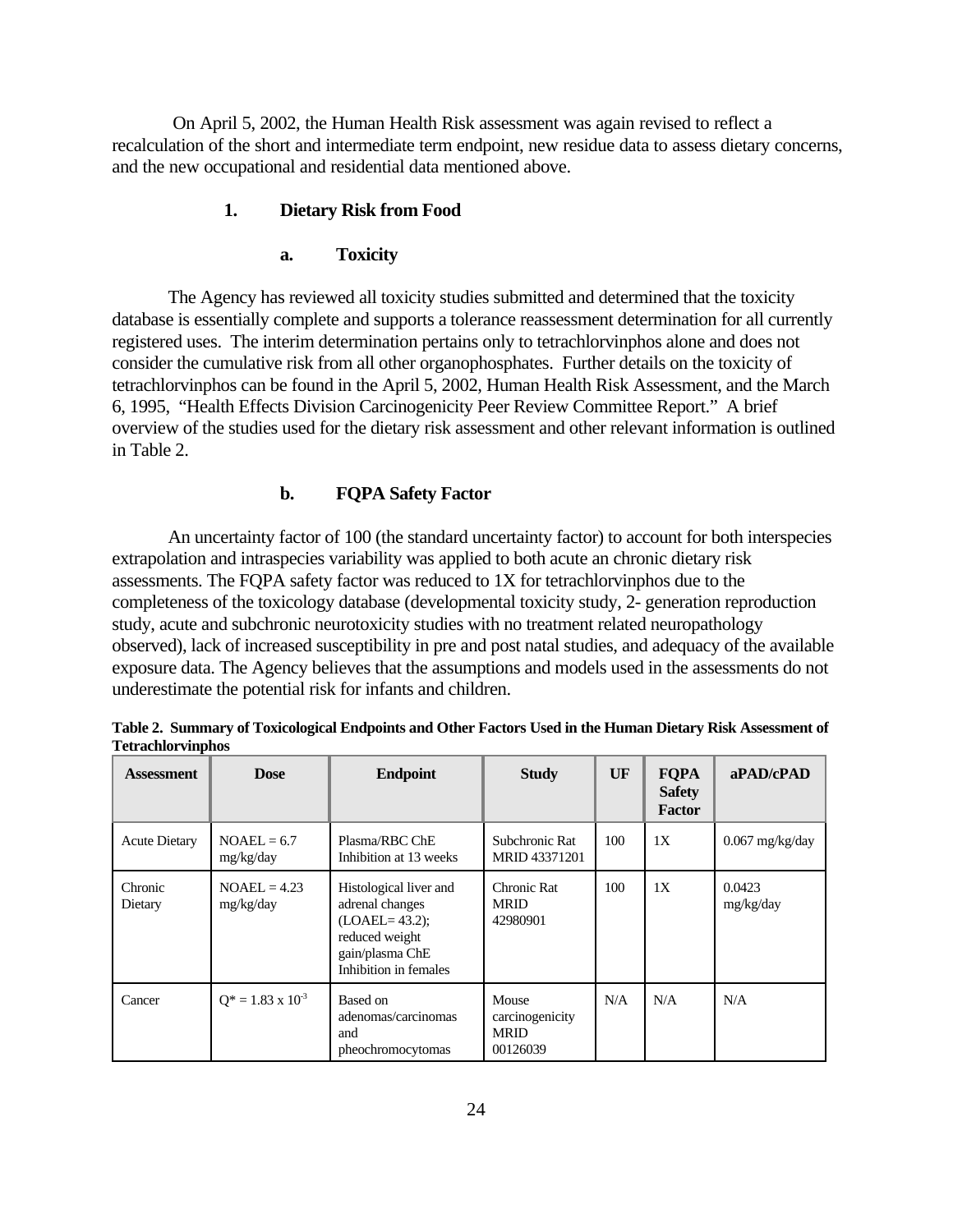On April 5, 2002, the Human Health Risk assessment was again revised to reflect a recalculation of the short and intermediate term endpoint, new residue data to assess dietary concerns, and the new occupational and residential data mentioned above.

#### **1. Dietary Risk from Food**

#### **a. Toxicity**

The Agency has reviewed all toxicity studies submitted and determined that the toxicity database is essentially complete and supports a tolerance reassessment determination for all currently registered uses. The interim determination pertains only to tetrachlorvinphos alone and does not consider the cumulative risk from all other organophosphates. Further details on the toxicity of tetrachlorvinphos can be found in the April 5, 2002, Human Health Risk Assessment, and the March 6, 1995, "Health Effects Division Carcinogenicity Peer Review Committee Report." A brief overview of the studies used for the dietary risk assessment and other relevant information is outlined in Table 2.

#### **b. FQPA Safety Factor**

An uncertainty factor of 100 (the standard uncertainty factor) to account for both interspecies extrapolation and intraspecies variability was applied to both acute an chronic dietary risk assessments. The FQPA safety factor was reduced to 1X for tetrachlorvinphos due to the completeness of the toxicology database (developmental toxicity study, 2- generation reproduction study, acute and subchronic neurotoxicity studies with no treatment related neuropathology observed), lack of increased susceptibility in pre and post natal studies, and adequacy of the available exposure data. The Agency believes that the assumptions and models used in the assessments do not underestimate the potential risk for infants and children.

| <b>Assessment</b>    | <b>Dose</b>                 | <b>Endpoint</b>                                                                                                              | <b>Study</b>                                        | UF  | <b>FQPA</b><br><b>Safety</b><br><b>Factor</b> | aPAD/cPAD           |
|----------------------|-----------------------------|------------------------------------------------------------------------------------------------------------------------------|-----------------------------------------------------|-----|-----------------------------------------------|---------------------|
| <b>Acute Dietary</b> | $NOAEL = 6.7$<br>mg/kg/day  | Plasma/RBC ChE<br>Inhibition at 13 weeks                                                                                     | Subchronic Rat<br>MRID 43371201                     | 100 | 1X                                            | $0.067$ mg/kg/day   |
| Chronic<br>Dietary   | $NOAEL = 4.23$<br>mg/kg/day | Histological liver and<br>adrenal changes<br>$(LOAEL = 43.2);$<br>reduced weight<br>gain/plasma ChE<br>Inhibition in females | Chronic Rat<br><b>MRID</b><br>42980901              | 100 | 1X                                            | 0.0423<br>mg/kg/day |
| Cancer               | $Q^* = 1.83 \times 10^{-3}$ | Based on<br>adenomas/carcinomas<br>and<br>pheochromocytomas                                                                  | Mouse<br>carcinogenicity<br><b>MRID</b><br>00126039 | N/A | N/A                                           | N/A                 |

**Table 2. Summary of Toxicological Endpoints and Other Factors Used in the Human Dietary Risk Assessment of Tetrachlorvinphos**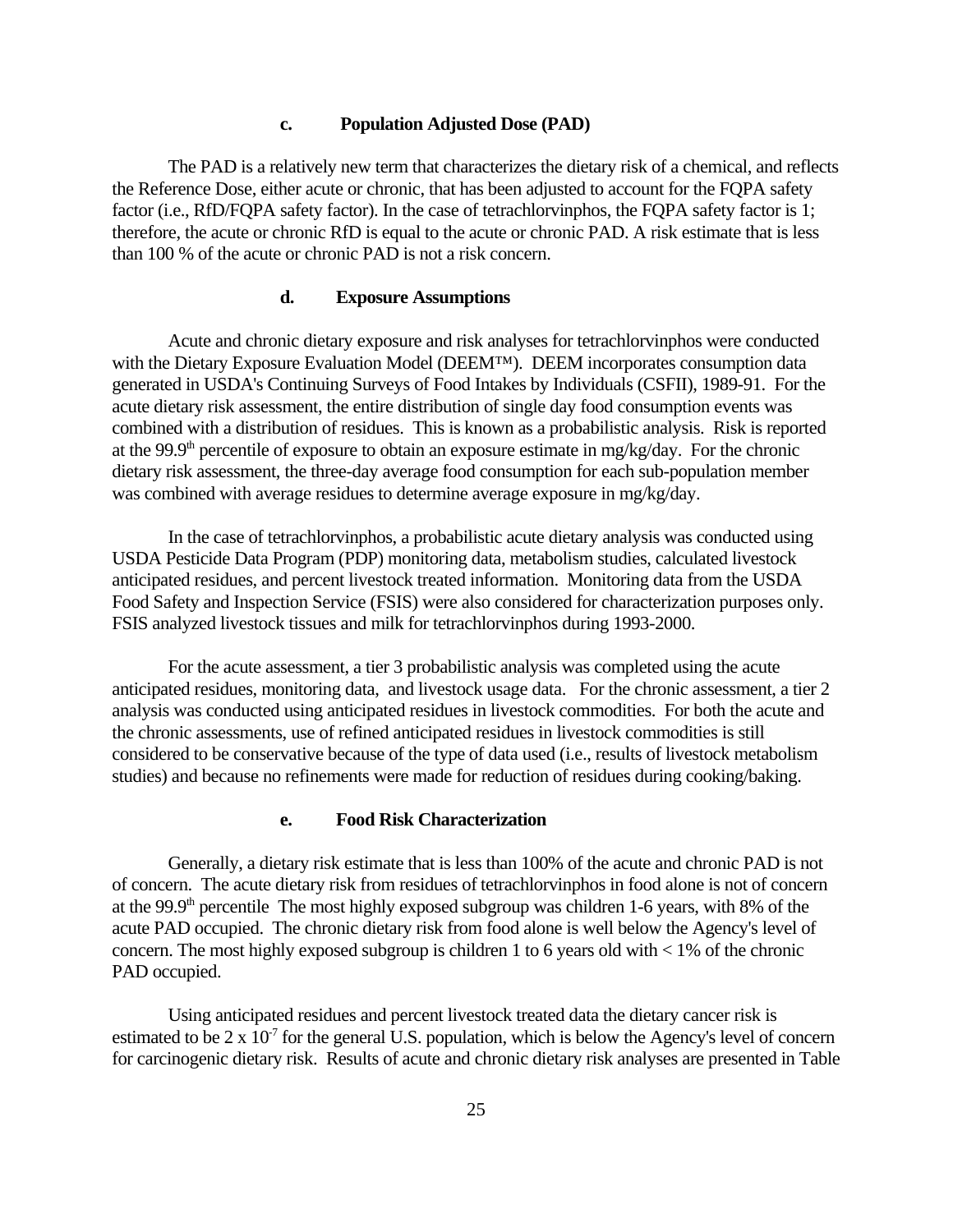#### **c. Population Adjusted Dose (PAD)**

The PAD is a relatively new term that characterizes the dietary risk of a chemical, and reflects the Reference Dose, either acute or chronic, that has been adjusted to account for the FQPA safety factor (i.e., RfD/FQPA safety factor). In the case of tetrachlorvinphos, the FQPA safety factor is 1; therefore, the acute or chronic RfD is equal to the acute or chronic PAD. A risk estimate that is less than 100 % of the acute or chronic PAD is not a risk concern.

#### **d. Exposure Assumptions**

Acute and chronic dietary exposure and risk analyses for tetrachlorvinphos were conducted with the Dietary Exposure Evaluation Model (DEEM™). DEEM incorporates consumption data generated in USDA's Continuing Surveys of Food Intakes by Individuals (CSFII), 1989-91. For the acute dietary risk assessment, the entire distribution of single day food consumption events was combined with a distribution of residues. This is known as a probabilistic analysis. Risk is reported at the 99.9<sup>th</sup> percentile of exposure to obtain an exposure estimate in mg/kg/day. For the chronic dietary risk assessment, the three-day average food consumption for each sub-population member was combined with average residues to determine average exposure in mg/kg/day.

In the case of tetrachlorvinphos, a probabilistic acute dietary analysis was conducted using USDA Pesticide Data Program (PDP) monitoring data, metabolism studies, calculated livestock anticipated residues, and percent livestock treated information. Monitoring data from the USDA Food Safety and Inspection Service (FSIS) were also considered for characterization purposes only. FSIS analyzed livestock tissues and milk for tetrachlorvinphos during 1993-2000.

For the acute assessment, a tier 3 probabilistic analysis was completed using the acute anticipated residues, monitoring data, and livestock usage data. For the chronic assessment, a tier 2 analysis was conducted using anticipated residues in livestock commodities. For both the acute and the chronic assessments, use of refined anticipated residues in livestock commodities is still considered to be conservative because of the type of data used (i.e., results of livestock metabolism studies) and because no refinements were made for reduction of residues during cooking/baking.

#### **e. Food Risk Characterization**

Generally, a dietary risk estimate that is less than 100% of the acute and chronic PAD is not of concern. The acute dietary risk from residues of tetrachlorvinphos in food alone is not of concern at the 99.9<sup>th</sup> percentile The most highly exposed subgroup was children 1-6 years, with 8% of the acute PAD occupied. The chronic dietary risk from food alone is well below the Agency's level of concern. The most highly exposed subgroup is children 1 to 6 years old with  $< 1\%$  of the chronic PAD occupied.

Using anticipated residues and percent livestock treated data the dietary cancer risk is estimated to be  $2 \times 10^{-7}$  for the general U.S. population, which is below the Agency's level of concern for carcinogenic dietary risk. Results of acute and chronic dietary risk analyses are presented in Table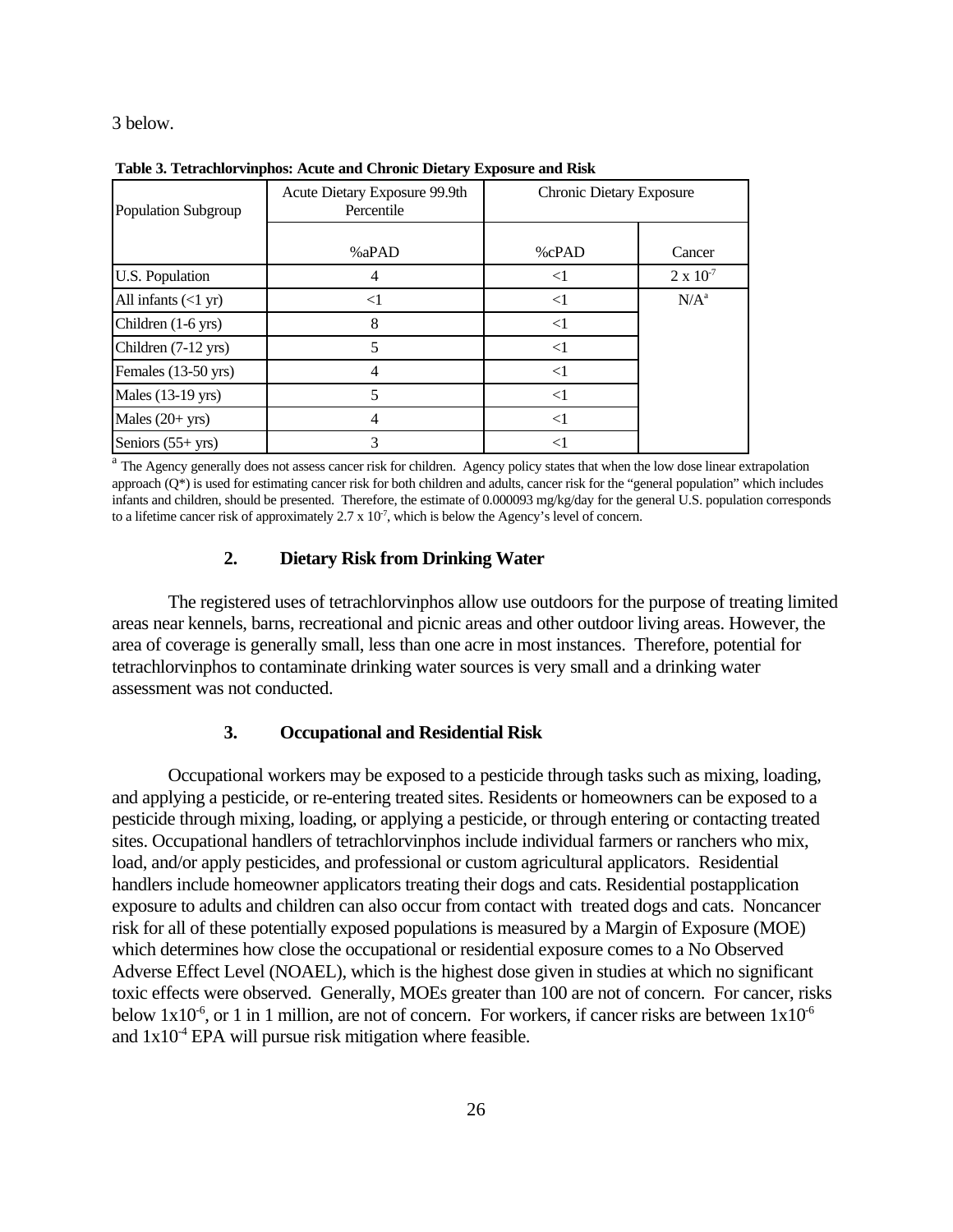3 below.

| Population Subgroup                  | Acute Dietary Exposure 99.9th<br>Percentile | <b>Chronic Dietary Exposure</b> |                    |
|--------------------------------------|---------------------------------------------|---------------------------------|--------------------|
|                                      | %aPAD                                       | %cPAD                           | Cancer             |
| U.S. Population                      |                                             | $<$ l                           | $2 \times 10^{-7}$ |
| All infants $(\langle 1 \text{ yr})$ | $<$ 1                                       | $<$ 1                           | $N/A^a$            |
| Children (1-6 yrs)                   | 8                                           | $\leq$ 1                        |                    |
| Children (7-12 yrs)                  | 5                                           | $<$ 1                           |                    |
| Females (13-50 yrs)                  | 4                                           | $<$ 1                           |                    |
| Males (13-19 yrs)                    | 5                                           | $\leq$ 1                        |                    |
| Males $(20+yrs)$                     | 4                                           | $<$ 1                           |                    |
| Seniors $(55 + yrs)$                 | 3                                           |                                 |                    |

**Table 3. Tetrachlorvinphos: Acute and Chronic Dietary Exposure and Risk** 

<sup>a</sup> The Agency generally does not assess cancer risk for children. Agency policy states that when the low dose linear extrapolation approach (Q\*) is used for estimating cancer risk for both children and adults, cancer risk for the "general population" which includes infants and children, should be presented. Therefore, the estimate of 0.000093 mg/kg/day for the general U.S. population corresponds to a lifetime cancer risk of approximately  $2.7 \times 10^7$ , which is below the Agency's level of concern.

#### **2. Dietary Risk from Drinking Water**

The registered uses of tetrachlorvinphos allow use outdoors for the purpose of treating limited areas near kennels, barns, recreational and picnic areas and other outdoor living areas. However, the area of coverage is generally small, less than one acre in most instances. Therefore, potential for tetrachlorvinphos to contaminate drinking water sources is very small and a drinking water assessment was not conducted.

#### **3. Occupational and Residential Risk**

Occupational workers may be exposed to a pesticide through tasks such as mixing, loading, and applying a pesticide, or re-entering treated sites. Residents or homeowners can be exposed to a pesticide through mixing, loading, or applying a pesticide, or through entering or contacting treated sites. Occupational handlers of tetrachlorvinphos include individual farmers or ranchers who mix, load, and/or apply pesticides, and professional or custom agricultural applicators. Residential handlers include homeowner applicators treating their dogs and cats. Residential postapplication exposure to adults and children can also occur from contact with treated dogs and cats. Noncancer risk for all of these potentially exposed populations is measured by a Margin of Exposure (MOE) which determines how close the occupational or residential exposure comes to a No Observed Adverse Effect Level (NOAEL), which is the highest dose given in studies at which no significant toxic effects were observed. Generally, MOEs greater than 100 are not of concern. For cancer, risks below  $1x10^{-6}$ , or 1 in 1 million, are not of concern. For workers, if cancer risks are between  $1x10^{-6}$ and  $1x10^4$  EPA will pursue risk mitigation where feasible.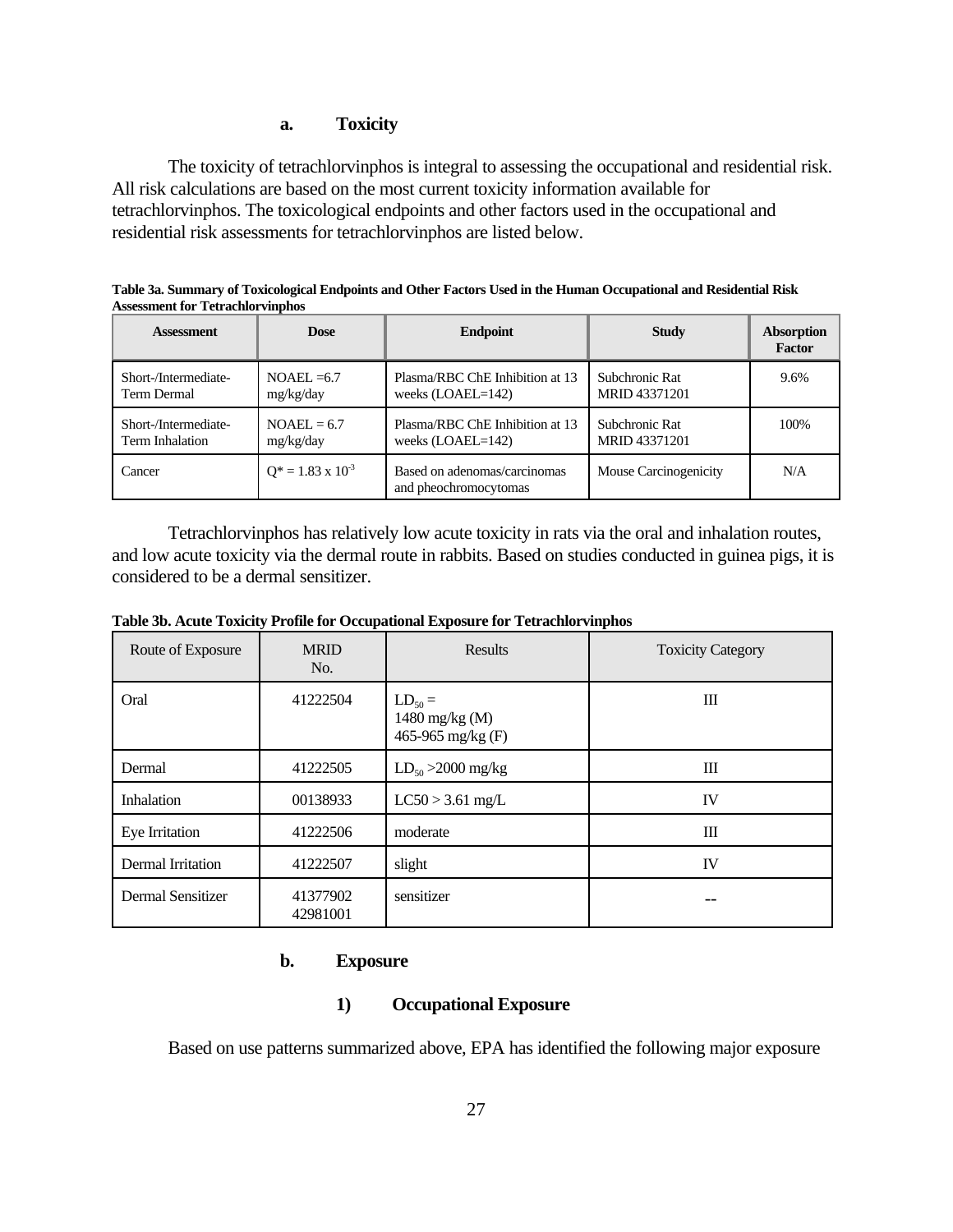#### **a. Toxicity**

The toxicity of tetrachlorvinphos is integral to assessing the occupational and residential risk. All risk calculations are based on the most current toxicity information available for tetrachlorvinphos. The toxicological endpoints and other factors used in the occupational and residential risk assessments for tetrachlorvinphos are listed below.

| <b>Assessment</b>    | Dose                        | <b>Endpoint</b>                                       | <b>Study</b>          | <b>Absorption</b><br><b>Factor</b> |
|----------------------|-----------------------------|-------------------------------------------------------|-----------------------|------------------------------------|
| Short-/Intermediate- | $NOAEL = 6.7$               | Plasma/RBC ChE Inhibition at 13                       | Subchronic Rat        | 9.6%                               |
| Term Dermal          | mg/kg/day                   | weeks $(LOAEL=142)$                                   | MRID 43371201         |                                    |
| Short-/Intermediate- | $NOAEL = 6.7$               | Plasma/RBC ChE Inhibition at 13                       | Subchronic Rat        | 100%                               |
| Term Inhalation      | mg/kg/day                   | weeks $(LOAEL=142)$                                   | MRID 43371201         |                                    |
| Cancer               | $Q^* = 1.83 \times 10^{-3}$ | Based on adenomas/carcinomas<br>and pheochromocytomas | Mouse Carcinogenicity | N/A                                |

**Table 3a. Summary of Toxicological Endpoints and Other Factors Used in the Human Occupational and Residential Risk Assessment for Tetrachlorvinphos** 

Tetrachlorvinphos has relatively low acute toxicity in rats via the oral and inhalation routes, and low acute toxicity via the dermal route in rabbits. Based on studies conducted in guinea pigs, it is considered to be a dermal sensitizer.

|  | Table 3b. Acute Toxicity Profile for Occupational Exposure for Tetrachlorvinphos |
|--|----------------------------------------------------------------------------------|
|  |                                                                                  |

| Route of Exposure | <b>MRID</b><br>No.   | <b>Results</b>                                     | <b>Toxicity Category</b> |
|-------------------|----------------------|----------------------------------------------------|--------------------------|
| Oral              | 41222504             | $LD_{50} =$<br>1480 mg/kg (M)<br>465-965 mg/kg (F) | Ш                        |
| Dermal            | 41222505             | $LD_{50} > 2000$ mg/kg                             | Ш                        |
| <b>Inhalation</b> | 00138933             | $LC50 > 3.61$ mg/L                                 | IV                       |
| Eye Irritation    | 41222506             | moderate                                           | Ш                        |
| Dermal Irritation | 41222507             | slight                                             | IV                       |
| Dermal Sensitizer | 41377902<br>42981001 | sensitizer                                         |                          |

#### **b. Exposure**

#### **1) Occupational Exposure**

Based on use patterns summarized above, EPA has identified the following major exposure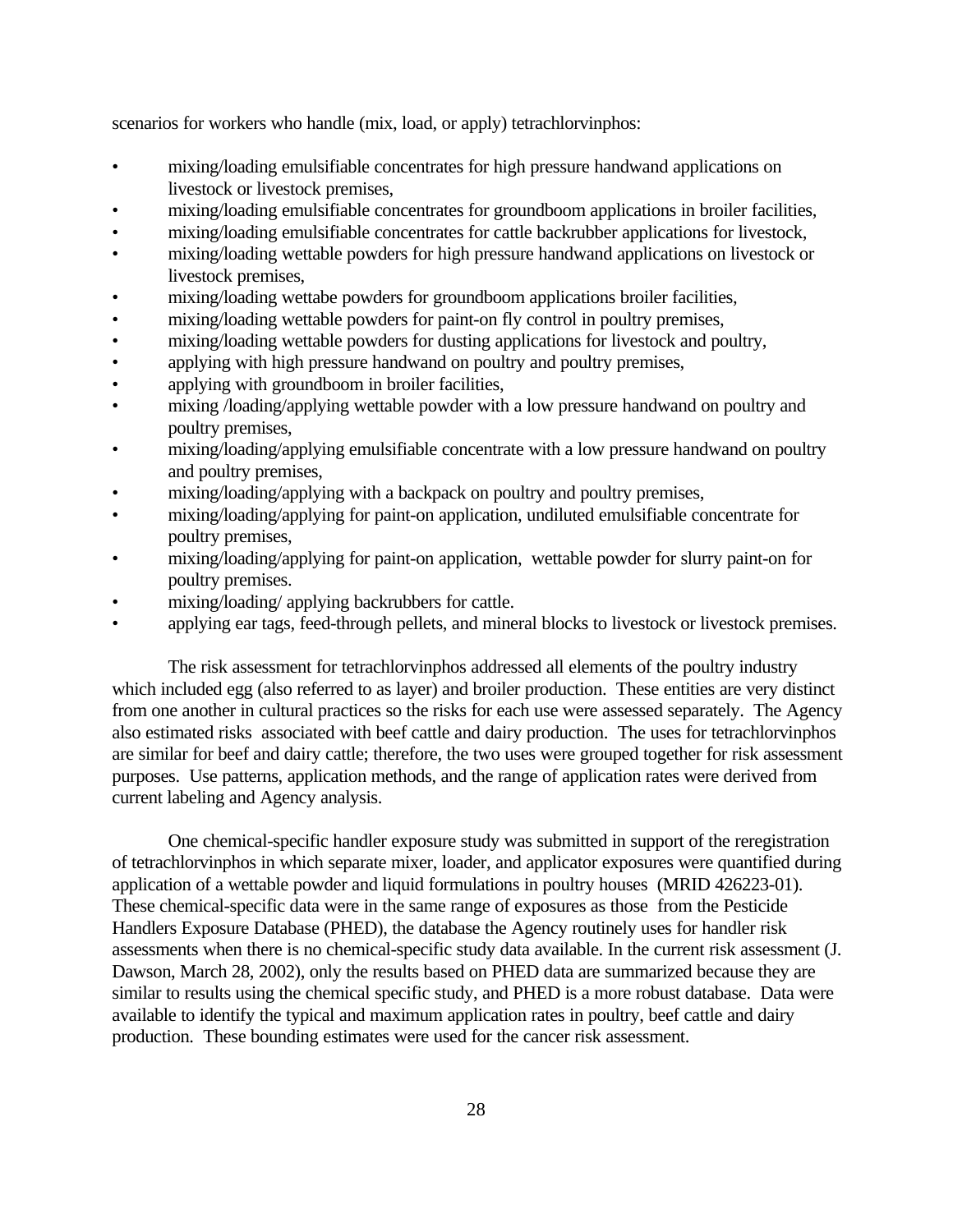scenarios for workers who handle (mix, load, or apply) tetrachlorvinphos:

- mixing/loading emulsifiable concentrates for high pressure handwand applications on livestock or livestock premises,
- mixing/loading emulsifiable concentrates for groundboom applications in broiler facilities,
- mixing/loading emulsifiable concentrates for cattle backrubber applications for livestock,
- mixing/loading wettable powders for high pressure handwand applications on livestock or livestock premises,
- mixing/loading wettabe powders for groundboom applications broiler facilities,
- mixing/loading wettable powders for paint-on fly control in poultry premises,
- mixing/loading wettable powders for dusting applications for livestock and poultry,
- applying with high pressure handwand on poultry and poultry premises,
- applying with groundboom in broiler facilities,
- mixing /loading/applying wettable powder with a low pressure handwand on poultry and poultry premises,
- mixing/loading/applying emulsifiable concentrate with a low pressure handwand on poultry and poultry premises,
- mixing/loading/applying with a backpack on poultry and poultry premises,
- mixing/loading/applying for paint-on application, undiluted emulsifiable concentrate for poultry premises,
- mixing/loading/applying for paint-on application, wettable powder for slurry paint-on for poultry premises.
- mixing/loading/ applying backrubbers for cattle.
- applying ear tags, feed-through pellets, and mineral blocks to livestock or livestock premises.

The risk assessment for tetrachlorvinphos addressed all elements of the poultry industry which included egg (also referred to as layer) and broiler production. These entities are very distinct from one another in cultural practices so the risks for each use were assessed separately. The Agency also estimated risks associated with beef cattle and dairy production. The uses for tetrachlorvinphos are similar for beef and dairy cattle; therefore, the two uses were grouped together for risk assessment purposes. Use patterns, application methods, and the range of application rates were derived from current labeling and Agency analysis.

One chemical-specific handler exposure study was submitted in support of the reregistration of tetrachlorvinphos in which separate mixer, loader, and applicator exposures were quantified during application of a wettable powder and liquid formulations in poultry houses (MRID 426223-01). These chemical-specific data were in the same range of exposures as those from the Pesticide Handlers Exposure Database (PHED), the database the Agency routinely uses for handler risk assessments when there is no chemical-specific study data available. In the current risk assessment (J. Dawson, March 28, 2002), only the results based on PHED data are summarized because they are similar to results using the chemical specific study, and PHED is a more robust database. Data were available to identify the typical and maximum application rates in poultry, beef cattle and dairy production. These bounding estimates were used for the cancer risk assessment.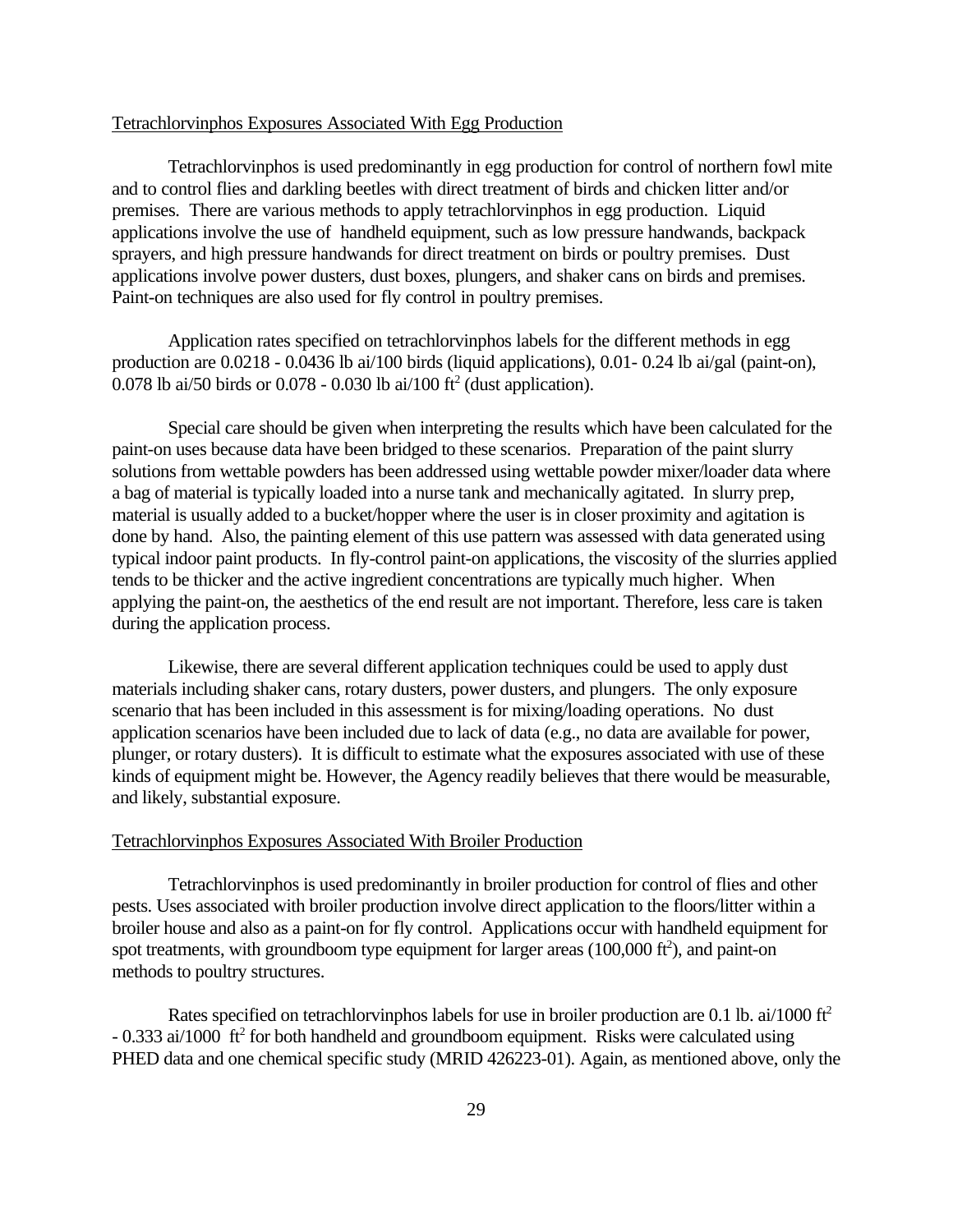#### Tetrachlorvinphos Exposures Associated With Egg Production

Tetrachlorvinphos is used predominantly in egg production for control of northern fowl mite and to control flies and darkling beetles with direct treatment of birds and chicken litter and/or premises. There are various methods to apply tetrachlorvinphos in egg production. Liquid applications involve the use of handheld equipment, such as low pressure handwands, backpack sprayers, and high pressure handwands for direct treatment on birds or poultry premises. Dust applications involve power dusters, dust boxes, plungers, and shaker cans on birds and premises. Paint-on techniques are also used for fly control in poultry premises.

Application rates specified on tetrachlorvinphos labels for the different methods in egg production are 0.0218 - 0.0436 lb ai/100 birds (liquid applications), 0.01- 0.24 lb ai/gal (paint-on), 0.078 lb ai/50 birds or  $0.078 - 0.030$  lb ai/100 ft<sup>2</sup> (dust application).

Special care should be given when interpreting the results which have been calculated for the paint-on uses because data have been bridged to these scenarios. Preparation of the paint slurry solutions from wettable powders has been addressed using wettable powder mixer/loader data where a bag of material is typically loaded into a nurse tank and mechanically agitated. In slurry prep, material is usually added to a bucket/hopper where the user is in closer proximity and agitation is done by hand. Also, the painting element of this use pattern was assessed with data generated using typical indoor paint products. In fly-control paint-on applications, the viscosity of the slurries applied tends to be thicker and the active ingredient concentrations are typically much higher. When applying the paint-on, the aesthetics of the end result are not important. Therefore, less care is taken during the application process.

Likewise, there are several different application techniques could be used to apply dust materials including shaker cans, rotary dusters, power dusters, and plungers. The only exposure scenario that has been included in this assessment is for mixing/loading operations. No dust application scenarios have been included due to lack of data (e.g., no data are available for power, plunger, or rotary dusters). It is difficult to estimate what the exposures associated with use of these kinds of equipment might be. However, the Agency readily believes that there would be measurable, and likely, substantial exposure.

#### Tetrachlorvinphos Exposures Associated With Broiler Production

Tetrachlorvinphos is used predominantly in broiler production for control of flies and other pests. Uses associated with broiler production involve direct application to the floors/litter within a broiler house and also as a paint-on for fly control. Applications occur with handheld equipment for spot treatments, with groundboom type equipment for larger areas  $(100,000 \text{ ft}^2)$ , and paint-on methods to poultry structures.

Rates specified on tetrachlorvinphos labels for use in broiler production are 0.1 lb. ai/1000 ft<sup>2</sup>  $-0.333$  ai/1000 ft<sup>2</sup> for both handheld and groundboom equipment. Risks were calculated using PHED data and one chemical specific study (MRID 426223-01). Again, as mentioned above, only the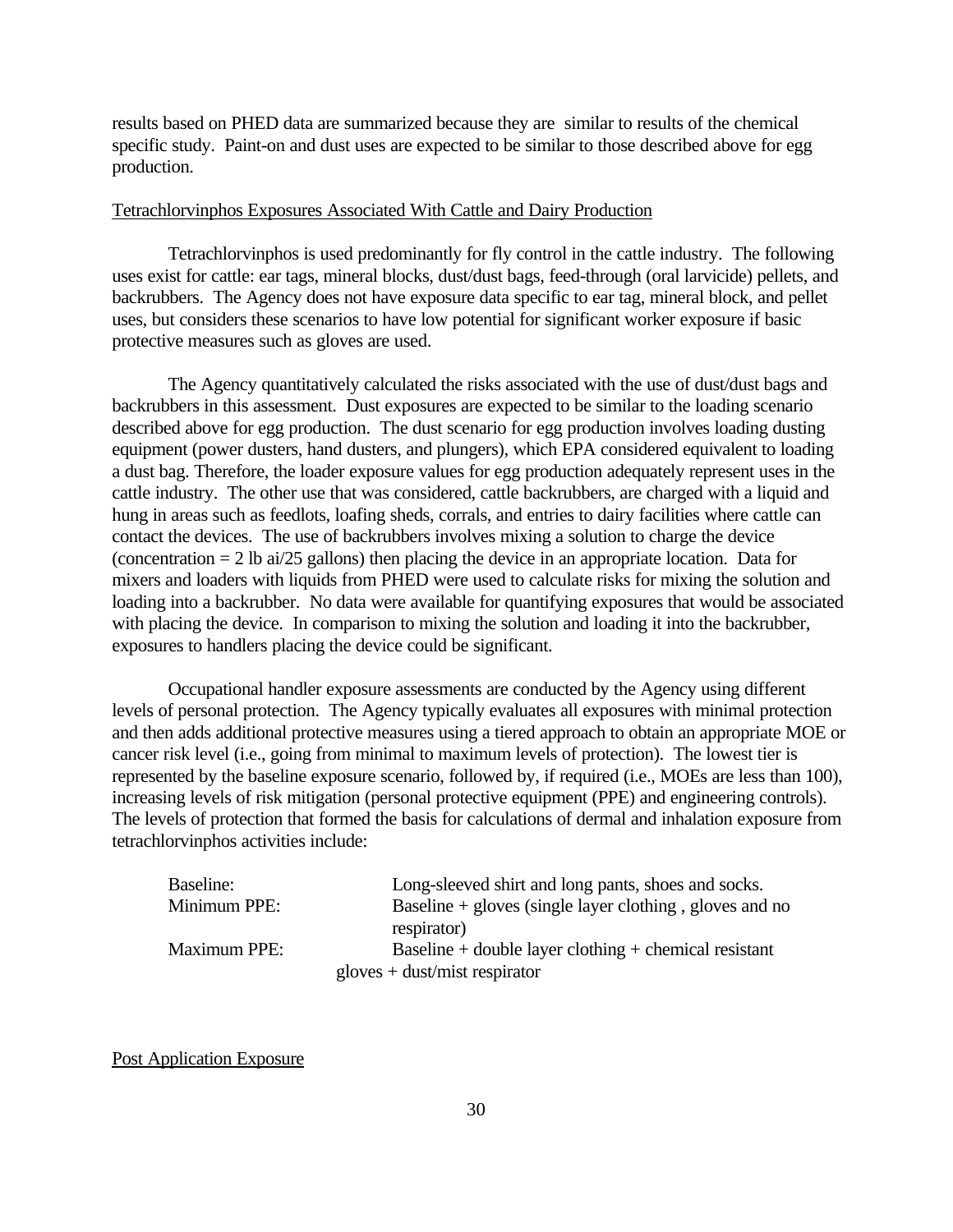results based on PHED data are summarized because they are similar to results of the chemical specific study. Paint-on and dust uses are expected to be similar to those described above for egg production.

#### Tetrachlorvinphos Exposures Associated With Cattle and Dairy Production

Tetrachlorvinphos is used predominantly for fly control in the cattle industry. The following uses exist for cattle: ear tags, mineral blocks, dust/dust bags, feed-through (oral larvicide) pellets, and backrubbers. The Agency does not have exposure data specific to ear tag, mineral block, and pellet uses, but considers these scenarios to have low potential for significant worker exposure if basic protective measures such as gloves are used.

The Agency quantitatively calculated the risks associated with the use of dust/dust bags and backrubbers in this assessment. Dust exposures are expected to be similar to the loading scenario described above for egg production. The dust scenario for egg production involves loading dusting equipment (power dusters, hand dusters, and plungers), which EPA considered equivalent to loading a dust bag. Therefore, the loader exposure values for egg production adequately represent uses in the cattle industry. The other use that was considered, cattle backrubbers, are charged with a liquid and hung in areas such as feedlots, loafing sheds, corrals, and entries to dairy facilities where cattle can contact the devices. The use of backrubbers involves mixing a solution to charge the device (concentration = 2 lb ai/25 gallons) then placing the device in an appropriate location. Data for mixers and loaders with liquids from PHED were used to calculate risks for mixing the solution and loading into a backrubber. No data were available for quantifying exposures that would be associated with placing the device. In comparison to mixing the solution and loading it into the backrubber, exposures to handlers placing the device could be significant.

Occupational handler exposure assessments are conducted by the Agency using different levels of personal protection. The Agency typically evaluates all exposures with minimal protection and then adds additional protective measures using a tiered approach to obtain an appropriate MOE or cancer risk level (i.e., going from minimal to maximum levels of protection). The lowest tier is represented by the baseline exposure scenario, followed by, if required (i.e., MOEs are less than 100), increasing levels of risk mitigation (personal protective equipment (PPE) and engineering controls). The levels of protection that formed the basis for calculations of dermal and inhalation exposure from tetrachlorvinphos activities include:

| Baseline:    | Long-sleeved shirt and long pants, shoes and socks.       |
|--------------|-----------------------------------------------------------|
| Minimum PPE: | Baseline $+$ gloves (single layer clothing, gloves and no |
|              | respirator)                                               |
| Maximum PPE: | Baseline + double layer clothing + chemical resistant     |
|              | $gloves + dust/mist respirator$                           |

#### Post Application Exposure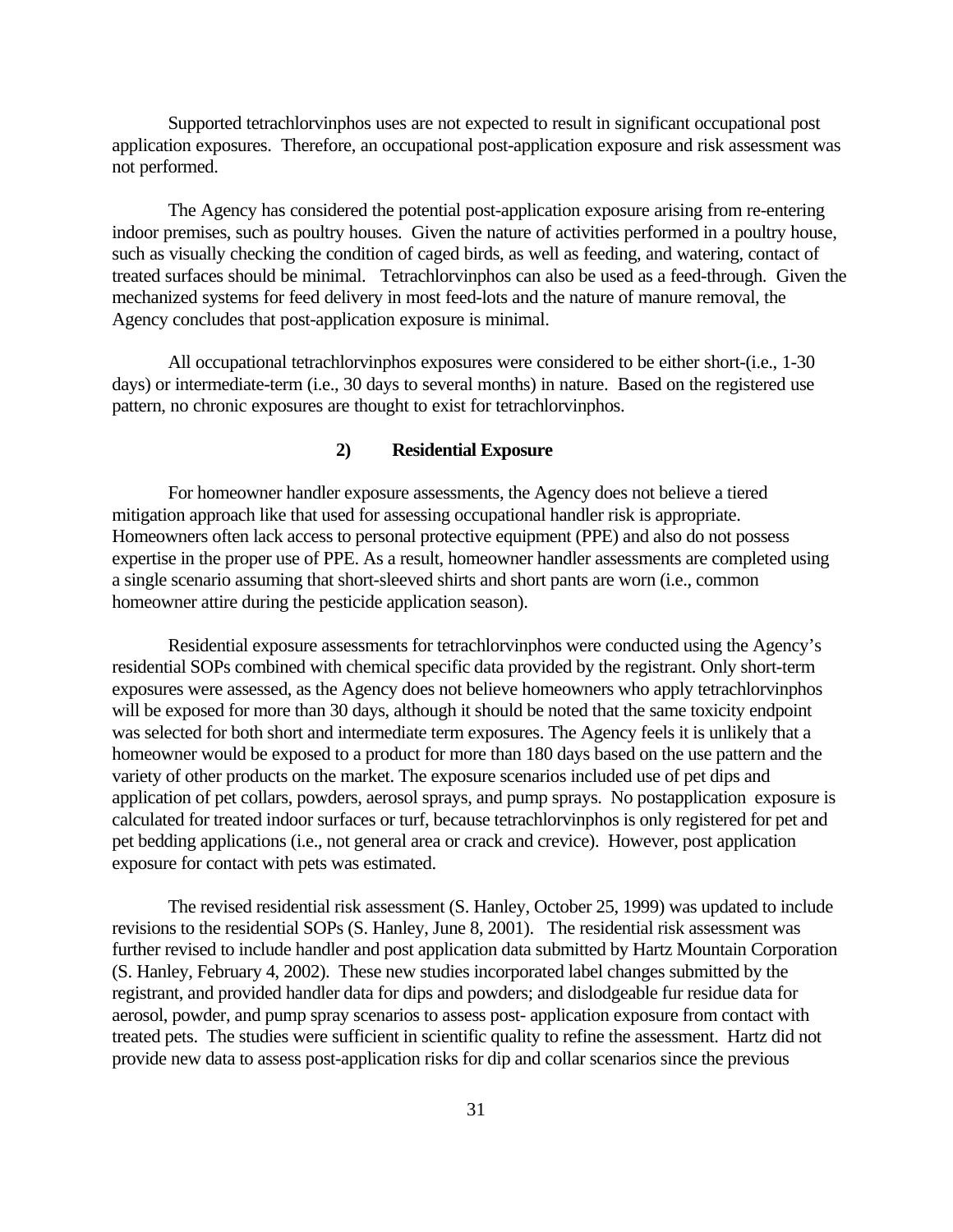Supported tetrachlorvinphos uses are not expected to result in significant occupational post application exposures. Therefore, an occupational post-application exposure and risk assessment was not performed.

The Agency has considered the potential post-application exposure arising from re-entering indoor premises, such as poultry houses. Given the nature of activities performed in a poultry house, such as visually checking the condition of caged birds, as well as feeding, and watering, contact of treated surfaces should be minimal. Tetrachlorvinphos can also be used as a feed-through. Given the mechanized systems for feed delivery in most feed-lots and the nature of manure removal, the Agency concludes that post-application exposure is minimal.

All occupational tetrachlorvinphos exposures were considered to be either short-(i.e., 1-30 days) or intermediate-term (i.e., 30 days to several months) in nature. Based on the registered use pattern, no chronic exposures are thought to exist for tetrachlorvinphos.

#### **2) Residential Exposure**

For homeowner handler exposure assessments, the Agency does not believe a tiered mitigation approach like that used for assessing occupational handler risk is appropriate. Homeowners often lack access to personal protective equipment (PPE) and also do not possess expertise in the proper use of PPE. As a result, homeowner handler assessments are completed using a single scenario assuming that short-sleeved shirts and short pants are worn (i.e., common homeowner attire during the pesticide application season).

Residential exposure assessments for tetrachlorvinphos were conducted using the Agency's residential SOPs combined with chemical specific data provided by the registrant. Only short-term exposures were assessed, as the Agency does not believe homeowners who apply tetrachlorvinphos will be exposed for more than 30 days, although it should be noted that the same toxicity endpoint was selected for both short and intermediate term exposures. The Agency feels it is unlikely that a homeowner would be exposed to a product for more than 180 days based on the use pattern and the variety of other products on the market. The exposure scenarios included use of pet dips and application of pet collars, powders, aerosol sprays, and pump sprays. No postapplication exposure is calculated for treated indoor surfaces or turf, because tetrachlorvinphos is only registered for pet and pet bedding applications (i.e., not general area or crack and crevice). However, post application exposure for contact with pets was estimated.

The revised residential risk assessment (S. Hanley, October 25, 1999) was updated to include revisions to the residential SOPs (S. Hanley, June 8, 2001). The residential risk assessment was further revised to include handler and post application data submitted by Hartz Mountain Corporation (S. Hanley, February 4, 2002). These new studies incorporated label changes submitted by the registrant, and provided handler data for dips and powders; and dislodgeable fur residue data for aerosol, powder, and pump spray scenarios to assess post- application exposure from contact with treated pets. The studies were sufficient in scientific quality to refine the assessment. Hartz did not provide new data to assess post-application risks for dip and collar scenarios since the previous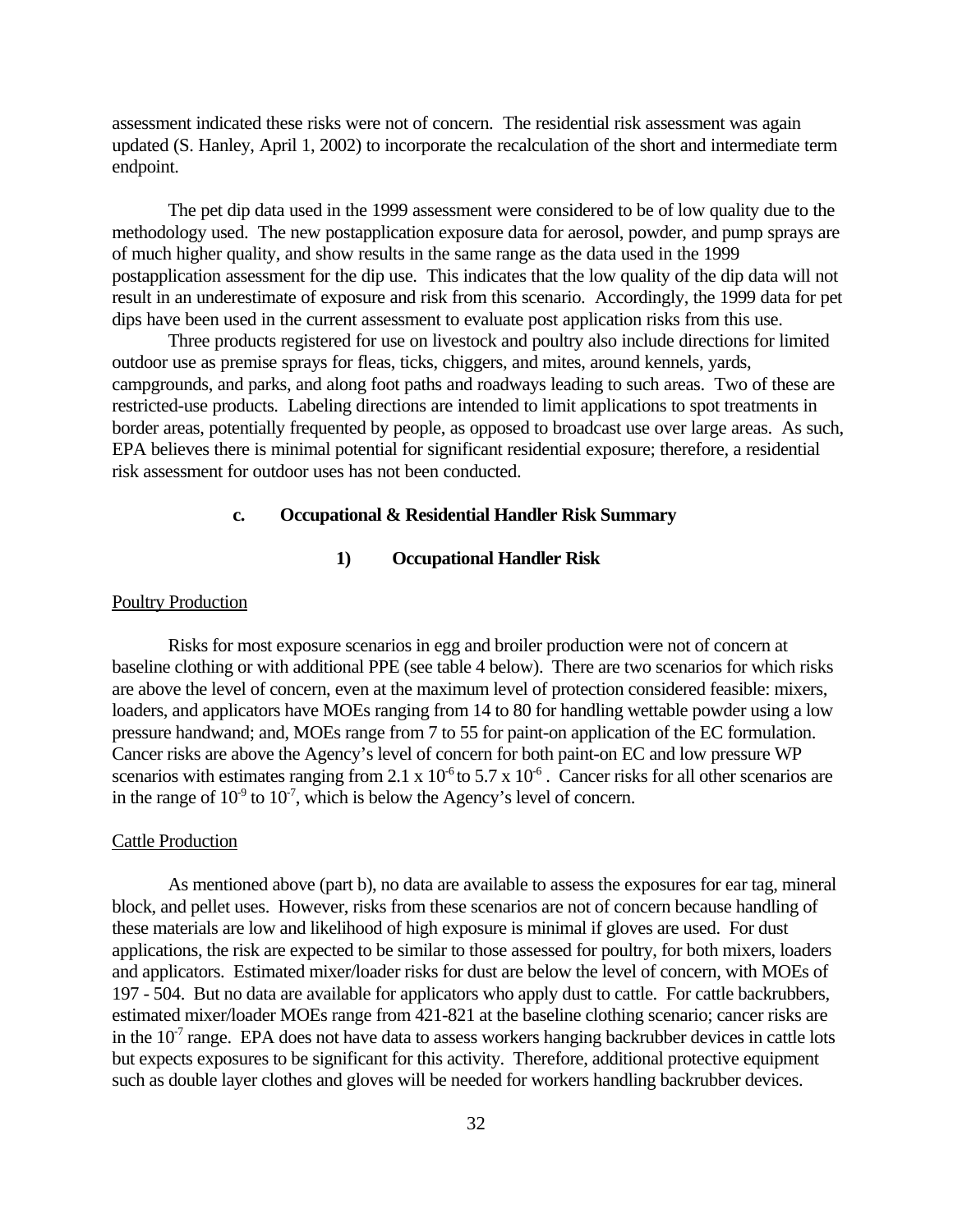assessment indicated these risks were not of concern. The residential risk assessment was again updated (S. Hanley, April 1, 2002) to incorporate the recalculation of the short and intermediate term endpoint.

The pet dip data used in the 1999 assessment were considered to be of low quality due to the methodology used. The new postapplication exposure data for aerosol, powder, and pump sprays are of much higher quality, and show results in the same range as the data used in the 1999 postapplication assessment for the dip use. This indicates that the low quality of the dip data will not result in an underestimate of exposure and risk from this scenario. Accordingly, the 1999 data for pet dips have been used in the current assessment to evaluate post application risks from this use.

Three products registered for use on livestock and poultry also include directions for limited outdoor use as premise sprays for fleas, ticks, chiggers, and mites, around kennels, yards, campgrounds, and parks, and along foot paths and roadways leading to such areas. Two of these are restricted-use products. Labeling directions are intended to limit applications to spot treatments in border areas, potentially frequented by people, as opposed to broadcast use over large areas. As such, EPA believes there is minimal potential for significant residential exposure; therefore, a residential risk assessment for outdoor uses has not been conducted.

#### **c. Occupational & Residential Handler Risk Summary**

#### **1) Occupational Handler Risk**

#### Poultry Production

Risks for most exposure scenarios in egg and broiler production were not of concern at baseline clothing or with additional PPE (see table 4 below). There are two scenarios for which risks are above the level of concern, even at the maximum level of protection considered feasible: mixers, loaders, and applicators have MOEs ranging from 14 to 80 for handling wettable powder using a low pressure handwand; and, MOEs range from 7 to 55 for paint-on application of the EC formulation. Cancer risks are above the Agency's level of concern for both paint-on EC and low pressure WP scenarios with estimates ranging from 2.1 x  $10^{-6}$  to 5.7 x  $10^{-6}$ . Cancer risks for all other scenarios are in the range of  $10^9$  to  $10^7$ , which is below the Agency's level of concern.

#### Cattle Production

As mentioned above (part b), no data are available to assess the exposures for ear tag, mineral block, and pellet uses. However, risks from these scenarios are not of concern because handling of these materials are low and likelihood of high exposure is minimal if gloves are used. For dust applications, the risk are expected to be similar to those assessed for poultry, for both mixers, loaders and applicators. Estimated mixer/loader risks for dust are below the level of concern, with MOEs of 197 - 504. But no data are available for applicators who apply dust to cattle. For cattle backrubbers, estimated mixer/loader MOEs range from 421-821 at the baseline clothing scenario; cancer risks are in the  $10<sup>7</sup>$  range. EPA does not have data to assess workers hanging backrubber devices in cattle lots but expects exposures to be significant for this activity. Therefore, additional protective equipment such as double layer clothes and gloves will be needed for workers handling backrubber devices.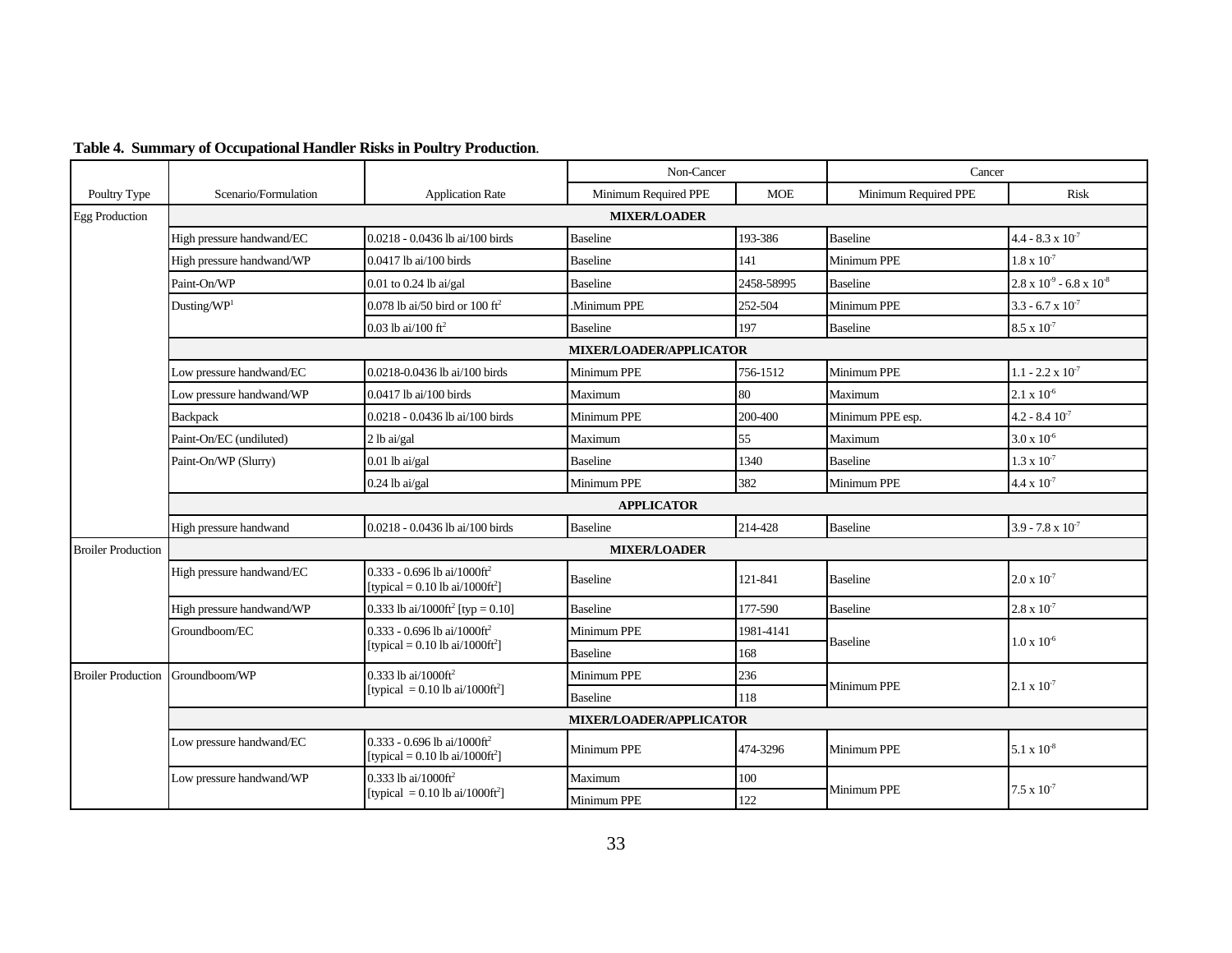|                           |                                |                                                                                                | Non-Cancer           |            |                      | Cancer                                 |  |
|---------------------------|--------------------------------|------------------------------------------------------------------------------------------------|----------------------|------------|----------------------|----------------------------------------|--|
| Poultry Type              | Scenario/Formulation           | <b>Application Rate</b>                                                                        | Minimum Required PPE | <b>MOE</b> | Minimum Required PPE | <b>Risk</b>                            |  |
| <b>Egg Production</b>     |                                |                                                                                                | <b>MIXER/LOADER</b>  |            |                      |                                        |  |
|                           | High pressure handwand/EC      | 0.0218 - 0.0436 lb ai/100 birds                                                                | <b>Baseline</b>      | 193-386    | <b>Baseline</b>      | $4.4 - 8.3 \times 10^{-7}$             |  |
|                           | High pressure handwand/WP      | 0.0417 lb ai/100 birds                                                                         | <b>Baseline</b>      | 141        | Minimum PPE          | $1.8 \times 10^{-7}$                   |  |
|                           | Paint-On/WP                    | $0.01$ to $0.24$ lb ai/gal                                                                     | <b>Baseline</b>      | 2458-58995 | <b>Baseline</b>      | $2.8 \times 10^{-9}$ - 6.8 x $10^{-8}$ |  |
|                           | Dusting/ $WP1$                 | 0.078 lb ai/50 bird or $100 \text{ ft}^2$                                                      | Minimum PPE          | 252-504    | Minimum PPE          | $3.3 - 6.7 \times 10^{-7}$             |  |
|                           |                                | 0.03 lb ai/100 ft <sup>2</sup>                                                                 | <b>Baseline</b>      | 197        | <b>Baseline</b>      | $8.5 \times 10^{-7}$                   |  |
|                           | <b>MIXER/LOADER/APPLICATOR</b> |                                                                                                |                      |            |                      |                                        |  |
|                           | Low pressure handwand/EC       | 0.0218-0.0436 lb ai/100 birds                                                                  | Minimum PPE          | 756-1512   | Minimum PPE          | $1.1 - 2.2 \times 10^{-7}$             |  |
|                           | Low pressure handwand/WP       | 0.0417 lb ai/100 birds                                                                         | Maximum              | 80         | Maximum              | $2.1 \times 10^{-6}$                   |  |
|                           | Backpack                       | 0.0218 - 0.0436 lb ai/100 birds                                                                | Minimum PPE          | 200-400    | Minimum PPE esp.     | $4.2 - 8.4 10^{-7}$                    |  |
|                           | Paint-On/EC (undiluted)        | 2 lb ai/gal                                                                                    | Maximum              | 55         | Maximum              | $3.0 \times 10^{6}$                    |  |
|                           | Paint-On/WP (Slurry)           | $0.01$ lb ai/gal                                                                               | <b>Baseline</b>      | 1340       | <b>Baseline</b>      | $1.3 \times 10^{-7}$                   |  |
|                           |                                | $0.24$ lb ai/gal                                                                               | Minimum PPE          | 382        | Minimum PPE          | $4.4 \times 10^{-7}$                   |  |
|                           | <b>APPLICATOR</b>              |                                                                                                |                      |            |                      |                                        |  |
|                           | High pressure handwand         | 0.0218 - 0.0436 lb ai/100 birds                                                                | <b>Baseline</b>      | 214-428    | <b>Baseline</b>      | 3.9 - 7.8 x $10^{-7}$                  |  |
| <b>Broiler Production</b> | <b>MIXER/LOADER</b>            |                                                                                                |                      |            |                      |                                        |  |
|                           | High pressure handwand/EC      | $0.333 - 0.696$ lb ai/1000ft <sup>2</sup><br>[typical = $0.10$ lb ai/ $1000$ ft <sup>2</sup> ] | <b>Baseline</b>      | 121-841    | <b>Baseline</b>      | $2.0 \times 10^{-7}$                   |  |
|                           | High pressure handwand/WP      | 0.333 lb ai/1000ft <sup>2</sup> [typ = 0.10]                                                   | <b>Baseline</b>      | 177-590    | <b>Baseline</b>      | $2.8 \times 10^{-7}$                   |  |
|                           | Groundboom/EC                  | $0.333 - 0.696$ lb ai/1000ft <sup>2</sup><br>[typical = $0.10$ lb ai/1000ft <sup>2</sup> ]     | Minimum PPE          | 1981-4141  | <b>Baseline</b>      | $1.0 \times 10^{-6}$                   |  |
|                           |                                |                                                                                                | <b>Baseline</b>      | 168        |                      |                                        |  |
| <b>Broiler Production</b> | Groundboom/WP                  | 0.333 lb ai/1000ft <sup>2</sup><br>[typical = $0.10$ lb ai/ $1000 \text{ft}^2$ ]               | Minimum PPE          | 236        | Minimum PPE          | $2.1 \times 10^{-7}$                   |  |
|                           |                                |                                                                                                | <b>Baseline</b>      | 118        |                      |                                        |  |
|                           | MIXER/LOADER/APPLICATOR        |                                                                                                |                      |            |                      |                                        |  |
|                           | Low pressure handwand/EC       | 0.333 - 0.696 lb ai/1000ft <sup>2</sup><br>[typical = $0.10$ lb ai/ $1000 \text{ft}^2$ ]       | Minimum PPE          | 474-3296   | Minimum PPE          | $5.1 \times 10^{-8}$                   |  |
|                           | Low pressure handwand/WP       | $0.333$ lb ai/1000ft <sup>2</sup>                                                              | Maximum              | 100        | Minimum PPE          | $7.5 \times 10^{-7}$                   |  |
|                           |                                | [typical = $0.10$ lb ai/ $1000$ ft <sup>2</sup> ]                                              | Minimum PPE          | 122        |                      |                                        |  |

#### **Table 4. Summary of Occupational Handler Risks in Poultry Production**.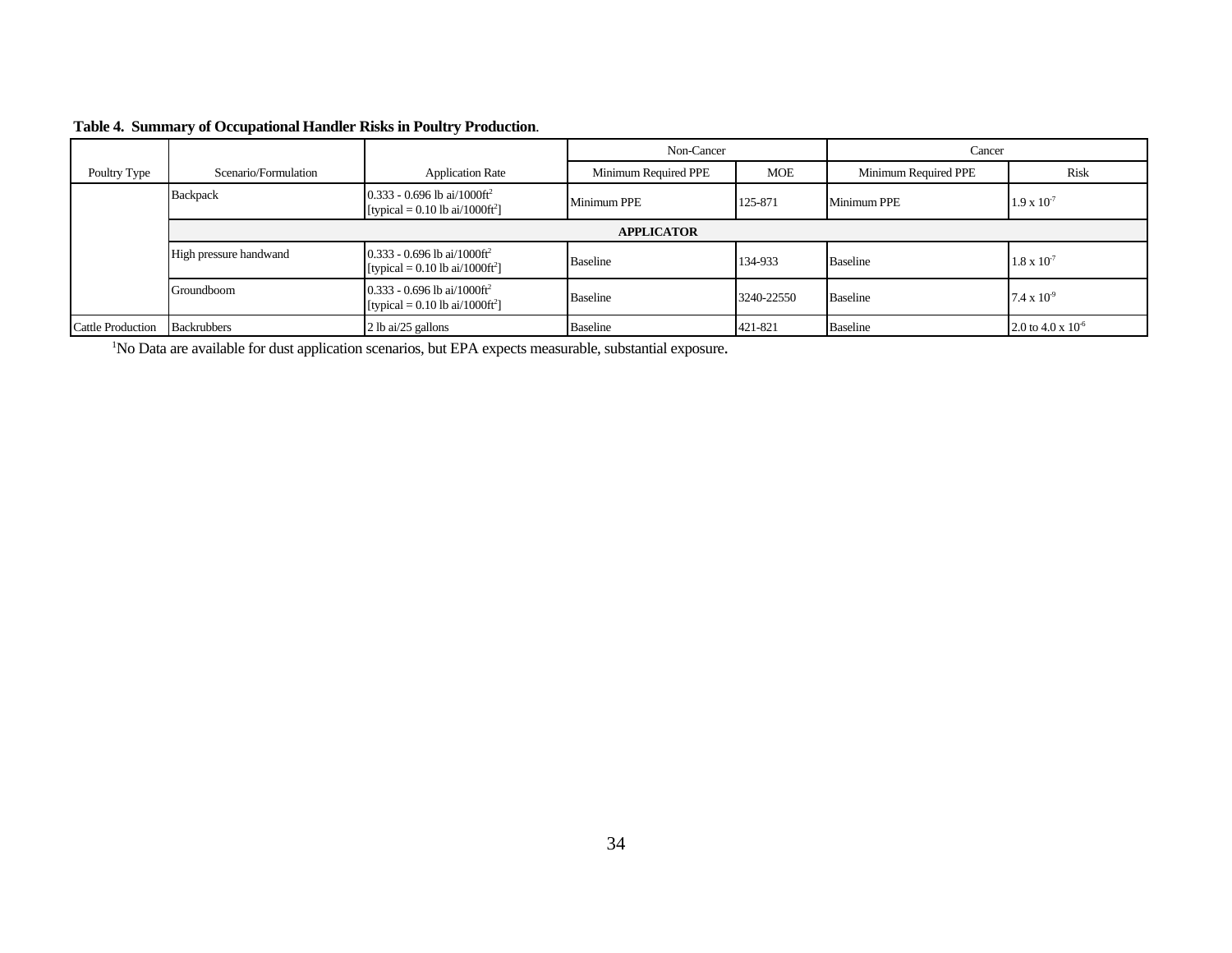| Table 4. Summary of Occupational Handler Risks in Poultry Production. |  |  |  |  |  |  |
|-----------------------------------------------------------------------|--|--|--|--|--|--|
|-----------------------------------------------------------------------|--|--|--|--|--|--|

|                          |                        |                                                                                              | Non-Cancer           |            | Cancer               |                        |
|--------------------------|------------------------|----------------------------------------------------------------------------------------------|----------------------|------------|----------------------|------------------------|
| Poultry Type             | Scenario/Formulation   | <b>Application Rate</b>                                                                      | Minimum Required PPE | <b>MOE</b> | Minimum Required PPE | Risk                   |
|                          | Backpack               | 0.333 - 0.696 lb ai/1000ft <sup>2</sup><br>[typical = 0.10 lb ai/1000ft <sup>2</sup> ]       | <b>Minimum PPE</b>   | 125-871    | Minimum PPE          | $1.9 \times 10^{-7}$   |
|                          |                        |                                                                                              | <b>APPLICATOR</b>    |            |                      |                        |
|                          | High pressure handwand | 0.333 - 0.696 lb ai/1000ft <sup>2</sup><br>[typical = $0.10$ lb ai/ $1000$ ft <sup>2</sup> ] | <b>Baseline</b>      | 134-933    | <b>Baseline</b>      | $1.8 \times 10^{-7}$   |
|                          | Groundboom             | $0.333 - 0.696$ lb ai/1000ft <sup>2</sup><br>[typical = 0.10 lb ai/1000ft <sup>2</sup> ]     | <b>Baseline</b>      | 3240-22550 | <b>Baseline</b>      | $7.4 \times 10^{-9}$   |
| <b>Cattle Production</b> | <b>Backrubbers</b>     | 2 lb ai/25 gallons                                                                           | <b>Baseline</b>      | 421-821    | <b>Baseline</b>      | 2.0 to 4.0 x $10^{-6}$ |

<sup>1</sup>No Data are available for dust application scenarios, but EPA expects measurable, substantial exposure.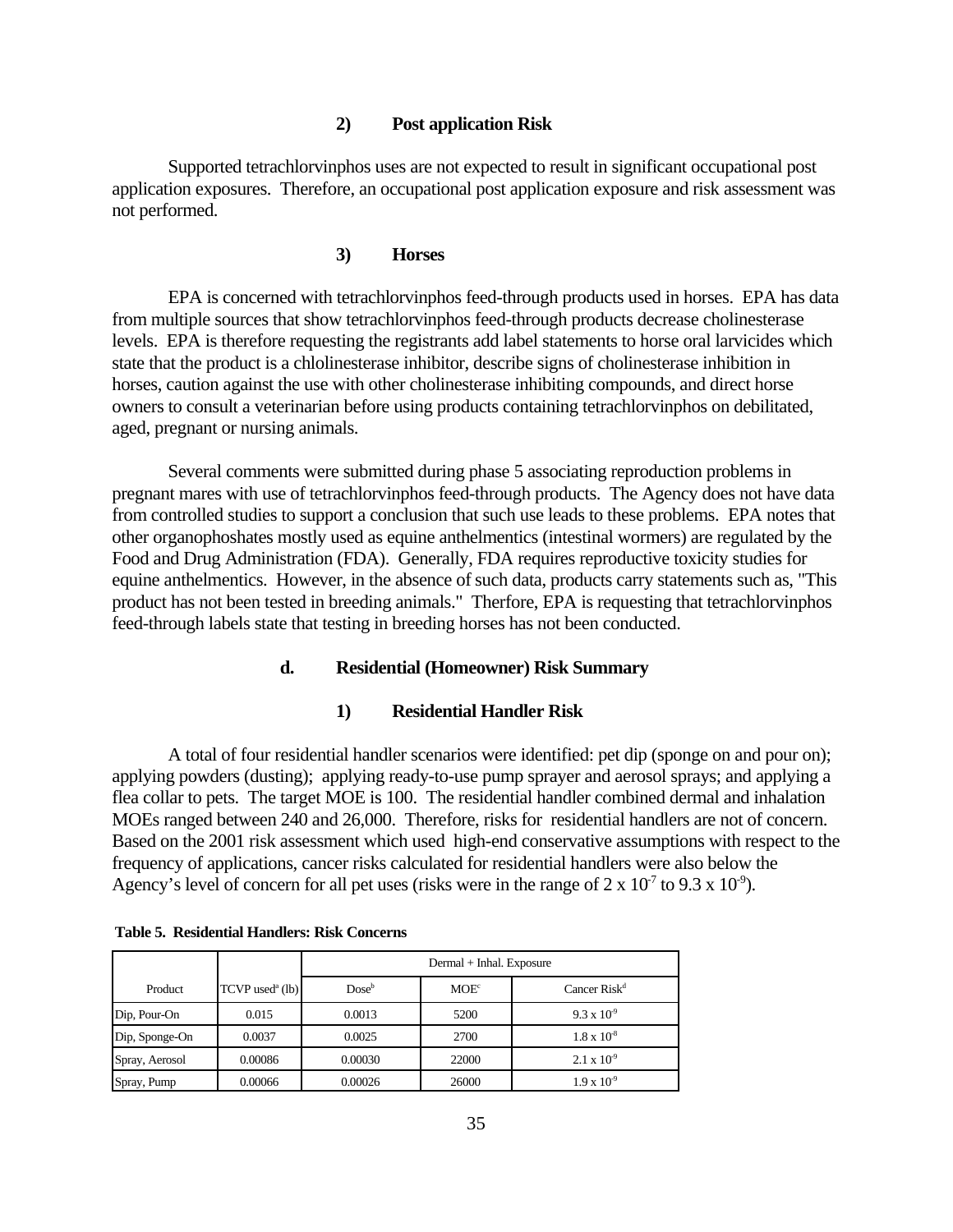#### **2) Post application Risk**

Supported tetrachlorvinphos uses are not expected to result in significant occupational post application exposures. Therefore, an occupational post application exposure and risk assessment was not performed.

#### **3) Horses**

EPA is concerned with tetrachlorvinphos feed-through products used in horses. EPA has data from multiple sources that show tetrachlorvinphos feed-through products decrease cholinesterase levels. EPA is therefore requesting the registrants add label statements to horse oral larvicides which state that the product is a chlolinesterase inhibitor, describe signs of cholinesterase inhibition in horses, caution against the use with other cholinesterase inhibiting compounds, and direct horse owners to consult a veterinarian before using products containing tetrachlorvinphos on debilitated, aged, pregnant or nursing animals.

Several comments were submitted during phase 5 associating reproduction problems in pregnant mares with use of tetrachlorvinphos feed-through products. The Agency does not have data from controlled studies to support a conclusion that such use leads to these problems. EPA notes that other organophoshates mostly used as equine anthelmentics (intestinal wormers) are regulated by the Food and Drug Administration (FDA). Generally, FDA requires reproductive toxicity studies for equine anthelmentics. However, in the absence of such data, products carry statements such as, "This product has not been tested in breeding animals." Therfore, EPA is requesting that tetrachlorvinphos feed-through labels state that testing in breeding horses has not been conducted.

#### **d. Residential (Homeowner) Risk Summary**

#### **1) Residential Handler Risk**

A total of four residential handler scenarios were identified: pet dip (sponge on and pour on); applying powders (dusting); applying ready-to-use pump sprayer and aerosol sprays; and applying a flea collar to pets. The target MOE is 100. The residential handler combined dermal and inhalation MOEs ranged between 240 and 26,000. Therefore, risks for residential handlers are not of concern. Based on the 2001 risk assessment which used high-end conservative assumptions with respect to the frequency of applications, cancer risks calculated for residential handlers were also below the Agency's level of concern for all pet uses (risks were in the range of  $2 \times 10^{-7}$  to  $9.3 \times 10^{-9}$ ).

|                |                               |          | Dermal + Inhal. Exposure |                          |
|----------------|-------------------------------|----------|--------------------------|--------------------------|
| Product        | $TCVP$ used <sup>a</sup> (lb) | $Dose^b$ | MOE <sup>c</sup>         | Cancer Risk <sup>d</sup> |
| Dip, Pour-On   | 0.015                         | 0.0013   | 5200                     | $9.3 \times 10^{-9}$     |
| Dip, Sponge-On | 0.0037                        | 0.0025   | 2700                     | $1.8 \times 10^{-8}$     |
| Spray, Aerosol | 0.00086                       | 0.00030  | 22000                    | $2.1 \times 10^{-9}$     |
| Spray, Pump    | 0.00066                       | 0.00026  | 26000                    | $1.9 \times 10^{-9}$     |

| <b>Table 5. Residential Handlers: Risk Concerns</b> |  |  |  |  |  |
|-----------------------------------------------------|--|--|--|--|--|
|-----------------------------------------------------|--|--|--|--|--|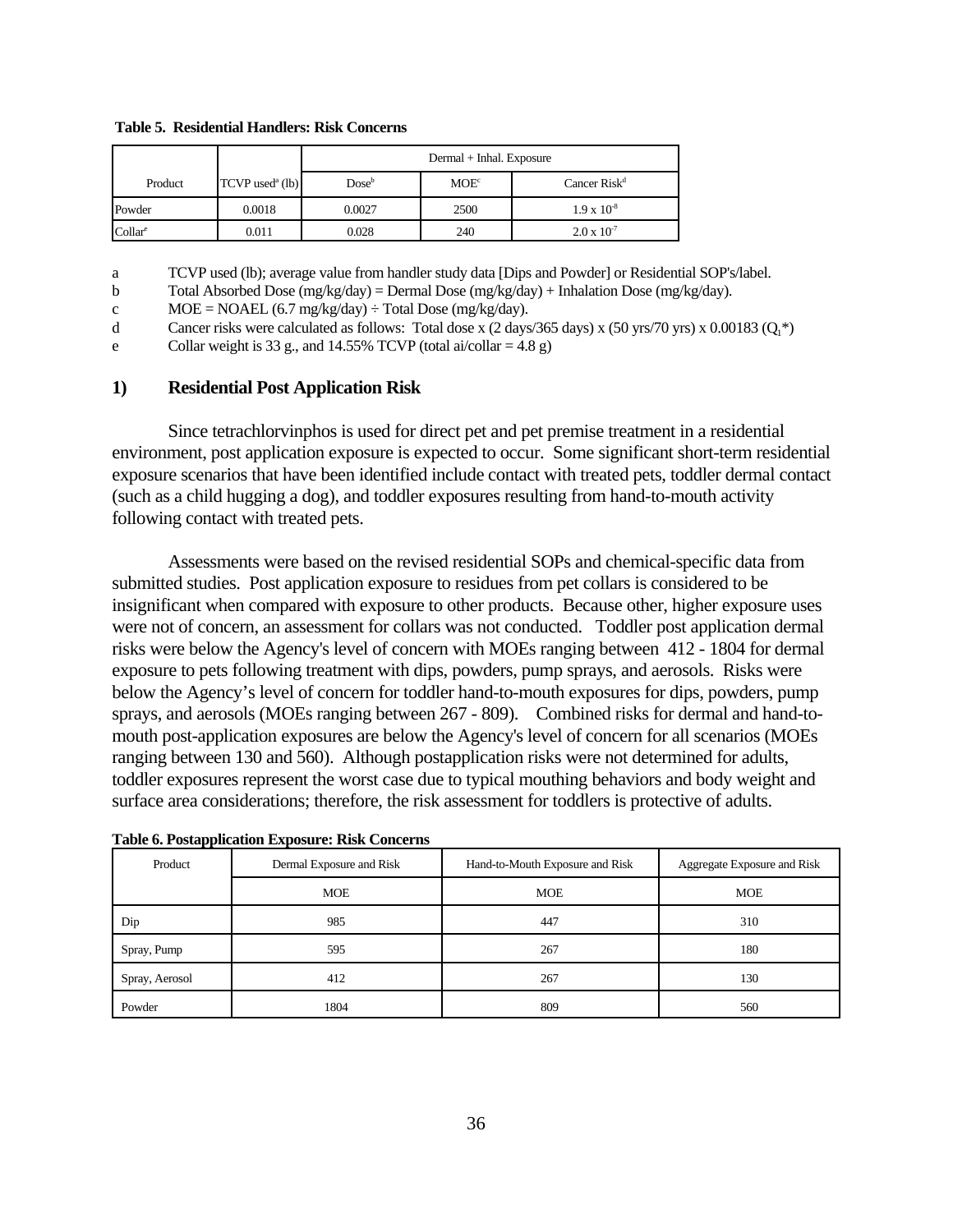**Table 5. Residential Handlers: Risk Concerns** 

|                   |                               |          | Dermal + Inhal. Exposure |                      |
|-------------------|-------------------------------|----------|--------------------------|----------------------|
| Product           | $TCVP$ used <sup>a</sup> (lb) | $Dose^b$ | MOE <sup>c</sup>         | Cancer $Risk^d$      |
| Powder            | 0.0018                        | 0.0027   | 2500                     | $1.9 \times 10^{-8}$ |
| $\text{Collar}^e$ | 0.011                         | 0.028    | 240                      | $2.0 \times 10^{-7}$ |

a TCVP used (lb); average value from handler study data [Dips and Powder] or Residential SOP's/label.

b Total Absorbed Dose (mg/kg/day) = Dermal Dose (mg/kg/day) + Inhalation Dose (mg/kg/day).

 $MOE = NOAEL (6.7 mg/kg/day) \div Total Does (mg/kg/day).$ c

d Cancer risks were calculated as follows: Total dose x  $(2 \text{ days}/365 \text{ days}) \times (50 \text{ yrs}/70 \text{ yrs}) \times 0.00183 \text{ (O,*)}$ 

e Collar weight is 33 g., and 14.55% TCVP (total ai/collar = 4.8 g)

#### **1) Residential Post Application Risk**

Since tetrachlorvinphos is used for direct pet and pet premise treatment in a residential environment, post application exposure is expected to occur. Some significant short-term residential exposure scenarios that have been identified include contact with treated pets, toddler dermal contact (such as a child hugging a dog), and toddler exposures resulting from hand-to-mouth activity following contact with treated pets.

Assessments were based on the revised residential SOPs and chemical-specific data from submitted studies. Post application exposure to residues from pet collars is considered to be insignificant when compared with exposure to other products. Because other, higher exposure uses were not of concern, an assessment for collars was not conducted. Toddler post application dermal risks were below the Agency's level of concern with MOEs ranging between 412 - 1804 for dermal exposure to pets following treatment with dips, powders, pump sprays, and aerosols. Risks were below the Agency's level of concern for toddler hand-to-mouth exposures for dips, powders, pump sprays, and aerosols (MOEs ranging between 267 - 809). Combined risks for dermal and hand-tomouth post-application exposures are below the Agency's level of concern for all scenarios (MOEs ranging between 130 and 560). Although postapplication risks were not determined for adults, toddler exposures represent the worst case due to typical mouthing behaviors and body weight and surface area considerations; therefore, the risk assessment for toddlers is protective of adults.

| Product        | Dermal Exposure and Risk | Hand-to-Mouth Exposure and Risk | Aggregate Exposure and Risk |
|----------------|--------------------------|---------------------------------|-----------------------------|
|                | <b>MOE</b>               | <b>MOE</b>                      | <b>MOE</b>                  |
| Dip            | 985                      | 447                             | 310                         |
| Spray, Pump    | 595                      | 267                             | 180                         |
| Spray, Aerosol | 412                      | 267                             | 130                         |
| Powder         | 1804                     | 809                             | 560                         |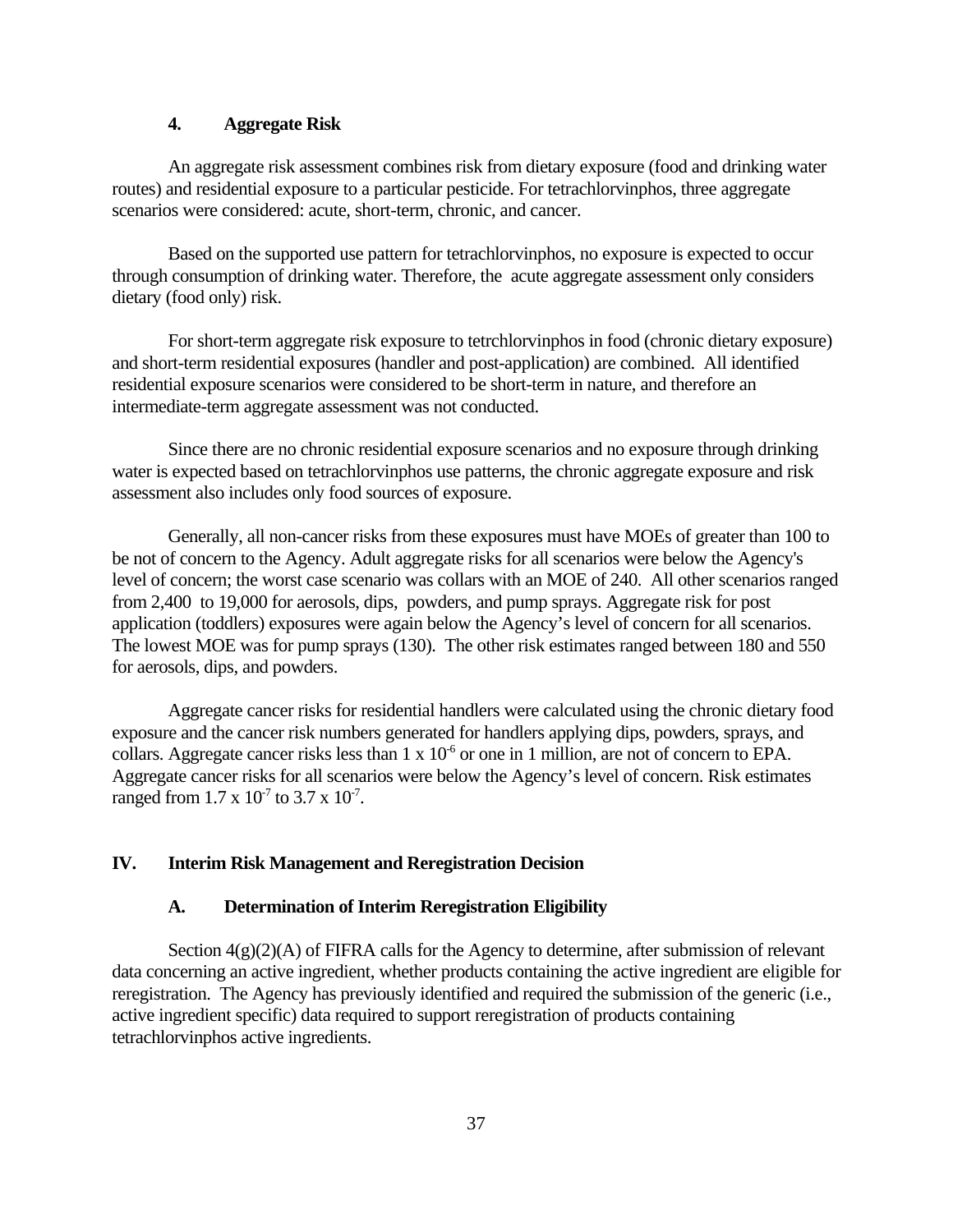## **4. Aggregate Risk**

An aggregate risk assessment combines risk from dietary exposure (food and drinking water routes) and residential exposure to a particular pesticide. For tetrachlorvinphos, three aggregate scenarios were considered: acute, short-term, chronic, and cancer.

Based on the supported use pattern for tetrachlorvinphos, no exposure is expected to occur through consumption of drinking water. Therefore, the acute aggregate assessment only considers dietary (food only) risk.

For short-term aggregate risk exposure to tetrchlorvinphos in food (chronic dietary exposure) and short-term residential exposures (handler and post-application) are combined. All identified residential exposure scenarios were considered to be short-term in nature, and therefore an intermediate-term aggregate assessment was not conducted.

Since there are no chronic residential exposure scenarios and no exposure through drinking water is expected based on tetrachlorvinphos use patterns, the chronic aggregate exposure and risk assessment also includes only food sources of exposure.

Generally, all non-cancer risks from these exposures must have MOEs of greater than 100 to be not of concern to the Agency. Adult aggregate risks for all scenarios were below the Agency's level of concern; the worst case scenario was collars with an MOE of 240. All other scenarios ranged from 2,400 to 19,000 for aerosols, dips, powders, and pump sprays. Aggregate risk for post application (toddlers) exposures were again below the Agency's level of concern for all scenarios. The lowest MOE was for pump sprays (130). The other risk estimates ranged between 180 and 550 for aerosols, dips, and powders.

Aggregate cancer risks for residential handlers were calculated using the chronic dietary food exposure and the cancer risk numbers generated for handlers applying dips, powders, sprays, and collars. Aggregate cancer risks less than  $1 \times 10^{-6}$  or one in 1 million, are not of concern to EPA. Aggregate cancer risks for all scenarios were below the Agency's level of concern. Risk estimates ranged from  $1.7 \times 10^{-7}$  to  $3.7 \times 10^{-7}$ .

#### **IV. Interim Risk Management and Reregistration Decision**

#### **A. Determination of Interim Reregistration Eligibility**

Section  $4(g)(2)(A)$  of FIFRA calls for the Agency to determine, after submission of relevant data concerning an active ingredient, whether products containing the active ingredient are eligible for reregistration. The Agency has previously identified and required the submission of the generic (i.e., active ingredient specific) data required to support reregistration of products containing tetrachlorvinphos active ingredients.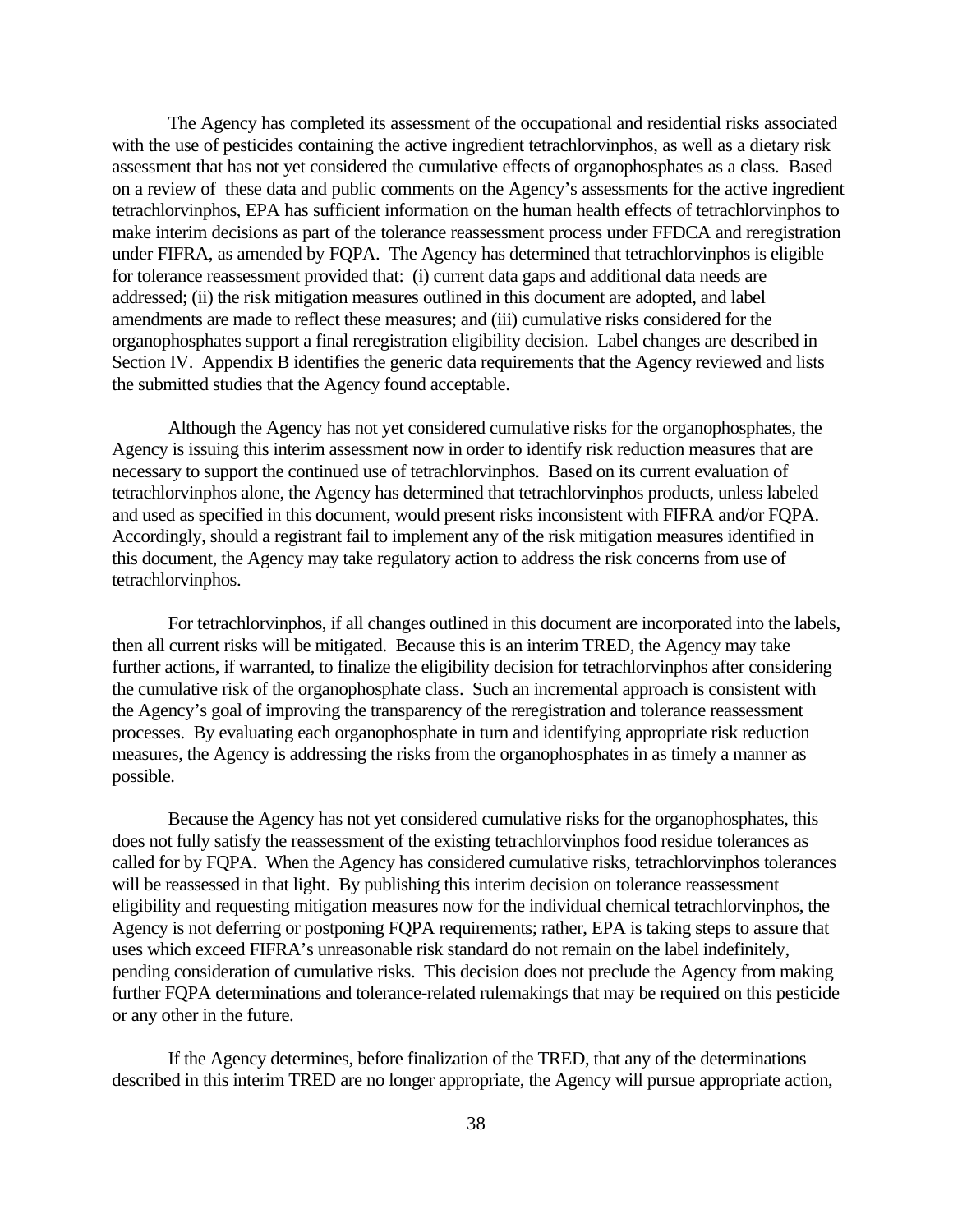The Agency has completed its assessment of the occupational and residential risks associated with the use of pesticides containing the active ingredient tetrachlorvinphos, as well as a dietary risk assessment that has not yet considered the cumulative effects of organophosphates as a class. Based on a review of these data and public comments on the Agency's assessments for the active ingredient tetrachlorvinphos, EPA has sufficient information on the human health effects of tetrachlorvinphos to make interim decisions as part of the tolerance reassessment process under FFDCA and reregistration under FIFRA, as amended by FQPA. The Agency has determined that tetrachlorvinphos is eligible for tolerance reassessment provided that: (i) current data gaps and additional data needs are addressed; (ii) the risk mitigation measures outlined in this document are adopted, and label amendments are made to reflect these measures; and (iii) cumulative risks considered for the organophosphates support a final reregistration eligibility decision. Label changes are described in Section IV. Appendix B identifies the generic data requirements that the Agency reviewed and lists the submitted studies that the Agency found acceptable.

Although the Agency has not yet considered cumulative risks for the organophosphates, the Agency is issuing this interim assessment now in order to identify risk reduction measures that are necessary to support the continued use of tetrachlorvinphos. Based on its current evaluation of tetrachlorvinphos alone, the Agency has determined that tetrachlorvinphos products, unless labeled and used as specified in this document, would present risks inconsistent with FIFRA and/or FQPA. Accordingly, should a registrant fail to implement any of the risk mitigation measures identified in this document, the Agency may take regulatory action to address the risk concerns from use of tetrachlorvinphos.

For tetrachlorvinphos, if all changes outlined in this document are incorporated into the labels, then all current risks will be mitigated. Because this is an interim TRED, the Agency may take further actions, if warranted, to finalize the eligibility decision for tetrachlorvinphos after considering the cumulative risk of the organophosphate class. Such an incremental approach is consistent with the Agency's goal of improving the transparency of the reregistration and tolerance reassessment processes. By evaluating each organophosphate in turn and identifying appropriate risk reduction measures, the Agency is addressing the risks from the organophosphates in as timely a manner as possible.

Because the Agency has not yet considered cumulative risks for the organophosphates, this does not fully satisfy the reassessment of the existing tetrachlorvinphos food residue tolerances as called for by FQPA. When the Agency has considered cumulative risks, tetrachlorvinphos tolerances will be reassessed in that light. By publishing this interim decision on tolerance reassessment eligibility and requesting mitigation measures now for the individual chemical tetrachlorvinphos, the Agency is not deferring or postponing FQPA requirements; rather, EPA is taking steps to assure that uses which exceed FIFRA's unreasonable risk standard do not remain on the label indefinitely, pending consideration of cumulative risks. This decision does not preclude the Agency from making further FQPA determinations and tolerance-related rulemakings that may be required on this pesticide or any other in the future.

If the Agency determines, before finalization of the TRED, that any of the determinations described in this interim TRED are no longer appropriate, the Agency will pursue appropriate action,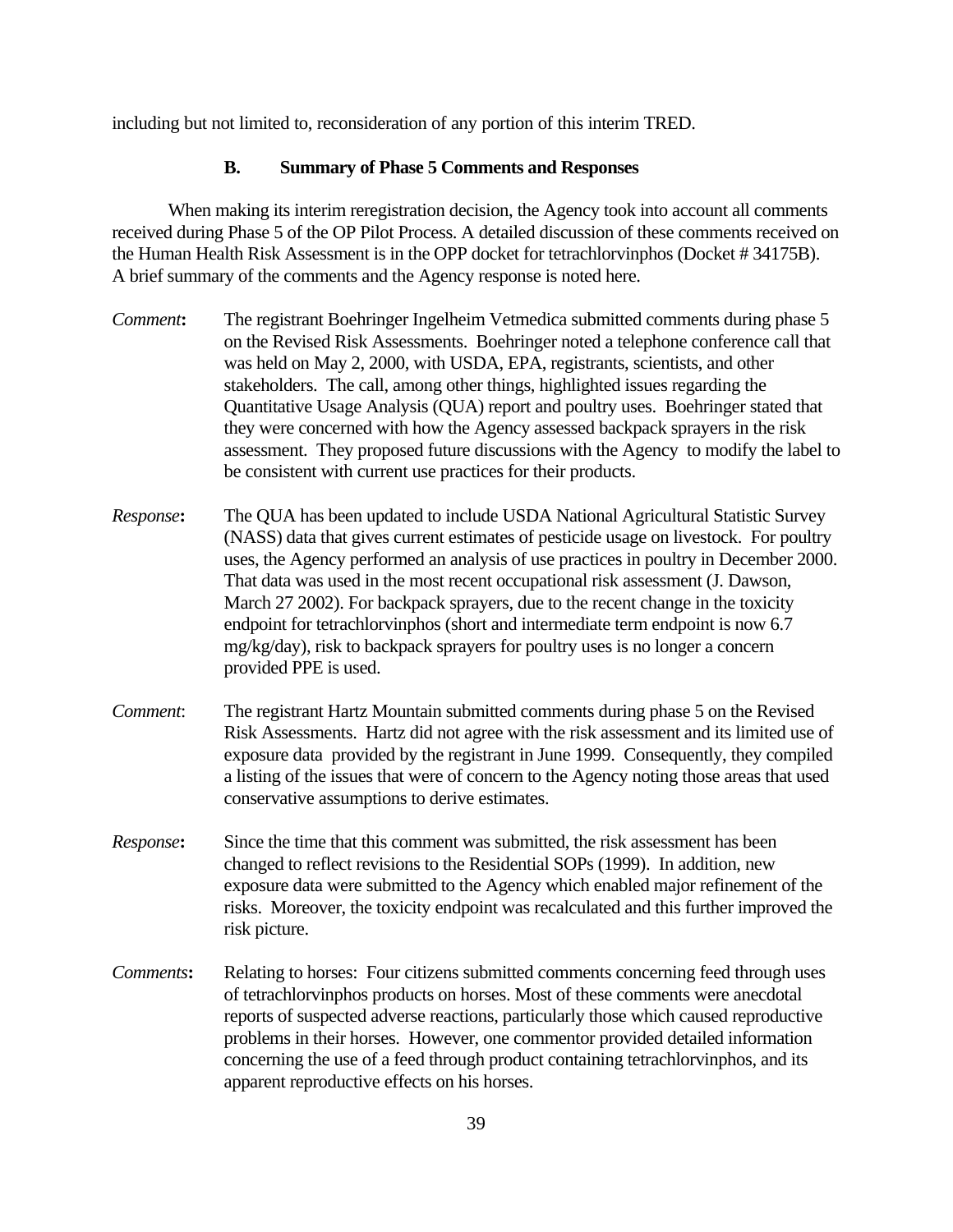including but not limited to, reconsideration of any portion of this interim TRED.

#### **B. Summary of Phase 5 Comments and Responses**

When making its interim reregistration decision, the Agency took into account all comments received during Phase 5 of the OP Pilot Process. A detailed discussion of these comments received on the Human Health Risk Assessment is in the OPP docket for tetrachlorvinphos (Docket # 34175B). A brief summary of the comments and the Agency response is noted here.

- *Comment***:** The registrant Boehringer Ingelheim Vetmedica submitted comments during phase 5 on the Revised Risk Assessments. Boehringer noted a telephone conference call that was held on May 2, 2000, with USDA, EPA, registrants, scientists, and other stakeholders. The call, among other things, highlighted issues regarding the Quantitative Usage Analysis (QUA) report and poultry uses. Boehringer stated that they were concerned with how the Agency assessed backpack sprayers in the risk assessment. They proposed future discussions with the Agency to modify the label to be consistent with current use practices for their products.
- *Response***:** The QUA has been updated to include USDA National Agricultural Statistic Survey (NASS) data that gives current estimates of pesticide usage on livestock. For poultry uses, the Agency performed an analysis of use practices in poultry in December 2000. That data was used in the most recent occupational risk assessment (J. Dawson, March 27 2002). For backpack sprayers, due to the recent change in the toxicity endpoint for tetrachlorvinphos (short and intermediate term endpoint is now 6.7 mg/kg/day), risk to backpack sprayers for poultry uses is no longer a concern provided PPE is used.
- *Comment*: The registrant Hartz Mountain submitted comments during phase 5 on the Revised Risk Assessments. Hartz did not agree with the risk assessment and its limited use of exposure data provided by the registrant in June 1999. Consequently, they compiled a listing of the issues that were of concern to the Agency noting those areas that used conservative assumptions to derive estimates.
- *Response***:** Since the time that this comment was submitted, the risk assessment has been changed to reflect revisions to the Residential SOPs (1999). In addition, new exposure data were submitted to the Agency which enabled major refinement of the risks. Moreover, the toxicity endpoint was recalculated and this further improved the risk picture.
- *Comments***:** Relating to horses: Four citizens submitted comments concerning feed through uses of tetrachlorvinphos products on horses. Most of these comments were anecdotal reports of suspected adverse reactions, particularly those which caused reproductive problems in their horses. However, one commentor provided detailed information concerning the use of a feed through product containing tetrachlorvinphos, and its apparent reproductive effects on his horses.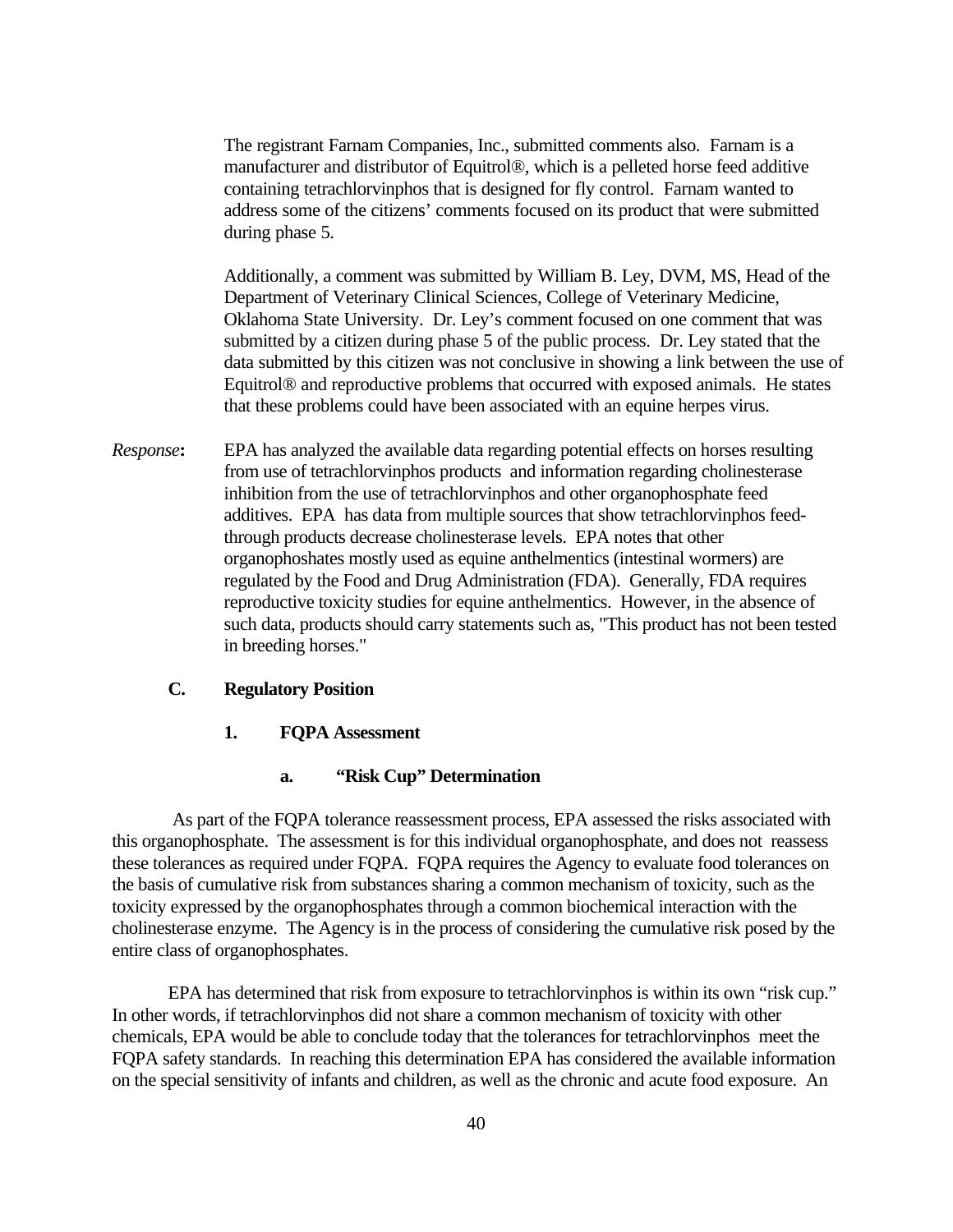The registrant Farnam Companies, Inc., submitted comments also. Farnam is a manufacturer and distributor of Equitrol®, which is a pelleted horse feed additive containing tetrachlorvinphos that is designed for fly control. Farnam wanted to address some of the citizens' comments focused on its product that were submitted during phase 5.

Additionally, a comment was submitted by William B. Ley, DVM, MS, Head of the Department of Veterinary Clinical Sciences, College of Veterinary Medicine, Oklahoma State University. Dr. Ley's comment focused on one comment that was submitted by a citizen during phase 5 of the public process. Dr. Ley stated that the data submitted by this citizen was not conclusive in showing a link between the use of Equitrol® and reproductive problems that occurred with exposed animals. He states that these problems could have been associated with an equine herpes virus.

*Response***:** EPA has analyzed the available data regarding potential effects on horses resulting from use of tetrachlorvinphos products and information regarding cholinesterase inhibition from the use of tetrachlorvinphos and other organophosphate feed additives. EPA has data from multiple sources that show tetrachlorvinphos feedthrough products decrease cholinesterase levels. EPA notes that other organophoshates mostly used as equine anthelmentics (intestinal wormers) are regulated by the Food and Drug Administration (FDA). Generally, FDA requires reproductive toxicity studies for equine anthelmentics. However, in the absence of such data, products should carry statements such as, "This product has not been tested in breeding horses."

#### **C. Regulatory Position**

#### **1. FQPA Assessment**

#### **a. "Risk Cup" Determination**

As part of the FQPA tolerance reassessment process, EPA assessed the risks associated with this organophosphate. The assessment is for this individual organophosphate, and does not reassess these tolerances as required under FQPA. FQPA requires the Agency to evaluate food tolerances on the basis of cumulative risk from substances sharing a common mechanism of toxicity, such as the toxicity expressed by the organophosphates through a common biochemical interaction with the cholinesterase enzyme. The Agency is in the process of considering the cumulative risk posed by the entire class of organophosphates.

EPA has determined that risk from exposure to tetrachlorvinphos is within its own "risk cup." In other words, if tetrachlorvinphos did not share a common mechanism of toxicity with other chemicals, EPA would be able to conclude today that the tolerances for tetrachlorvinphos meet the FQPA safety standards. In reaching this determination EPA has considered the available information on the special sensitivity of infants and children, as well as the chronic and acute food exposure. An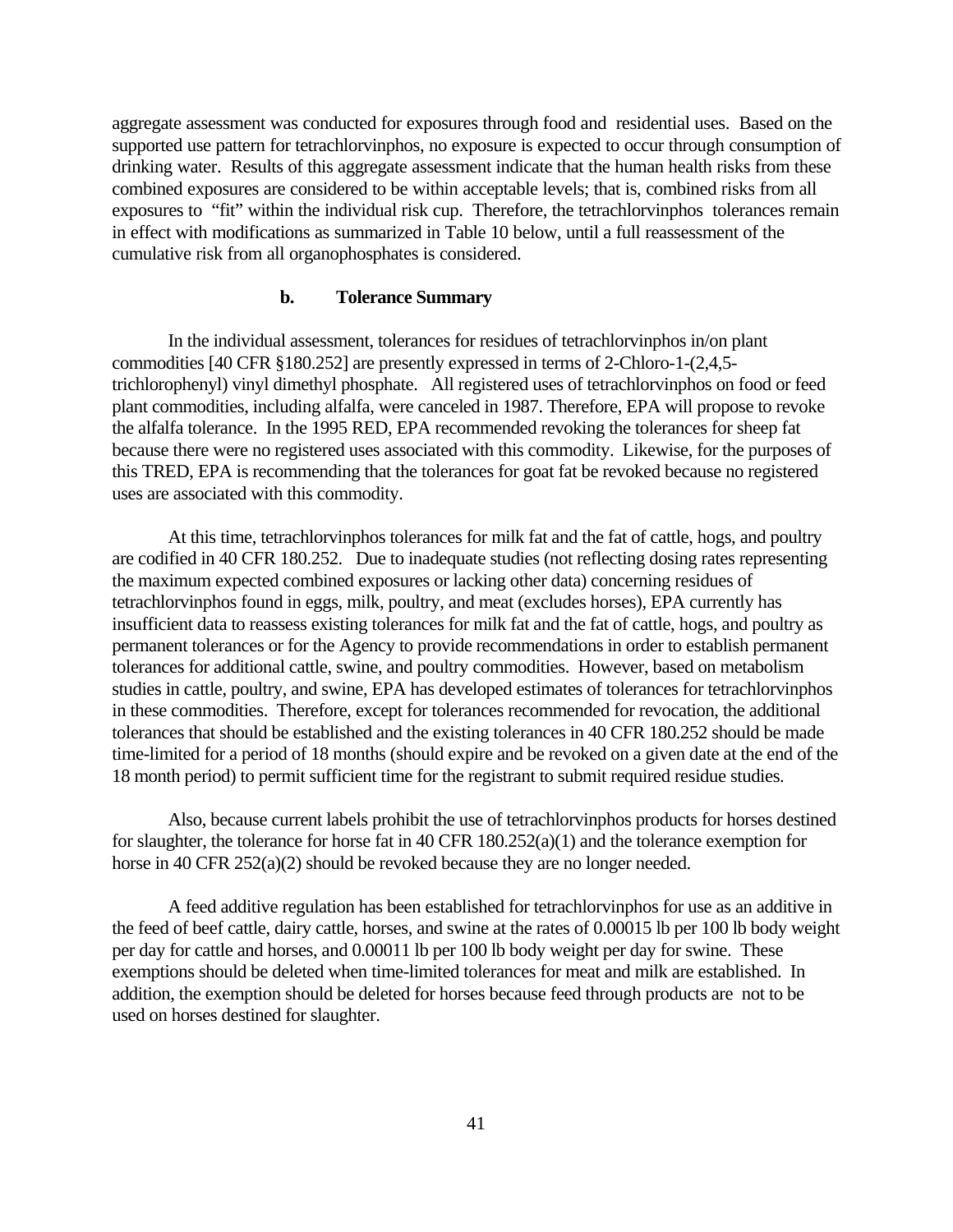aggregate assessment was conducted for exposures through food and residential uses. Based on the supported use pattern for tetrachlorvinphos, no exposure is expected to occur through consumption of drinking water. Results of this aggregate assessment indicate that the human health risks from these combined exposures are considered to be within acceptable levels; that is, combined risks from all exposures to "fit" within the individual risk cup. Therefore, the tetrachlorvinphos tolerances remain in effect with modifications as summarized in Table 10 below, until a full reassessment of the cumulative risk from all organophosphates is considered.

#### **b. Tolerance Summary**

In the individual assessment, tolerances for residues of tetrachlorvinphos in/on plant commodities [40 CFR §180.252] are presently expressed in terms of 2-Chloro-1-(2,4,5 trichlorophenyl) vinyl dimethyl phosphate. All registered uses of tetrachlorvinphos on food or feed plant commodities, including alfalfa, were canceled in 1987. Therefore, EPA will propose to revoke the alfalfa tolerance. In the 1995 RED, EPA recommended revoking the tolerances for sheep fat because there were no registered uses associated with this commodity. Likewise, for the purposes of this TRED, EPA is recommending that the tolerances for goat fat be revoked because no registered uses are associated with this commodity.

At this time, tetrachlorvinphos tolerances for milk fat and the fat of cattle, hogs, and poultry are codified in 40 CFR 180.252. Due to inadequate studies (not reflecting dosing rates representing the maximum expected combined exposures or lacking other data) concerning residues of tetrachlorvinphos found in eggs, milk, poultry, and meat (excludes horses), EPA currently has insufficient data to reassess existing tolerances for milk fat and the fat of cattle, hogs, and poultry as permanent tolerances or for the Agency to provide recommendations in order to establish permanent tolerances for additional cattle, swine, and poultry commodities. However, based on metabolism studies in cattle, poultry, and swine, EPA has developed estimates of tolerances for tetrachlorvinphos in these commodities. Therefore, except for tolerances recommended for revocation, the additional tolerances that should be established and the existing tolerances in 40 CFR 180.252 should be made time-limited for a period of 18 months (should expire and be revoked on a given date at the end of the 18 month period) to permit sufficient time for the registrant to submit required residue studies.

Also, because current labels prohibit the use of tetrachlorvinphos products for horses destined for slaughter, the tolerance for horse fat in 40 CFR 180.252(a)(1) and the tolerance exemption for horse in 40 CFR 252(a)(2) should be revoked because they are no longer needed.

A feed additive regulation has been established for tetrachlorvinphos for use as an additive in the feed of beef cattle, dairy cattle, horses, and swine at the rates of 0.00015 lb per 100 lb body weight per day for cattle and horses, and 0.00011 lb per 100 lb body weight per day for swine. These exemptions should be deleted when time-limited tolerances for meat and milk are established. In addition, the exemption should be deleted for horses because feed through products are not to be used on horses destined for slaughter.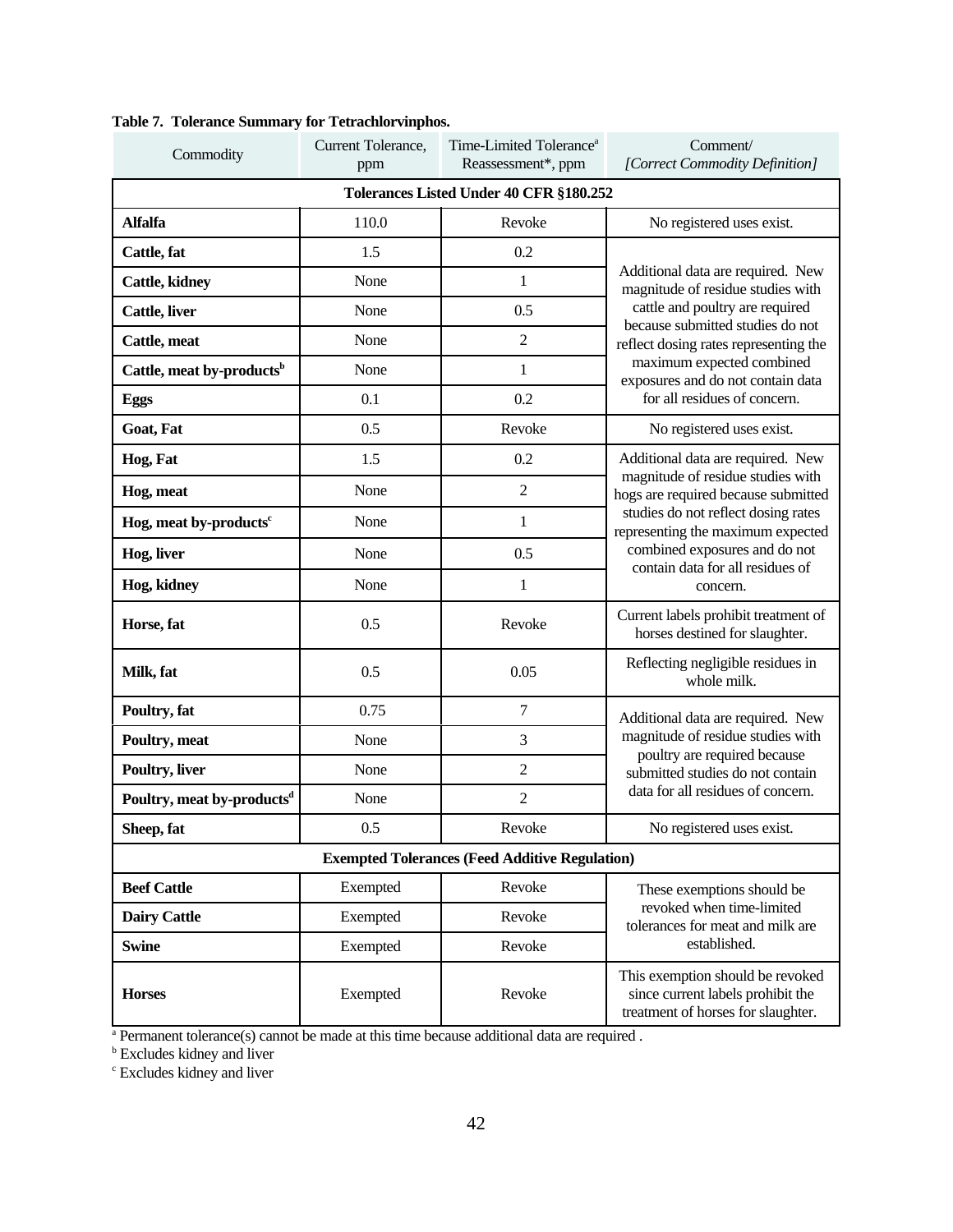| Commodity                               | Current Tolerance,<br>ppm | Time-Limited Tolerance <sup>a</sup><br>Reassessment*, ppm | Comment/<br>[Correct Commodity Definition]                                                                  |  |  |  |
|-----------------------------------------|---------------------------|-----------------------------------------------------------|-------------------------------------------------------------------------------------------------------------|--|--|--|
| Tolerances Listed Under 40 CFR §180.252 |                           |                                                           |                                                                                                             |  |  |  |
| <b>Alfalfa</b>                          | 110.0                     | Revoke                                                    | No registered uses exist.                                                                                   |  |  |  |
| Cattle, fat                             | 1.5                       | 0.2                                                       |                                                                                                             |  |  |  |
| Cattle, kidney                          | None                      | $\mathbf{1}$                                              | Additional data are required. New<br>magnitude of residue studies with                                      |  |  |  |
| Cattle, liver                           | None                      | 0.5                                                       | cattle and poultry are required<br>because submitted studies do not                                         |  |  |  |
| Cattle, meat                            | None                      | $\overline{2}$                                            | reflect dosing rates representing the                                                                       |  |  |  |
| Cattle, meat by-products <sup>b</sup>   | None                      | $\mathbf{1}$                                              | maximum expected combined<br>exposures and do not contain data                                              |  |  |  |
| Eggs                                    | 0.1                       | 0.2                                                       | for all residues of concern.                                                                                |  |  |  |
| Goat, Fat                               | 0.5                       | Revoke                                                    | No registered uses exist.                                                                                   |  |  |  |
| Hog, Fat                                | 1.5                       | 0.2                                                       | Additional data are required. New                                                                           |  |  |  |
| Hog, meat                               | None                      | $\overline{2}$                                            | magnitude of residue studies with<br>hogs are required because submitted                                    |  |  |  |
| Hog, meat by-products <sup>c</sup>      | None                      | 1                                                         | studies do not reflect dosing rates<br>representing the maximum expected                                    |  |  |  |
| Hog, liver                              | None                      | 0.5                                                       | combined exposures and do not<br>contain data for all residues of                                           |  |  |  |
| Hog, kidney                             | None                      | 1                                                         | concern.                                                                                                    |  |  |  |
| Horse, fat                              | 0.5                       | Revoke                                                    | Current labels prohibit treatment of<br>horses destined for slaughter.                                      |  |  |  |
| Milk, fat                               | 0.5                       | 0.05                                                      | Reflecting negligible residues in<br>whole milk.                                                            |  |  |  |
| Poultry, fat                            | 0.75                      | $\tau$                                                    | Additional data are required. New                                                                           |  |  |  |
| Poultry, meat                           | None                      | 3                                                         | magnitude of residue studies with<br>poultry are required because                                           |  |  |  |
| Poultry, liver                          | None                      | $\overline{2}$                                            | submitted studies do not contain                                                                            |  |  |  |
| Poultry, meat by-products <sup>d</sup>  | None                      | $\overline{2}$                                            | data for all residues of concern.                                                                           |  |  |  |
| Sheep, fat                              | 0.5                       | Revoke                                                    | No registered uses exist.                                                                                   |  |  |  |
|                                         |                           | <b>Exempted Tolerances (Feed Additive Regulation)</b>     |                                                                                                             |  |  |  |
| <b>Beef Cattle</b>                      | Exempted                  | Revoke                                                    | These exemptions should be                                                                                  |  |  |  |
| <b>Dairy Cattle</b>                     | Exempted                  | Revoke                                                    | revoked when time-limited<br>tolerances for meat and milk are                                               |  |  |  |
| <b>Swine</b>                            | Exempted                  | Revoke                                                    | established.                                                                                                |  |  |  |
| <b>Horses</b>                           | Exempted                  | Revoke                                                    | This exemption should be revoked<br>since current labels prohibit the<br>treatment of horses for slaughter. |  |  |  |

## **Table 7. Tolerance Summary for Tetrachlorvinphos.**

<sup>a</sup> Permanent tolerance(s) cannot be made at this time because additional data are required .<br>
<sup>b</sup> Excludes kidney and liver<br>
<sup>c</sup> Excludes kidney and liver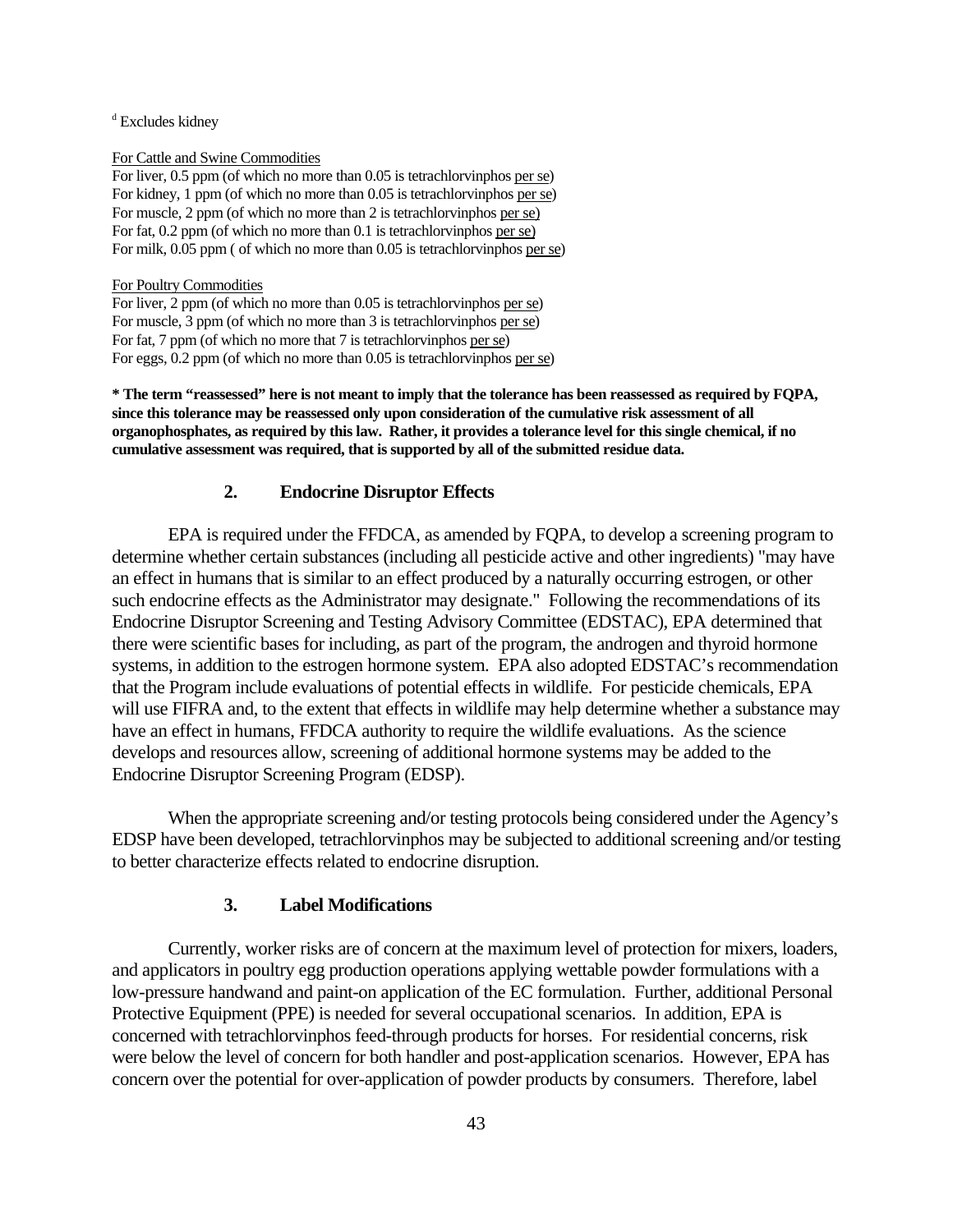<sup>d</sup> Excludes kidney

For Cattle and Swine Commodities

For liver, 0.5 ppm (of which no more than 0.05 is tetrachlorvinphos per se) For kidney, 1 ppm (of which no more than 0.05 is tetrachlorvinphos per se) For muscle, 2 ppm (of which no more than 2 is tetrachlorvinphos per se) For fat, 0.2 ppm (of which no more than 0.1 is tetrachlorvinphos per se) For milk, 0.05 ppm ( of which no more than 0.05 is tetrachlorvinphos per se)

For Poultry Commodities

For liver, 2 ppm (of which no more than 0.05 is tetrachlorvinphos per se) For muscle, 3 ppm (of which no more than 3 is tetrachlorvinphos per se) For fat, 7 ppm (of which no more that 7 is tetrachlorvinphos per se) For eggs, 0.2 ppm (of which no more than 0.05 is tetrachlorvinphos per se)

**\* The term "reassessed" here is not meant to imply that the tolerance has been reassessed as required by FQPA, since this tolerance may be reassessed only upon consideration of the cumulative risk assessment of all organophosphates, as required by this law. Rather, it provides a tolerance level for this single chemical, if no cumulative assessment was required, that is supported by all of the submitted residue data.** 

#### **2. Endocrine Disruptor Effects**

EPA is required under the FFDCA, as amended by FQPA, to develop a screening program to determine whether certain substances (including all pesticide active and other ingredients) "may have an effect in humans that is similar to an effect produced by a naturally occurring estrogen, or other such endocrine effects as the Administrator may designate." Following the recommendations of its Endocrine Disruptor Screening and Testing Advisory Committee (EDSTAC), EPA determined that there were scientific bases for including, as part of the program, the androgen and thyroid hormone systems, in addition to the estrogen hormone system. EPA also adopted EDSTAC's recommendation that the Program include evaluations of potential effects in wildlife. For pesticide chemicals, EPA will use FIFRA and, to the extent that effects in wildlife may help determine whether a substance may have an effect in humans, FFDCA authority to require the wildlife evaluations. As the science develops and resources allow, screening of additional hormone systems may be added to the Endocrine Disruptor Screening Program (EDSP).

When the appropriate screening and/or testing protocols being considered under the Agency's EDSP have been developed, tetrachlorvinphos may be subjected to additional screening and/or testing to better characterize effects related to endocrine disruption.

#### **3. Label Modifications**

Currently, worker risks are of concern at the maximum level of protection for mixers, loaders, and applicators in poultry egg production operations applying wettable powder formulations with a low-pressure handwand and paint-on application of the EC formulation. Further, additional Personal Protective Equipment (PPE) is needed for several occupational scenarios. In addition, EPA is concerned with tetrachlorvinphos feed-through products for horses. For residential concerns, risk were below the level of concern for both handler and post-application scenarios. However, EPA has concern over the potential for over-application of powder products by consumers. Therefore, label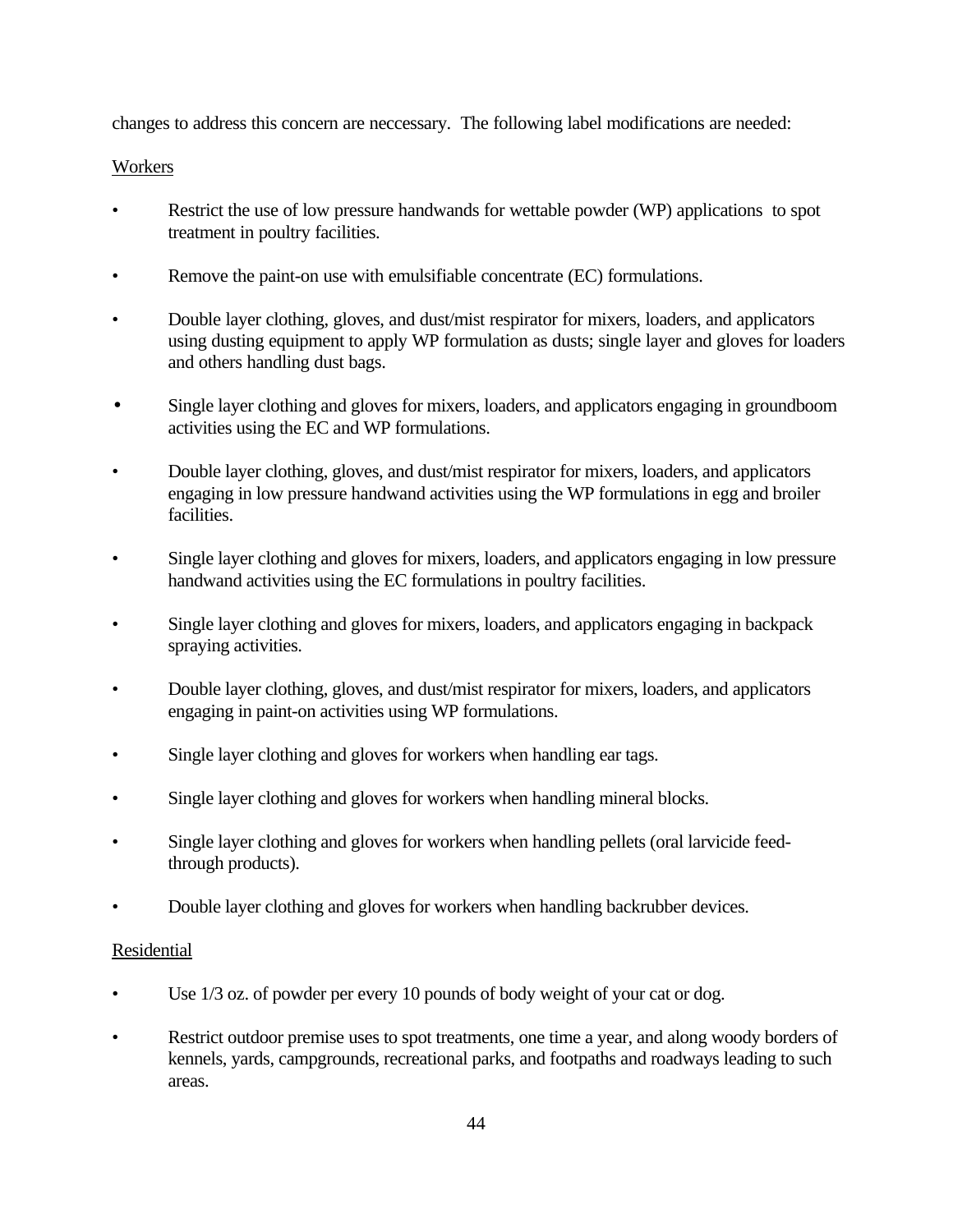changes to address this concern are neccessary. The following label modifications are needed:

## **Workers**

- Restrict the use of low pressure handwands for wettable powder (WP) applications to spot treatment in poultry facilities.
- Remove the paint-on use with emulsifiable concentrate (EC) formulations.
- Double layer clothing, gloves, and dust/mist respirator for mixers, loaders, and applicators using dusting equipment to apply WP formulation as dusts; single layer and gloves for loaders and others handling dust bags.
- Single layer clothing and gloves for mixers, loaders, and applicators engaging in groundboom activities using the EC and WP formulations.
- Double layer clothing, gloves, and dust/mist respirator for mixers, loaders, and applicators engaging in low pressure handwand activities using the WP formulations in egg and broiler facilities.
- Single layer clothing and gloves for mixers, loaders, and applicators engaging in low pressure handwand activities using the EC formulations in poultry facilities.
- Single layer clothing and gloves for mixers, loaders, and applicators engaging in backpack spraying activities.
- Double layer clothing, gloves, and dust/mist respirator for mixers, loaders, and applicators engaging in paint-on activities using WP formulations.
- Single layer clothing and gloves for workers when handling ear tags.
- Single layer clothing and gloves for workers when handling mineral blocks.
- Single layer clothing and gloves for workers when handling pellets (oral larvicide feedthrough products).
- Double layer clothing and gloves for workers when handling backrubber devices.

## **Residential**

- Use  $1/3$  oz. of powder per every 10 pounds of body weight of your cat or dog.
- Restrict outdoor premise uses to spot treatments, one time a year, and along woody borders of kennels, yards, campgrounds, recreational parks, and footpaths and roadways leading to such areas.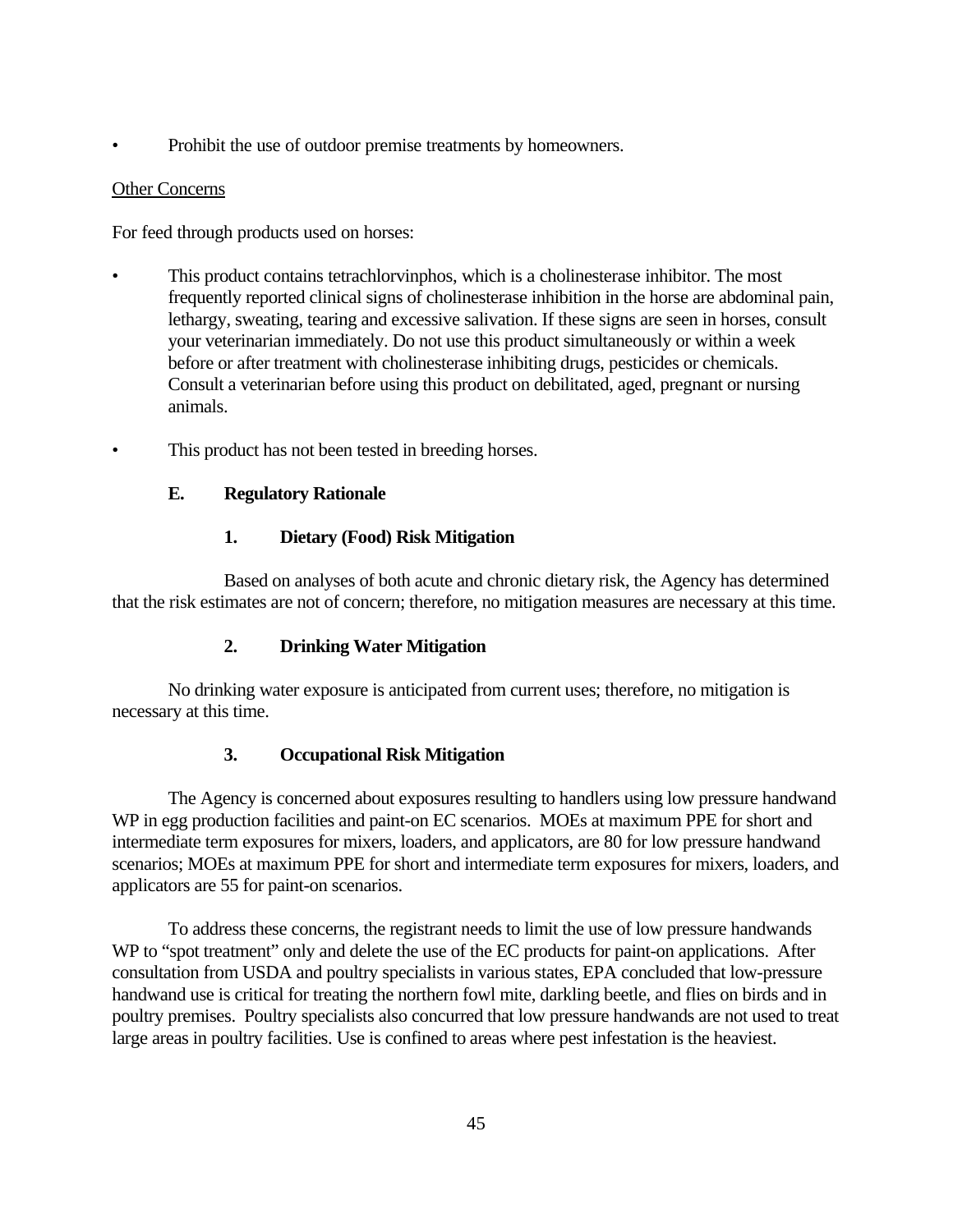• Prohibit the use of outdoor premise treatments by homeowners.

## Other Concerns

For feed through products used on horses:

- This product contains tetrachlorvinphos, which is a cholinesterase inhibitor. The most frequently reported clinical signs of cholinesterase inhibition in the horse are abdominal pain, lethargy, sweating, tearing and excessive salivation. If these signs are seen in horses, consult your veterinarian immediately. Do not use this product simultaneously or within a week before or after treatment with cholinesterase inhibiting drugs, pesticides or chemicals. Consult a veterinarian before using this product on debilitated, aged, pregnant or nursing animals.
- This product has not been tested in breeding horses.

## **E. Regulatory Rationale**

## **1. Dietary (Food) Risk Mitigation**

Based on analyses of both acute and chronic dietary risk, the Agency has determined that the risk estimates are not of concern; therefore, no mitigation measures are necessary at this time.

## **2. Drinking Water Mitigation**

No drinking water exposure is anticipated from current uses; therefore, no mitigation is necessary at this time.

## **3. Occupational Risk Mitigation**

The Agency is concerned about exposures resulting to handlers using low pressure handwand WP in egg production facilities and paint-on EC scenarios. MOEs at maximum PPE for short and intermediate term exposures for mixers, loaders, and applicators, are 80 for low pressure handwand scenarios; MOEs at maximum PPE for short and intermediate term exposures for mixers, loaders, and applicators are 55 for paint-on scenarios.

To address these concerns, the registrant needs to limit the use of low pressure handwands WP to "spot treatment" only and delete the use of the EC products for paint-on applications. After consultation from USDA and poultry specialists in various states, EPA concluded that low-pressure handwand use is critical for treating the northern fowl mite, darkling beetle, and flies on birds and in poultry premises. Poultry specialists also concurred that low pressure handwands are not used to treat large areas in poultry facilities. Use is confined to areas where pest infestation is the heaviest.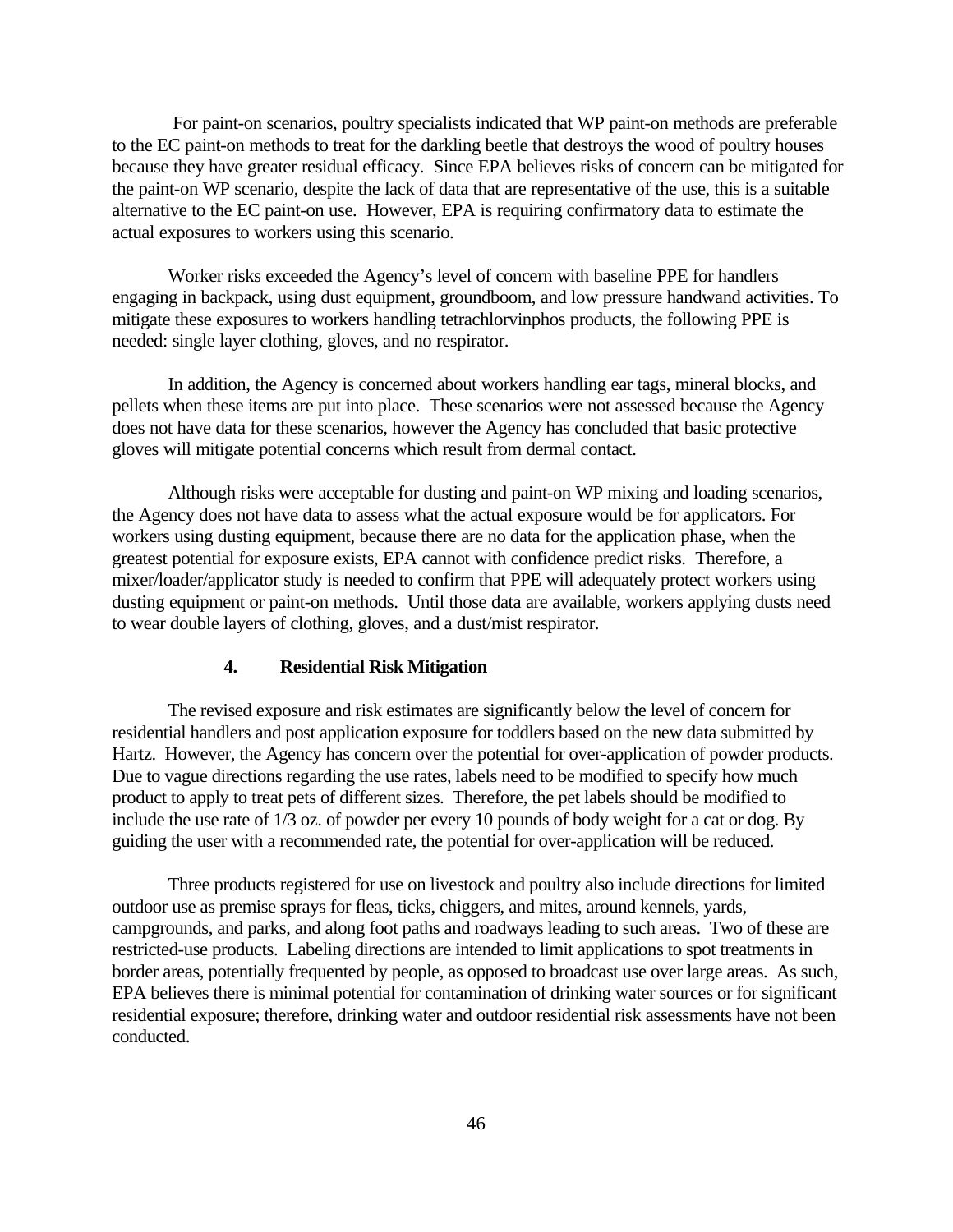For paint-on scenarios, poultry specialists indicated that WP paint-on methods are preferable to the EC paint-on methods to treat for the darkling beetle that destroys the wood of poultry houses because they have greater residual efficacy. Since EPA believes risks of concern can be mitigated for the paint-on WP scenario, despite the lack of data that are representative of the use, this is a suitable alternative to the EC paint-on use. However, EPA is requiring confirmatory data to estimate the actual exposures to workers using this scenario.

Worker risks exceeded the Agency's level of concern with baseline PPE for handlers engaging in backpack, using dust equipment, groundboom, and low pressure handwand activities. To mitigate these exposures to workers handling tetrachlorvinphos products, the following PPE is needed: single layer clothing, gloves, and no respirator.

In addition, the Agency is concerned about workers handling ear tags, mineral blocks, and pellets when these items are put into place. These scenarios were not assessed because the Agency does not have data for these scenarios, however the Agency has concluded that basic protective gloves will mitigate potential concerns which result from dermal contact.

Although risks were acceptable for dusting and paint-on WP mixing and loading scenarios, the Agency does not have data to assess what the actual exposure would be for applicators. For workers using dusting equipment, because there are no data for the application phase, when the greatest potential for exposure exists, EPA cannot with confidence predict risks. Therefore, a mixer/loader/applicator study is needed to confirm that PPE will adequately protect workers using dusting equipment or paint-on methods. Until those data are available, workers applying dusts need to wear double layers of clothing, gloves, and a dust/mist respirator.

## **4. Residential Risk Mitigation**

The revised exposure and risk estimates are significantly below the level of concern for residential handlers and post application exposure for toddlers based on the new data submitted by Hartz. However, the Agency has concern over the potential for over-application of powder products. Due to vague directions regarding the use rates, labels need to be modified to specify how much product to apply to treat pets of different sizes. Therefore, the pet labels should be modified to include the use rate of 1/3 oz. of powder per every 10 pounds of body weight for a cat or dog. By guiding the user with a recommended rate, the potential for over-application will be reduced.

Three products registered for use on livestock and poultry also include directions for limited outdoor use as premise sprays for fleas, ticks, chiggers, and mites, around kennels, yards, campgrounds, and parks, and along foot paths and roadways leading to such areas. Two of these are restricted-use products. Labeling directions are intended to limit applications to spot treatments in border areas, potentially frequented by people, as opposed to broadcast use over large areas. As such, EPA believes there is minimal potential for contamination of drinking water sources or for significant residential exposure; therefore, drinking water and outdoor residential risk assessments have not been conducted.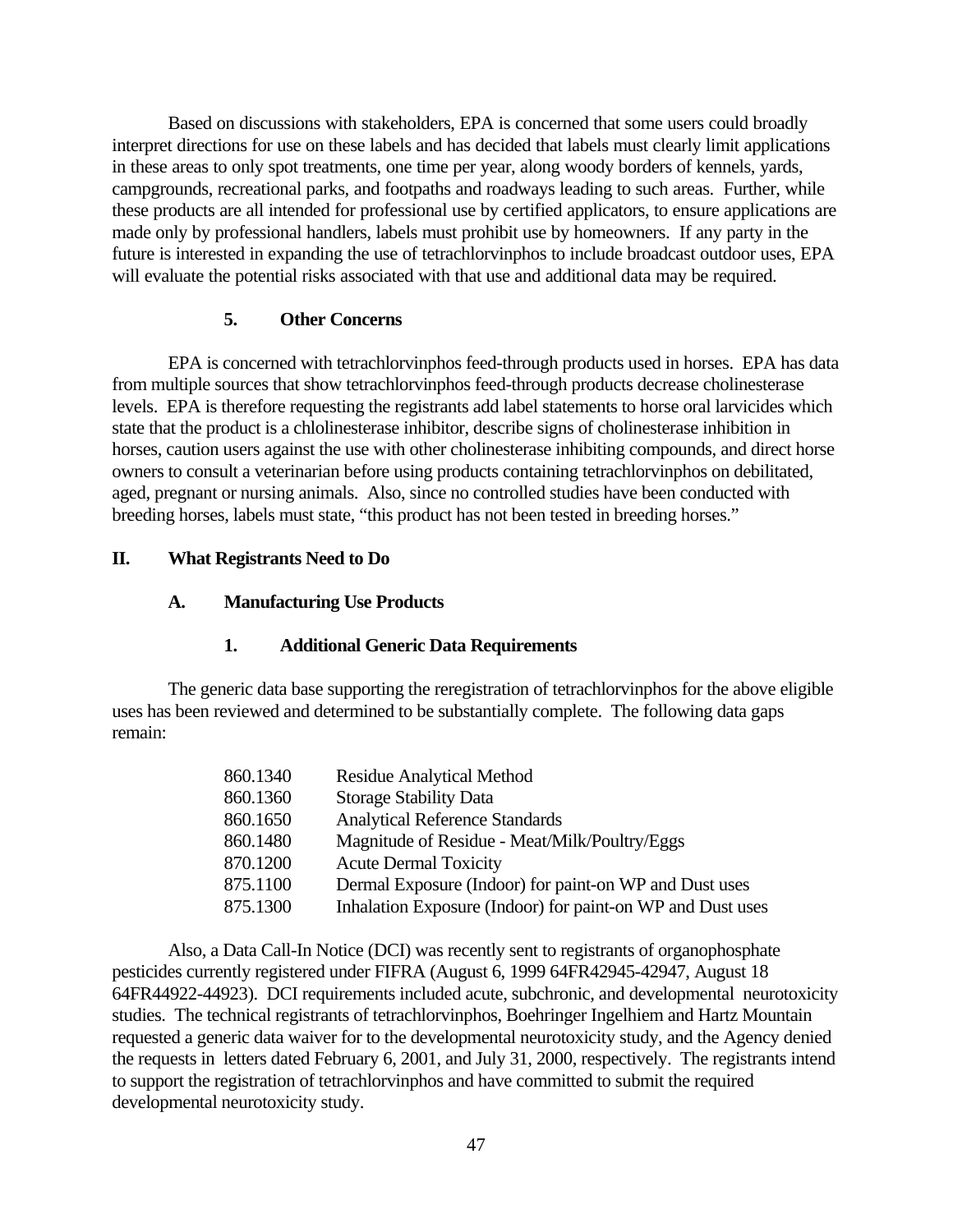Based on discussions with stakeholders, EPA is concerned that some users could broadly interpret directions for use on these labels and has decided that labels must clearly limit applications in these areas to only spot treatments, one time per year, along woody borders of kennels, yards, campgrounds, recreational parks, and footpaths and roadways leading to such areas. Further, while these products are all intended for professional use by certified applicators, to ensure applications are made only by professional handlers, labels must prohibit use by homeowners. If any party in the future is interested in expanding the use of tetrachlorvinphos to include broadcast outdoor uses, EPA will evaluate the potential risks associated with that use and additional data may be required.

#### **5. Other Concerns**

EPA is concerned with tetrachlorvinphos feed-through products used in horses. EPA has data from multiple sources that show tetrachlorvinphos feed-through products decrease cholinesterase levels. EPA is therefore requesting the registrants add label statements to horse oral larvicides which state that the product is a chlolinesterase inhibitor, describe signs of cholinesterase inhibition in horses, caution users against the use with other cholinesterase inhibiting compounds, and direct horse owners to consult a veterinarian before using products containing tetrachlorvinphos on debilitated, aged, pregnant or nursing animals. Also, since no controlled studies have been conducted with breeding horses, labels must state, "this product has not been tested in breeding horses."

#### **II. What Registrants Need to Do**

#### **A. Manufacturing Use Products**

## **1. Additional Generic Data Requirements**

The generic data base supporting the reregistration of tetrachlorvinphos for the above eligible uses has been reviewed and determined to be substantially complete. The following data gaps remain:

| 860.1340 | <b>Residue Analytical Method</b>                           |
|----------|------------------------------------------------------------|
| 860.1360 | <b>Storage Stability Data</b>                              |
| 860.1650 | <b>Analytical Reference Standards</b>                      |
| 860.1480 | Magnitude of Residue - Meat/Milk/Poultry/Eggs              |
| 870.1200 | <b>Acute Dermal Toxicity</b>                               |
| 875.1100 | Dermal Exposure (Indoor) for paint-on WP and Dust uses     |
| 875.1300 | Inhalation Exposure (Indoor) for paint-on WP and Dust uses |

Also, a Data Call-In Notice (DCI) was recently sent to registrants of organophosphate pesticides currently registered under FIFRA (August 6, 1999 64FR42945-42947, August 18 64FR44922-44923). DCI requirements included acute, subchronic, and developmental neurotoxicity studies. The technical registrants of tetrachlorvinphos, Boehringer Ingelhiem and Hartz Mountain requested a generic data waiver for to the developmental neurotoxicity study, and the Agency denied the requests in letters dated February 6, 2001, and July 31, 2000, respectively. The registrants intend to support the registration of tetrachlorvinphos and have committed to submit the required developmental neurotoxicity study.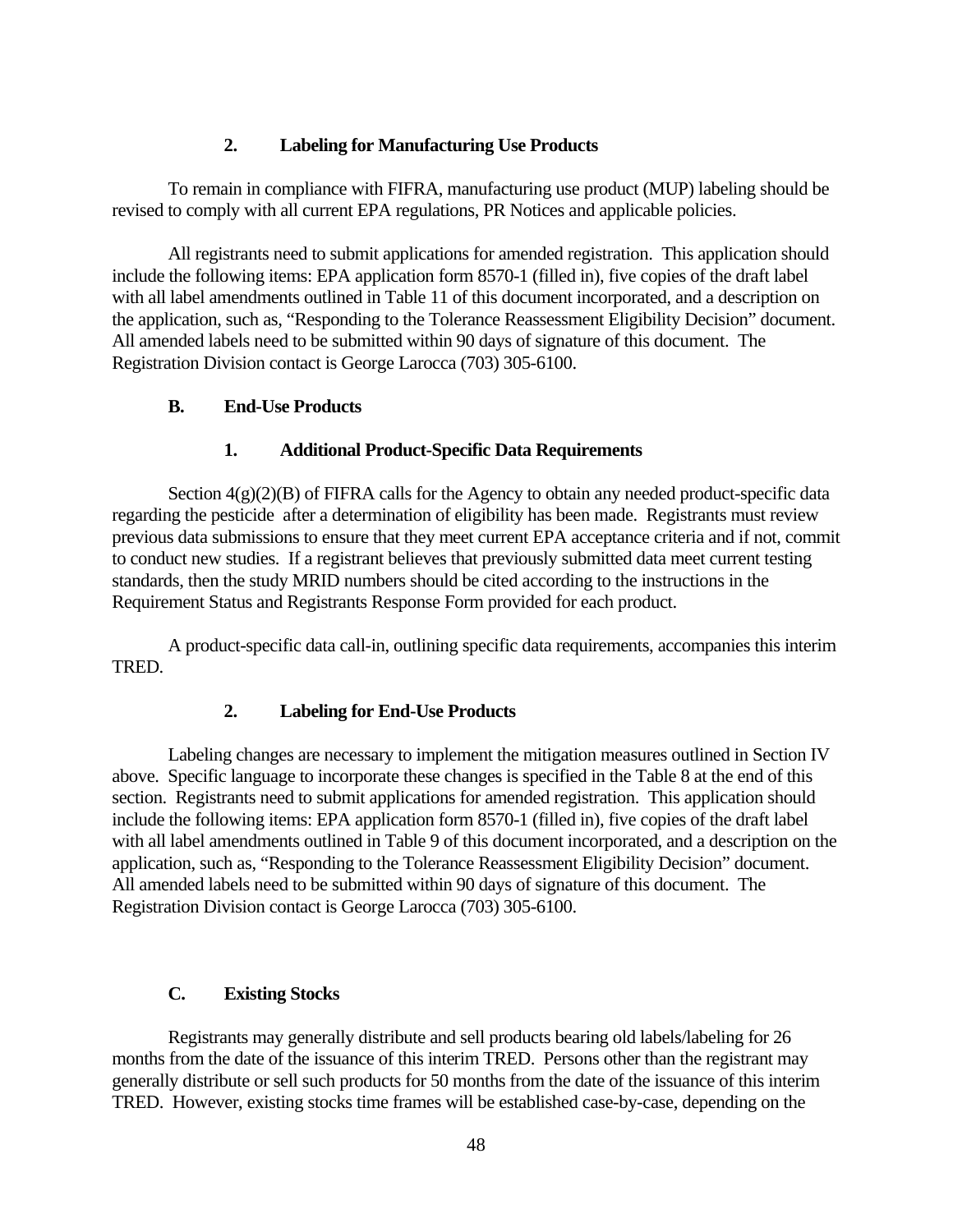## **2. Labeling for Manufacturing Use Products**

To remain in compliance with FIFRA, manufacturing use product (MUP) labeling should be revised to comply with all current EPA regulations, PR Notices and applicable policies.

All registrants need to submit applications for amended registration. This application should include the following items: EPA application form 8570-1 (filled in), five copies of the draft label with all label amendments outlined in Table 11 of this document incorporated, and a description on the application, such as, "Responding to the Tolerance Reassessment Eligibility Decision" document. All amended labels need to be submitted within 90 days of signature of this document. The Registration Division contact is George Larocca (703) 305-6100.

## **B. End-Use Products**

## **1. Additional Product-Specific Data Requirements**

Section  $4(g)(2)(B)$  of FIFRA calls for the Agency to obtain any needed product-specific data regarding the pesticide after a determination of eligibility has been made. Registrants must review previous data submissions to ensure that they meet current EPA acceptance criteria and if not, commit to conduct new studies. If a registrant believes that previously submitted data meet current testing standards, then the study MRID numbers should be cited according to the instructions in the Requirement Status and Registrants Response Form provided for each product.

A product-specific data call-in, outlining specific data requirements, accompanies this interim TRED.

## **2. Labeling for End-Use Products**

Labeling changes are necessary to implement the mitigation measures outlined in Section IV above. Specific language to incorporate these changes is specified in the Table 8 at the end of this section. Registrants need to submit applications for amended registration. This application should include the following items: EPA application form 8570-1 (filled in), five copies of the draft label with all label amendments outlined in Table 9 of this document incorporated, and a description on the application, such as, "Responding to the Tolerance Reassessment Eligibility Decision" document. All amended labels need to be submitted within 90 days of signature of this document. The Registration Division contact is George Larocca (703) 305-6100.

## **C. Existing Stocks**

Registrants may generally distribute and sell products bearing old labels/labeling for 26 months from the date of the issuance of this interim TRED. Persons other than the registrant may generally distribute or sell such products for 50 months from the date of the issuance of this interim TRED. However, existing stocks time frames will be established case-by-case, depending on the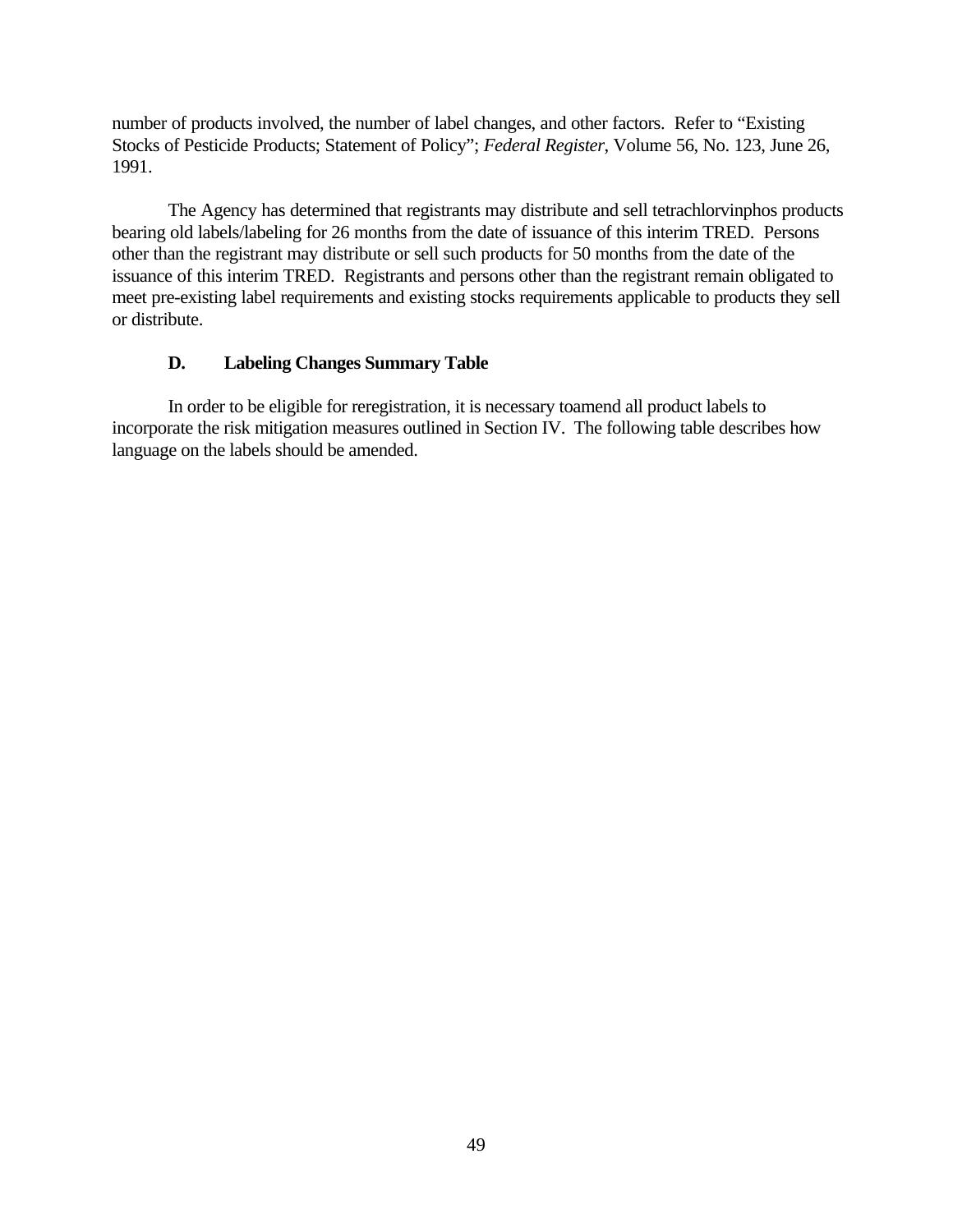number of products involved, the number of label changes, and other factors. Refer to "Existing Stocks of Pesticide Products; Statement of Policy"; *Federal Register*, Volume 56, No. 123, June 26, 1991.

The Agency has determined that registrants may distribute and sell tetrachlorvinphos products bearing old labels/labeling for 26 months from the date of issuance of this interim TRED. Persons other than the registrant may distribute or sell such products for 50 months from the date of the issuance of this interim TRED. Registrants and persons other than the registrant remain obligated to meet pre-existing label requirements and existing stocks requirements applicable to products they sell or distribute.

## **D. Labeling Changes Summary Table**

In order to be eligible for reregistration, it is necessary toamend all product labels to incorporate the risk mitigation measures outlined in Section IV. The following table describes how language on the labels should be amended.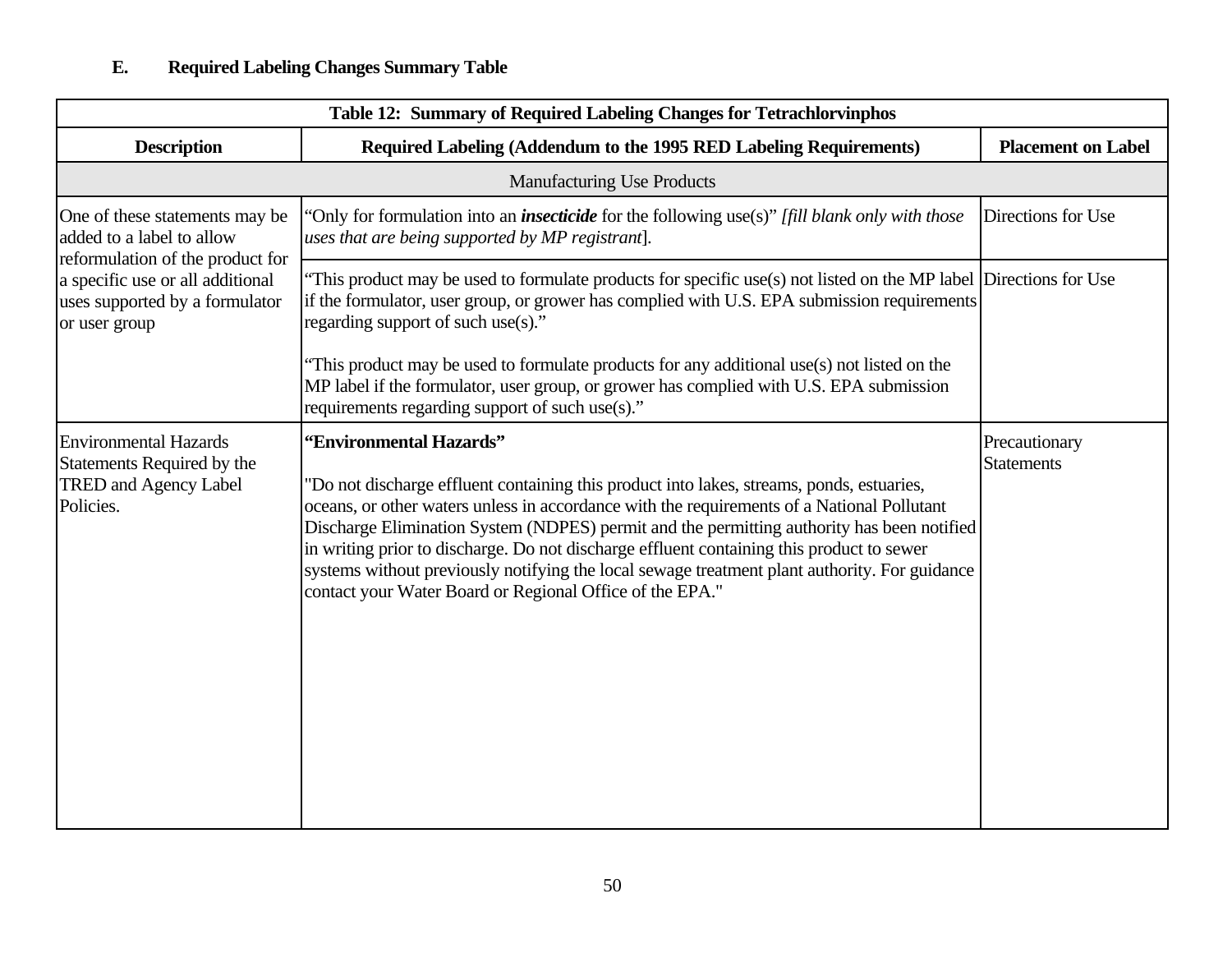| Table 12: Summary of Required Labeling Changes for Tetrachlorvinphos                                                                                                                   |                                                                                                                                                                                                                                                                                                                                                                                                                                                                                                                                                                            |                                    |  |  |
|----------------------------------------------------------------------------------------------------------------------------------------------------------------------------------------|----------------------------------------------------------------------------------------------------------------------------------------------------------------------------------------------------------------------------------------------------------------------------------------------------------------------------------------------------------------------------------------------------------------------------------------------------------------------------------------------------------------------------------------------------------------------------|------------------------------------|--|--|
| <b>Description</b>                                                                                                                                                                     | Required Labeling (Addendum to the 1995 RED Labeling Requirements)                                                                                                                                                                                                                                                                                                                                                                                                                                                                                                         | <b>Placement on Label</b>          |  |  |
|                                                                                                                                                                                        | <b>Manufacturing Use Products</b>                                                                                                                                                                                                                                                                                                                                                                                                                                                                                                                                          |                                    |  |  |
| One of these statements may be<br>added to a label to allow<br>reformulation of the product for<br>a specific use or all additional<br>uses supported by a formulator<br>or user group | 'Only for formulation into an <i>insecticide</i> for the following use(s)" [fill blank only with those<br>uses that are being supported by MP registrant].                                                                                                                                                                                                                                                                                                                                                                                                                 | Directions for Use                 |  |  |
|                                                                                                                                                                                        | This product may be used to formulate products for specific use(s) not listed on the MP label Directions for Use<br>if the formulator, user group, or grower has complied with U.S. EPA submission requirements<br>regarding support of such use(s)."                                                                                                                                                                                                                                                                                                                      |                                    |  |  |
|                                                                                                                                                                                        | This product may be used to formulate products for any additional use(s) not listed on the<br>MP label if the formulator, user group, or grower has complied with U.S. EPA submission<br>requirements regarding support of such use(s)."                                                                                                                                                                                                                                                                                                                                   |                                    |  |  |
| <b>Environmental Hazards</b><br>Statements Required by the<br><b>TRED and Agency Label</b><br>Policies.                                                                                | 'Environmental Hazards"<br>"Do not discharge effluent containing this product into lakes, streams, ponds, estuaries,<br>oceans, or other waters unless in accordance with the requirements of a National Pollutant<br>Discharge Elimination System (NDPES) permit and the permitting authority has been notified<br>in writing prior to discharge. Do not discharge effluent containing this product to sewer<br>systems without previously notifying the local sewage treatment plant authority. For guidance<br>contact your Water Board or Regional Office of the EPA." | Precautionary<br><b>Statements</b> |  |  |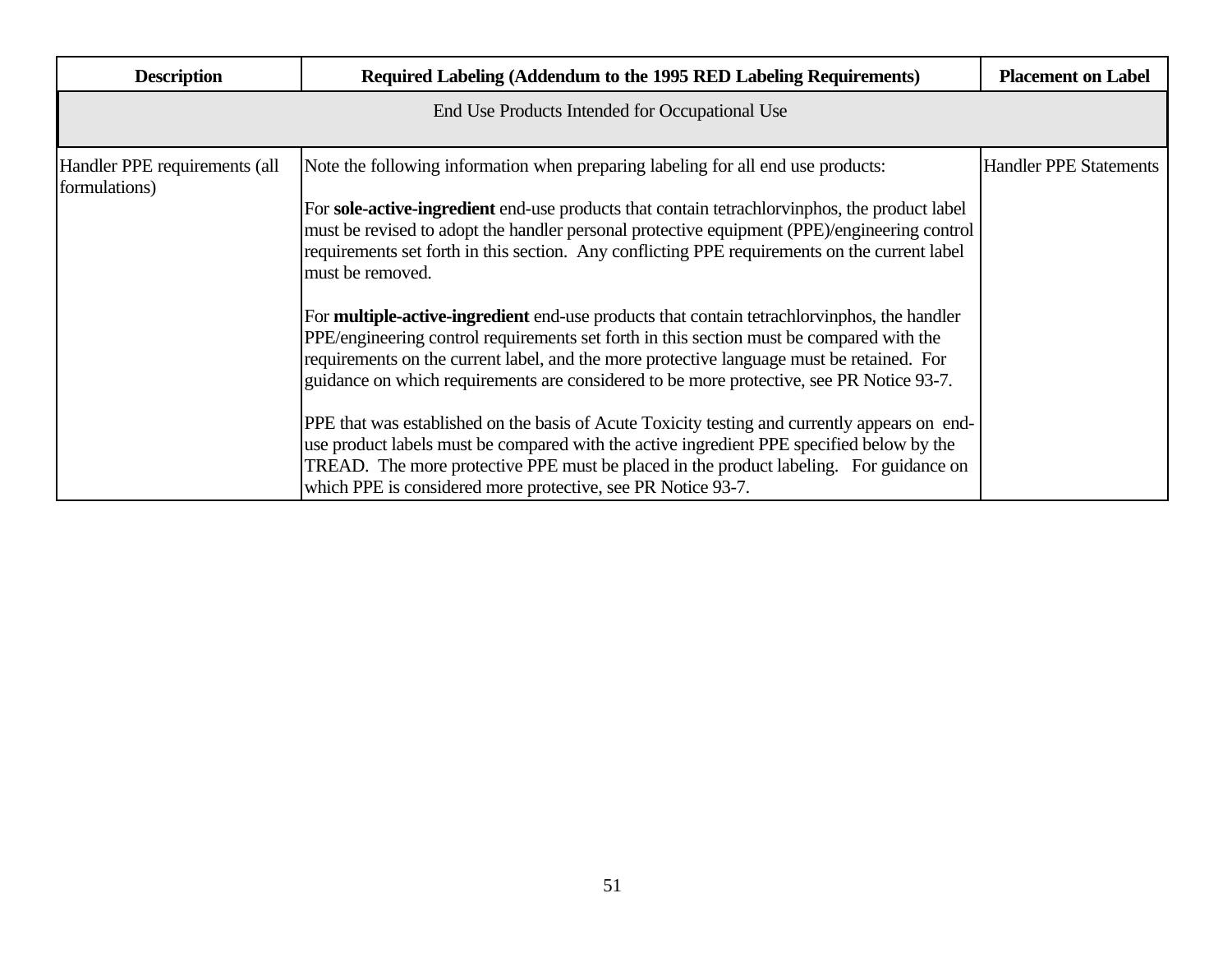| <b>Description</b>                             | Required Labeling (Addendum to the 1995 RED Labeling Requirements)                                                                                                                                                                                                                                                                                                                                                                                                                                                                                                                                                                                                                                                                                                                                                                                                                                                                                                                                                                                                                                                                                        | <b>Placement on Label</b>     |
|------------------------------------------------|-----------------------------------------------------------------------------------------------------------------------------------------------------------------------------------------------------------------------------------------------------------------------------------------------------------------------------------------------------------------------------------------------------------------------------------------------------------------------------------------------------------------------------------------------------------------------------------------------------------------------------------------------------------------------------------------------------------------------------------------------------------------------------------------------------------------------------------------------------------------------------------------------------------------------------------------------------------------------------------------------------------------------------------------------------------------------------------------------------------------------------------------------------------|-------------------------------|
|                                                | End Use Products Intended for Occupational Use                                                                                                                                                                                                                                                                                                                                                                                                                                                                                                                                                                                                                                                                                                                                                                                                                                                                                                                                                                                                                                                                                                            |                               |
| Handler PPE requirements (all<br>formulations) | Note the following information when preparing labeling for all end use products:<br>For sole-active-ingredient end-use products that contain tetrachloryinphos, the product label<br>must be revised to adopt the handler personal protective equipment (PPE)/engineering control<br>requirements set forth in this section. Any conflicting PPE requirements on the current label<br>must be removed.<br>For <b>multiple-active-ingredient</b> end-use products that contain tetrachlorvinphos, the handler<br>PPE/engineering control requirements set forth in this section must be compared with the<br>requirements on the current label, and the more protective language must be retained. For<br>guidance on which requirements are considered to be more protective, see PR Notice 93-7.<br>PPE that was established on the basis of Acute Toxicity testing and currently appears on end-<br>use product labels must be compared with the active ingredient PPE specified below by the<br>TREAD. The more protective PPE must be placed in the product labeling. For guidance on<br>which PPE is considered more protective, see PR Notice 93-7. | <b>Handler PPE Statements</b> |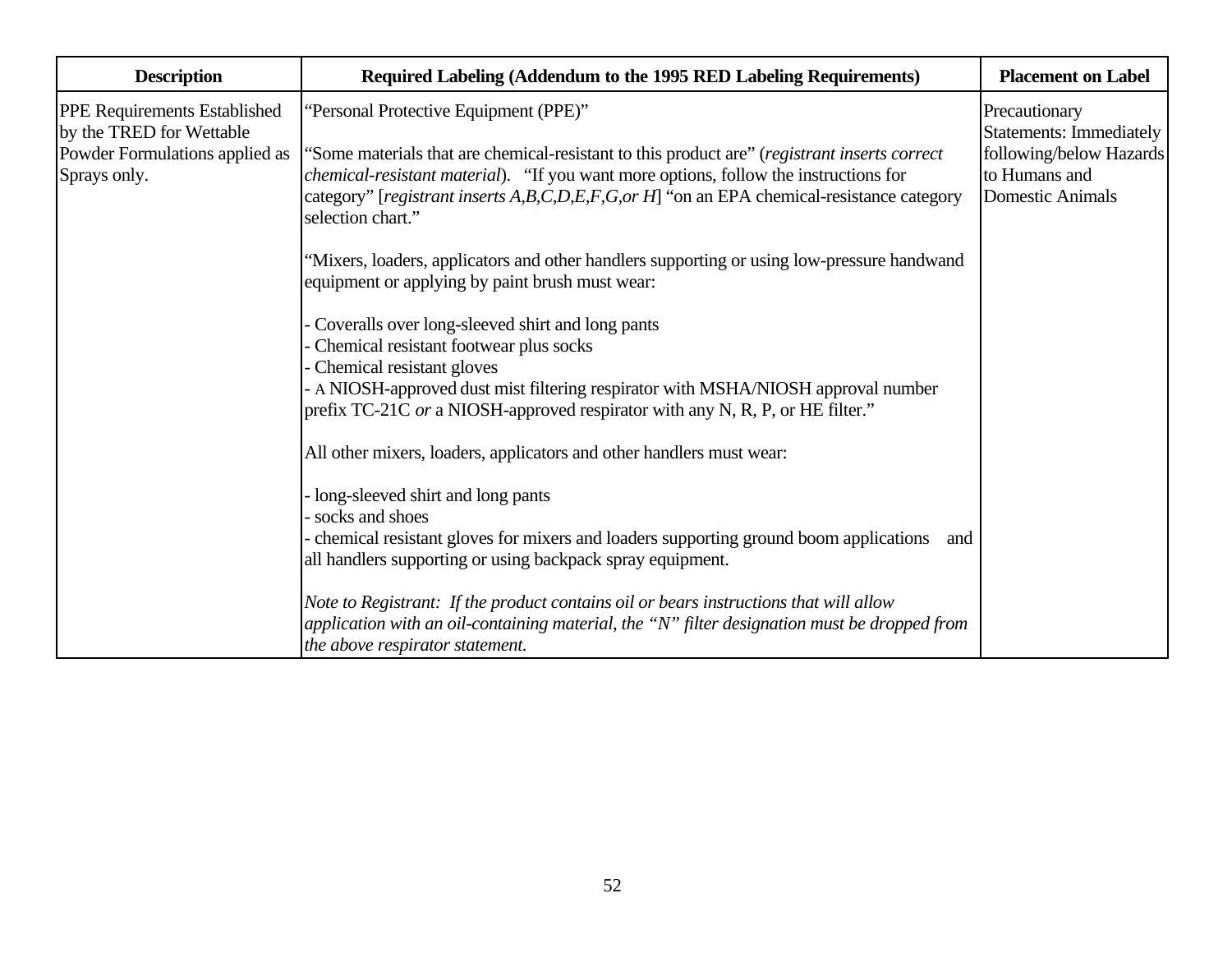| <b>Description</b>                                                         | Required Labeling (Addendum to the 1995 RED Labeling Requirements)                                                                                                                                                                                                                                            | <b>Placement on Label</b>                                                               |
|----------------------------------------------------------------------------|---------------------------------------------------------------------------------------------------------------------------------------------------------------------------------------------------------------------------------------------------------------------------------------------------------------|-----------------------------------------------------------------------------------------|
| PPE Requirements Established                                               | "Personal Protective Equipment (PPE)"                                                                                                                                                                                                                                                                         | Precautionary                                                                           |
| by the TRED for Wettable<br>Powder Formulations applied as<br>Sprays only. | Some materials that are chemical-resistant to this product are" (registrant inserts correct<br><i>chemical-resistant material</i> ). "If you want more options, follow the instructions for<br>category" [registrant inserts A,B,C,D,E,F,G,or H] "on an EPA chemical-resistance category<br>selection chart." | Statements: Immediately<br>following/below Hazards<br>to Humans and<br>Domestic Animals |
|                                                                            | 'Mixers, loaders, applicators and other handlers supporting or using low-pressure handwand<br>equipment or applying by paint brush must wear:                                                                                                                                                                 |                                                                                         |
|                                                                            | Coveralls over long-sleeved shirt and long pants<br>Chemical resistant footwear plus socks<br>Chemical resistant gloves                                                                                                                                                                                       |                                                                                         |
|                                                                            | A NIOSH-approved dust mist filtering respirator with MSHA/NIOSH approval number<br>prefix TC-21C or a NIOSH-approved respirator with any N, R, P, or HE filter."                                                                                                                                              |                                                                                         |
|                                                                            | All other mixers, loaders, applicators and other handlers must wear:                                                                                                                                                                                                                                          |                                                                                         |
|                                                                            | long-sleeved shirt and long pants<br>socks and shoes                                                                                                                                                                                                                                                          |                                                                                         |
|                                                                            | chemical resistant gloves for mixers and loaders supporting ground boom applications<br>and<br>all handlers supporting or using backpack spray equipment.                                                                                                                                                     |                                                                                         |
|                                                                            | Note to Registrant: If the product contains oil or bears instructions that will allow<br>application with an oil-containing material, the "N" filter designation must be dropped from<br>the above respirator statement.                                                                                      |                                                                                         |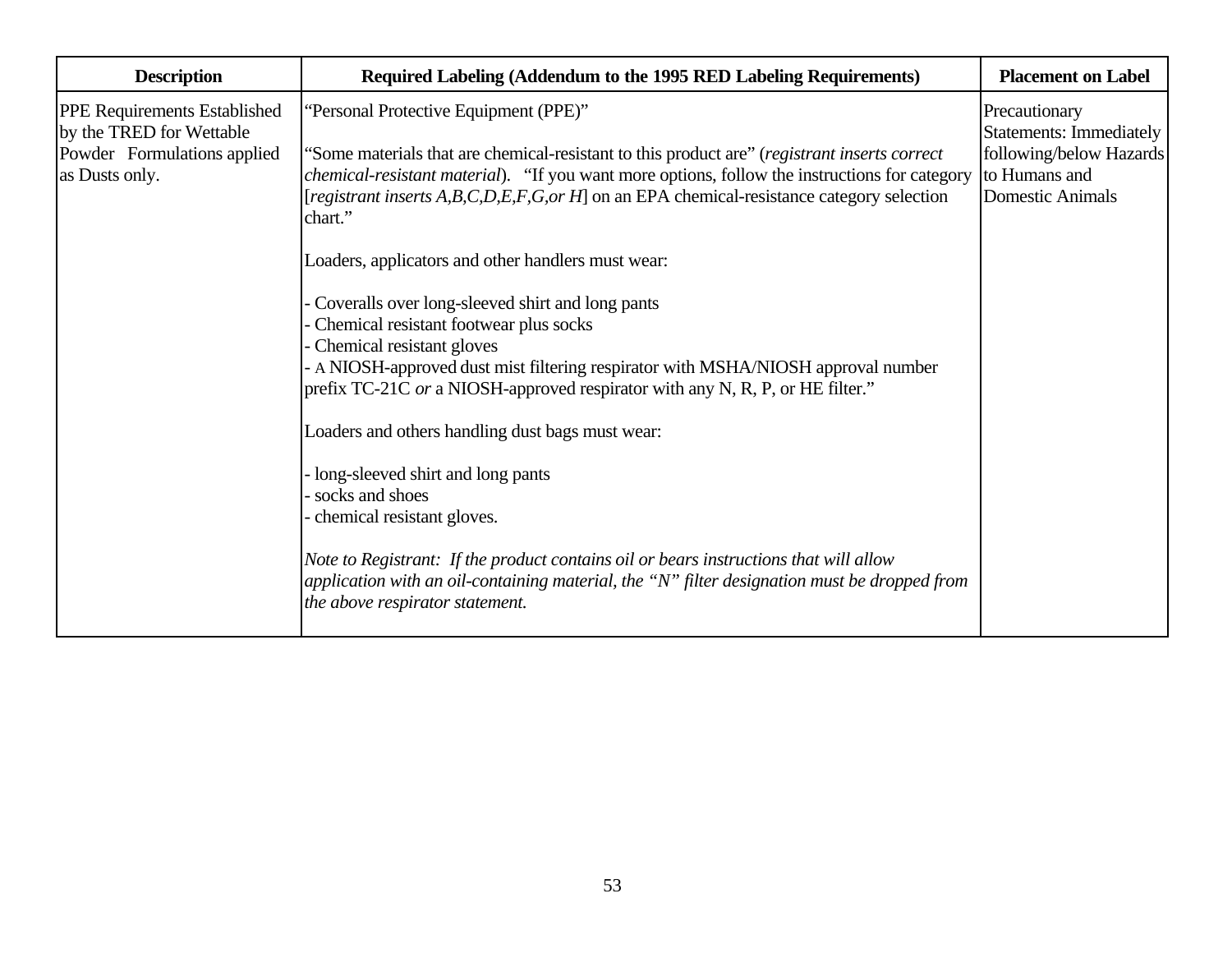| <b>Description</b>                                                                                               | Required Labeling (Addendum to the 1995 RED Labeling Requirements)<br><b>Placement on Label</b>                                                                                                                                                                                                                                                                                                                                                                                                                                                                                                                                                                                                                                    |                                                                                                                 |  |  |
|------------------------------------------------------------------------------------------------------------------|------------------------------------------------------------------------------------------------------------------------------------------------------------------------------------------------------------------------------------------------------------------------------------------------------------------------------------------------------------------------------------------------------------------------------------------------------------------------------------------------------------------------------------------------------------------------------------------------------------------------------------------------------------------------------------------------------------------------------------|-----------------------------------------------------------------------------------------------------------------|--|--|
| <b>PPE Requirements Established</b><br>by the TRED for Wettable<br>Powder Formulations applied<br>as Dusts only. | "Personal Protective Equipment (PPE)"<br>"Some materials that are chemical-resistant to this product are" (registrant inserts correct<br><i>chemical-resistant material</i> ). "If you want more options, follow the instructions for category<br>[registrant inserts A,B,C,D,E,F,G,or H] on an EPA chemical-resistance category selection                                                                                                                                                                                                                                                                                                                                                                                         | Precautionary<br>Statements: Immediately<br>following/below Hazards<br>to Humans and<br><b>Domestic Animals</b> |  |  |
|                                                                                                                  | chart."<br>Loaders, applicators and other handlers must wear:<br>Coveralls over long-sleeved shirt and long pants<br>Chemical resistant footwear plus socks<br>Chemical resistant gloves<br>A NIOSH-approved dust mist filtering respirator with MSHA/NIOSH approval number<br>prefix TC-21C or a NIOSH-approved respirator with any N, R, P, or HE filter."<br>Loaders and others handling dust bags must wear:<br>long-sleeved shirt and long pants<br>socks and shoes<br>chemical resistant gloves.<br>Note to Registrant: If the product contains oil or bears instructions that will allow<br>application with an oil-containing material, the "N" filter designation must be dropped from<br>the above respirator statement. |                                                                                                                 |  |  |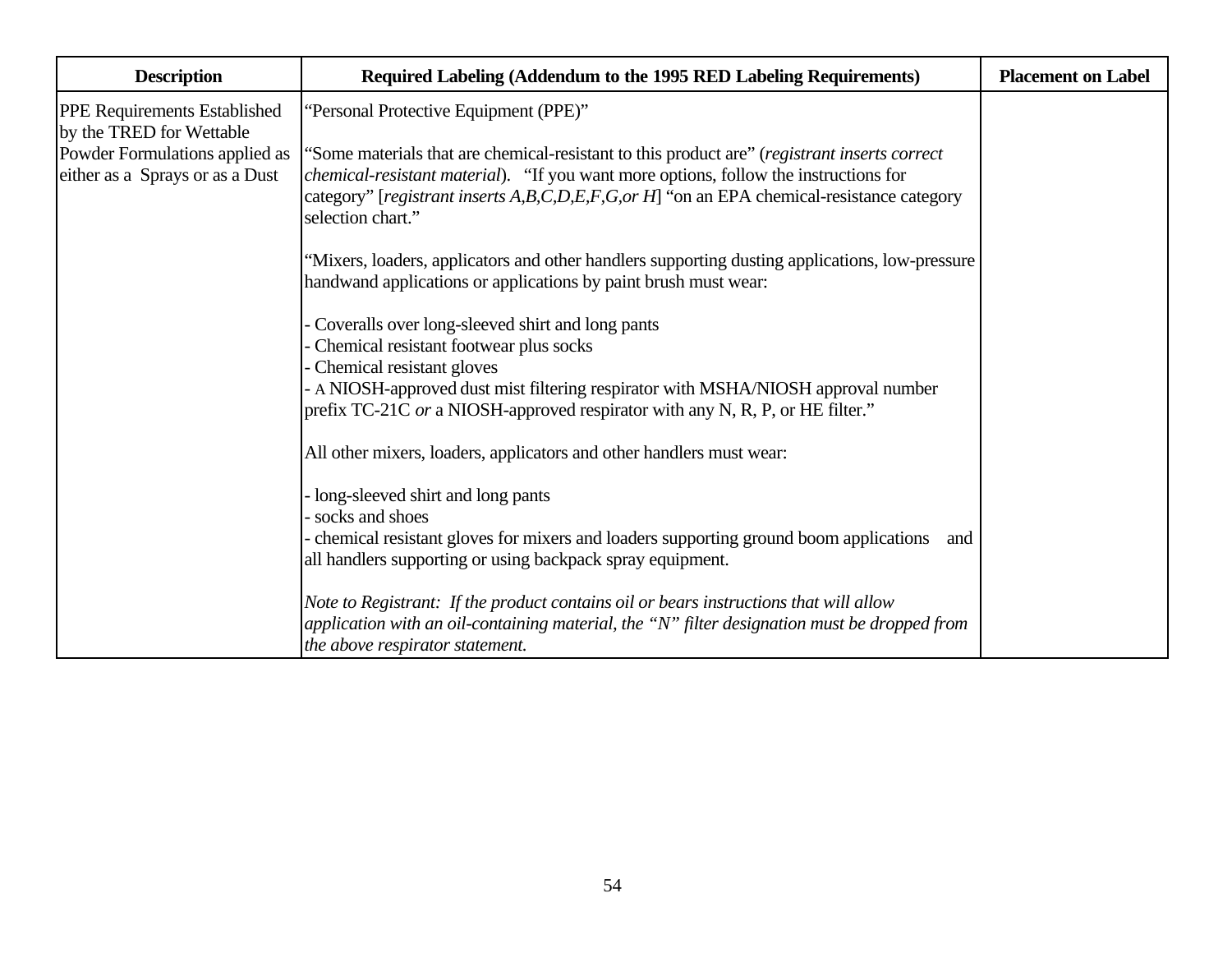| <b>Description</b>                                                | Required Labeling (Addendum to the 1995 RED Labeling Requirements)                                                                                                                                                                                                                                             | <b>Placement on Label</b> |
|-------------------------------------------------------------------|----------------------------------------------------------------------------------------------------------------------------------------------------------------------------------------------------------------------------------------------------------------------------------------------------------------|---------------------------|
| <b>PPE Requirements Established</b><br>by the TRED for Wettable   | 'Personal Protective Equipment (PPE)"                                                                                                                                                                                                                                                                          |                           |
| Powder Formulations applied as<br>either as a Sprays or as a Dust | "Some materials that are chemical-resistant to this product are" (registrant inserts correct<br><i>chemical-resistant material</i> ). "If you want more options, follow the instructions for<br>category" [registrant inserts A,B,C,D,E,F,G,or H] "on an EPA chemical-resistance category<br>selection chart." |                           |
|                                                                   | "Mixers, loaders, applicators and other handlers supporting dusting applications, low-pressure<br>handwand applications or applications by paint brush must wear:                                                                                                                                              |                           |
|                                                                   | Coveralls over long-sleeved shirt and long pants<br>Chemical resistant footwear plus socks<br>Chemical resistant gloves<br>A NIOSH-approved dust mist filtering respirator with MSHA/NIOSH approval number<br>prefix TC-21C or a NIOSH-approved respirator with any N, R, P, or HE filter."                    |                           |
|                                                                   | All other mixers, loaders, applicators and other handlers must wear:                                                                                                                                                                                                                                           |                           |
|                                                                   | long-sleeved shirt and long pants<br>socks and shoes<br>chemical resistant gloves for mixers and loaders supporting ground boom applications<br>and<br>all handlers supporting or using backpack spray equipment.                                                                                              |                           |
|                                                                   | Note to Registrant: If the product contains oil or bears instructions that will allow<br>application with an oil-containing material, the "N" filter designation must be dropped from<br>the above respirator statement.                                                                                       |                           |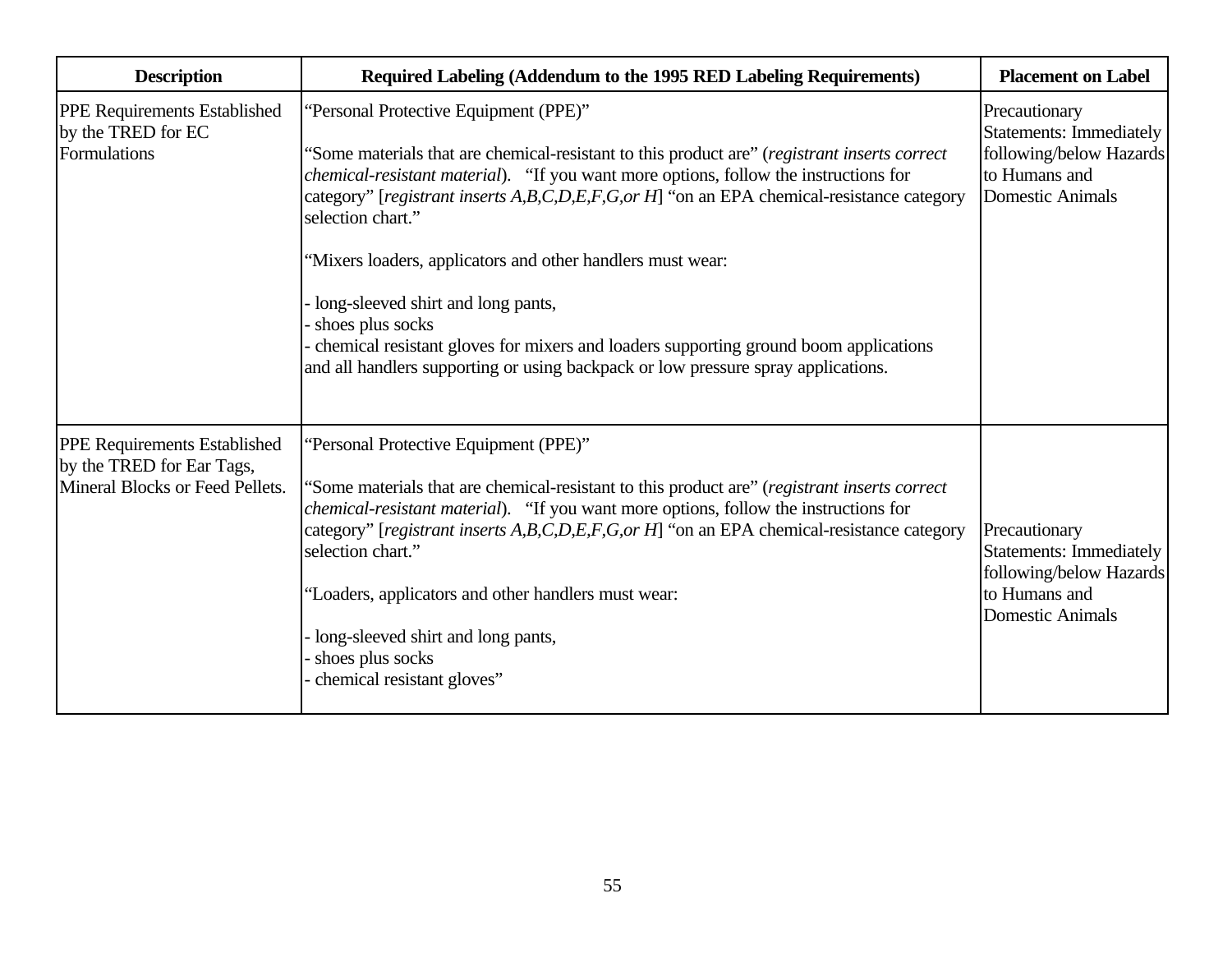| <b>Description</b>                                                                                  | Required Labeling (Addendum to the 1995 RED Labeling Requirements)                                                                                                                                                                                                                                                                                                                                                                                                                                                                                                                                                                                          | <b>Placement on Label</b>                                                                                       |
|-----------------------------------------------------------------------------------------------------|-------------------------------------------------------------------------------------------------------------------------------------------------------------------------------------------------------------------------------------------------------------------------------------------------------------------------------------------------------------------------------------------------------------------------------------------------------------------------------------------------------------------------------------------------------------------------------------------------------------------------------------------------------------|-----------------------------------------------------------------------------------------------------------------|
| <b>PPE Requirements Established</b><br>by the TRED for EC<br>Formulations                           | "Personal Protective Equipment (PPE)"<br>Some materials that are chemical-resistant to this product are" (registrant inserts correct<br><i>chemical-resistant material</i> ). "If you want more options, follow the instructions for<br>category" [registrant inserts A,B,C,D,E,F,G,or H] "on an EPA chemical-resistance category<br>selection chart."<br>"Mixers loaders, applicators and other handlers must wear:<br>long-sleeved shirt and long pants,<br>shoes plus socks<br>chemical resistant gloves for mixers and loaders supporting ground boom applications<br>and all handlers supporting or using backpack or low pressure spray applications. | Precautionary<br>Statements: Immediately<br>following/below Hazards<br>to Humans and<br><b>Domestic Animals</b> |
| <b>PPE Requirements Established</b><br>by the TRED for Ear Tags,<br>Mineral Blocks or Feed Pellets. | "Personal Protective Equipment (PPE)"<br>'Some materials that are chemical-resistant to this product are" (registrant inserts correct<br><i>chemical-resistant material</i> ). "If you want more options, follow the instructions for<br>category" [registrant inserts A,B,C,D,E,F,G,or H] "on an EPA chemical-resistance category<br>selection chart."<br>"Loaders, applicators and other handlers must wear:<br>long-sleeved shirt and long pants,<br>shoes plus socks<br>chemical resistant gloves"                                                                                                                                                      | Precautionary<br>Statements: Immediately<br>following/below Hazards<br>to Humans and<br><b>Domestic Animals</b> |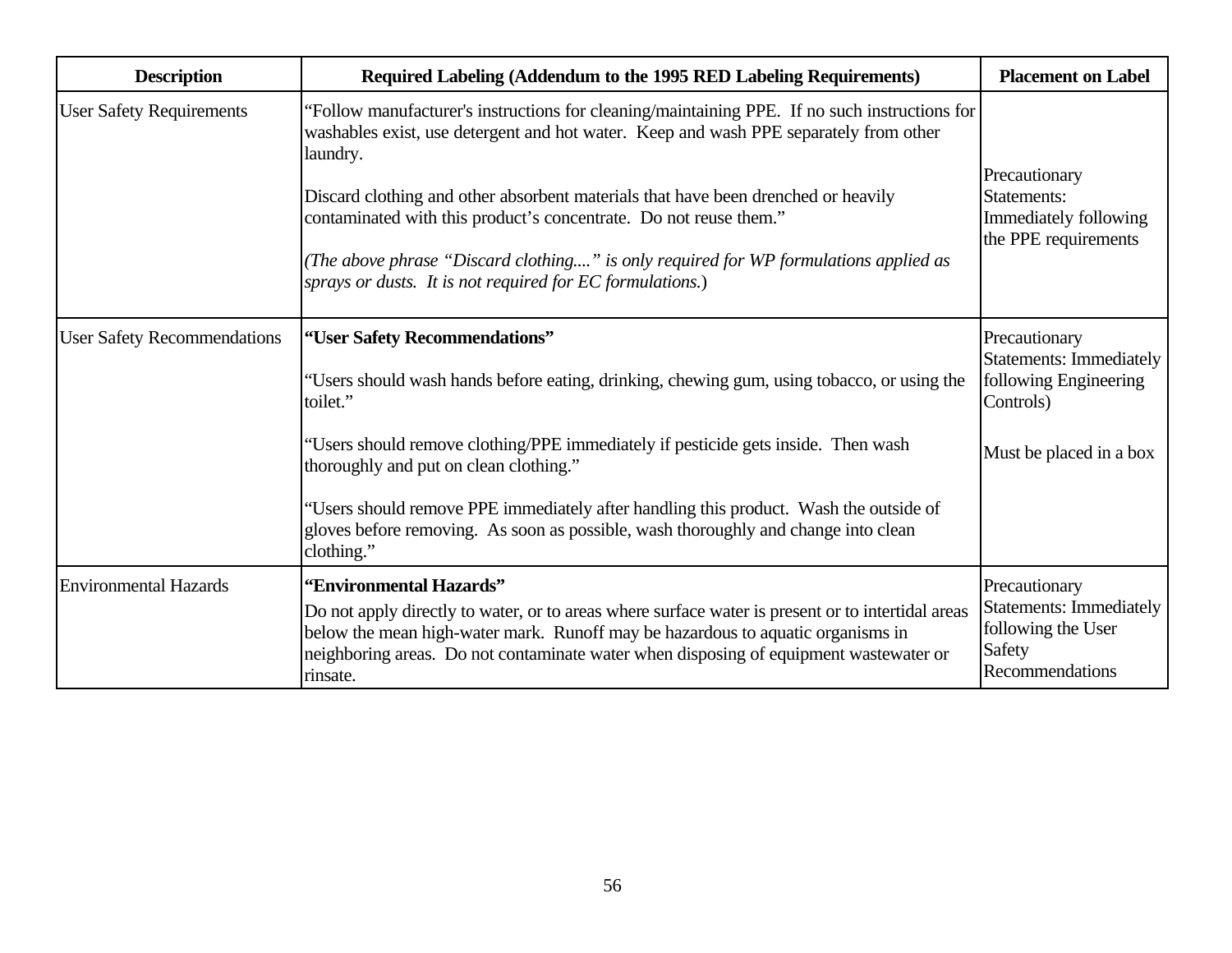| <b>Description</b>                 | Required Labeling (Addendum to the 1995 RED Labeling Requirements)                                                                                                                                                                                                                                                                                                                                                                                                                                                | <b>Placement on Label</b>                                                                          |
|------------------------------------|-------------------------------------------------------------------------------------------------------------------------------------------------------------------------------------------------------------------------------------------------------------------------------------------------------------------------------------------------------------------------------------------------------------------------------------------------------------------------------------------------------------------|----------------------------------------------------------------------------------------------------|
| <b>User Safety Requirements</b>    | 'Follow manufacturer's instructions for cleaning/maintaining PPE. If no such instructions for<br>washables exist, use detergent and hot water. Keep and wash PPE separately from other<br>laundry.<br>Discard clothing and other absorbent materials that have been drenched or heavily<br>contaminated with this product's concentrate. Do not reuse them."<br>(The above phrase "Discard clothing" is only required for WP formulations applied as<br>sprays or dusts. It is not required for EC formulations.) | Precautionary<br>Statements:<br>Immediately following<br>the PPE requirements                      |
| <b>User Safety Recommendations</b> | "User Safety Recommendations"<br>Precautionary<br><b>Statements: Immediately</b><br>following Engineering<br>"Users should wash hands before eating, drinking, chewing gum, using tobacco, or using the<br>toilet."<br>Controls)                                                                                                                                                                                                                                                                                  |                                                                                                    |
|                                    | "Users should remove clothing/PPE immediately if pesticide gets inside. Then wash<br>thoroughly and put on clean clothing."<br>"Users should remove PPE immediately after handling this product. Wash the outside of<br>gloves before removing. As soon as possible, wash thoroughly and change into clean<br>clothing."                                                                                                                                                                                          | Must be placed in a box                                                                            |
| <b>Environmental Hazards</b>       | "Environmental Hazards"<br>Do not apply directly to water, or to areas where surface water is present or to intertidal areas<br>below the mean high-water mark. Runoff may be hazardous to aquatic organisms in<br>neighboring areas. Do not contaminate water when disposing of equipment wastewater or<br>rinsate.                                                                                                                                                                                              | Precautionary<br><b>Statements: Immediately</b><br>following the User<br>Safety<br>Recommendations |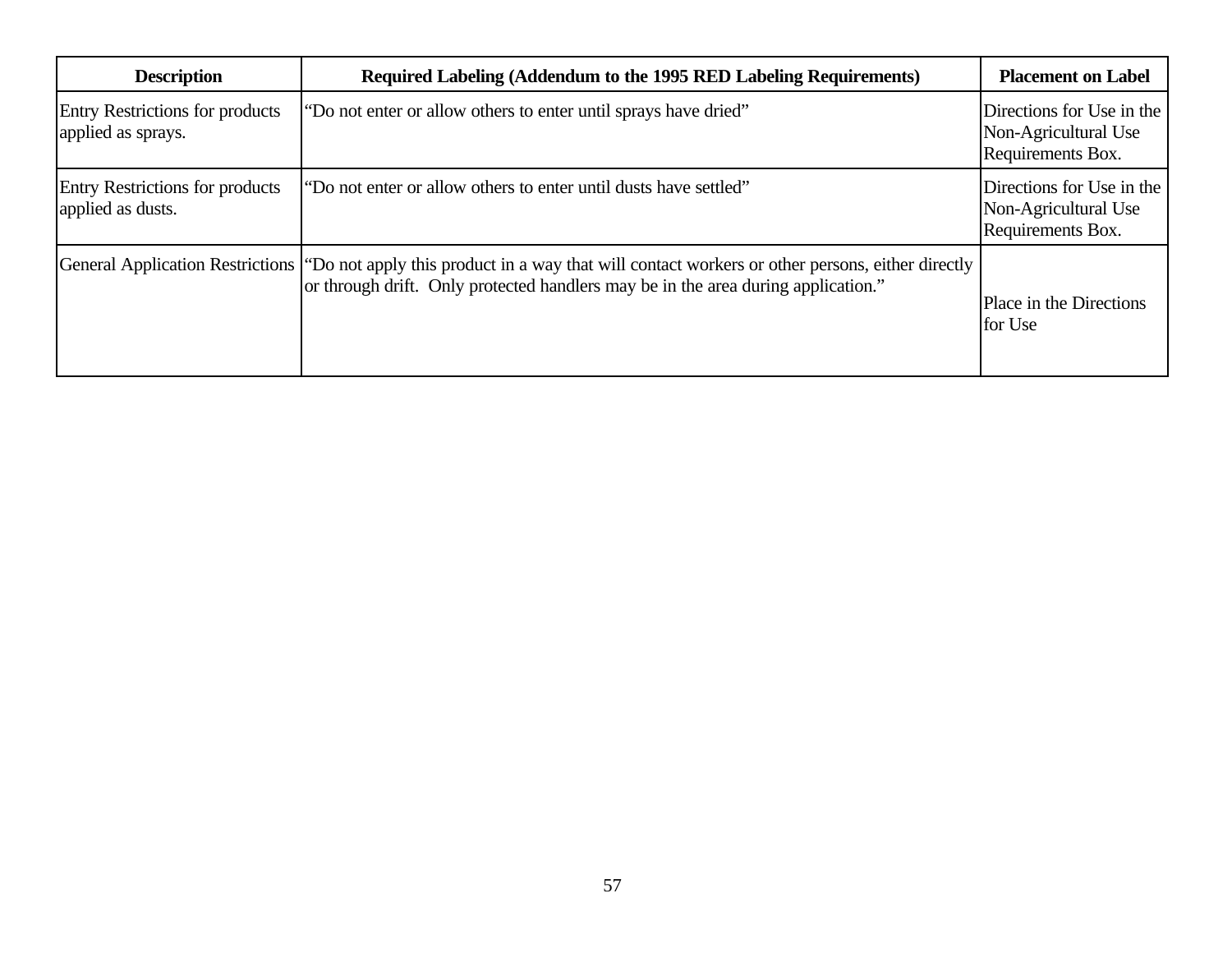| <b>Description</b>                                           | Required Labeling (Addendum to the 1995 RED Labeling Requirements)                                                                                                                                                     | <b>Placement on Label</b>                                              |
|--------------------------------------------------------------|------------------------------------------------------------------------------------------------------------------------------------------------------------------------------------------------------------------------|------------------------------------------------------------------------|
| <b>Entry Restrictions for products</b><br>applied as sprays. | "Do not enter or allow others to enter until sprays have dried"                                                                                                                                                        | Directions for Use in the<br>Non-Agricultural Use<br>Requirements Box. |
| <b>Entry Restrictions for products</b><br>applied as dusts.  | "Do not enter or allow others to enter until dusts have settled"                                                                                                                                                       | Directions for Use in the<br>Non-Agricultural Use<br>Requirements Box. |
|                                                              | General Application Restrictions ("Do not apply this product in a way that will contact workers or other persons, either directly<br>or through drift. Only protected handlers may be in the area during application." | Place in the Directions<br>for Use                                     |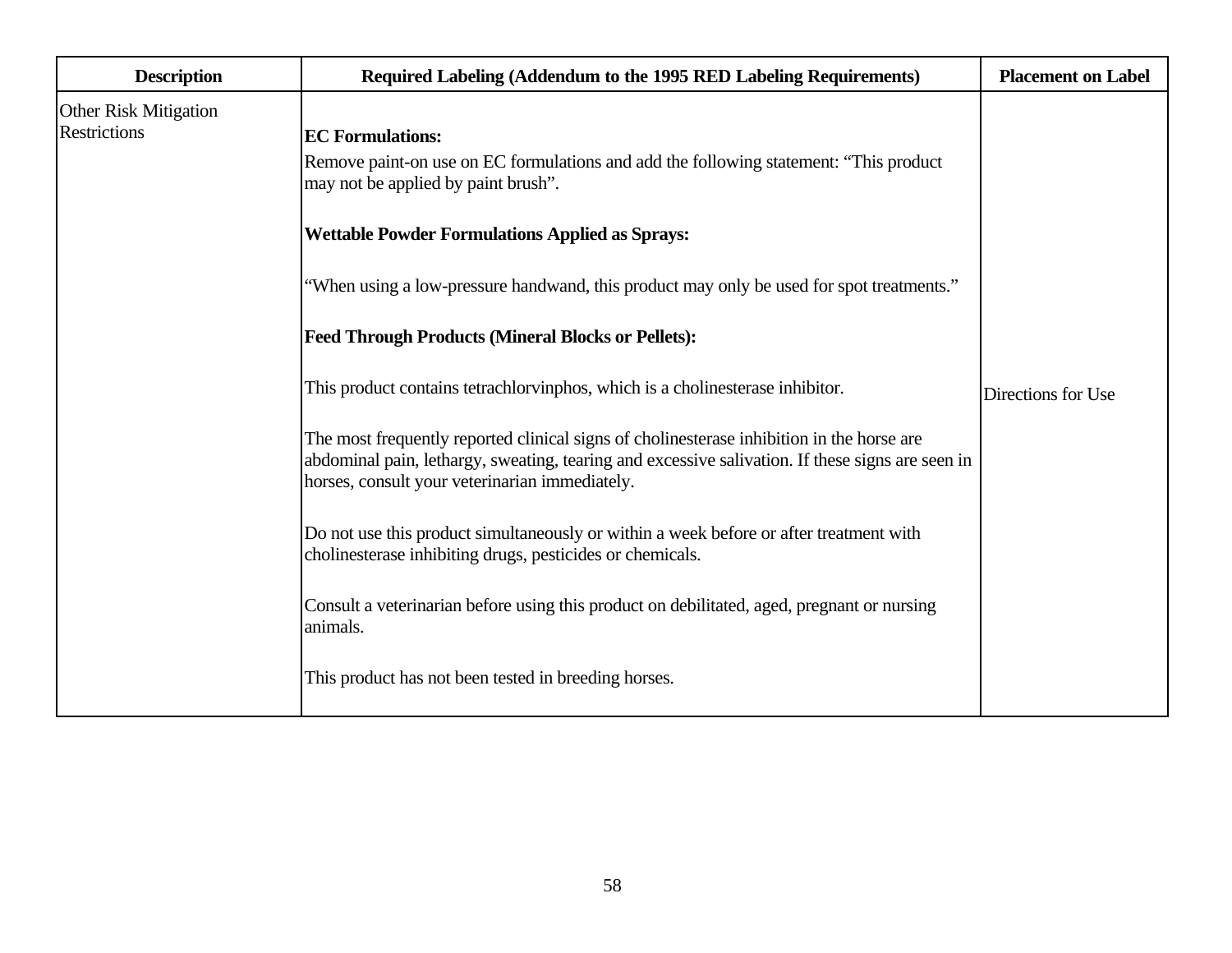| <b>Description</b>                                  | Required Labeling (Addendum to the 1995 RED Labeling Requirements)                                                                                                                                                                              | <b>Placement on Label</b> |
|-----------------------------------------------------|-------------------------------------------------------------------------------------------------------------------------------------------------------------------------------------------------------------------------------------------------|---------------------------|
| <b>Other Risk Mitigation</b><br><b>Restrictions</b> | <b>EC</b> Formulations:<br>Remove paint-on use on EC formulations and add the following statement: "This product"<br>may not be applied by paint brush".                                                                                        |                           |
|                                                     | <b>Wettable Powder Formulations Applied as Sprays:</b>                                                                                                                                                                                          |                           |
|                                                     | "When using a low-pressure handwand, this product may only be used for spot treatments."                                                                                                                                                        |                           |
|                                                     | <b>Feed Through Products (Mineral Blocks or Pellets):</b>                                                                                                                                                                                       |                           |
|                                                     | This product contains tetrachloryinphos, which is a cholinesterase inhibitor.                                                                                                                                                                   | Directions for Use        |
|                                                     | The most frequently reported clinical signs of cholinesterase inhibition in the horse are<br>abdominal pain, lethargy, sweating, tearing and excessive salivation. If these signs are seen in<br>horses, consult your veterinarian immediately. |                           |
|                                                     | Do not use this product simultaneously or within a week before or after treatment with<br>cholinesterase inhibiting drugs, pesticides or chemicals.                                                                                             |                           |
|                                                     | Consult a veterinarian before using this product on debilitated, aged, pregnant or nursing<br>animals.                                                                                                                                          |                           |
|                                                     | This product has not been tested in breeding horses.                                                                                                                                                                                            |                           |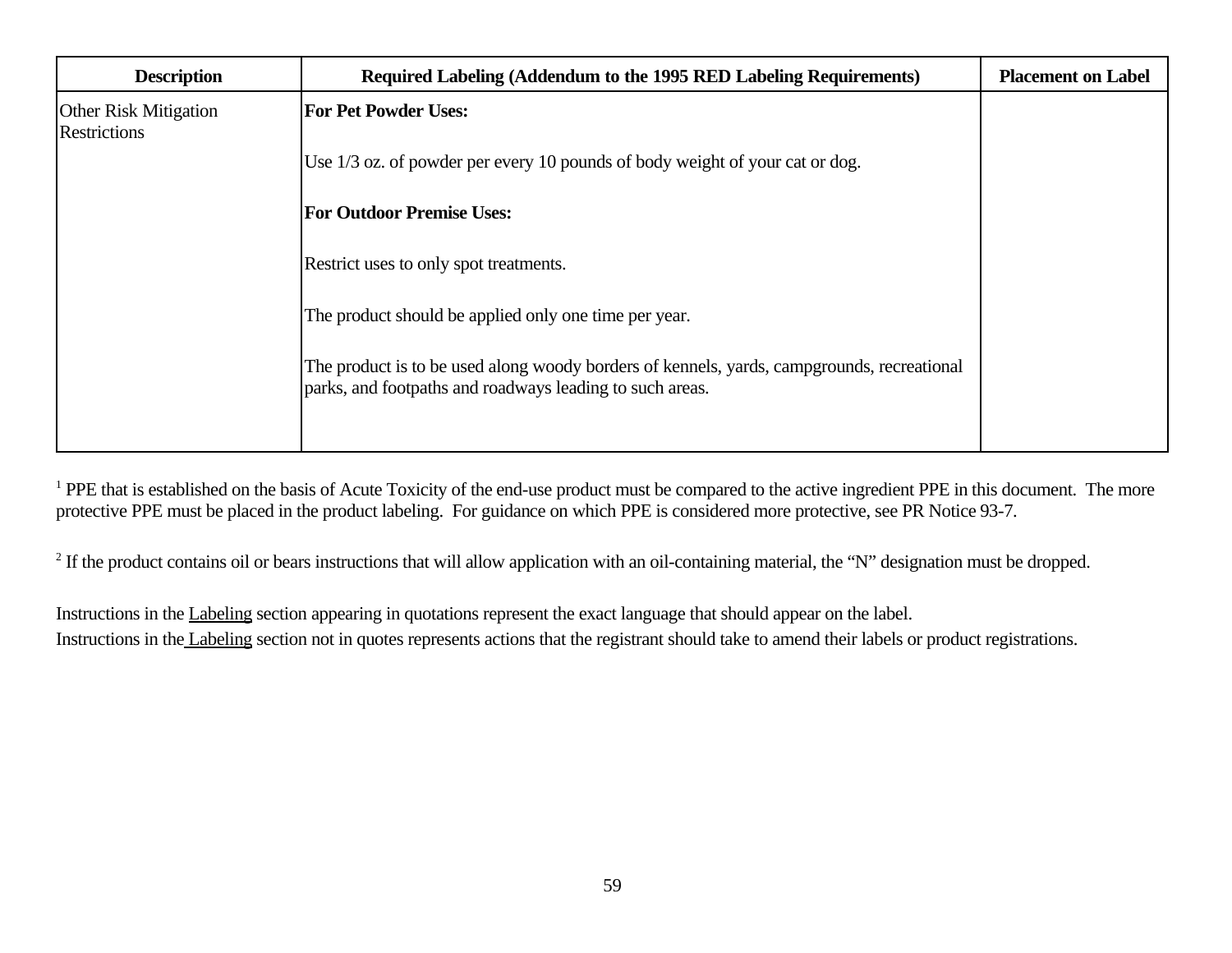| <b>Description</b>                           | Required Labeling (Addendum to the 1995 RED Labeling Requirements)                                                                                     | <b>Placement on Label</b> |
|----------------------------------------------|--------------------------------------------------------------------------------------------------------------------------------------------------------|---------------------------|
| <b>Other Risk Mitigation</b><br>Restrictions | <b>For Pet Powder Uses:</b>                                                                                                                            |                           |
|                                              | Use 1/3 oz. of powder per every 10 pounds of body weight of your cat or dog.                                                                           |                           |
|                                              | <b>For Outdoor Premise Uses:</b>                                                                                                                       |                           |
|                                              | Restrict uses to only spot treatments.                                                                                                                 |                           |
|                                              | The product should be applied only one time per year.                                                                                                  |                           |
|                                              | The product is to be used along woody borders of kennels, yards, campgrounds, recreational<br>parks, and footpaths and roadways leading to such areas. |                           |

<sup>1</sup> PPE that is established on the basis of Acute Toxicity of the end-use product must be compared to the active ingredient PPE in this document. The more protective PPE must be placed in the product labeling. For guidance on which PPE is considered more protective, see PR Notice 93-7.

 $2$  If the product contains oil or bears instructions that will allow application with an oil-containing material, the "N" designation must be dropped.

Instructions in the Labeling section appearing in quotations represent the exact language that should appear on the label. Instructions in the Labeling section not in quotes represents actions that the registrant should take to amend their labels or product registrations.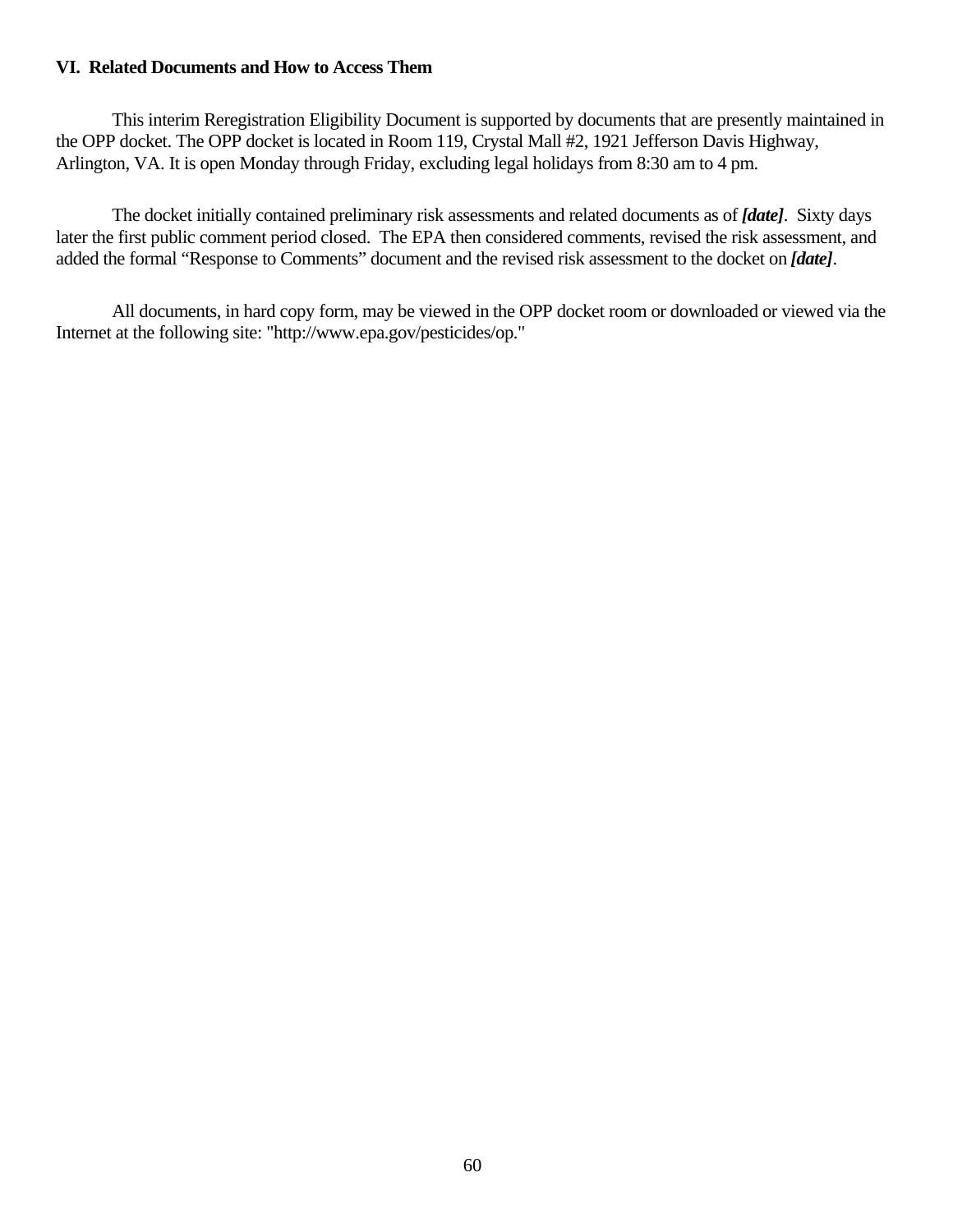## **VI. Related Documents and How to Access Them**

This interim Reregistration Eligibility Document is supported by documents that are presently maintained in the OPP docket. The OPP docket is located in Room 119, Crystal Mall #2, 1921 Jefferson Davis Highway, Arlington, VA. It is open Monday through Friday, excluding legal holidays from 8:30 am to 4 pm.

The docket initially contained preliminary risk assessments and related documents as of *[date]*. Sixty days later the first public comment period closed. The EPA then considered comments, revised the risk assessment, and added the formal "Response to Comments" document and the revised risk assessment to the docket on *[date]*.

All documents, in hard copy form, may be viewed in the OPP docket room or downloaded or viewed via the Internet at the following site: "http://www.epa.gov/pesticides/op."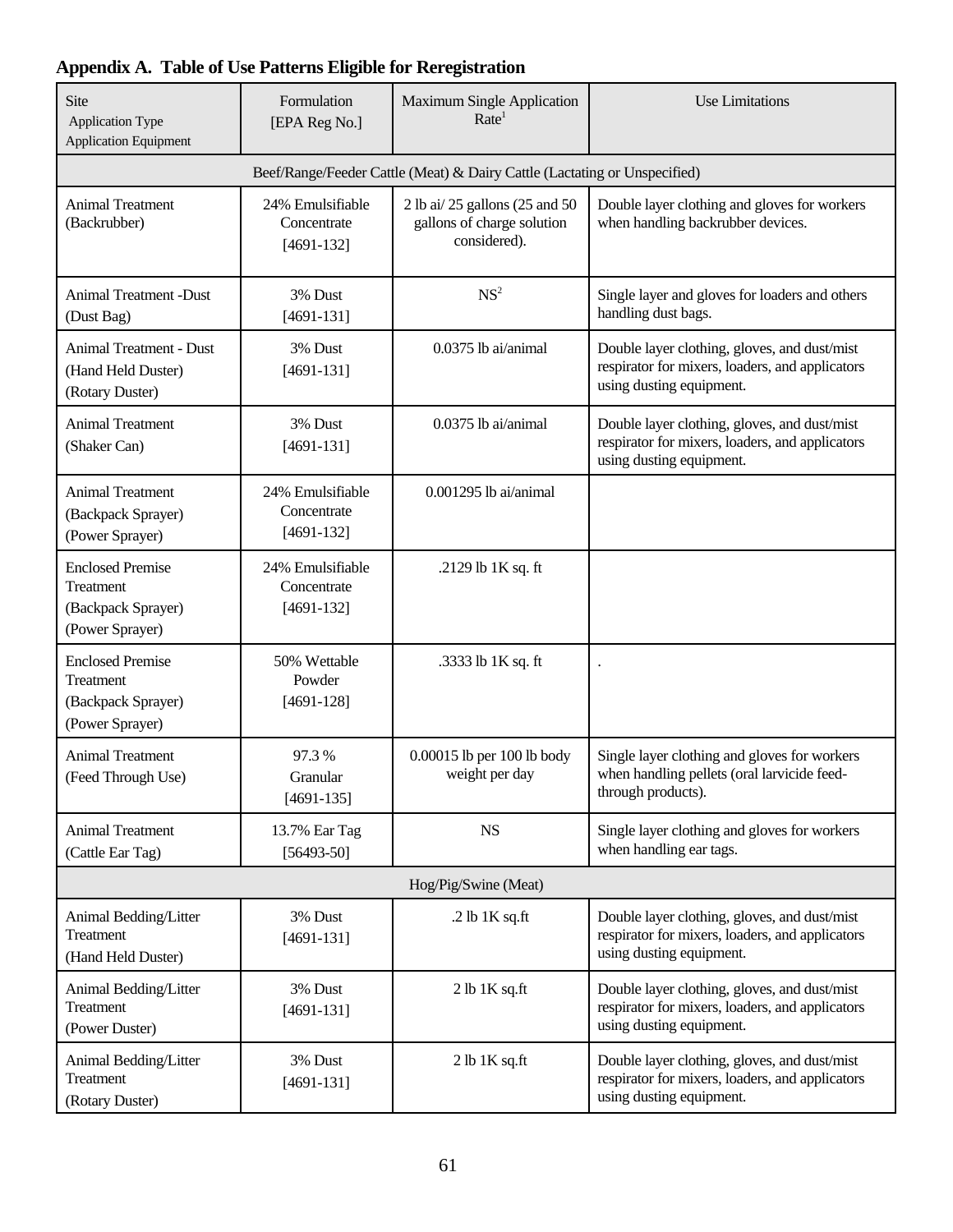## **Appendix A. Table of Use Patterns Eligible for Reregistration**

| Site<br><b>Application Type</b><br><b>Application Equipment</b>               | Formulation<br>[EPA Reg No.]                    | <b>Maximum Single Application</b><br>Rate <sup>1</sup>                       | Use Limitations                                                                                                             |
|-------------------------------------------------------------------------------|-------------------------------------------------|------------------------------------------------------------------------------|-----------------------------------------------------------------------------------------------------------------------------|
|                                                                               |                                                 | Beef/Range/Feeder Cattle (Meat) & Dairy Cattle (Lactating or Unspecified)    |                                                                                                                             |
| <b>Animal Treatment</b><br>(Backrubber)                                       | 24% Emulsifiable<br>Concentrate<br>$[4691-132]$ | 2 lb ai/ 25 gallons (25 and 50<br>gallons of charge solution<br>considered). | Double layer clothing and gloves for workers<br>when handling backrubber devices.                                           |
| <b>Animal Treatment -Dust</b><br>(Dust Bag)                                   | 3% Dust<br>$[4691-131]$                         | NS <sup>2</sup>                                                              | Single layer and gloves for loaders and others<br>handling dust bags.                                                       |
| <b>Animal Treatment - Dust</b><br>(Hand Held Duster)<br>(Rotary Duster)       | 3% Dust<br>$[4691-131]$                         | 0.0375 lb ai/animal                                                          | Double layer clothing, gloves, and dust/mist<br>respirator for mixers, loaders, and applicators<br>using dusting equipment. |
| <b>Animal Treatment</b><br>(Shaker Can)                                       | 3% Dust<br>$[4691-131]$                         | 0.0375 lb ai/animal                                                          | Double layer clothing, gloves, and dust/mist<br>respirator for mixers, loaders, and applicators<br>using dusting equipment. |
| <b>Animal Treatment</b><br>(Backpack Sprayer)<br>(Power Sprayer)              | 24% Emulsifiable<br>Concentrate<br>$[4691-132]$ | $0.001295$ lb ai/animal                                                      |                                                                                                                             |
| <b>Enclosed Premise</b><br>Treatment<br>(Backpack Sprayer)<br>(Power Sprayer) | 24% Emulsifiable<br>Concentrate<br>$[4691-132]$ | .2129 lb 1K sq. ft                                                           |                                                                                                                             |
| <b>Enclosed Premise</b><br>Treatment<br>(Backpack Sprayer)<br>(Power Sprayer) | 50% Wettable<br>Powder<br>$[4691-128]$          | .3333 lb 1K sq. ft                                                           |                                                                                                                             |
| <b>Animal Treatment</b><br>(Feed Through Use)                                 | 97.3%<br>Granular<br>$[4691-135]$               | 0.00015 lb per 100 lb body<br>weight per day                                 | Single layer clothing and gloves for workers<br>when handling pellets (oral larvicide feed-<br>through products).           |
| <b>Animal Treatment</b><br>(Cattle Ear Tag)                                   | 13.7% Ear Tag<br>$[56493-50]$                   | <b>NS</b>                                                                    | Single layer clothing and gloves for workers<br>when handling ear tags.                                                     |
|                                                                               |                                                 | Hog/Pig/Swine (Meat)                                                         |                                                                                                                             |
| Animal Bedding/Litter<br>Treatment<br>(Hand Held Duster)                      | 3% Dust<br>$[4691-131]$                         | .2 lb $1K$ sq.ft                                                             | Double layer clothing, gloves, and dust/mist<br>respirator for mixers, loaders, and applicators<br>using dusting equipment. |
| Animal Bedding/Litter<br>Treatment<br>(Power Duster)                          | 3% Dust<br>$[4691-131]$                         | $2 lb$ 1K sq.ft                                                              | Double layer clothing, gloves, and dust/mist<br>respirator for mixers, loaders, and applicators<br>using dusting equipment. |
| Animal Bedding/Litter<br>Treatment<br>(Rotary Duster)                         | 3% Dust<br>$[4691-131]$                         | $2 lb$ 1K sq.ft                                                              | Double layer clothing, gloves, and dust/mist<br>respirator for mixers, loaders, and applicators<br>using dusting equipment. |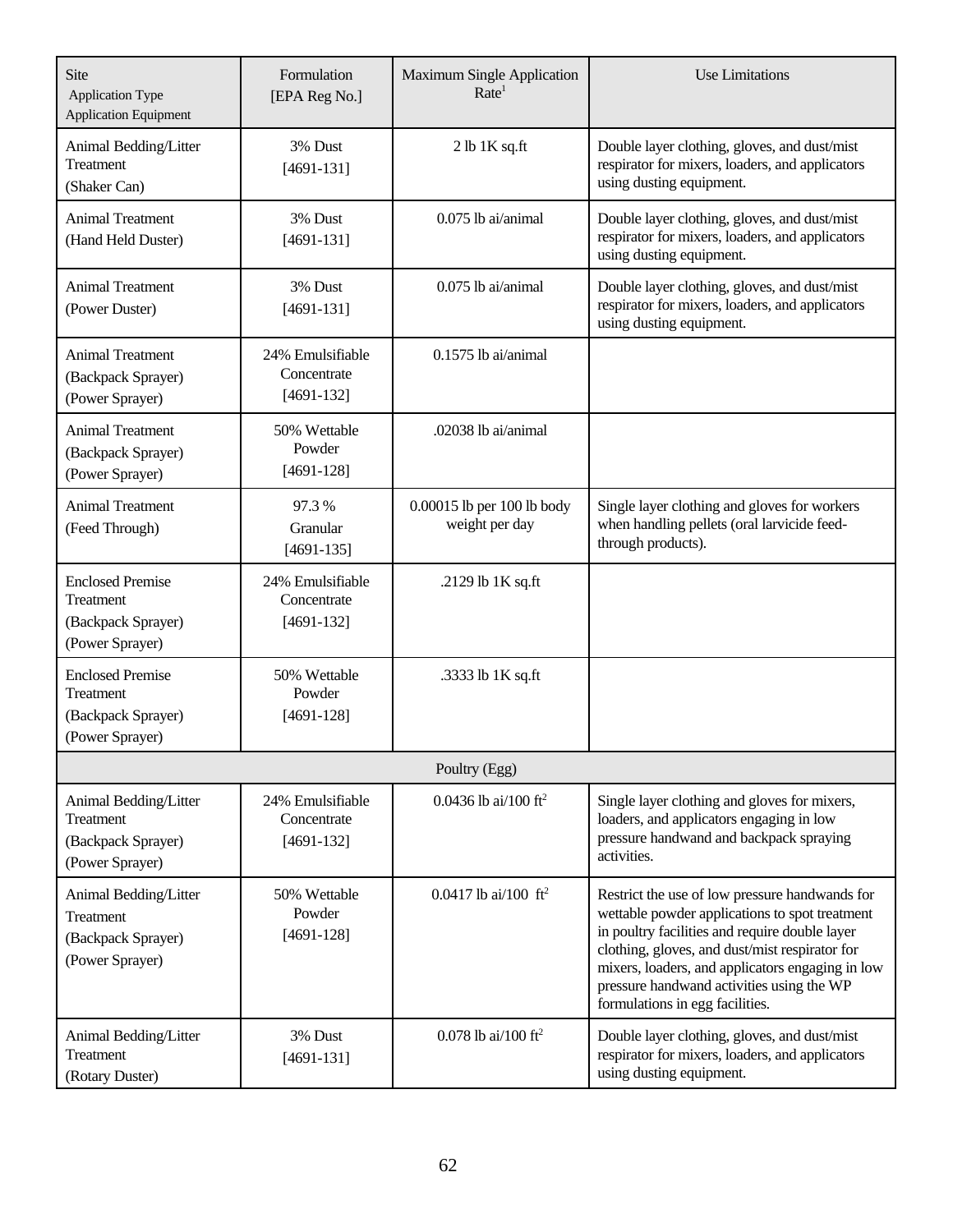| Site<br><b>Application Type</b><br><b>Application Equipment</b>               | Formulation<br>[EPA Reg No.]                    | <b>Maximum Single Application</b><br>Rate <sup>1</sup> | <b>Use Limitations</b>                                                                                                                                                                                                                                                                                                                   |
|-------------------------------------------------------------------------------|-------------------------------------------------|--------------------------------------------------------|------------------------------------------------------------------------------------------------------------------------------------------------------------------------------------------------------------------------------------------------------------------------------------------------------------------------------------------|
| Animal Bedding/Litter<br><b>Treatment</b><br>(Shaker Can)                     | 3% Dust<br>$[4691-131]$                         | $2 lb$ 1K sq.ft                                        | Double layer clothing, gloves, and dust/mist<br>respirator for mixers, loaders, and applicators<br>using dusting equipment.                                                                                                                                                                                                              |
| <b>Animal Treatment</b><br>(Hand Held Duster)                                 | 3% Dust<br>$[4691-131]$                         | $0.075$ lb ai/animal                                   | Double layer clothing, gloves, and dust/mist<br>respirator for mixers, loaders, and applicators<br>using dusting equipment.                                                                                                                                                                                                              |
| <b>Animal Treatment</b><br>(Power Duster)                                     | 3% Dust<br>$[4691-131]$                         | 0.075 lb ai/animal                                     | Double layer clothing, gloves, and dust/mist<br>respirator for mixers, loaders, and applicators<br>using dusting equipment.                                                                                                                                                                                                              |
| <b>Animal Treatment</b><br>(Backpack Sprayer)<br>(Power Sprayer)              | 24% Emulsifiable<br>Concentrate<br>$[4691-132]$ | $0.1575$ lb ai/animal                                  |                                                                                                                                                                                                                                                                                                                                          |
| <b>Animal Treatment</b><br>(Backpack Sprayer)<br>(Power Sprayer)              | 50% Wettable<br>Powder<br>$[4691-128]$          | .02038 lb ai/animal                                    |                                                                                                                                                                                                                                                                                                                                          |
| <b>Animal Treatment</b><br>(Feed Through)                                     | 97.3%<br>Granular<br>$[4691-135]$               | 0.00015 lb per 100 lb body<br>weight per day           | Single layer clothing and gloves for workers<br>when handling pellets (oral larvicide feed-<br>through products).                                                                                                                                                                                                                        |
| <b>Enclosed Premise</b><br>Treatment<br>(Backpack Sprayer)<br>(Power Sprayer) | 24% Emulsifiable<br>Concentrate<br>$[4691-132]$ | .2129 lb 1K sq.ft                                      |                                                                                                                                                                                                                                                                                                                                          |
| <b>Enclosed Premise</b><br>Treatment<br>(Backpack Sprayer)<br>(Power Sprayer) | 50% Wettable<br>Powder<br>$[4691-128]$          | .3333 lb 1K sq.ft                                      |                                                                                                                                                                                                                                                                                                                                          |
|                                                                               |                                                 | Poultry (Egg)                                          |                                                                                                                                                                                                                                                                                                                                          |
| Animal Bedding/Litter<br>Treatment<br>(Backpack Sprayer)<br>(Power Sprayer)   | 24% Emulsifiable<br>Concentrate<br>$[4691-132]$ | 0.0436 lb ai/100 ft <sup>2</sup>                       | Single layer clothing and gloves for mixers,<br>loaders, and applicators engaging in low<br>pressure handwand and backpack spraying<br>activities.                                                                                                                                                                                       |
| Animal Bedding/Litter<br>Treatment<br>(Backpack Sprayer)<br>(Power Sprayer)   | 50% Wettable<br>Powder<br>$[4691-128]$          | 0.0417 lb ai/100 $\text{ft}^2$                         | Restrict the use of low pressure handwands for<br>wettable powder applications to spot treatment<br>in poultry facilities and require double layer<br>clothing, gloves, and dust/mist respirator for<br>mixers, loaders, and applicators engaging in low<br>pressure handwand activities using the WP<br>formulations in egg facilities. |
| Animal Bedding/Litter<br>Treatment<br>(Rotary Duster)                         | 3% Dust<br>$[4691-131]$                         | 0.078 lb ai/100 ft <sup>2</sup>                        | Double layer clothing, gloves, and dust/mist<br>respirator for mixers, loaders, and applicators<br>using dusting equipment.                                                                                                                                                                                                              |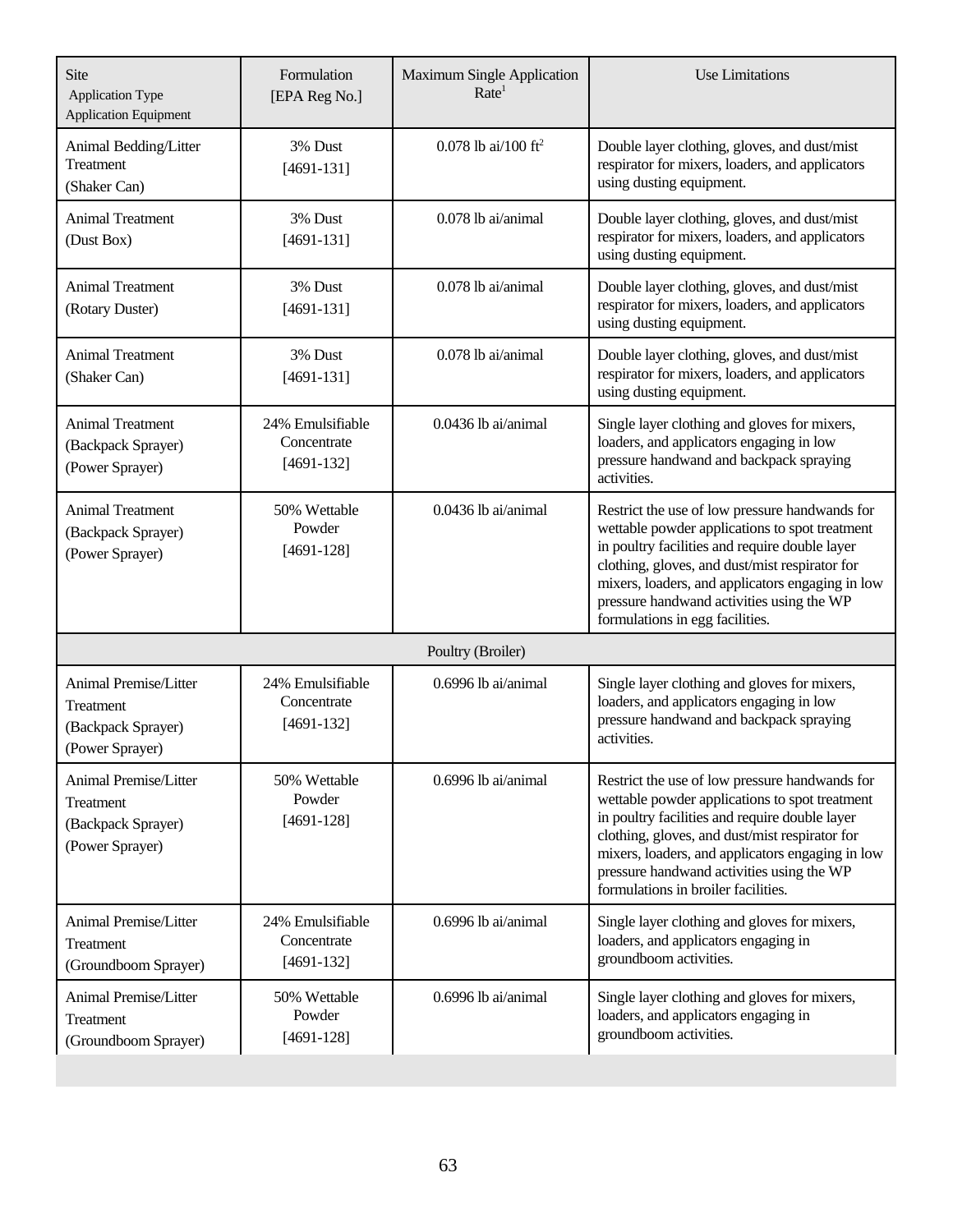| Site<br><b>Application Type</b><br><b>Application Equipment</b>                    | Formulation<br>[EPA Reg No.]                    | <b>Maximum Single Application</b><br>Rate <sup>1</sup> | <b>Use Limitations</b>                                                                                                                                                                                                                                                                                                                       |
|------------------------------------------------------------------------------------|-------------------------------------------------|--------------------------------------------------------|----------------------------------------------------------------------------------------------------------------------------------------------------------------------------------------------------------------------------------------------------------------------------------------------------------------------------------------------|
| Animal Bedding/Litter<br>Treatment<br>(Shaker Can)                                 | 3% Dust<br>$[4691-131]$                         | 0.078 lb ai/100 ft <sup>2</sup>                        | Double layer clothing, gloves, and dust/mist<br>respirator for mixers, loaders, and applicators<br>using dusting equipment.                                                                                                                                                                                                                  |
| <b>Animal Treatment</b><br>(Dust Box)                                              | 3% Dust<br>$[4691-131]$                         | 0.078 lb ai/animal                                     | Double layer clothing, gloves, and dust/mist<br>respirator for mixers, loaders, and applicators<br>using dusting equipment.                                                                                                                                                                                                                  |
| <b>Animal Treatment</b><br>(Rotary Duster)                                         | 3% Dust<br>$[4691-131]$                         | 0.078 lb ai/animal                                     | Double layer clothing, gloves, and dust/mist<br>respirator for mixers, loaders, and applicators<br>using dusting equipment.                                                                                                                                                                                                                  |
| <b>Animal Treatment</b><br>(Shaker Can)                                            | 3% Dust<br>$[4691-131]$                         | 0.078 lb ai/animal                                     | Double layer clothing, gloves, and dust/mist<br>respirator for mixers, loaders, and applicators<br>using dusting equipment.                                                                                                                                                                                                                  |
| <b>Animal Treatment</b><br>(Backpack Sprayer)<br>(Power Sprayer)                   | 24% Emulsifiable<br>Concentrate<br>$[4691-132]$ | 0.0436 lb ai/animal                                    | Single layer clothing and gloves for mixers,<br>loaders, and applicators engaging in low<br>pressure handwand and backpack spraying<br>activities.                                                                                                                                                                                           |
| <b>Animal Treatment</b><br>(Backpack Sprayer)<br>(Power Sprayer)                   | 50% Wettable<br>Powder<br>$[4691-128]$          | 0.0436 lb ai/animal                                    | Restrict the use of low pressure handwands for<br>wettable powder applications to spot treatment<br>in poultry facilities and require double layer<br>clothing, gloves, and dust/mist respirator for<br>mixers, loaders, and applicators engaging in low<br>pressure handwand activities using the WP<br>formulations in egg facilities.     |
|                                                                                    |                                                 | Poultry (Broiler)                                      |                                                                                                                                                                                                                                                                                                                                              |
| <b>Animal Premise/Litter</b><br>Treatment<br>(Backpack Sprayer)<br>(Power Sprayer) | 24% Emulsifiable<br>Concentrate<br>$[4691-132]$ | $0.6996$ lb ai/animal                                  | Single layer clothing and gloves for mixers,<br>loaders, and applicators engaging in low<br>pressure handwand and backpack spraying<br>activities.                                                                                                                                                                                           |
| Animal Premise/Litter<br>Treatment<br>(Backpack Sprayer)<br>(Power Sprayer)        | 50% Wettable<br>Powder<br>$[4691-128]$          | 0.6996 lb ai/animal                                    | Restrict the use of low pressure handwands for<br>wettable powder applications to spot treatment<br>in poultry facilities and require double layer<br>clothing, gloves, and dust/mist respirator for<br>mixers, loaders, and applicators engaging in low<br>pressure handwand activities using the WP<br>formulations in broiler facilities. |
| <b>Animal Premise/Litter</b><br>Treatment<br>(Groundboom Sprayer)                  | 24% Emulsifiable<br>Concentrate<br>$[4691-132]$ | 0.6996 lb ai/animal                                    | Single layer clothing and gloves for mixers,<br>loaders, and applicators engaging in<br>groundboom activities.                                                                                                                                                                                                                               |
| <b>Animal Premise/Litter</b><br>Treatment<br>(Groundboom Sprayer)                  | 50% Wettable<br>Powder<br>$[4691-128]$          | 0.6996 lb ai/animal                                    | Single layer clothing and gloves for mixers,<br>loaders, and applicators engaging in<br>groundboom activities.                                                                                                                                                                                                                               |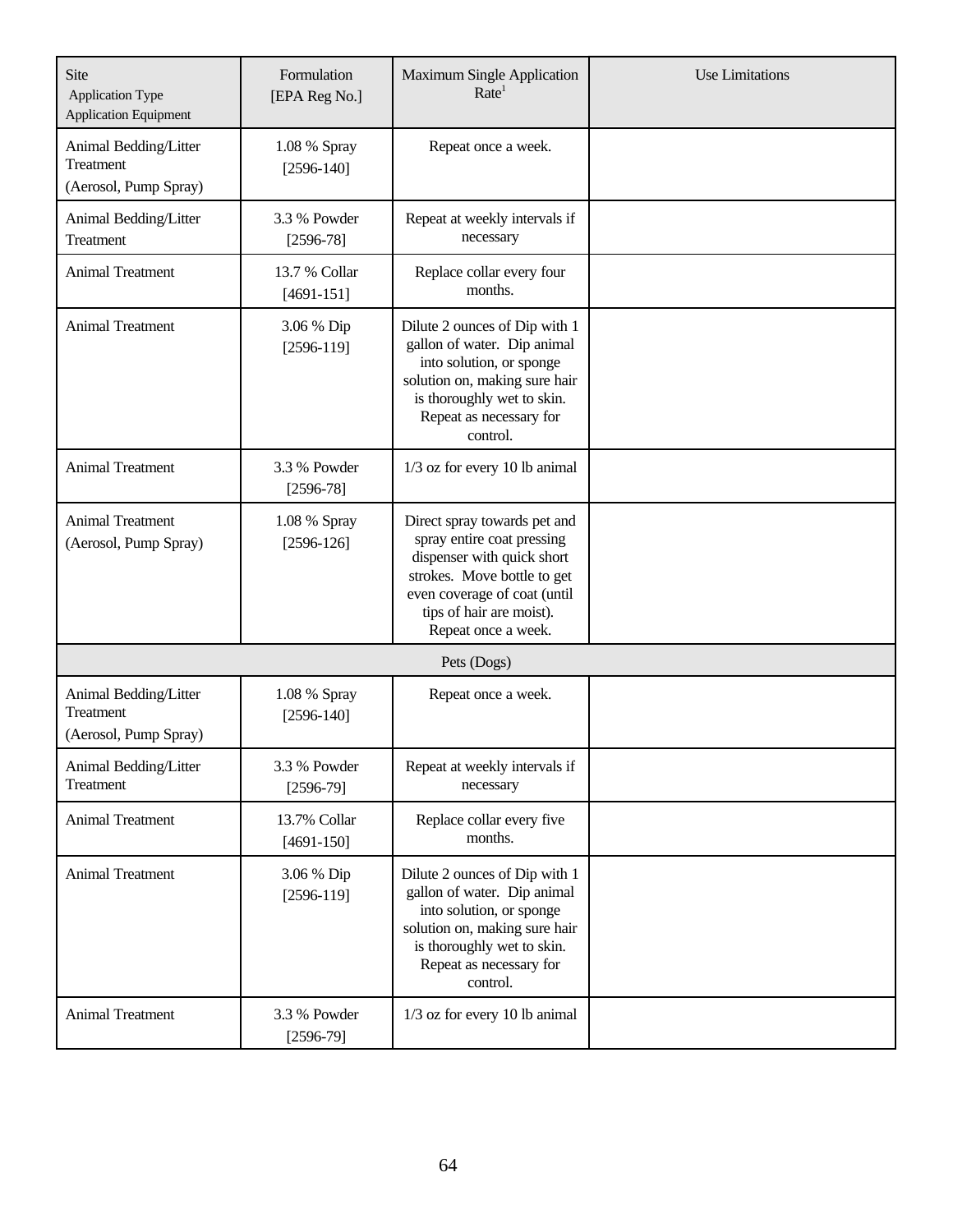| Site<br><b>Application Type</b><br><b>Application Equipment</b> | Formulation<br>[EPA Reg No.]  | <b>Maximum Single Application</b><br>Rate <sup>1</sup>                                                                                                                                                     | <b>Use Limitations</b> |
|-----------------------------------------------------------------|-------------------------------|------------------------------------------------------------------------------------------------------------------------------------------------------------------------------------------------------------|------------------------|
| Animal Bedding/Litter<br>Treatment<br>(Aerosol, Pump Spray)     | 1.08 % Spray<br>$[2596-140]$  | Repeat once a week.                                                                                                                                                                                        |                        |
| Animal Bedding/Litter<br>Treatment                              | 3.3 % Powder<br>$[2596-78]$   | Repeat at weekly intervals if<br>necessary                                                                                                                                                                 |                        |
| <b>Animal Treatment</b>                                         | 13.7 % Collar<br>$[4691-151]$ | Replace collar every four<br>months.                                                                                                                                                                       |                        |
| <b>Animal Treatment</b>                                         | 3.06 % Dip<br>$[2596-119]$    | Dilute 2 ounces of Dip with 1<br>gallon of water. Dip animal<br>into solution, or sponge<br>solution on, making sure hair<br>is thoroughly wet to skin.<br>Repeat as necessary for<br>control.             |                        |
| <b>Animal Treatment</b>                                         | 3.3 % Powder<br>$[2596-78]$   | 1/3 oz for every 10 lb animal                                                                                                                                                                              |                        |
| <b>Animal Treatment</b><br>(Aerosol, Pump Spray)                | 1.08 % Spray<br>$[2596-126]$  | Direct spray towards pet and<br>spray entire coat pressing<br>dispenser with quick short<br>strokes. Move bottle to get<br>even coverage of coat (until<br>tips of hair are moist).<br>Repeat once a week. |                        |
|                                                                 |                               | Pets (Dogs)                                                                                                                                                                                                |                        |
| Animal Bedding/Litter<br>Treatment<br>(Aerosol, Pump Spray)     | 1.08 % Spray<br>$[2596-140]$  | Repeat once a week.                                                                                                                                                                                        |                        |
| Animal Bedding/Litter<br>Treatment                              | 3.3 % Powder<br>$[2596-79]$   | Repeat at weekly intervals if<br>necessary                                                                                                                                                                 |                        |
| <b>Animal Treatment</b>                                         | 13.7% Collar<br>$[4691-150]$  | Replace collar every five<br>months.                                                                                                                                                                       |                        |
| <b>Animal Treatment</b>                                         | 3.06 % Dip<br>$[2596-119]$    | Dilute 2 ounces of Dip with 1<br>gallon of water. Dip animal<br>into solution, or sponge<br>solution on, making sure hair<br>is thoroughly wet to skin.<br>Repeat as necessary for<br>control.             |                        |
| Animal Treatment                                                | 3.3 % Powder<br>$[2596-79]$   | 1/3 oz for every 10 lb animal                                                                                                                                                                              |                        |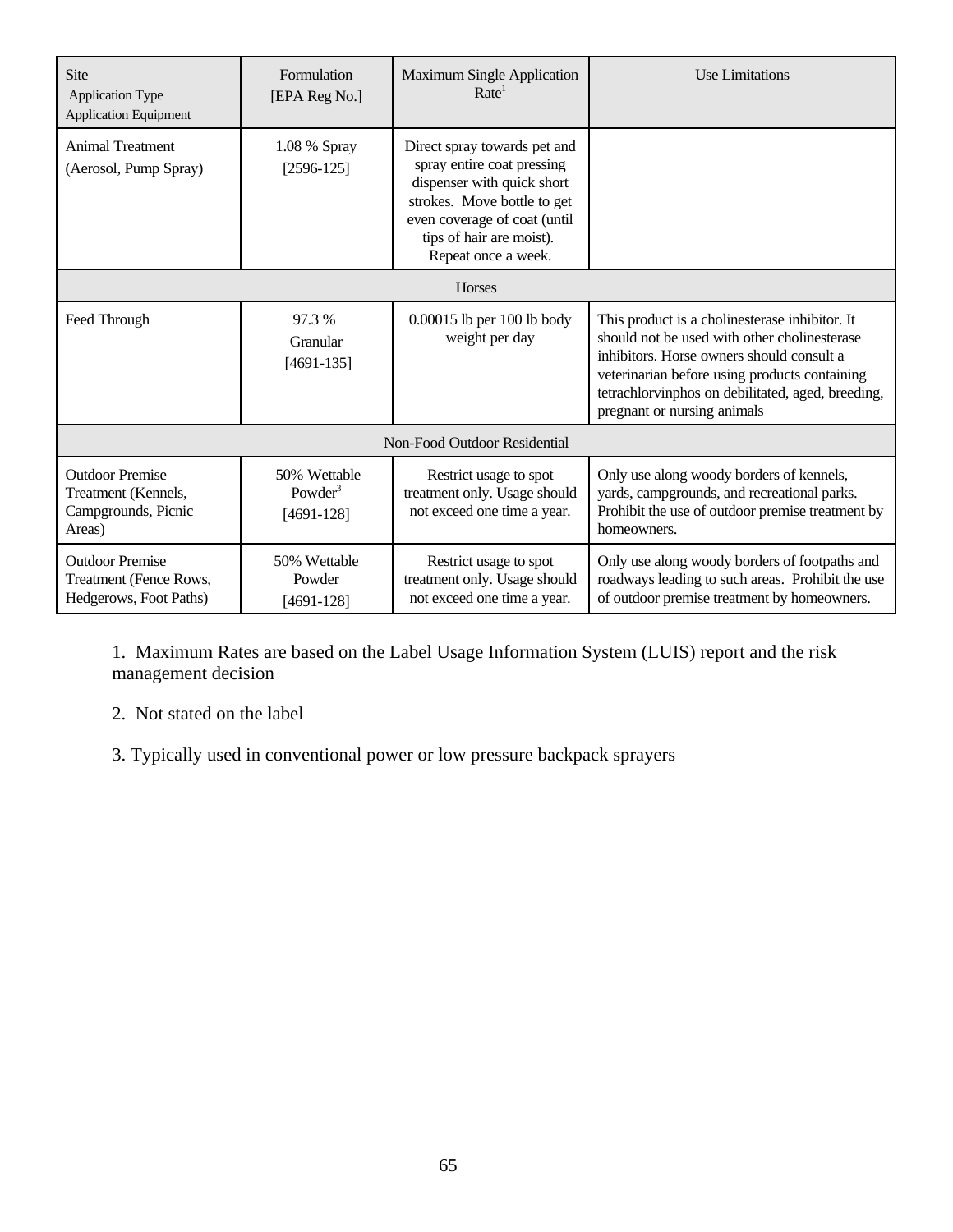| Site<br><b>Application Type</b><br><b>Application Equipment</b>                | Formulation<br>[EPA Reg No.]                        | <b>Maximum Single Application</b><br>Rate <sup>1</sup>                                                                                                                                                     | <b>Use Limitations</b>                                                                                                                                                                                                                                                           |  |
|--------------------------------------------------------------------------------|-----------------------------------------------------|------------------------------------------------------------------------------------------------------------------------------------------------------------------------------------------------------------|----------------------------------------------------------------------------------------------------------------------------------------------------------------------------------------------------------------------------------------------------------------------------------|--|
| <b>Animal Treatment</b><br>(Aerosol, Pump Spray)                               | 1.08 % Spray<br>$[2596-125]$                        | Direct spray towards pet and<br>spray entire coat pressing<br>dispenser with quick short<br>strokes. Move bottle to get<br>even coverage of coat (until<br>tips of hair are moist).<br>Repeat once a week. |                                                                                                                                                                                                                                                                                  |  |
| <b>Horses</b>                                                                  |                                                     |                                                                                                                                                                                                            |                                                                                                                                                                                                                                                                                  |  |
| Feed Through                                                                   | 97.3 %<br>Granular<br>$[4691-135]$                  | 0.00015 lb per 100 lb body<br>weight per day                                                                                                                                                               | This product is a cholinesterase inhibitor. It<br>should not be used with other cholinesterase<br>inhibitors. Horse owners should consult a<br>veterinarian before using products containing<br>tetrachlorvinphos on debilitated, aged, breeding,<br>pregnant or nursing animals |  |
|                                                                                |                                                     | Non-Food Outdoor Residential                                                                                                                                                                               |                                                                                                                                                                                                                                                                                  |  |
| <b>Outdoor Premise</b><br>Treatment (Kennels,<br>Campgrounds, Picnic<br>Areas) | 50% Wettable<br>Powder <sup>3</sup><br>$[4691-128]$ | Restrict usage to spot<br>treatment only. Usage should<br>not exceed one time a year.                                                                                                                      | Only use along woody borders of kennels,<br>yards, campgrounds, and recreational parks.<br>Prohibit the use of outdoor premise treatment by<br>homeowners.                                                                                                                       |  |
| <b>Outdoor Premise</b><br>Treatment (Fence Rows,<br>Hedgerows, Foot Paths)     | 50% Wettable<br>Powder<br>$[4691-128]$              | Restrict usage to spot<br>treatment only. Usage should<br>not exceed one time a year.                                                                                                                      | Only use along woody borders of footpaths and<br>roadways leading to such areas. Prohibit the use<br>of outdoor premise treatment by homeowners.                                                                                                                                 |  |

1. Maximum Rates are based on the Label Usage Information System (LUIS) report and the risk management decision

2. Not stated on the label

3. Typically used in conventional power or low pressure backpack sprayers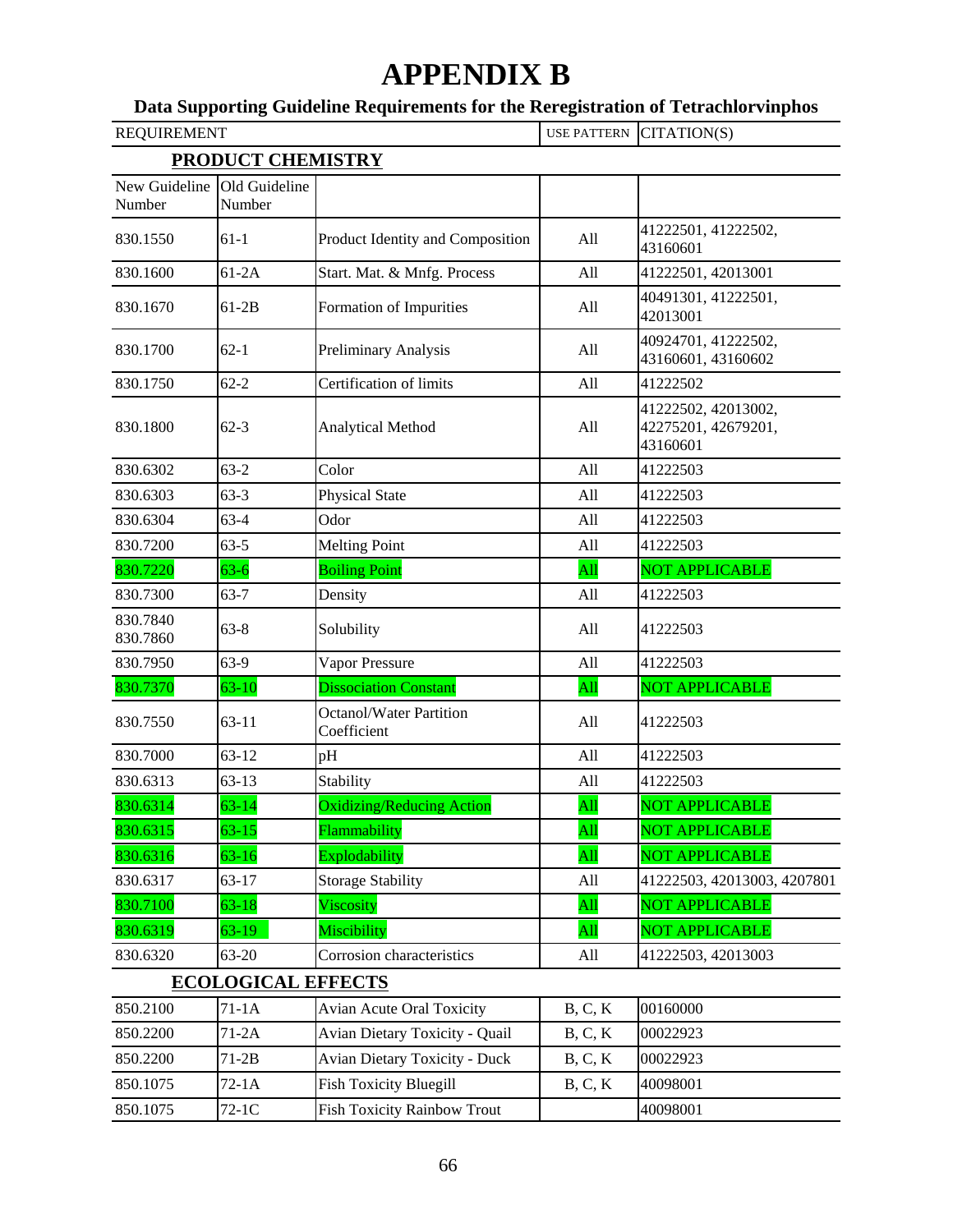# **APPENDIX B**

## **Data Supporting Guideline Requirements for the Reregistration of Tetrachlorvinphos**

| <b>REQUIREMENT</b>      |                           |                                               | <b>USE PATTERN</b> | CITATION(S)                                            |
|-------------------------|---------------------------|-----------------------------------------------|--------------------|--------------------------------------------------------|
|                         | <b>PRODUCT CHEMISTRY</b>  |                                               |                    |                                                        |
| New Guideline<br>Number | Old Guideline<br>Number   |                                               |                    |                                                        |
| 830.1550                | $61-1$                    | Product Identity and Composition              | All                | 41222501, 41222502,<br>43160601                        |
| 830.1600                | $61-2A$                   | Start. Mat. & Mnfg. Process                   | All                | 41222501, 42013001                                     |
| 830.1670                | $61-2B$                   | Formation of Impurities                       | All                | 40491301, 41222501,<br>42013001                        |
| 830.1700                | $62-1$                    | Preliminary Analysis                          | All                | 40924701, 41222502,<br>43160601, 43160602              |
| 830.1750                | $62 - 2$                  | Certification of limits                       | All                | 41222502                                               |
| 830.1800                | $62 - 3$                  | Analytical Method                             | All                | 41222502, 42013002,<br>42275201, 42679201,<br>43160601 |
| 830.6302                | $63-2$                    | Color                                         | All                | 41222503                                               |
| 830.6303                | $63-3$                    | <b>Physical State</b>                         | All                | 41222503                                               |
| 830.6304                | $63-4$                    | Odor                                          | All                | 41222503                                               |
| 830.7200                | $63 - 5$                  | <b>Melting Point</b>                          | All                | 41222503                                               |
| 830.7220                | $63 - 6$                  | <b>Boiling Point</b>                          | All                | <b>NOT APPLICABLE</b>                                  |
| 830.7300                | $63 - 7$                  | Density                                       | All                | 41222503                                               |
| 830.7840<br>830.7860    | $63 - 8$                  | Solubility                                    | All                | 41222503                                               |
| 830.7950                | 63-9                      | Vapor Pressure                                | All                | 41222503                                               |
| 830.7370                | $63 - 10$                 | <b>Dissociation Constant</b>                  | All                | NOT APPLICABLE                                         |
| 830.7550                | $63 - 11$                 | <b>Octanol/Water Partition</b><br>Coefficient | All                | 41222503                                               |
| 830.7000                | $63 - 12$                 | pH                                            | All                | 41222503                                               |
| 830.6313                | $63 - 13$                 | Stability                                     | All                | 41222503                                               |
| 830.6314                | $63 - 14$                 | <b>Oxidizing/Reducing Action</b>              | All                | <b>NOT APPLICABLE</b>                                  |
| 830.6315                | $63 - 15$                 | Flammability                                  | $\overline{All}$   | NOT APPLICABLE                                         |
| 830.6316                | $63 - 16$                 | Explodability                                 | All                | <b>NOT APPLICABLE</b>                                  |
| 830.6317                | $63 - 17$                 | <b>Storage Stability</b>                      | All                | 41222503, 42013003, 4207801                            |
| 830.7100                | $63 - 18$                 | Viscosity                                     | All                | NOT APPLICABLE                                         |
| 830.6319                | $63-19$                   | Miscibility                                   | All                | <b>NOT APPLICABLE</b>                                  |
| 830.6320                | $63 - 20$                 | Corrosion characteristics                     | All                | 41222503, 42013003                                     |
|                         | <b>ECOLOGICAL EFFECTS</b> |                                               |                    |                                                        |
| 850.2100                | $71-1A$                   | <b>Avian Acute Oral Toxicity</b>              | B, C, K            | 00160000                                               |
| 850.2200                | $71-2A$                   | <b>Avian Dietary Toxicity - Quail</b>         | B, C, K            | 00022923                                               |
| 850.2200                | $71-2B$                   | <b>Avian Dietary Toxicity - Duck</b>          | B, C, K            | 00022923                                               |
| 850.1075                | $72-1A$                   | <b>Fish Toxicity Bluegill</b>                 | B, C, K            | 40098001                                               |
| 850.1075                | $72-1C$                   | <b>Fish Toxicity Rainbow Trout</b>            |                    | 40098001                                               |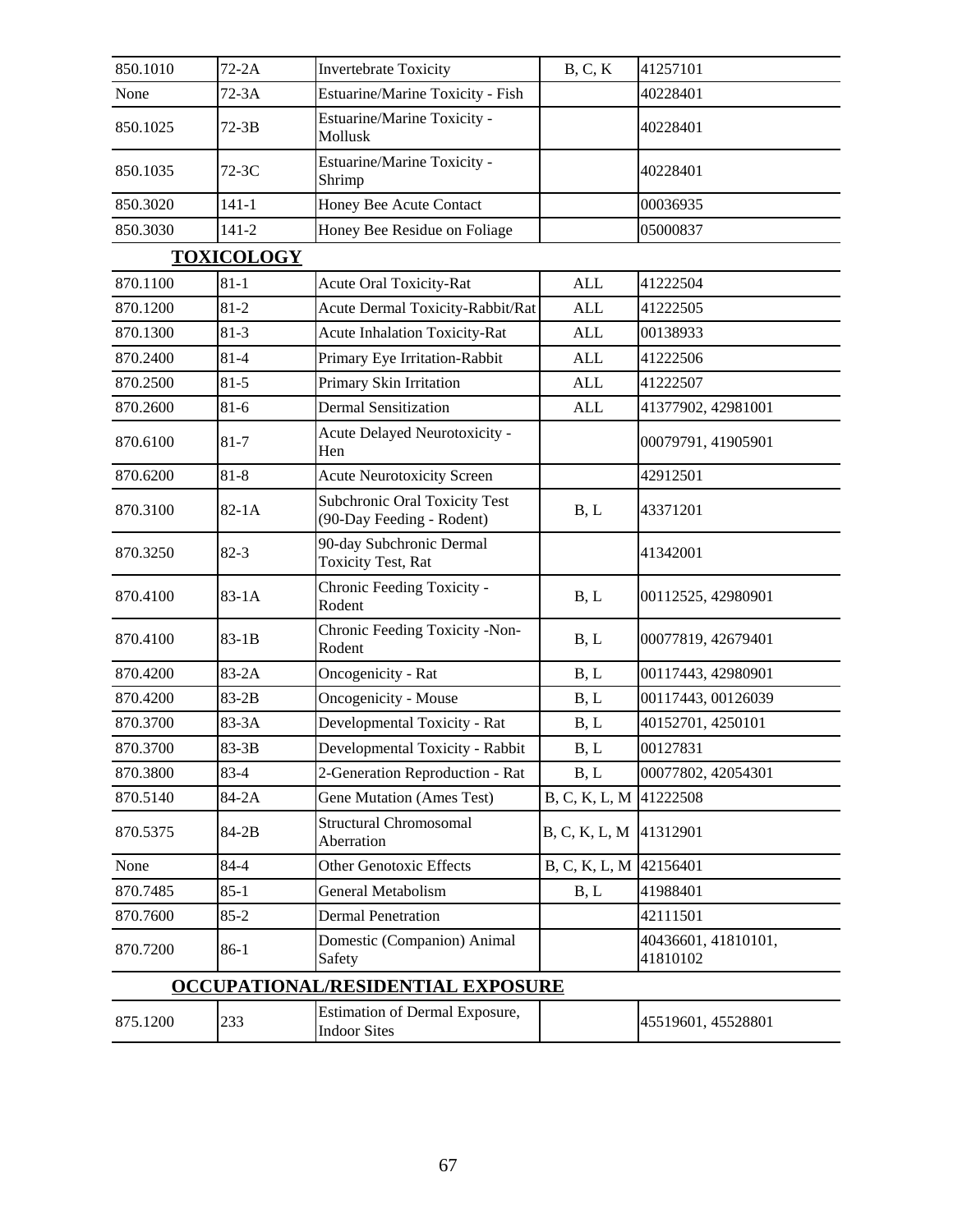| 850.1010                          | $72-2A$   | <b>Invertebrate Toxicity</b>                               | B, C, K                | 41257101                        |  |
|-----------------------------------|-----------|------------------------------------------------------------|------------------------|---------------------------------|--|
| None                              | $72-3A$   | Estuarine/Marine Toxicity - Fish                           |                        | 40228401                        |  |
| 850.1025                          | $72-3B$   | Estuarine/Marine Toxicity -<br>Mollusk                     |                        | 40228401                        |  |
| 850.1035                          | $72-3C$   | Estuarine/Marine Toxicity -<br>Shrimp                      |                        | 40228401                        |  |
| 850.3020                          | $141 - 1$ | Honey Bee Acute Contact                                    |                        | 00036935                        |  |
| 850.3030                          | $141 - 2$ | Honey Bee Residue on Foliage                               |                        | 05000837                        |  |
| <b>TOXICOLOGY</b>                 |           |                                                            |                        |                                 |  |
| 870.1100                          | $81 - 1$  | Acute Oral Toxicity-Rat                                    | <b>ALL</b>             | 41222504                        |  |
| 870.1200                          | $81 - 2$  | Acute Dermal Toxicity-Rabbit/Rat                           | ALL                    | 41222505                        |  |
| 870.1300                          | $81-3$    | <b>Acute Inhalation Toxicity-Rat</b>                       | ALL                    | 00138933                        |  |
| 870.2400                          | $81 - 4$  | Primary Eye Irritation-Rabbit                              | <b>ALL</b>             | 41222506                        |  |
| 870.2500                          | $81 - 5$  | Primary Skin Irritation                                    | ALL                    | 41222507                        |  |
| 870.2600                          | $81-6$    | <b>Dermal Sensitization</b>                                | <b>ALL</b>             | 41377902, 42981001              |  |
| 870.6100                          | $81 - 7$  | Acute Delayed Neurotoxicity -<br>Hen                       |                        | 00079791, 41905901              |  |
| 870.6200                          | $81 - 8$  | <b>Acute Neurotoxicity Screen</b>                          |                        | 42912501                        |  |
| 870.3100                          | $82-1A$   | Subchronic Oral Toxicity Test<br>(90-Day Feeding - Rodent) | B, L                   | 43371201                        |  |
| 870.3250                          | $82-3$    | 90-day Subchronic Dermal<br><b>Toxicity Test, Rat</b>      |                        | 41342001                        |  |
| 870.4100                          | $83-1A$   | Chronic Feeding Toxicity -<br>Rodent                       | B, L                   | 00112525, 42980901              |  |
| 870.4100                          | $83-1B$   | Chronic Feeding Toxicity -Non-<br>Rodent                   | B, L                   | 00077819, 42679401              |  |
| 870.4200                          | $83-2A$   | Oncogenicity - Rat                                         | B, L                   | 00117443, 42980901              |  |
| 870.4200                          | 83-2B     | Oncogenicity - Mouse                                       | B, L                   | 00117443, 00126039              |  |
| 870.3700                          | 83-3A     | Developmental Toxicity - Rat                               | B, L                   | 40152701, 4250101               |  |
| 870.3700                          | 83-3B     | Developmental Toxicity - Rabbit                            | B, L                   | 00127831                        |  |
| 870.3800                          | $83 - 4$  | 2-Generation Reproduction - Rat                            | B, L                   | 00077802, 42054301              |  |
| 870.5140                          | 84-2A     | <b>Gene Mutation (Ames Test)</b>                           | B, C, K, L, M          | 41222508                        |  |
| 870.5375                          | 84-2B     | <b>Structural Chromosomal</b><br>Aberration                | B, C, K, L, M          | 41312901                        |  |
| None                              | 84-4      | <b>Other Genotoxic Effects</b>                             | B, C, K, L, M 42156401 |                                 |  |
| 870.7485                          | $85 - 1$  | General Metabolism                                         | B, L                   | 41988401                        |  |
| 870.7600                          | $85 - 2$  | <b>Dermal Penetration</b>                                  |                        | 42111501                        |  |
| 870.7200                          | 86-1      | Domestic (Companion) Animal<br>Safety                      |                        | 40436601, 41810101,<br>41810102 |  |
| OCCUPATIONAL/RESIDENTIAL EXPOSURE |           |                                                            |                        |                                 |  |
| 875.1200                          | 233       | Estimation of Dermal Exposure,<br><b>Indoor Sites</b>      |                        | 45519601, 45528801              |  |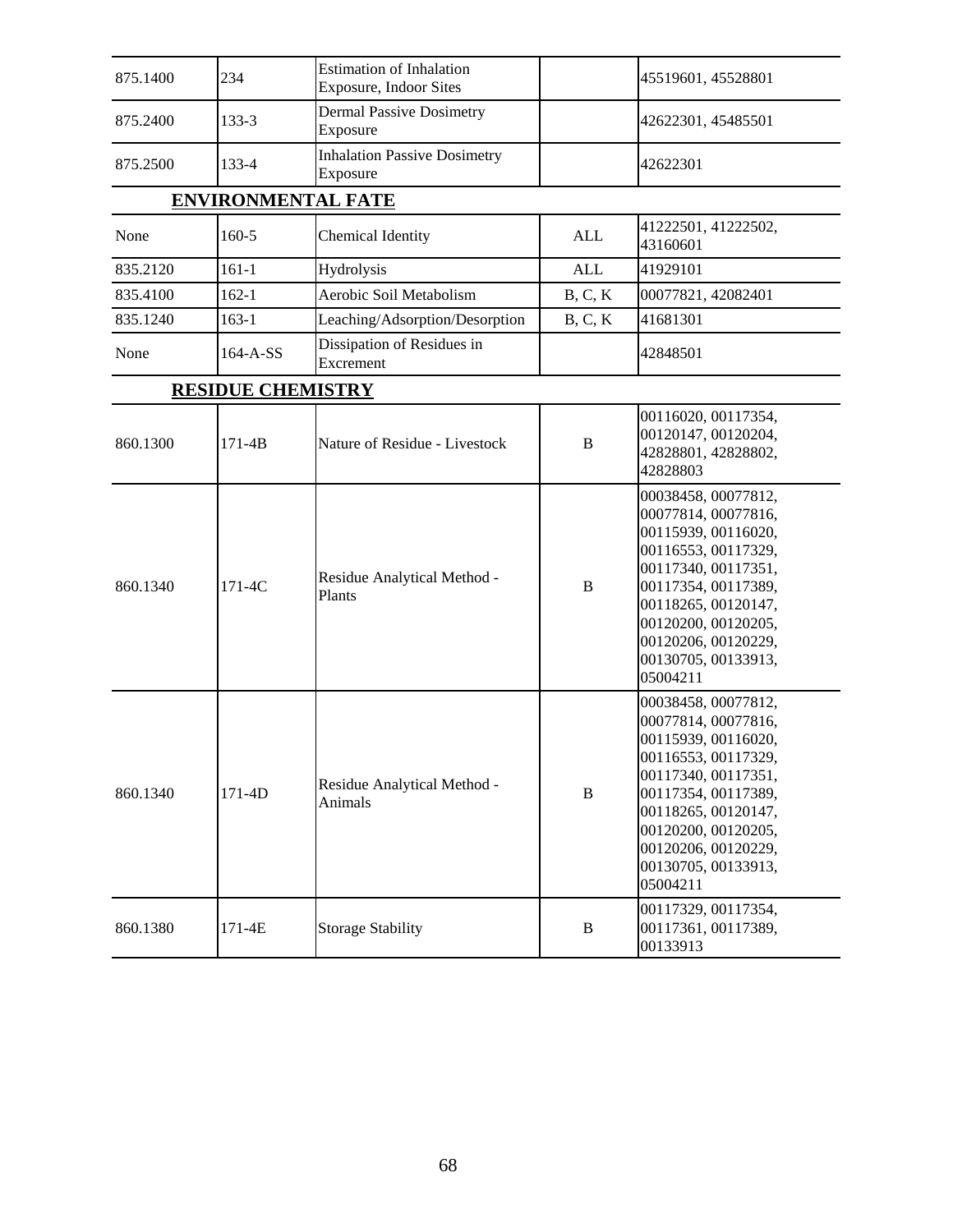| 875.1400                 | 234                       | <b>Estimation of Inhalation</b><br><b>Exposure, Indoor Sites</b> |              | 45519601, 45528801                                                                                                                                                                                                                             |  |  |
|--------------------------|---------------------------|------------------------------------------------------------------|--------------|------------------------------------------------------------------------------------------------------------------------------------------------------------------------------------------------------------------------------------------------|--|--|
| 875.2400                 | $133-3$                   | <b>Dermal Passive Dosimetry</b><br>Exposure                      |              | 42622301, 45485501                                                                                                                                                                                                                             |  |  |
| 875.2500                 | 133-4                     | <b>Inhalation Passive Dosimetry</b><br>Exposure                  |              | 42622301                                                                                                                                                                                                                                       |  |  |
|                          | <b>ENVIRONMENTAL FATE</b> |                                                                  |              |                                                                                                                                                                                                                                                |  |  |
| None                     | 160-5                     | Chemical Identity                                                | <b>ALL</b>   | 41222501, 41222502,<br>43160601                                                                                                                                                                                                                |  |  |
| 835.2120                 | $161 - 1$                 | Hydrolysis                                                       | <b>ALL</b>   | 41929101                                                                                                                                                                                                                                       |  |  |
| 835.4100                 | $162 - 1$                 | Aerobic Soil Metabolism                                          | B, C, K      | 00077821, 42082401                                                                                                                                                                                                                             |  |  |
| 835.1240                 | $163 - 1$                 | Leaching/Adsorption/Desorption                                   | B, C, K      | 41681301                                                                                                                                                                                                                                       |  |  |
| None                     | 164-A-SS                  | Dissipation of Residues in<br>Excrement                          |              | 42848501                                                                                                                                                                                                                                       |  |  |
| <b>RESIDUE CHEMISTRY</b> |                           |                                                                  |              |                                                                                                                                                                                                                                                |  |  |
| 860.1300                 | $171 - 4B$                | Nature of Residue - Livestock                                    | $\bf{B}$     | 00116020, 00117354,<br>00120147, 00120204,<br>42828801, 42828802,<br>42828803                                                                                                                                                                  |  |  |
| 860.1340                 | 171-4C                    | Residue Analytical Method -<br>Plants                            | $\bf{B}$     | 00038458, 00077812,<br>00077814, 00077816,<br>00115939, 00116020,<br>00116553, 00117329,<br>00117340, 00117351,<br>00117354, 00117389,<br>00118265, 00120147,<br>00120200, 00120205,<br>00120206, 00120229,<br>00130705, 00133913,<br>05004211 |  |  |
| 860.1340                 | 171-4D                    | Residue Analytical Method -<br>Animals                           | $\, {\bf B}$ | 00038458, 00077812,<br>00077814, 00077816,<br>00115939, 00116020,<br>00116553, 00117329,<br>00117340, 00117351,<br>00117354, 00117389,<br>00118265, 00120147,<br>00120200, 00120205,<br>00120206, 00120229,<br>00130705, 00133913,<br>05004211 |  |  |
| 860.1380                 | 171-4E                    | <b>Storage Stability</b>                                         | B            | 00117329, 00117354,<br>00117361, 00117389,<br>00133913                                                                                                                                                                                         |  |  |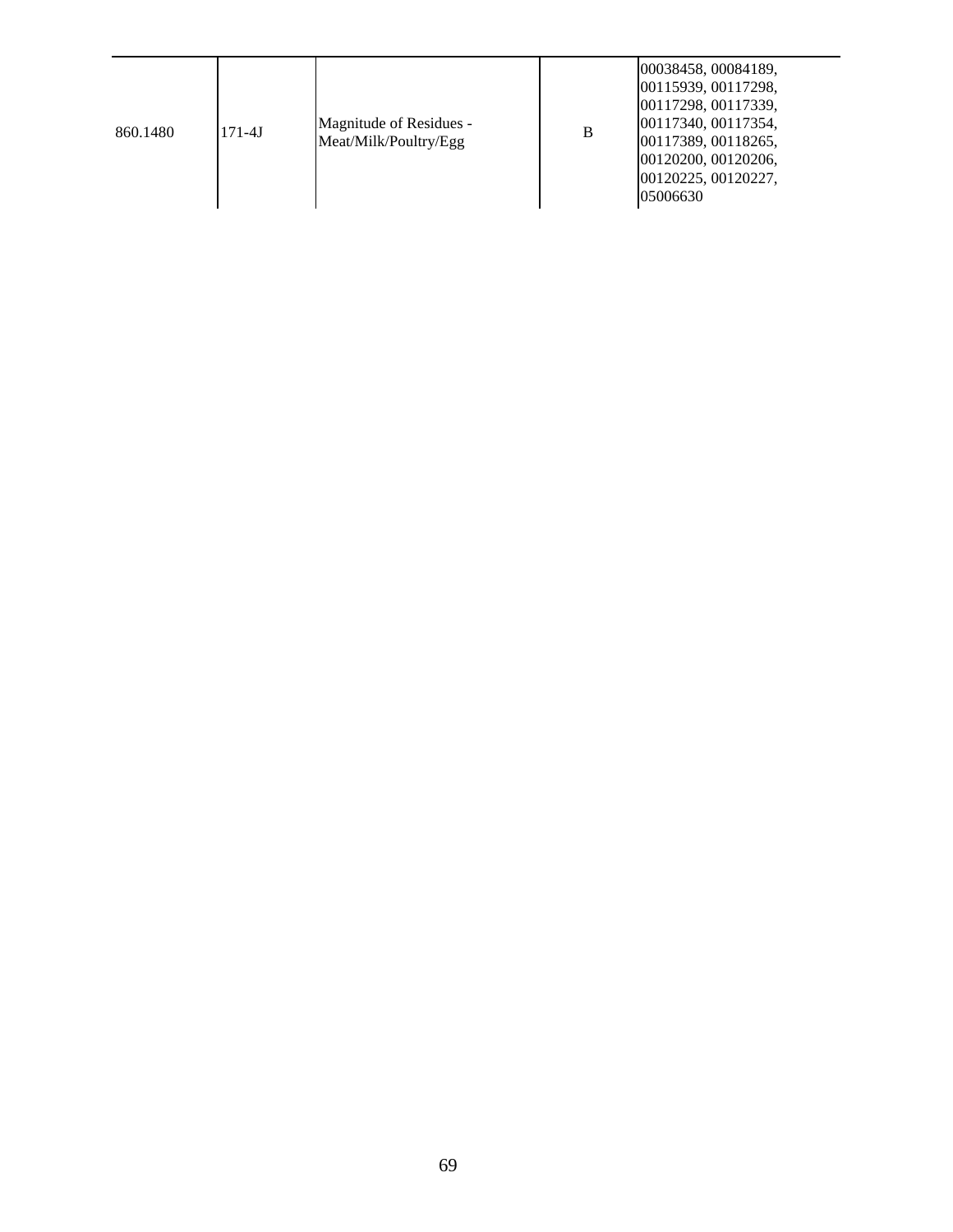| 860.1480 | $171 - 4J$ | Magnitude of Residues -<br>Meat/Milk/Poultry/Egg | B | 00038458, 00084189,<br>00115939, 00117298,<br>00117298, 00117339,<br>00117340, 00117354,<br>00117389, 00118265,<br>00120200, 00120206,<br>00120225, 00120227,<br>05006630 |
|----------|------------|--------------------------------------------------|---|---------------------------------------------------------------------------------------------------------------------------------------------------------------------------|
|----------|------------|--------------------------------------------------|---|---------------------------------------------------------------------------------------------------------------------------------------------------------------------------|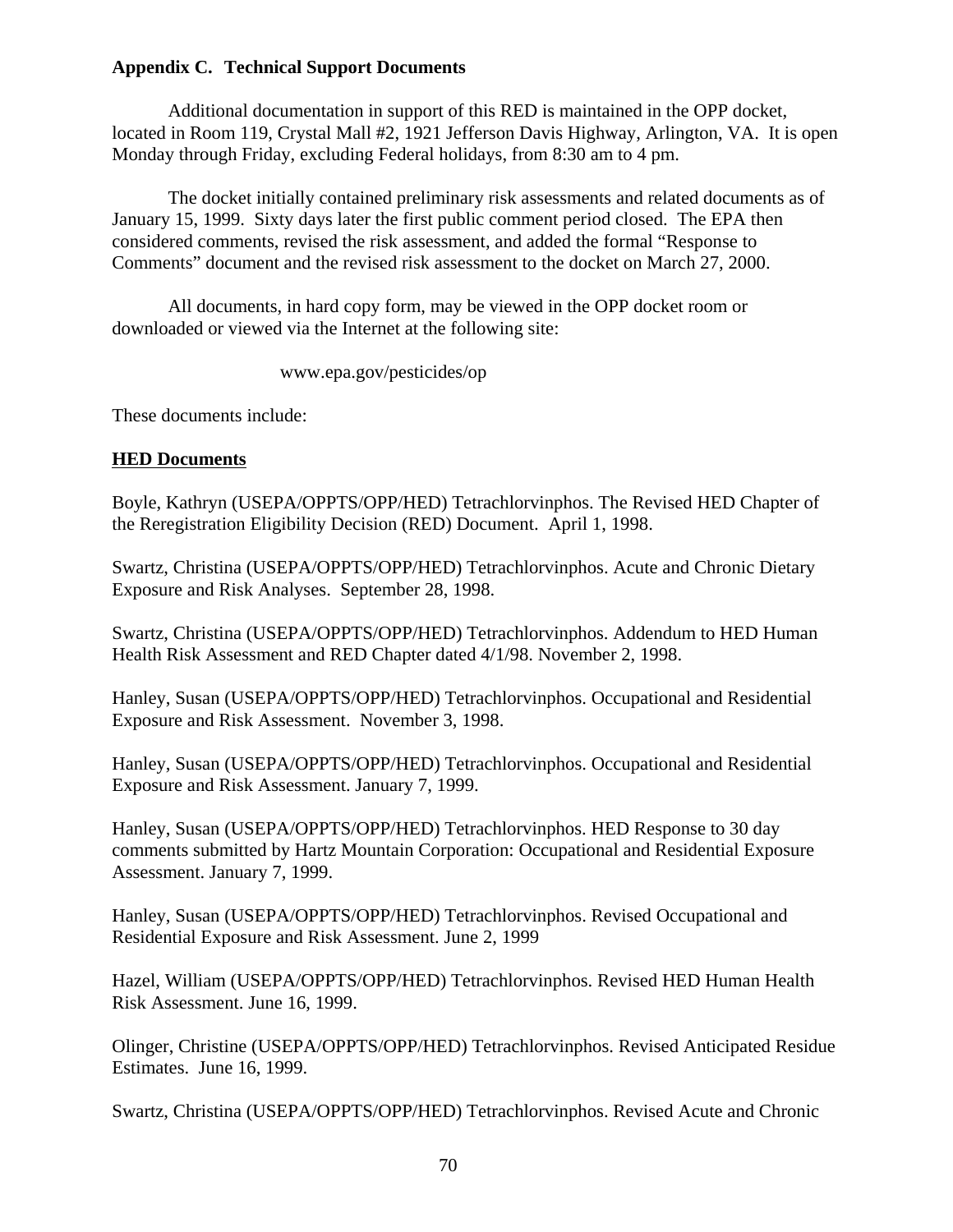### **Appendix C. Technical Support Documents**

Additional documentation in support of this RED is maintained in the OPP docket, located in Room 119, Crystal Mall #2, 1921 Jefferson Davis Highway, Arlington, VA. It is open Monday through Friday, excluding Federal holidays, from 8:30 am to 4 pm.

The docket initially contained preliminary risk assessments and related documents as of January 15, 1999. Sixty days later the first public comment period closed. The EPA then considered comments, revised the risk assessment, and added the formal "Response to Comments" document and the revised risk assessment to the docket on March 27, 2000.

All documents, in hard copy form, may be viewed in the OPP docket room or downloaded or viewed via the Internet at the following site:

www.epa.gov/pesticides/op

These documents include:

#### **HED Documents**

Boyle, Kathryn (USEPA/OPPTS/OPP/HED) Tetrachlorvinphos. The Revised HED Chapter of the Reregistration Eligibility Decision (RED) Document. April 1, 1998.

Swartz, Christina (USEPA/OPPTS/OPP/HED) Tetrachlorvinphos. Acute and Chronic Dietary Exposure and Risk Analyses. September 28, 1998.

Swartz, Christina (USEPA/OPPTS/OPP/HED) Tetrachlorvinphos. Addendum to HED Human Health Risk Assessment and RED Chapter dated 4/1/98. November 2, 1998.

Hanley, Susan (USEPA/OPPTS/OPP/HED) Tetrachlorvinphos. Occupational and Residential Exposure and Risk Assessment. November 3, 1998.

Hanley, Susan (USEPA/OPPTS/OPP/HED) Tetrachlorvinphos. Occupational and Residential Exposure and Risk Assessment. January 7, 1999.

Hanley, Susan (USEPA/OPPTS/OPP/HED) Tetrachlorvinphos. HED Response to 30 day comments submitted by Hartz Mountain Corporation: Occupational and Residential Exposure Assessment. January 7, 1999.

Hanley, Susan (USEPA/OPPTS/OPP/HED) Tetrachlorvinphos. Revised Occupational and Residential Exposure and Risk Assessment. June 2, 1999

Hazel, William (USEPA/OPPTS/OPP/HED) Tetrachlorvinphos. Revised HED Human Health Risk Assessment. June 16, 1999.

Olinger, Christine (USEPA/OPPTS/OPP/HED) Tetrachlorvinphos. Revised Anticipated Residue Estimates. June 16, 1999.

Swartz, Christina (USEPA/OPPTS/OPP/HED) Tetrachlorvinphos. Revised Acute and Chronic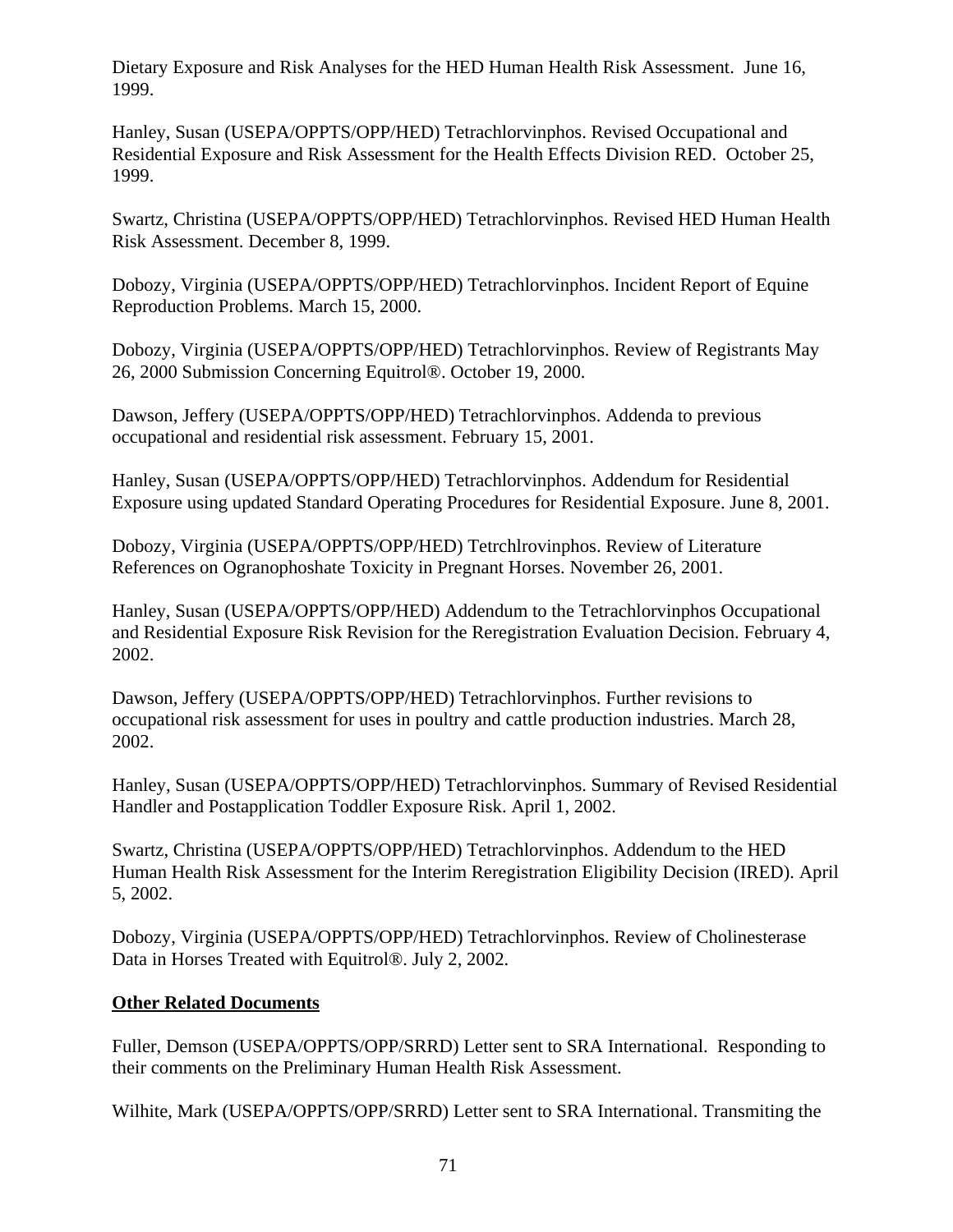Dietary Exposure and Risk Analyses for the HED Human Health Risk Assessment. June 16, 1999.

Hanley, Susan (USEPA/OPPTS/OPP/HED) Tetrachlorvinphos. Revised Occupational and Residential Exposure and Risk Assessment for the Health Effects Division RED. October 25, 1999.

Swartz, Christina (USEPA/OPPTS/OPP/HED) Tetrachlorvinphos. Revised HED Human Health Risk Assessment. December 8, 1999.

Dobozy, Virginia (USEPA/OPPTS/OPP/HED) Tetrachlorvinphos. Incident Report of Equine Reproduction Problems. March 15, 2000.

Dobozy, Virginia (USEPA/OPPTS/OPP/HED) Tetrachlorvinphos. Review of Registrants May 26, 2000 Submission Concerning Equitrol®. October 19, 2000.

Dawson, Jeffery (USEPA/OPPTS/OPP/HED) Tetrachlorvinphos. Addenda to previous occupational and residential risk assessment. February 15, 2001.

Hanley, Susan (USEPA/OPPTS/OPP/HED) Tetrachlorvinphos. Addendum for Residential Exposure using updated Standard Operating Procedures for Residential Exposure. June 8, 2001.

Dobozy, Virginia (USEPA/OPPTS/OPP/HED) Tetrchlrovinphos. Review of Literature References on Ogranophoshate Toxicity in Pregnant Horses. November 26, 2001.

Hanley, Susan (USEPA/OPPTS/OPP/HED) Addendum to the Tetrachlorvinphos Occupational and Residential Exposure Risk Revision for the Reregistration Evaluation Decision. February 4, 2002.

Dawson, Jeffery (USEPA/OPPTS/OPP/HED) Tetrachlorvinphos. Further revisions to occupational risk assessment for uses in poultry and cattle production industries. March 28, 2002.

Hanley, Susan (USEPA/OPPTS/OPP/HED) Tetrachlorvinphos. Summary of Revised Residential Handler and Postapplication Toddler Exposure Risk. April 1, 2002.

Swartz, Christina (USEPA/OPPTS/OPP/HED) Tetrachlorvinphos. Addendum to the HED Human Health Risk Assessment for the Interim Reregistration Eligibility Decision (IRED). April 5, 2002.

Dobozy, Virginia (USEPA/OPPTS/OPP/HED) Tetrachlorvinphos. Review of Cholinesterase Data in Horses Treated with Equitrol®. July 2, 2002.

# **Other Related Documents**

Fuller, Demson (USEPA/OPPTS/OPP/SRRD) Letter sent to SRA International. Responding to their comments on the Preliminary Human Health Risk Assessment.

Wilhite, Mark (USEPA/OPPTS/OPP/SRRD) Letter sent to SRA International. Transmiting the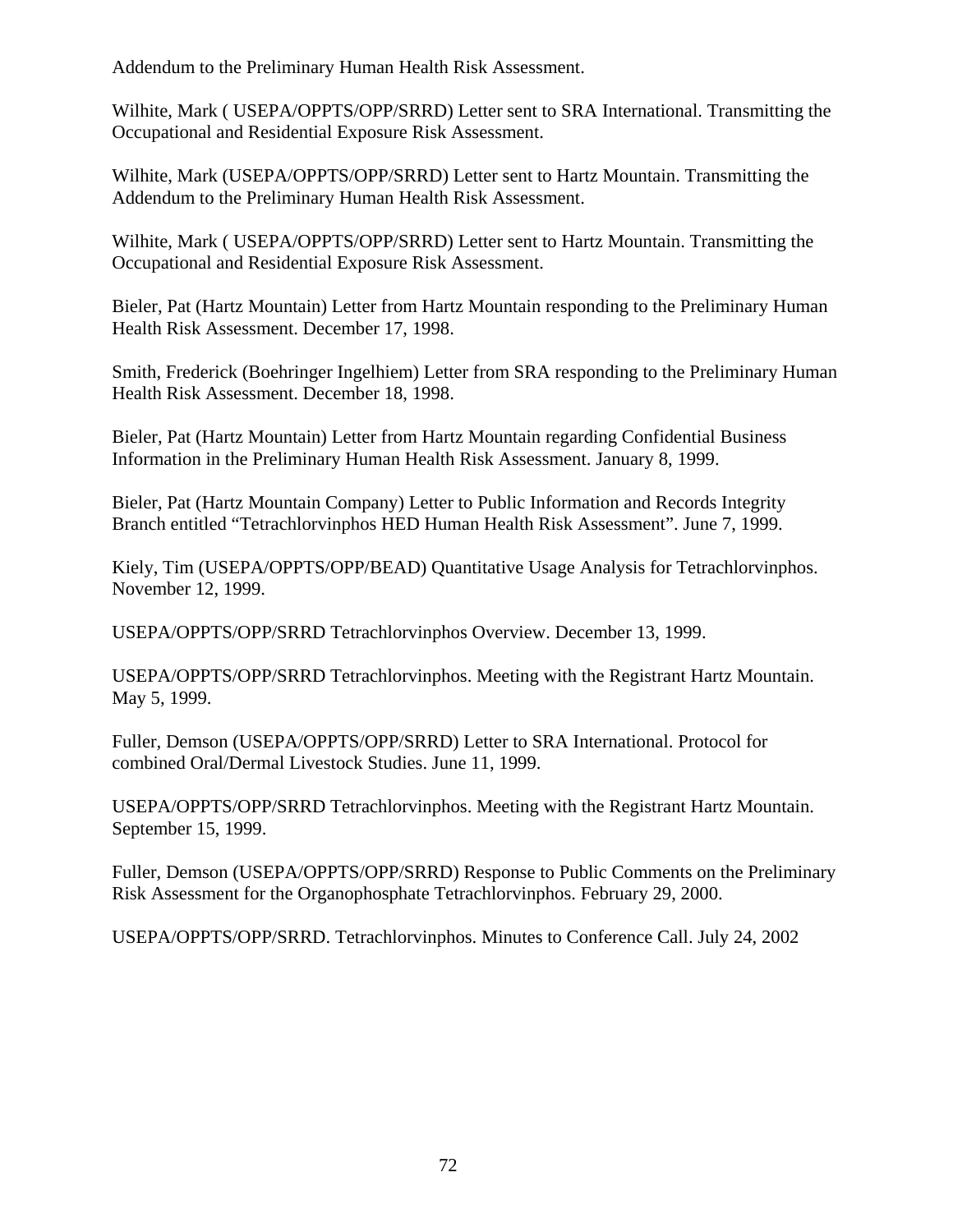Addendum to the Preliminary Human Health Risk Assessment.

Wilhite, Mark ( USEPA/OPPTS/OPP/SRRD) Letter sent to SRA International. Transmitting the Occupational and Residential Exposure Risk Assessment.

Wilhite, Mark (USEPA/OPPTS/OPP/SRRD) Letter sent to Hartz Mountain. Transmitting the Addendum to the Preliminary Human Health Risk Assessment.

Wilhite, Mark ( USEPA/OPPTS/OPP/SRRD) Letter sent to Hartz Mountain. Transmitting the Occupational and Residential Exposure Risk Assessment.

Bieler, Pat (Hartz Mountain) Letter from Hartz Mountain responding to the Preliminary Human Health Risk Assessment. December 17, 1998.

Smith, Frederick (Boehringer Ingelhiem) Letter from SRA responding to the Preliminary Human Health Risk Assessment. December 18, 1998.

Bieler, Pat (Hartz Mountain) Letter from Hartz Mountain regarding Confidential Business Information in the Preliminary Human Health Risk Assessment. January 8, 1999.

Bieler, Pat (Hartz Mountain Company) Letter to Public Information and Records Integrity Branch entitled "Tetrachlorvinphos HED Human Health Risk Assessment". June 7, 1999.

Kiely, Tim (USEPA/OPPTS/OPP/BEAD) Quantitative Usage Analysis for Tetrachlorvinphos. November 12, 1999.

USEPA/OPPTS/OPP/SRRD Tetrachlorvinphos Overview. December 13, 1999.

USEPA/OPPTS/OPP/SRRD Tetrachlorvinphos. Meeting with the Registrant Hartz Mountain. May 5, 1999.

Fuller, Demson (USEPA/OPPTS/OPP/SRRD) Letter to SRA International. Protocol for combined Oral/Dermal Livestock Studies. June 11, 1999.

USEPA/OPPTS/OPP/SRRD Tetrachlorvinphos. Meeting with the Registrant Hartz Mountain. September 15, 1999.

Fuller, Demson (USEPA/OPPTS/OPP/SRRD) Response to Public Comments on the Preliminary Risk Assessment for the Organophosphate Tetrachlorvinphos. February 29, 2000.

USEPA/OPPTS/OPP/SRRD. Tetrachlorvinphos. Minutes to Conference Call. July 24, 2002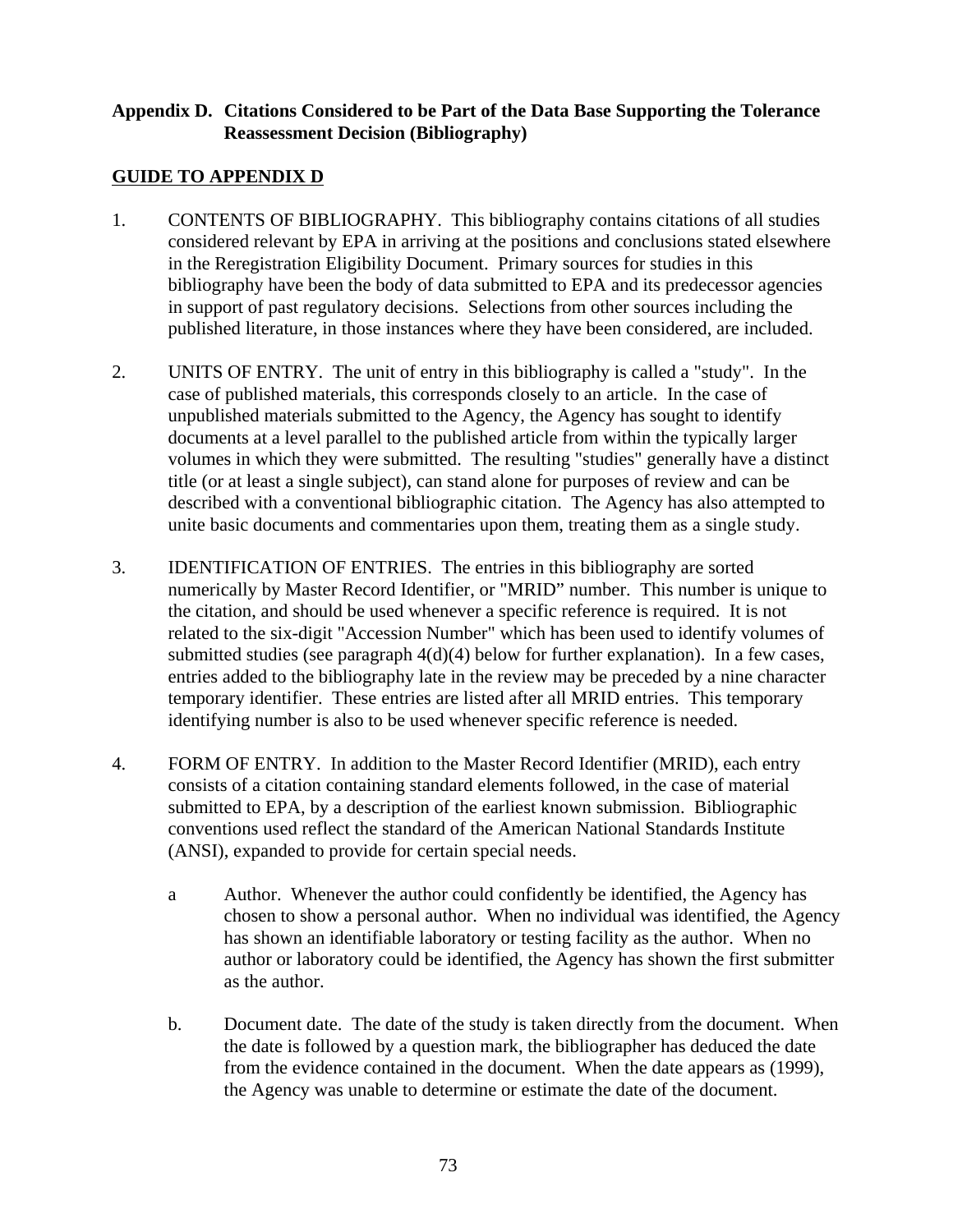#### **Appendix D. Citations Considered to be Part of the Data Base Supporting the Tolerance Reassessment Decision (Bibliography)**

# **GUIDE TO APPENDIX D**

- 1. CONTENTS OF BIBLIOGRAPHY. This bibliography contains citations of all studies considered relevant by EPA in arriving at the positions and conclusions stated elsewhere in the Reregistration Eligibility Document. Primary sources for studies in this bibliography have been the body of data submitted to EPA and its predecessor agencies in support of past regulatory decisions. Selections from other sources including the published literature, in those instances where they have been considered, are included.
- 2. UNITS OF ENTRY. The unit of entry in this bibliography is called a "study". In the case of published materials, this corresponds closely to an article. In the case of unpublished materials submitted to the Agency, the Agency has sought to identify documents at a level parallel to the published article from within the typically larger volumes in which they were submitted. The resulting "studies" generally have a distinct title (or at least a single subject), can stand alone for purposes of review and can be described with a conventional bibliographic citation. The Agency has also attempted to unite basic documents and commentaries upon them, treating them as a single study.
- 3. IDENTIFICATION OF ENTRIES. The entries in this bibliography are sorted numerically by Master Record Identifier, or "MRID" number. This number is unique to the citation, and should be used whenever a specific reference is required. It is not related to the six-digit "Accession Number" which has been used to identify volumes of submitted studies (see paragraph 4(d)(4) below for further explanation). In a few cases, entries added to the bibliography late in the review may be preceded by a nine character temporary identifier. These entries are listed after all MRID entries. This temporary identifying number is also to be used whenever specific reference is needed.
- 4. FORM OF ENTRY. In addition to the Master Record Identifier (MRID), each entry consists of a citation containing standard elements followed, in the case of material submitted to EPA, by a description of the earliest known submission. Bibliographic conventions used reflect the standard of the American National Standards Institute (ANSI), expanded to provide for certain special needs.
	- a Author. Whenever the author could confidently be identified, the Agency has chosen to show a personal author. When no individual was identified, the Agency has shown an identifiable laboratory or testing facility as the author. When no author or laboratory could be identified, the Agency has shown the first submitter as the author.
	- b. Document date. The date of the study is taken directly from the document. When the date is followed by a question mark, the bibliographer has deduced the date from the evidence contained in the document. When the date appears as (1999), the Agency was unable to determine or estimate the date of the document.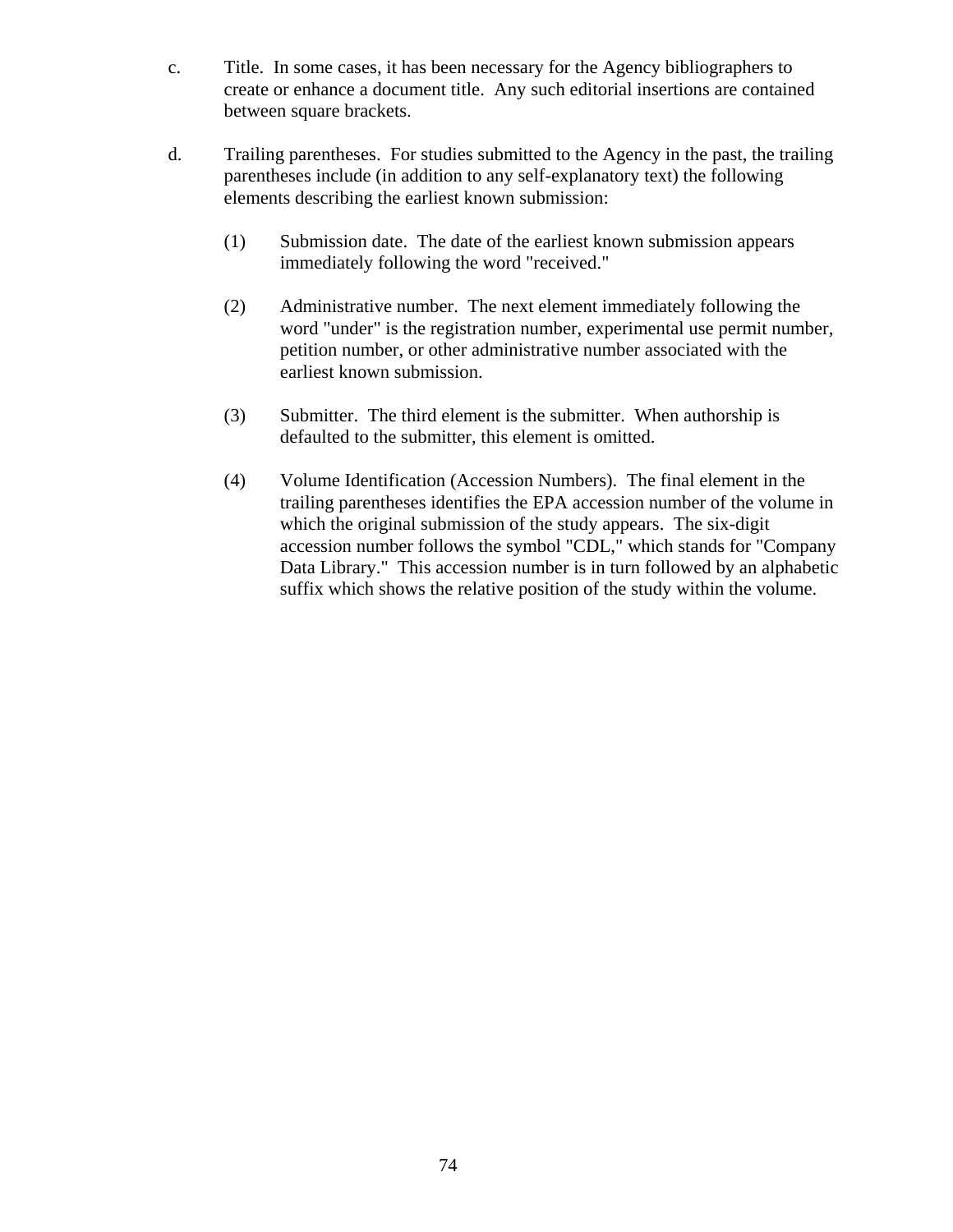- c. Title. In some cases, it has been necessary for the Agency bibliographers to create or enhance a document title. Any such editorial insertions are contained between square brackets.
- d. Trailing parentheses. For studies submitted to the Agency in the past, the trailing parentheses include (in addition to any self-explanatory text) the following elements describing the earliest known submission:
	- (1) Submission date. The date of the earliest known submission appears immediately following the word "received."
	- (2) Administrative number. The next element immediately following the word "under" is the registration number, experimental use permit number, petition number, or other administrative number associated with the earliest known submission.
	- (3) Submitter. The third element is the submitter. When authorship is defaulted to the submitter, this element is omitted.
	- (4) Volume Identification (Accession Numbers). The final element in the trailing parentheses identifies the EPA accession number of the volume in which the original submission of the study appears. The six-digit accession number follows the symbol "CDL," which stands for "Company Data Library." This accession number is in turn followed by an alphabetic suffix which shows the relative position of the study within the volume.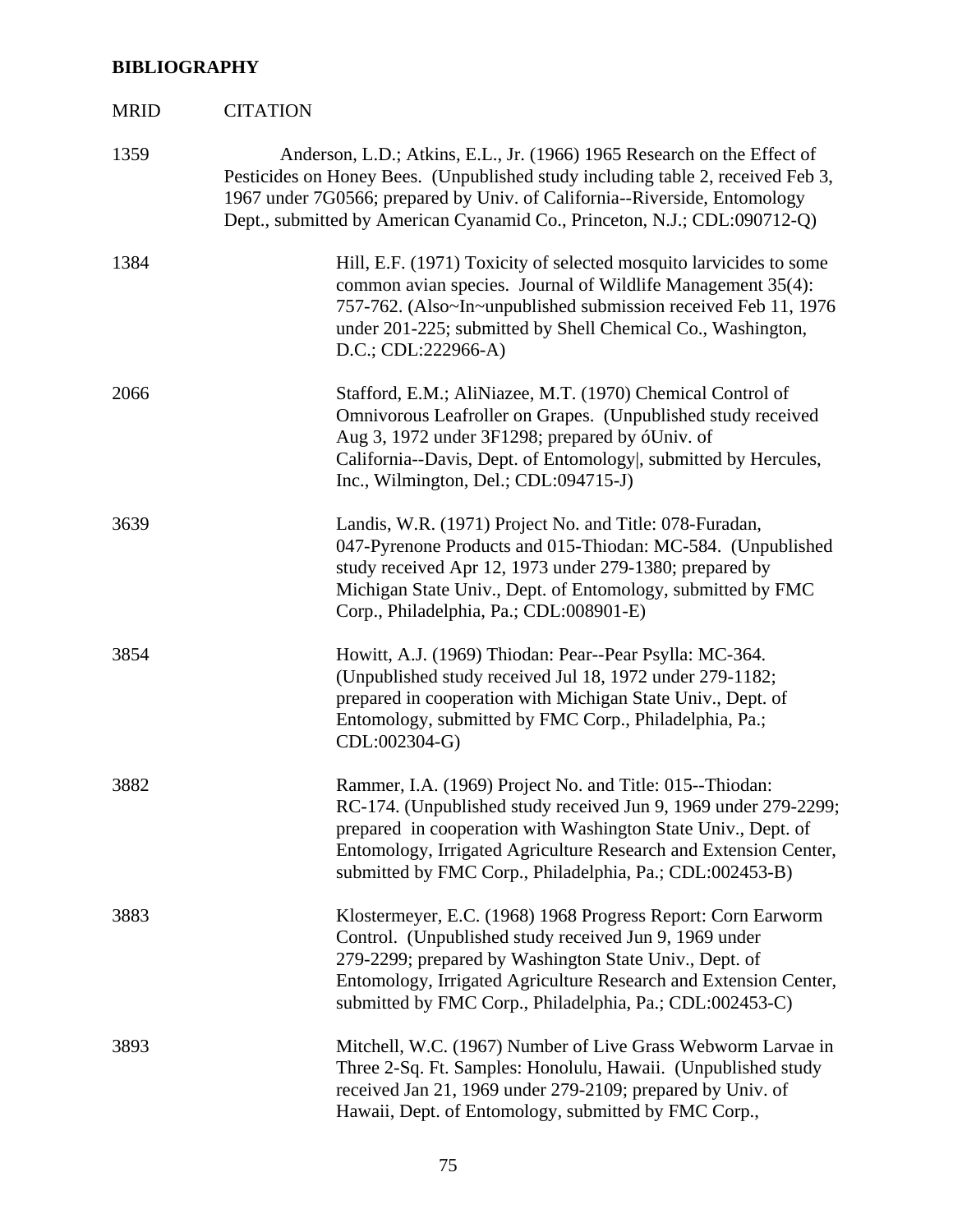# **BIBLIOGRAPHY**

| <b>MRID</b> | <b>CITATION</b>                                                                                                                                                                                                                                                                                                              |
|-------------|------------------------------------------------------------------------------------------------------------------------------------------------------------------------------------------------------------------------------------------------------------------------------------------------------------------------------|
| 1359        | Anderson, L.D.; Atkins, E.L., Jr. (1966) 1965 Research on the Effect of<br>Pesticides on Honey Bees. (Unpublished study including table 2, received Feb 3,<br>1967 under 7G0566; prepared by Univ. of California--Riverside, Entomology<br>Dept., submitted by American Cyanamid Co., Princeton, N.J.; CDL:090712-Q)         |
| 1384        | Hill, E.F. (1971) Toxicity of selected mosquito larvicides to some<br>common avian species. Journal of Wildlife Management 35(4):<br>757-762. (Also~In~unpublished submission received Feb 11, 1976<br>under 201-225; submitted by Shell Chemical Co., Washington,<br>$D.C.; CDL:222966-A)$                                  |
| 2066        | Stafford, E.M.; AliNiazee, M.T. (1970) Chemical Control of<br>Omnivorous Leafroller on Grapes. (Unpublished study received<br>Aug 3, 1972 under 3F1298; prepared by óUniv. of<br>California--Davis, Dept. of Entomology, submitted by Hercules,<br>Inc., Wilmington, Del.; CDL:094715-J)                                     |
| 3639        | Landis, W.R. (1971) Project No. and Title: 078-Furadan,<br>047-Pyrenone Products and 015-Thiodan: MC-584. (Unpublished<br>study received Apr 12, 1973 under 279-1380; prepared by<br>Michigan State Univ., Dept. of Entomology, submitted by FMC<br>Corp., Philadelphia, Pa.; CDL:008901-E)                                  |
| 3854        | Howitt, A.J. (1969) Thiodan: Pear--Pear Psylla: MC-364.<br>(Unpublished study received Jul 18, 1972 under 279-1182;<br>prepared in cooperation with Michigan State Univ., Dept. of<br>Entomology, submitted by FMC Corp., Philadelphia, Pa.;<br>CDL:002304-G)                                                                |
| 3882        | Rammer, I.A. (1969) Project No. and Title: 015--Thiodan:<br>RC-174. (Unpublished study received Jun 9, 1969 under 279-2299;<br>prepared in cooperation with Washington State Univ., Dept. of<br>Entomology, Irrigated Agriculture Research and Extension Center,<br>submitted by FMC Corp., Philadelphia, Pa.; CDL:002453-B) |
| 3883        | Klostermeyer, E.C. (1968) 1968 Progress Report: Corn Earworm<br>Control. (Unpublished study received Jun 9, 1969 under<br>279-2299; prepared by Washington State Univ., Dept. of<br>Entomology, Irrigated Agriculture Research and Extension Center,<br>submitted by FMC Corp., Philadelphia, Pa.; CDL:002453-C)             |
| 3893        | Mitchell, W.C. (1967) Number of Live Grass Webworm Larvae in<br>Three 2-Sq. Ft. Samples: Honolulu, Hawaii. (Unpublished study<br>received Jan 21, 1969 under 279-2109; prepared by Univ. of<br>Hawaii, Dept. of Entomology, submitted by FMC Corp.,                                                                          |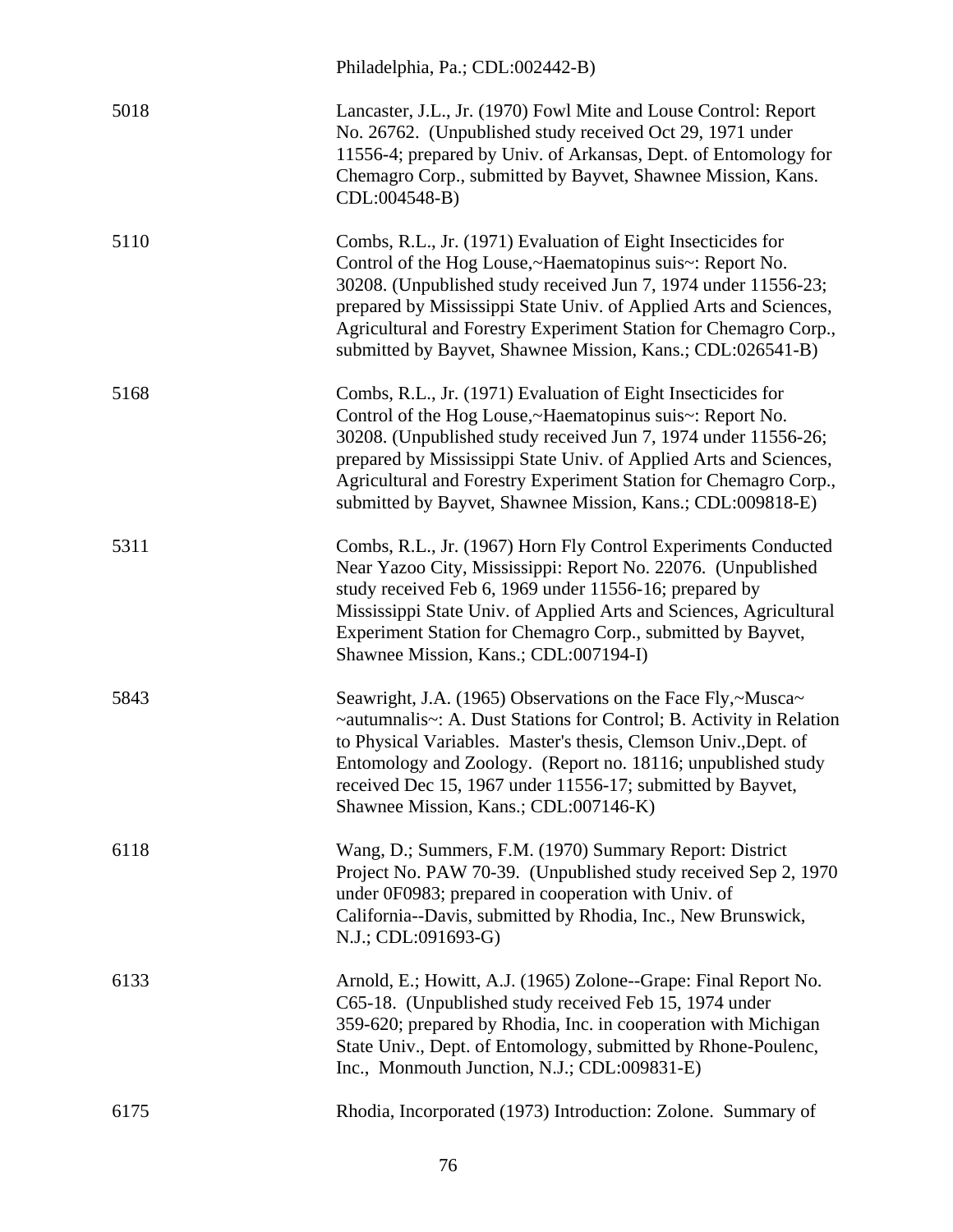|      | Philadelphia, Pa.; CDL:002442-B)                                                                                                                                                                                                                                                                                                                                                                  |
|------|---------------------------------------------------------------------------------------------------------------------------------------------------------------------------------------------------------------------------------------------------------------------------------------------------------------------------------------------------------------------------------------------------|
| 5018 | Lancaster, J.L., Jr. (1970) Fowl Mite and Louse Control: Report<br>No. 26762. (Unpublished study received Oct 29, 1971 under<br>11556-4; prepared by Univ. of Arkansas, Dept. of Entomology for<br>Chemagro Corp., submitted by Bayvet, Shawnee Mission, Kans.<br>CDL:004548-B)                                                                                                                   |
| 5110 | Combs, R.L., Jr. (1971) Evaluation of Eight Insecticides for<br>Control of the Hog Louse,~Haematopinus suis~: Report No.<br>30208. (Unpublished study received Jun 7, 1974 under 11556-23;<br>prepared by Mississippi State Univ. of Applied Arts and Sciences,<br>Agricultural and Forestry Experiment Station for Chemagro Corp.,<br>submitted by Bayvet, Shawnee Mission, Kans.; CDL:026541-B) |
| 5168 | Combs, R.L., Jr. (1971) Evaluation of Eight Insecticides for<br>Control of the Hog Louse,~Haematopinus suis~: Report No.<br>30208. (Unpublished study received Jun 7, 1974 under 11556-26;<br>prepared by Mississippi State Univ. of Applied Arts and Sciences,<br>Agricultural and Forestry Experiment Station for Chemagro Corp.,<br>submitted by Bayvet, Shawnee Mission, Kans.; CDL:009818-E) |
| 5311 | Combs, R.L., Jr. (1967) Horn Fly Control Experiments Conducted<br>Near Yazoo City, Mississippi: Report No. 22076. (Unpublished<br>study received Feb 6, 1969 under 11556-16; prepared by<br>Mississippi State Univ. of Applied Arts and Sciences, Agricultural<br>Experiment Station for Chemagro Corp., submitted by Bayvet,<br>Shawnee Mission, Kans.; CDL:007194-I)                            |
| 5843 | Seawright, J.A. (1965) Observations on the Face Fly,~Musca~<br>~autumnalis~: A. Dust Stations for Control; B. Activity in Relation<br>to Physical Variables. Master's thesis, Clemson Univ., Dept. of<br>Entomology and Zoology. (Report no. 18116; unpublished study<br>received Dec 15, 1967 under 11556-17; submitted by Bayvet,<br>Shawnee Mission, Kans.; CDL:007146-K)                      |
| 6118 | Wang, D.; Summers, F.M. (1970) Summary Report: District<br>Project No. PAW 70-39. (Unpublished study received Sep 2, 1970)<br>under 0F0983; prepared in cooperation with Univ. of<br>California--Davis, submitted by Rhodia, Inc., New Brunswick,<br>N.J.; CDL:091693-G)                                                                                                                          |
| 6133 | Arnold, E.; Howitt, A.J. (1965) Zolone--Grape: Final Report No.<br>C65-18. (Unpublished study received Feb 15, 1974 under<br>359-620; prepared by Rhodia, Inc. in cooperation with Michigan<br>State Univ., Dept. of Entomology, submitted by Rhone-Poulenc,<br>Inc., Monmouth Junction, N.J.; CDL:009831-E)                                                                                      |
| 6175 | Rhodia, Incorporated (1973) Introduction: Zolone. Summary of                                                                                                                                                                                                                                                                                                                                      |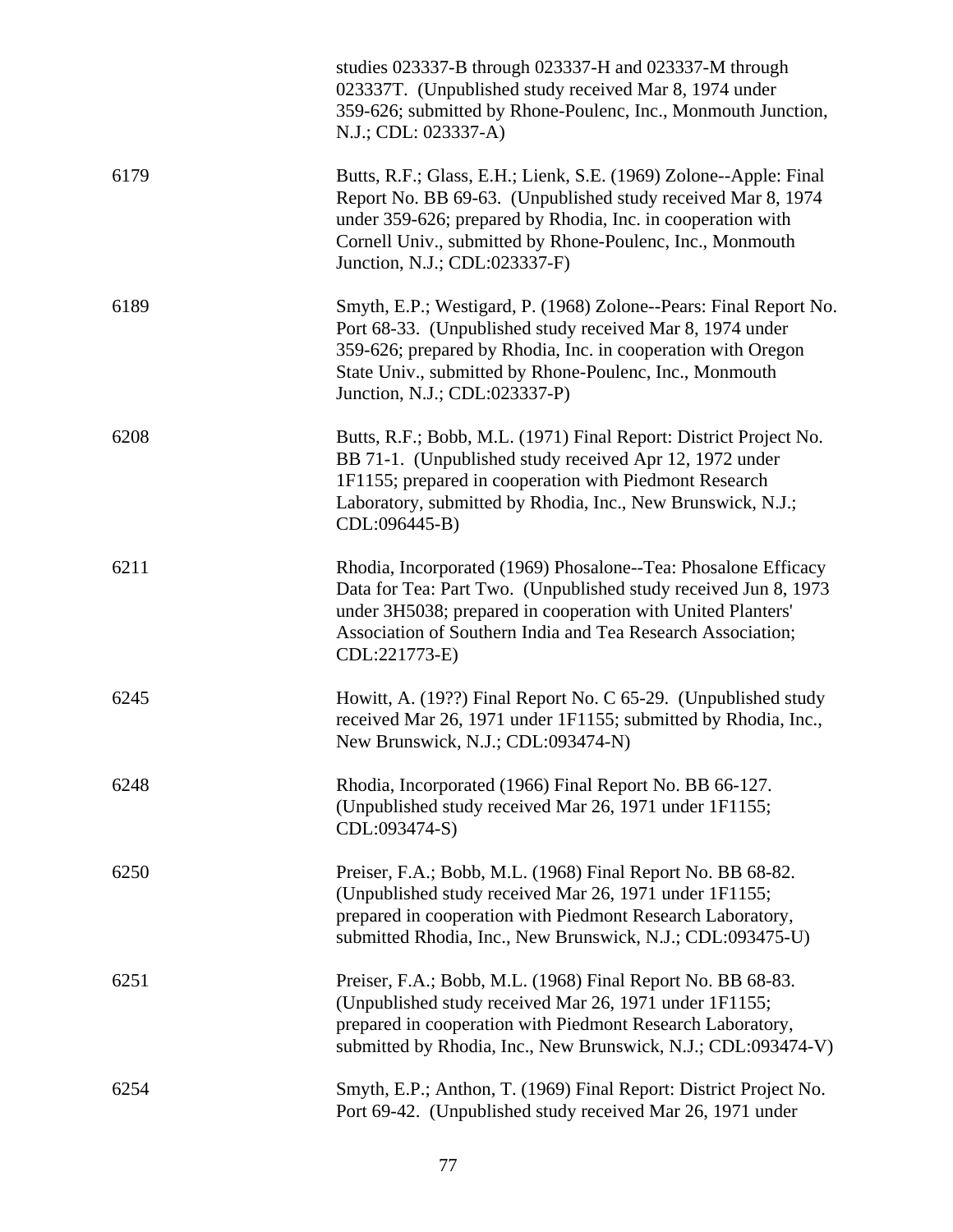|      | studies 023337-B through 023337-H and 023337-M through<br>023337T. (Unpublished study received Mar 8, 1974 under<br>359-626; submitted by Rhone-Poulenc, Inc., Monmouth Junction,<br>N.J.; CDL: 023337-A)                                                                                      |
|------|------------------------------------------------------------------------------------------------------------------------------------------------------------------------------------------------------------------------------------------------------------------------------------------------|
| 6179 | Butts, R.F.; Glass, E.H.; Lienk, S.E. (1969) Zolone--Apple: Final<br>Report No. BB 69-63. (Unpublished study received Mar 8, 1974<br>under 359-626; prepared by Rhodia, Inc. in cooperation with<br>Cornell Univ., submitted by Rhone-Poulenc, Inc., Monmouth<br>Junction, N.J.; CDL:023337-F) |
| 6189 | Smyth, E.P.; Westigard, P. (1968) Zolone--Pears: Final Report No.<br>Port 68-33. (Unpublished study received Mar 8, 1974 under<br>359-626; prepared by Rhodia, Inc. in cooperation with Oregon<br>State Univ., submitted by Rhone-Poulenc, Inc., Monmouth<br>Junction, N.J.; CDL:023337-P)     |
| 6208 | Butts, R.F.; Bobb, M.L. (1971) Final Report: District Project No.<br>BB 71-1. (Unpublished study received Apr 12, 1972 under<br>1F1155; prepared in cooperation with Piedmont Research<br>Laboratory, submitted by Rhodia, Inc., New Brunswick, N.J.;<br>CDL:096445-B)                         |
| 6211 | Rhodia, Incorporated (1969) Phosalone--Tea: Phosalone Efficacy<br>Data for Tea: Part Two. (Unpublished study received Jun 8, 1973)<br>under 3H5038; prepared in cooperation with United Planters'<br>Association of Southern India and Tea Research Association;<br>CDL:221773-E)              |
| 6245 | Howitt, A. (19??) Final Report No. C 65-29. (Unpublished study<br>received Mar 26, 1971 under 1F1155; submitted by Rhodia, Inc.,<br>New Brunswick, N.J.; CDL:093474-N)                                                                                                                         |
| 6248 | Rhodia, Incorporated (1966) Final Report No. BB 66-127.<br>(Unpublished study received Mar 26, 1971 under 1F1155;<br>CDL:093474-S)                                                                                                                                                             |
| 6250 | Preiser, F.A.; Bobb, M.L. (1968) Final Report No. BB 68-82.<br>(Unpublished study received Mar 26, 1971 under 1F1155;<br>prepared in cooperation with Piedmont Research Laboratory,<br>submitted Rhodia, Inc., New Brunswick, N.J.; CDL:093475-U)                                              |
| 6251 | Preiser, F.A.; Bobb, M.L. (1968) Final Report No. BB 68-83.<br>(Unpublished study received Mar 26, 1971 under 1F1155;<br>prepared in cooperation with Piedmont Research Laboratory,<br>submitted by Rhodia, Inc., New Brunswick, N.J.; CDL:093474-V)                                           |
| 6254 | Smyth, E.P.; Anthon, T. (1969) Final Report: District Project No.<br>Port 69-42. (Unpublished study received Mar 26, 1971 under                                                                                                                                                                |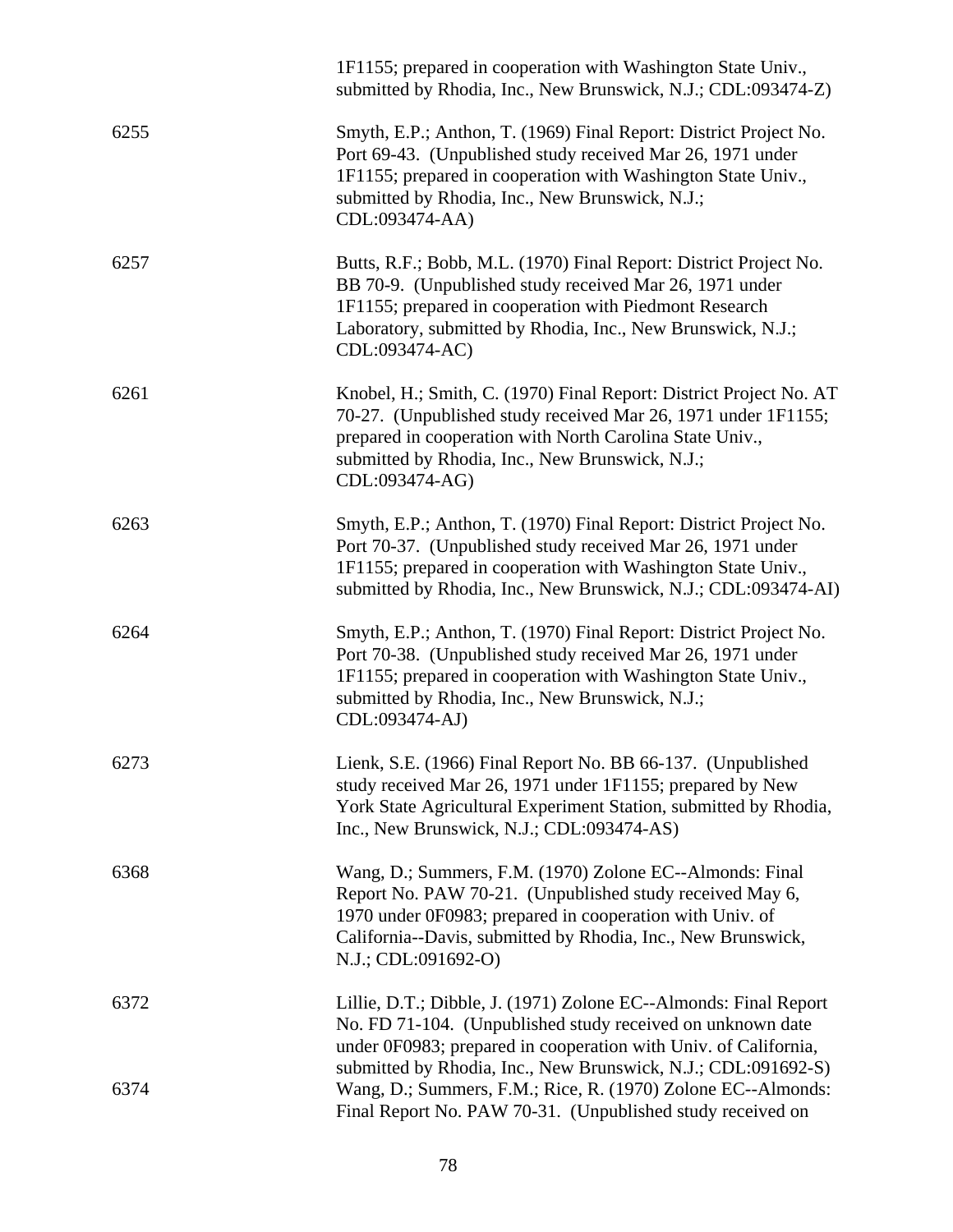|      | 1F1155; prepared in cooperation with Washington State Univ.,<br>submitted by Rhodia, Inc., New Brunswick, N.J.; CDL:093474-Z)                                                                                                                                           |
|------|-------------------------------------------------------------------------------------------------------------------------------------------------------------------------------------------------------------------------------------------------------------------------|
| 6255 | Smyth, E.P.; Anthon, T. (1969) Final Report: District Project No.<br>Port 69-43. (Unpublished study received Mar 26, 1971 under<br>1F1155; prepared in cooperation with Washington State Univ.,<br>submitted by Rhodia, Inc., New Brunswick, N.J.;<br>CDL:093474-AA)    |
| 6257 | Butts, R.F.; Bobb, M.L. (1970) Final Report: District Project No.<br>BB 70-9. (Unpublished study received Mar 26, 1971 under<br>1F1155; prepared in cooperation with Piedmont Research<br>Laboratory, submitted by Rhodia, Inc., New Brunswick, N.J.;<br>CDL:093474-AC) |
| 6261 | Knobel, H.; Smith, C. (1970) Final Report: District Project No. AT<br>70-27. (Unpublished study received Mar 26, 1971 under 1F1155;<br>prepared in cooperation with North Carolina State Univ.,<br>submitted by Rhodia, Inc., New Brunswick, N.J.;<br>CDL:093474-AG)    |
| 6263 | Smyth, E.P.; Anthon, T. (1970) Final Report: District Project No.<br>Port 70-37. (Unpublished study received Mar 26, 1971 under<br>1F1155; prepared in cooperation with Washington State Univ.,<br>submitted by Rhodia, Inc., New Brunswick, N.J.; CDL:093474-AI)       |
| 6264 | Smyth, E.P.; Anthon, T. (1970) Final Report: District Project No.<br>Port 70-38. (Unpublished study received Mar 26, 1971 under<br>1F1155; prepared in cooperation with Washington State Univ.,<br>submitted by Rhodia, Inc., New Brunswick, N.J.;<br>CDL:093474-AJ)    |
| 6273 | Lienk, S.E. (1966) Final Report No. BB 66-137. (Unpublished<br>study received Mar 26, 1971 under 1F1155; prepared by New<br>York State Agricultural Experiment Station, submitted by Rhodia,<br>Inc., New Brunswick, N.J.; CDL:093474-AS)                               |
| 6368 | Wang, D.; Summers, F.M. (1970) Zolone EC--Almonds: Final<br>Report No. PAW 70-21. (Unpublished study received May 6,<br>1970 under 0F0983; prepared in cooperation with Univ. of<br>California--Davis, submitted by Rhodia, Inc., New Brunswick,<br>N.J.; CDL:091692-O) |
| 6372 | Lillie, D.T.; Dibble, J. (1971) Zolone EC--Almonds: Final Report<br>No. FD 71-104. (Unpublished study received on unknown date<br>under 0F0983; prepared in cooperation with Univ. of California,<br>submitted by Rhodia, Inc., New Brunswick, N.J.; CDL:091692-S)      |
| 6374 | Wang, D.; Summers, F.M.; Rice, R. (1970) Zolone EC--Almonds:<br>Final Report No. PAW 70-31. (Unpublished study received on                                                                                                                                              |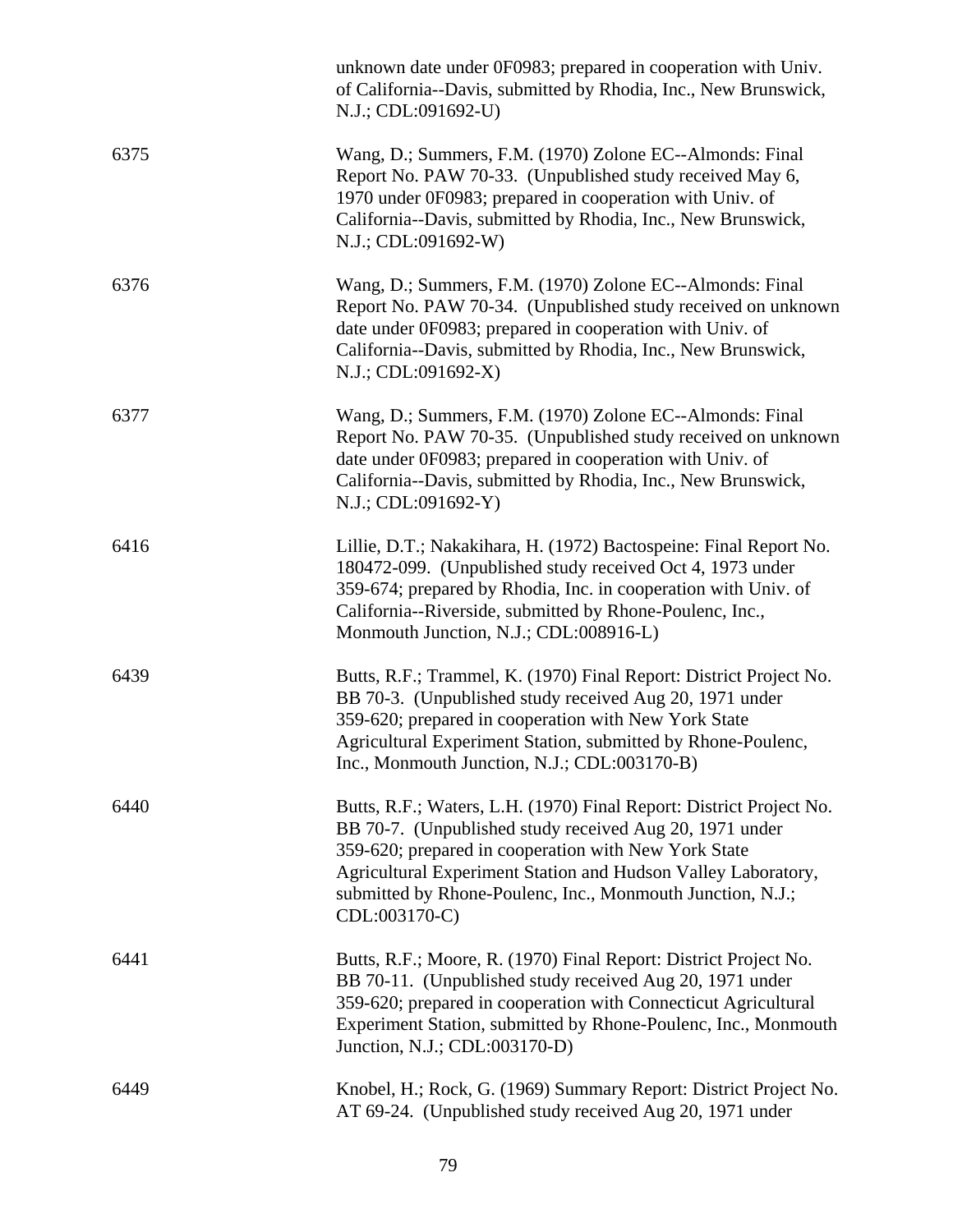|      | unknown date under 0F0983; prepared in cooperation with Univ.<br>of California--Davis, submitted by Rhodia, Inc., New Brunswick,<br>N.J.; CDL:091692-U)                                                                                                                                                                                |
|------|----------------------------------------------------------------------------------------------------------------------------------------------------------------------------------------------------------------------------------------------------------------------------------------------------------------------------------------|
| 6375 | Wang, D.; Summers, F.M. (1970) Zolone EC--Almonds: Final<br>Report No. PAW 70-33. (Unpublished study received May 6,<br>1970 under 0F0983; prepared in cooperation with Univ. of<br>California--Davis, submitted by Rhodia, Inc., New Brunswick,<br>N.J.; CDL:091692-W)                                                                |
| 6376 | Wang, D.; Summers, F.M. (1970) Zolone EC--Almonds: Final<br>Report No. PAW 70-34. (Unpublished study received on unknown<br>date under 0F0983; prepared in cooperation with Univ. of<br>California--Davis, submitted by Rhodia, Inc., New Brunswick,<br>N.J.; CDL:091692-X)                                                            |
| 6377 | Wang, D.; Summers, F.M. (1970) Zolone EC--Almonds: Final<br>Report No. PAW 70-35. (Unpublished study received on unknown<br>date under 0F0983; prepared in cooperation with Univ. of<br>California--Davis, submitted by Rhodia, Inc., New Brunswick,<br>N.J.; CDL:091692-Y)                                                            |
| 6416 | Lillie, D.T.; Nakakihara, H. (1972) Bactospeine: Final Report No.<br>180472-099. (Unpublished study received Oct 4, 1973 under<br>359-674; prepared by Rhodia, Inc. in cooperation with Univ. of<br>California--Riverside, submitted by Rhone-Poulenc, Inc.,<br>Monmouth Junction, N.J.; CDL:008916-L)                                 |
| 6439 | Butts, R.F.; Trammel, K. (1970) Final Report: District Project No.<br>BB 70-3. (Unpublished study received Aug 20, 1971 under<br>359-620; prepared in cooperation with New York State<br>Agricultural Experiment Station, submitted by Rhone-Poulenc,<br>Inc., Monmouth Junction, N.J.; CDL:003170-B)                                  |
| 6440 | Butts, R.F.; Waters, L.H. (1970) Final Report: District Project No.<br>BB 70-7. (Unpublished study received Aug 20, 1971 under<br>359-620; prepared in cooperation with New York State<br>Agricultural Experiment Station and Hudson Valley Laboratory,<br>submitted by Rhone-Poulenc, Inc., Monmouth Junction, N.J.;<br>CDL:003170-C) |
| 6441 | Butts, R.F.; Moore, R. (1970) Final Report: District Project No.<br>BB 70-11. (Unpublished study received Aug 20, 1971 under<br>359-620; prepared in cooperation with Connecticut Agricultural<br>Experiment Station, submitted by Rhone-Poulenc, Inc., Monmouth<br>Junction, N.J.; CDL:003170-D)                                      |
| 6449 | Knobel, H.; Rock, G. (1969) Summary Report: District Project No.<br>AT 69-24. (Unpublished study received Aug 20, 1971 under                                                                                                                                                                                                           |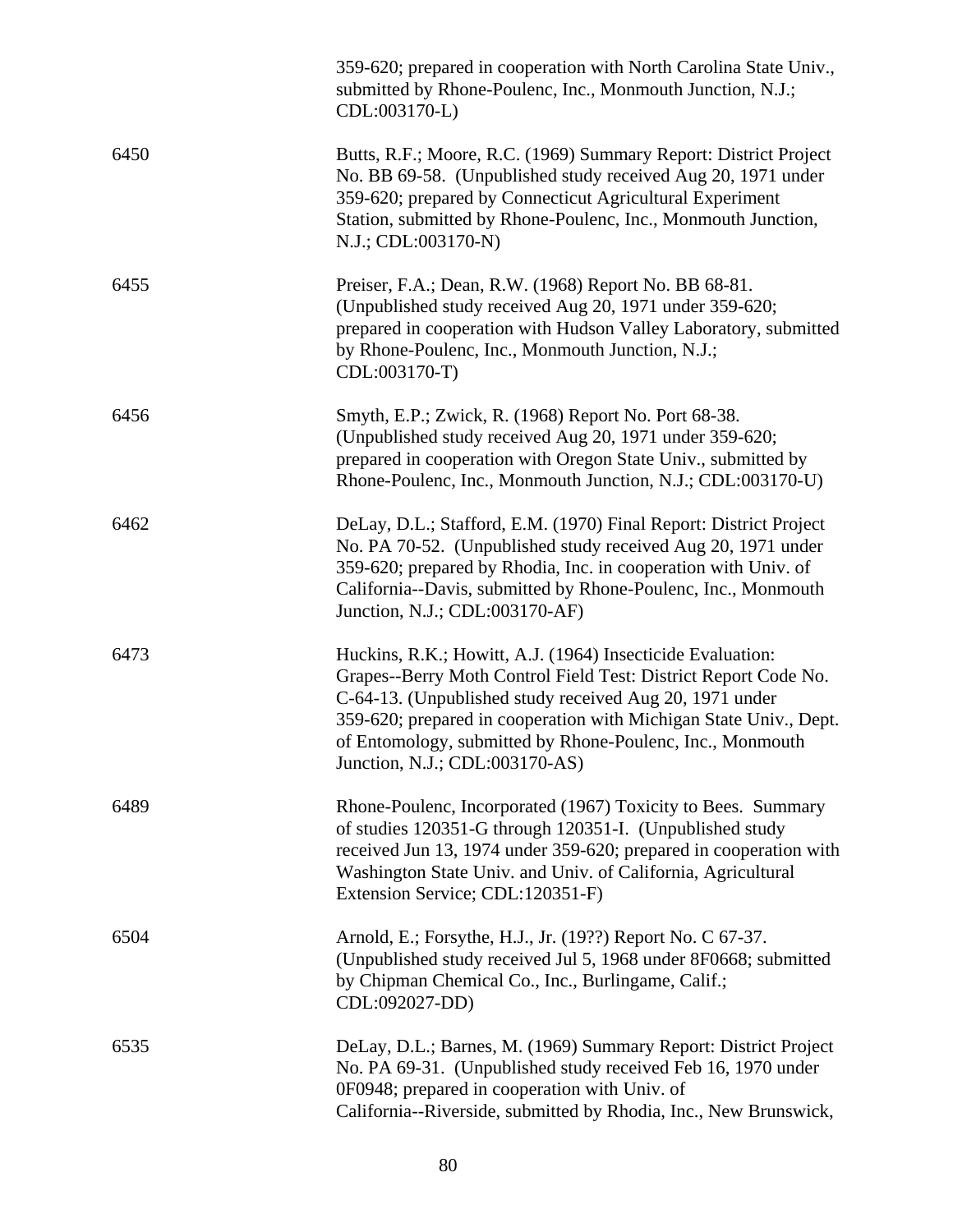|      | 359-620; prepared in cooperation with North Carolina State Univ.,<br>submitted by Rhone-Poulenc, Inc., Monmouth Junction, N.J.;<br>CDL:003170-L)                                                                                                                                                                                                             |
|------|--------------------------------------------------------------------------------------------------------------------------------------------------------------------------------------------------------------------------------------------------------------------------------------------------------------------------------------------------------------|
| 6450 | Butts, R.F.; Moore, R.C. (1969) Summary Report: District Project<br>No. BB 69-58. (Unpublished study received Aug 20, 1971 under<br>359-620; prepared by Connecticut Agricultural Experiment<br>Station, submitted by Rhone-Poulenc, Inc., Monmouth Junction,<br>N.J.; CDL:003170-N)                                                                         |
| 6455 | Preiser, F.A.; Dean, R.W. (1968) Report No. BB 68-81.<br>(Unpublished study received Aug 20, 1971 under 359-620;<br>prepared in cooperation with Hudson Valley Laboratory, submitted<br>by Rhone-Poulenc, Inc., Monmouth Junction, N.J.;<br>CDL:003170-T)                                                                                                    |
| 6456 | Smyth, E.P.; Zwick, R. (1968) Report No. Port 68-38.<br>(Unpublished study received Aug 20, 1971 under 359-620;<br>prepared in cooperation with Oregon State Univ., submitted by<br>Rhone-Poulenc, Inc., Monmouth Junction, N.J.; CDL:003170-U)                                                                                                              |
| 6462 | DeLay, D.L.; Stafford, E.M. (1970) Final Report: District Project<br>No. PA 70-52. (Unpublished study received Aug 20, 1971 under<br>359-620; prepared by Rhodia, Inc. in cooperation with Univ. of<br>California--Davis, submitted by Rhone-Poulenc, Inc., Monmouth<br>Junction, N.J.; CDL:003170-AF)                                                       |
| 6473 | Huckins, R.K.; Howitt, A.J. (1964) Insecticide Evaluation:<br>Grapes--Berry Moth Control Field Test: District Report Code No.<br>C-64-13. (Unpublished study received Aug 20, 1971 under<br>359-620; prepared in cooperation with Michigan State Univ., Dept.<br>of Entomology, submitted by Rhone-Poulenc, Inc., Monmouth<br>Junction, N.J.; CDL:003170-AS) |
| 6489 | Rhone-Poulenc, Incorporated (1967) Toxicity to Bees. Summary<br>of studies 120351-G through 120351-I. (Unpublished study<br>received Jun 13, 1974 under 359-620; prepared in cooperation with<br>Washington State Univ. and Univ. of California, Agricultural<br>Extension Service; CDL:120351-F)                                                            |
| 6504 | Arnold, E.; Forsythe, H.J., Jr. (19??) Report No. C 67-37.<br>(Unpublished study received Jul 5, 1968 under 8F0668; submitted<br>by Chipman Chemical Co., Inc., Burlingame, Calif.;<br>CDL:092027-DD)                                                                                                                                                        |
| 6535 | DeLay, D.L.; Barnes, M. (1969) Summary Report: District Project<br>No. PA 69-31. (Unpublished study received Feb 16, 1970 under<br>0F0948; prepared in cooperation with Univ. of<br>California--Riverside, submitted by Rhodia, Inc., New Brunswick,                                                                                                         |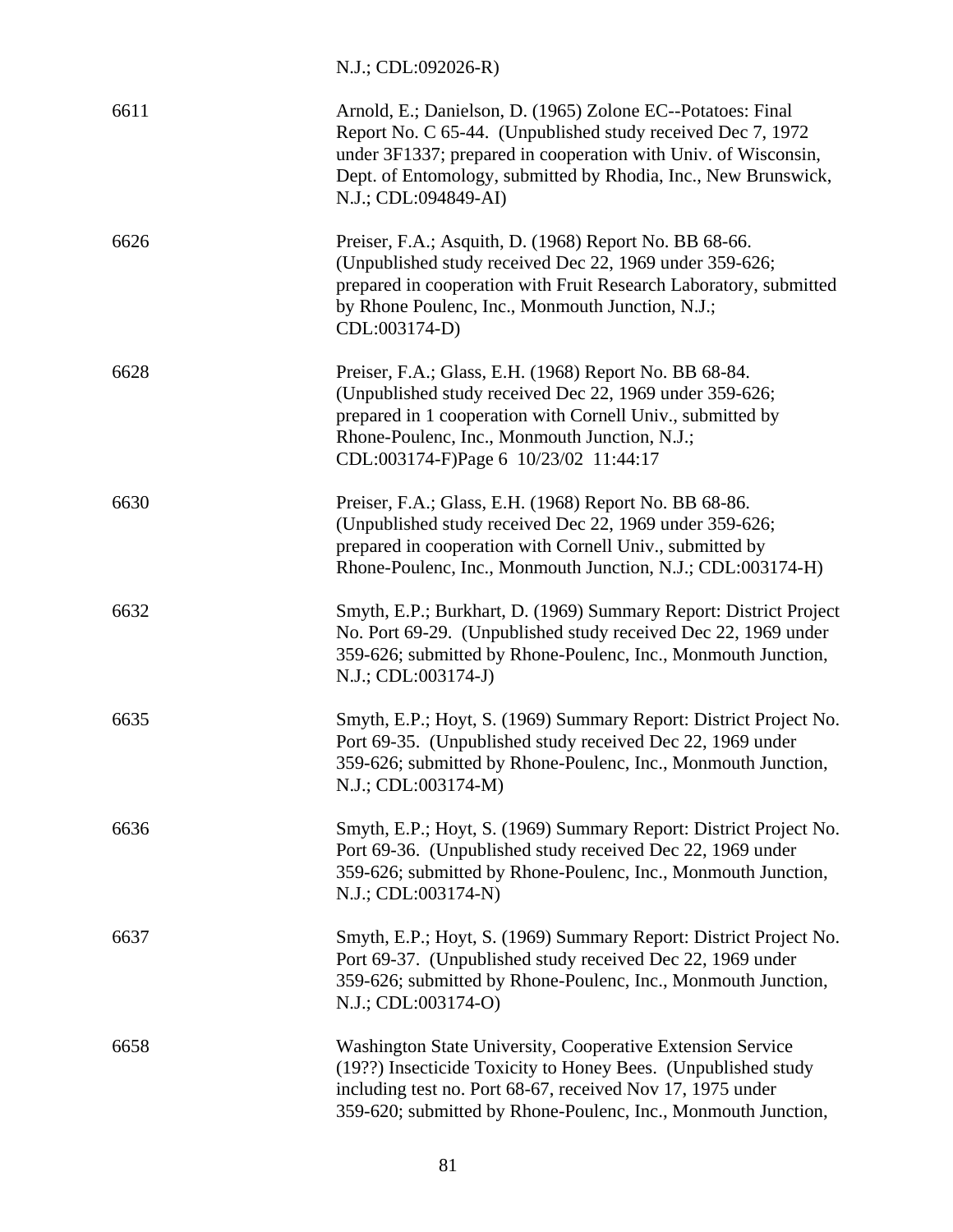N.J.; CDL:092026-R)

| 6611 | Arnold, E.; Danielson, D. (1965) Zolone EC--Potatoes: Final<br>Report No. C 65-44. (Unpublished study received Dec 7, 1972)<br>under 3F1337; prepared in cooperation with Univ. of Wisconsin,<br>Dept. of Entomology, submitted by Rhodia, Inc., New Brunswick,<br>N.J.; CDL:094849-AI) |
|------|-----------------------------------------------------------------------------------------------------------------------------------------------------------------------------------------------------------------------------------------------------------------------------------------|
| 6626 | Preiser, F.A.; Asquith, D. (1968) Report No. BB 68-66.<br>(Unpublished study received Dec 22, 1969 under 359-626;<br>prepared in cooperation with Fruit Research Laboratory, submitted<br>by Rhone Poulenc, Inc., Monmouth Junction, N.J.;<br>CDL:003174-D)                             |
| 6628 | Preiser, F.A.; Glass, E.H. (1968) Report No. BB 68-84.<br>(Unpublished study received Dec 22, 1969 under 359-626;<br>prepared in 1 cooperation with Cornell Univ., submitted by<br>Rhone-Poulenc, Inc., Monmouth Junction, N.J.;<br>CDL:003174-F)Page 6 10/23/02 11:44:17               |
| 6630 | Preiser, F.A.; Glass, E.H. (1968) Report No. BB 68-86.<br>(Unpublished study received Dec 22, 1969 under 359-626;<br>prepared in cooperation with Cornell Univ., submitted by<br>Rhone-Poulenc, Inc., Monmouth Junction, N.J.; CDL:003174-H)                                            |
| 6632 | Smyth, E.P.; Burkhart, D. (1969) Summary Report: District Project<br>No. Port 69-29. (Unpublished study received Dec 22, 1969 under<br>359-626; submitted by Rhone-Poulenc, Inc., Monmouth Junction,<br>N.J.; CDL:003174-J)                                                             |
| 6635 | Smyth, E.P.; Hoyt, S. (1969) Summary Report: District Project No.<br>Port 69-35. (Unpublished study received Dec 22, 1969 under<br>359-626; submitted by Rhone-Poulenc, Inc., Monmouth Junction,<br>N.J.; CDL:003174-M)                                                                 |
| 6636 | Smyth, E.P.; Hoyt, S. (1969) Summary Report: District Project No.<br>Port 69-36. (Unpublished study received Dec 22, 1969 under<br>359-626; submitted by Rhone-Poulenc, Inc., Monmouth Junction,<br>N.J.; CDL:003174-N)                                                                 |
| 6637 | Smyth, E.P.; Hoyt, S. (1969) Summary Report: District Project No.<br>Port 69-37. (Unpublished study received Dec 22, 1969 under<br>359-626; submitted by Rhone-Poulenc, Inc., Monmouth Junction,<br>N.J.; CDL:003174-O)                                                                 |
| 6658 | Washington State University, Cooperative Extension Service<br>(19??) Insecticide Toxicity to Honey Bees. (Unpublished study<br>including test no. Port 68-67, received Nov 17, 1975 under<br>359-620; submitted by Rhone-Poulenc, Inc., Monmouth Junction,                              |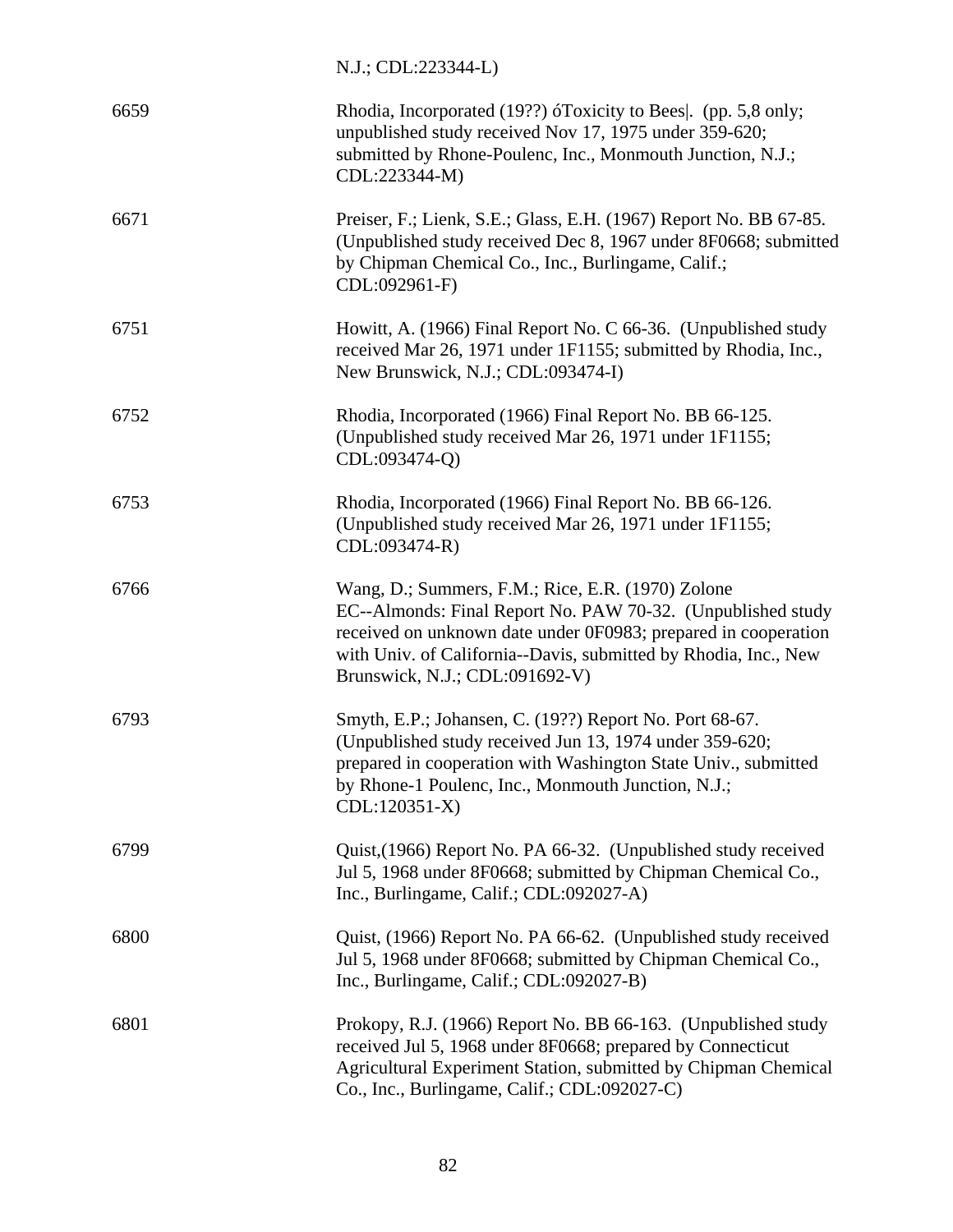# N.J.; CDL:223344-L)

| 6659 | Rhodia, Incorporated (19??) óToxicity to Bees. (pp. 5,8 only;<br>unpublished study received Nov 17, 1975 under 359-620;<br>submitted by Rhone-Poulenc, Inc., Monmouth Junction, N.J.;<br>CDL:223344-M)                                                                                  |
|------|-----------------------------------------------------------------------------------------------------------------------------------------------------------------------------------------------------------------------------------------------------------------------------------------|
| 6671 | Preiser, F.; Lienk, S.E.; Glass, E.H. (1967) Report No. BB 67-85.<br>(Unpublished study received Dec 8, 1967 under 8F0668; submitted<br>by Chipman Chemical Co., Inc., Burlingame, Calif.;<br>CDL:092961-F)                                                                             |
| 6751 | Howitt, A. (1966) Final Report No. C 66-36. (Unpublished study<br>received Mar 26, 1971 under 1F1155; submitted by Rhodia, Inc.,<br>New Brunswick, N.J.; CDL:093474-I)                                                                                                                  |
| 6752 | Rhodia, Incorporated (1966) Final Report No. BB 66-125.<br>(Unpublished study received Mar 26, 1971 under 1F1155;<br>CDL:093474-Q)                                                                                                                                                      |
| 6753 | Rhodia, Incorporated (1966) Final Report No. BB 66-126.<br>(Unpublished study received Mar 26, 1971 under 1F1155;<br>CDL:093474-R)                                                                                                                                                      |
| 6766 | Wang, D.; Summers, F.M.; Rice, E.R. (1970) Zolone<br>EC--Almonds: Final Report No. PAW 70-32. (Unpublished study<br>received on unknown date under 0F0983; prepared in cooperation<br>with Univ. of California--Davis, submitted by Rhodia, Inc., New<br>Brunswick, N.J.; CDL:091692-V) |
| 6793 | Smyth, E.P.; Johansen, C. (19??) Report No. Port 68-67.<br>(Unpublished study received Jun 13, 1974 under 359-620;<br>prepared in cooperation with Washington State Univ., submitted<br>by Rhone-1 Poulenc, Inc., Monmouth Junction, N.J.;<br>CDL:120351-X)                             |
| 6799 | Quist, (1966) Report No. PA 66-32. (Unpublished study received<br>Jul 5, 1968 under 8F0668; submitted by Chipman Chemical Co.,<br>Inc., Burlingame, Calif.; CDL:092027-A)                                                                                                               |
| 6800 | Quist, (1966) Report No. PA 66-62. (Unpublished study received<br>Jul 5, 1968 under 8F0668; submitted by Chipman Chemical Co.,<br>Inc., Burlingame, Calif.; CDL:092027-B)                                                                                                               |
| 6801 | Prokopy, R.J. (1966) Report No. BB 66-163. (Unpublished study<br>received Jul 5, 1968 under 8F0668; prepared by Connecticut<br>Agricultural Experiment Station, submitted by Chipman Chemical<br>Co., Inc., Burlingame, Calif.; CDL:092027-C)                                           |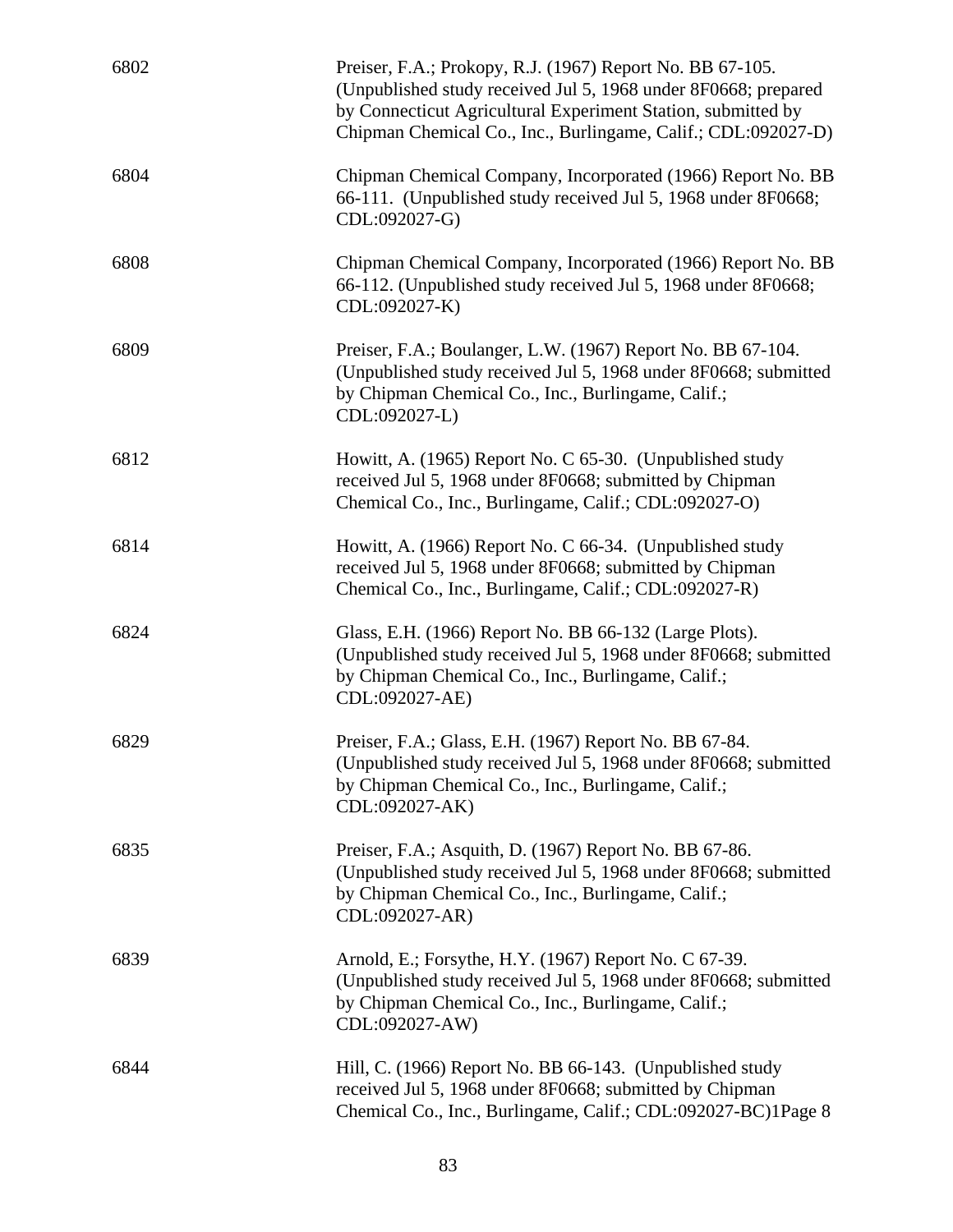| 6802 | Preiser, F.A.; Prokopy, R.J. (1967) Report No. BB 67-105.<br>(Unpublished study received Jul 5, 1968 under 8F0668; prepared<br>by Connecticut Agricultural Experiment Station, submitted by<br>Chipman Chemical Co., Inc., Burlingame, Calif.; CDL:092027-D) |
|------|--------------------------------------------------------------------------------------------------------------------------------------------------------------------------------------------------------------------------------------------------------------|
| 6804 | Chipman Chemical Company, Incorporated (1966) Report No. BB<br>66-111. (Unpublished study received Jul 5, 1968 under 8F0668;<br>CDL:092027-G)                                                                                                                |
| 6808 | Chipman Chemical Company, Incorporated (1966) Report No. BB<br>66-112. (Unpublished study received Jul 5, 1968 under 8F0668;<br>CDL:092027-K)                                                                                                                |
| 6809 | Preiser, F.A.; Boulanger, L.W. (1967) Report No. BB 67-104.<br>(Unpublished study received Jul 5, 1968 under 8F0668; submitted<br>by Chipman Chemical Co., Inc., Burlingame, Calif.;<br>CDL:092027-L)                                                        |
| 6812 | Howitt, A. (1965) Report No. C 65-30. (Unpublished study<br>received Jul 5, 1968 under 8F0668; submitted by Chipman<br>Chemical Co., Inc., Burlingame, Calif.; CDL:092027-O)                                                                                 |
| 6814 | Howitt, A. (1966) Report No. C 66-34. (Unpublished study<br>received Jul 5, 1968 under 8F0668; submitted by Chipman<br>Chemical Co., Inc., Burlingame, Calif.; CDL:092027-R)                                                                                 |
| 6824 | Glass, E.H. (1966) Report No. BB 66-132 (Large Plots).<br>(Unpublished study received Jul 5, 1968 under 8F0668; submitted<br>by Chipman Chemical Co., Inc., Burlingame, Calif.;<br>CDL:092027-AE)                                                            |
| 6829 | Preiser, F.A.; Glass, E.H. (1967) Report No. BB 67-84.<br>(Unpublished study received Jul 5, 1968 under 8F0668; submitted<br>by Chipman Chemical Co., Inc., Burlingame, Calif.;<br>CDL:092027-AK)                                                            |
| 6835 | Preiser, F.A.; Asquith, D. (1967) Report No. BB 67-86.<br>(Unpublished study received Jul 5, 1968 under 8F0668; submitted<br>by Chipman Chemical Co., Inc., Burlingame, Calif.;<br>CDL:092027-AR)                                                            |
| 6839 | Arnold, E.; Forsythe, H.Y. (1967) Report No. C 67-39.<br>(Unpublished study received Jul 5, 1968 under 8F0668; submitted<br>by Chipman Chemical Co., Inc., Burlingame, Calif.;<br>CDL:092027-AW)                                                             |
| 6844 | Hill, C. (1966) Report No. BB 66-143. (Unpublished study<br>received Jul 5, 1968 under 8F0668; submitted by Chipman<br>Chemical Co., Inc., Burlingame, Calif.; CDL:092027-BC)1Page 8                                                                         |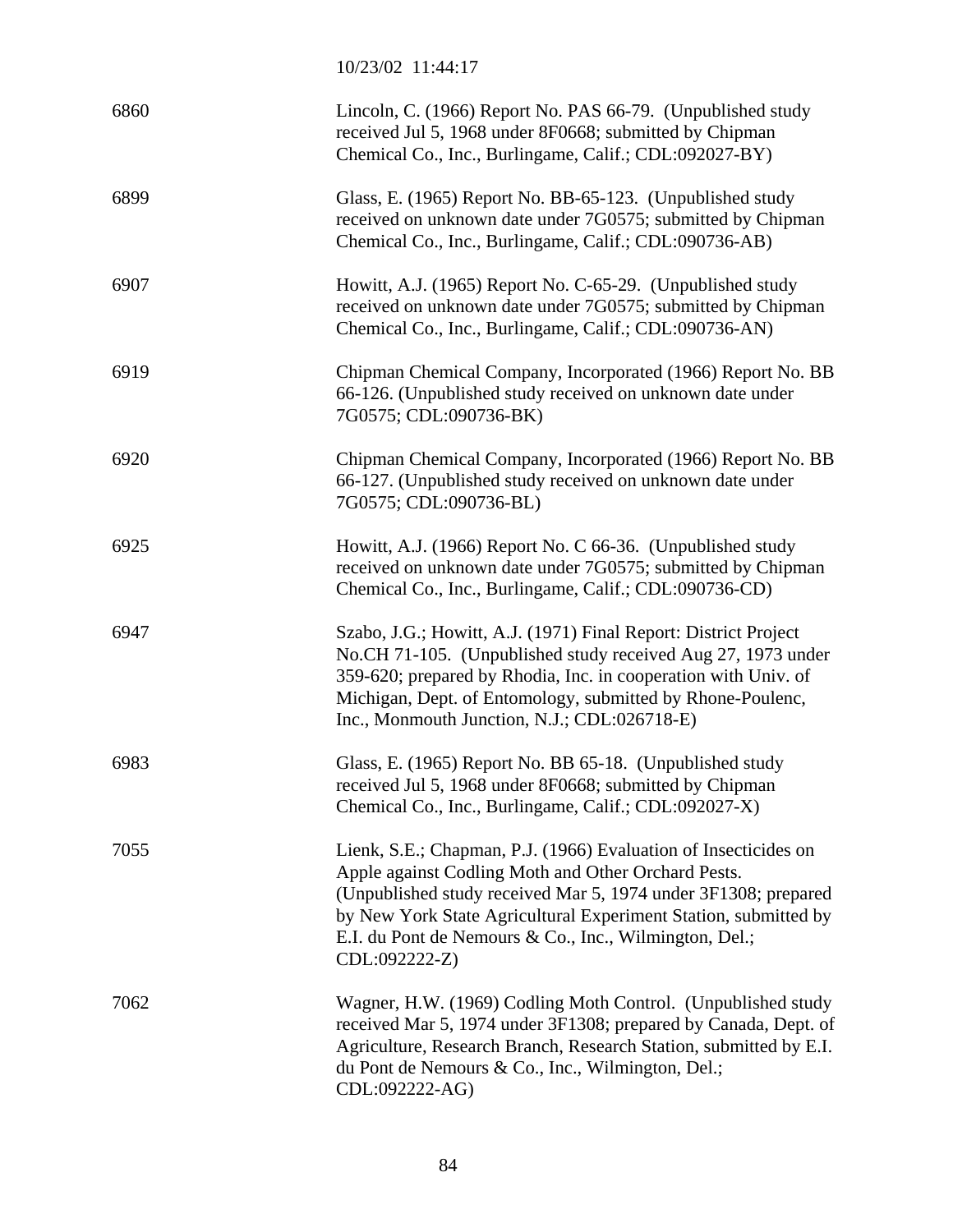10/23/02 11:44:17

| 6860 | Lincoln, C. (1966) Report No. PAS 66-79. (Unpublished study<br>received Jul 5, 1968 under 8F0668; submitted by Chipman<br>Chemical Co., Inc., Burlingame, Calif.; CDL:092027-BY)                                                                                                                                                       |
|------|----------------------------------------------------------------------------------------------------------------------------------------------------------------------------------------------------------------------------------------------------------------------------------------------------------------------------------------|
| 6899 | Glass, E. (1965) Report No. BB-65-123. (Unpublished study<br>received on unknown date under 7G0575; submitted by Chipman<br>Chemical Co., Inc., Burlingame, Calif.; CDL:090736-AB)                                                                                                                                                     |
| 6907 | Howitt, A.J. (1965) Report No. C-65-29. (Unpublished study<br>received on unknown date under 7G0575; submitted by Chipman<br>Chemical Co., Inc., Burlingame, Calif.; CDL:090736-AN)                                                                                                                                                    |
| 6919 | Chipman Chemical Company, Incorporated (1966) Report No. BB<br>66-126. (Unpublished study received on unknown date under<br>7G0575; CDL:090736-BK)                                                                                                                                                                                     |
| 6920 | Chipman Chemical Company, Incorporated (1966) Report No. BB<br>66-127. (Unpublished study received on unknown date under<br>7G0575; CDL:090736-BL)                                                                                                                                                                                     |
| 6925 | Howitt, A.J. (1966) Report No. C 66-36. (Unpublished study<br>received on unknown date under 7G0575; submitted by Chipman<br>Chemical Co., Inc., Burlingame, Calif.; CDL:090736-CD)                                                                                                                                                    |
| 6947 | Szabo, J.G.; Howitt, A.J. (1971) Final Report: District Project<br>No.CH 71-105. (Unpublished study received Aug 27, 1973 under<br>359-620; prepared by Rhodia, Inc. in cooperation with Univ. of<br>Michigan, Dept. of Entomology, submitted by Rhone-Poulenc,<br>Inc., Monmouth Junction, N.J.; CDL:026718-E)                        |
| 6983 | Glass, E. (1965) Report No. BB 65-18. (Unpublished study<br>received Jul 5, 1968 under 8F0668; submitted by Chipman<br>Chemical Co., Inc., Burlingame, Calif.; CDL:092027-X)                                                                                                                                                           |
| 7055 | Lienk, S.E.; Chapman, P.J. (1966) Evaluation of Insecticides on<br>Apple against Codling Moth and Other Orchard Pests.<br>(Unpublished study received Mar 5, 1974 under 3F1308; prepared<br>by New York State Agricultural Experiment Station, submitted by<br>E.I. du Pont de Nemours & Co., Inc., Wilmington, Del.;<br>CDL:092222-Z) |
| 7062 | Wagner, H.W. (1969) Codling Moth Control. (Unpublished study<br>received Mar 5, 1974 under 3F1308; prepared by Canada, Dept. of<br>Agriculture, Research Branch, Research Station, submitted by E.I.<br>du Pont de Nemours & Co., Inc., Wilmington, Del.;<br>CDL:092222-AG)                                                            |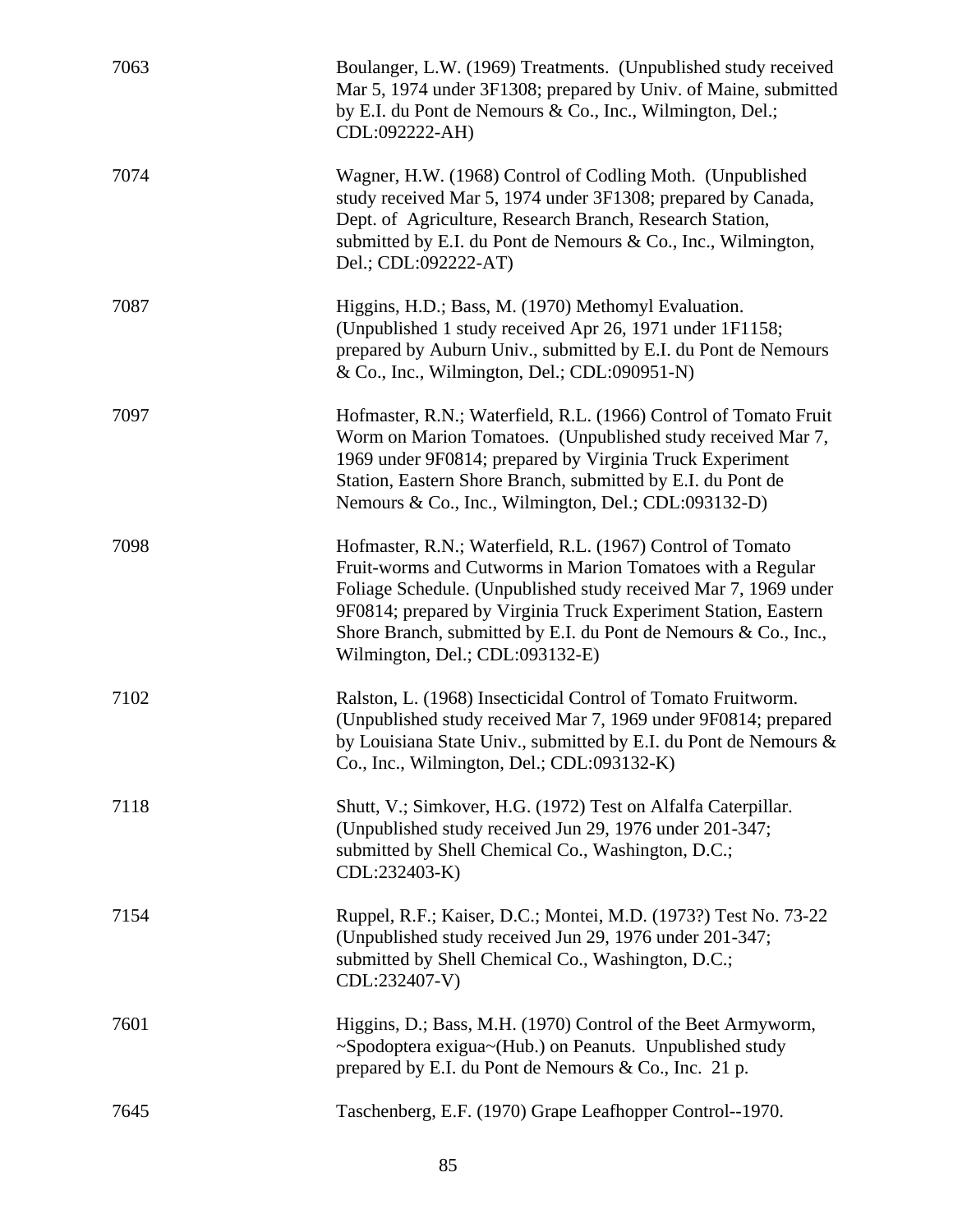| 7063 | Boulanger, L.W. (1969) Treatments. (Unpublished study received<br>Mar 5, 1974 under 3F1308; prepared by Univ. of Maine, submitted<br>by E.I. du Pont de Nemours & Co., Inc., Wilmington, Del.;<br>CDL:092222-AH)                                                                                                                                                    |
|------|---------------------------------------------------------------------------------------------------------------------------------------------------------------------------------------------------------------------------------------------------------------------------------------------------------------------------------------------------------------------|
| 7074 | Wagner, H.W. (1968) Control of Codling Moth. (Unpublished<br>study received Mar 5, 1974 under 3F1308; prepared by Canada,<br>Dept. of Agriculture, Research Branch, Research Station,<br>submitted by E.I. du Pont de Nemours & Co., Inc., Wilmington,<br>Del.; CDL:092222-AT)                                                                                      |
| 7087 | Higgins, H.D.; Bass, M. (1970) Methomyl Evaluation.<br>(Unpublished 1 study received Apr 26, 1971 under 1F1158;<br>prepared by Auburn Univ., submitted by E.I. du Pont de Nemours<br>& Co., Inc., Wilmington, Del.; CDL:090951-N)                                                                                                                                   |
| 7097 | Hofmaster, R.N.; Waterfield, R.L. (1966) Control of Tomato Fruit<br>Worm on Marion Tomatoes. (Unpublished study received Mar 7,<br>1969 under 9F0814; prepared by Virginia Truck Experiment<br>Station, Eastern Shore Branch, submitted by E.I. du Pont de<br>Nemours & Co., Inc., Wilmington, Del.; CDL:093132-D)                                                  |
| 7098 | Hofmaster, R.N.; Waterfield, R.L. (1967) Control of Tomato<br>Fruit-worms and Cutworms in Marion Tomatoes with a Regular<br>Foliage Schedule. (Unpublished study received Mar 7, 1969 under<br>9F0814; prepared by Virginia Truck Experiment Station, Eastern<br>Shore Branch, submitted by E.I. du Pont de Nemours & Co., Inc.,<br>Wilmington, Del.; CDL:093132-E) |
| 7102 | Ralston, L. (1968) Insecticidal Control of Tomato Fruitworm.<br>(Unpublished study received Mar 7, 1969 under 9F0814; prepared<br>by Louisiana State Univ., submitted by E.I. du Pont de Nemours &<br>Co., Inc., Wilmington, Del.; CDL:093132-K)                                                                                                                    |
| 7118 | Shutt, V.; Simkover, H.G. (1972) Test on Alfalfa Caterpillar.<br>(Unpublished study received Jun 29, 1976 under 201-347;<br>submitted by Shell Chemical Co., Washington, D.C.;<br>CDL:232403-K)                                                                                                                                                                     |
| 7154 | Ruppel, R.F.; Kaiser, D.C.; Montei, M.D. (1973?) Test No. 73-22<br>(Unpublished study received Jun 29, 1976 under 201-347;<br>submitted by Shell Chemical Co., Washington, D.C.;<br>CDL:232407-V)                                                                                                                                                                   |
| 7601 | Higgins, D.; Bass, M.H. (1970) Control of the Beet Armyworm,<br>~Spodoptera exigua~(Hub.) on Peanuts. Unpublished study<br>prepared by E.I. du Pont de Nemours & Co., Inc. 21 p.                                                                                                                                                                                    |
| 7645 | Taschenberg, E.F. (1970) Grape Leafhopper Control--1970.                                                                                                                                                                                                                                                                                                            |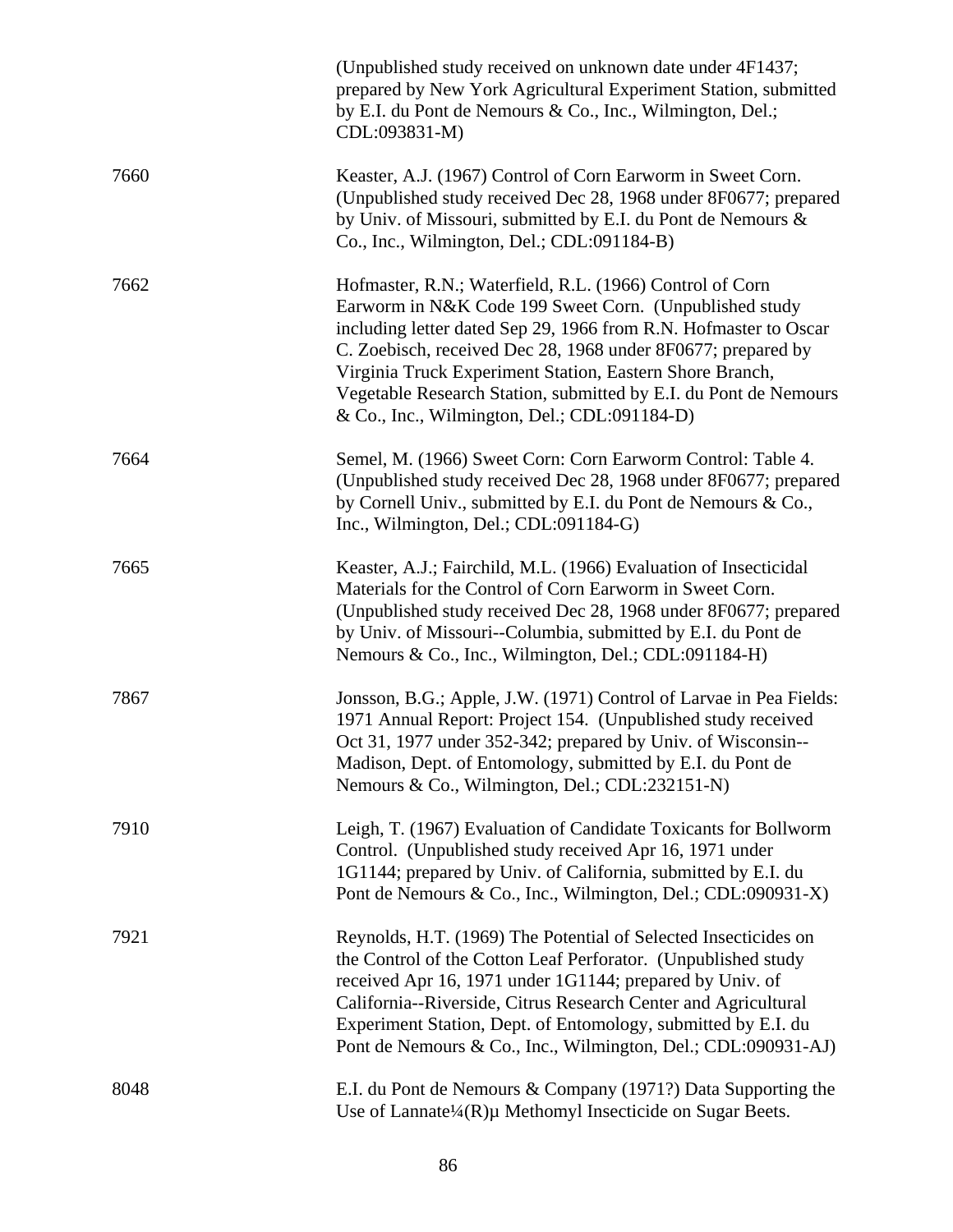|      | (Unpublished study received on unknown date under 4F1437;<br>prepared by New York Agricultural Experiment Station, submitted<br>by E.I. du Pont de Nemours & Co., Inc., Wilmington, Del.;<br>CDL:093831-M)                                                                                                                                                                                                                             |
|------|----------------------------------------------------------------------------------------------------------------------------------------------------------------------------------------------------------------------------------------------------------------------------------------------------------------------------------------------------------------------------------------------------------------------------------------|
| 7660 | Keaster, A.J. (1967) Control of Corn Earworm in Sweet Corn.<br>(Unpublished study received Dec 28, 1968 under 8F0677; prepared<br>by Univ. of Missouri, submitted by E.I. du Pont de Nemours &<br>Co., Inc., Wilmington, Del.; CDL:091184-B)                                                                                                                                                                                           |
| 7662 | Hofmaster, R.N.; Waterfield, R.L. (1966) Control of Corn<br>Earworm in N&K Code 199 Sweet Corn. (Unpublished study<br>including letter dated Sep 29, 1966 from R.N. Hofmaster to Oscar<br>C. Zoebisch, received Dec 28, 1968 under 8F0677; prepared by<br>Virginia Truck Experiment Station, Eastern Shore Branch,<br>Vegetable Research Station, submitted by E.I. du Pont de Nemours<br>& Co., Inc., Wilmington, Del.; CDL:091184-D) |
| 7664 | Semel, M. (1966) Sweet Corn: Corn Earworm Control: Table 4.<br>(Unpublished study received Dec 28, 1968 under 8F0677; prepared<br>by Cornell Univ., submitted by E.I. du Pont de Nemours & Co.,<br>Inc., Wilmington, Del.; CDL:091184-G)                                                                                                                                                                                               |
| 7665 | Keaster, A.J.; Fairchild, M.L. (1966) Evaluation of Insecticidal<br>Materials for the Control of Corn Earworm in Sweet Corn.<br>(Unpublished study received Dec 28, 1968 under 8F0677; prepared<br>by Univ. of Missouri--Columbia, submitted by E.I. du Pont de<br>Nemours & Co., Inc., Wilmington, Del.; CDL:091184-H)                                                                                                                |
| 7867 | Jonsson, B.G.; Apple, J.W. (1971) Control of Larvae in Pea Fields:<br>1971 Annual Report: Project 154. (Unpublished study received<br>Oct 31, 1977 under 352-342; prepared by Univ. of Wisconsin--<br>Madison, Dept. of Entomology, submitted by E.I. du Pont de<br>Nemours & Co., Wilmington, Del.; CDL:232151-N)                                                                                                                     |
| 7910 | Leigh, T. (1967) Evaluation of Candidate Toxicants for Bollworm<br>Control. (Unpublished study received Apr 16, 1971 under<br>1G1144; prepared by Univ. of California, submitted by E.I. du<br>Pont de Nemours & Co., Inc., Wilmington, Del.; CDL:090931-X)                                                                                                                                                                            |
| 7921 | Reynolds, H.T. (1969) The Potential of Selected Insecticides on<br>the Control of the Cotton Leaf Perforator. (Unpublished study<br>received Apr 16, 1971 under 1G1144; prepared by Univ. of<br>California--Riverside, Citrus Research Center and Agricultural<br>Experiment Station, Dept. of Entomology, submitted by E.I. du<br>Pont de Nemours & Co., Inc., Wilmington, Del.; CDL:090931-AJ)                                       |
| 8048 | E.I. du Pont de Nemours & Company (1971?) Data Supporting the<br>Use of Lannate $\frac{1}{4}$ (R)µ Methomyl Insecticide on Sugar Beets.                                                                                                                                                                                                                                                                                                |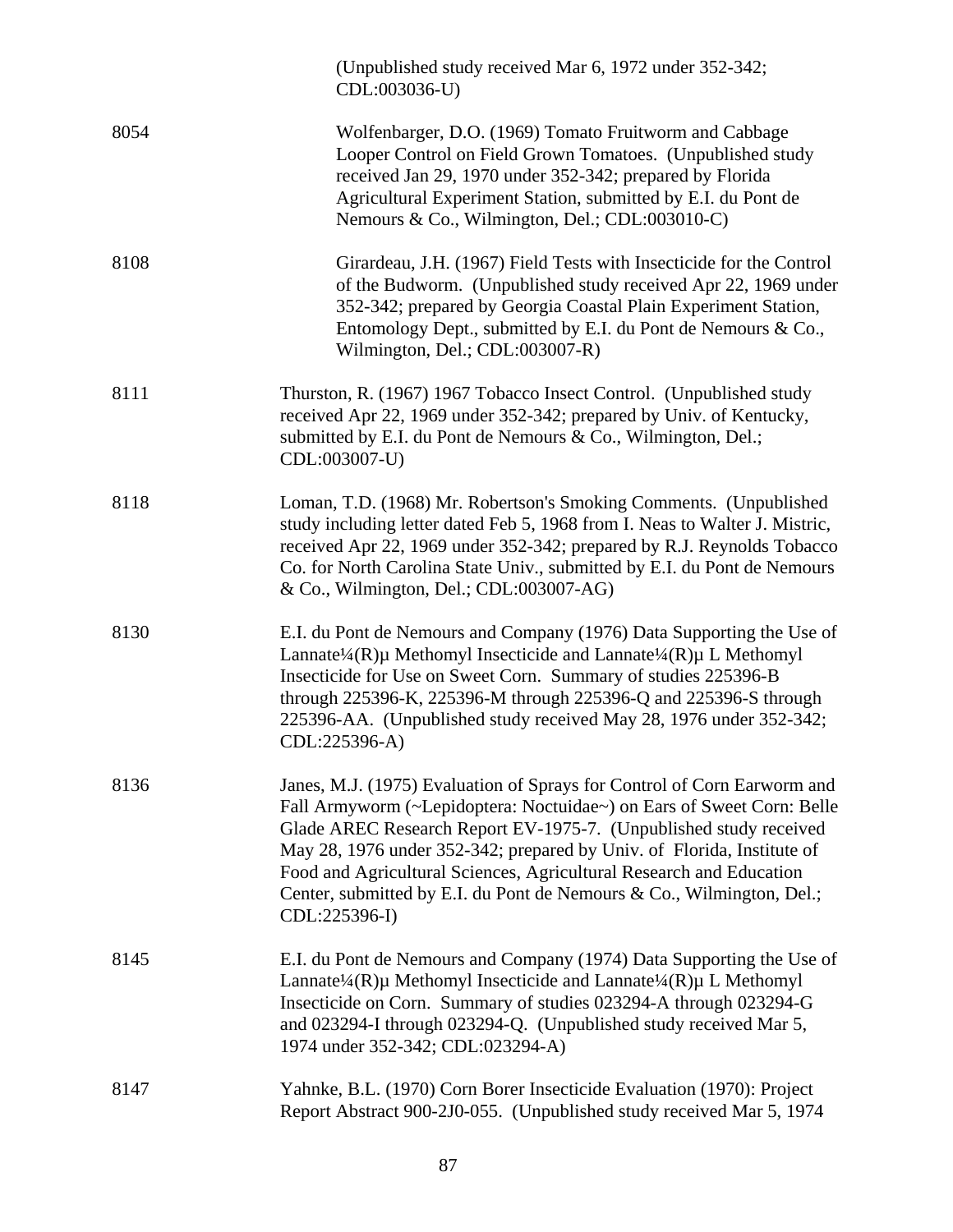|      | (Unpublished study received Mar 6, 1972 under 352-342;<br>CDL:003036-U)                                                                                                                                                                                                                                                                                                                                                                                          |
|------|------------------------------------------------------------------------------------------------------------------------------------------------------------------------------------------------------------------------------------------------------------------------------------------------------------------------------------------------------------------------------------------------------------------------------------------------------------------|
| 8054 | Wolfenbarger, D.O. (1969) Tomato Fruitworm and Cabbage<br>Looper Control on Field Grown Tomatoes. (Unpublished study<br>received Jan 29, 1970 under 352-342; prepared by Florida<br>Agricultural Experiment Station, submitted by E.I. du Pont de<br>Nemours & Co., Wilmington, Del.; CDL:003010-C)                                                                                                                                                              |
| 8108 | Girardeau, J.H. (1967) Field Tests with Insecticide for the Control<br>of the Budworm. (Unpublished study received Apr 22, 1969 under<br>352-342; prepared by Georgia Coastal Plain Experiment Station,<br>Entomology Dept., submitted by E.I. du Pont de Nemours & Co.,<br>Wilmington, Del.; CDL:003007-R)                                                                                                                                                      |
| 8111 | Thurston, R. (1967) 1967 Tobacco Insect Control. (Unpublished study<br>received Apr 22, 1969 under 352-342; prepared by Univ. of Kentucky,<br>submitted by E.I. du Pont de Nemours & Co., Wilmington, Del.;<br>CDL:003007-U)                                                                                                                                                                                                                                     |
| 8118 | Loman, T.D. (1968) Mr. Robertson's Smoking Comments. (Unpublished<br>study including letter dated Feb 5, 1968 from I. Neas to Walter J. Mistric,<br>received Apr 22, 1969 under 352-342; prepared by R.J. Reynolds Tobacco<br>Co. for North Carolina State Univ., submitted by E.I. du Pont de Nemours<br>& Co., Wilmington, Del.; CDL:003007-AG)                                                                                                                |
| 8130 | E.I. du Pont de Nemours and Company (1976) Data Supporting the Use of<br>Lannate <sup>1</sup> /4(R)µ Methomyl Insecticide and Lannate <sup>1</sup> /4(R)µ L Methomyl<br>Insecticide for Use on Sweet Corn. Summary of studies 225396-B<br>through 225396-K, 225396-M through 225396-Q and 225396-S through<br>225396-AA. (Unpublished study received May 28, 1976 under 352-342;<br>CDL:225396-A)                                                                |
| 8136 | Janes, M.J. (1975) Evaluation of Sprays for Control of Corn Earworm and<br>Fall Armyworm (~Lepidoptera: Noctuidae~) on Ears of Sweet Corn: Belle<br>Glade AREC Research Report EV-1975-7. (Unpublished study received<br>May 28, 1976 under 352-342; prepared by Univ. of Florida, Institute of<br>Food and Agricultural Sciences, Agricultural Research and Education<br>Center, submitted by E.I. du Pont de Nemours & Co., Wilmington, Del.;<br>CDL:225396-I) |
| 8145 | E.I. du Pont de Nemours and Company (1974) Data Supporting the Use of<br>Lannate <sup>1</sup> /4(R)µ Methomyl Insecticide and Lannate <sup>1</sup> /4(R)µ L Methomyl<br>Insecticide on Corn. Summary of studies 023294-A through 023294-G<br>and 023294-I through 023294-Q. (Unpublished study received Mar 5,<br>1974 under 352-342; CDL:023294-A)                                                                                                              |
| 8147 | Yahnke, B.L. (1970) Corn Borer Insecticide Evaluation (1970): Project<br>Report Abstract 900-2J0-055. (Unpublished study received Mar 5, 1974                                                                                                                                                                                                                                                                                                                    |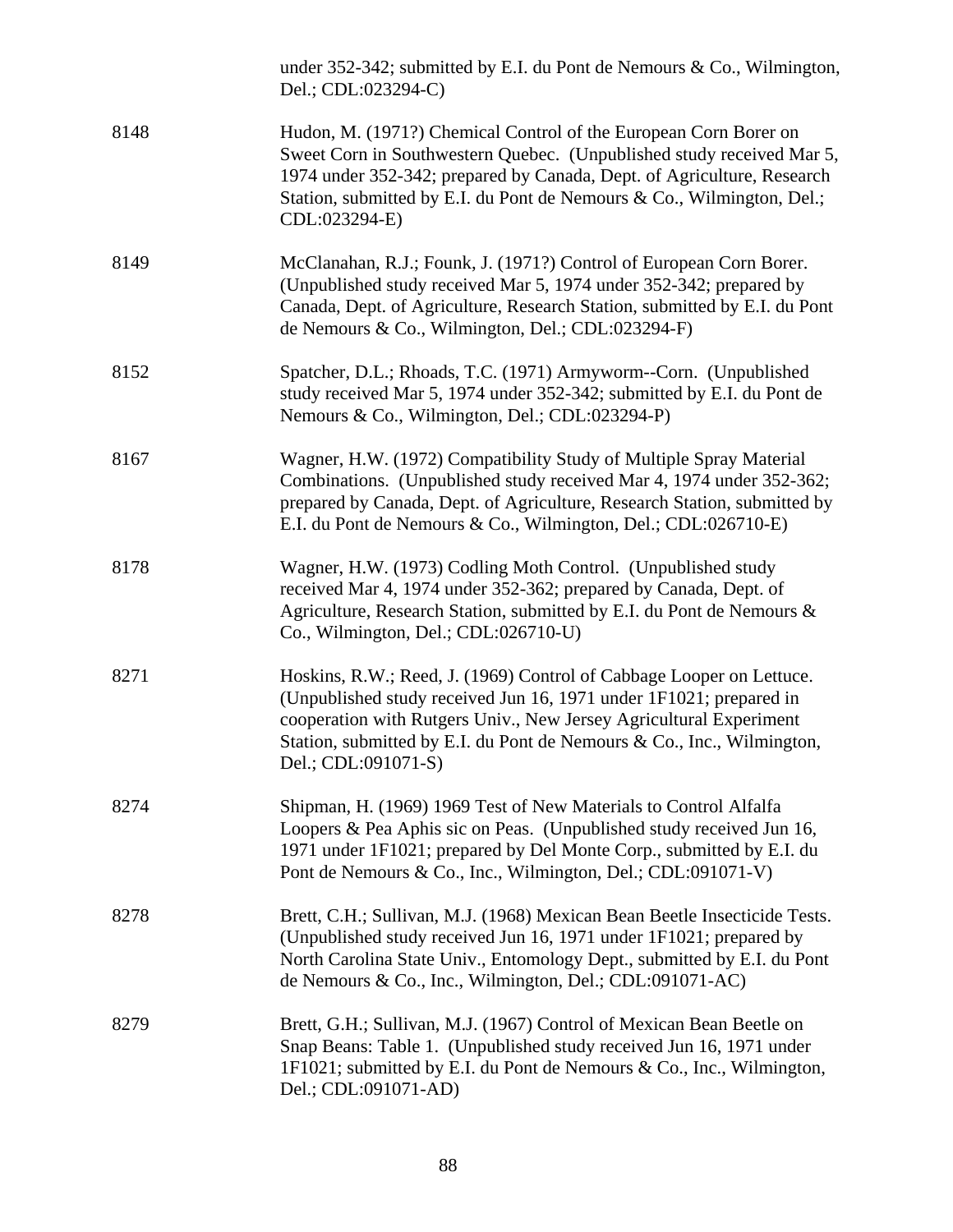|      | under 352-342; submitted by E.I. du Pont de Nemours & Co., Wilmington,<br>Del.; CDL:023294-C)                                                                                                                                                                                                                     |
|------|-------------------------------------------------------------------------------------------------------------------------------------------------------------------------------------------------------------------------------------------------------------------------------------------------------------------|
| 8148 | Hudon, M. (1971?) Chemical Control of the European Corn Borer on<br>Sweet Corn in Southwestern Quebec. (Unpublished study received Mar 5,<br>1974 under 352-342; prepared by Canada, Dept. of Agriculture, Research<br>Station, submitted by E.I. du Pont de Nemours & Co., Wilmington, Del.;<br>CDL:023294-E)    |
| 8149 | McClanahan, R.J.; Founk, J. (1971?) Control of European Corn Borer.<br>(Unpublished study received Mar 5, 1974 under 352-342; prepared by<br>Canada, Dept. of Agriculture, Research Station, submitted by E.I. du Pont<br>de Nemours & Co., Wilmington, Del.; CDL:023294-F)                                       |
| 8152 | Spatcher, D.L.; Rhoads, T.C. (1971) Armyworm--Corn. (Unpublished<br>study received Mar 5, 1974 under 352-342; submitted by E.I. du Pont de<br>Nemours & Co., Wilmington, Del.; CDL:023294-P)                                                                                                                      |
| 8167 | Wagner, H.W. (1972) Compatibility Study of Multiple Spray Material<br>Combinations. (Unpublished study received Mar 4, 1974 under 352-362;<br>prepared by Canada, Dept. of Agriculture, Research Station, submitted by<br>E.I. du Pont de Nemours & Co., Wilmington, Del.; CDL:026710-E)                          |
| 8178 | Wagner, H.W. (1973) Codling Moth Control. (Unpublished study<br>received Mar 4, 1974 under 352-362; prepared by Canada, Dept. of<br>Agriculture, Research Station, submitted by E.I. du Pont de Nemours &<br>Co., Wilmington, Del.; CDL:026710-U)                                                                 |
| 8271 | Hoskins, R.W.; Reed, J. (1969) Control of Cabbage Looper on Lettuce.<br>(Unpublished study received Jun 16, 1971 under 1F1021; prepared in<br>cooperation with Rutgers Univ., New Jersey Agricultural Experiment<br>Station, submitted by E.I. du Pont de Nemours & Co., Inc., Wilmington,<br>Del.; CDL:091071-S) |
| 8274 | Shipman, H. (1969) 1969 Test of New Materials to Control Alfalfa<br>Loopers & Pea Aphis sic on Peas. (Unpublished study received Jun 16,<br>1971 under 1F1021; prepared by Del Monte Corp., submitted by E.I. du<br>Pont de Nemours & Co., Inc., Wilmington, Del.; CDL:091071-V)                                  |
| 8278 | Brett, C.H.; Sullivan, M.J. (1968) Mexican Bean Beetle Insecticide Tests.<br>(Unpublished study received Jun 16, 1971 under 1F1021; prepared by<br>North Carolina State Univ., Entomology Dept., submitted by E.I. du Pont<br>de Nemours & Co., Inc., Wilmington, Del.; CDL:091071-AC)                            |
| 8279 | Brett, G.H.; Sullivan, M.J. (1967) Control of Mexican Bean Beetle on<br>Snap Beans: Table 1. (Unpublished study received Jun 16, 1971 under<br>1F1021; submitted by E.I. du Pont de Nemours & Co., Inc., Wilmington,<br>Del.; CDL:091071-AD)                                                                      |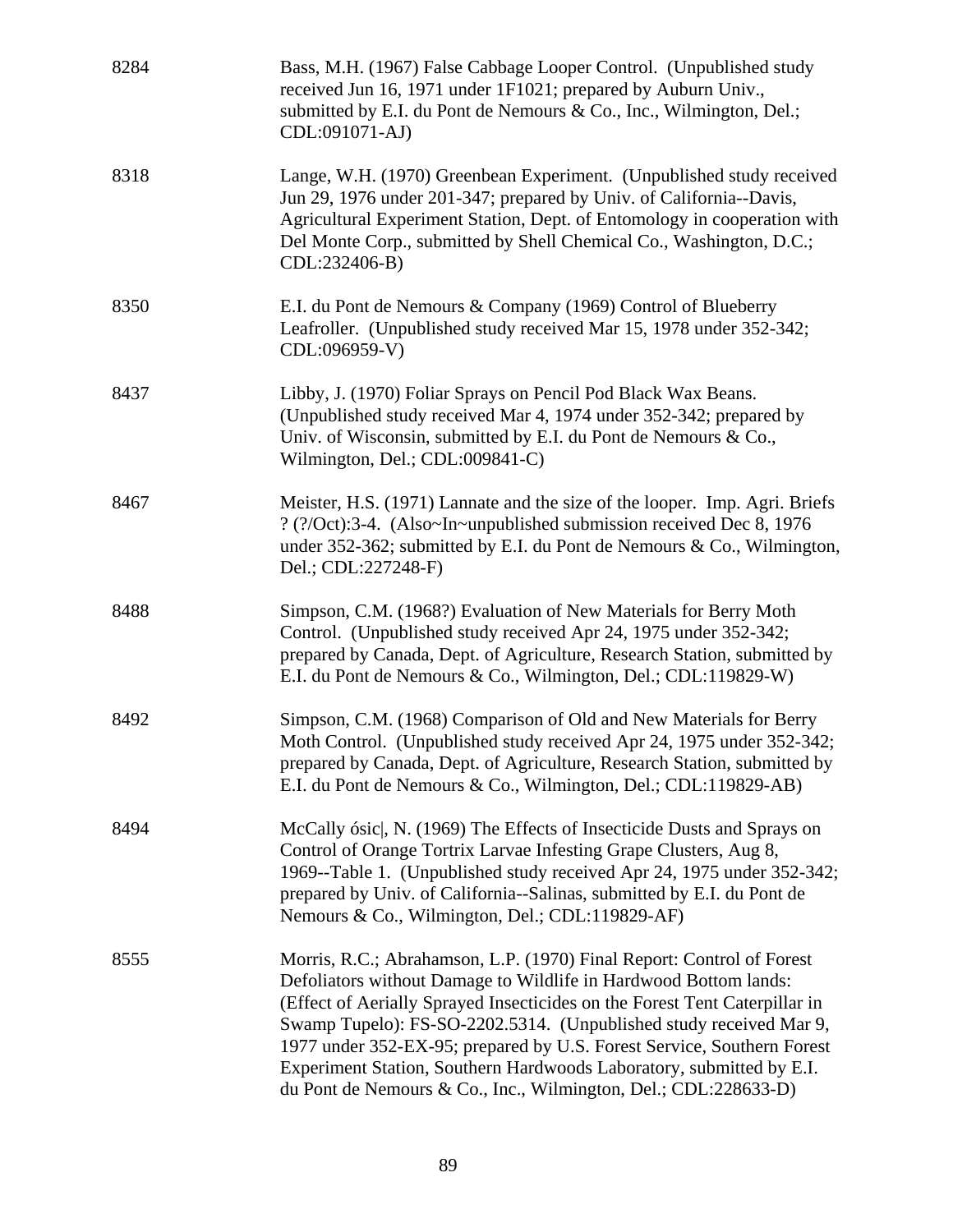| 8284 | Bass, M.H. (1967) False Cabbage Looper Control. (Unpublished study<br>received Jun 16, 1971 under 1F1021; prepared by Auburn Univ.,<br>submitted by E.I. du Pont de Nemours & Co., Inc., Wilmington, Del.;<br>CDL:091071-AJ)                                                                                                                                                                                                                                                                                       |
|------|--------------------------------------------------------------------------------------------------------------------------------------------------------------------------------------------------------------------------------------------------------------------------------------------------------------------------------------------------------------------------------------------------------------------------------------------------------------------------------------------------------------------|
| 8318 | Lange, W.H. (1970) Greenbean Experiment. (Unpublished study received<br>Jun 29, 1976 under 201-347; prepared by Univ. of California--Davis,<br>Agricultural Experiment Station, Dept. of Entomology in cooperation with<br>Del Monte Corp., submitted by Shell Chemical Co., Washington, D.C.;<br>CDL:232406-B)                                                                                                                                                                                                    |
| 8350 | E.I. du Pont de Nemours & Company (1969) Control of Blueberry<br>Leafroller. (Unpublished study received Mar 15, 1978 under 352-342;<br>CDL:096959-V)                                                                                                                                                                                                                                                                                                                                                              |
| 8437 | Libby, J. (1970) Foliar Sprays on Pencil Pod Black Wax Beans.<br>(Unpublished study received Mar 4, 1974 under 352-342; prepared by<br>Univ. of Wisconsin, submitted by E.I. du Pont de Nemours & Co.,<br>Wilmington, Del.; CDL:009841-C)                                                                                                                                                                                                                                                                          |
| 8467 | Meister, H.S. (1971) Lannate and the size of the looper. Imp. Agri. Briefs<br>? (?/Oct):3-4. (Also~In~unpublished submission received Dec 8, 1976<br>under 352-362; submitted by E.I. du Pont de Nemours & Co., Wilmington,<br>Del.; CDL:227248-F)                                                                                                                                                                                                                                                                 |
| 8488 | Simpson, C.M. (1968?) Evaluation of New Materials for Berry Moth<br>Control. (Unpublished study received Apr 24, 1975 under 352-342;<br>prepared by Canada, Dept. of Agriculture, Research Station, submitted by<br>E.I. du Pont de Nemours & Co., Wilmington, Del.; CDL:119829-W)                                                                                                                                                                                                                                 |
| 8492 | Simpson, C.M. (1968) Comparison of Old and New Materials for Berry<br>Moth Control. (Unpublished study received Apr 24, 1975 under 352-342;<br>prepared by Canada, Dept. of Agriculture, Research Station, submitted by<br>E.I. du Pont de Nemours & Co., Wilmington, Del.; CDL:119829-AB)                                                                                                                                                                                                                         |
| 8494 | McCally ósic, N. (1969) The Effects of Insecticide Dusts and Sprays on<br>Control of Orange Tortrix Larvae Infesting Grape Clusters, Aug 8,<br>1969--Table 1. (Unpublished study received Apr 24, 1975 under 352-342;<br>prepared by Univ. of California--Salinas, submitted by E.I. du Pont de<br>Nemours & Co., Wilmington, Del.; CDL:119829-AF)                                                                                                                                                                 |
| 8555 | Morris, R.C.; Abrahamson, L.P. (1970) Final Report: Control of Forest<br>Defoliators without Damage to Wildlife in Hardwood Bottom lands:<br>(Effect of Aerially Sprayed Insecticides on the Forest Tent Caterpillar in<br>Swamp Tupelo): FS-SO-2202.5314. (Unpublished study received Mar 9,<br>1977 under 352-EX-95; prepared by U.S. Forest Service, Southern Forest<br>Experiment Station, Southern Hardwoods Laboratory, submitted by E.I.<br>du Pont de Nemours & Co., Inc., Wilmington, Del.; CDL:228633-D) |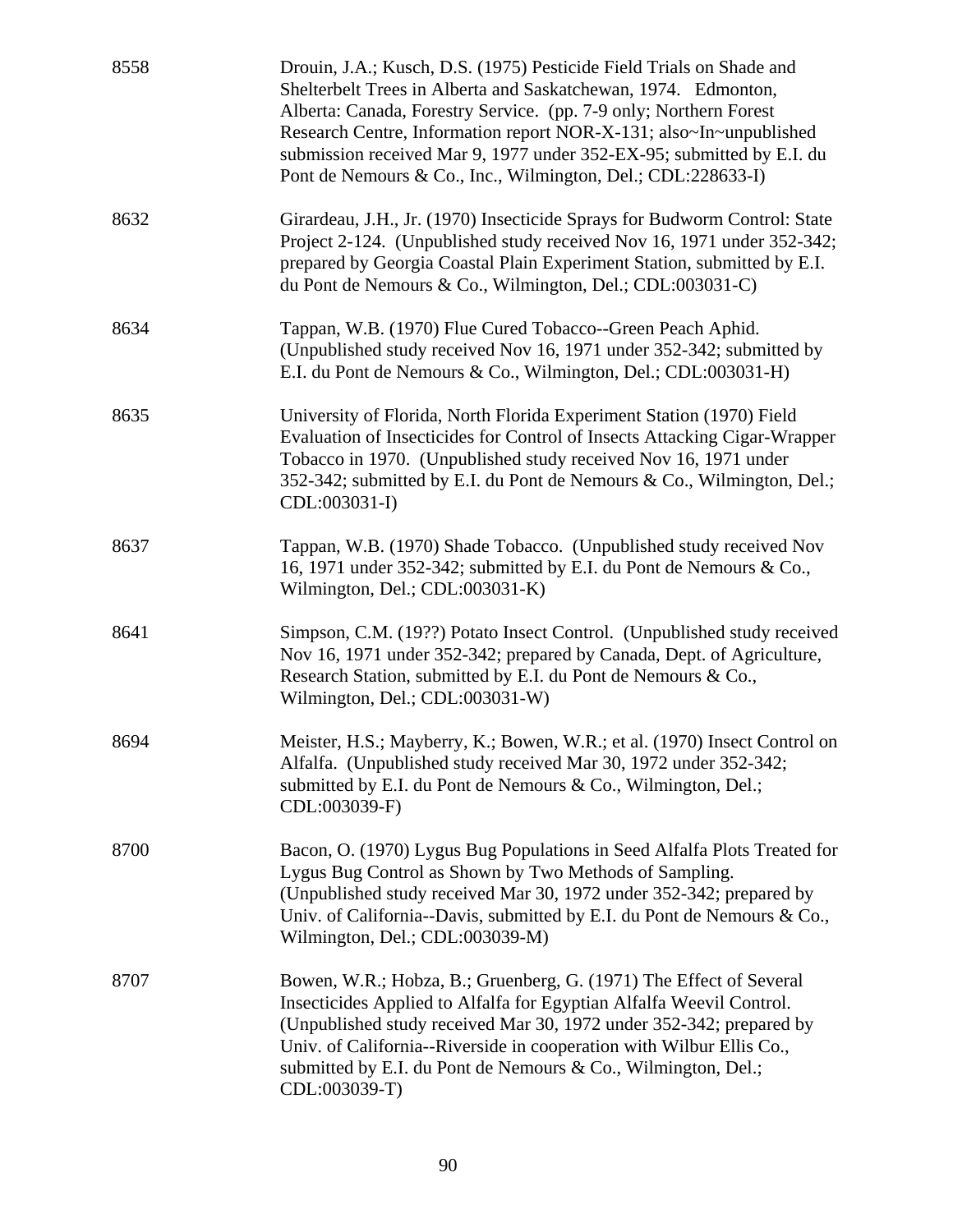| 8558 | Drouin, J.A.; Kusch, D.S. (1975) Pesticide Field Trials on Shade and<br>Shelterbelt Trees in Alberta and Saskatchewan, 1974. Edmonton,<br>Alberta: Canada, Forestry Service. (pp. 7-9 only; Northern Forest<br>Research Centre, Information report NOR-X-131; also~In~unpublished<br>submission received Mar 9, 1977 under 352-EX-95; submitted by E.I. du<br>Pont de Nemours & Co., Inc., Wilmington, Del.; CDL:228633-I) |
|------|----------------------------------------------------------------------------------------------------------------------------------------------------------------------------------------------------------------------------------------------------------------------------------------------------------------------------------------------------------------------------------------------------------------------------|
| 8632 | Girardeau, J.H., Jr. (1970) Insecticide Sprays for Budworm Control: State<br>Project 2-124. (Unpublished study received Nov 16, 1971 under 352-342;<br>prepared by Georgia Coastal Plain Experiment Station, submitted by E.I.<br>du Pont de Nemours & Co., Wilmington, Del.; CDL:003031-C)                                                                                                                                |
| 8634 | Tappan, W.B. (1970) Flue Cured Tobacco--Green Peach Aphid.<br>(Unpublished study received Nov 16, 1971 under 352-342; submitted by<br>E.I. du Pont de Nemours & Co., Wilmington, Del.; CDL:003031-H)                                                                                                                                                                                                                       |
| 8635 | University of Florida, North Florida Experiment Station (1970) Field<br>Evaluation of Insecticides for Control of Insects Attacking Cigar-Wrapper<br>Tobacco in 1970. (Unpublished study received Nov 16, 1971 under<br>352-342; submitted by E.I. du Pont de Nemours & Co., Wilmington, Del.;<br>CDL:003031-I)                                                                                                            |
| 8637 | Tappan, W.B. (1970) Shade Tobacco. (Unpublished study received Nov<br>16, 1971 under 352-342; submitted by E.I. du Pont de Nemours & Co.,<br>Wilmington, Del.; CDL:003031-K)                                                                                                                                                                                                                                               |
| 8641 | Simpson, C.M. (19??) Potato Insect Control. (Unpublished study received<br>Nov 16, 1971 under 352-342; prepared by Canada, Dept. of Agriculture,<br>Research Station, submitted by E.I. du Pont de Nemours & Co.,<br>Wilmington, Del.; CDL:003031-W)                                                                                                                                                                       |
| 8694 | Meister, H.S.; Mayberry, K.; Bowen, W.R.; et al. (1970) Insect Control on<br>Alfalfa. (Unpublished study received Mar 30, 1972 under 352-342;<br>submitted by E.I. du Pont de Nemours & Co., Wilmington, Del.;<br>CDL:003039-F)                                                                                                                                                                                            |
| 8700 | Bacon, O. (1970) Lygus Bug Populations in Seed Alfalfa Plots Treated for<br>Lygus Bug Control as Shown by Two Methods of Sampling.<br>(Unpublished study received Mar 30, 1972 under 352-342; prepared by<br>Univ. of California--Davis, submitted by E.I. du Pont de Nemours & Co.,<br>Wilmington, Del.; CDL:003039-M)                                                                                                    |
| 8707 | Bowen, W.R.; Hobza, B.; Gruenberg, G. (1971) The Effect of Several<br>Insecticides Applied to Alfalfa for Egyptian Alfalfa Weevil Control.<br>(Unpublished study received Mar 30, 1972 under 352-342; prepared by<br>Univ. of California--Riverside in cooperation with Wilbur Ellis Co.,<br>submitted by E.I. du Pont de Nemours & Co., Wilmington, Del.;<br>CDL:003039-T)                                                |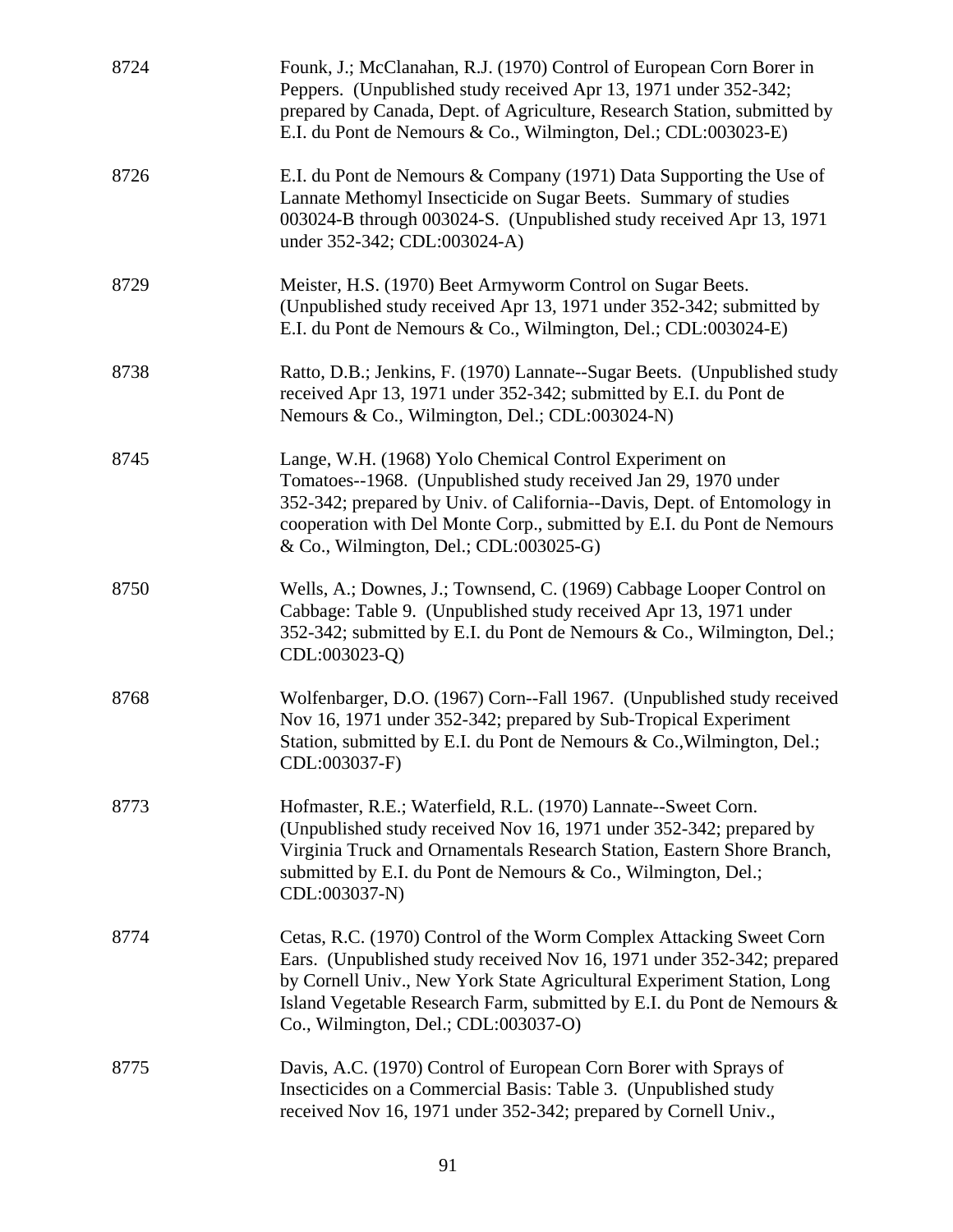| 8724 | Founk, J.; McClanahan, R.J. (1970) Control of European Corn Borer in<br>Peppers. (Unpublished study received Apr 13, 1971 under 352-342;<br>prepared by Canada, Dept. of Agriculture, Research Station, submitted by<br>E.I. du Pont de Nemours & Co., Wilmington, Del.; CDL:003023-E)                                                    |
|------|-------------------------------------------------------------------------------------------------------------------------------------------------------------------------------------------------------------------------------------------------------------------------------------------------------------------------------------------|
| 8726 | E.I. du Pont de Nemours & Company (1971) Data Supporting the Use of<br>Lannate Methomyl Insecticide on Sugar Beets. Summary of studies<br>003024-B through 003024-S. (Unpublished study received Apr 13, 1971<br>under 352-342; CDL:003024-A)                                                                                             |
| 8729 | Meister, H.S. (1970) Beet Armyworm Control on Sugar Beets.<br>(Unpublished study received Apr 13, 1971 under 352-342; submitted by<br>E.I. du Pont de Nemours & Co., Wilmington, Del.; CDL:003024-E)                                                                                                                                      |
| 8738 | Ratto, D.B.; Jenkins, F. (1970) Lannate--Sugar Beets. (Unpublished study<br>received Apr 13, 1971 under 352-342; submitted by E.I. du Pont de<br>Nemours & Co., Wilmington, Del.; CDL:003024-N)                                                                                                                                           |
| 8745 | Lange, W.H. (1968) Yolo Chemical Control Experiment on<br>Tomatoes--1968. (Unpublished study received Jan 29, 1970 under<br>352-342; prepared by Univ. of California--Davis, Dept. of Entomology in<br>cooperation with Del Monte Corp., submitted by E.I. du Pont de Nemours<br>& Co., Wilmington, Del.; CDL:003025-G)                   |
| 8750 | Wells, A.; Downes, J.; Townsend, C. (1969) Cabbage Looper Control on<br>Cabbage: Table 9. (Unpublished study received Apr 13, 1971 under<br>352-342; submitted by E.I. du Pont de Nemours & Co., Wilmington, Del.;<br>CDL:003023-Q)                                                                                                       |
| 8768 | Wolfenbarger, D.O. (1967) Corn--Fall 1967. (Unpublished study received<br>Nov 16, 1971 under 352-342; prepared by Sub-Tropical Experiment<br>Station, submitted by E.I. du Pont de Nemours & Co., Wilmington, Del.;<br>CDL:003037-F)                                                                                                      |
| 8773 | Hofmaster, R.E.; Waterfield, R.L. (1970) Lannate--Sweet Corn.<br>(Unpublished study received Nov 16, 1971 under 352-342; prepared by<br>Virginia Truck and Ornamentals Research Station, Eastern Shore Branch,<br>submitted by E.I. du Pont de Nemours & Co., Wilmington, Del.;<br>CDL:003037-N)                                          |
| 8774 | Cetas, R.C. (1970) Control of the Worm Complex Attacking Sweet Corn<br>Ears. (Unpublished study received Nov 16, 1971 under 352-342; prepared<br>by Cornell Univ., New York State Agricultural Experiment Station, Long<br>Island Vegetable Research Farm, submitted by E.I. du Pont de Nemours &<br>Co., Wilmington, Del.; CDL:003037-O) |
| 8775 | Davis, A.C. (1970) Control of European Corn Borer with Sprays of<br>Insecticides on a Commercial Basis: Table 3. (Unpublished study<br>received Nov 16, 1971 under 352-342; prepared by Cornell Univ.,                                                                                                                                    |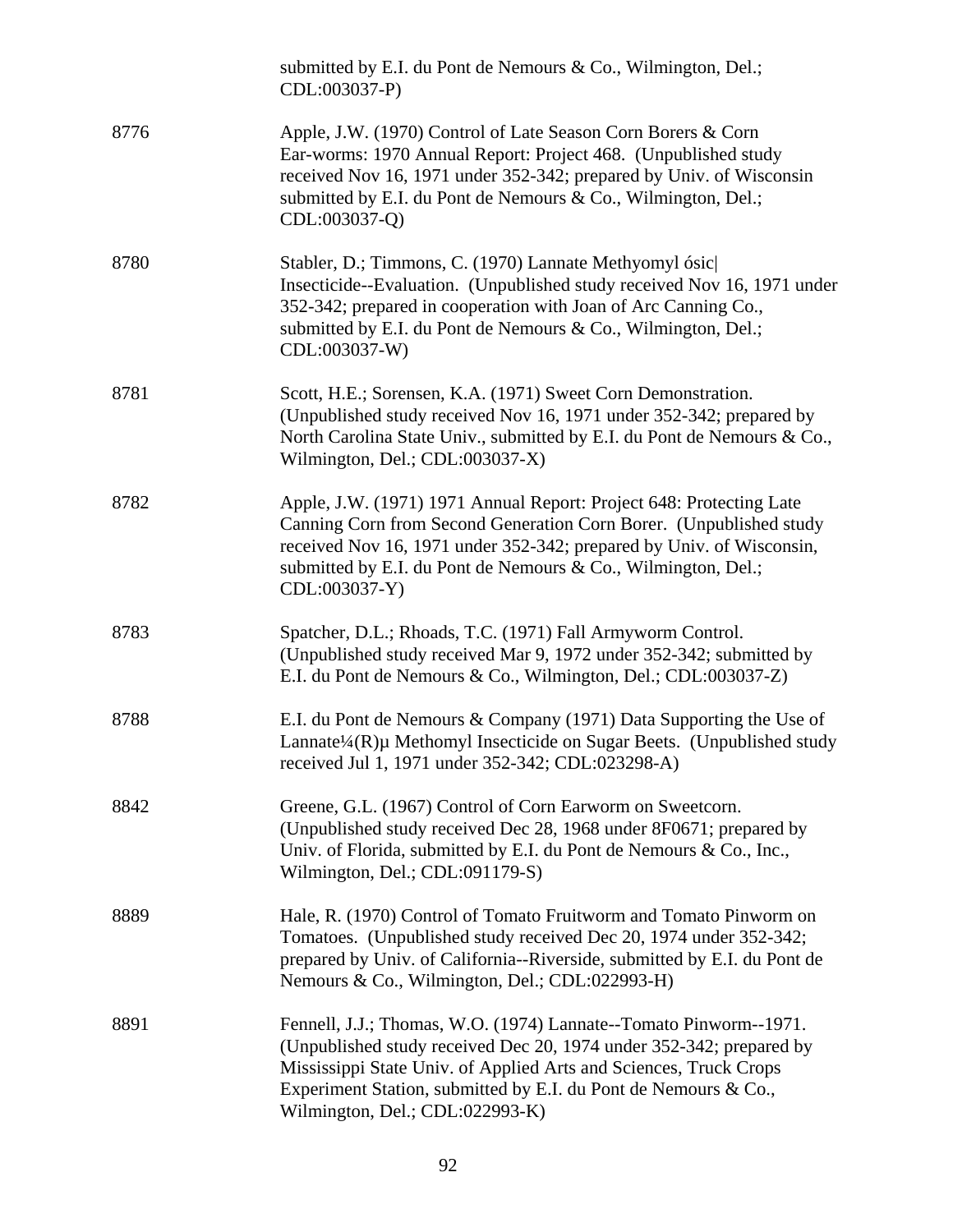|      | submitted by E.I. du Pont de Nemours & Co., Wilmington, Del.;<br>CDL:003037-P)                                                                                                                                                                                                                                      |
|------|---------------------------------------------------------------------------------------------------------------------------------------------------------------------------------------------------------------------------------------------------------------------------------------------------------------------|
| 8776 | Apple, J.W. (1970) Control of Late Season Corn Borers & Corn<br>Ear-worms: 1970 Annual Report: Project 468. (Unpublished study<br>received Nov 16, 1971 under 352-342; prepared by Univ. of Wisconsin<br>submitted by E.I. du Pont de Nemours & Co., Wilmington, Del.;<br>CDL:003037-Q)                             |
| 8780 | Stabler, D.; Timmons, C. (1970) Lannate Methyomyl ósic<br>Insecticide--Evaluation. (Unpublished study received Nov 16, 1971 under<br>352-342; prepared in cooperation with Joan of Arc Canning Co.,<br>submitted by E.I. du Pont de Nemours & Co., Wilmington, Del.;<br>CDL:003037-W)                               |
| 8781 | Scott, H.E.; Sorensen, K.A. (1971) Sweet Corn Demonstration.<br>(Unpublished study received Nov 16, 1971 under 352-342; prepared by<br>North Carolina State Univ., submitted by E.I. du Pont de Nemours & Co.,<br>Wilmington, Del.; CDL:003037-X)                                                                   |
| 8782 | Apple, J.W. (1971) 1971 Annual Report: Project 648: Protecting Late<br>Canning Corn from Second Generation Corn Borer. (Unpublished study<br>received Nov 16, 1971 under 352-342; prepared by Univ. of Wisconsin,<br>submitted by E.I. du Pont de Nemours & Co., Wilmington, Del.;<br>CDL:003037-Y)                 |
| 8783 | Spatcher, D.L.; Rhoads, T.C. (1971) Fall Armyworm Control.<br>(Unpublished study received Mar 9, 1972 under 352-342; submitted by<br>E.I. du Pont de Nemours & Co., Wilmington, Del.; CDL:003037-Z)                                                                                                                 |
| 8788 | E.I. du Pont de Nemours & Company (1971) Data Supporting the Use of<br>Lannate $\frac{1}{4}$ (R) $\mu$ Methomyl Insecticide on Sugar Beets. (Unpublished study<br>received Jul 1, 1971 under 352-342; CDL:023298-A)                                                                                                 |
| 8842 | Greene, G.L. (1967) Control of Corn Earworm on Sweetcorn.<br>(Unpublished study received Dec 28, 1968 under 8F0671; prepared by<br>Univ. of Florida, submitted by E.I. du Pont de Nemours & Co., Inc.,<br>Wilmington, Del.; CDL:091179-S)                                                                           |
| 8889 | Hale, R. (1970) Control of Tomato Fruitworm and Tomato Pinworm on<br>Tomatoes. (Unpublished study received Dec 20, 1974 under 352-342;<br>prepared by Univ. of California--Riverside, submitted by E.I. du Pont de<br>Nemours & Co., Wilmington, Del.; CDL:022993-H)                                                |
| 8891 | Fennell, J.J.; Thomas, W.O. (1974) Lannate--Tomato Pinworm--1971.<br>(Unpublished study received Dec 20, 1974 under 352-342; prepared by<br>Mississippi State Univ. of Applied Arts and Sciences, Truck Crops<br>Experiment Station, submitted by E.I. du Pont de Nemours & Co.,<br>Wilmington, Del.; CDL:022993-K) |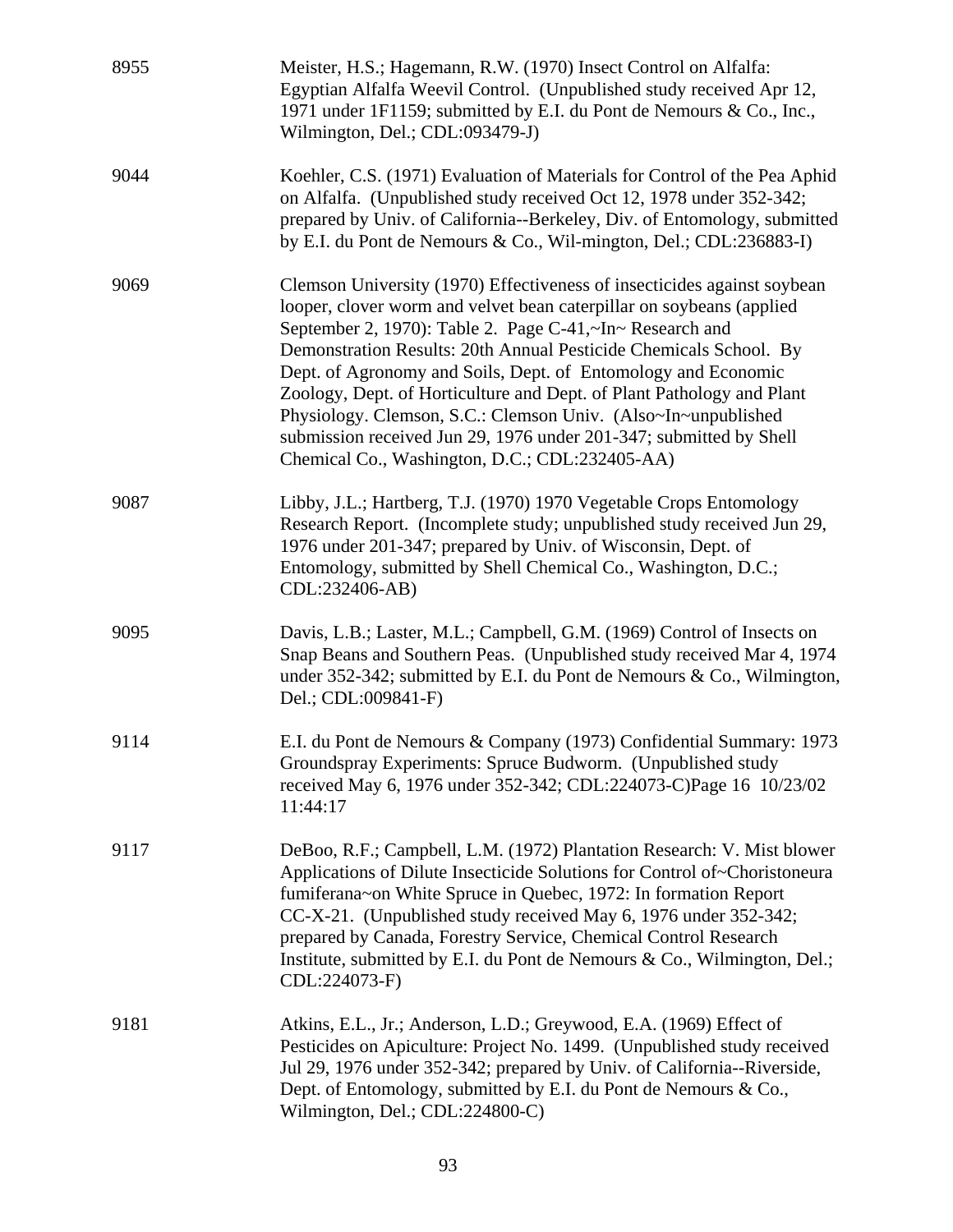| 8955 | Meister, H.S.; Hagemann, R.W. (1970) Insect Control on Alfalfa:<br>Egyptian Alfalfa Weevil Control. (Unpublished study received Apr 12,<br>1971 under 1F1159; submitted by E.I. du Pont de Nemours & Co., Inc.,<br>Wilmington, Del.; CDL:093479-J)                                                                                                                                                                                                                                                                                                                                                                  |
|------|---------------------------------------------------------------------------------------------------------------------------------------------------------------------------------------------------------------------------------------------------------------------------------------------------------------------------------------------------------------------------------------------------------------------------------------------------------------------------------------------------------------------------------------------------------------------------------------------------------------------|
| 9044 | Koehler, C.S. (1971) Evaluation of Materials for Control of the Pea Aphid<br>on Alfalfa. (Unpublished study received Oct 12, 1978 under 352-342;<br>prepared by Univ. of California--Berkeley, Div. of Entomology, submitted<br>by E.I. du Pont de Nemours & Co., Wil-mington, Del.; CDL:236883-I)                                                                                                                                                                                                                                                                                                                  |
| 9069 | Clemson University (1970) Effectiveness of insecticides against soybean<br>looper, clover worm and velvet bean caterpillar on soybeans (applied<br>September 2, 1970): Table 2. Page C-41,~In~ Research and<br>Demonstration Results: 20th Annual Pesticide Chemicals School. By<br>Dept. of Agronomy and Soils, Dept. of Entomology and Economic<br>Zoology, Dept. of Horticulture and Dept. of Plant Pathology and Plant<br>Physiology. Clemson, S.C.: Clemson Univ. (Also~In~unpublished<br>submission received Jun 29, 1976 under 201-347; submitted by Shell<br>Chemical Co., Washington, D.C.; CDL:232405-AA) |
| 9087 | Libby, J.L.; Hartberg, T.J. (1970) 1970 Vegetable Crops Entomology<br>Research Report. (Incomplete study; unpublished study received Jun 29,<br>1976 under 201-347; prepared by Univ. of Wisconsin, Dept. of<br>Entomology, submitted by Shell Chemical Co., Washington, D.C.;<br>CDL:232406-AB)                                                                                                                                                                                                                                                                                                                    |
| 9095 | Davis, L.B.; Laster, M.L.; Campbell, G.M. (1969) Control of Insects on<br>Snap Beans and Southern Peas. (Unpublished study received Mar 4, 1974)<br>under 352-342; submitted by E.I. du Pont de Nemours & Co., Wilmington,<br>Del.; CDL:009841-F)                                                                                                                                                                                                                                                                                                                                                                   |
| 9114 | E.I. du Pont de Nemours & Company (1973) Confidential Summary: 1973<br>Groundspray Experiments: Spruce Budworm. (Unpublished study<br>received May 6, 1976 under 352-342; CDL:224073-C)Page 16 10/23/02<br>11:44:17                                                                                                                                                                                                                                                                                                                                                                                                 |
| 9117 | DeBoo, R.F.; Campbell, L.M. (1972) Plantation Research: V. Mist blower<br>Applications of Dilute Insecticide Solutions for Control of~Choristoneura<br>fumiferana~on White Spruce in Quebec, 1972: In formation Report<br>CC-X-21. (Unpublished study received May 6, 1976 under 352-342;<br>prepared by Canada, Forestry Service, Chemical Control Research<br>Institute, submitted by E.I. du Pont de Nemours & Co., Wilmington, Del.;<br>CDL:224073-F)                                                                                                                                                           |
| 9181 | Atkins, E.L., Jr.; Anderson, L.D.; Greywood, E.A. (1969) Effect of<br>Pesticides on Apiculture: Project No. 1499. (Unpublished study received<br>Jul 29, 1976 under 352-342; prepared by Univ. of California--Riverside,<br>Dept. of Entomology, submitted by E.I. du Pont de Nemours & Co.,<br>Wilmington, Del.; CDL:224800-C)                                                                                                                                                                                                                                                                                     |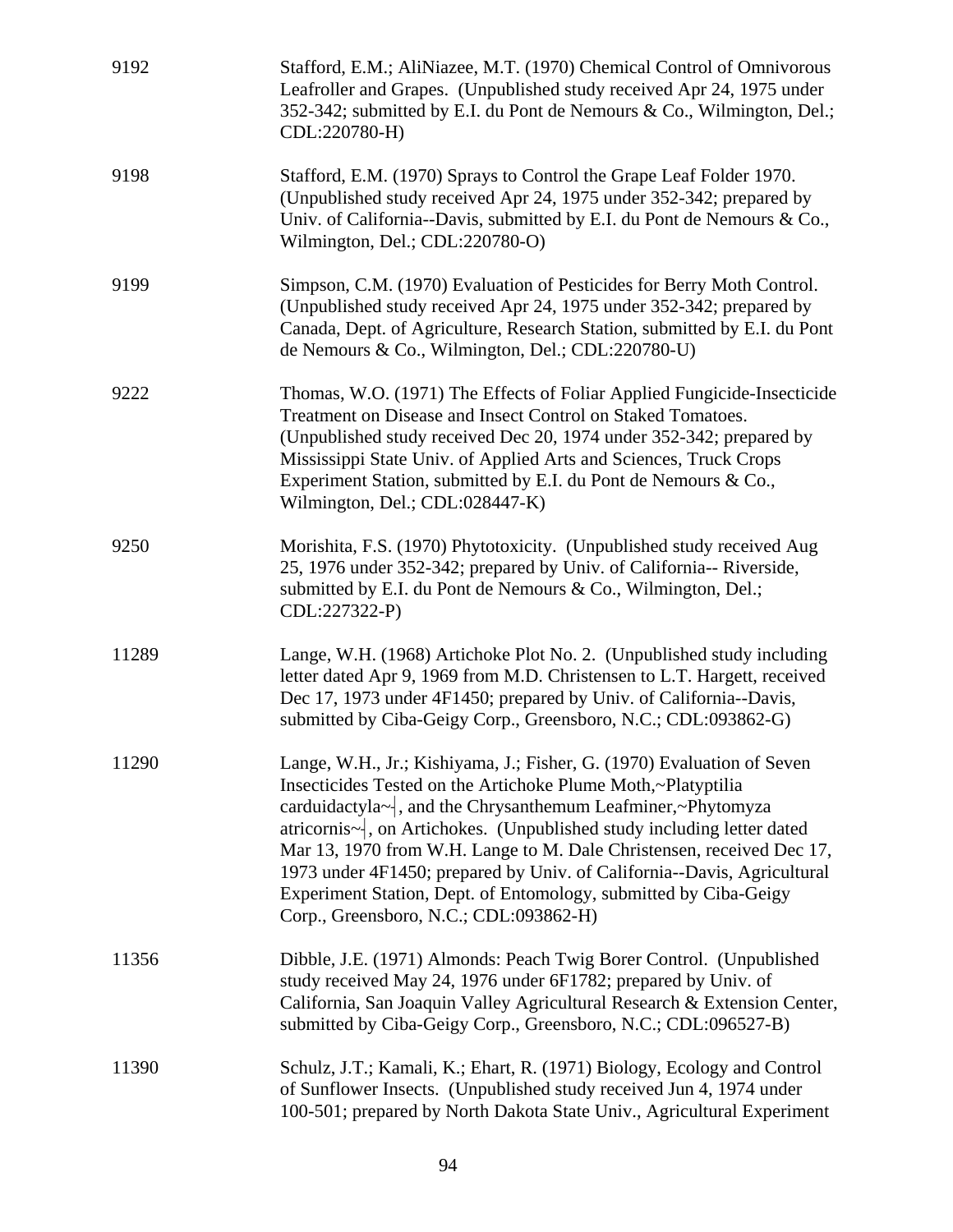| 9192  | Stafford, E.M.; AliNiazee, M.T. (1970) Chemical Control of Omnivorous<br>Leafroller and Grapes. (Unpublished study received Apr 24, 1975 under<br>352-342; submitted by E.I. du Pont de Nemours & Co., Wilmington, Del.;<br>CDL:220780-H)                                                                                                                                                                                                                                                                                                       |
|-------|-------------------------------------------------------------------------------------------------------------------------------------------------------------------------------------------------------------------------------------------------------------------------------------------------------------------------------------------------------------------------------------------------------------------------------------------------------------------------------------------------------------------------------------------------|
| 9198  | Stafford, E.M. (1970) Sprays to Control the Grape Leaf Folder 1970.<br>(Unpublished study received Apr 24, 1975 under 352-342; prepared by<br>Univ. of California--Davis, submitted by E.I. du Pont de Nemours & Co.,<br>Wilmington, Del.; CDL:220780-O)                                                                                                                                                                                                                                                                                        |
| 9199  | Simpson, C.M. (1970) Evaluation of Pesticides for Berry Moth Control.<br>(Unpublished study received Apr 24, 1975 under 352-342; prepared by<br>Canada, Dept. of Agriculture, Research Station, submitted by E.I. du Pont<br>de Nemours & Co., Wilmington, Del.; CDL:220780-U)                                                                                                                                                                                                                                                                  |
| 9222  | Thomas, W.O. (1971) The Effects of Foliar Applied Fungicide-Insecticide<br>Treatment on Disease and Insect Control on Staked Tomatoes.<br>(Unpublished study received Dec 20, 1974 under 352-342; prepared by<br>Mississippi State Univ. of Applied Arts and Sciences, Truck Crops<br>Experiment Station, submitted by E.I. du Pont de Nemours & Co.,<br>Wilmington, Del.; CDL:028447-K)                                                                                                                                                        |
| 9250  | Morishita, F.S. (1970) Phytotoxicity. (Unpublished study received Aug<br>25, 1976 under 352-342; prepared by Univ. of California-- Riverside,<br>submitted by E.I. du Pont de Nemours & Co., Wilmington, Del.;<br>CDL:227322-P)                                                                                                                                                                                                                                                                                                                 |
| 11289 | Lange, W.H. (1968) Artichoke Plot No. 2. (Unpublished study including<br>letter dated Apr 9, 1969 from M.D. Christensen to L.T. Hargett, received<br>Dec 17, 1973 under 4F1450; prepared by Univ. of California--Davis,<br>submitted by Ciba-Geigy Corp., Greensboro, N.C.; CDL:093862-G)                                                                                                                                                                                                                                                       |
| 11290 | Lange, W.H., Jr.; Kishiyama, J.; Fisher, G. (1970) Evaluation of Seven<br>Insecticides Tested on the Artichoke Plume Moth,~Platyptilia<br>carduidactyla~, and the Chrysanthemum Leafminer,~Phytomyza<br>atricornis-, on Artichokes. (Unpublished study including letter dated<br>Mar 13, 1970 from W.H. Lange to M. Dale Christensen, received Dec 17,<br>1973 under 4F1450; prepared by Univ. of California--Davis, Agricultural<br>Experiment Station, Dept. of Entomology, submitted by Ciba-Geigy<br>Corp., Greensboro, N.C.; CDL:093862-H) |
| 11356 | Dibble, J.E. (1971) Almonds: Peach Twig Borer Control. (Unpublished<br>study received May 24, 1976 under 6F1782; prepared by Univ. of<br>California, San Joaquin Valley Agricultural Research & Extension Center,<br>submitted by Ciba-Geigy Corp., Greensboro, N.C.; CDL:096527-B)                                                                                                                                                                                                                                                             |
| 11390 | Schulz, J.T.; Kamali, K.; Ehart, R. (1971) Biology, Ecology and Control<br>of Sunflower Insects. (Unpublished study received Jun 4, 1974 under<br>100-501; prepared by North Dakota State Univ., Agricultural Experiment                                                                                                                                                                                                                                                                                                                        |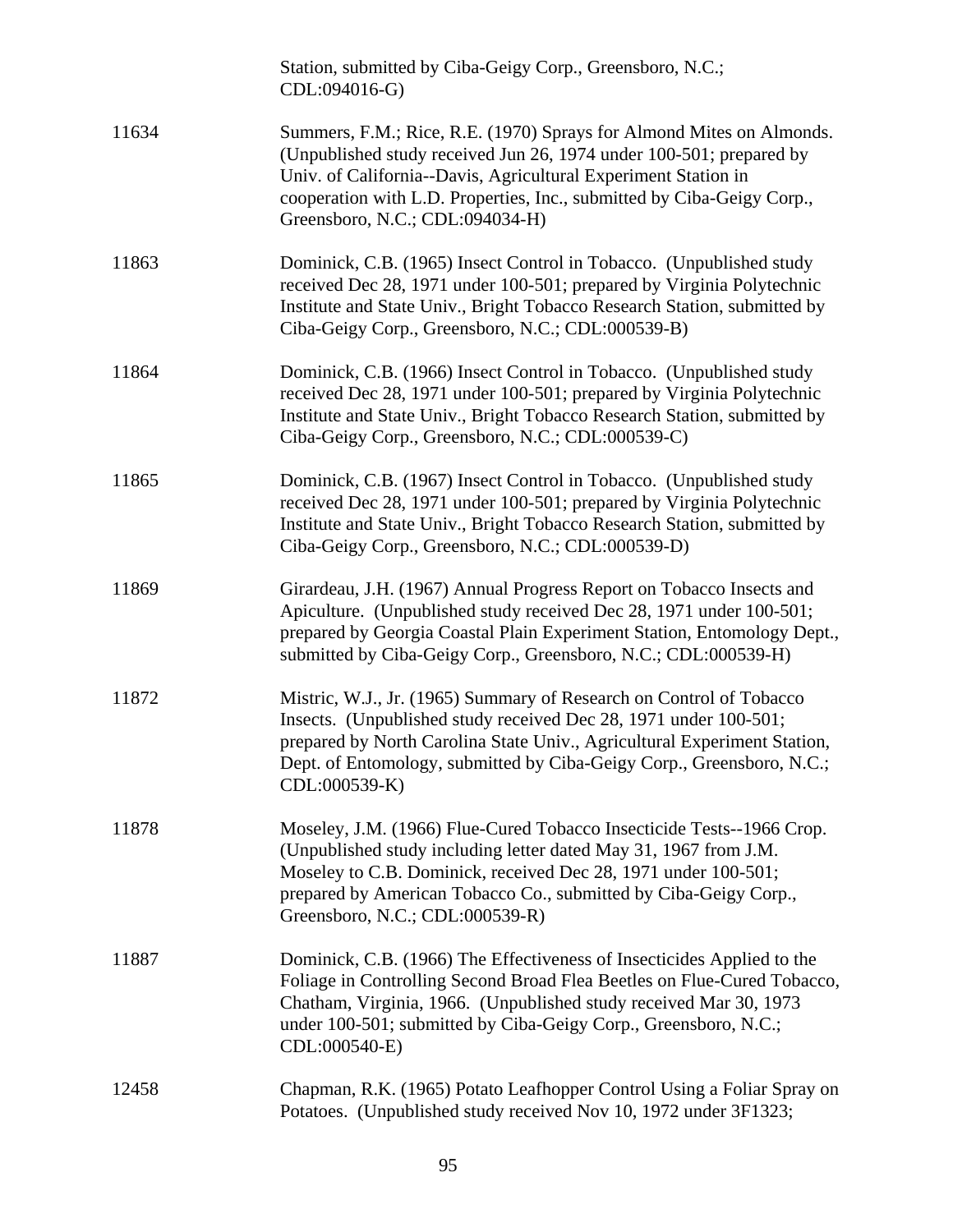|       | Station, submitted by Ciba-Geigy Corp., Greensboro, N.C.;<br>CDL:094016-G)                                                                                                                                                                                                                                                 |
|-------|----------------------------------------------------------------------------------------------------------------------------------------------------------------------------------------------------------------------------------------------------------------------------------------------------------------------------|
| 11634 | Summers, F.M.; Rice, R.E. (1970) Sprays for Almond Mites on Almonds.<br>(Unpublished study received Jun 26, 1974 under 100-501; prepared by<br>Univ. of California--Davis, Agricultural Experiment Station in<br>cooperation with L.D. Properties, Inc., submitted by Ciba-Geigy Corp.,<br>Greensboro, N.C.; CDL:094034-H) |
| 11863 | Dominick, C.B. (1965) Insect Control in Tobacco. (Unpublished study<br>received Dec 28, 1971 under 100-501; prepared by Virginia Polytechnic<br>Institute and State Univ., Bright Tobacco Research Station, submitted by<br>Ciba-Geigy Corp., Greensboro, N.C.; CDL:000539-B)                                              |
| 11864 | Dominick, C.B. (1966) Insect Control in Tobacco. (Unpublished study<br>received Dec 28, 1971 under 100-501; prepared by Virginia Polytechnic<br>Institute and State Univ., Bright Tobacco Research Station, submitted by<br>Ciba-Geigy Corp., Greensboro, N.C.; CDL:000539-C)                                              |
| 11865 | Dominick, C.B. (1967) Insect Control in Tobacco. (Unpublished study<br>received Dec 28, 1971 under 100-501; prepared by Virginia Polytechnic<br>Institute and State Univ., Bright Tobacco Research Station, submitted by<br>Ciba-Geigy Corp., Greensboro, N.C.; CDL:000539-D)                                              |
| 11869 | Girardeau, J.H. (1967) Annual Progress Report on Tobacco Insects and<br>Apiculture. (Unpublished study received Dec 28, 1971 under 100-501;<br>prepared by Georgia Coastal Plain Experiment Station, Entomology Dept.,<br>submitted by Ciba-Geigy Corp., Greensboro, N.C.; CDL:000539-H)                                   |
| 11872 | Mistric, W.J., Jr. (1965) Summary of Research on Control of Tobacco<br>Insects. (Unpublished study received Dec 28, 1971 under 100-501;<br>prepared by North Carolina State Univ., Agricultural Experiment Station,<br>Dept. of Entomology, submitted by Ciba-Geigy Corp., Greensboro, N.C.;<br>CDL:000539-K)              |
| 11878 | Moseley, J.M. (1966) Flue-Cured Tobacco Insecticide Tests--1966 Crop.<br>(Unpublished study including letter dated May 31, 1967 from J.M.<br>Moseley to C.B. Dominick, received Dec 28, 1971 under 100-501;<br>prepared by American Tobacco Co., submitted by Ciba-Geigy Corp.,<br>Greensboro, N.C.; CDL:000539-R)         |
| 11887 | Dominick, C.B. (1966) The Effectiveness of Insecticides Applied to the<br>Foliage in Controlling Second Broad Flea Beetles on Flue-Cured Tobacco,<br>Chatham, Virginia, 1966. (Unpublished study received Mar 30, 1973<br>under 100-501; submitted by Ciba-Geigy Corp., Greensboro, N.C.;<br>CDL:000540-E)                 |
| 12458 | Chapman, R.K. (1965) Potato Leafhopper Control Using a Foliar Spray on<br>Potatoes. (Unpublished study received Nov 10, 1972 under 3F1323;                                                                                                                                                                                 |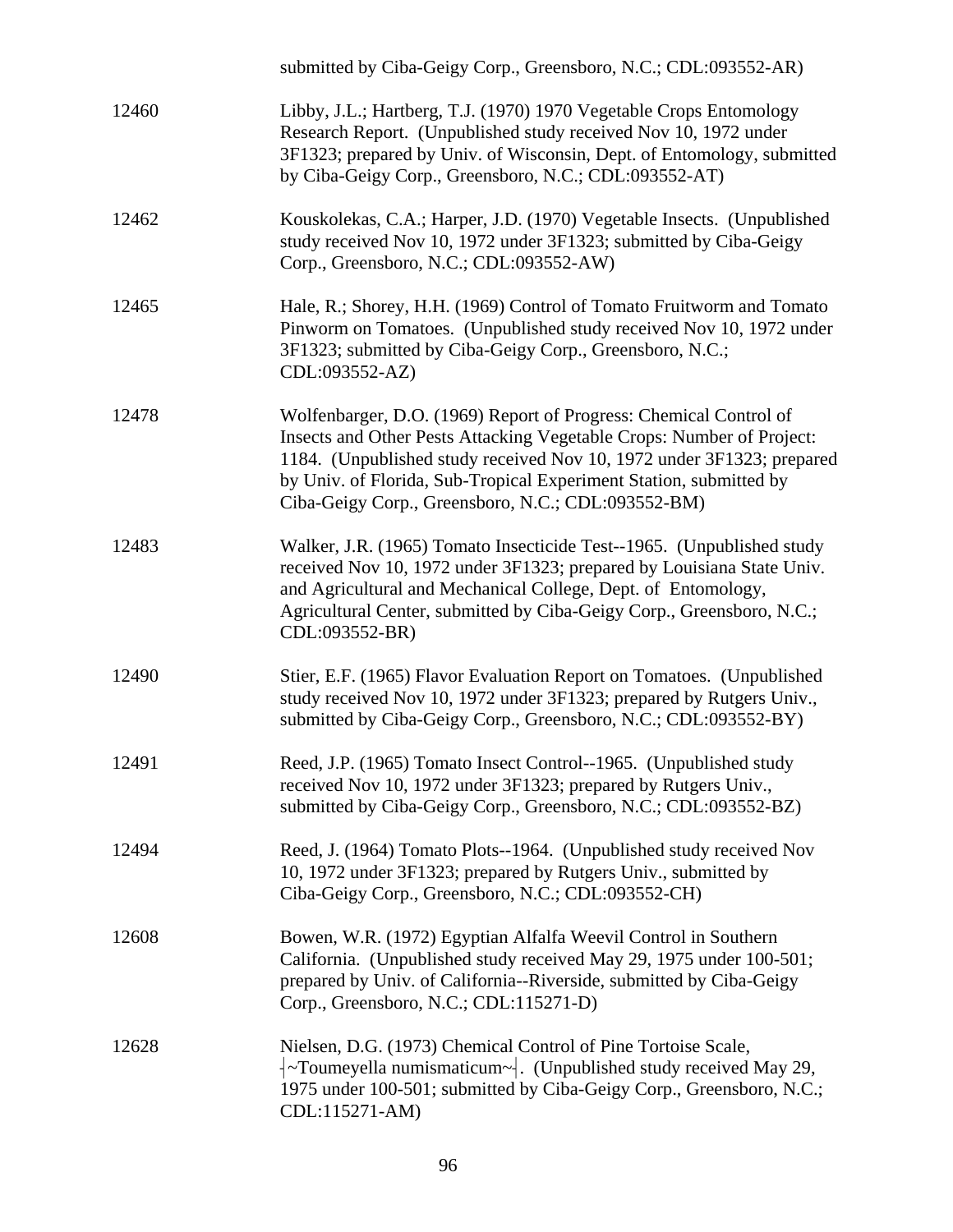|       | submitted by Ciba-Geigy Corp., Greensboro, N.C.; CDL:093552-AR)                                                                                                                                                                                                                                                                                 |
|-------|-------------------------------------------------------------------------------------------------------------------------------------------------------------------------------------------------------------------------------------------------------------------------------------------------------------------------------------------------|
| 12460 | Libby, J.L.; Hartberg, T.J. (1970) 1970 Vegetable Crops Entomology<br>Research Report. (Unpublished study received Nov 10, 1972 under<br>3F1323; prepared by Univ. of Wisconsin, Dept. of Entomology, submitted<br>by Ciba-Geigy Corp., Greensboro, N.C.; CDL:093552-AT)                                                                        |
| 12462 | Kouskolekas, C.A.; Harper, J.D. (1970) Vegetable Insects. (Unpublished<br>study received Nov 10, 1972 under 3F1323; submitted by Ciba-Geigy<br>Corp., Greensboro, N.C.; CDL:093552-AW)                                                                                                                                                          |
| 12465 | Hale, R.; Shorey, H.H. (1969) Control of Tomato Fruitworm and Tomato<br>Pinworm on Tomatoes. (Unpublished study received Nov 10, 1972 under<br>3F1323; submitted by Ciba-Geigy Corp., Greensboro, N.C.;<br>CDL:093552-AZ)                                                                                                                       |
| 12478 | Wolfenbarger, D.O. (1969) Report of Progress: Chemical Control of<br>Insects and Other Pests Attacking Vegetable Crops: Number of Project:<br>1184. (Unpublished study received Nov 10, 1972 under 3F1323; prepared<br>by Univ. of Florida, Sub-Tropical Experiment Station, submitted by<br>Ciba-Geigy Corp., Greensboro, N.C.; CDL:093552-BM) |
| 12483 | Walker, J.R. (1965) Tomato Insecticide Test--1965. (Unpublished study<br>received Nov 10, 1972 under 3F1323; prepared by Louisiana State Univ.<br>and Agricultural and Mechanical College, Dept. of Entomology,<br>Agricultural Center, submitted by Ciba-Geigy Corp., Greensboro, N.C.;<br>CDL:093552-BR)                                      |
| 12490 | Stier, E.F. (1965) Flavor Evaluation Report on Tomatoes. (Unpublished<br>study received Nov 10, 1972 under 3F1323; prepared by Rutgers Univ.,<br>submitted by Ciba-Geigy Corp., Greensboro, N.C.; CDL:093552-BY)                                                                                                                                |
| 12491 | Reed, J.P. (1965) Tomato Insect Control--1965. (Unpublished study<br>received Nov 10, 1972 under 3F1323; prepared by Rutgers Univ.,<br>submitted by Ciba-Geigy Corp., Greensboro, N.C.; CDL:093552-BZ)                                                                                                                                          |
| 12494 | Reed, J. (1964) Tomato Plots--1964. (Unpublished study received Nov<br>10, 1972 under 3F1323; prepared by Rutgers Univ., submitted by<br>Ciba-Geigy Corp., Greensboro, N.C.; CDL:093552-CH)                                                                                                                                                     |
| 12608 | Bowen, W.R. (1972) Egyptian Alfalfa Weevil Control in Southern<br>California. (Unpublished study received May 29, 1975 under 100-501;<br>prepared by Univ. of California--Riverside, submitted by Ciba-Geigy<br>Corp., Greensboro, N.C.; CDL:115271-D)                                                                                          |
| 12628 | Nielsen, D.G. (1973) Chemical Control of Pine Tortoise Scale,<br>$\sim$ Toumeyella numismaticum $\sim$ . (Unpublished study received May 29,<br>1975 under 100-501; submitted by Ciba-Geigy Corp., Greensboro, N.C.;<br>CDL:115271-AM)                                                                                                          |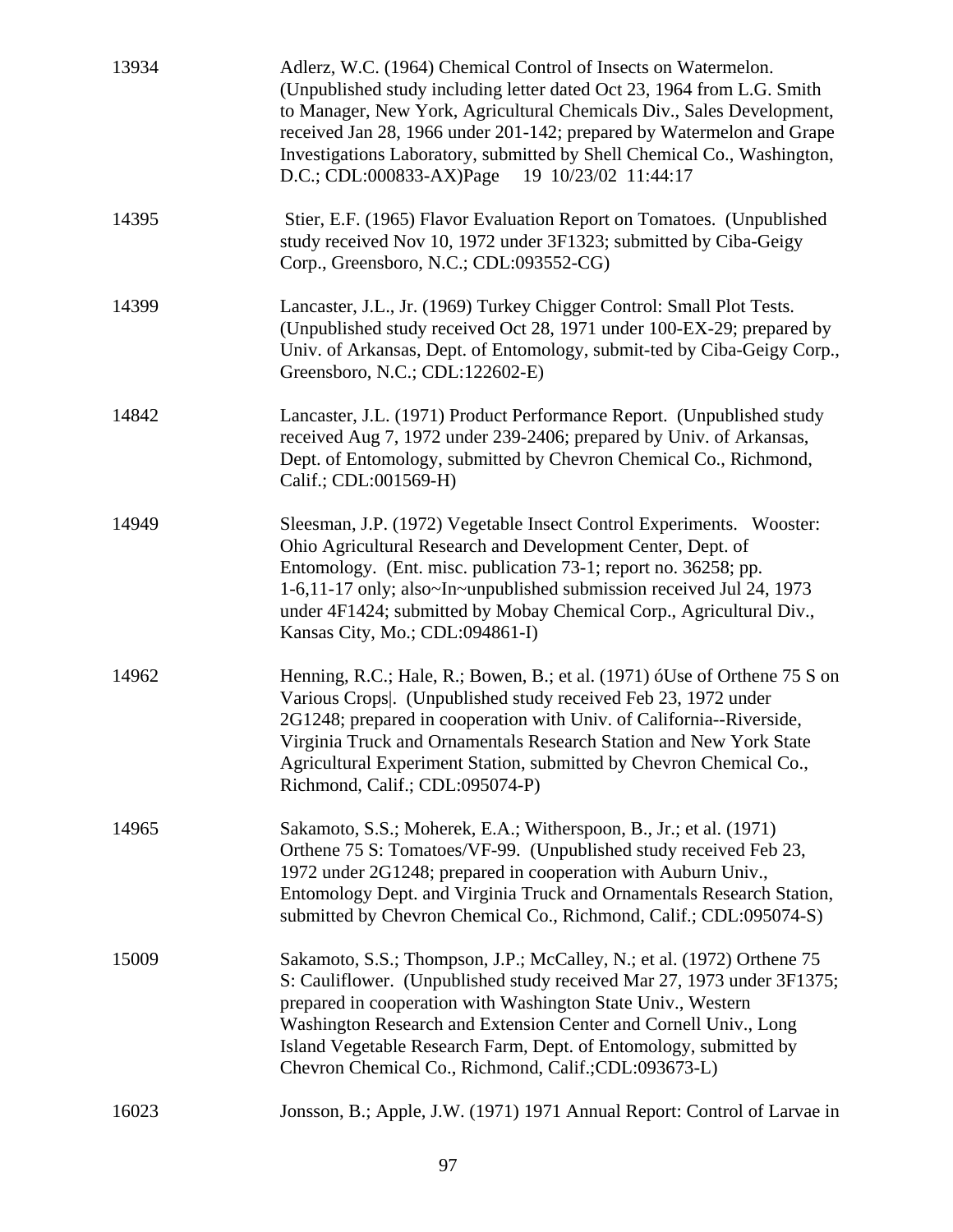| 13934 | Adlerz, W.C. (1964) Chemical Control of Insects on Watermelon.<br>(Unpublished study including letter dated Oct 23, 1964 from L.G. Smith<br>to Manager, New York, Agricultural Chemicals Div., Sales Development,<br>received Jan 28, 1966 under 201-142; prepared by Watermelon and Grape<br>Investigations Laboratory, submitted by Shell Chemical Co., Washington,<br>$D.C.; CDL:000833-AX)Page$<br>19 10/23/02 11:44:17 |
|-------|-----------------------------------------------------------------------------------------------------------------------------------------------------------------------------------------------------------------------------------------------------------------------------------------------------------------------------------------------------------------------------------------------------------------------------|
| 14395 | Stier, E.F. (1965) Flavor Evaluation Report on Tomatoes. (Unpublished<br>study received Nov 10, 1972 under 3F1323; submitted by Ciba-Geigy<br>Corp., Greensboro, N.C.; CDL:093552-CG)                                                                                                                                                                                                                                       |
| 14399 | Lancaster, J.L., Jr. (1969) Turkey Chigger Control: Small Plot Tests.<br>(Unpublished study received Oct 28, 1971 under 100-EX-29; prepared by<br>Univ. of Arkansas, Dept. of Entomology, submit-ted by Ciba-Geigy Corp.,<br>Greensboro, N.C.; CDL:122602-E)                                                                                                                                                                |
| 14842 | Lancaster, J.L. (1971) Product Performance Report. (Unpublished study<br>received Aug 7, 1972 under 239-2406; prepared by Univ. of Arkansas,<br>Dept. of Entomology, submitted by Chevron Chemical Co., Richmond,<br>Calif.; CDL:001569-H)                                                                                                                                                                                  |
| 14949 | Sleesman, J.P. (1972) Vegetable Insect Control Experiments. Wooster:<br>Ohio Agricultural Research and Development Center, Dept. of<br>Entomology. (Ent. misc. publication 73-1; report no. 36258; pp.<br>1-6,11-17 only; also~In~unpublished submission received Jul 24, 1973<br>under 4F1424; submitted by Mobay Chemical Corp., Agricultural Div.,<br>Kansas City, Mo.; CDL:094861-I)                                    |
| 14962 | Henning, R.C.; Hale, R.; Bowen, B.; et al. (1971) óUse of Orthene 75 S on<br>Various Crops. (Unpublished study received Feb 23, 1972 under<br>2G1248; prepared in cooperation with Univ. of California--Riverside,<br>Virginia Truck and Ornamentals Research Station and New York State<br>Agricultural Experiment Station, submitted by Chevron Chemical Co.,<br>Richmond, Calif.; CDL:095074-P)                          |
| 14965 | Sakamoto, S.S.; Moherek, E.A.; Witherspoon, B., Jr.; et al. (1971)<br>Orthene 75 S: Tomatoes/VF-99. (Unpublished study received Feb 23,<br>1972 under 2G1248; prepared in cooperation with Auburn Univ.,<br>Entomology Dept. and Virginia Truck and Ornamentals Research Station,<br>submitted by Chevron Chemical Co., Richmond, Calif.; CDL:095074-S)                                                                     |
| 15009 | Sakamoto, S.S.; Thompson, J.P.; McCalley, N.; et al. (1972) Orthene 75<br>S: Cauliflower. (Unpublished study received Mar 27, 1973 under 3F1375;<br>prepared in cooperation with Washington State Univ., Western<br>Washington Research and Extension Center and Cornell Univ., Long<br>Island Vegetable Research Farm, Dept. of Entomology, submitted by<br>Chevron Chemical Co., Richmond, Calif.; CDL: 093673-L)         |
| 16023 | Jonsson, B.; Apple, J.W. (1971) 1971 Annual Report: Control of Larvae in                                                                                                                                                                                                                                                                                                                                                    |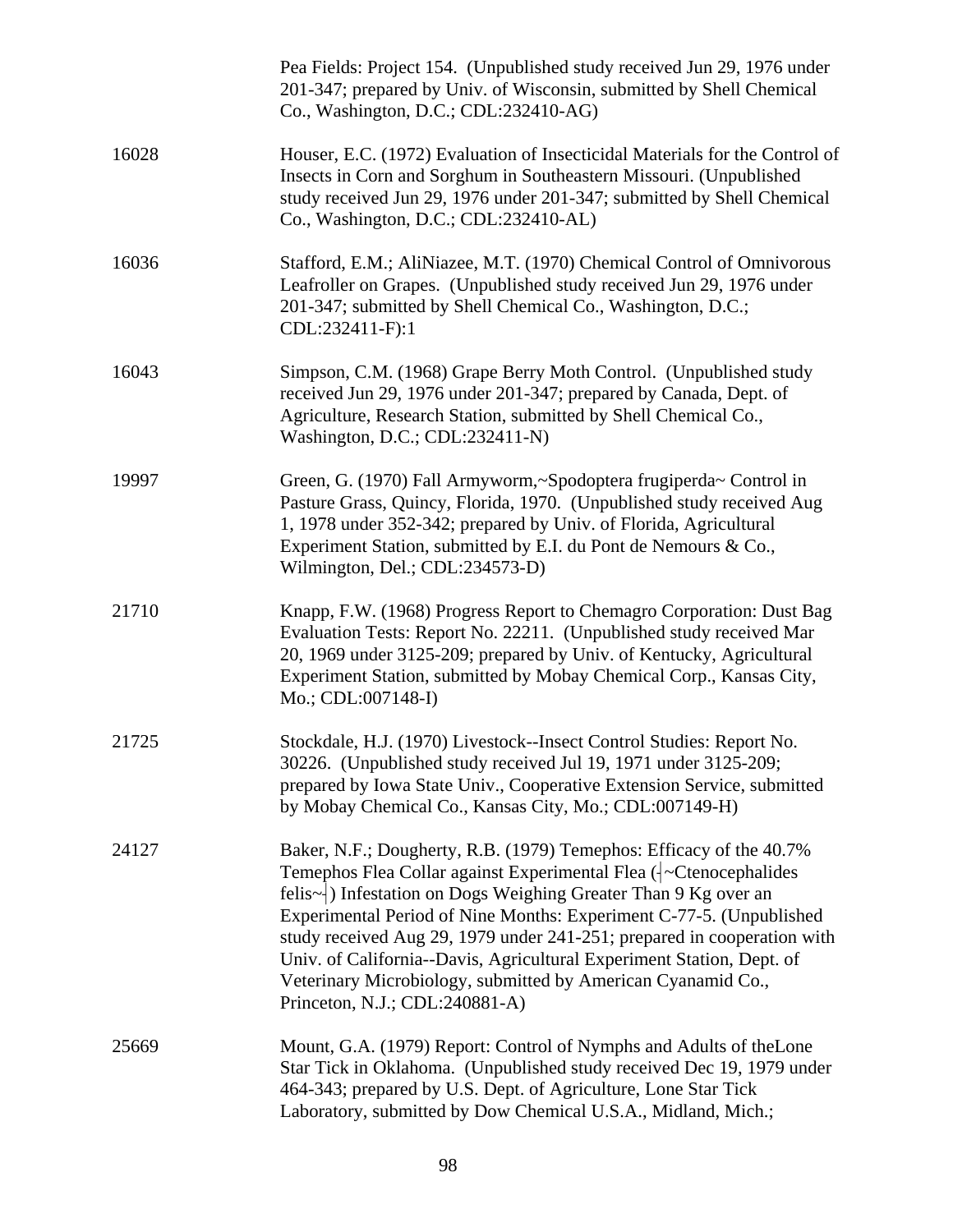|       | Pea Fields: Project 154. (Unpublished study received Jun 29, 1976 under<br>201-347; prepared by Univ. of Wisconsin, submitted by Shell Chemical<br>Co., Washington, D.C.; CDL:232410-AG)                                                                                                                                                                                                                                                                                                                                                                |
|-------|---------------------------------------------------------------------------------------------------------------------------------------------------------------------------------------------------------------------------------------------------------------------------------------------------------------------------------------------------------------------------------------------------------------------------------------------------------------------------------------------------------------------------------------------------------|
| 16028 | Houser, E.C. (1972) Evaluation of Insecticidal Materials for the Control of<br>Insects in Corn and Sorghum in Southeastern Missouri. (Unpublished<br>study received Jun 29, 1976 under 201-347; submitted by Shell Chemical<br>Co., Washington, D.C.; CDL:232410-AL)                                                                                                                                                                                                                                                                                    |
| 16036 | Stafford, E.M.; AliNiazee, M.T. (1970) Chemical Control of Omnivorous<br>Leafroller on Grapes. (Unpublished study received Jun 29, 1976 under<br>201-347; submitted by Shell Chemical Co., Washington, D.C.;<br>CDL:232411-F):1                                                                                                                                                                                                                                                                                                                         |
| 16043 | Simpson, C.M. (1968) Grape Berry Moth Control. (Unpublished study<br>received Jun 29, 1976 under 201-347; prepared by Canada, Dept. of<br>Agriculture, Research Station, submitted by Shell Chemical Co.,<br>Washington, D.C.; CDL:232411-N)                                                                                                                                                                                                                                                                                                            |
| 19997 | Green, G. (1970) Fall Armyworm,~Spodoptera frugiperda~ Control in<br>Pasture Grass, Quincy, Florida, 1970. (Unpublished study received Aug<br>1, 1978 under 352-342; prepared by Univ. of Florida, Agricultural<br>Experiment Station, submitted by E.I. du Pont de Nemours & Co.,<br>Wilmington, Del.; CDL:234573-D)                                                                                                                                                                                                                                   |
| 21710 | Knapp, F.W. (1968) Progress Report to Chemagro Corporation: Dust Bag<br>Evaluation Tests: Report No. 22211. (Unpublished study received Mar<br>20, 1969 under 3125-209; prepared by Univ. of Kentucky, Agricultural<br>Experiment Station, submitted by Mobay Chemical Corp., Kansas City,<br>Mo.; CDL:007148-I)                                                                                                                                                                                                                                        |
| 21725 | Stockdale, H.J. (1970) Livestock--Insect Control Studies: Report No.<br>30226. (Unpublished study received Jul 19, 1971 under 3125-209;<br>prepared by Iowa State Univ., Cooperative Extension Service, submitted<br>by Mobay Chemical Co., Kansas City, Mo.; CDL:007149-H)                                                                                                                                                                                                                                                                             |
| 24127 | Baker, N.F.; Dougherty, R.B. (1979) Temephos: Efficacy of the 40.7%<br>Temephos Flea Collar against Experimental Flea (-Ctenocephalides<br>felis~ Than 9 Kg over an interestion on Dogs Weighing Greater Than 9 Kg over an<br>Experimental Period of Nine Months: Experiment C-77-5. (Unpublished<br>study received Aug 29, 1979 under 241-251; prepared in cooperation with<br>Univ. of California--Davis, Agricultural Experiment Station, Dept. of<br>Veterinary Microbiology, submitted by American Cyanamid Co.,<br>Princeton, N.J.; CDL:240881-A) |
| 25669 | Mount, G.A. (1979) Report: Control of Nymphs and Adults of the Lone<br>Star Tick in Oklahoma. (Unpublished study received Dec 19, 1979 under<br>464-343; prepared by U.S. Dept. of Agriculture, Lone Star Tick<br>Laboratory, submitted by Dow Chemical U.S.A., Midland, Mich.;                                                                                                                                                                                                                                                                         |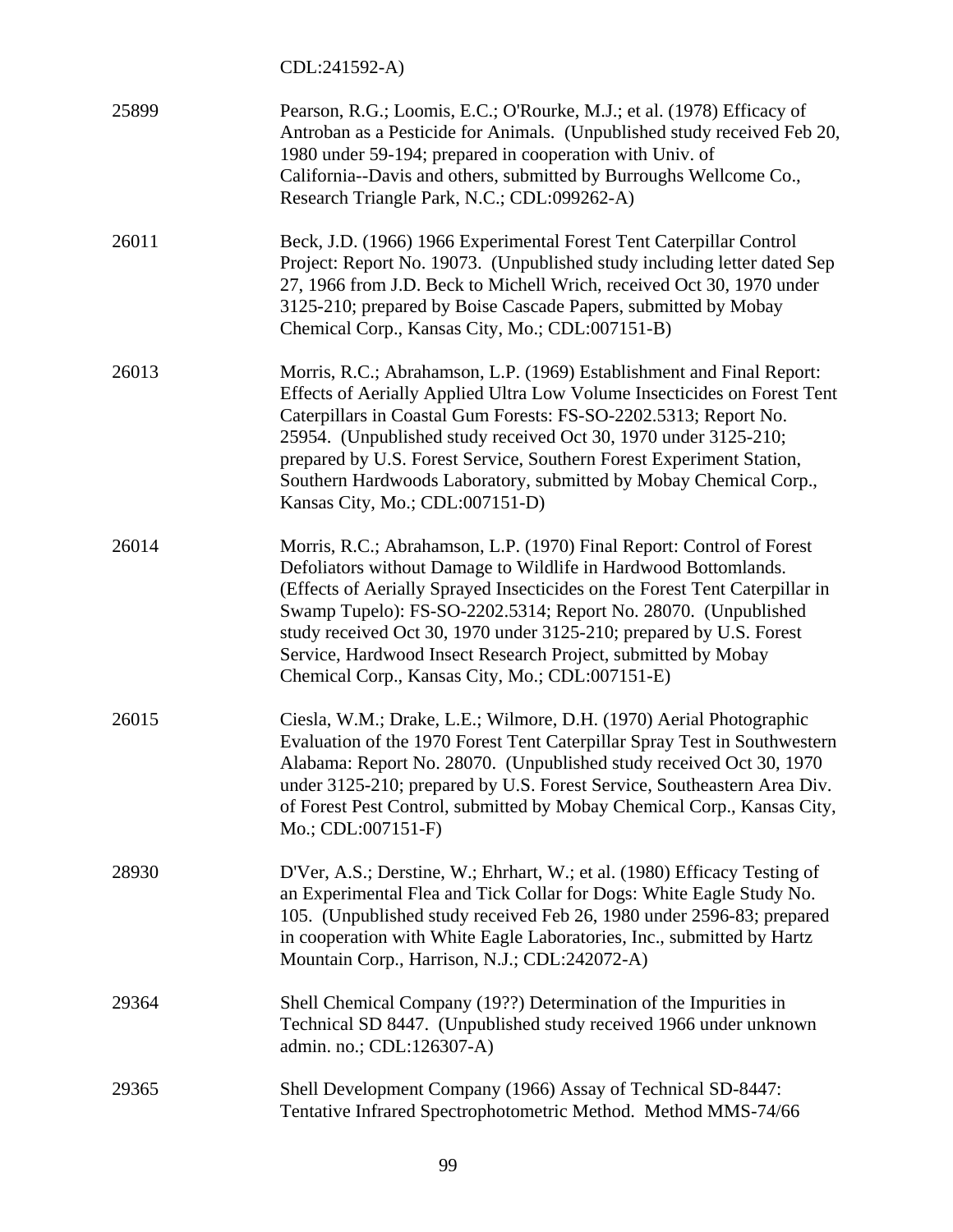CDL:241592-A)

| 25899 | Pearson, R.G.; Loomis, E.C.; O'Rourke, M.J.; et al. (1978) Efficacy of<br>Antroban as a Pesticide for Animals. (Unpublished study received Feb 20,<br>1980 under 59-194; prepared in cooperation with Univ. of<br>California--Davis and others, submitted by Burroughs Wellcome Co.,<br>Research Triangle Park, N.C.; CDL:099262-A)                                                                                                                                                  |
|-------|--------------------------------------------------------------------------------------------------------------------------------------------------------------------------------------------------------------------------------------------------------------------------------------------------------------------------------------------------------------------------------------------------------------------------------------------------------------------------------------|
| 26011 | Beck, J.D. (1966) 1966 Experimental Forest Tent Caterpillar Control<br>Project: Report No. 19073. (Unpublished study including letter dated Sep<br>27, 1966 from J.D. Beck to Michell Wrich, received Oct 30, 1970 under<br>3125-210; prepared by Boise Cascade Papers, submitted by Mobay<br>Chemical Corp., Kansas City, Mo.; CDL:007151-B)                                                                                                                                        |
| 26013 | Morris, R.C.; Abrahamson, L.P. (1969) Establishment and Final Report:<br>Effects of Aerially Applied Ultra Low Volume Insecticides on Forest Tent<br>Caterpillars in Coastal Gum Forests: FS-SO-2202.5313; Report No.<br>25954. (Unpublished study received Oct 30, 1970 under 3125-210;<br>prepared by U.S. Forest Service, Southern Forest Experiment Station,<br>Southern Hardwoods Laboratory, submitted by Mobay Chemical Corp.,<br>Kansas City, Mo.; CDL:007151-D)             |
| 26014 | Morris, R.C.; Abrahamson, L.P. (1970) Final Report: Control of Forest<br>Defoliators without Damage to Wildlife in Hardwood Bottomlands.<br>(Effects of Aerially Sprayed Insecticides on the Forest Tent Caterpillar in<br>Swamp Tupelo): FS-SO-2202.5314; Report No. 28070. (Unpublished<br>study received Oct 30, 1970 under 3125-210; prepared by U.S. Forest<br>Service, Hardwood Insect Research Project, submitted by Mobay<br>Chemical Corp., Kansas City, Mo.; CDL:007151-E) |
| 26015 | Ciesla, W.M.; Drake, L.E.; Wilmore, D.H. (1970) Aerial Photographic<br>Evaluation of the 1970 Forest Tent Caterpillar Spray Test in Southwestern<br>Alabama: Report No. 28070. (Unpublished study received Oct 30, 1970<br>under 3125-210; prepared by U.S. Forest Service, Southeastern Area Div.<br>of Forest Pest Control, submitted by Mobay Chemical Corp., Kansas City,<br>$Mo$ : CDL:007151-F)                                                                                |
| 28930 | D'Ver, A.S.; Derstine, W.; Ehrhart, W.; et al. (1980) Efficacy Testing of<br>an Experimental Flea and Tick Collar for Dogs: White Eagle Study No.<br>105. (Unpublished study received Feb 26, 1980 under 2596-83; prepared<br>in cooperation with White Eagle Laboratories, Inc., submitted by Hartz<br>Mountain Corp., Harrison, N.J.; CDL:242072-A)                                                                                                                                |
| 29364 | Shell Chemical Company (19??) Determination of the Impurities in<br>Technical SD 8447. (Unpublished study received 1966 under unknown<br>admin. no.; CDL:126307-A)                                                                                                                                                                                                                                                                                                                   |
| 29365 | Shell Development Company (1966) Assay of Technical SD-8447:<br>Tentative Infrared Spectrophotometric Method. Method MMS-74/66                                                                                                                                                                                                                                                                                                                                                       |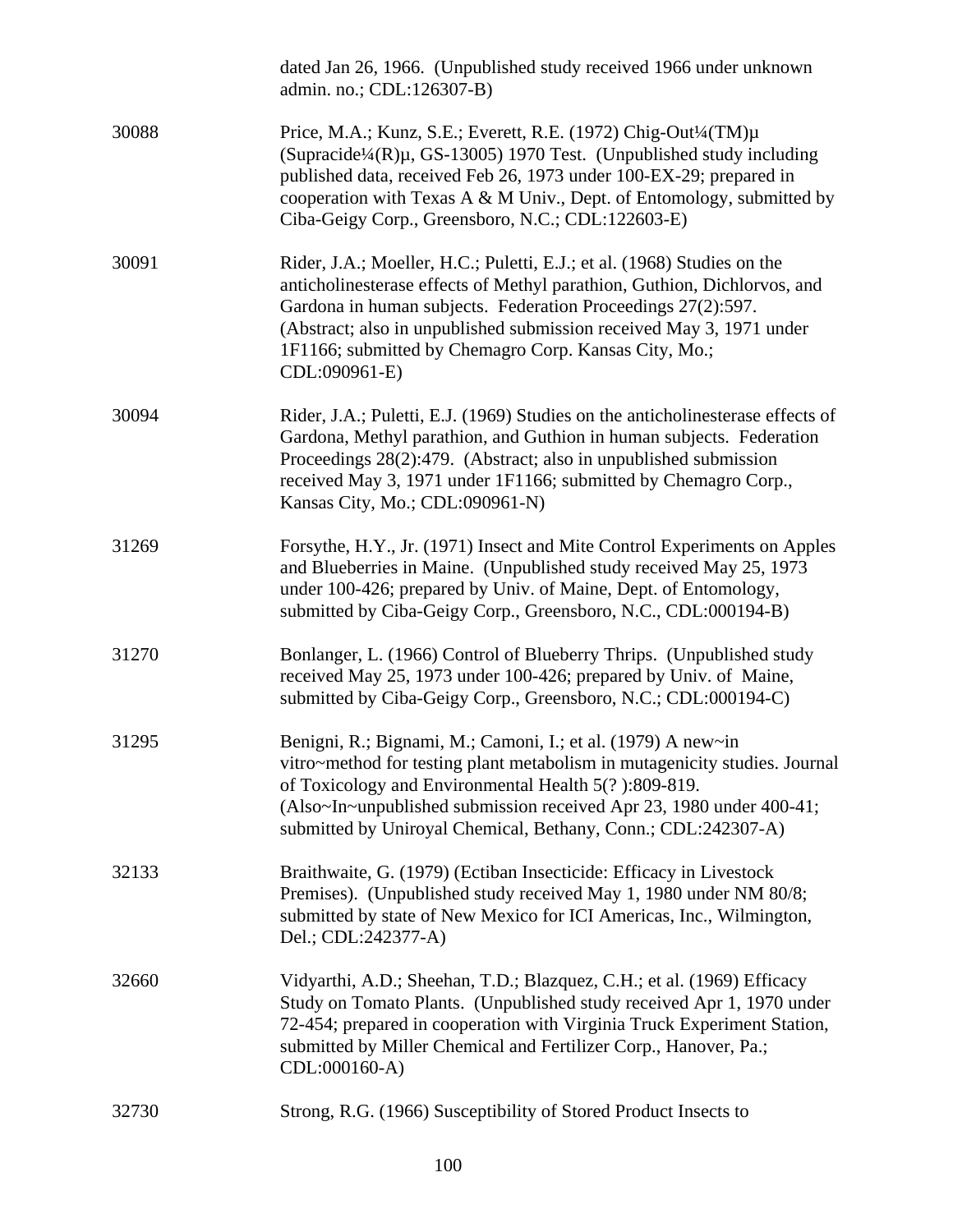|       | dated Jan 26, 1966. (Unpublished study received 1966 under unknown<br>admin. no.; CDL:126307-B)                                                                                                                                                                                                                                                                            |
|-------|----------------------------------------------------------------------------------------------------------------------------------------------------------------------------------------------------------------------------------------------------------------------------------------------------------------------------------------------------------------------------|
| 30088 | Price, M.A.; Kunz, S.E.; Everett, R.E. (1972) Chig-Out <sup>1</sup> /4(TM)µ<br>(Supracide <sup>1</sup> /4(R) $\mu$ , GS-13005) 1970 Test. (Unpublished study including<br>published data, received Feb 26, 1973 under 100-EX-29; prepared in<br>cooperation with Texas A & M Univ., Dept. of Entomology, submitted by<br>Ciba-Geigy Corp., Greensboro, N.C.; CDL:122603-E) |
| 30091 | Rider, J.A.; Moeller, H.C.; Puletti, E.J.; et al. (1968) Studies on the<br>anticholinesterase effects of Methyl parathion, Guthion, Dichlorvos, and<br>Gardona in human subjects. Federation Proceedings 27(2):597.<br>(Abstract; also in unpublished submission received May 3, 1971 under<br>1F1166; submitted by Chemagro Corp. Kansas City, Mo.;<br>CDL:090961-E)      |
| 30094 | Rider, J.A.; Puletti, E.J. (1969) Studies on the anticholinesterase effects of<br>Gardona, Methyl parathion, and Guthion in human subjects. Federation<br>Proceedings 28(2):479. (Abstract; also in unpublished submission<br>received May 3, 1971 under 1F1166; submitted by Chemagro Corp.,<br>Kansas City, Mo.; CDL:090961-N)                                           |
| 31269 | Forsythe, H.Y., Jr. (1971) Insect and Mite Control Experiments on Apples<br>and Blueberries in Maine. (Unpublished study received May 25, 1973<br>under 100-426; prepared by Univ. of Maine, Dept. of Entomology,<br>submitted by Ciba-Geigy Corp., Greensboro, N.C., CDL:000194-B)                                                                                        |
| 31270 | Bonlanger, L. (1966) Control of Blueberry Thrips. (Unpublished study<br>received May 25, 1973 under 100-426; prepared by Univ. of Maine,<br>submitted by Ciba-Geigy Corp., Greensboro, N.C.; CDL:000194-C)                                                                                                                                                                 |
| 31295 | Benigni, R.; Bignami, M.; Camoni, I.; et al. (1979) A new~in<br>vitro~method for testing plant metabolism in mutagenicity studies. Journal<br>of Toxicology and Environmental Health 5(?):809-819.<br>(Also~In~unpublished submission received Apr 23, 1980 under 400-41;<br>submitted by Uniroyal Chemical, Bethany, Conn.; CDL:242307-A)                                 |
| 32133 | Braithwaite, G. (1979) (Ectiban Insecticide: Efficacy in Livestock<br>Premises). (Unpublished study received May 1, 1980 under NM 80/8;<br>submitted by state of New Mexico for ICI Americas, Inc., Wilmington,<br>Del.; CDL:242377-A)                                                                                                                                     |
| 32660 | Vidyarthi, A.D.; Sheehan, T.D.; Blazquez, C.H.; et al. (1969) Efficacy<br>Study on Tomato Plants. (Unpublished study received Apr 1, 1970 under<br>72-454; prepared in cooperation with Virginia Truck Experiment Station,<br>submitted by Miller Chemical and Fertilizer Corp., Hanover, Pa.;<br>CDL:000160-A)                                                            |
| 32730 | Strong, R.G. (1966) Susceptibility of Stored Product Insects to                                                                                                                                                                                                                                                                                                            |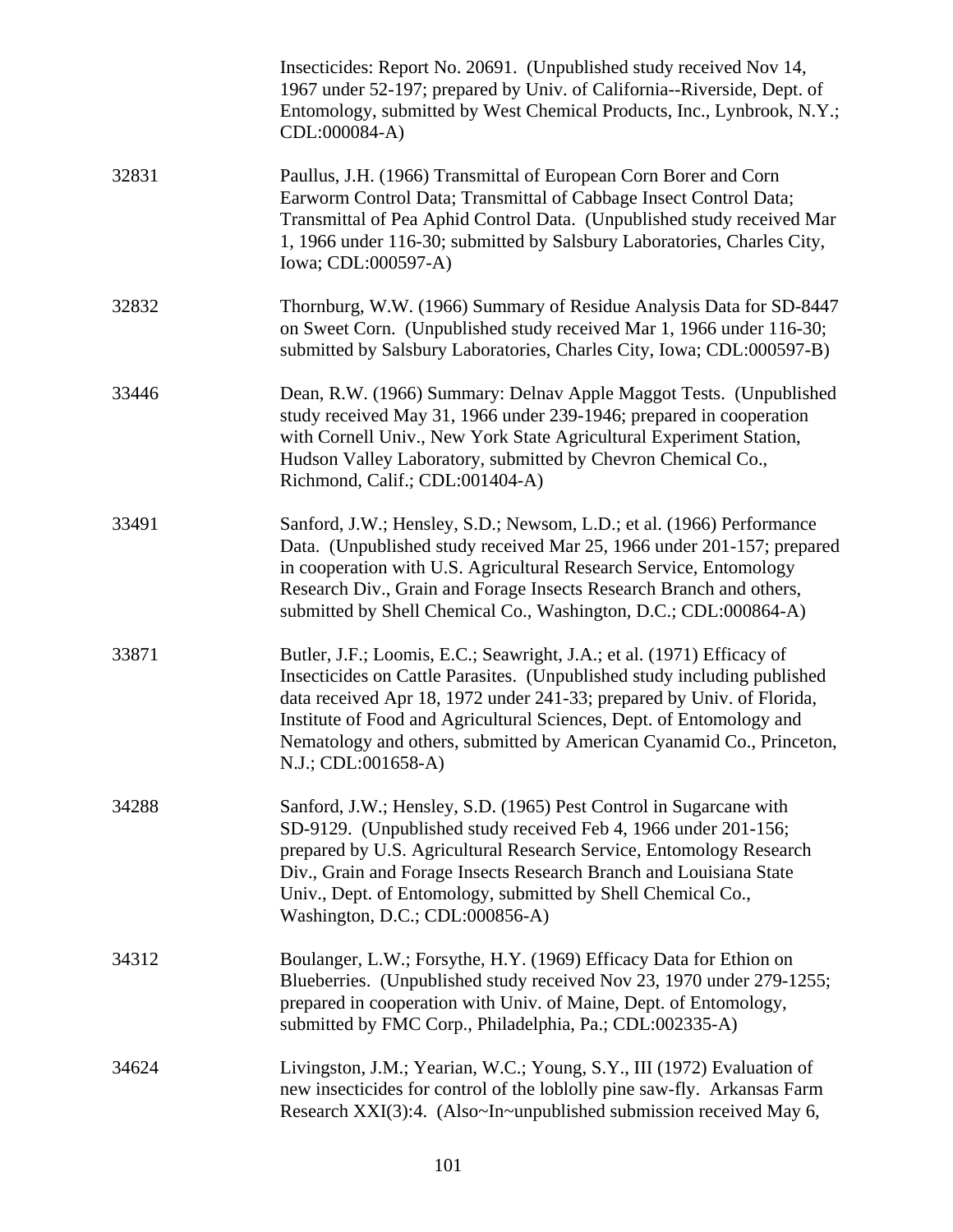|       | Insecticides: Report No. 20691. (Unpublished study received Nov 14,<br>1967 under 52-197; prepared by Univ. of California--Riverside, Dept. of<br>Entomology, submitted by West Chemical Products, Inc., Lynbrook, N.Y.;<br>CDL:000084-A)                                                                                                                                                            |
|-------|------------------------------------------------------------------------------------------------------------------------------------------------------------------------------------------------------------------------------------------------------------------------------------------------------------------------------------------------------------------------------------------------------|
| 32831 | Paullus, J.H. (1966) Transmittal of European Corn Borer and Corn<br>Earworm Control Data; Transmittal of Cabbage Insect Control Data;<br>Transmittal of Pea Aphid Control Data. (Unpublished study received Mar<br>1, 1966 under 116-30; submitted by Salsbury Laboratories, Charles City,<br>Iowa; CDL:000597-A)                                                                                    |
| 32832 | Thornburg, W.W. (1966) Summary of Residue Analysis Data for SD-8447<br>on Sweet Corn. (Unpublished study received Mar 1, 1966 under 116-30;<br>submitted by Salsbury Laboratories, Charles City, Iowa; CDL:000597-B)                                                                                                                                                                                 |
| 33446 | Dean, R.W. (1966) Summary: Delnav Apple Maggot Tests. (Unpublished<br>study received May 31, 1966 under 239-1946; prepared in cooperation<br>with Cornell Univ., New York State Agricultural Experiment Station,<br>Hudson Valley Laboratory, submitted by Chevron Chemical Co.,<br>Richmond, Calif.; CDL:001404-A)                                                                                  |
| 33491 | Sanford, J.W.; Hensley, S.D.; Newsom, L.D.; et al. (1966) Performance<br>Data. (Unpublished study received Mar 25, 1966 under 201-157; prepared<br>in cooperation with U.S. Agricultural Research Service, Entomology<br>Research Div., Grain and Forage Insects Research Branch and others,<br>submitted by Shell Chemical Co., Washington, D.C.; CDL:000864-A)                                     |
| 33871 | Butler, J.F.; Loomis, E.C.; Seawright, J.A.; et al. (1971) Efficacy of<br>Insecticides on Cattle Parasites. (Unpublished study including published<br>data received Apr 18, 1972 under 241-33; prepared by Univ. of Florida,<br>Institute of Food and Agricultural Sciences, Dept. of Entomology and<br>Nematology and others, submitted by American Cyanamid Co., Princeton,<br>N.J.; CDL:001658-A) |
| 34288 | Sanford, J.W.; Hensley, S.D. (1965) Pest Control in Sugarcane with<br>SD-9129. (Unpublished study received Feb 4, 1966 under 201-156;<br>prepared by U.S. Agricultural Research Service, Entomology Research<br>Div., Grain and Forage Insects Research Branch and Louisiana State<br>Univ., Dept. of Entomology, submitted by Shell Chemical Co.,<br>Washington, D.C.; CDL:000856-A)                |
| 34312 | Boulanger, L.W.; Forsythe, H.Y. (1969) Efficacy Data for Ethion on<br>Blueberries. (Unpublished study received Nov 23, 1970 under 279-1255;<br>prepared in cooperation with Univ. of Maine, Dept. of Entomology,<br>submitted by FMC Corp., Philadelphia, Pa.; CDL:002335-A)                                                                                                                         |
| 34624 | Livingston, J.M.; Yearian, W.C.; Young, S.Y., III (1972) Evaluation of<br>new insecticides for control of the loblolly pine saw-fly. Arkansas Farm<br>Research XXI(3):4. (Also~In~unpublished submission received May 6,                                                                                                                                                                             |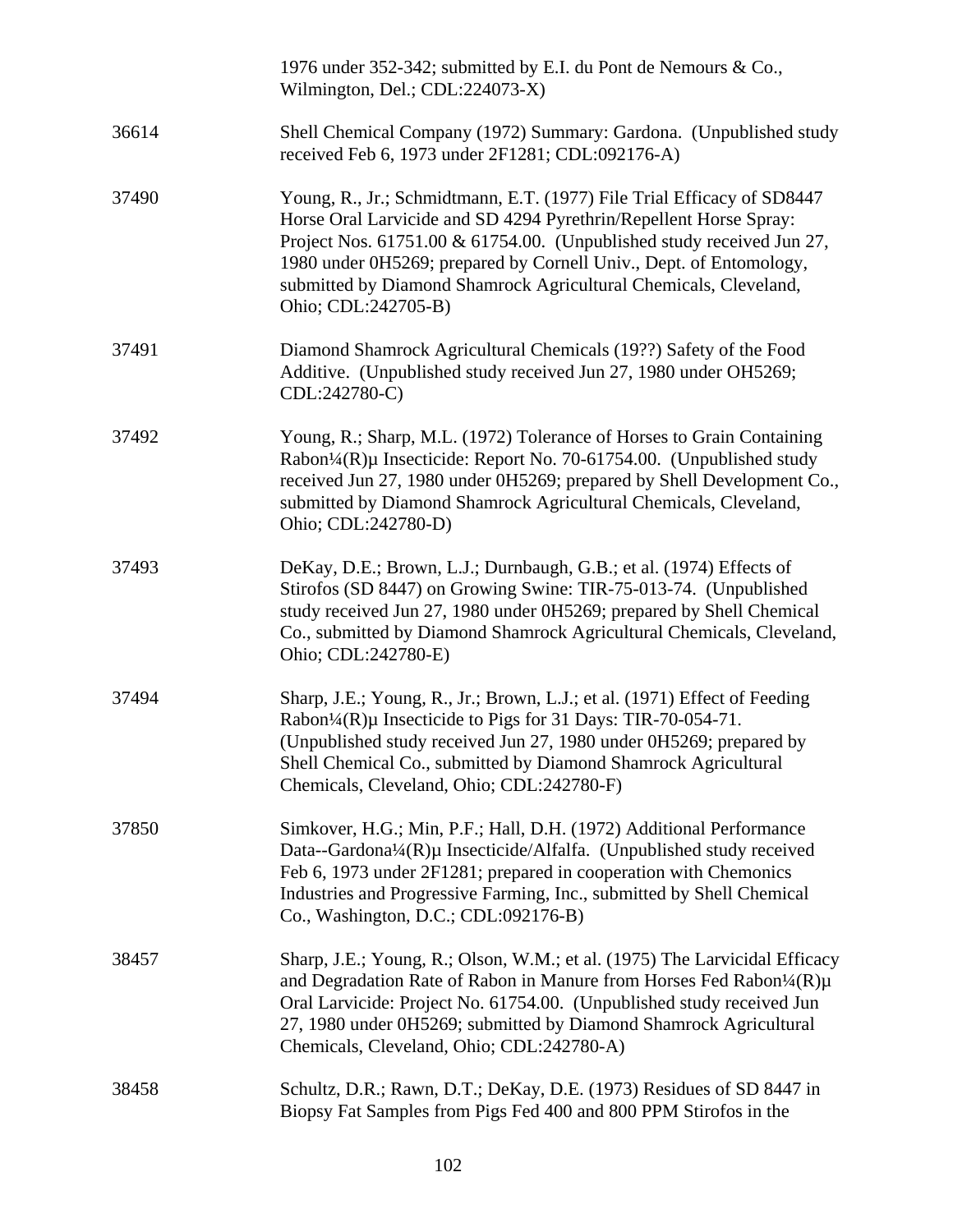|       | 1976 under 352-342; submitted by E.I. du Pont de Nemours & Co.,<br>Wilmington, Del.; CDL:224073-X)                                                                                                                                                                                                                                                                                    |
|-------|---------------------------------------------------------------------------------------------------------------------------------------------------------------------------------------------------------------------------------------------------------------------------------------------------------------------------------------------------------------------------------------|
| 36614 | Shell Chemical Company (1972) Summary: Gardona. (Unpublished study<br>received Feb 6, 1973 under 2F1281; CDL:092176-A)                                                                                                                                                                                                                                                                |
| 37490 | Young, R., Jr.; Schmidtmann, E.T. (1977) File Trial Efficacy of SD8447<br>Horse Oral Larvicide and SD 4294 Pyrethrin/Repellent Horse Spray:<br>Project Nos. 61751.00 & 61754.00. (Unpublished study received Jun 27,<br>1980 under 0H5269; prepared by Cornell Univ., Dept. of Entomology,<br>submitted by Diamond Shamrock Agricultural Chemicals, Cleveland,<br>Ohio; CDL:242705-B) |
| 37491 | Diamond Shamrock Agricultural Chemicals (19??) Safety of the Food<br>Additive. (Unpublished study received Jun 27, 1980 under OH5269;<br>CDL:242780-C)                                                                                                                                                                                                                                |
| 37492 | Young, R.; Sharp, M.L. (1972) Tolerance of Horses to Grain Containing<br>Rabon <sup>1</sup> / <sub>4</sub> (R)µ Insecticide: Report No. 70-61754.00. (Unpublished study<br>received Jun 27, 1980 under 0H5269; prepared by Shell Development Co.,<br>submitted by Diamond Shamrock Agricultural Chemicals, Cleveland,<br>Ohio; CDL:242780-D)                                          |
| 37493 | DeKay, D.E.; Brown, L.J.; Durnbaugh, G.B.; et al. (1974) Effects of<br>Stirofos (SD 8447) on Growing Swine: TIR-75-013-74. (Unpublished<br>study received Jun 27, 1980 under 0H5269; prepared by Shell Chemical<br>Co., submitted by Diamond Shamrock Agricultural Chemicals, Cleveland,<br>Ohio; CDL:242780-E)                                                                       |
| 37494 | Sharp, J.E.; Young, R., Jr.; Brown, L.J.; et al. (1971) Effect of Feeding<br>Rabon¼(R)µ Insecticide to Pigs for 31 Days: TIR-70-054-71.<br>(Unpublished study received Jun 27, 1980 under 0H5269; prepared by<br>Shell Chemical Co., submitted by Diamond Shamrock Agricultural<br>Chemicals, Cleveland, Ohio; CDL:242780-F)                                                          |
| 37850 | Simkover, H.G.; Min, P.F.; Hall, D.H. (1972) Additional Performance<br>Data--Gardona¼(R)µ Insecticide/Alfalfa. (Unpublished study received<br>Feb 6, 1973 under 2F1281; prepared in cooperation with Chemonics<br>Industries and Progressive Farming, Inc., submitted by Shell Chemical<br>Co., Washington, D.C.; CDL:092176-B)                                                       |
| 38457 | Sharp, J.E.; Young, R.; Olson, W.M.; et al. (1975) The Larvicidal Efficacy<br>and Degradation Rate of Rabon in Manure from Horses Fed Rabon <sup>1</sup> /4(R)µ<br>Oral Larvicide: Project No. 61754.00. (Unpublished study received Jun<br>27, 1980 under 0H5269; submitted by Diamond Shamrock Agricultural<br>Chemicals, Cleveland, Ohio; CDL:242780-A)                            |
| 38458 | Schultz, D.R.; Rawn, D.T.; DeKay, D.E. (1973) Residues of SD 8447 in<br>Biopsy Fat Samples from Pigs Fed 400 and 800 PPM Stirofos in the                                                                                                                                                                                                                                              |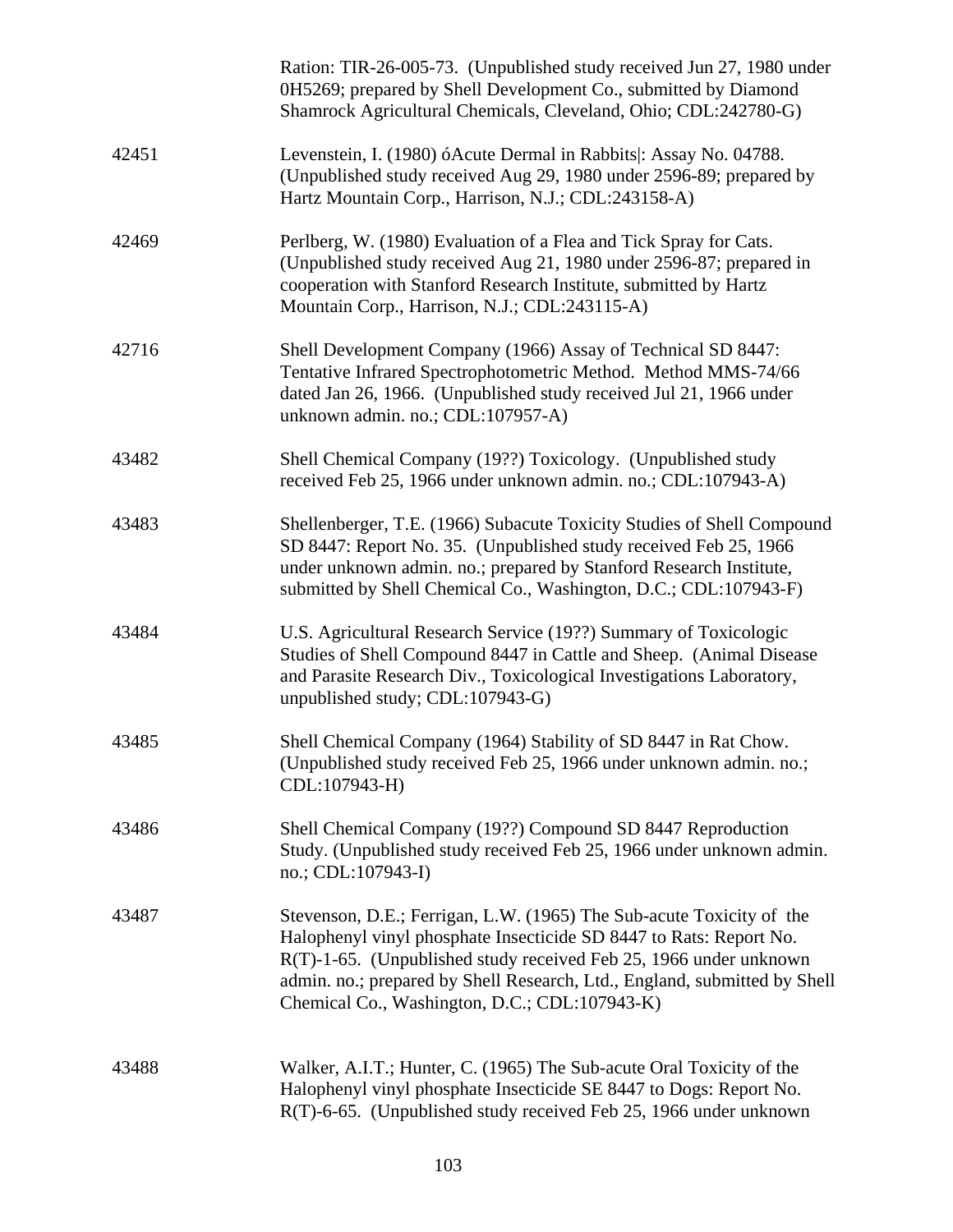|       | Ration: TIR-26-005-73. (Unpublished study received Jun 27, 1980 under<br>0H5269; prepared by Shell Development Co., submitted by Diamond<br>Shamrock Agricultural Chemicals, Cleveland, Ohio; CDL:242780-G)                                                                                                                                   |
|-------|-----------------------------------------------------------------------------------------------------------------------------------------------------------------------------------------------------------------------------------------------------------------------------------------------------------------------------------------------|
| 42451 | Levenstein, I. (1980) óAcute Dermal in Rabbits : Assay No. 04788.<br>(Unpublished study received Aug 29, 1980 under 2596-89; prepared by<br>Hartz Mountain Corp., Harrison, N.J.; CDL:243158-A)                                                                                                                                               |
| 42469 | Perlberg, W. (1980) Evaluation of a Flea and Tick Spray for Cats.<br>(Unpublished study received Aug 21, 1980 under 2596-87; prepared in<br>cooperation with Stanford Research Institute, submitted by Hartz<br>Mountain Corp., Harrison, N.J.; CDL:243115-A)                                                                                 |
| 42716 | Shell Development Company (1966) Assay of Technical SD 8447:<br>Tentative Infrared Spectrophotometric Method. Method MMS-74/66<br>dated Jan 26, 1966. (Unpublished study received Jul 21, 1966 under<br>unknown admin. no.; CDL:107957-A)                                                                                                     |
| 43482 | Shell Chemical Company (19??) Toxicology. (Unpublished study<br>received Feb 25, 1966 under unknown admin. no.; CDL:107943-A)                                                                                                                                                                                                                 |
| 43483 | Shellenberger, T.E. (1966) Subacute Toxicity Studies of Shell Compound<br>SD 8447: Report No. 35. (Unpublished study received Feb 25, 1966<br>under unknown admin. no.; prepared by Stanford Research Institute,<br>submitted by Shell Chemical Co., Washington, D.C.; CDL:107943-F)                                                          |
| 43484 | U.S. Agricultural Research Service (19??) Summary of Toxicologic<br>Studies of Shell Compound 8447 in Cattle and Sheep. (Animal Disease<br>and Parasite Research Div., Toxicological Investigations Laboratory,<br>unpublished study; CDL:107943-G)                                                                                           |
| 43485 | Shell Chemical Company (1964) Stability of SD 8447 in Rat Chow.<br>(Unpublished study received Feb 25, 1966 under unknown admin. no.;<br>CDL:107943-H)                                                                                                                                                                                        |
| 43486 | Shell Chemical Company (19??) Compound SD 8447 Reproduction<br>Study. (Unpublished study received Feb 25, 1966 under unknown admin.<br>no.; CDL:107943-I)                                                                                                                                                                                     |
| 43487 | Stevenson, D.E.; Ferrigan, L.W. (1965) The Sub-acute Toxicity of the<br>Halophenyl vinyl phosphate Insecticide SD 8447 to Rats: Report No.<br>R(T)-1-65. (Unpublished study received Feb 25, 1966 under unknown<br>admin. no.; prepared by Shell Research, Ltd., England, submitted by Shell<br>Chemical Co., Washington, D.C.; CDL:107943-K) |
| 43488 | Walker, A.I.T.; Hunter, C. (1965) The Sub-acute Oral Toxicity of the<br>Halophenyl vinyl phosphate Insecticide SE 8447 to Dogs: Report No.<br>R(T)-6-65. (Unpublished study received Feb 25, 1966 under unknown                                                                                                                               |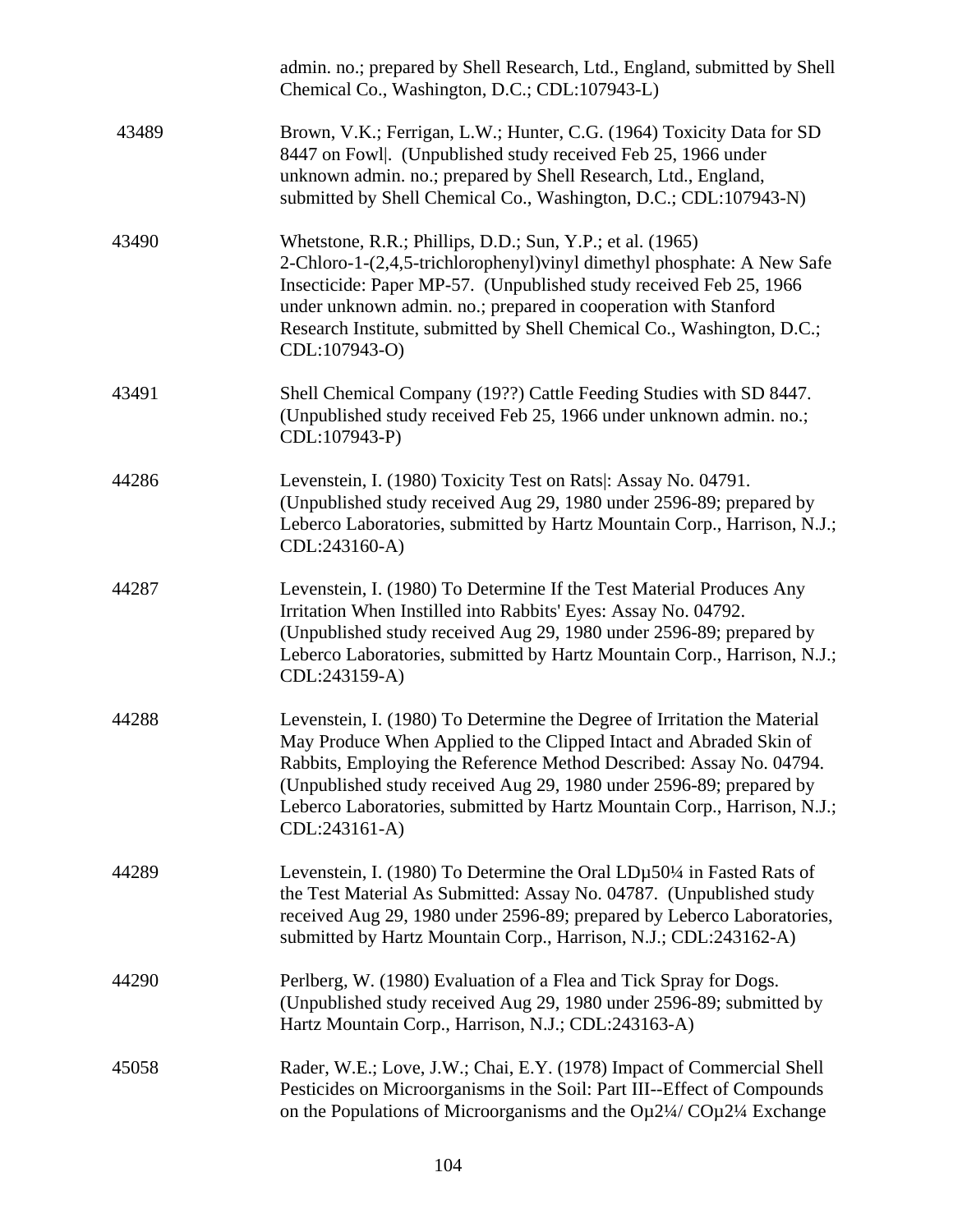|       | admin. no.; prepared by Shell Research, Ltd., England, submitted by Shell<br>Chemical Co., Washington, D.C.; CDL:107943-L)                                                                                                                                                                                                                                                                |
|-------|-------------------------------------------------------------------------------------------------------------------------------------------------------------------------------------------------------------------------------------------------------------------------------------------------------------------------------------------------------------------------------------------|
| 43489 | Brown, V.K.; Ferrigan, L.W.; Hunter, C.G. (1964) Toxicity Data for SD<br>8447 on Fowl. (Unpublished study received Feb 25, 1966 under<br>unknown admin. no.; prepared by Shell Research, Ltd., England,<br>submitted by Shell Chemical Co., Washington, D.C.; CDL:107943-N)                                                                                                               |
| 43490 | Whetstone, R.R.; Phillips, D.D.; Sun, Y.P.; et al. (1965)<br>2-Chloro-1-(2,4,5-trichlorophenyl) vinyl dimethyl phosphate: A New Safe<br>Insecticide: Paper MP-57. (Unpublished study received Feb 25, 1966)<br>under unknown admin. no.; prepared in cooperation with Stanford<br>Research Institute, submitted by Shell Chemical Co., Washington, D.C.;<br>CDL:107943-O)                 |
| 43491 | Shell Chemical Company (19??) Cattle Feeding Studies with SD 8447.<br>(Unpublished study received Feb 25, 1966 under unknown admin. no.;<br>CDL:107943-P)                                                                                                                                                                                                                                 |
| 44286 | Levenstein, I. (1980) Toxicity Test on Rats: Assay No. 04791.<br>(Unpublished study received Aug 29, 1980 under 2596-89; prepared by<br>Leberco Laboratories, submitted by Hartz Mountain Corp., Harrison, N.J.;<br>CDL:243160-A)                                                                                                                                                         |
| 44287 | Levenstein, I. (1980) To Determine If the Test Material Produces Any<br>Irritation When Instilled into Rabbits' Eyes: Assay No. 04792.<br>(Unpublished study received Aug 29, 1980 under 2596-89; prepared by<br>Leberco Laboratories, submitted by Hartz Mountain Corp., Harrison, N.J.;<br>CDL:243159-A)                                                                                |
| 44288 | Levenstein, I. (1980) To Determine the Degree of Irritation the Material<br>May Produce When Applied to the Clipped Intact and Abraded Skin of<br>Rabbits, Employing the Reference Method Described: Assay No. 04794.<br>(Unpublished study received Aug 29, 1980 under 2596-89; prepared by<br>Leberco Laboratories, submitted by Hartz Mountain Corp., Harrison, N.J.;<br>CDL:243161-A) |
| 44289 | Levenstein, I. (1980) To Determine the Oral $LD\mu$ 50¼ in Fasted Rats of<br>the Test Material As Submitted: Assay No. 04787. (Unpublished study<br>received Aug 29, 1980 under 2596-89; prepared by Leberco Laboratories,<br>submitted by Hartz Mountain Corp., Harrison, N.J.; CDL:243162-A)                                                                                            |
| 44290 | Perlberg, W. (1980) Evaluation of a Flea and Tick Spray for Dogs.<br>(Unpublished study received Aug 29, 1980 under 2596-89; submitted by<br>Hartz Mountain Corp., Harrison, N.J.; CDL:243163-A)                                                                                                                                                                                          |
| 45058 | Rader, W.E.; Love, J.W.; Chai, E.Y. (1978) Impact of Commercial Shell<br>Pesticides on Microorganisms in the Soil: Part III--Effect of Compounds<br>on the Populations of Microorganisms and the $O\mu$ 2¼ $CO\mu$ 2¼ Exchange                                                                                                                                                            |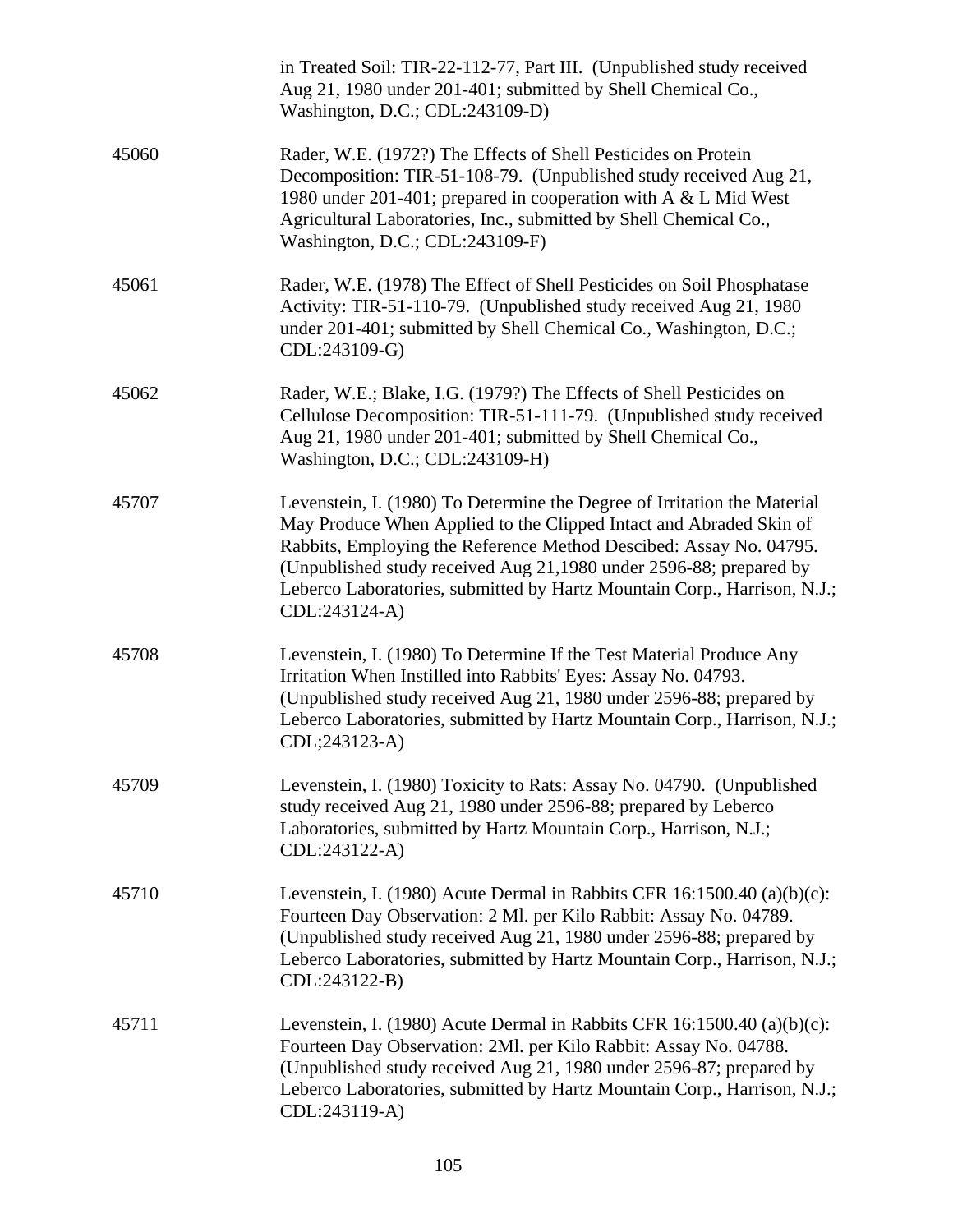|       | in Treated Soil: TIR-22-112-77, Part III. (Unpublished study received<br>Aug 21, 1980 under 201-401; submitted by Shell Chemical Co.,<br>Washington, D.C.; CDL:243109-D)                                                                                                                                                                                                                |
|-------|-----------------------------------------------------------------------------------------------------------------------------------------------------------------------------------------------------------------------------------------------------------------------------------------------------------------------------------------------------------------------------------------|
| 45060 | Rader, W.E. (1972?) The Effects of Shell Pesticides on Protein<br>Decomposition: TIR-51-108-79. (Unpublished study received Aug 21,<br>1980 under 201-401; prepared in cooperation with A & L Mid West<br>Agricultural Laboratories, Inc., submitted by Shell Chemical Co.,<br>Washington, D.C.; CDL:243109-F)                                                                          |
| 45061 | Rader, W.E. (1978) The Effect of Shell Pesticides on Soil Phosphatase<br>Activity: TIR-51-110-79. (Unpublished study received Aug 21, 1980)<br>under 201-401; submitted by Shell Chemical Co., Washington, D.C.;<br>CDL:243109-G)                                                                                                                                                       |
| 45062 | Rader, W.E.; Blake, I.G. (1979?) The Effects of Shell Pesticides on<br>Cellulose Decomposition: TIR-51-111-79. (Unpublished study received<br>Aug 21, 1980 under 201-401; submitted by Shell Chemical Co.,<br>Washington, D.C.; CDL:243109-H)                                                                                                                                           |
| 45707 | Levenstein, I. (1980) To Determine the Degree of Irritation the Material<br>May Produce When Applied to the Clipped Intact and Abraded Skin of<br>Rabbits, Employing the Reference Method Descibed: Assay No. 04795.<br>(Unpublished study received Aug 21,1980 under 2596-88; prepared by<br>Leberco Laboratories, submitted by Hartz Mountain Corp., Harrison, N.J.;<br>CDL:243124-A) |
| 45708 | Levenstein, I. (1980) To Determine If the Test Material Produce Any<br>Irritation When Instilled into Rabbits' Eyes: Assay No. 04793.<br>(Unpublished study received Aug 21, 1980 under 2596-88; prepared by<br>Leberco Laboratories, submitted by Hartz Mountain Corp., Harrison, N.J.;<br>CDL;243123-A)                                                                               |
| 45709 | Levenstein, I. (1980) Toxicity to Rats: Assay No. 04790. (Unpublished<br>study received Aug 21, 1980 under 2596-88; prepared by Leberco<br>Laboratories, submitted by Hartz Mountain Corp., Harrison, N.J.;<br>CDL:243122-A)                                                                                                                                                            |
| 45710 | Levenstein, I. (1980) Acute Dermal in Rabbits CFR 16:1500.40 (a)(b)(c):<br>Fourteen Day Observation: 2 Ml. per Kilo Rabbit: Assay No. 04789.<br>(Unpublished study received Aug 21, 1980 under 2596-88; prepared by<br>Leberco Laboratories, submitted by Hartz Mountain Corp., Harrison, N.J.;<br>CDL:243122-B)                                                                        |
| 45711 | Levenstein, I. (1980) Acute Dermal in Rabbits CFR 16:1500.40 (a)(b)(c):<br>Fourteen Day Observation: 2Ml. per Kilo Rabbit: Assay No. 04788.<br>(Unpublished study received Aug 21, 1980 under 2596-87; prepared by<br>Leberco Laboratories, submitted by Hartz Mountain Corp., Harrison, N.J.;<br>CDL:243119-A)                                                                         |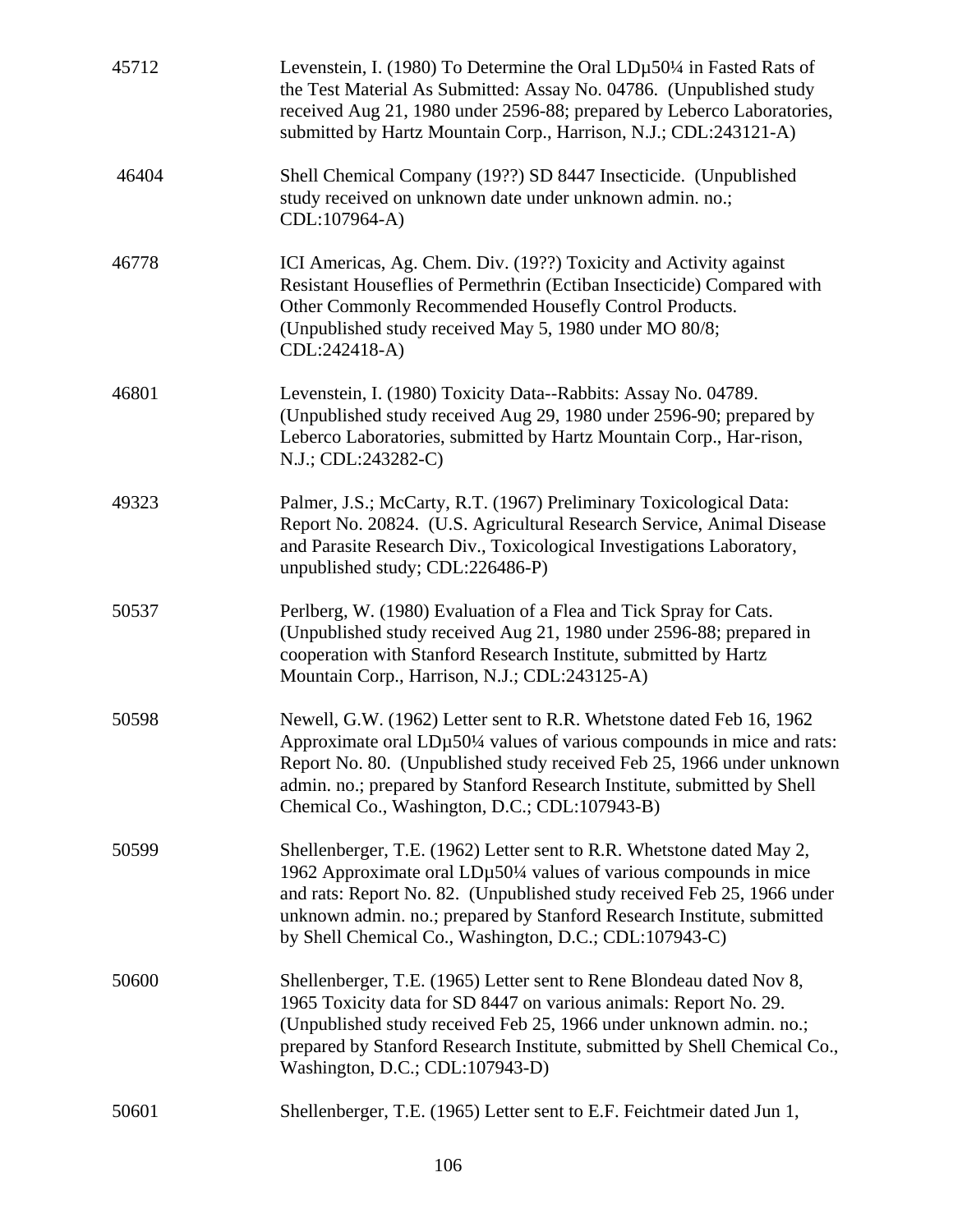| 45712 | Levenstein, I. (1980) To Determine the Oral LDµ50¼ in Fasted Rats of<br>the Test Material As Submitted: Assay No. 04786. (Unpublished study<br>received Aug 21, 1980 under 2596-88; prepared by Leberco Laboratories,<br>submitted by Hartz Mountain Corp., Harrison, N.J.; CDL:243121-A)                                                                |
|-------|----------------------------------------------------------------------------------------------------------------------------------------------------------------------------------------------------------------------------------------------------------------------------------------------------------------------------------------------------------|
| 46404 | Shell Chemical Company (19??) SD 8447 Insecticide. (Unpublished<br>study received on unknown date under unknown admin. no.;<br>CDL:107964-A)                                                                                                                                                                                                             |
| 46778 | ICI Americas, Ag. Chem. Div. (19??) Toxicity and Activity against<br>Resistant Houseflies of Permethrin (Ectiban Insecticide) Compared with<br>Other Commonly Recommended Housefly Control Products.<br>(Unpublished study received May 5, 1980 under MO 80/8;<br>CDL:242418-A)                                                                          |
| 46801 | Levenstein, I. (1980) Toxicity Data--Rabbits: Assay No. 04789.<br>(Unpublished study received Aug 29, 1980 under 2596-90; prepared by<br>Leberco Laboratories, submitted by Hartz Mountain Corp., Har-rison,<br>N.J.; CDL:243282-C)                                                                                                                      |
| 49323 | Palmer, J.S.; McCarty, R.T. (1967) Preliminary Toxicological Data:<br>Report No. 20824. (U.S. Agricultural Research Service, Animal Disease<br>and Parasite Research Div., Toxicological Investigations Laboratory,<br>unpublished study; CDL:226486-P)                                                                                                  |
| 50537 | Perlberg, W. (1980) Evaluation of a Flea and Tick Spray for Cats.<br>(Unpublished study received Aug 21, 1980 under 2596-88; prepared in<br>cooperation with Stanford Research Institute, submitted by Hartz<br>Mountain Corp., Harrison, N.J.; CDL:243125-A)                                                                                            |
| 50598 | Newell, G.W. (1962) Letter sent to R.R. Whetstone dated Feb 16, 1962<br>Approximate oral LDµ50¼ values of various compounds in mice and rats:<br>Report No. 80. (Unpublished study received Feb 25, 1966 under unknown<br>admin. no.; prepared by Stanford Research Institute, submitted by Shell<br>Chemical Co., Washington, D.C.; CDL:107943-B)       |
| 50599 | Shellenberger, T.E. (1962) Letter sent to R.R. Whetstone dated May 2,<br>1962 Approximate oral LDµ50¼ values of various compounds in mice<br>and rats: Report No. 82. (Unpublished study received Feb 25, 1966 under<br>unknown admin. no.; prepared by Stanford Research Institute, submitted<br>by Shell Chemical Co., Washington, D.C.; CDL:107943-C) |
| 50600 | Shellenberger, T.E. (1965) Letter sent to Rene Blondeau dated Nov 8,<br>1965 Toxicity data for SD 8447 on various animals: Report No. 29.<br>(Unpublished study received Feb 25, 1966 under unknown admin. no.;<br>prepared by Stanford Research Institute, submitted by Shell Chemical Co.,<br>Washington, D.C.; CDL:107943-D)                          |
| 50601 | Shellenberger, T.E. (1965) Letter sent to E.F. Feichtmeir dated Jun 1,                                                                                                                                                                                                                                                                                   |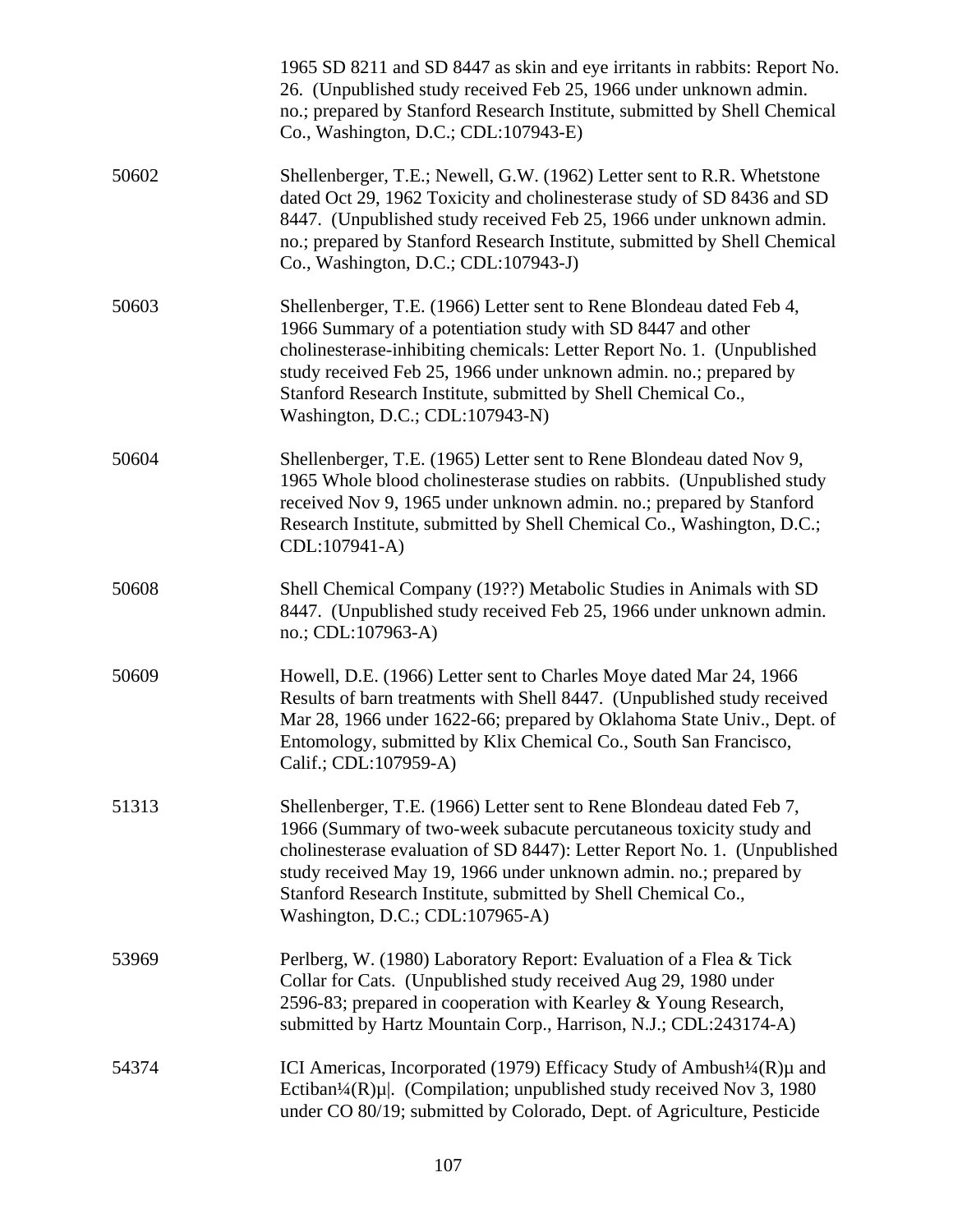|       | 1965 SD 8211 and SD 8447 as skin and eye irritants in rabbits: Report No.<br>26. (Unpublished study received Feb 25, 1966 under unknown admin.<br>no.; prepared by Stanford Research Institute, submitted by Shell Chemical<br>Co., Washington, D.C.; CDL:107943-E)                                                                                                                             |
|-------|-------------------------------------------------------------------------------------------------------------------------------------------------------------------------------------------------------------------------------------------------------------------------------------------------------------------------------------------------------------------------------------------------|
| 50602 | Shellenberger, T.E.; Newell, G.W. (1962) Letter sent to R.R. Whetstone<br>dated Oct 29, 1962 Toxicity and cholinesterase study of SD 8436 and SD<br>8447. (Unpublished study received Feb 25, 1966 under unknown admin.<br>no.; prepared by Stanford Research Institute, submitted by Shell Chemical<br>Co., Washington, D.C.; CDL:107943-J)                                                    |
| 50603 | Shellenberger, T.E. (1966) Letter sent to Rene Blondeau dated Feb 4,<br>1966 Summary of a potentiation study with SD 8447 and other<br>cholinesterase-inhibiting chemicals: Letter Report No. 1. (Unpublished<br>study received Feb 25, 1966 under unknown admin. no.; prepared by<br>Stanford Research Institute, submitted by Shell Chemical Co.,<br>Washington, D.C.; CDL:107943-N)          |
| 50604 | Shellenberger, T.E. (1965) Letter sent to Rene Blondeau dated Nov 9,<br>1965 Whole blood cholinesterase studies on rabbits. (Unpublished study<br>received Nov 9, 1965 under unknown admin. no.; prepared by Stanford<br>Research Institute, submitted by Shell Chemical Co., Washington, D.C.;<br>CDL:107941-A)                                                                                |
| 50608 | Shell Chemical Company (19??) Metabolic Studies in Animals with SD<br>8447. (Unpublished study received Feb 25, 1966 under unknown admin.<br>no.; CDL:107963-A)                                                                                                                                                                                                                                 |
| 50609 | Howell, D.E. (1966) Letter sent to Charles Moye dated Mar 24, 1966<br>Results of barn treatments with Shell 8447. (Unpublished study received<br>Mar 28, 1966 under 1622-66; prepared by Oklahoma State Univ., Dept. of<br>Entomology, submitted by Klix Chemical Co., South San Francisco,<br>Calif.; CDL:107959-A)                                                                            |
| 51313 | Shellenberger, T.E. (1966) Letter sent to Rene Blondeau dated Feb 7,<br>1966 (Summary of two-week subacute percutaneous toxicity study and<br>cholinesterase evaluation of SD 8447): Letter Report No. 1. (Unpublished<br>study received May 19, 1966 under unknown admin. no.; prepared by<br>Stanford Research Institute, submitted by Shell Chemical Co.,<br>Washington, D.C.; CDL:107965-A) |
| 53969 | Perlberg, W. (1980) Laboratory Report: Evaluation of a Flea & Tick<br>Collar for Cats. (Unpublished study received Aug 29, 1980 under<br>2596-83; prepared in cooperation with Kearley & Young Research,<br>submitted by Hartz Mountain Corp., Harrison, N.J.; CDL:243174-A)                                                                                                                    |
| 54374 | ICI Americas, Incorporated (1979) Efficacy Study of Ambush <sup>1</sup> /4(R)µ and<br>Ectiban <sup>1</sup> / <sub>4</sub> (R) $\mu$  . (Compilation; unpublished study received Nov 3, 1980<br>under CO 80/19; submitted by Colorado, Dept. of Agriculture, Pesticide                                                                                                                           |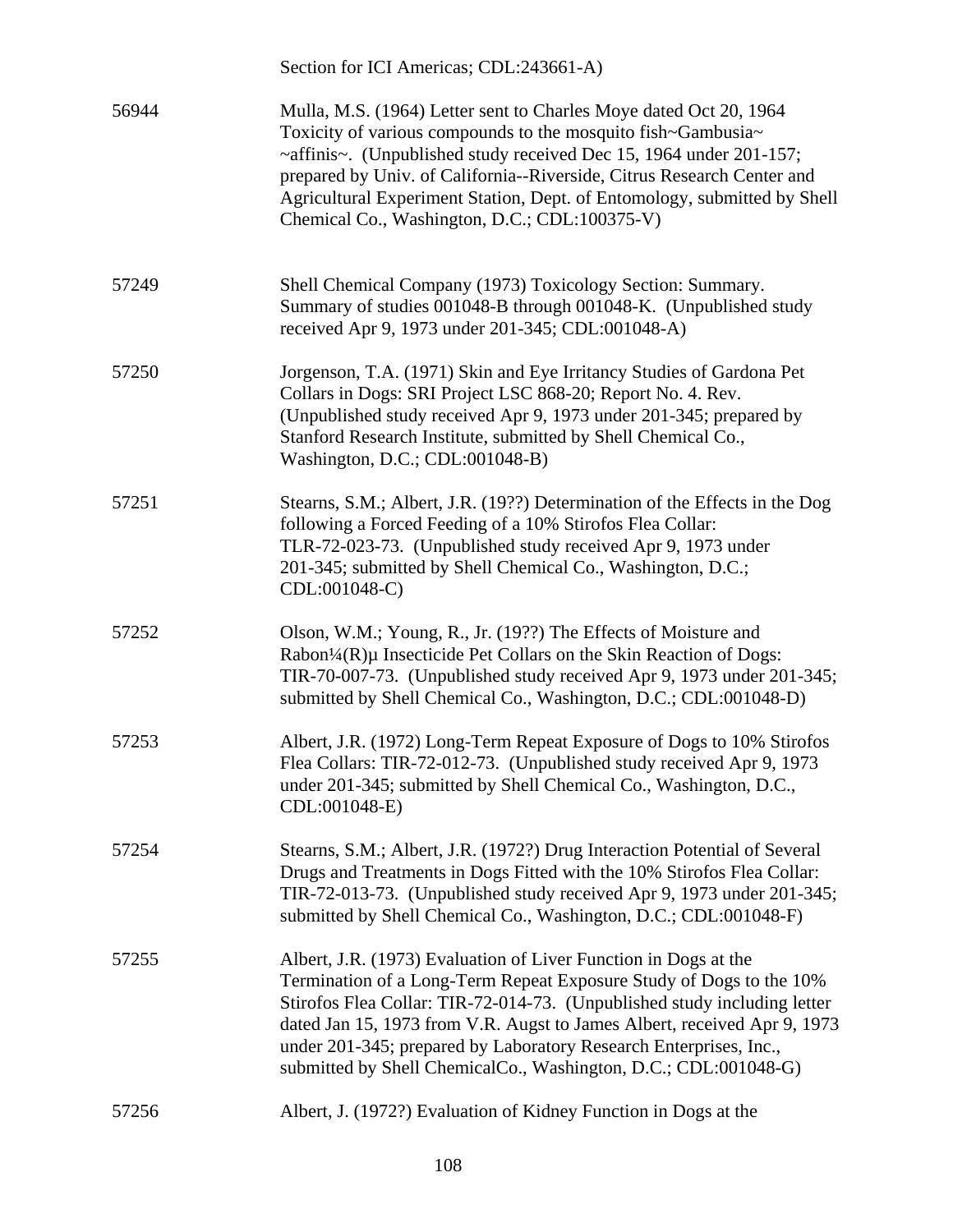|       | Section for ICI Americas; CDL:243661-A)                                                                                                                                                                                                                                                                                                                                                                                                |
|-------|----------------------------------------------------------------------------------------------------------------------------------------------------------------------------------------------------------------------------------------------------------------------------------------------------------------------------------------------------------------------------------------------------------------------------------------|
| 56944 | Mulla, M.S. (1964) Letter sent to Charles Moye dated Oct 20, 1964<br>Toxicity of various compounds to the mosquito fish~Gambusia~<br>~affinis~. (Unpublished study received Dec 15, 1964 under 201-157;<br>prepared by Univ. of California--Riverside, Citrus Research Center and<br>Agricultural Experiment Station, Dept. of Entomology, submitted by Shell<br>Chemical Co., Washington, D.C.; CDL:100375-V)                         |
| 57249 | Shell Chemical Company (1973) Toxicology Section: Summary.<br>Summary of studies 001048-B through 001048-K. (Unpublished study<br>received Apr 9, 1973 under 201-345; CDL:001048-A)                                                                                                                                                                                                                                                    |
| 57250 | Jorgenson, T.A. (1971) Skin and Eye Irritancy Studies of Gardona Pet<br>Collars in Dogs: SRI Project LSC 868-20; Report No. 4. Rev.<br>(Unpublished study received Apr 9, 1973 under 201-345; prepared by<br>Stanford Research Institute, submitted by Shell Chemical Co.,<br>Washington, D.C.; CDL:001048-B)                                                                                                                          |
| 57251 | Stearns, S.M.; Albert, J.R. (19??) Determination of the Effects in the Dog<br>following a Forced Feeding of a 10% Stirofos Flea Collar:<br>TLR-72-023-73. (Unpublished study received Apr 9, 1973 under<br>201-345; submitted by Shell Chemical Co., Washington, D.C.;<br>CDL:001048-C)                                                                                                                                                |
| 57252 | Olson, W.M.; Young, R., Jr. (19??) The Effects of Moisture and<br>Rabon <sup>1</sup> / <sub>4</sub> (R)µ Insecticide Pet Collars on the Skin Reaction of Dogs:<br>TIR-70-007-73. (Unpublished study received Apr 9, 1973 under 201-345;<br>submitted by Shell Chemical Co., Washington, D.C.; CDL:001048-D)                                                                                                                            |
| 57253 | Albert, J.R. (1972) Long-Term Repeat Exposure of Dogs to 10% Stirofos<br>Flea Collars: TIR-72-012-73. (Unpublished study received Apr 9, 1973)<br>under 201-345; submitted by Shell Chemical Co., Washington, D.C.,<br>CDL:001048-E)                                                                                                                                                                                                   |
| 57254 | Stearns, S.M.; Albert, J.R. (1972?) Drug Interaction Potential of Several<br>Drugs and Treatments in Dogs Fitted with the 10% Stirofos Flea Collar:<br>TIR-72-013-73. (Unpublished study received Apr 9, 1973 under 201-345;<br>submitted by Shell Chemical Co., Washington, D.C.; CDL:001048-F)                                                                                                                                       |
| 57255 | Albert, J.R. (1973) Evaluation of Liver Function in Dogs at the<br>Termination of a Long-Term Repeat Exposure Study of Dogs to the 10%<br>Stirofos Flea Collar: TIR-72-014-73. (Unpublished study including letter<br>dated Jan 15, 1973 from V.R. Augst to James Albert, received Apr 9, 1973<br>under 201-345; prepared by Laboratory Research Enterprises, Inc.,<br>submitted by Shell ChemicalCo., Washington, D.C.; CDL:001048-G) |
| 57256 | Albert, J. (1972?) Evaluation of Kidney Function in Dogs at the                                                                                                                                                                                                                                                                                                                                                                        |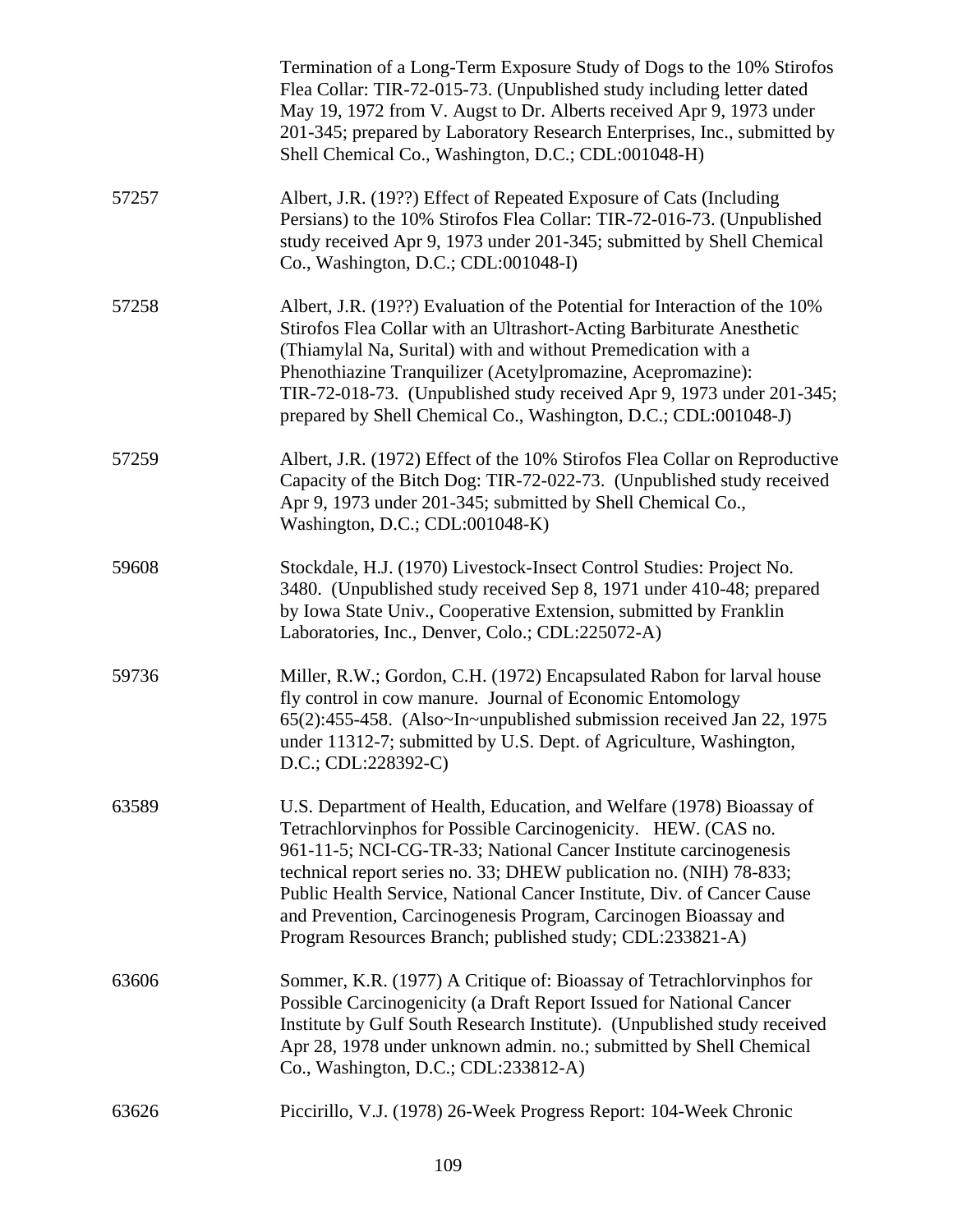|       | Termination of a Long-Term Exposure Study of Dogs to the 10% Stirofos<br>Flea Collar: TIR-72-015-73. (Unpublished study including letter dated<br>May 19, 1972 from V. Augst to Dr. Alberts received Apr 9, 1973 under<br>201-345; prepared by Laboratory Research Enterprises, Inc., submitted by<br>Shell Chemical Co., Washington, D.C.; CDL:001048-H)                                                                                                                                |
|-------|------------------------------------------------------------------------------------------------------------------------------------------------------------------------------------------------------------------------------------------------------------------------------------------------------------------------------------------------------------------------------------------------------------------------------------------------------------------------------------------|
| 57257 | Albert, J.R. (19??) Effect of Repeated Exposure of Cats (Including<br>Persians) to the 10% Stirofos Flea Collar: TIR-72-016-73. (Unpublished<br>study received Apr 9, 1973 under 201-345; submitted by Shell Chemical<br>Co., Washington, D.C.; CDL:001048-I)                                                                                                                                                                                                                            |
| 57258 | Albert, J.R. (19??) Evaluation of the Potential for Interaction of the 10%<br>Stirofos Flea Collar with an Ultrashort-Acting Barbiturate Anesthetic<br>(Thiamylal Na, Surital) with and without Premedication with a<br>Phenothiazine Tranquilizer (Acetylpromazine, Acepromazine):<br>TIR-72-018-73. (Unpublished study received Apr 9, 1973 under 201-345;<br>prepared by Shell Chemical Co., Washington, D.C.; CDL:001048-J)                                                          |
| 57259 | Albert, J.R. (1972) Effect of the 10% Stirofos Flea Collar on Reproductive<br>Capacity of the Bitch Dog: TIR-72-022-73. (Unpublished study received<br>Apr 9, 1973 under 201-345; submitted by Shell Chemical Co.,<br>Washington, D.C.; CDL:001048-K)                                                                                                                                                                                                                                    |
| 59608 | Stockdale, H.J. (1970) Livestock-Insect Control Studies: Project No.<br>3480. (Unpublished study received Sep 8, 1971 under 410-48; prepared<br>by Iowa State Univ., Cooperative Extension, submitted by Franklin<br>Laboratories, Inc., Denver, Colo.; CDL:225072-A)                                                                                                                                                                                                                    |
| 59736 | Miller, R.W.; Gordon, C.H. (1972) Encapsulated Rabon for larval house<br>fly control in cow manure. Journal of Economic Entomology<br>65(2):455-458. (Also~In~unpublished submission received Jan 22, 1975<br>under 11312-7; submitted by U.S. Dept. of Agriculture, Washington,<br>D.C.; CDL:228392-C)                                                                                                                                                                                  |
| 63589 | U.S. Department of Health, Education, and Welfare (1978) Bioassay of<br>Tetrachlorvinphos for Possible Carcinogenicity. HEW. (CAS no.<br>961-11-5; NCI-CG-TR-33; National Cancer Institute carcinogenesis<br>technical report series no. 33; DHEW publication no. (NIH) 78-833;<br>Public Health Service, National Cancer Institute, Div. of Cancer Cause<br>and Prevention, Carcinogenesis Program, Carcinogen Bioassay and<br>Program Resources Branch; published study; CDL:233821-A) |
| 63606 | Sommer, K.R. (1977) A Critique of: Bioassay of Tetrachlorvinphos for<br>Possible Carcinogenicity (a Draft Report Issued for National Cancer<br>Institute by Gulf South Research Institute). (Unpublished study received<br>Apr 28, 1978 under unknown admin. no.; submitted by Shell Chemical<br>Co., Washington, D.C.; CDL:233812-A)                                                                                                                                                    |
| 63626 | Piccirillo, V.J. (1978) 26-Week Progress Report: 104-Week Chronic                                                                                                                                                                                                                                                                                                                                                                                                                        |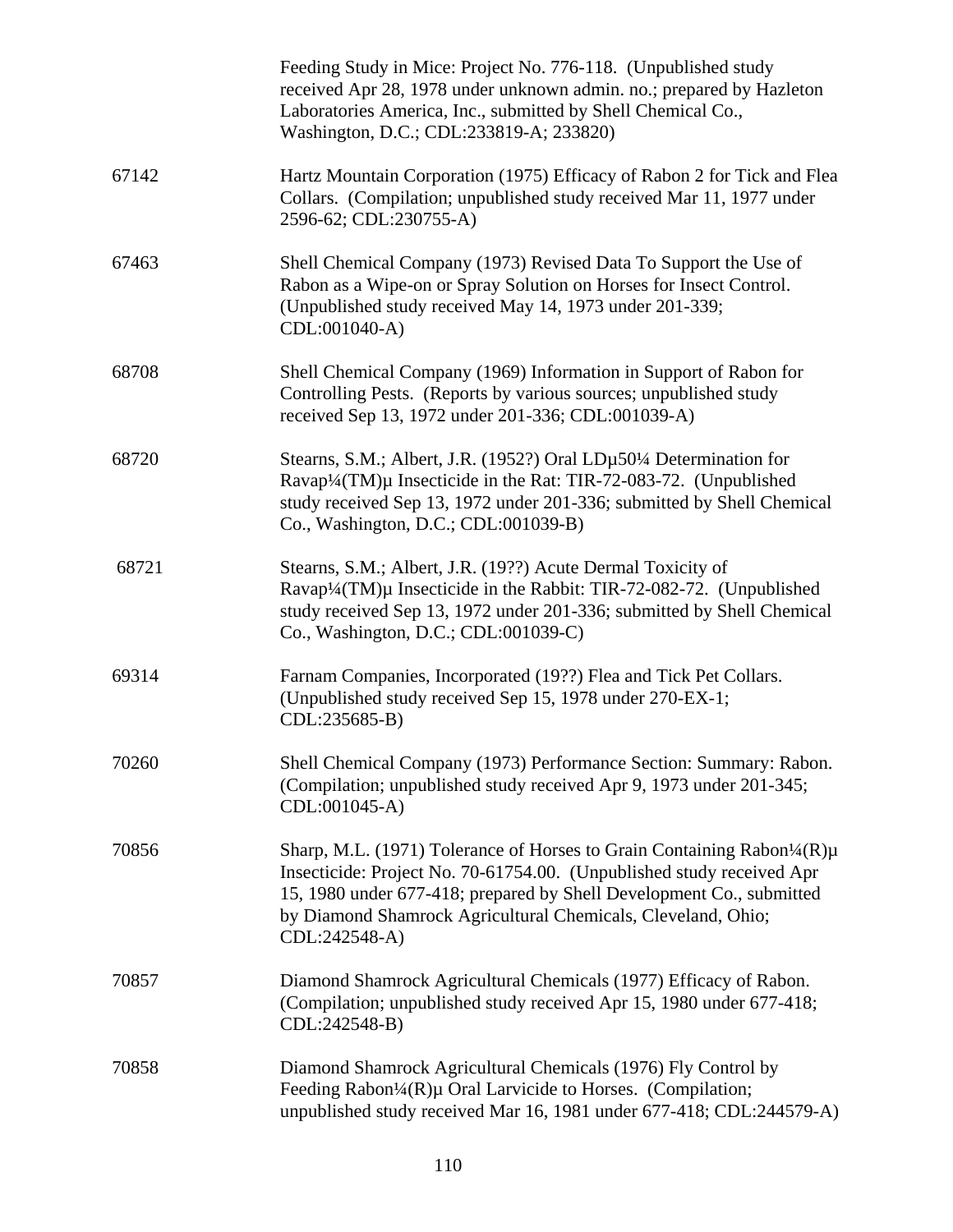|       | Feeding Study in Mice: Project No. 776-118. (Unpublished study<br>received Apr 28, 1978 under unknown admin. no.; prepared by Hazleton<br>Laboratories America, Inc., submitted by Shell Chemical Co.,<br>Washington, D.C.; CDL:233819-A; 233820)                                                         |
|-------|-----------------------------------------------------------------------------------------------------------------------------------------------------------------------------------------------------------------------------------------------------------------------------------------------------------|
| 67142 | Hartz Mountain Corporation (1975) Efficacy of Rabon 2 for Tick and Flea<br>Collars. (Compilation; unpublished study received Mar 11, 1977 under<br>2596-62; CDL:230755-A)                                                                                                                                 |
| 67463 | Shell Chemical Company (1973) Revised Data To Support the Use of<br>Rabon as a Wipe-on or Spray Solution on Horses for Insect Control.<br>(Unpublished study received May 14, 1973 under 201-339;<br>CDL:001040-A)                                                                                        |
| 68708 | Shell Chemical Company (1969) Information in Support of Rabon for<br>Controlling Pests. (Reports by various sources; unpublished study<br>received Sep 13, 1972 under 201-336; CDL:001039-A)                                                                                                              |
| 68720 | Stearns, S.M.; Albert, J.R. (1952?) Oral LDµ50¼ Determination for<br>Ravap <sup>1</sup> /4(TM)µ Insecticide in the Rat: TIR-72-083-72. (Unpublished<br>study received Sep 13, 1972 under 201-336; submitted by Shell Chemical<br>Co., Washington, D.C.; CDL:001039-B)                                     |
| 68721 | Stearns, S.M.; Albert, J.R. (19??) Acute Dermal Toxicity of<br>Ravap <sup>1</sup> /4(TM)µ Insecticide in the Rabbit: TIR-72-082-72. (Unpublished<br>study received Sep 13, 1972 under 201-336; submitted by Shell Chemical<br>Co., Washington, D.C.; CDL:001039-C)                                        |
| 69314 | Farnam Companies, Incorporated (19??) Flea and Tick Pet Collars.<br>(Unpublished study received Sep 15, 1978 under 270-EX-1;<br>CDL:235685-B)                                                                                                                                                             |
| 70260 | Shell Chemical Company (1973) Performance Section: Summary: Rabon.<br>(Compilation; unpublished study received Apr 9, 1973 under 201-345;<br>CDL:001045-A)                                                                                                                                                |
| 70856 | Sharp, M.L. (1971) Tolerance of Horses to Grain Containing Rabon1/4(R)µ<br>Insecticide: Project No. 70-61754.00. (Unpublished study received Apr<br>15, 1980 under 677-418; prepared by Shell Development Co., submitted<br>by Diamond Shamrock Agricultural Chemicals, Cleveland, Ohio;<br>CDL:242548-A) |
| 70857 | Diamond Shamrock Agricultural Chemicals (1977) Efficacy of Rabon.<br>(Compilation; unpublished study received Apr 15, 1980 under 677-418;<br>CDL:242548-B)                                                                                                                                                |
| 70858 | Diamond Shamrock Agricultural Chemicals (1976) Fly Control by<br>Feeding Rabon <sup>1</sup> / <sub>4</sub> (R)µ Oral Larvicide to Horses. (Compilation;<br>unpublished study received Mar 16, 1981 under 677-418; CDL:244579-A)                                                                           |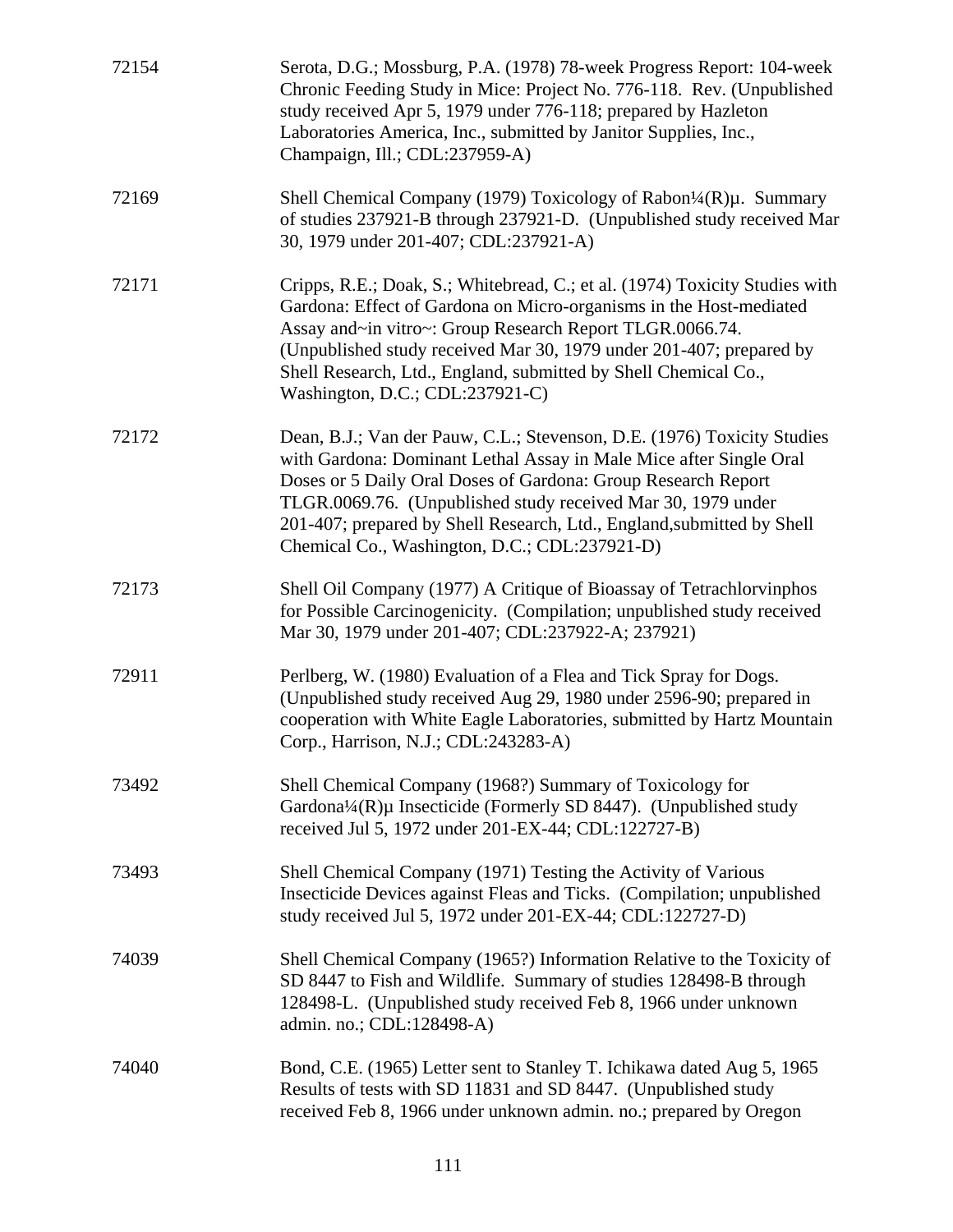| 72154 | Serota, D.G.; Mossburg, P.A. (1978) 78-week Progress Report: 104-week<br>Chronic Feeding Study in Mice: Project No. 776-118. Rev. (Unpublished<br>study received Apr 5, 1979 under 776-118; prepared by Hazleton<br>Laboratories America, Inc., submitted by Janitor Supplies, Inc.,<br>Champaign, Ill.; CDL:237959-A)                                                                                    |
|-------|-----------------------------------------------------------------------------------------------------------------------------------------------------------------------------------------------------------------------------------------------------------------------------------------------------------------------------------------------------------------------------------------------------------|
| 72169 | Shell Chemical Company (1979) Toxicology of Rabon <sup>1</sup> /4(R) $\mu$ . Summary<br>of studies 237921-B through 237921-D. (Unpublished study received Mar<br>30, 1979 under 201-407; CDL:237921-A)                                                                                                                                                                                                    |
| 72171 | Cripps, R.E.; Doak, S.; Whitebread, C.; et al. (1974) Toxicity Studies with<br>Gardona: Effect of Gardona on Micro-organisms in the Host-mediated<br>Assay and~in vitro~: Group Research Report TLGR.0066.74.<br>(Unpublished study received Mar 30, 1979 under 201-407; prepared by<br>Shell Research, Ltd., England, submitted by Shell Chemical Co.,<br>Washington, D.C.; CDL:237921-C)                |
| 72172 | Dean, B.J.; Van der Pauw, C.L.; Stevenson, D.E. (1976) Toxicity Studies<br>with Gardona: Dominant Lethal Assay in Male Mice after Single Oral<br>Doses or 5 Daily Oral Doses of Gardona: Group Research Report<br>TLGR.0069.76. (Unpublished study received Mar 30, 1979 under<br>201-407; prepared by Shell Research, Ltd., England, submitted by Shell<br>Chemical Co., Washington, D.C.; CDL:237921-D) |
| 72173 | Shell Oil Company (1977) A Critique of Bioassay of Tetrachlorvinphos<br>for Possible Carcinogenicity. (Compilation; unpublished study received<br>Mar 30, 1979 under 201-407; CDL:237922-A; 237921)                                                                                                                                                                                                       |
| 72911 | Perlberg, W. (1980) Evaluation of a Flea and Tick Spray for Dogs.<br>(Unpublished study received Aug 29, 1980 under 2596-90; prepared in<br>cooperation with White Eagle Laboratories, submitted by Hartz Mountain<br>Corp., Harrison, N.J.; CDL:243283-A)                                                                                                                                                |
| 73492 | Shell Chemical Company (1968?) Summary of Toxicology for<br>Gardona¼(R)µ Insecticide (Formerly SD 8447). (Unpublished study<br>received Jul 5, 1972 under 201-EX-44; CDL:122727-B)                                                                                                                                                                                                                        |
| 73493 | Shell Chemical Company (1971) Testing the Activity of Various<br>Insecticide Devices against Fleas and Ticks. (Compilation; unpublished<br>study received Jul 5, 1972 under 201-EX-44; CDL:122727-D)                                                                                                                                                                                                      |
| 74039 | Shell Chemical Company (1965?) Information Relative to the Toxicity of<br>SD 8447 to Fish and Wildlife. Summary of studies 128498-B through<br>128498-L. (Unpublished study received Feb 8, 1966 under unknown<br>admin. no.; CDL:128498-A)                                                                                                                                                               |
| 74040 | Bond, C.E. (1965) Letter sent to Stanley T. Ichikawa dated Aug 5, 1965<br>Results of tests with SD 11831 and SD 8447. (Unpublished study<br>received Feb 8, 1966 under unknown admin. no.; prepared by Oregon                                                                                                                                                                                             |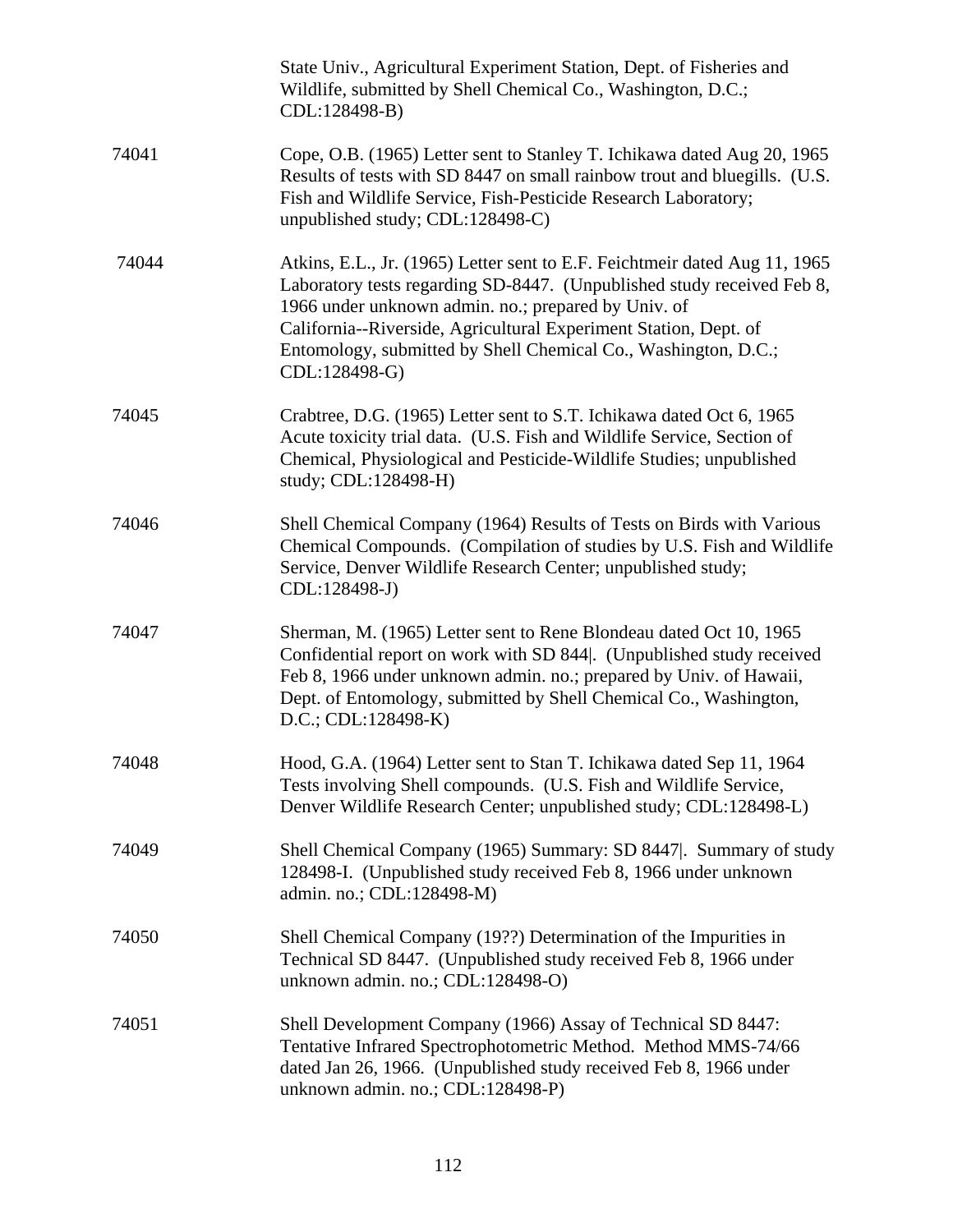|       | State Univ., Agricultural Experiment Station, Dept. of Fisheries and<br>Wildlife, submitted by Shell Chemical Co., Washington, D.C.;<br>CDL:128498-B)                                                                                                                                                                                                              |
|-------|--------------------------------------------------------------------------------------------------------------------------------------------------------------------------------------------------------------------------------------------------------------------------------------------------------------------------------------------------------------------|
| 74041 | Cope, O.B. (1965) Letter sent to Stanley T. Ichikawa dated Aug 20, 1965<br>Results of tests with SD 8447 on small rainbow trout and bluegills. (U.S.<br>Fish and Wildlife Service, Fish-Pesticide Research Laboratory;<br>unpublished study; CDL:128498-C)                                                                                                         |
| 74044 | Atkins, E.L., Jr. (1965) Letter sent to E.F. Feichtmeir dated Aug 11, 1965<br>Laboratory tests regarding SD-8447. (Unpublished study received Feb 8,<br>1966 under unknown admin. no.; prepared by Univ. of<br>California--Riverside, Agricultural Experiment Station, Dept. of<br>Entomology, submitted by Shell Chemical Co., Washington, D.C.;<br>CDL:128498-G) |
| 74045 | Crabtree, D.G. (1965) Letter sent to S.T. Ichikawa dated Oct 6, 1965<br>Acute toxicity trial data. (U.S. Fish and Wildlife Service, Section of<br>Chemical, Physiological and Pesticide-Wildlife Studies; unpublished<br>study; CDL:128498-H)                                                                                                                      |
| 74046 | Shell Chemical Company (1964) Results of Tests on Birds with Various<br>Chemical Compounds. (Compilation of studies by U.S. Fish and Wildlife<br>Service, Denver Wildlife Research Center; unpublished study;<br>CDL:128498-J)                                                                                                                                     |
| 74047 | Sherman, M. (1965) Letter sent to Rene Blondeau dated Oct 10, 1965<br>Confidential report on work with SD 844. (Unpublished study received<br>Feb 8, 1966 under unknown admin. no.; prepared by Univ. of Hawaii,<br>Dept. of Entomology, submitted by Shell Chemical Co., Washington,<br>$D.C.; CDL:128498-K)$                                                     |
| 74048 | Hood, G.A. (1964) Letter sent to Stan T. Ichikawa dated Sep 11, 1964<br>Tests involving Shell compounds. (U.S. Fish and Wildlife Service,<br>Denver Wildlife Research Center; unpublished study; CDL:128498-L)                                                                                                                                                     |
| 74049 | Shell Chemical Company (1965) Summary: SD 8447. Summary of study<br>128498-I. (Unpublished study received Feb 8, 1966 under unknown<br>admin. no.; CDL:128498-M)                                                                                                                                                                                                   |
| 74050 | Shell Chemical Company (19??) Determination of the Impurities in<br>Technical SD 8447. (Unpublished study received Feb 8, 1966 under<br>unknown admin. no.; CDL:128498-O)                                                                                                                                                                                          |
| 74051 | Shell Development Company (1966) Assay of Technical SD 8447:<br>Tentative Infrared Spectrophotometric Method. Method MMS-74/66<br>dated Jan 26, 1966. (Unpublished study received Feb 8, 1966 under<br>unknown admin. no.; CDL:128498-P)                                                                                                                           |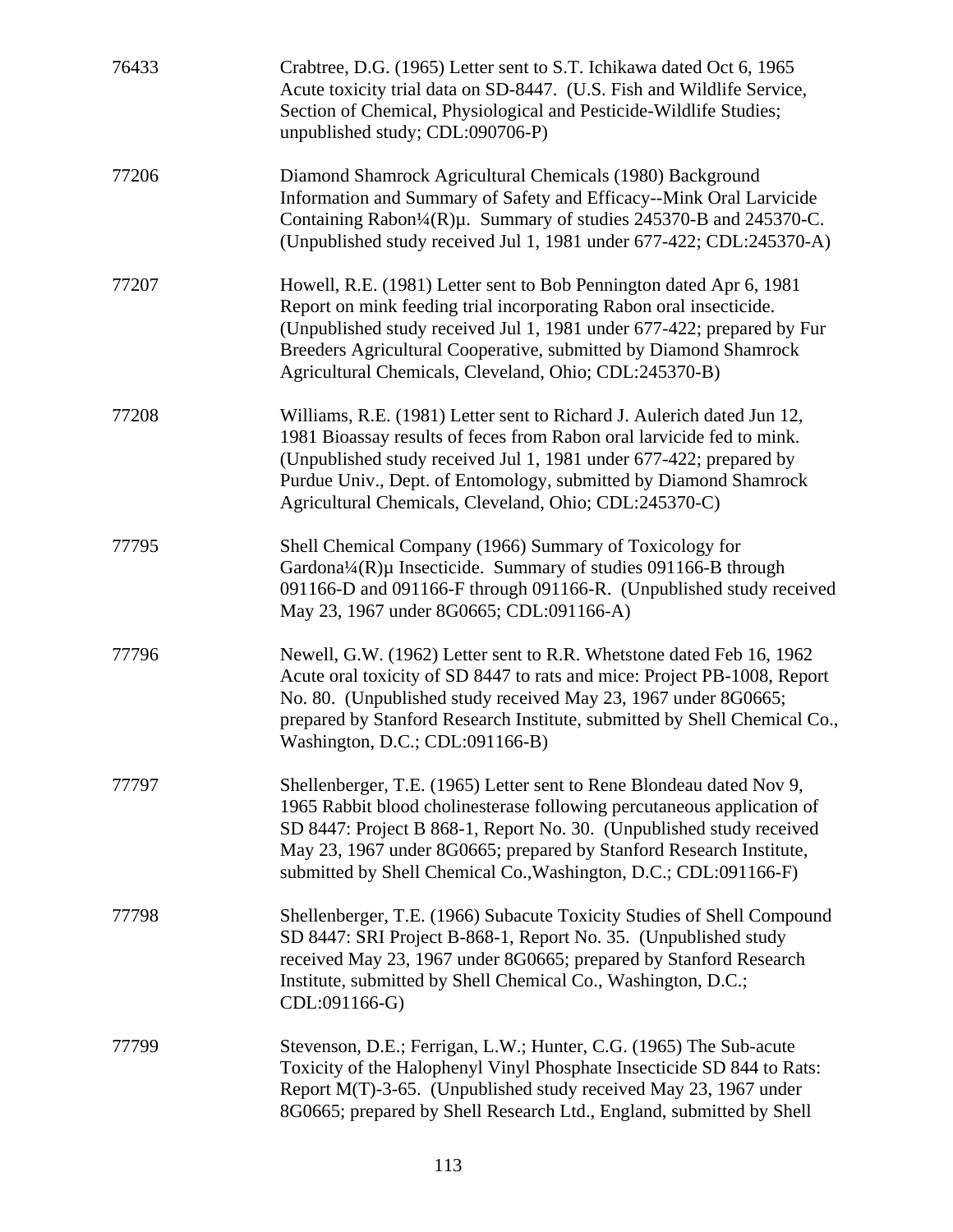| 76433 | Crabtree, D.G. (1965) Letter sent to S.T. Ichikawa dated Oct 6, 1965<br>Acute toxicity trial data on SD-8447. (U.S. Fish and Wildlife Service,<br>Section of Chemical, Physiological and Pesticide-Wildlife Studies;<br>unpublished study; CDL:090706-P)                                                                                                          |
|-------|-------------------------------------------------------------------------------------------------------------------------------------------------------------------------------------------------------------------------------------------------------------------------------------------------------------------------------------------------------------------|
| 77206 | Diamond Shamrock Agricultural Chemicals (1980) Background<br>Information and Summary of Safety and Efficacy--Mink Oral Larvicide<br>Containing Rabon <sup>1</sup> / <sub>4</sub> (R)µ. Summary of studies 245370-B and 245370-C.<br>(Unpublished study received Jul 1, 1981 under 677-422; CDL:245370-A)                                                          |
| 77207 | Howell, R.E. (1981) Letter sent to Bob Pennington dated Apr 6, 1981<br>Report on mink feeding trial incorporating Rabon oral insecticide.<br>(Unpublished study received Jul 1, 1981 under 677-422; prepared by Fur<br>Breeders Agricultural Cooperative, submitted by Diamond Shamrock<br>Agricultural Chemicals, Cleveland, Ohio; CDL:245370-B)                 |
| 77208 | Williams, R.E. (1981) Letter sent to Richard J. Aulerich dated Jun 12,<br>1981 Bioassay results of feces from Rabon oral larvicide fed to mink.<br>(Unpublished study received Jul 1, 1981 under 677-422; prepared by<br>Purdue Univ., Dept. of Entomology, submitted by Diamond Shamrock<br>Agricultural Chemicals, Cleveland, Ohio; CDL:245370-C)               |
| 77795 | Shell Chemical Company (1966) Summary of Toxicology for<br>Gardona <sup>1</sup> / <sub>4</sub> (R)µ Insecticide. Summary of studies 091166-B through<br>091166-D and 091166-F through 091166-R. (Unpublished study received<br>May 23, 1967 under 8G0665; CDL:091166-A)                                                                                           |
| 77796 | Newell, G.W. (1962) Letter sent to R.R. Whetstone dated Feb 16, 1962<br>Acute oral toxicity of SD 8447 to rats and mice: Project PB-1008, Report<br>No. 80. (Unpublished study received May 23, 1967 under 8G0665;<br>prepared by Stanford Research Institute, submitted by Shell Chemical Co.,<br>Washington, D.C.; CDL:091166-B)                                |
| 77797 | Shellenberger, T.E. (1965) Letter sent to Rene Blondeau dated Nov 9,<br>1965 Rabbit blood cholinesterase following percutaneous application of<br>SD 8447: Project B 868-1, Report No. 30. (Unpublished study received<br>May 23, 1967 under 8G0665; prepared by Stanford Research Institute,<br>submitted by Shell Chemical Co., Washington, D.C.; CDL:091166-F) |
| 77798 | Shellenberger, T.E. (1966) Subacute Toxicity Studies of Shell Compound<br>SD 8447: SRI Project B-868-1, Report No. 35. (Unpublished study<br>received May 23, 1967 under 8G0665; prepared by Stanford Research<br>Institute, submitted by Shell Chemical Co., Washington, D.C.;<br>CDL:091166-G)                                                                  |
| 77799 | Stevenson, D.E.; Ferrigan, L.W.; Hunter, C.G. (1965) The Sub-acute<br>Toxicity of the Halophenyl Vinyl Phosphate Insecticide SD 844 to Rats:<br>Report M(T)-3-65. (Unpublished study received May 23, 1967 under<br>8G0665; prepared by Shell Research Ltd., England, submitted by Shell                                                                          |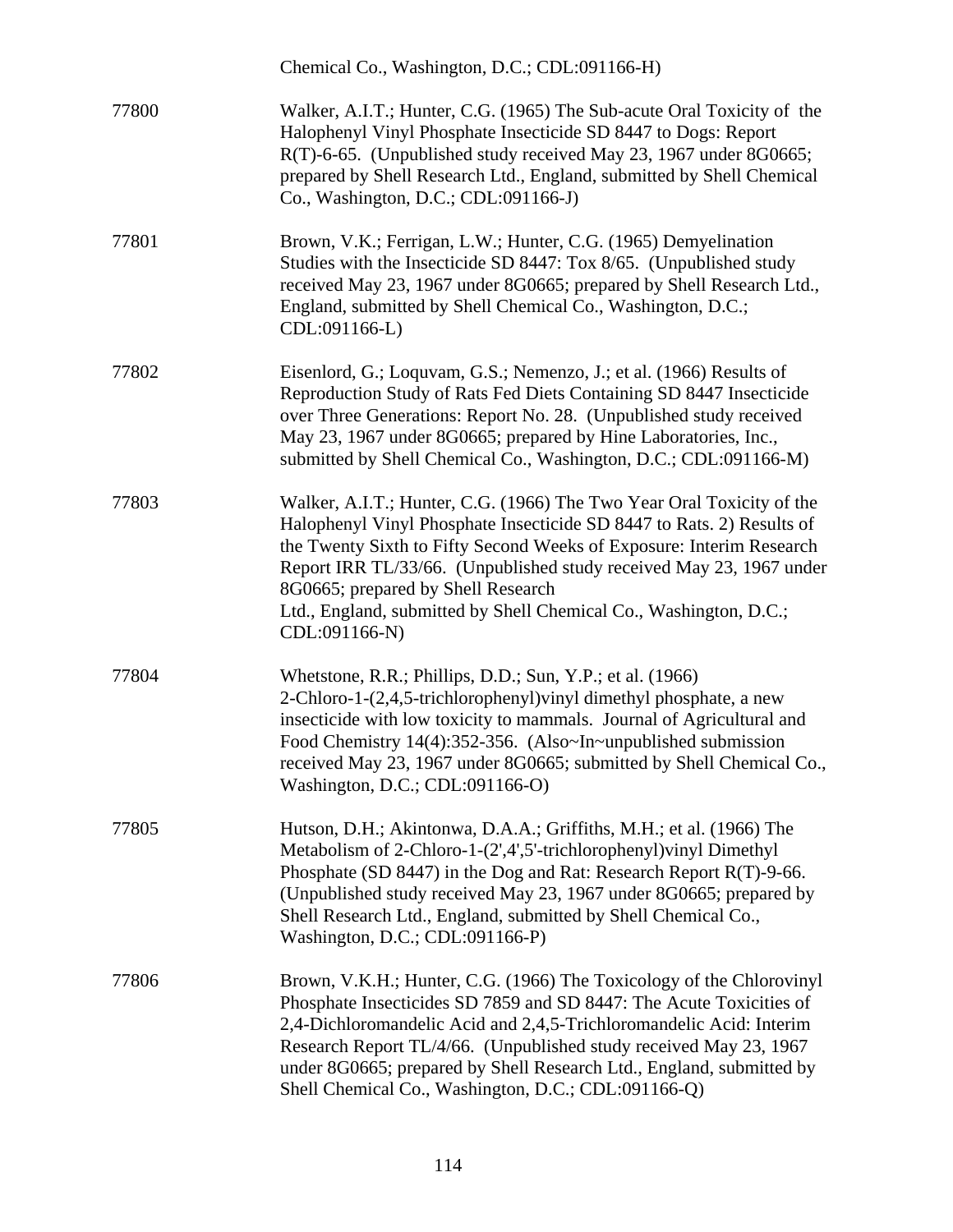|       | Chemical Co., Washington, D.C.; CDL:091166-H)                                                                                                                                                                                                                                                                                                                                                                             |
|-------|---------------------------------------------------------------------------------------------------------------------------------------------------------------------------------------------------------------------------------------------------------------------------------------------------------------------------------------------------------------------------------------------------------------------------|
| 77800 | Walker, A.I.T.; Hunter, C.G. (1965) The Sub-acute Oral Toxicity of the<br>Halophenyl Vinyl Phosphate Insecticide SD 8447 to Dogs: Report<br>R(T)-6-65. (Unpublished study received May 23, 1967 under 8G0665;<br>prepared by Shell Research Ltd., England, submitted by Shell Chemical<br>Co., Washington, D.C.; CDL:091166-J)                                                                                            |
| 77801 | Brown, V.K.; Ferrigan, L.W.; Hunter, C.G. (1965) Demyelination<br>Studies with the Insecticide SD 8447: Tox 8/65. (Unpublished study<br>received May 23, 1967 under 8G0665; prepared by Shell Research Ltd.,<br>England, submitted by Shell Chemical Co., Washington, D.C.;<br>CDL:091166-L)                                                                                                                              |
| 77802 | Eisenlord, G.; Loquvam, G.S.; Nemenzo, J.; et al. (1966) Results of<br>Reproduction Study of Rats Fed Diets Containing SD 8447 Insecticide<br>over Three Generations: Report No. 28. (Unpublished study received<br>May 23, 1967 under 8G0665; prepared by Hine Laboratories, Inc.,<br>submitted by Shell Chemical Co., Washington, D.C.; CDL:091166-M)                                                                   |
| 77803 | Walker, A.I.T.; Hunter, C.G. (1966) The Two Year Oral Toxicity of the<br>Halophenyl Vinyl Phosphate Insecticide SD 8447 to Rats. 2) Results of<br>the Twenty Sixth to Fifty Second Weeks of Exposure: Interim Research<br>Report IRR TL/33/66. (Unpublished study received May 23, 1967 under<br>8G0665; prepared by Shell Research<br>Ltd., England, submitted by Shell Chemical Co., Washington, D.C.;<br>CDL:091166-N) |
| 77804 | Whetstone, R.R.; Phillips, D.D.; Sun, Y.P.; et al. (1966)<br>2-Chloro-1-(2,4,5-trichlorophenyl) vinyl dimethyl phosphate, a new<br>insecticide with low toxicity to mammals. Journal of Agricultural and<br>Food Chemistry 14(4):352-356. (Also~In~unpublished submission<br>received May 23, 1967 under 8G0665; submitted by Shell Chemical Co.,<br>Washington, D.C.; CDL:091166-O)                                      |
| 77805 | Hutson, D.H.; Akintonwa, D.A.A.; Griffiths, M.H.; et al. (1966) The<br>Metabolism of 2-Chloro-1-(2',4',5'-trichlorophenyl) vinyl Dimethyl<br>Phosphate (SD 8447) in the Dog and Rat: Research Report R(T)-9-66.<br>(Unpublished study received May 23, 1967 under 8G0665; prepared by<br>Shell Research Ltd., England, submitted by Shell Chemical Co.,<br>Washington, D.C.; CDL:091166-P)                                |
| 77806 | Brown, V.K.H.; Hunter, C.G. (1966) The Toxicology of the Chlorovinyl<br>Phosphate Insecticides SD 7859 and SD 8447: The Acute Toxicities of<br>2,4-Dichloromandelic Acid and 2,4,5-Trichloromandelic Acid: Interim<br>Research Report TL/4/66. (Unpublished study received May 23, 1967)<br>under 8G0665; prepared by Shell Research Ltd., England, submitted by<br>Shell Chemical Co., Washington, D.C.; CDL:091166-Q)   |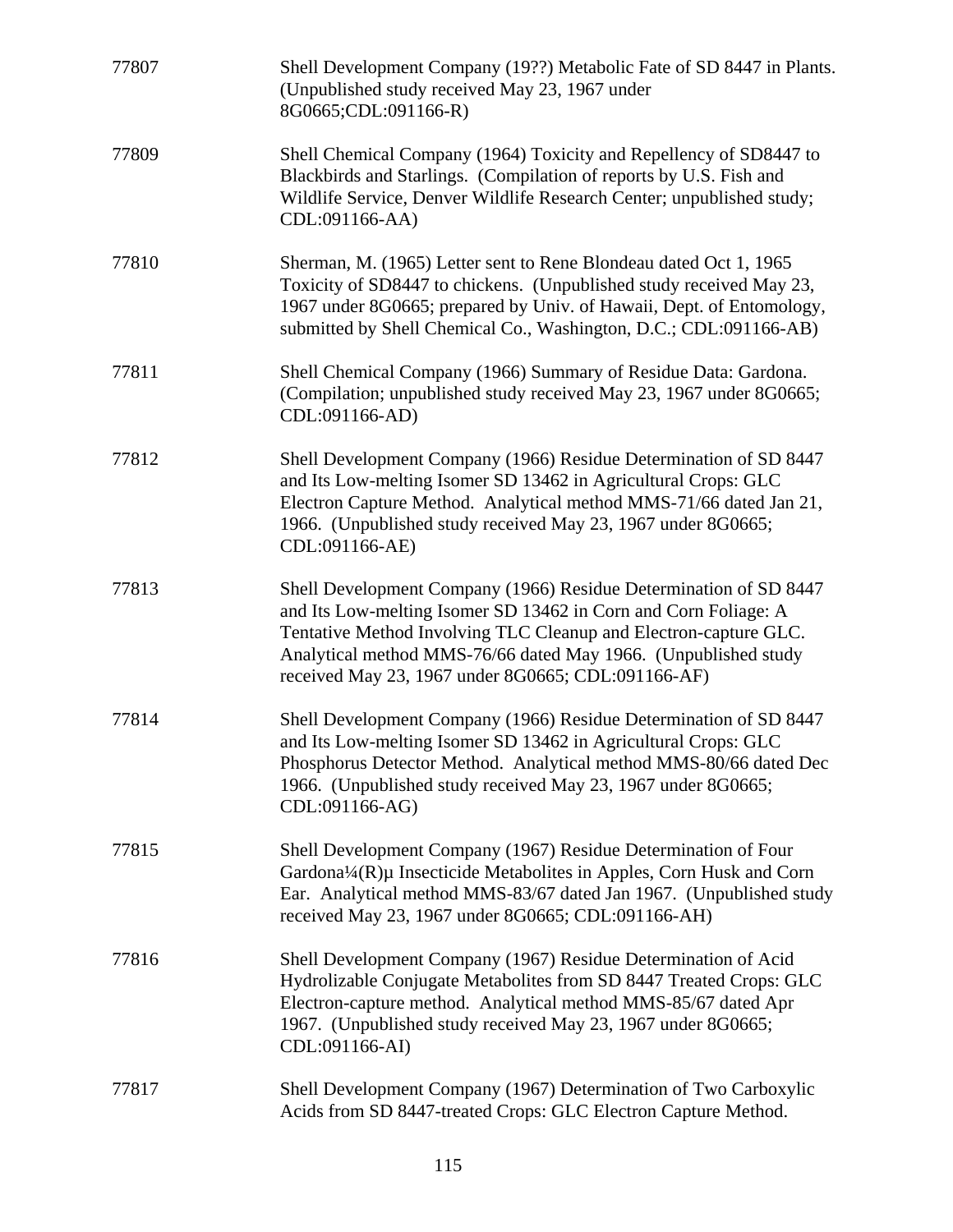| 77807 | Shell Development Company (19??) Metabolic Fate of SD 8447 in Plants.<br>(Unpublished study received May 23, 1967 under<br>8G0665;CDL:091166-R)                                                                                                                                                                                  |
|-------|----------------------------------------------------------------------------------------------------------------------------------------------------------------------------------------------------------------------------------------------------------------------------------------------------------------------------------|
| 77809 | Shell Chemical Company (1964) Toxicity and Repellency of SD8447 to<br>Blackbirds and Starlings. (Compilation of reports by U.S. Fish and<br>Wildlife Service, Denver Wildlife Research Center; unpublished study;<br>CDL:091166-AA)                                                                                              |
| 77810 | Sherman, M. (1965) Letter sent to Rene Blondeau dated Oct 1, 1965<br>Toxicity of SD8447 to chickens. (Unpublished study received May 23,<br>1967 under 8G0665; prepared by Univ. of Hawaii, Dept. of Entomology,<br>submitted by Shell Chemical Co., Washington, D.C.; CDL:091166-AB)                                            |
| 77811 | Shell Chemical Company (1966) Summary of Residue Data: Gardona.<br>(Compilation; unpublished study received May 23, 1967 under 8G0665;<br>CDL:091166-AD)                                                                                                                                                                         |
| 77812 | Shell Development Company (1966) Residue Determination of SD 8447<br>and Its Low-melting Isomer SD 13462 in Agricultural Crops: GLC<br>Electron Capture Method. Analytical method MMS-71/66 dated Jan 21,<br>1966. (Unpublished study received May 23, 1967 under 8G0665;<br>CDL:091166-AE)                                      |
| 77813 | Shell Development Company (1966) Residue Determination of SD 8447<br>and Its Low-melting Isomer SD 13462 in Corn and Corn Foliage: A<br>Tentative Method Involving TLC Cleanup and Electron-capture GLC.<br>Analytical method MMS-76/66 dated May 1966. (Unpublished study<br>received May 23, 1967 under 8G0665; CDL:091166-AF) |
| 77814 | Shell Development Company (1966) Residue Determination of SD 8447<br>and Its Low-melting Isomer SD 13462 in Agricultural Crops: GLC<br>Phosphorus Detector Method. Analytical method MMS-80/66 dated Dec<br>1966. (Unpublished study received May 23, 1967 under 8G0665;<br>CDL:091166-AG)                                       |
| 77815 | Shell Development Company (1967) Residue Determination of Four<br>Gardona¼(R)µ Insecticide Metabolites in Apples, Corn Husk and Corn<br>Ear. Analytical method MMS-83/67 dated Jan 1967. (Unpublished study<br>received May 23, 1967 under 8G0665; CDL:091166-AH)                                                                |
| 77816 | Shell Development Company (1967) Residue Determination of Acid<br>Hydrolizable Conjugate Metabolites from SD 8447 Treated Crops: GLC<br>Electron-capture method. Analytical method MMS-85/67 dated Apr<br>1967. (Unpublished study received May 23, 1967 under 8G0665;<br>CDL:091166-AI)                                         |
| 77817 | Shell Development Company (1967) Determination of Two Carboxylic<br>Acids from SD 8447-treated Crops: GLC Electron Capture Method.                                                                                                                                                                                               |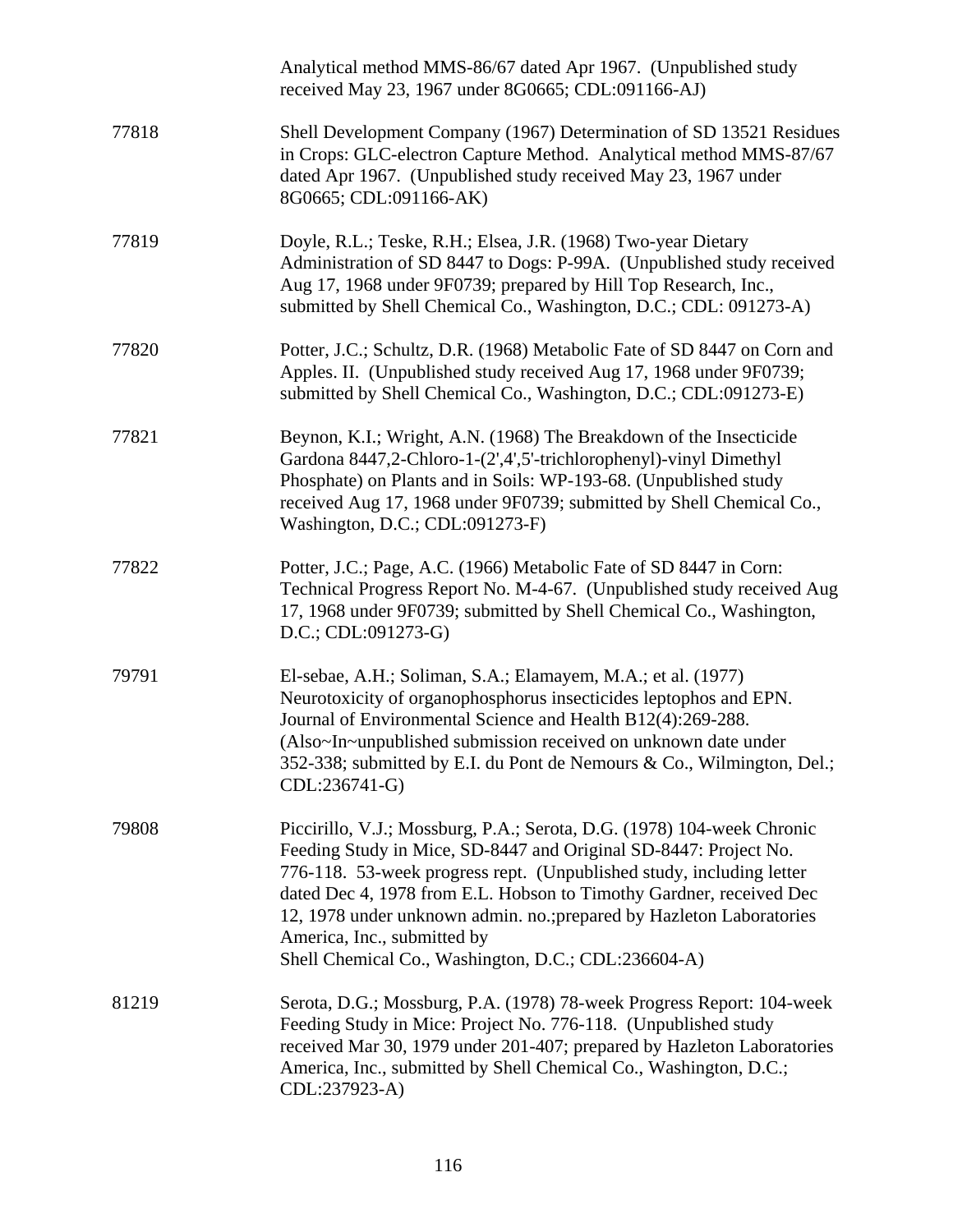|       | Analytical method MMS-86/67 dated Apr 1967. (Unpublished study<br>received May 23, 1967 under 8G0665; CDL:091166-AJ)                                                                                                                                                                                                                                                                                                                                    |
|-------|---------------------------------------------------------------------------------------------------------------------------------------------------------------------------------------------------------------------------------------------------------------------------------------------------------------------------------------------------------------------------------------------------------------------------------------------------------|
| 77818 | Shell Development Company (1967) Determination of SD 13521 Residues<br>in Crops: GLC-electron Capture Method. Analytical method MMS-87/67<br>dated Apr 1967. (Unpublished study received May 23, 1967 under<br>8G0665; CDL:091166-AK)                                                                                                                                                                                                                   |
| 77819 | Doyle, R.L.; Teske, R.H.; Elsea, J.R. (1968) Two-year Dietary<br>Administration of SD 8447 to Dogs: P-99A. (Unpublished study received<br>Aug 17, 1968 under 9F0739; prepared by Hill Top Research, Inc.,<br>submitted by Shell Chemical Co., Washington, D.C.; CDL: 091273-A)                                                                                                                                                                          |
| 77820 | Potter, J.C.; Schultz, D.R. (1968) Metabolic Fate of SD 8447 on Corn and<br>Apples. II. (Unpublished study received Aug 17, 1968 under 9F0739;<br>submitted by Shell Chemical Co., Washington, D.C.; CDL:091273-E)                                                                                                                                                                                                                                      |
| 77821 | Beynon, K.I.; Wright, A.N. (1968) The Breakdown of the Insecticide<br>Gardona 8447,2-Chloro-1-(2',4',5'-trichlorophenyl)-vinyl Dimethyl<br>Phosphate) on Plants and in Soils: WP-193-68. (Unpublished study<br>received Aug 17, 1968 under 9F0739; submitted by Shell Chemical Co.,<br>Washington, D.C.; CDL:091273-F)                                                                                                                                  |
| 77822 | Potter, J.C.; Page, A.C. (1966) Metabolic Fate of SD 8447 in Corn:<br>Technical Progress Report No. M-4-67. (Unpublished study received Aug<br>17, 1968 under 9F0739; submitted by Shell Chemical Co., Washington,<br>$D.C.; CDL:091273-G)$                                                                                                                                                                                                             |
| 79791 | El-sebae, A.H.; Soliman, S.A.; Elamayem, M.A.; et al. (1977)<br>Neurotoxicity of organophosphorus insecticides leptophos and EPN.<br>Journal of Environmental Science and Health B12(4):269-288.<br>(Also~In~unpublished submission received on unknown date under<br>352-338; submitted by E.I. du Pont de Nemours & Co., Wilmington, Del.;<br>CDL:236741-G)                                                                                           |
| 79808 | Piccirillo, V.J.; Mossburg, P.A.; Serota, D.G. (1978) 104-week Chronic<br>Feeding Study in Mice, SD-8447 and Original SD-8447: Project No.<br>776-118. 53-week progress rept. (Unpublished study, including letter<br>dated Dec 4, 1978 from E.L. Hobson to Timothy Gardner, received Dec<br>12, 1978 under unknown admin. no.; prepared by Hazleton Laboratories<br>America, Inc., submitted by<br>Shell Chemical Co., Washington, D.C.; CDL:236604-A) |
| 81219 | Serota, D.G.; Mossburg, P.A. (1978) 78-week Progress Report: 104-week<br>Feeding Study in Mice: Project No. 776-118. (Unpublished study<br>received Mar 30, 1979 under 201-407; prepared by Hazleton Laboratories<br>America, Inc., submitted by Shell Chemical Co., Washington, D.C.;<br>CDL:237923-A)                                                                                                                                                 |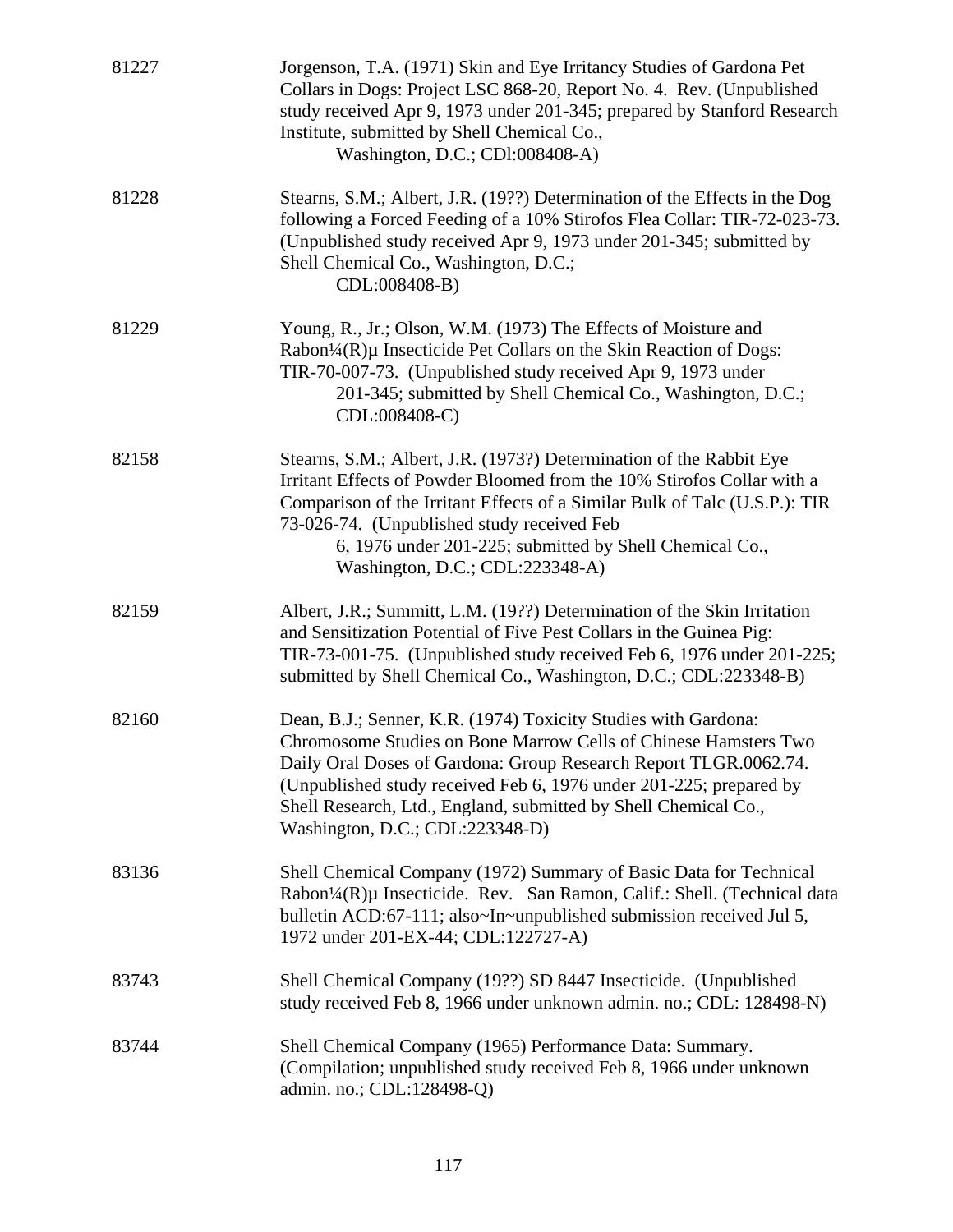| 81227 | Jorgenson, T.A. (1971) Skin and Eye Irritancy Studies of Gardona Pet<br>Collars in Dogs: Project LSC 868-20, Report No. 4. Rev. (Unpublished<br>study received Apr 9, 1973 under 201-345; prepared by Stanford Research<br>Institute, submitted by Shell Chemical Co.,<br>Washington, D.C.; CDI:008408-A)                                                                         |
|-------|-----------------------------------------------------------------------------------------------------------------------------------------------------------------------------------------------------------------------------------------------------------------------------------------------------------------------------------------------------------------------------------|
| 81228 | Stearns, S.M.; Albert, J.R. (19??) Determination of the Effects in the Dog<br>following a Forced Feeding of a 10% Stirofos Flea Collar: TIR-72-023-73.<br>(Unpublished study received Apr 9, 1973 under 201-345; submitted by<br>Shell Chemical Co., Washington, D.C.;<br>CDL:008408-B)                                                                                           |
| 81229 | Young, R., Jr.; Olson, W.M. (1973) The Effects of Moisture and<br>Rabon <sup>1</sup> / <sub>4</sub> (R)µ Insecticide Pet Collars on the Skin Reaction of Dogs:<br>TIR-70-007-73. (Unpublished study received Apr 9, 1973 under<br>201-345; submitted by Shell Chemical Co., Washington, D.C.;<br>CDL:008408-C)                                                                    |
| 82158 | Stearns, S.M.; Albert, J.R. (1973?) Determination of the Rabbit Eye<br>Irritant Effects of Powder Bloomed from the 10% Stirofos Collar with a<br>Comparison of the Irritant Effects of a Similar Bulk of Talc (U.S.P.): TIR<br>73-026-74. (Unpublished study received Feb<br>6, 1976 under 201-225; submitted by Shell Chemical Co.,<br>Washington, D.C.; CDL:223348-A)           |
| 82159 | Albert, J.R.; Summitt, L.M. (19??) Determination of the Skin Irritation<br>and Sensitization Potential of Five Pest Collars in the Guinea Pig:<br>TIR-73-001-75. (Unpublished study received Feb 6, 1976 under 201-225;<br>submitted by Shell Chemical Co., Washington, D.C.; CDL:223348-B)                                                                                       |
| 82160 | Dean, B.J.; Senner, K.R. (1974) Toxicity Studies with Gardona:<br>Chromosome Studies on Bone Marrow Cells of Chinese Hamsters Two<br>Daily Oral Doses of Gardona: Group Research Report TLGR.0062.74.<br>(Unpublished study received Feb 6, 1976 under 201-225; prepared by<br>Shell Research, Ltd., England, submitted by Shell Chemical Co.,<br>Washington, D.C.; CDL:223348-D) |
| 83136 | Shell Chemical Company (1972) Summary of Basic Data for Technical<br>Rabon <sup>1</sup> /4(R)µ Insecticide. Rev. San Ramon, Calif.: Shell. (Technical data<br>bulletin ACD:67-111; also~In~unpublished submission received Jul 5,<br>1972 under 201-EX-44; CDL:122727-A)                                                                                                          |
| 83743 | Shell Chemical Company (19??) SD 8447 Insecticide. (Unpublished<br>study received Feb 8, 1966 under unknown admin. no.; CDL: 128498-N)                                                                                                                                                                                                                                            |
| 83744 | Shell Chemical Company (1965) Performance Data: Summary.<br>(Compilation; unpublished study received Feb 8, 1966 under unknown<br>admin. no.; CDL:128498-Q)                                                                                                                                                                                                                       |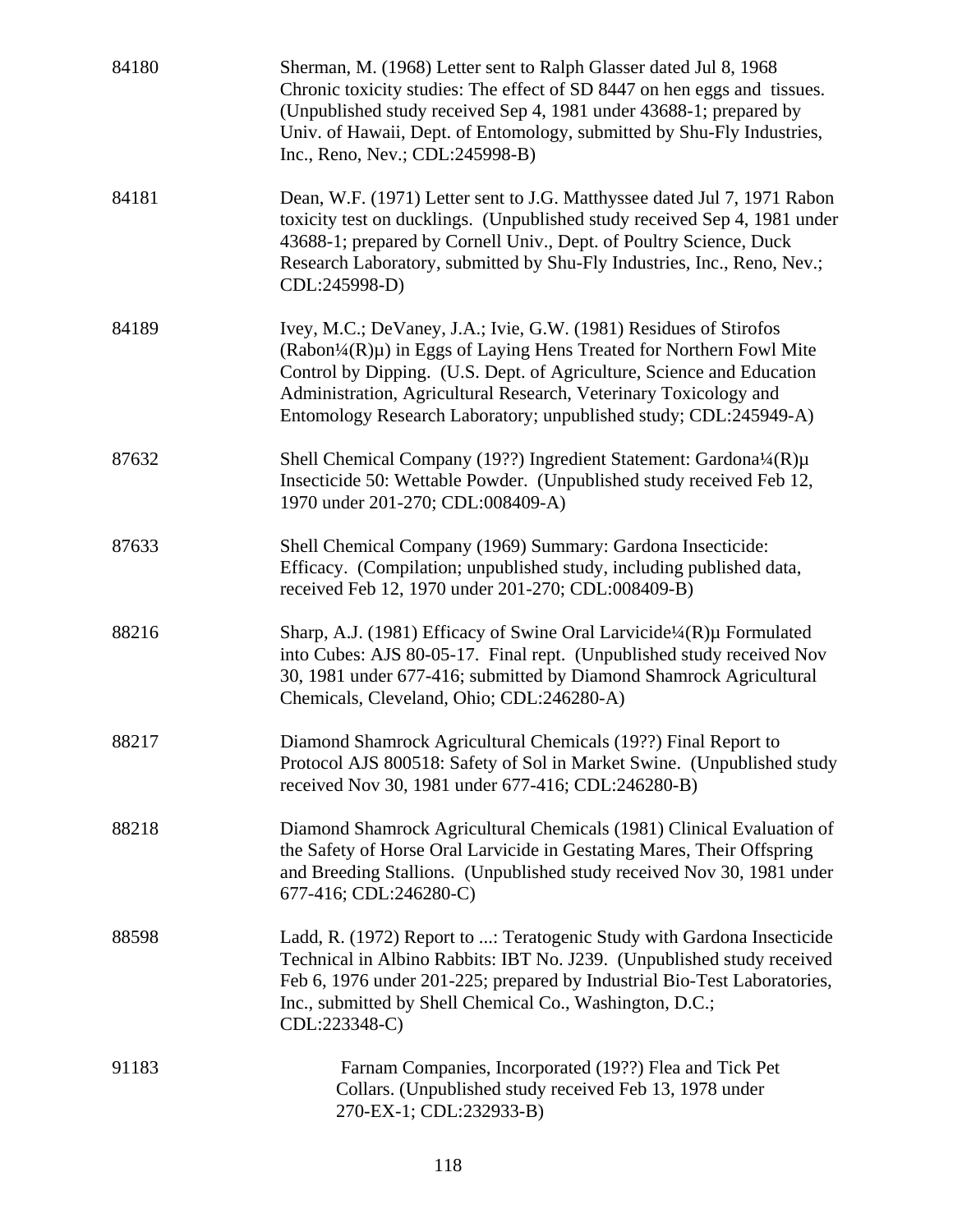| 84180 | Sherman, M. (1968) Letter sent to Ralph Glasser dated Jul 8, 1968<br>Chronic toxicity studies: The effect of SD 8447 on hen eggs and tissues.<br>(Unpublished study received Sep 4, 1981 under 43688-1; prepared by<br>Univ. of Hawaii, Dept. of Entomology, submitted by Shu-Fly Industries,<br>Inc., Reno, Nev.; CDL:245998-B)                              |
|-------|---------------------------------------------------------------------------------------------------------------------------------------------------------------------------------------------------------------------------------------------------------------------------------------------------------------------------------------------------------------|
| 84181 | Dean, W.F. (1971) Letter sent to J.G. Matthyssee dated Jul 7, 1971 Rabon<br>toxicity test on ducklings. (Unpublished study received Sep 4, 1981 under<br>43688-1; prepared by Cornell Univ., Dept. of Poultry Science, Duck<br>Research Laboratory, submitted by Shu-Fly Industries, Inc., Reno, Nev.;<br>CDL:245998-D)                                       |
| 84189 | Ivey, M.C.; DeVaney, J.A.; Ivie, G.W. (1981) Residues of Stirofos<br>$(Rabon14(R)\mu)$ in Eggs of Laying Hens Treated for Northern Fowl Mite<br>Control by Dipping. (U.S. Dept. of Agriculture, Science and Education<br>Administration, Agricultural Research, Veterinary Toxicology and<br>Entomology Research Laboratory; unpublished study; CDL:245949-A) |
| 87632 | Shell Chemical Company (19??) Ingredient Statement: Gardona¼(R)µ<br>Insecticide 50: Wettable Powder. (Unpublished study received Feb 12,<br>1970 under 201-270; CDL:008409-A)                                                                                                                                                                                 |
| 87633 | Shell Chemical Company (1969) Summary: Gardona Insecticide:<br>Efficacy. (Compilation; unpublished study, including published data,<br>received Feb 12, 1970 under 201-270; CDL:008409-B)                                                                                                                                                                     |
| 88216 | Sharp, A.J. (1981) Efficacy of Swine Oral Larvicide <sup>1</sup> /4(R)µ Formulated<br>into Cubes: AJS 80-05-17. Final rept. (Unpublished study received Nov<br>30, 1981 under 677-416; submitted by Diamond Shamrock Agricultural<br>Chemicals, Cleveland, Ohio; CDL:246280-A)                                                                                |
| 88217 | Diamond Shamrock Agricultural Chemicals (19??) Final Report to<br>Protocol AJS 800518: Safety of Sol in Market Swine. (Unpublished study<br>received Nov 30, 1981 under 677-416; CDL:246280-B)                                                                                                                                                                |
| 88218 | Diamond Shamrock Agricultural Chemicals (1981) Clinical Evaluation of<br>the Safety of Horse Oral Larvicide in Gestating Mares, Their Offspring<br>and Breeding Stallions. (Unpublished study received Nov 30, 1981 under<br>677-416; CDL:246280-C)                                                                                                           |
| 88598 | Ladd, R. (1972) Report to : Teratogenic Study with Gardona Insecticide<br>Technical in Albino Rabbits: IBT No. J239. (Unpublished study received<br>Feb 6, 1976 under 201-225; prepared by Industrial Bio-Test Laboratories,<br>Inc., submitted by Shell Chemical Co., Washington, D.C.;<br>CDL:223348-C)                                                     |
| 91183 | Farnam Companies, Incorporated (19??) Flea and Tick Pet<br>Collars. (Unpublished study received Feb 13, 1978 under<br>270-EX-1; CDL:232933-B)                                                                                                                                                                                                                 |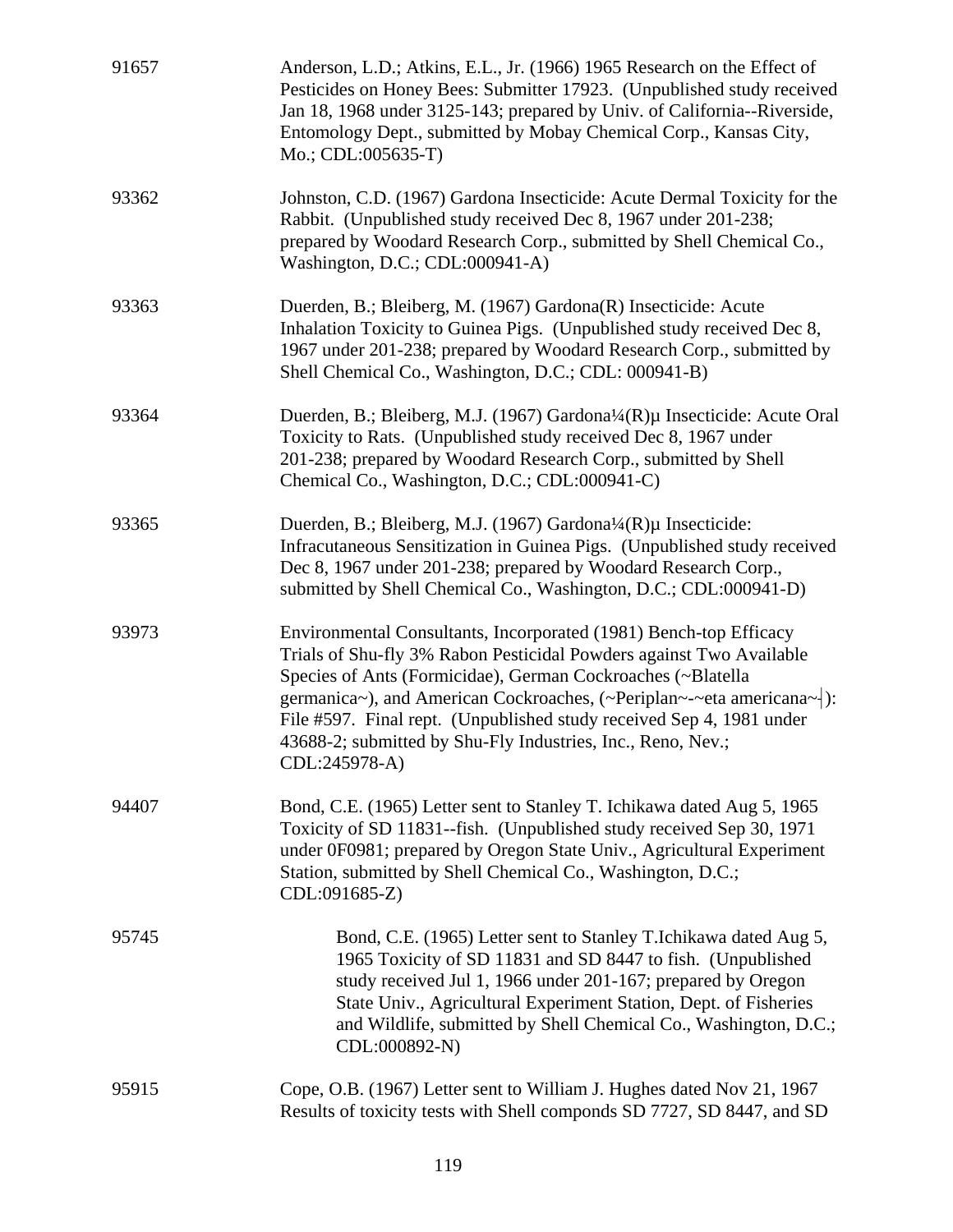| 91657 | Anderson, L.D.; Atkins, E.L., Jr. (1966) 1965 Research on the Effect of<br>Pesticides on Honey Bees: Submitter 17923. (Unpublished study received<br>Jan 18, 1968 under 3125-143; prepared by Univ. of California--Riverside,<br>Entomology Dept., submitted by Mobay Chemical Corp., Kansas City,<br>Mo.; CDL:005635-T)                                                                                                                         |
|-------|--------------------------------------------------------------------------------------------------------------------------------------------------------------------------------------------------------------------------------------------------------------------------------------------------------------------------------------------------------------------------------------------------------------------------------------------------|
| 93362 | Johnston, C.D. (1967) Gardona Insecticide: Acute Dermal Toxicity for the<br>Rabbit. (Unpublished study received Dec 8, 1967 under 201-238;<br>prepared by Woodard Research Corp., submitted by Shell Chemical Co.,<br>Washington, D.C.; CDL:000941-A)                                                                                                                                                                                            |
| 93363 | Duerden, B.; Bleiberg, M. (1967) Gardona(R) Insecticide: Acute<br>Inhalation Toxicity to Guinea Pigs. (Unpublished study received Dec 8,<br>1967 under 201-238; prepared by Woodard Research Corp., submitted by<br>Shell Chemical Co., Washington, D.C.; CDL: 000941-B)                                                                                                                                                                         |
| 93364 | Duerden, B.; Bleiberg, M.J. (1967) Gardona¼(R)µ Insecticide: Acute Oral<br>Toxicity to Rats. (Unpublished study received Dec 8, 1967 under<br>201-238; prepared by Woodard Research Corp., submitted by Shell<br>Chemical Co., Washington, D.C.; CDL:000941-C)                                                                                                                                                                                   |
| 93365 | Duerden, B.; Bleiberg, M.J. (1967) Gardona <sup>1</sup> / <sub>4</sub> (R)µ Insecticide:<br>Infracutaneous Sensitization in Guinea Pigs. (Unpublished study received<br>Dec 8, 1967 under 201-238; prepared by Woodard Research Corp.,<br>submitted by Shell Chemical Co., Washington, D.C.; CDL:000941-D)                                                                                                                                       |
| 93973 | Environmental Consultants, Incorporated (1981) Bench-top Efficacy<br>Trials of Shu-fly 3% Rabon Pesticidal Powders against Two Available<br>Species of Ants (Formicidae), German Cockroaches (~Blatella<br>germanica~), and American Cockroaches, (~Periplan~-~eta americana~ $\vert$ ):<br>File #597. Final rept. (Unpublished study received Sep 4, 1981 under<br>43688-2; submitted by Shu-Fly Industries, Inc., Reno, Nev.;<br>CDL:245978-A) |
| 94407 | Bond, C.E. (1965) Letter sent to Stanley T. Ichikawa dated Aug 5, 1965<br>Toxicity of SD 11831--fish. (Unpublished study received Sep 30, 1971<br>under 0F0981; prepared by Oregon State Univ., Agricultural Experiment<br>Station, submitted by Shell Chemical Co., Washington, D.C.;<br>CDL:091685-Z)                                                                                                                                          |
| 95745 | Bond, C.E. (1965) Letter sent to Stanley T.Ichikawa dated Aug 5,<br>1965 Toxicity of SD 11831 and SD 8447 to fish. (Unpublished<br>study received Jul 1, 1966 under 201-167; prepared by Oregon<br>State Univ., Agricultural Experiment Station, Dept. of Fisheries<br>and Wildlife, submitted by Shell Chemical Co., Washington, D.C.;<br>CDL:000892-N)                                                                                         |
| 95915 | Cope, O.B. (1967) Letter sent to William J. Hughes dated Nov 21, 1967<br>Results of toxicity tests with Shell componds SD 7727, SD 8447, and SD                                                                                                                                                                                                                                                                                                  |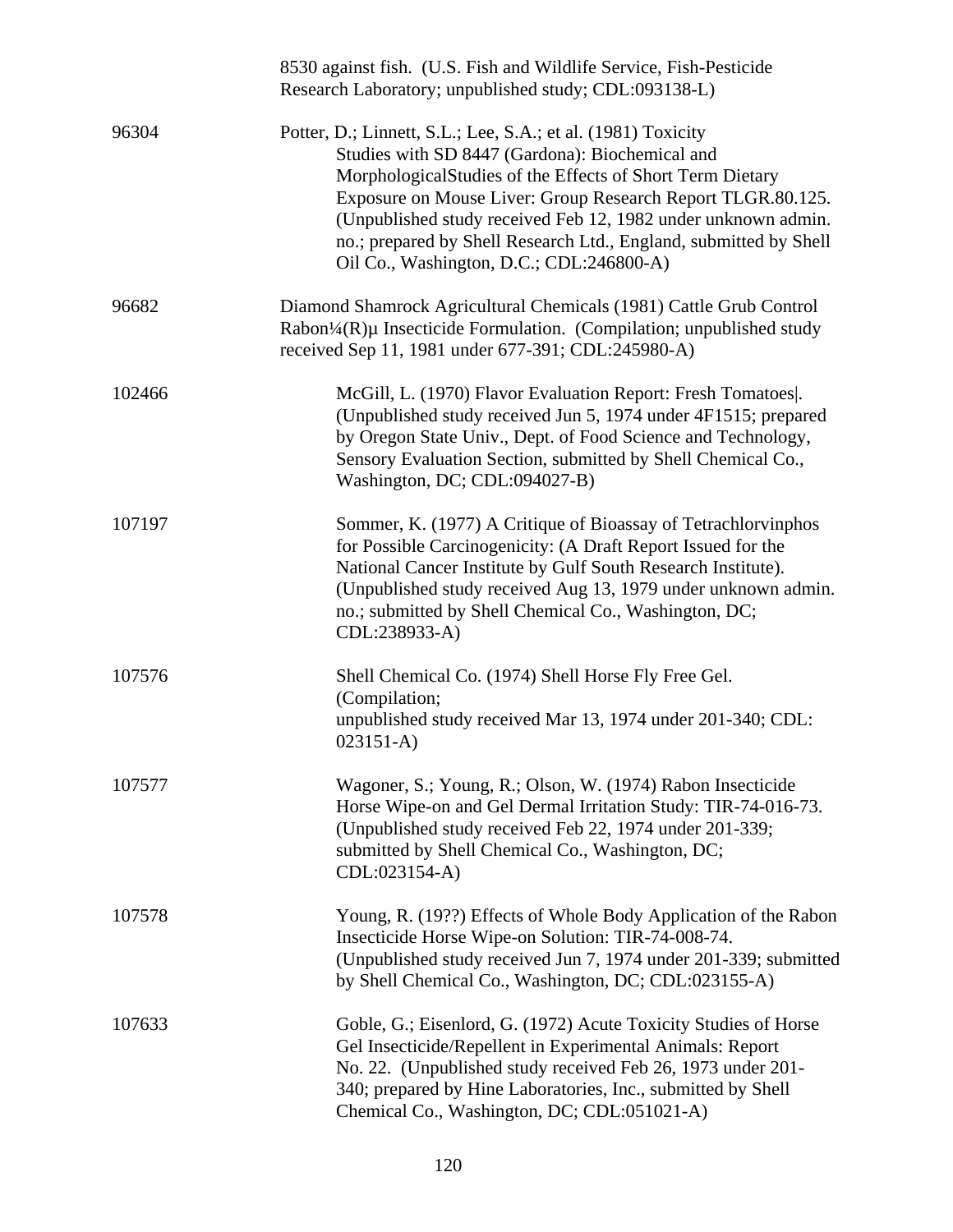|        | 8530 against fish. (U.S. Fish and Wildlife Service, Fish-Pesticide<br>Research Laboratory; unpublished study; CDL:093138-L)                                                                                                                                                                                                                                                                                                    |
|--------|--------------------------------------------------------------------------------------------------------------------------------------------------------------------------------------------------------------------------------------------------------------------------------------------------------------------------------------------------------------------------------------------------------------------------------|
| 96304  | Potter, D.; Linnett, S.L.; Lee, S.A.; et al. (1981) Toxicity<br>Studies with SD 8447 (Gardona): Biochemical and<br>Morphological Studies of the Effects of Short Term Dietary<br>Exposure on Mouse Liver: Group Research Report TLGR.80.125.<br>(Unpublished study received Feb 12, 1982 under unknown admin.<br>no.; prepared by Shell Research Ltd., England, submitted by Shell<br>Oil Co., Washington, D.C.; CDL:246800-A) |
| 96682  | Diamond Shamrock Agricultural Chemicals (1981) Cattle Grub Control<br>Rabon <sup>1</sup> /4(R) $\mu$ Insecticide Formulation. (Compilation; unpublished study<br>received Sep 11, 1981 under 677-391; CDL:245980-A)                                                                                                                                                                                                            |
| 102466 | McGill, L. (1970) Flavor Evaluation Report: Fresh Tomatoes.<br>(Unpublished study received Jun 5, 1974 under 4F1515; prepared<br>by Oregon State Univ., Dept. of Food Science and Technology,<br>Sensory Evaluation Section, submitted by Shell Chemical Co.,<br>Washington, DC; CDL:094027-B)                                                                                                                                 |
| 107197 | Sommer, K. (1977) A Critique of Bioassay of Tetrachlorvinphos<br>for Possible Carcinogenicity: (A Draft Report Issued for the<br>National Cancer Institute by Gulf South Research Institute).<br>(Unpublished study received Aug 13, 1979 under unknown admin.<br>no.; submitted by Shell Chemical Co., Washington, DC;<br>CDL:238933-A)                                                                                       |
| 107576 | Shell Chemical Co. (1974) Shell Horse Fly Free Gel.<br>(Compilation;<br>unpublished study received Mar 13, 1974 under 201-340; CDL:<br>$023151 - A)$                                                                                                                                                                                                                                                                           |
| 107577 | Wagoner, S.; Young, R.; Olson, W. (1974) Rabon Insecticide<br>Horse Wipe-on and Gel Dermal Irritation Study: TIR-74-016-73.<br>(Unpublished study received Feb 22, 1974 under 201-339;<br>submitted by Shell Chemical Co., Washington, DC;<br>CDL:023154-A)                                                                                                                                                                    |
| 107578 | Young, R. (19??) Effects of Whole Body Application of the Rabon<br>Insecticide Horse Wipe-on Solution: TIR-74-008-74.<br>(Unpublished study received Jun 7, 1974 under 201-339; submitted<br>by Shell Chemical Co., Washington, DC; CDL:023155-A)                                                                                                                                                                              |
| 107633 | Goble, G.; Eisenlord, G. (1972) Acute Toxicity Studies of Horse<br>Gel Insecticide/Repellent in Experimental Animals: Report<br>No. 22. (Unpublished study received Feb 26, 1973 under 201-<br>340; prepared by Hine Laboratories, Inc., submitted by Shell<br>Chemical Co., Washington, DC; CDL:051021-A)                                                                                                                     |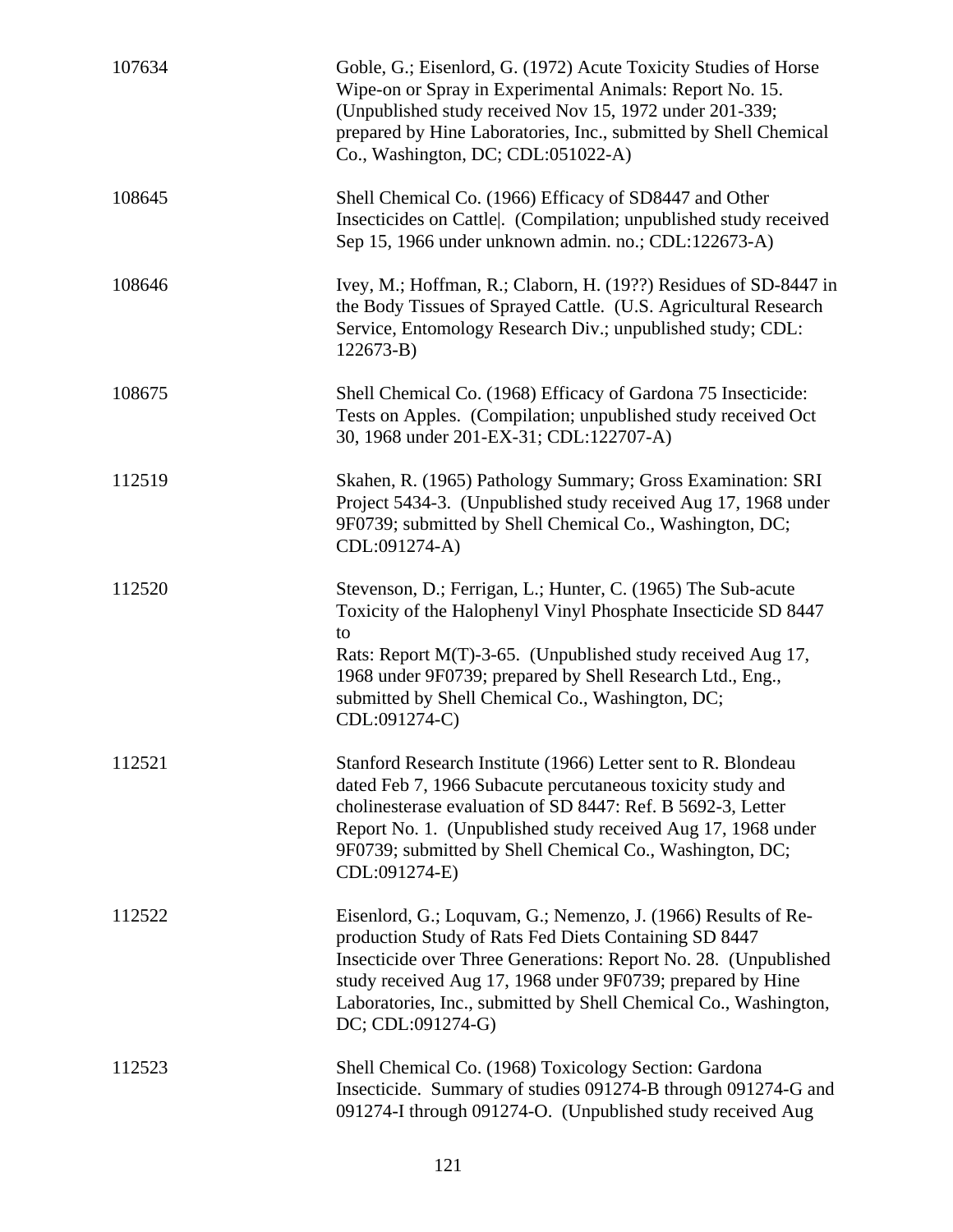| 107634 | Goble, G.; Eisenlord, G. (1972) Acute Toxicity Studies of Horse<br>Wipe-on or Spray in Experimental Animals: Report No. 15.<br>(Unpublished study received Nov 15, 1972 under 201-339;<br>prepared by Hine Laboratories, Inc., submitted by Shell Chemical<br>Co., Washington, DC; CDL:051022-A)                                                 |
|--------|--------------------------------------------------------------------------------------------------------------------------------------------------------------------------------------------------------------------------------------------------------------------------------------------------------------------------------------------------|
| 108645 | Shell Chemical Co. (1966) Efficacy of SD8447 and Other<br>Insecticides on Cattle. (Compilation; unpublished study received<br>Sep 15, 1966 under unknown admin. no.; CDL:122673-A)                                                                                                                                                               |
| 108646 | Ivey, M.; Hoffman, R.; Claborn, H. (19??) Residues of SD-8447 in<br>the Body Tissues of Sprayed Cattle. (U.S. Agricultural Research<br>Service, Entomology Research Div.; unpublished study; CDL:<br>$122673 - B$                                                                                                                                |
| 108675 | Shell Chemical Co. (1968) Efficacy of Gardona 75 Insecticide:<br>Tests on Apples. (Compilation; unpublished study received Oct<br>30, 1968 under 201-EX-31; CDL:122707-A)                                                                                                                                                                        |
| 112519 | Skahen, R. (1965) Pathology Summary; Gross Examination: SRI<br>Project 5434-3. (Unpublished study received Aug 17, 1968 under<br>9F0739; submitted by Shell Chemical Co., Washington, DC;<br>CDL:091274-A)                                                                                                                                       |
| 112520 | Stevenson, D.; Ferrigan, L.; Hunter, C. (1965) The Sub-acute<br>Toxicity of the Halophenyl Vinyl Phosphate Insecticide SD 8447<br>to                                                                                                                                                                                                             |
|        | Rats: Report M(T)-3-65. (Unpublished study received Aug 17,<br>1968 under 9F0739; prepared by Shell Research Ltd., Eng.,<br>submitted by Shell Chemical Co., Washington, DC;<br>CDL:091274-C)                                                                                                                                                    |
| 112521 | Stanford Research Institute (1966) Letter sent to R. Blondeau<br>dated Feb 7, 1966 Subacute percutaneous toxicity study and<br>cholinesterase evaluation of SD 8447: Ref. B 5692-3, Letter<br>Report No. 1. (Unpublished study received Aug 17, 1968 under<br>9F0739; submitted by Shell Chemical Co., Washington, DC;<br>CDL:091274-E)          |
| 112522 | Eisenlord, G.; Loquvam, G.; Nemenzo, J. (1966) Results of Re-<br>production Study of Rats Fed Diets Containing SD 8447<br>Insecticide over Three Generations: Report No. 28. (Unpublished<br>study received Aug 17, 1968 under 9F0739; prepared by Hine<br>Laboratories, Inc., submitted by Shell Chemical Co., Washington,<br>DC; CDL:091274-G) |
| 112523 | Shell Chemical Co. (1968) Toxicology Section: Gardona<br>Insecticide. Summary of studies 091274-B through 091274-G and<br>091274-I through 091274-O. (Unpublished study received Aug                                                                                                                                                             |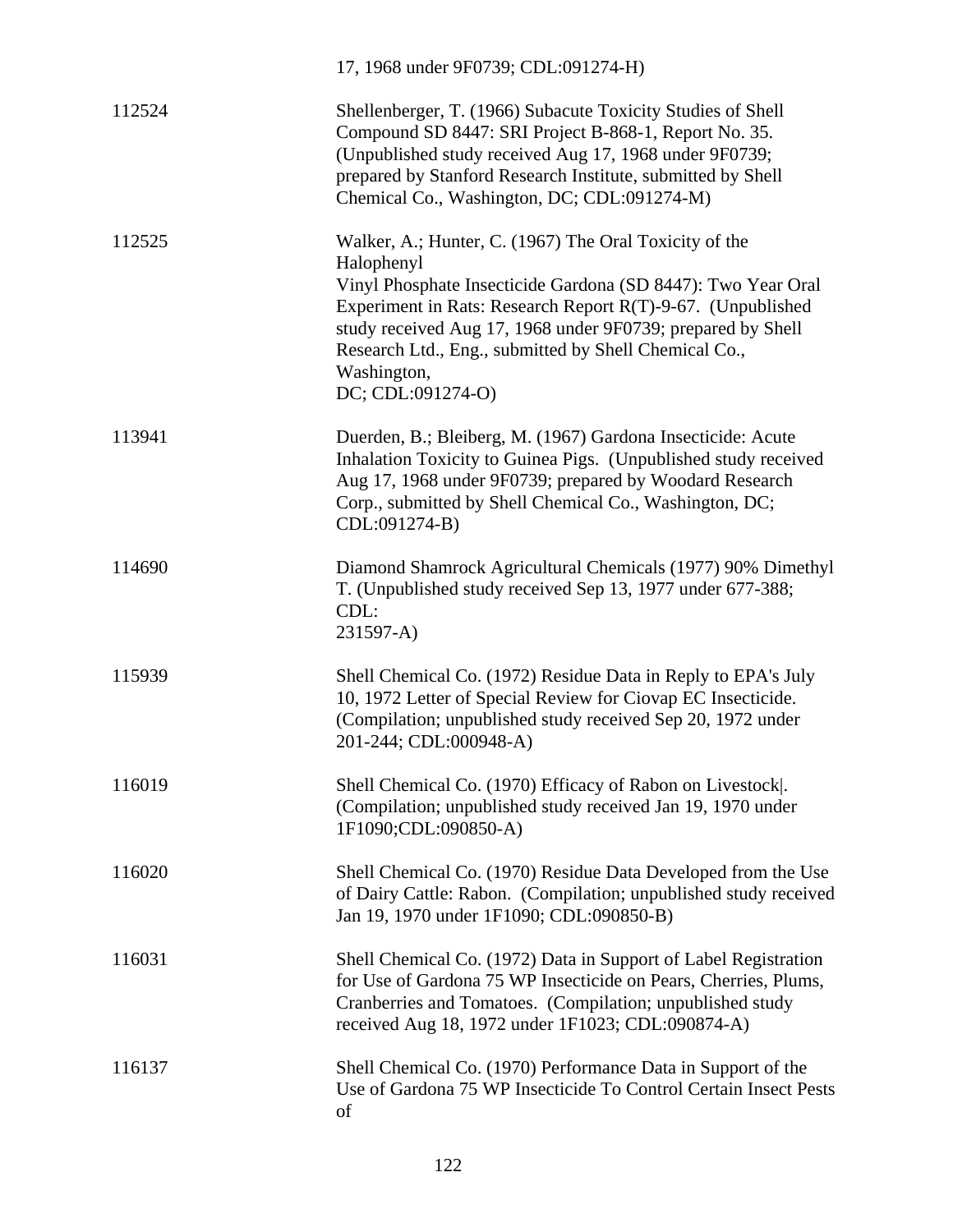|        | 17, 1968 under 9F0739; CDL:091274-H)                                                                                                                                                                                                                                                                                                                            |
|--------|-----------------------------------------------------------------------------------------------------------------------------------------------------------------------------------------------------------------------------------------------------------------------------------------------------------------------------------------------------------------|
| 112524 | Shellenberger, T. (1966) Subacute Toxicity Studies of Shell<br>Compound SD 8447: SRI Project B-868-1, Report No. 35.<br>(Unpublished study received Aug 17, 1968 under 9F0739;<br>prepared by Stanford Research Institute, submitted by Shell<br>Chemical Co., Washington, DC; CDL:091274-M)                                                                    |
| 112525 | Walker, A.; Hunter, C. (1967) The Oral Toxicity of the<br>Halophenyl<br>Vinyl Phosphate Insecticide Gardona (SD 8447): Two Year Oral<br>Experiment in Rats: Research Report R(T)-9-67. (Unpublished<br>study received Aug 17, 1968 under 9F0739; prepared by Shell<br>Research Ltd., Eng., submitted by Shell Chemical Co.,<br>Washington,<br>DC; CDL:091274-O) |
| 113941 | Duerden, B.; Bleiberg, M. (1967) Gardona Insecticide: Acute<br>Inhalation Toxicity to Guinea Pigs. (Unpublished study received<br>Aug 17, 1968 under 9F0739; prepared by Woodard Research<br>Corp., submitted by Shell Chemical Co., Washington, DC;<br>CDL:091274-B)                                                                                           |
| 114690 | Diamond Shamrock Agricultural Chemicals (1977) 90% Dimethyl<br>T. (Unpublished study received Sep 13, 1977 under 677-388;<br>CDL:<br>231597-A)                                                                                                                                                                                                                  |
| 115939 | Shell Chemical Co. (1972) Residue Data in Reply to EPA's July<br>10, 1972 Letter of Special Review for Ciovap EC Insecticide.<br>(Compilation; unpublished study received Sep 20, 1972 under<br>201-244; CDL:000948-A)                                                                                                                                          |
| 116019 | Shell Chemical Co. (1970) Efficacy of Rabon on Livestock.<br>(Compilation; unpublished study received Jan 19, 1970 under<br>1F1090;CDL:090850-A)                                                                                                                                                                                                                |
| 116020 | Shell Chemical Co. (1970) Residue Data Developed from the Use<br>of Dairy Cattle: Rabon. (Compilation; unpublished study received<br>Jan 19, 1970 under 1F1090; CDL:090850-B)                                                                                                                                                                                   |
| 116031 | Shell Chemical Co. (1972) Data in Support of Label Registration<br>for Use of Gardona 75 WP Insecticide on Pears, Cherries, Plums,<br>Cranberries and Tomatoes. (Compilation; unpublished study<br>received Aug 18, 1972 under 1F1023; CDL:090874-A)                                                                                                            |
| 116137 | Shell Chemical Co. (1970) Performance Data in Support of the<br>Use of Gardona 75 WP Insecticide To Control Certain Insect Pests<br>of                                                                                                                                                                                                                          |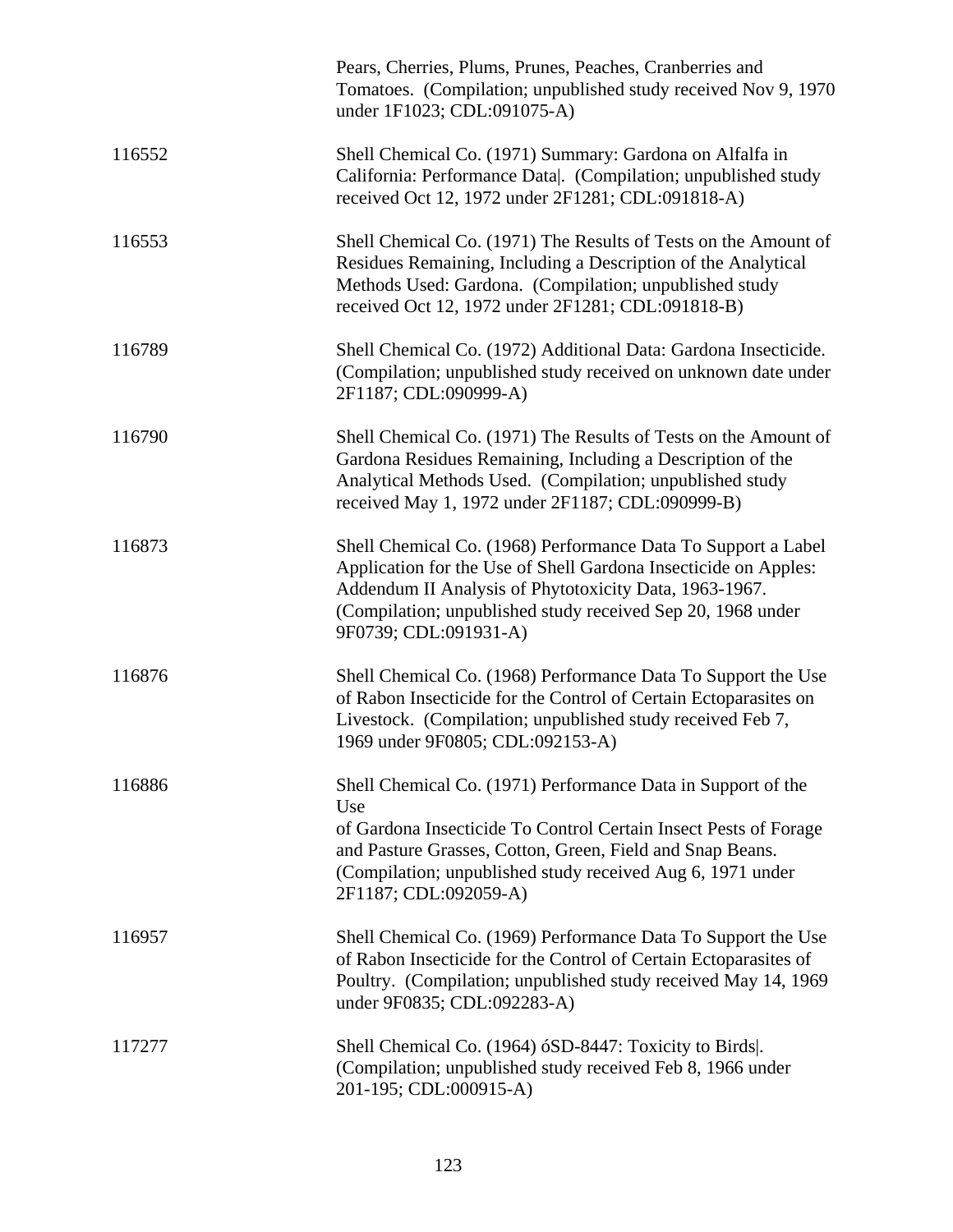|        | Pears, Cherries, Plums, Prunes, Peaches, Cranberries and<br>Tomatoes. (Compilation; unpublished study received Nov 9, 1970)<br>under 1F1023; CDL:091075-A)                                                                                                                                  |
|--------|---------------------------------------------------------------------------------------------------------------------------------------------------------------------------------------------------------------------------------------------------------------------------------------------|
| 116552 | Shell Chemical Co. (1971) Summary: Gardona on Alfalfa in<br>California: Performance Data . (Compilation; unpublished study<br>received Oct 12, 1972 under 2F1281; CDL:091818-A)                                                                                                             |
| 116553 | Shell Chemical Co. (1971) The Results of Tests on the Amount of<br>Residues Remaining, Including a Description of the Analytical<br>Methods Used: Gardona. (Compilation; unpublished study<br>received Oct 12, 1972 under 2F1281; CDL:091818-B)                                             |
| 116789 | Shell Chemical Co. (1972) Additional Data: Gardona Insecticide.<br>(Compilation; unpublished study received on unknown date under<br>2F1187; CDL:090999-A)                                                                                                                                  |
| 116790 | Shell Chemical Co. (1971) The Results of Tests on the Amount of<br>Gardona Residues Remaining, Including a Description of the<br>Analytical Methods Used. (Compilation; unpublished study<br>received May 1, 1972 under 2F1187; CDL:090999-B)                                               |
| 116873 | Shell Chemical Co. (1968) Performance Data To Support a Label<br>Application for the Use of Shell Gardona Insecticide on Apples:<br>Addendum II Analysis of Phytotoxicity Data, 1963-1967.<br>(Compilation; unpublished study received Sep 20, 1968 under<br>9F0739; CDL:091931-A)          |
| 116876 | Shell Chemical Co. (1968) Performance Data To Support the Use<br>of Rabon Insecticide for the Control of Certain Ectoparasites on<br>Livestock. (Compilation; unpublished study received Feb 7,<br>1969 under 9F0805; CDL:092153-A)                                                         |
| 116886 | Shell Chemical Co. (1971) Performance Data in Support of the<br>Use<br>of Gardona Insecticide To Control Certain Insect Pests of Forage<br>and Pasture Grasses, Cotton, Green, Field and Snap Beans.<br>(Compilation; unpublished study received Aug 6, 1971 under<br>2F1187; CDL:092059-A) |
| 116957 | Shell Chemical Co. (1969) Performance Data To Support the Use<br>of Rabon Insecticide for the Control of Certain Ectoparasites of<br>Poultry. (Compilation; unpublished study received May 14, 1969<br>under 9F0835; CDL:092283-A)                                                          |
| 117277 | Shell Chemical Co. (1964) 6SD-8447: Toxicity to Birds.<br>(Compilation; unpublished study received Feb 8, 1966 under<br>201-195; CDL:000915-A)                                                                                                                                              |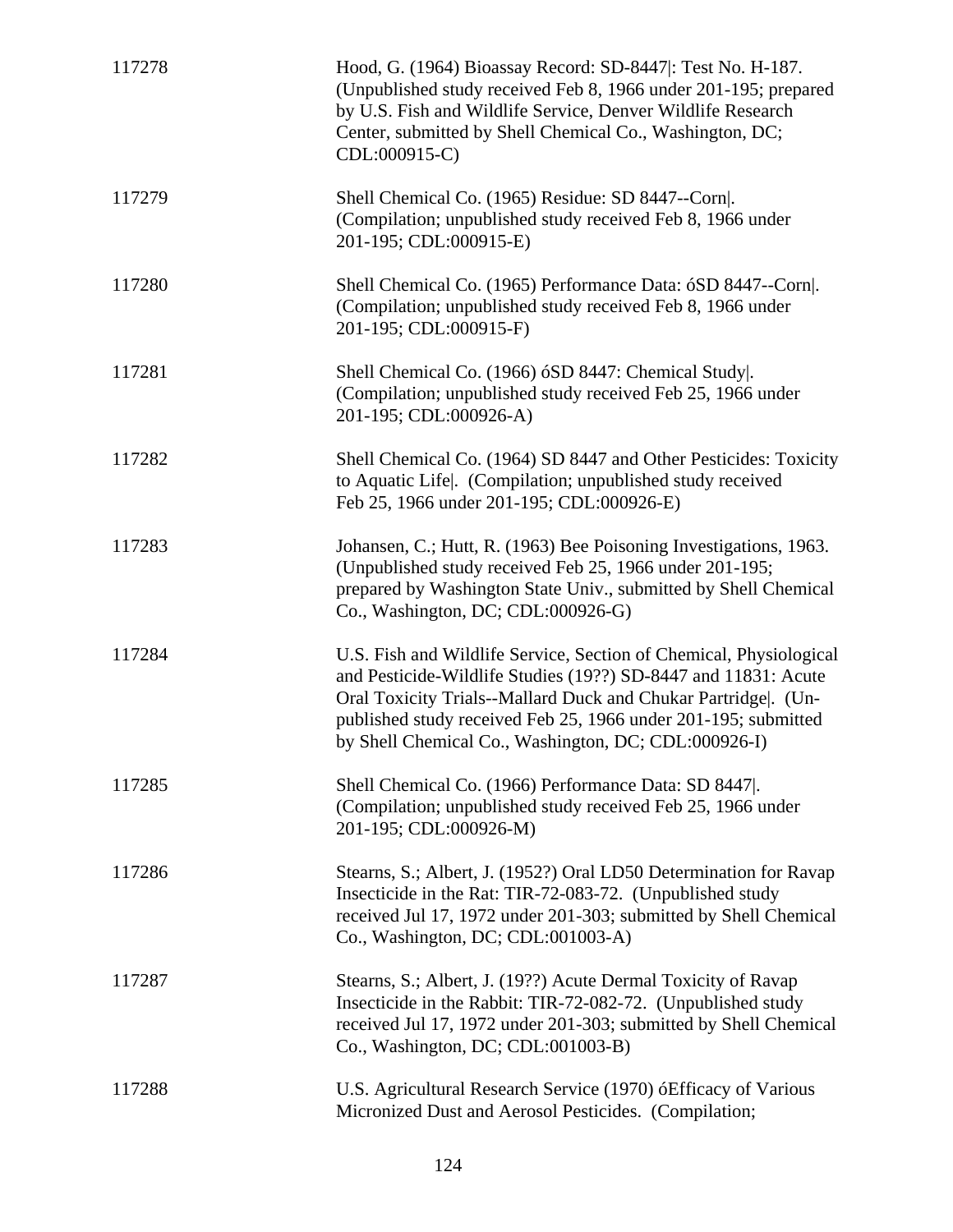| 117278 | Hood, G. (1964) Bioassay Record: SD-8447 : Test No. H-187.<br>(Unpublished study received Feb 8, 1966 under 201-195; prepared<br>by U.S. Fish and Wildlife Service, Denver Wildlife Research<br>Center, submitted by Shell Chemical Co., Washington, DC;<br>CDL:000915-C)                                                        |
|--------|----------------------------------------------------------------------------------------------------------------------------------------------------------------------------------------------------------------------------------------------------------------------------------------------------------------------------------|
| 117279 | Shell Chemical Co. (1965) Residue: SD 8447--Corn .<br>(Compilation; unpublished study received Feb 8, 1966 under<br>201-195; CDL:000915-E)                                                                                                                                                                                       |
| 117280 | Shell Chemical Co. (1965) Performance Data: 6SD 8447--Corn.<br>(Compilation; unpublished study received Feb 8, 1966 under<br>201-195; CDL:000915-F)                                                                                                                                                                              |
| 117281 | Shell Chemical Co. (1966) 6SD 8447: Chemical Study.<br>(Compilation; unpublished study received Feb 25, 1966 under<br>201-195; CDL:000926-A)                                                                                                                                                                                     |
| 117282 | Shell Chemical Co. (1964) SD 8447 and Other Pesticides: Toxicity<br>to Aquatic Life. (Compilation; unpublished study received<br>Feb 25, 1966 under 201-195; CDL:000926-E)                                                                                                                                                       |
| 117283 | Johansen, C.; Hutt, R. (1963) Bee Poisoning Investigations, 1963.<br>(Unpublished study received Feb 25, 1966 under 201-195;<br>prepared by Washington State Univ., submitted by Shell Chemical<br>Co., Washington, DC; CDL:000926-G)                                                                                            |
| 117284 | U.S. Fish and Wildlife Service, Section of Chemical, Physiological<br>and Pesticide-Wildlife Studies (19??) SD-8447 and 11831: Acute<br>Oral Toxicity Trials--Mallard Duck and Chukar Partridge . (Un-<br>published study received Feb 25, 1966 under 201-195; submitted<br>by Shell Chemical Co., Washington, DC; CDL:000926-I) |
| 117285 | Shell Chemical Co. (1966) Performance Data: SD 8447.<br>(Compilation; unpublished study received Feb 25, 1966 under<br>201-195; CDL:000926-M)                                                                                                                                                                                    |
| 117286 | Stearns, S.; Albert, J. (1952?) Oral LD50 Determination for Ravap<br>Insecticide in the Rat: TIR-72-083-72. (Unpublished study<br>received Jul 17, 1972 under 201-303; submitted by Shell Chemical<br>Co., Washington, DC; CDL:001003-A)                                                                                         |
| 117287 | Stearns, S.; Albert, J. (19??) Acute Dermal Toxicity of Ravap<br>Insecticide in the Rabbit: TIR-72-082-72. (Unpublished study<br>received Jul 17, 1972 under 201-303; submitted by Shell Chemical<br>Co., Washington, DC; CDL:001003-B)                                                                                          |
| 117288 | U.S. Agricultural Research Service (1970) óEfficacy of Various<br>Micronized Dust and Aerosol Pesticides. (Compilation;                                                                                                                                                                                                          |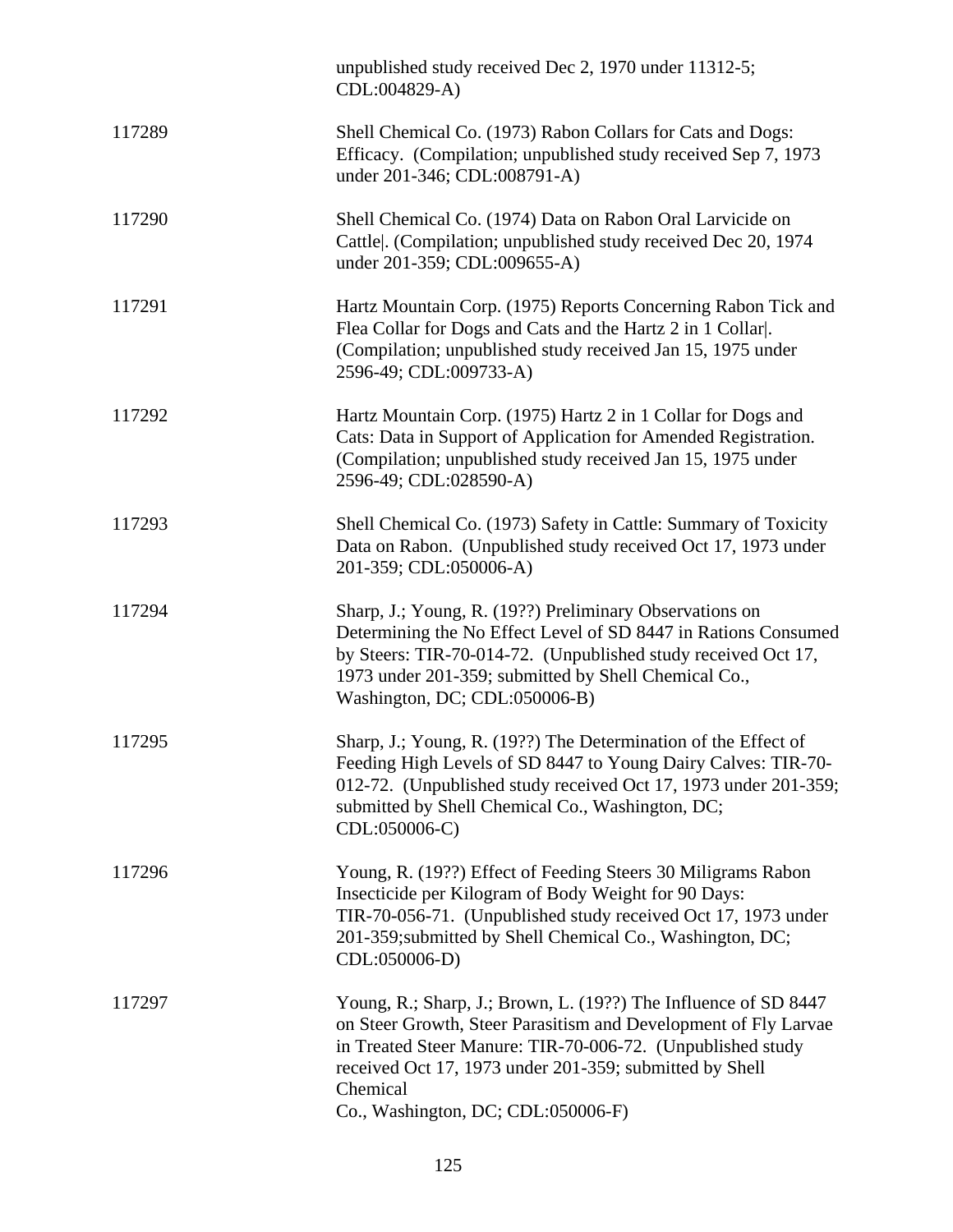|        | unpublished study received Dec 2, 1970 under 11312-5;<br>CDL:004829-A)                                                                                                                                                                                                                                        |
|--------|---------------------------------------------------------------------------------------------------------------------------------------------------------------------------------------------------------------------------------------------------------------------------------------------------------------|
| 117289 | Shell Chemical Co. (1973) Rabon Collars for Cats and Dogs:<br>Efficacy. (Compilation; unpublished study received Sep 7, 1973)<br>under 201-346; CDL:008791-A)                                                                                                                                                 |
| 117290 | Shell Chemical Co. (1974) Data on Rabon Oral Larvicide on<br>Cattle . (Compilation; unpublished study received Dec 20, 1974<br>under 201-359; CDL:009655-A)                                                                                                                                                   |
| 117291 | Hartz Mountain Corp. (1975) Reports Concerning Rabon Tick and<br>Flea Collar for Dogs and Cats and the Hartz 2 in 1 Collar.<br>(Compilation; unpublished study received Jan 15, 1975 under<br>2596-49; CDL:009733-A)                                                                                          |
| 117292 | Hartz Mountain Corp. (1975) Hartz 2 in 1 Collar for Dogs and<br>Cats: Data in Support of Application for Amended Registration.<br>(Compilation; unpublished study received Jan 15, 1975 under<br>2596-49; CDL:028590-A)                                                                                       |
| 117293 | Shell Chemical Co. (1973) Safety in Cattle: Summary of Toxicity<br>Data on Rabon. (Unpublished study received Oct 17, 1973 under<br>201-359; CDL:050006-A)                                                                                                                                                    |
| 117294 | Sharp, J.; Young, R. (19??) Preliminary Observations on<br>Determining the No Effect Level of SD 8447 in Rations Consumed<br>by Steers: TIR-70-014-72. (Unpublished study received Oct 17,<br>1973 under 201-359; submitted by Shell Chemical Co.,<br>Washington, DC; CDL:050006-B)                           |
| 117295 | Sharp, J.; Young, R. (19??) The Determination of the Effect of<br>Feeding High Levels of SD 8447 to Young Dairy Calves: TIR-70-<br>012-72. (Unpublished study received Oct 17, 1973 under 201-359;<br>submitted by Shell Chemical Co., Washington, DC;<br>CDL:050006-C)                                       |
| 117296 | Young, R. (19??) Effect of Feeding Steers 30 Miligrams Rabon<br>Insecticide per Kilogram of Body Weight for 90 Days:<br>TIR-70-056-71. (Unpublished study received Oct 17, 1973 under<br>201-359; submitted by Shell Chemical Co., Washington, DC;<br>CDL:050006-D)                                           |
| 117297 | Young, R.; Sharp, J.; Brown, L. (19??) The Influence of SD 8447<br>on Steer Growth, Steer Parasitism and Development of Fly Larvae<br>in Treated Steer Manure: TIR-70-006-72. (Unpublished study<br>received Oct 17, 1973 under 201-359; submitted by Shell<br>Chemical<br>Co., Washington, DC; CDL:050006-F) |
|        |                                                                                                                                                                                                                                                                                                               |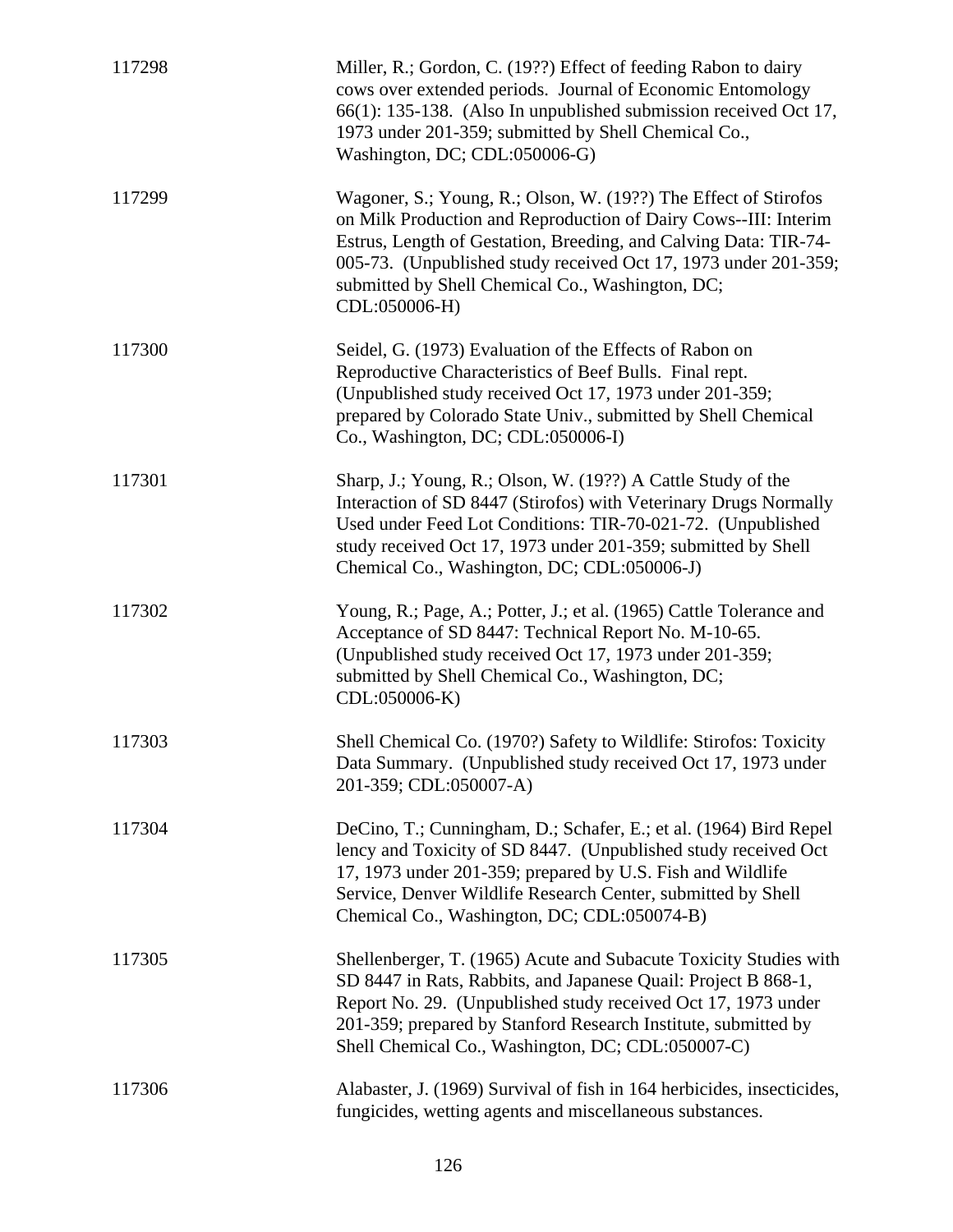| 117298 | Miller, R.; Gordon, C. (19??) Effect of feeding Rabon to dairy<br>cows over extended periods. Journal of Economic Entomology<br>66(1): 135-138. (Also In unpublished submission received Oct 17,<br>1973 under 201-359; submitted by Shell Chemical Co.,<br>Washington, DC; CDL:050006-G)                                                      |
|--------|------------------------------------------------------------------------------------------------------------------------------------------------------------------------------------------------------------------------------------------------------------------------------------------------------------------------------------------------|
| 117299 | Wagoner, S.; Young, R.; Olson, W. (19??) The Effect of Stirofos<br>on Milk Production and Reproduction of Dairy Cows--III: Interim<br>Estrus, Length of Gestation, Breeding, and Calving Data: TIR-74-<br>005-73. (Unpublished study received Oct 17, 1973 under 201-359;<br>submitted by Shell Chemical Co., Washington, DC;<br>CDL:050006-H) |
| 117300 | Seidel, G. (1973) Evaluation of the Effects of Rabon on<br>Reproductive Characteristics of Beef Bulls. Final rept.<br>(Unpublished study received Oct 17, 1973 under 201-359;<br>prepared by Colorado State Univ., submitted by Shell Chemical<br>Co., Washington, DC; CDL:050006-I)                                                           |
| 117301 | Sharp, J.; Young, R.; Olson, W. (19??) A Cattle Study of the<br>Interaction of SD 8447 (Stirofos) with Veterinary Drugs Normally<br>Used under Feed Lot Conditions: TIR-70-021-72. (Unpublished<br>study received Oct 17, 1973 under 201-359; submitted by Shell<br>Chemical Co., Washington, DC; CDL:050006-J)                                |
| 117302 | Young, R.; Page, A.; Potter, J.; et al. (1965) Cattle Tolerance and<br>Acceptance of SD 8447: Technical Report No. M-10-65.<br>(Unpublished study received Oct 17, 1973 under 201-359;<br>submitted by Shell Chemical Co., Washington, DC;<br>CDL:050006-K)                                                                                    |
| 117303 | Shell Chemical Co. (1970?) Safety to Wildlife: Stirofos: Toxicity<br>Data Summary. (Unpublished study received Oct 17, 1973 under<br>201-359; CDL:050007-A)                                                                                                                                                                                    |
| 117304 | DeCino, T.; Cunningham, D.; Schafer, E.; et al. (1964) Bird Repel<br>lency and Toxicity of SD 8447. (Unpublished study received Oct<br>17, 1973 under 201-359; prepared by U.S. Fish and Wildlife<br>Service, Denver Wildlife Research Center, submitted by Shell<br>Chemical Co., Washington, DC; CDL:050074-B)                               |
| 117305 | Shellenberger, T. (1965) Acute and Subacute Toxicity Studies with<br>SD 8447 in Rats, Rabbits, and Japanese Quail: Project B 868-1,<br>Report No. 29. (Unpublished study received Oct 17, 1973 under<br>201-359; prepared by Stanford Research Institute, submitted by<br>Shell Chemical Co., Washington, DC; CDL:050007-C)                    |
| 117306 | Alabaster, J. (1969) Survival of fish in 164 herbicides, insecticides,<br>fungicides, wetting agents and miscellaneous substances.                                                                                                                                                                                                             |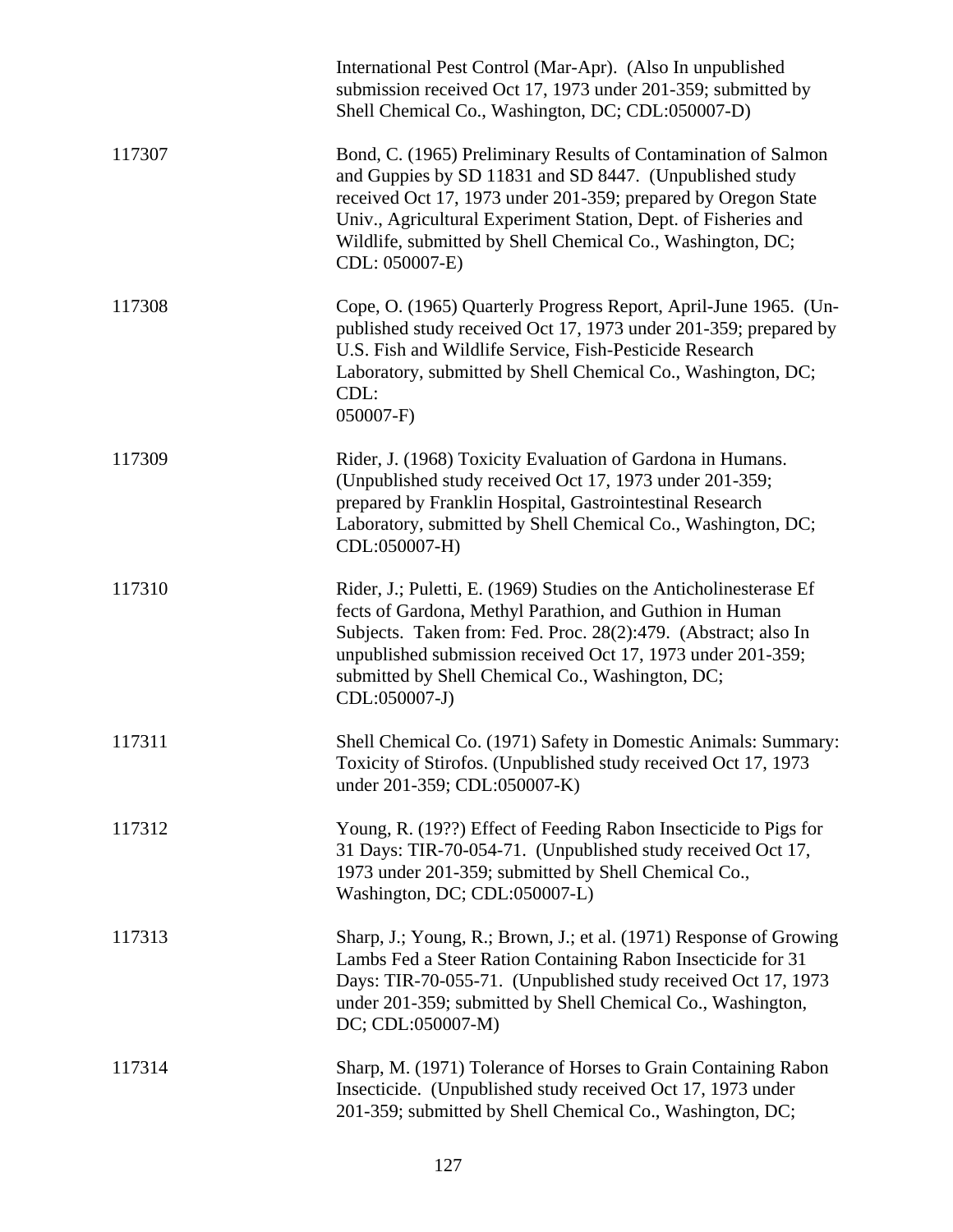|        | International Pest Control (Mar-Apr). (Also In unpublished<br>submission received Oct 17, 1973 under 201-359; submitted by<br>Shell Chemical Co., Washington, DC; CDL:050007-D)                                                                                                                                                              |
|--------|----------------------------------------------------------------------------------------------------------------------------------------------------------------------------------------------------------------------------------------------------------------------------------------------------------------------------------------------|
| 117307 | Bond, C. (1965) Preliminary Results of Contamination of Salmon<br>and Guppies by SD 11831 and SD 8447. (Unpublished study<br>received Oct 17, 1973 under 201-359; prepared by Oregon State<br>Univ., Agricultural Experiment Station, Dept. of Fisheries and<br>Wildlife, submitted by Shell Chemical Co., Washington, DC;<br>CDL: 050007-E) |
| 117308 | Cope, O. (1965) Quarterly Progress Report, April-June 1965. (Un-<br>published study received Oct 17, 1973 under 201-359; prepared by<br>U.S. Fish and Wildlife Service, Fish-Pesticide Research<br>Laboratory, submitted by Shell Chemical Co., Washington, DC;<br>CDL:<br>$050007-F$                                                        |
| 117309 | Rider, J. (1968) Toxicity Evaluation of Gardona in Humans.<br>(Unpublished study received Oct 17, 1973 under 201-359;<br>prepared by Franklin Hospital, Gastrointestinal Research<br>Laboratory, submitted by Shell Chemical Co., Washington, DC;<br>CDL:050007-H)                                                                           |
| 117310 | Rider, J.; Puletti, E. (1969) Studies on the Anticholinesterase Ef<br>fects of Gardona, Methyl Parathion, and Guthion in Human<br>Subjects. Taken from: Fed. Proc. 28(2):479. (Abstract; also In<br>unpublished submission received Oct 17, 1973 under 201-359;<br>submitted by Shell Chemical Co., Washington, DC;<br>CDL:050007-J)         |
| 117311 | Shell Chemical Co. (1971) Safety in Domestic Animals: Summary:<br>Toxicity of Stirofos. (Unpublished study received Oct 17, 1973<br>under 201-359; CDL:050007-K)                                                                                                                                                                             |
| 117312 | Young, R. (19??) Effect of Feeding Rabon Insecticide to Pigs for<br>31 Days: TIR-70-054-71. (Unpublished study received Oct 17,<br>1973 under 201-359; submitted by Shell Chemical Co.,<br>Washington, DC; CDL:050007-L)                                                                                                                     |
| 117313 | Sharp, J.; Young, R.; Brown, J.; et al. (1971) Response of Growing<br>Lambs Fed a Steer Ration Containing Rabon Insecticide for 31<br>Days: TIR-70-055-71. (Unpublished study received Oct 17, 1973<br>under 201-359; submitted by Shell Chemical Co., Washington,<br>DC; CDL:050007-M)                                                      |
| 117314 | Sharp, M. (1971) Tolerance of Horses to Grain Containing Rabon<br>Insecticide. (Unpublished study received Oct 17, 1973 under<br>201-359; submitted by Shell Chemical Co., Washington, DC;                                                                                                                                                   |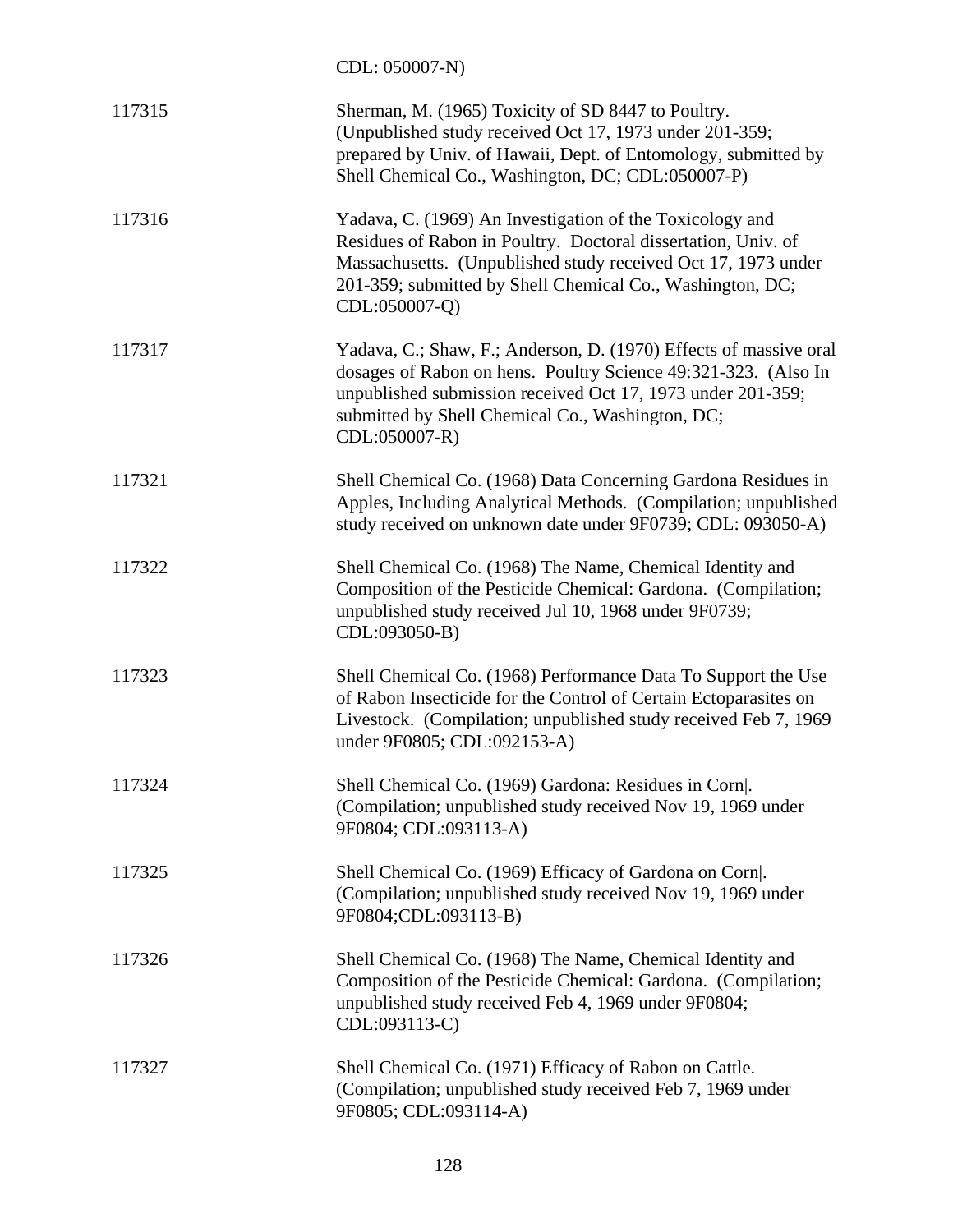CDL: 050007-N)

| 117315 | Sherman, M. (1965) Toxicity of SD 8447 to Poultry.<br>(Unpublished study received Oct 17, 1973 under 201-359;<br>prepared by Univ. of Hawaii, Dept. of Entomology, submitted by<br>Shell Chemical Co., Washington, DC; CDL:050007-P)                                     |
|--------|--------------------------------------------------------------------------------------------------------------------------------------------------------------------------------------------------------------------------------------------------------------------------|
| 117316 | Yadava, C. (1969) An Investigation of the Toxicology and<br>Residues of Rabon in Poultry. Doctoral dissertation, Univ. of<br>Massachusetts. (Unpublished study received Oct 17, 1973 under<br>201-359; submitted by Shell Chemical Co., Washington, DC;<br>CDL:050007-Q) |
| 117317 | Yadava, C.; Shaw, F.; Anderson, D. (1970) Effects of massive oral<br>dosages of Rabon on hens. Poultry Science 49:321-323. (Also In<br>unpublished submission received Oct 17, 1973 under 201-359;<br>submitted by Shell Chemical Co., Washington, DC;<br>CDL:050007-R)  |
| 117321 | Shell Chemical Co. (1968) Data Concerning Gardona Residues in<br>Apples, Including Analytical Methods. (Compilation; unpublished<br>study received on unknown date under 9F0739; CDL: 093050-A)                                                                          |
| 117322 | Shell Chemical Co. (1968) The Name, Chemical Identity and<br>Composition of the Pesticide Chemical: Gardona. (Compilation;<br>unpublished study received Jul 10, 1968 under 9F0739;<br>CDL:093050-B)                                                                     |
| 117323 | Shell Chemical Co. (1968) Performance Data To Support the Use<br>of Rabon Insecticide for the Control of Certain Ectoparasites on<br>Livestock. (Compilation; unpublished study received Feb 7, 1969)<br>under 9F0805; CDL:092153-A)                                     |
| 117324 | Shell Chemical Co. (1969) Gardona: Residues in Corn .<br>(Compilation; unpublished study received Nov 19, 1969 under<br>9F0804; CDL:093113-A)                                                                                                                            |
| 117325 | Shell Chemical Co. (1969) Efficacy of Gardona on Corn .<br>(Compilation; unpublished study received Nov 19, 1969 under<br>9F0804;CDL:093113-B)                                                                                                                           |
| 117326 | Shell Chemical Co. (1968) The Name, Chemical Identity and<br>Composition of the Pesticide Chemical: Gardona. (Compilation;<br>unpublished study received Feb 4, 1969 under 9F0804;<br>CDL:093113-C)                                                                      |
| 117327 | Shell Chemical Co. (1971) Efficacy of Rabon on Cattle.<br>(Compilation; unpublished study received Feb 7, 1969 under<br>9F0805; CDL:093114-A)                                                                                                                            |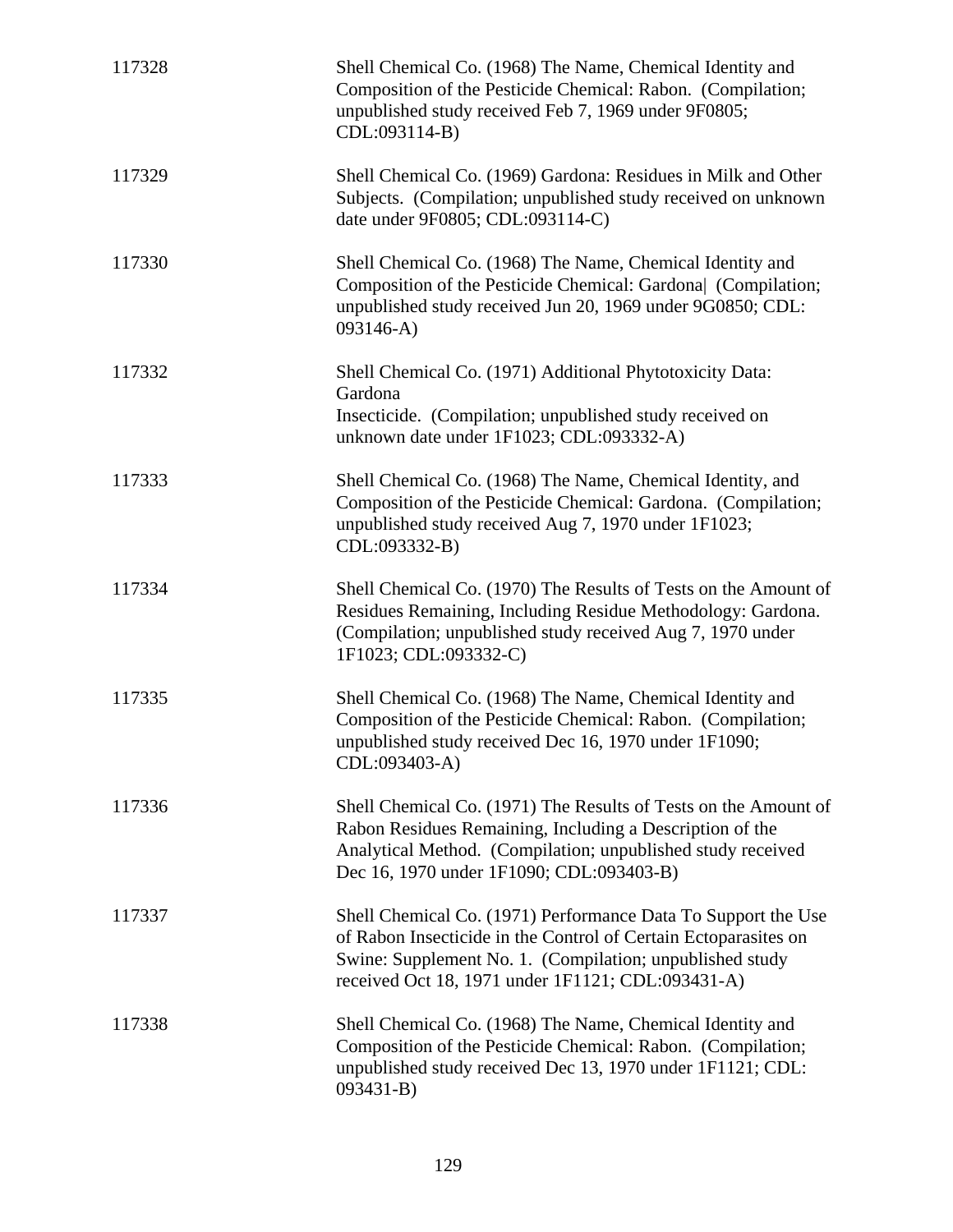| 117328 | Shell Chemical Co. (1968) The Name, Chemical Identity and<br>Composition of the Pesticide Chemical: Rabon. (Compilation;<br>unpublished study received Feb 7, 1969 under 9F0805;<br>CDL:093114-B)                                                 |
|--------|---------------------------------------------------------------------------------------------------------------------------------------------------------------------------------------------------------------------------------------------------|
| 117329 | Shell Chemical Co. (1969) Gardona: Residues in Milk and Other<br>Subjects. (Compilation; unpublished study received on unknown<br>date under 9F0805; CDL:093114-C)                                                                                |
| 117330 | Shell Chemical Co. (1968) The Name, Chemical Identity and<br>Composition of the Pesticide Chemical: Gardona (Compilation;<br>unpublished study received Jun 20, 1969 under 9G0850; CDL:<br>$093146 - A)$                                          |
| 117332 | Shell Chemical Co. (1971) Additional Phytotoxicity Data:<br>Gardona<br>Insecticide. (Compilation; unpublished study received on<br>unknown date under 1F1023; CDL:093332-A)                                                                       |
| 117333 | Shell Chemical Co. (1968) The Name, Chemical Identity, and<br>Composition of the Pesticide Chemical: Gardona. (Compilation;<br>unpublished study received Aug 7, 1970 under 1F1023;<br>CDL:093332-B)                                              |
| 117334 | Shell Chemical Co. (1970) The Results of Tests on the Amount of<br>Residues Remaining, Including Residue Methodology: Gardona.<br>(Compilation; unpublished study received Aug 7, 1970 under<br>1F1023; CDL:093332-C)                             |
| 117335 | Shell Chemical Co. (1968) The Name, Chemical Identity and<br>Composition of the Pesticide Chemical: Rabon. (Compilation;<br>unpublished study received Dec 16, 1970 under 1F1090;<br>CDL:093403-A)                                                |
| 117336 | Shell Chemical Co. (1971) The Results of Tests on the Amount of<br>Rabon Residues Remaining, Including a Description of the<br>Analytical Method. (Compilation; unpublished study received<br>Dec 16, 1970 under 1F1090; CDL:093403-B)            |
| 117337 | Shell Chemical Co. (1971) Performance Data To Support the Use<br>of Rabon Insecticide in the Control of Certain Ectoparasites on<br>Swine: Supplement No. 1. (Compilation; unpublished study<br>received Oct 18, 1971 under 1F1121; CDL:093431-A) |
| 117338 | Shell Chemical Co. (1968) The Name, Chemical Identity and<br>Composition of the Pesticide Chemical: Rabon. (Compilation;<br>unpublished study received Dec 13, 1970 under 1F1121; CDL:<br>$093431 - B$                                            |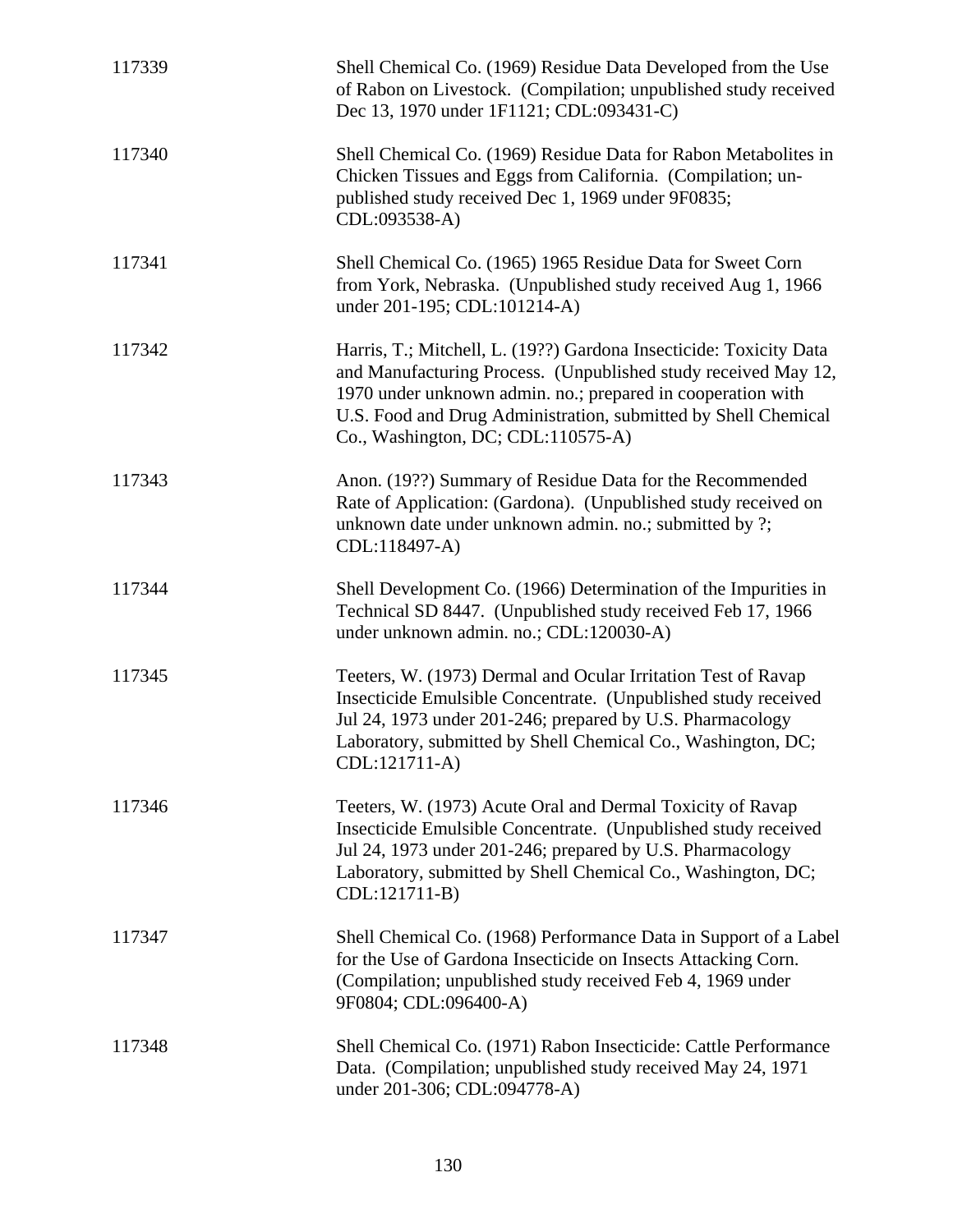| 117339 | Shell Chemical Co. (1969) Residue Data Developed from the Use<br>of Rabon on Livestock. (Compilation; unpublished study received<br>Dec 13, 1970 under 1F1121; CDL:093431-C)                                                                                                                                    |
|--------|-----------------------------------------------------------------------------------------------------------------------------------------------------------------------------------------------------------------------------------------------------------------------------------------------------------------|
| 117340 | Shell Chemical Co. (1969) Residue Data for Rabon Metabolites in<br>Chicken Tissues and Eggs from California. (Compilation; un-<br>published study received Dec 1, 1969 under 9F0835;<br>CDL:093538-A)                                                                                                           |
| 117341 | Shell Chemical Co. (1965) 1965 Residue Data for Sweet Corn<br>from York, Nebraska. (Unpublished study received Aug 1, 1966)<br>under 201-195; CDL:101214-A)                                                                                                                                                     |
| 117342 | Harris, T.; Mitchell, L. (19??) Gardona Insecticide: Toxicity Data<br>and Manufacturing Process. (Unpublished study received May 12,<br>1970 under unknown admin. no.; prepared in cooperation with<br>U.S. Food and Drug Administration, submitted by Shell Chemical<br>Co., Washington, DC; CDL: $110575-A$ ) |
| 117343 | Anon. (19??) Summary of Residue Data for the Recommended<br>Rate of Application: (Gardona). (Unpublished study received on<br>unknown date under unknown admin. no.; submitted by ?;<br>CDL:118497-A)                                                                                                           |
| 117344 | Shell Development Co. (1966) Determination of the Impurities in<br>Technical SD 8447. (Unpublished study received Feb 17, 1966)<br>under unknown admin. no.; CDL:120030-A)                                                                                                                                      |
| 117345 | Teeters, W. (1973) Dermal and Ocular Irritation Test of Ravap<br>Insecticide Emulsible Concentrate. (Unpublished study received<br>Jul 24, 1973 under 201-246; prepared by U.S. Pharmacology<br>Laboratory, submitted by Shell Chemical Co., Washington, DC;<br>CDL:121711-A)                                   |
| 117346 | Teeters, W. (1973) Acute Oral and Dermal Toxicity of Ravap<br>Insecticide Emulsible Concentrate. (Unpublished study received<br>Jul 24, 1973 under 201-246; prepared by U.S. Pharmacology<br>Laboratory, submitted by Shell Chemical Co., Washington, DC;<br>CDL:121711-B)                                      |
| 117347 | Shell Chemical Co. (1968) Performance Data in Support of a Label<br>for the Use of Gardona Insecticide on Insects Attacking Corn.<br>(Compilation; unpublished study received Feb 4, 1969 under<br>9F0804; CDL:096400-A)                                                                                        |
| 117348 | Shell Chemical Co. (1971) Rabon Insecticide: Cattle Performance<br>Data. (Compilation; unpublished study received May 24, 1971<br>under 201-306; CDL:094778-A)                                                                                                                                                  |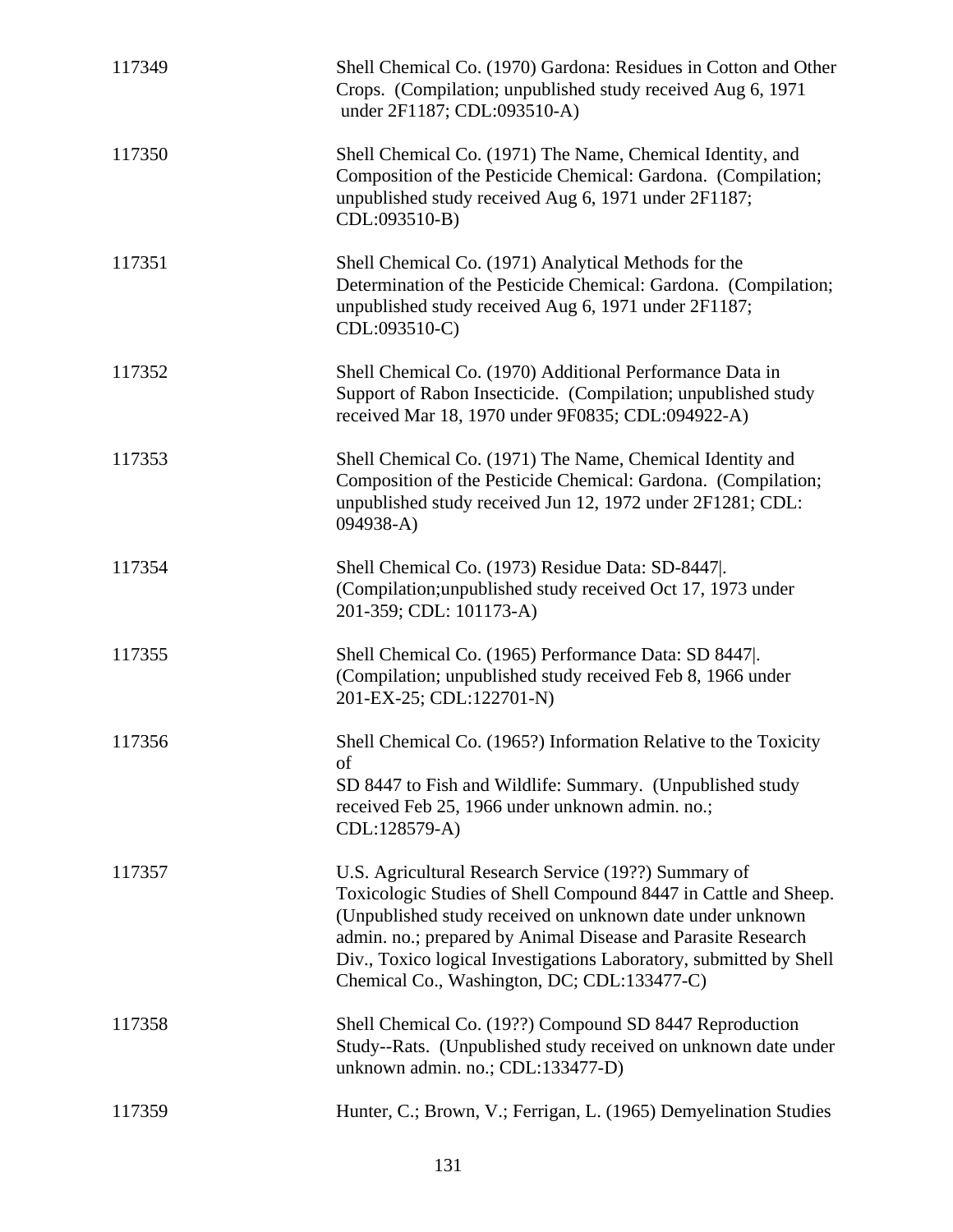| 117349 | Shell Chemical Co. (1970) Gardona: Residues in Cotton and Other<br>Crops. (Compilation; unpublished study received Aug 6, 1971)<br>under 2F1187; CDL:093510-A)                                                                                                                                                                                                            |
|--------|---------------------------------------------------------------------------------------------------------------------------------------------------------------------------------------------------------------------------------------------------------------------------------------------------------------------------------------------------------------------------|
| 117350 | Shell Chemical Co. (1971) The Name, Chemical Identity, and<br>Composition of the Pesticide Chemical: Gardona. (Compilation;<br>unpublished study received Aug 6, 1971 under 2F1187;<br>CDL:093510-B)                                                                                                                                                                      |
| 117351 | Shell Chemical Co. (1971) Analytical Methods for the<br>Determination of the Pesticide Chemical: Gardona. (Compilation;<br>unpublished study received Aug 6, 1971 under 2F1187;<br>CDL:093510-C)                                                                                                                                                                          |
| 117352 | Shell Chemical Co. (1970) Additional Performance Data in<br>Support of Rabon Insecticide. (Compilation; unpublished study<br>received Mar 18, 1970 under 9F0835; CDL:094922-A)                                                                                                                                                                                            |
| 117353 | Shell Chemical Co. (1971) The Name, Chemical Identity and<br>Composition of the Pesticide Chemical: Gardona. (Compilation;<br>unpublished study received Jun 12, 1972 under 2F1281; CDL:<br>$094938 - A)$                                                                                                                                                                 |
| 117354 | Shell Chemical Co. (1973) Residue Data: SD-8447.<br>(Compilation; unpublished study received Oct 17, 1973 under<br>201-359; CDL: 101173-A)                                                                                                                                                                                                                                |
| 117355 | Shell Chemical Co. (1965) Performance Data: SD 8447.<br>(Compilation; unpublished study received Feb 8, 1966 under<br>201-EX-25; CDL:122701-N)                                                                                                                                                                                                                            |
| 117356 | Shell Chemical Co. (1965?) Information Relative to the Toxicity<br>of<br>SD 8447 to Fish and Wildlife: Summary. (Unpublished study<br>received Feb 25, 1966 under unknown admin. no.;<br>CDL:128579-A)                                                                                                                                                                    |
| 117357 | U.S. Agricultural Research Service (19??) Summary of<br>Toxicologic Studies of Shell Compound 8447 in Cattle and Sheep.<br>(Unpublished study received on unknown date under unknown<br>admin. no.; prepared by Animal Disease and Parasite Research<br>Div., Toxico logical Investigations Laboratory, submitted by Shell<br>Chemical Co., Washington, DC; CDL:133477-C) |
| 117358 | Shell Chemical Co. (19??) Compound SD 8447 Reproduction<br>Study--Rats. (Unpublished study received on unknown date under<br>unknown admin. no.; CDL:133477-D)                                                                                                                                                                                                            |
| 117359 | Hunter, C.; Brown, V.; Ferrigan, L. (1965) Demyelination Studies                                                                                                                                                                                                                                                                                                          |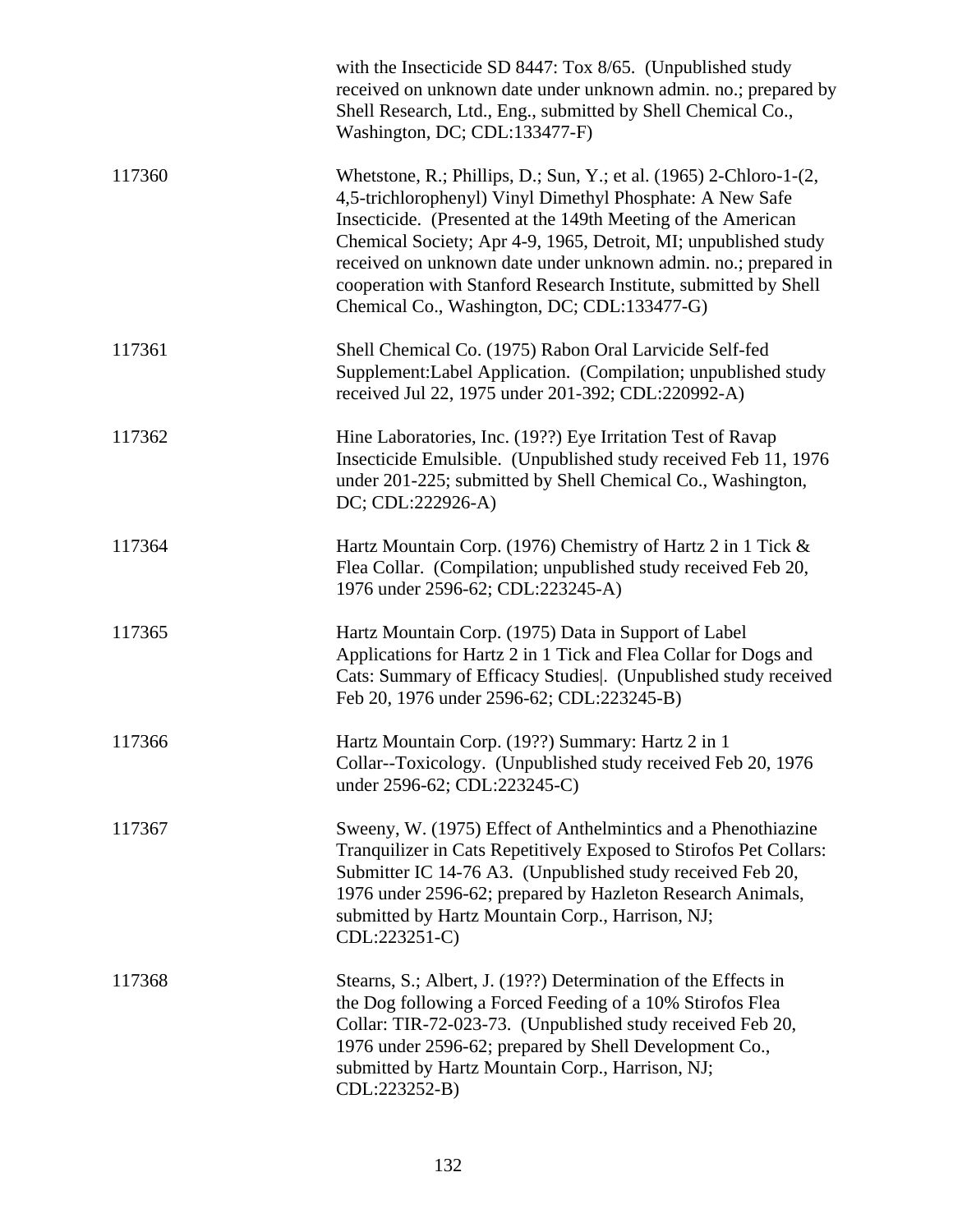|        | with the Insecticide SD 8447: Tox 8/65. (Unpublished study<br>received on unknown date under unknown admin. no.; prepared by<br>Shell Research, Ltd., Eng., submitted by Shell Chemical Co.,<br>Washington, DC; CDL:133477-F)                                                                                                                                                                                                                                   |
|--------|-----------------------------------------------------------------------------------------------------------------------------------------------------------------------------------------------------------------------------------------------------------------------------------------------------------------------------------------------------------------------------------------------------------------------------------------------------------------|
| 117360 | Whetstone, R.; Phillips, D.; Sun, Y.; et al. $(1965)$ 2-Chloro-1- $(2, 1)$<br>4,5-trichlorophenyl) Vinyl Dimethyl Phosphate: A New Safe<br>Insecticide. (Presented at the 149th Meeting of the American<br>Chemical Society; Apr 4-9, 1965, Detroit, MI; unpublished study<br>received on unknown date under unknown admin. no.; prepared in<br>cooperation with Stanford Research Institute, submitted by Shell<br>Chemical Co., Washington, DC; CDL:133477-G) |
| 117361 | Shell Chemical Co. (1975) Rabon Oral Larvicide Self-fed<br>Supplement: Label Application. (Compilation; unpublished study<br>received Jul 22, 1975 under 201-392; CDL:220992-A)                                                                                                                                                                                                                                                                                 |
| 117362 | Hine Laboratories, Inc. (19??) Eye Irritation Test of Ravap<br>Insecticide Emulsible. (Unpublished study received Feb 11, 1976)<br>under 201-225; submitted by Shell Chemical Co., Washington,<br>DC; CDL:222926-A)                                                                                                                                                                                                                                             |
| 117364 | Hartz Mountain Corp. (1976) Chemistry of Hartz 2 in 1 Tick &<br>Flea Collar. (Compilation; unpublished study received Feb 20,<br>1976 under 2596-62; CDL:223245-A)                                                                                                                                                                                                                                                                                              |
| 117365 | Hartz Mountain Corp. (1975) Data in Support of Label<br>Applications for Hartz 2 in 1 Tick and Flea Collar for Dogs and<br>Cats: Summary of Efficacy Studies . (Unpublished study received<br>Feb 20, 1976 under 2596-62; CDL:223245-B)                                                                                                                                                                                                                         |
| 117366 | Hartz Mountain Corp. (19??) Summary: Hartz 2 in 1<br>Collar--Toxicology. (Unpublished study received Feb 20, 1976<br>under 2596-62; CDL:223245-C)                                                                                                                                                                                                                                                                                                               |
| 117367 | Sweeny, W. (1975) Effect of Anthelmintics and a Phenothiazine<br>Tranquilizer in Cats Repetitively Exposed to Stirofos Pet Collars:<br>Submitter IC 14-76 A3. (Unpublished study received Feb 20,<br>1976 under 2596-62; prepared by Hazleton Research Animals,<br>submitted by Hartz Mountain Corp., Harrison, NJ;<br>CDL:223251-C)                                                                                                                            |
| 117368 | Stearns, S.; Albert, J. (19??) Determination of the Effects in<br>the Dog following a Forced Feeding of a 10% Stirofos Flea<br>Collar: TIR-72-023-73. (Unpublished study received Feb 20,<br>1976 under 2596-62; prepared by Shell Development Co.,<br>submitted by Hartz Mountain Corp., Harrison, NJ;<br>CDL:223252-B)                                                                                                                                        |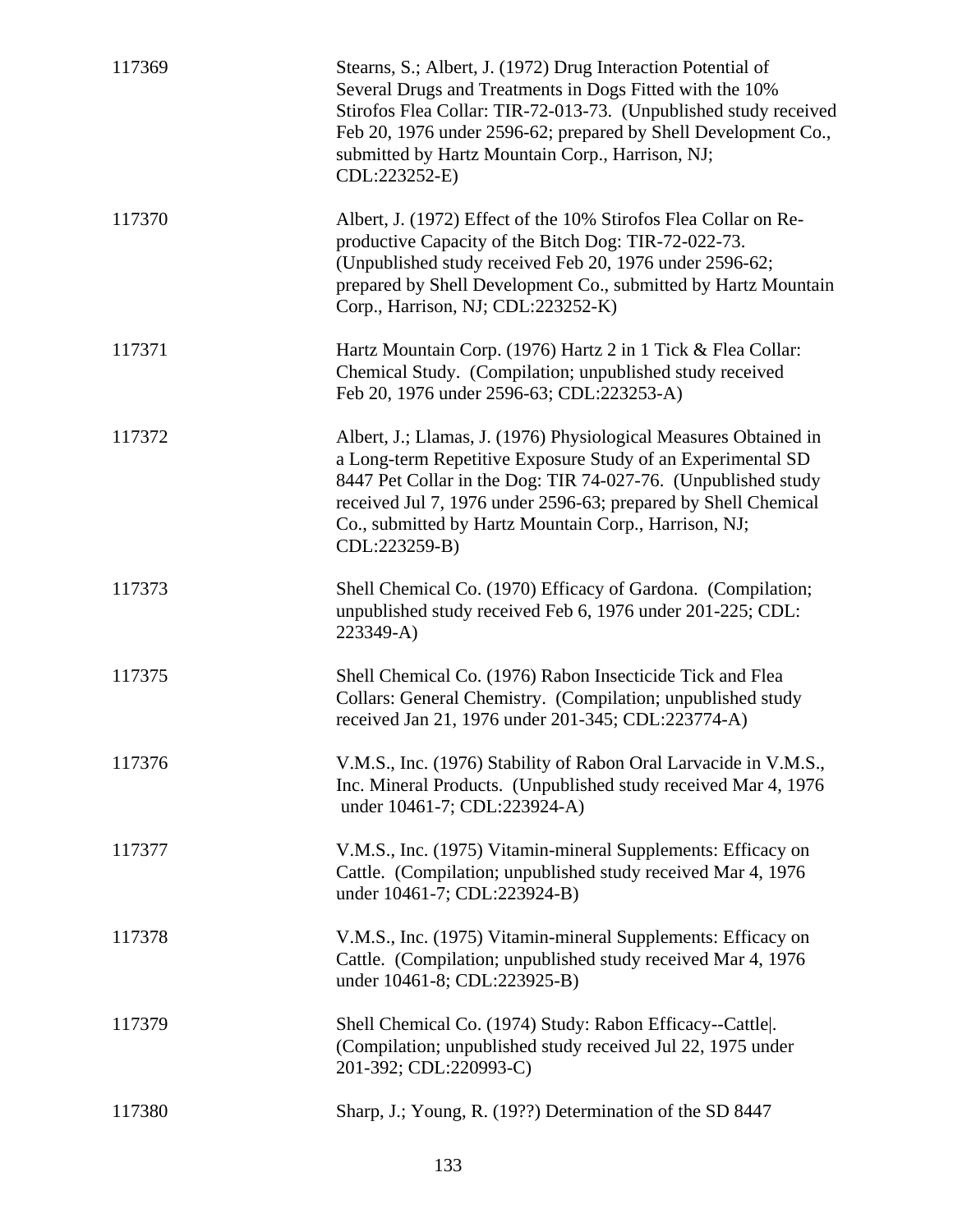| 117369 | Stearns, S.; Albert, J. (1972) Drug Interaction Potential of<br>Several Drugs and Treatments in Dogs Fitted with the 10%<br>Stirofos Flea Collar: TIR-72-013-73. (Unpublished study received<br>Feb 20, 1976 under 2596-62; prepared by Shell Development Co.,<br>submitted by Hartz Mountain Corp., Harrison, NJ;<br>CDL:223252-E)          |
|--------|----------------------------------------------------------------------------------------------------------------------------------------------------------------------------------------------------------------------------------------------------------------------------------------------------------------------------------------------|
| 117370 | Albert, J. (1972) Effect of the 10% Stirofos Flea Collar on Re-<br>productive Capacity of the Bitch Dog: TIR-72-022-73.<br>(Unpublished study received Feb 20, 1976 under 2596-62;<br>prepared by Shell Development Co., submitted by Hartz Mountain<br>Corp., Harrison, NJ; CDL:223252-K)                                                   |
| 117371 | Hartz Mountain Corp. (1976) Hartz 2 in 1 Tick & Flea Collar:<br>Chemical Study. (Compilation; unpublished study received<br>Feb 20, 1976 under 2596-63; CDL:223253-A)                                                                                                                                                                        |
| 117372 | Albert, J.; Llamas, J. (1976) Physiological Measures Obtained in<br>a Long-term Repetitive Exposure Study of an Experimental SD<br>8447 Pet Collar in the Dog: TIR 74-027-76. (Unpublished study<br>received Jul 7, 1976 under 2596-63; prepared by Shell Chemical<br>Co., submitted by Hartz Mountain Corp., Harrison, NJ;<br>CDL:223259-B) |
| 117373 | Shell Chemical Co. (1970) Efficacy of Gardona. (Compilation;<br>unpublished study received Feb 6, 1976 under 201-225; CDL:<br>223349-A)                                                                                                                                                                                                      |
| 117375 | Shell Chemical Co. (1976) Rabon Insecticide Tick and Flea<br>Collars: General Chemistry. (Compilation; unpublished study<br>received Jan 21, 1976 under 201-345; CDL:223774-A)                                                                                                                                                               |
| 117376 | V.M.S., Inc. (1976) Stability of Rabon Oral Larvacide in V.M.S.,<br>Inc. Mineral Products. (Unpublished study received Mar 4, 1976<br>under 10461-7; CDL:223924-A)                                                                                                                                                                           |
| 117377 | V.M.S., Inc. (1975) Vitamin-mineral Supplements: Efficacy on<br>Cattle. (Compilation; unpublished study received Mar 4, 1976<br>under 10461-7; CDL:223924-B)                                                                                                                                                                                 |
| 117378 | V.M.S., Inc. (1975) Vitamin-mineral Supplements: Efficacy on<br>Cattle. (Compilation; unpublished study received Mar 4, 1976)<br>under 10461-8; CDL:223925-B)                                                                                                                                                                                |
| 117379 | Shell Chemical Co. (1974) Study: Rabon Efficacy--Cattle.<br>(Compilation; unpublished study received Jul 22, 1975 under<br>201-392; CDL:220993-C)                                                                                                                                                                                            |
| 117380 | Sharp, J.; Young, R. (19??) Determination of the SD 8447                                                                                                                                                                                                                                                                                     |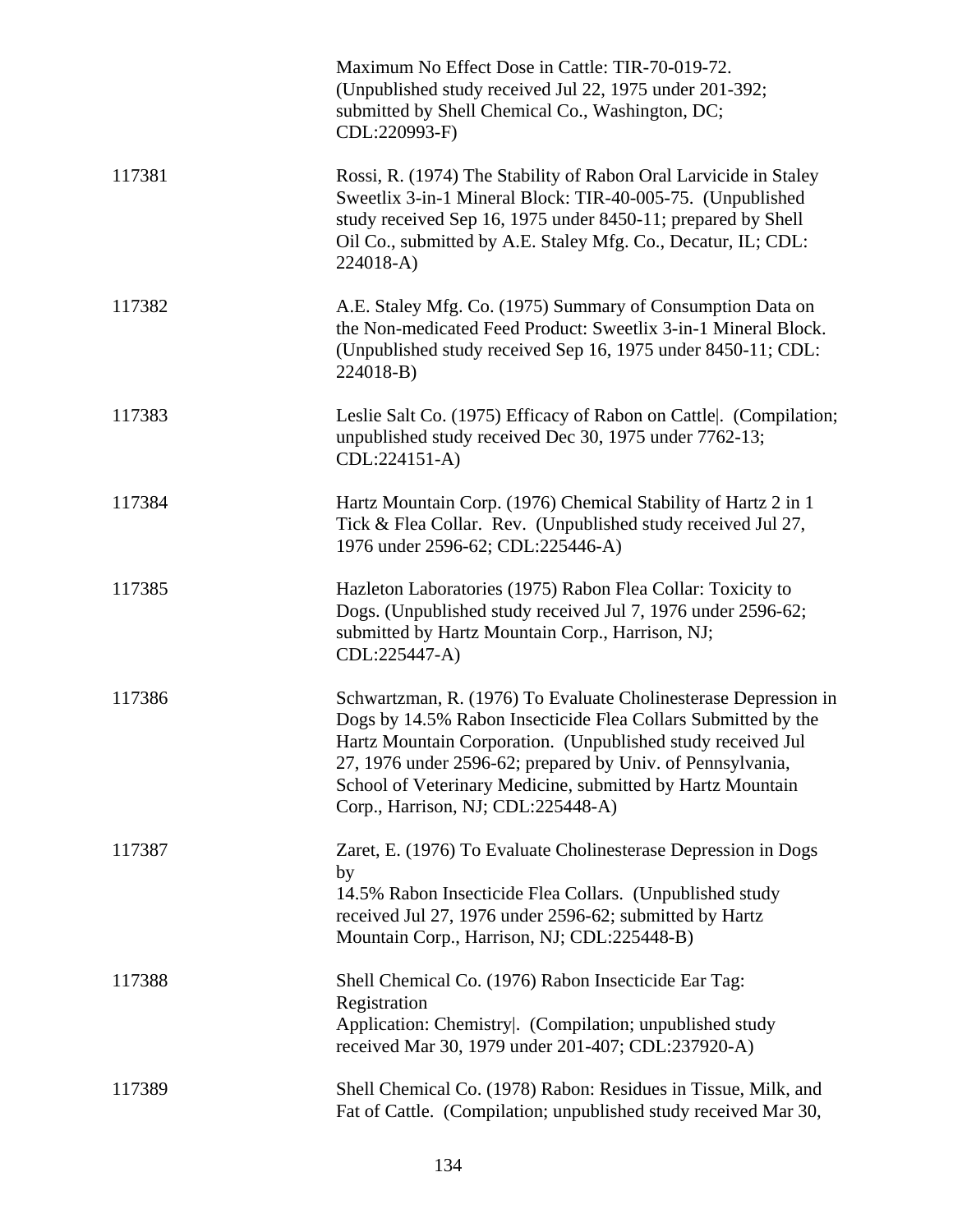|        | Maximum No Effect Dose in Cattle: TIR-70-019-72.<br>(Unpublished study received Jul 22, 1975 under 201-392;<br>submitted by Shell Chemical Co., Washington, DC;<br>CDL:220993-F)                                                                                                                                                                                  |
|--------|-------------------------------------------------------------------------------------------------------------------------------------------------------------------------------------------------------------------------------------------------------------------------------------------------------------------------------------------------------------------|
| 117381 | Rossi, R. (1974) The Stability of Rabon Oral Larvicide in Staley<br>Sweetlix 3-in-1 Mineral Block: TIR-40-005-75. (Unpublished<br>study received Sep 16, 1975 under 8450-11; prepared by Shell<br>Oil Co., submitted by A.E. Staley Mfg. Co., Decatur, IL; CDL:<br>224018-A)                                                                                      |
| 117382 | A.E. Staley Mfg. Co. (1975) Summary of Consumption Data on<br>the Non-medicated Feed Product: Sweetlix 3-in-1 Mineral Block.<br>(Unpublished study received Sep 16, 1975 under 8450-11; CDL:<br>224018-B)                                                                                                                                                         |
| 117383 | Leslie Salt Co. (1975) Efficacy of Rabon on Cattle. (Compilation;<br>unpublished study received Dec 30, 1975 under 7762-13;<br>CDL:224151-A)                                                                                                                                                                                                                      |
| 117384 | Hartz Mountain Corp. (1976) Chemical Stability of Hartz 2 in 1<br>Tick & Flea Collar. Rev. (Unpublished study received Jul 27,<br>1976 under 2596-62; CDL:225446-A)                                                                                                                                                                                               |
| 117385 | Hazleton Laboratories (1975) Rabon Flea Collar: Toxicity to<br>Dogs. (Unpublished study received Jul 7, 1976 under 2596-62;<br>submitted by Hartz Mountain Corp., Harrison, NJ;<br>CDL:225447-A)                                                                                                                                                                  |
| 117386 | Schwartzman, R. (1976) To Evaluate Cholinesterase Depression in<br>Dogs by 14.5% Rabon Insecticide Flea Collars Submitted by the<br>Hartz Mountain Corporation. (Unpublished study received Jul<br>27, 1976 under 2596-62; prepared by Univ. of Pennsylvania,<br>School of Veterinary Medicine, submitted by Hartz Mountain<br>Corp., Harrison, NJ; CDL:225448-A) |
| 117387 | Zaret, E. (1976) To Evaluate Cholinesterase Depression in Dogs<br>by<br>14.5% Rabon Insecticide Flea Collars. (Unpublished study<br>received Jul 27, 1976 under 2596-62; submitted by Hartz<br>Mountain Corp., Harrison, NJ; CDL:225448-B)                                                                                                                        |
| 117388 | Shell Chemical Co. (1976) Rabon Insecticide Ear Tag:<br>Registration<br>Application: Chemistry . (Compilation; unpublished study<br>received Mar 30, 1979 under 201-407; CDL:237920-A)                                                                                                                                                                            |
| 117389 | Shell Chemical Co. (1978) Rabon: Residues in Tissue, Milk, and<br>Fat of Cattle. (Compilation; unpublished study received Mar 30,                                                                                                                                                                                                                                 |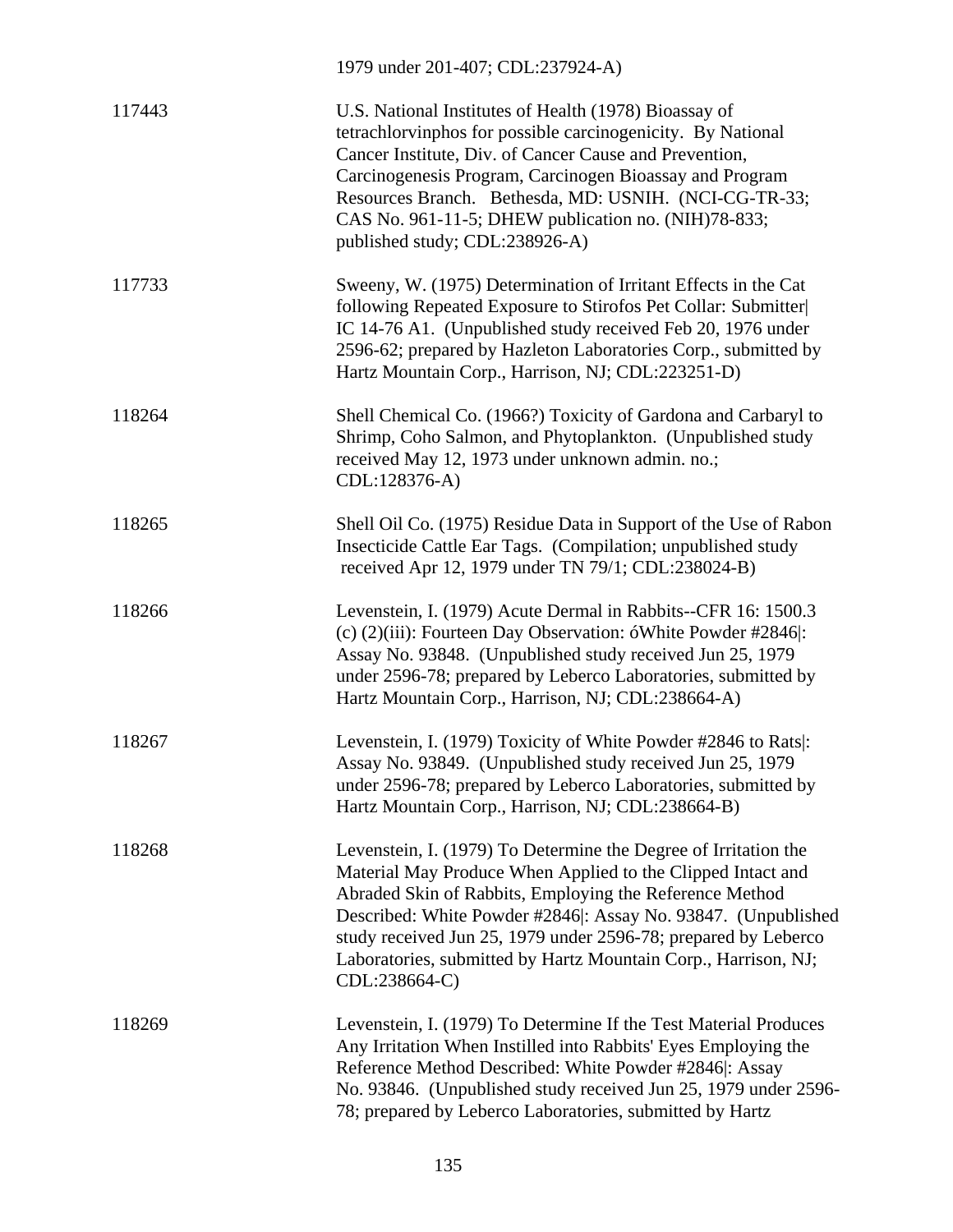|        | 1979 under 201-407; CDL:237924-A)                                                                                                                                                                                                                                                                                                                                                                               |
|--------|-----------------------------------------------------------------------------------------------------------------------------------------------------------------------------------------------------------------------------------------------------------------------------------------------------------------------------------------------------------------------------------------------------------------|
| 117443 | U.S. National Institutes of Health (1978) Bioassay of<br>tetrachlorvinphos for possible carcinogenicity. By National<br>Cancer Institute, Div. of Cancer Cause and Prevention,<br>Carcinogenesis Program, Carcinogen Bioassay and Program<br>Resources Branch. Bethesda, MD: USNIH. (NCI-CG-TR-33;<br>CAS No. 961-11-5; DHEW publication no. (NIH)78-833;<br>published study; CDL:238926-A)                     |
| 117733 | Sweeny, W. (1975) Determination of Irritant Effects in the Cat<br>following Repeated Exposure to Stirofos Pet Collar: Submitter<br>IC 14-76 A1. (Unpublished study received Feb 20, 1976 under<br>2596-62; prepared by Hazleton Laboratories Corp., submitted by<br>Hartz Mountain Corp., Harrison, NJ; CDL:223251-D)                                                                                           |
| 118264 | Shell Chemical Co. (1966?) Toxicity of Gardona and Carbaryl to<br>Shrimp, Coho Salmon, and Phytoplankton. (Unpublished study<br>received May 12, 1973 under unknown admin. no.;<br>CDL:128376-A)                                                                                                                                                                                                                |
| 118265 | Shell Oil Co. (1975) Residue Data in Support of the Use of Rabon<br>Insecticide Cattle Ear Tags. (Compilation; unpublished study<br>received Apr 12, 1979 under TN 79/1; CDL:238024-B)                                                                                                                                                                                                                          |
| 118266 | Levenstein, I. (1979) Acute Dermal in Rabbits--CFR 16: 1500.3<br>(c) (2)(iii): Fourteen Day Observation: óWhite Powder #2846 :<br>Assay No. 93848. (Unpublished study received Jun 25, 1979<br>under 2596-78; prepared by Leberco Laboratories, submitted by<br>Hartz Mountain Corp., Harrison, NJ; CDL:238664-A)                                                                                               |
| 118267 | Levenstein, I. (1979) Toxicity of White Powder #2846 to Rats :<br>Assay No. 93849. (Unpublished study received Jun 25, 1979)<br>under 2596-78; prepared by Leberco Laboratories, submitted by<br>Hartz Mountain Corp., Harrison, NJ; CDL:238664-B)                                                                                                                                                              |
| 118268 | Levenstein, I. (1979) To Determine the Degree of Irritation the<br>Material May Produce When Applied to the Clipped Intact and<br>Abraded Skin of Rabbits, Employing the Reference Method<br>Described: White Powder #2846 : Assay No. 93847. (Unpublished<br>study received Jun 25, 1979 under 2596-78; prepared by Leberco<br>Laboratories, submitted by Hartz Mountain Corp., Harrison, NJ;<br>CDL:238664-C) |
| 118269 | Levenstein, I. (1979) To Determine If the Test Material Produces<br>Any Irritation When Instilled into Rabbits' Eyes Employing the<br>Reference Method Described: White Powder #2846 : Assay<br>No. 93846. (Unpublished study received Jun 25, 1979 under 2596-<br>78; prepared by Leberco Laboratories, submitted by Hartz                                                                                     |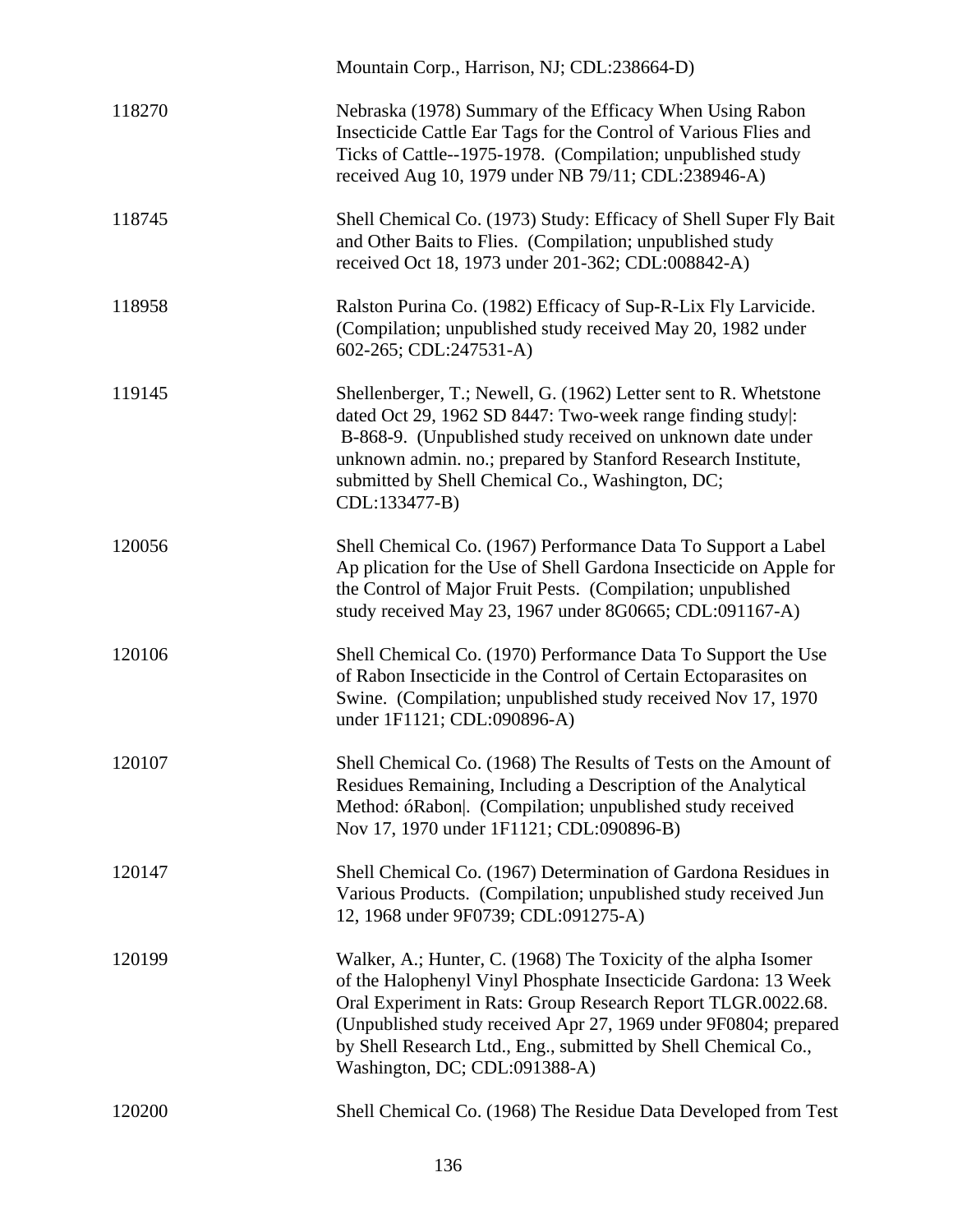|        | Mountain Corp., Harrison, NJ; CDL:238664-D)                                                                                                                                                                                                                                                                                                                            |
|--------|------------------------------------------------------------------------------------------------------------------------------------------------------------------------------------------------------------------------------------------------------------------------------------------------------------------------------------------------------------------------|
| 118270 | Nebraska (1978) Summary of the Efficacy When Using Rabon<br>Insecticide Cattle Ear Tags for the Control of Various Flies and<br>Ticks of Cattle--1975-1978. (Compilation; unpublished study<br>received Aug 10, 1979 under NB 79/11; CDL:238946-A)                                                                                                                     |
| 118745 | Shell Chemical Co. (1973) Study: Efficacy of Shell Super Fly Bait<br>and Other Baits to Flies. (Compilation; unpublished study<br>received Oct 18, 1973 under 201-362; CDL:008842-A)                                                                                                                                                                                   |
| 118958 | Ralston Purina Co. (1982) Efficacy of Sup-R-Lix Fly Larvicide.<br>(Compilation; unpublished study received May 20, 1982 under<br>602-265; CDL:247531-A)                                                                                                                                                                                                                |
| 119145 | Shellenberger, T.; Newell, G. (1962) Letter sent to R. Whetstone<br>dated Oct 29, 1962 SD 8447: Two-week range finding study :<br>B-868-9. (Unpublished study received on unknown date under<br>unknown admin. no.; prepared by Stanford Research Institute,<br>submitted by Shell Chemical Co., Washington, DC;<br>CDL:133477-B)                                      |
| 120056 | Shell Chemical Co. (1967) Performance Data To Support a Label<br>Ap plication for the Use of Shell Gardona Insecticide on Apple for<br>the Control of Major Fruit Pests. (Compilation; unpublished<br>study received May 23, 1967 under 8G0665; CDL:091167-A)                                                                                                          |
| 120106 | Shell Chemical Co. (1970) Performance Data To Support the Use<br>of Rabon Insecticide in the Control of Certain Ectoparasites on<br>Swine. (Compilation; unpublished study received Nov 17, 1970<br>under 1F1121; CDL:090896-A)                                                                                                                                        |
| 120107 | Shell Chemical Co. (1968) The Results of Tests on the Amount of<br>Residues Remaining, Including a Description of the Analytical<br>Method: óRabon . (Compilation; unpublished study received<br>Nov 17, 1970 under 1F1121; CDL:090896-B)                                                                                                                              |
| 120147 | Shell Chemical Co. (1967) Determination of Gardona Residues in<br>Various Products. (Compilation; unpublished study received Jun<br>12, 1968 under 9F0739; CDL:091275-A)                                                                                                                                                                                               |
| 120199 | Walker, A.; Hunter, C. (1968) The Toxicity of the alpha Isomer<br>of the Halophenyl Vinyl Phosphate Insecticide Gardona: 13 Week<br>Oral Experiment in Rats: Group Research Report TLGR.0022.68.<br>(Unpublished study received Apr 27, 1969 under 9F0804; prepared<br>by Shell Research Ltd., Eng., submitted by Shell Chemical Co.,<br>Washington, DC; CDL:091388-A) |
| 120200 | Shell Chemical Co. (1968) The Residue Data Developed from Test                                                                                                                                                                                                                                                                                                         |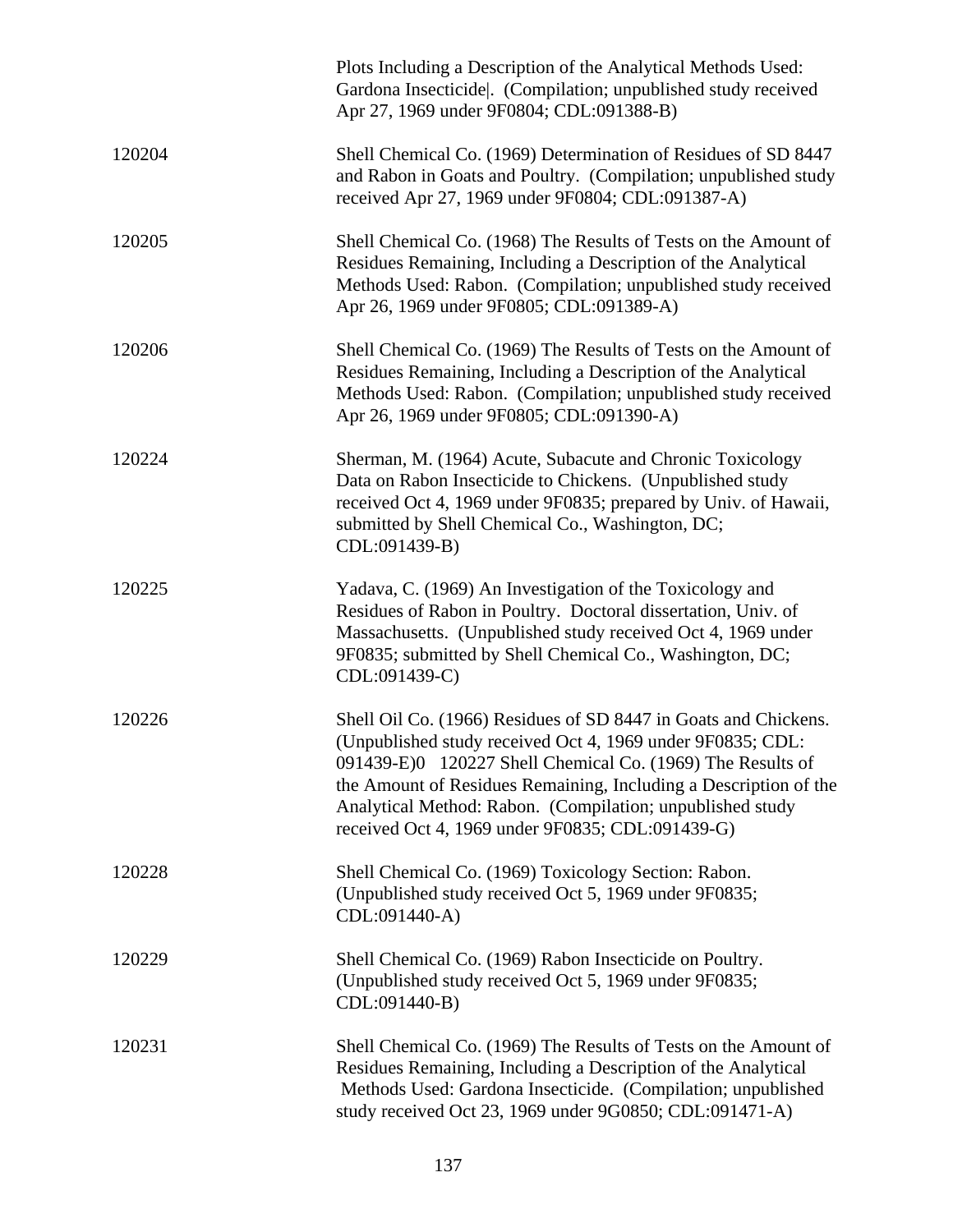|        | Plots Including a Description of the Analytical Methods Used:<br>Gardona Insecticide . (Compilation; unpublished study received<br>Apr 27, 1969 under 9F0804; CDL:091388-B)                                                                                                                                                                                                      |
|--------|----------------------------------------------------------------------------------------------------------------------------------------------------------------------------------------------------------------------------------------------------------------------------------------------------------------------------------------------------------------------------------|
| 120204 | Shell Chemical Co. (1969) Determination of Residues of SD 8447<br>and Rabon in Goats and Poultry. (Compilation; unpublished study<br>received Apr 27, 1969 under 9F0804; CDL:091387-A)                                                                                                                                                                                           |
| 120205 | Shell Chemical Co. (1968) The Results of Tests on the Amount of<br>Residues Remaining, Including a Description of the Analytical<br>Methods Used: Rabon. (Compilation; unpublished study received<br>Apr 26, 1969 under 9F0805; CDL:091389-A)                                                                                                                                    |
| 120206 | Shell Chemical Co. (1969) The Results of Tests on the Amount of<br>Residues Remaining, Including a Description of the Analytical<br>Methods Used: Rabon. (Compilation; unpublished study received<br>Apr 26, 1969 under 9F0805; CDL:091390-A)                                                                                                                                    |
| 120224 | Sherman, M. (1964) Acute, Subacute and Chronic Toxicology<br>Data on Rabon Insecticide to Chickens. (Unpublished study<br>received Oct 4, 1969 under 9F0835; prepared by Univ. of Hawaii,<br>submitted by Shell Chemical Co., Washington, DC;<br>CDL:091439-B)                                                                                                                   |
| 120225 | Yadava, C. (1969) An Investigation of the Toxicology and<br>Residues of Rabon in Poultry. Doctoral dissertation, Univ. of<br>Massachusetts. (Unpublished study received Oct 4, 1969 under<br>9F0835; submitted by Shell Chemical Co., Washington, DC;<br>CDL:091439-C)                                                                                                           |
| 120226 | Shell Oil Co. (1966) Residues of SD 8447 in Goats and Chickens.<br>(Unpublished study received Oct 4, 1969 under 9F0835; CDL:<br>091439-E)0 120227 Shell Chemical Co. (1969) The Results of<br>the Amount of Residues Remaining, Including a Description of the<br>Analytical Method: Rabon. (Compilation; unpublished study<br>received Oct 4, 1969 under 9F0835; CDL:091439-G) |
| 120228 | Shell Chemical Co. (1969) Toxicology Section: Rabon.<br>(Unpublished study received Oct 5, 1969 under 9F0835;<br>CDL:091440-A)                                                                                                                                                                                                                                                   |
| 120229 | Shell Chemical Co. (1969) Rabon Insecticide on Poultry.<br>(Unpublished study received Oct 5, 1969 under 9F0835;<br>CDL:091440-B)                                                                                                                                                                                                                                                |
| 120231 | Shell Chemical Co. (1969) The Results of Tests on the Amount of<br>Residues Remaining, Including a Description of the Analytical<br>Methods Used: Gardona Insecticide. (Compilation; unpublished<br>study received Oct 23, 1969 under 9G0850; CDL:091471-A)                                                                                                                      |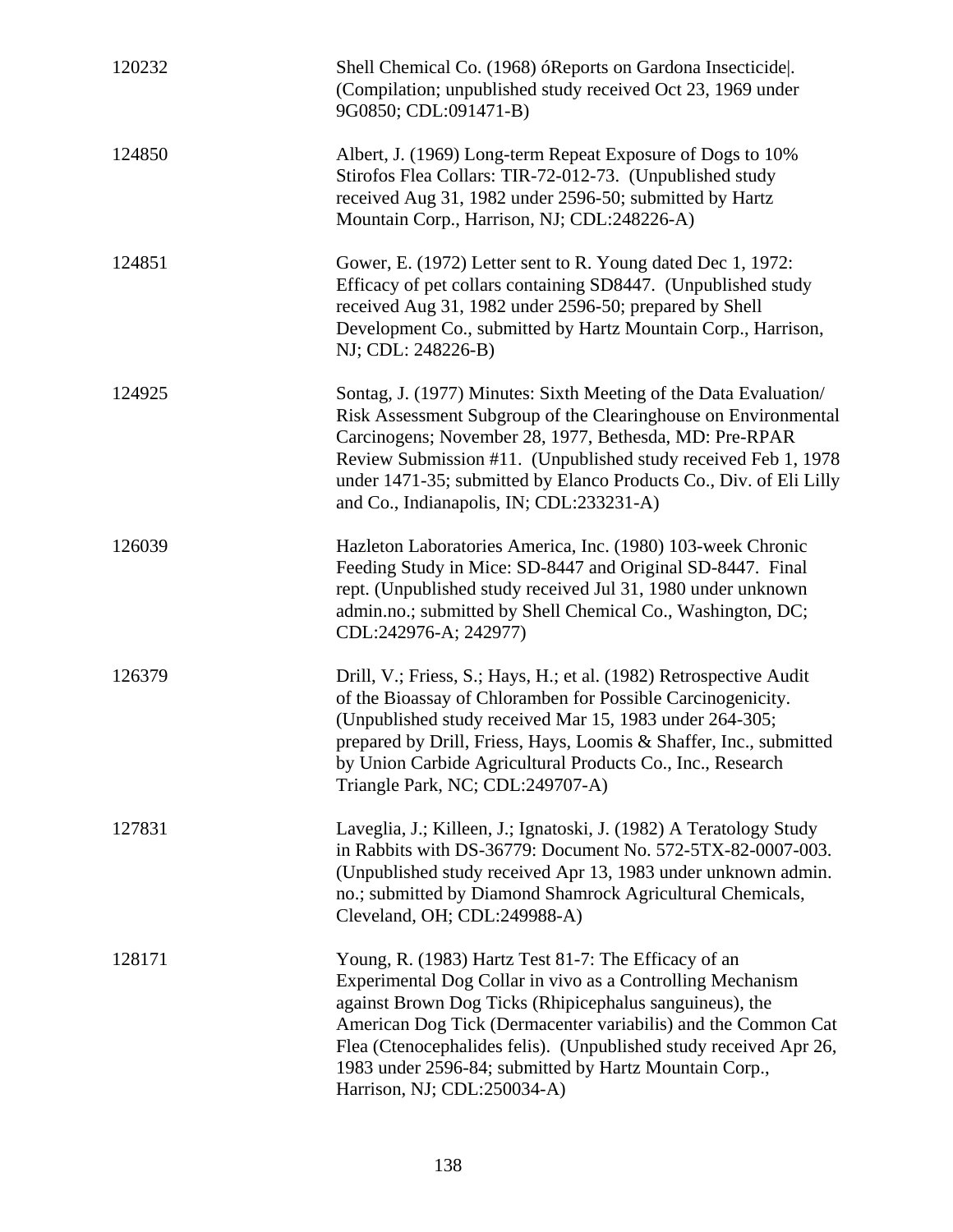| 120232 | Shell Chemical Co. (1968) óReports on Gardona Insecticide.<br>(Compilation; unpublished study received Oct 23, 1969 under<br>9G0850; CDL:091471-B)                                                                                                                                                                                                                                                           |
|--------|--------------------------------------------------------------------------------------------------------------------------------------------------------------------------------------------------------------------------------------------------------------------------------------------------------------------------------------------------------------------------------------------------------------|
| 124850 | Albert, J. (1969) Long-term Repeat Exposure of Dogs to 10%<br>Stirofos Flea Collars: TIR-72-012-73. (Unpublished study<br>received Aug 31, 1982 under 2596-50; submitted by Hartz<br>Mountain Corp., Harrison, NJ; CDL:248226-A)                                                                                                                                                                             |
| 124851 | Gower, E. (1972) Letter sent to R. Young dated Dec 1, 1972:<br>Efficacy of pet collars containing SD8447. (Unpublished study<br>received Aug 31, 1982 under 2596-50; prepared by Shell<br>Development Co., submitted by Hartz Mountain Corp., Harrison,<br>NJ; CDL: 248226-B)                                                                                                                                |
| 124925 | Sontag, J. (1977) Minutes: Sixth Meeting of the Data Evaluation/<br>Risk Assessment Subgroup of the Clearinghouse on Environmental<br>Carcinogens; November 28, 1977, Bethesda, MD: Pre-RPAR<br>Review Submission #11. (Unpublished study received Feb 1, 1978)<br>under 1471-35; submitted by Elanco Products Co., Div. of Eli Lilly<br>and Co., Indianapolis, IN; CDL:233231-A)                            |
| 126039 | Hazleton Laboratories America, Inc. (1980) 103-week Chronic<br>Feeding Study in Mice: SD-8447 and Original SD-8447. Final<br>rept. (Unpublished study received Jul 31, 1980 under unknown<br>admin.no.; submitted by Shell Chemical Co., Washington, DC;<br>CDL:242976-A; 242977)                                                                                                                            |
| 126379 | Drill, V.; Friess, S.; Hays, H.; et al. (1982) Retrospective Audit<br>of the Bioassay of Chloramben for Possible Carcinogenicity.<br>(Unpublished study received Mar 15, 1983 under 264-305;<br>prepared by Drill, Friess, Hays, Loomis & Shaffer, Inc., submitted<br>by Union Carbide Agricultural Products Co., Inc., Research<br>Triangle Park, NC; CDL:249707-A)                                         |
| 127831 | Laveglia, J.; Killeen, J.; Ignatoski, J. (1982) A Teratology Study<br>in Rabbits with DS-36779: Document No. 572-5TX-82-0007-003.<br>(Unpublished study received Apr 13, 1983 under unknown admin.<br>no.; submitted by Diamond Shamrock Agricultural Chemicals,<br>Cleveland, OH; CDL:249988-A)                                                                                                             |
| 128171 | Young, R. (1983) Hartz Test 81-7: The Efficacy of an<br>Experimental Dog Collar in vivo as a Controlling Mechanism<br>against Brown Dog Ticks (Rhipicephalus sanguineus), the<br>American Dog Tick (Dermacenter variabilis) and the Common Cat<br>Flea (Ctenocephalides felis). (Unpublished study received Apr 26,<br>1983 under 2596-84; submitted by Hartz Mountain Corp.,<br>Harrison, NJ; CDL:250034-A) |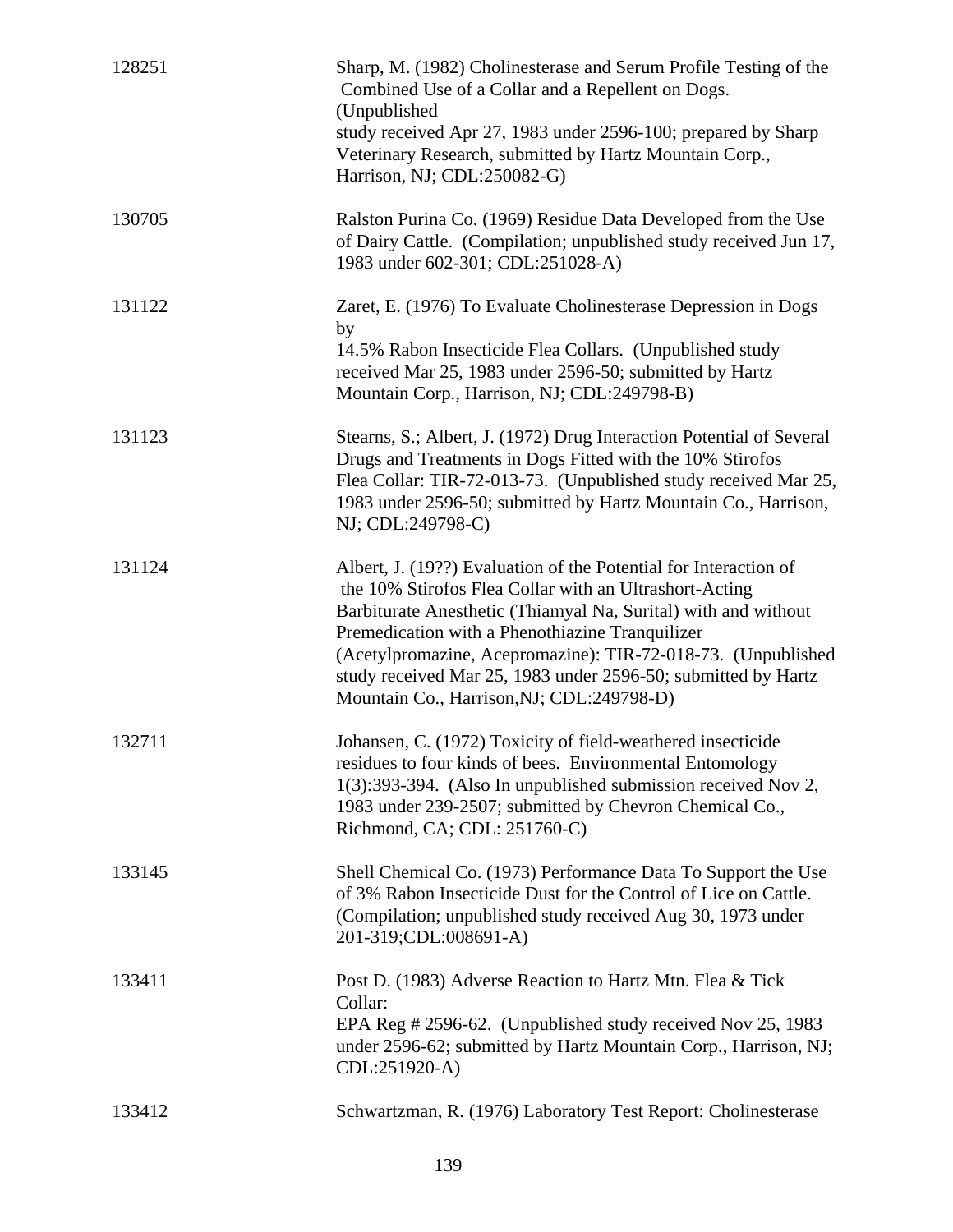| 128251 | Sharp, M. (1982) Cholinesterase and Serum Profile Testing of the<br>Combined Use of a Collar and a Repellent on Dogs.<br>(Unpublished                                                                                                                                                                                                                                                                                         |
|--------|-------------------------------------------------------------------------------------------------------------------------------------------------------------------------------------------------------------------------------------------------------------------------------------------------------------------------------------------------------------------------------------------------------------------------------|
|        | study received Apr 27, 1983 under 2596-100; prepared by Sharp<br>Veterinary Research, submitted by Hartz Mountain Corp.,<br>Harrison, NJ; CDL:250082-G)                                                                                                                                                                                                                                                                       |
| 130705 | Ralston Purina Co. (1969) Residue Data Developed from the Use<br>of Dairy Cattle. (Compilation; unpublished study received Jun 17,<br>1983 under 602-301; CDL:251028-A)                                                                                                                                                                                                                                                       |
| 131122 | Zaret, E. (1976) To Evaluate Cholinesterase Depression in Dogs<br>by<br>14.5% Rabon Insecticide Flea Collars. (Unpublished study<br>received Mar 25, 1983 under 2596-50; submitted by Hartz<br>Mountain Corp., Harrison, NJ; CDL:249798-B)                                                                                                                                                                                    |
| 131123 | Stearns, S.; Albert, J. (1972) Drug Interaction Potential of Several<br>Drugs and Treatments in Dogs Fitted with the 10% Stirofos<br>Flea Collar: TIR-72-013-73. (Unpublished study received Mar 25,<br>1983 under 2596-50; submitted by Hartz Mountain Co., Harrison,<br>NJ; CDL:249798-C)                                                                                                                                   |
| 131124 | Albert, J. (19??) Evaluation of the Potential for Interaction of<br>the 10% Stirofos Flea Collar with an Ultrashort-Acting<br>Barbiturate Anesthetic (Thiamyal Na, Surital) with and without<br>Premedication with a Phenothiazine Tranquilizer<br>(Acetylpromazine, Acepromazine): TIR-72-018-73. (Unpublished<br>study received Mar 25, 1983 under 2596-50; submitted by Hartz<br>Mountain Co., Harrison, NJ; CDL:249798-D) |
| 132711 | Johansen, C. (1972) Toxicity of field-weathered insecticide<br>residues to four kinds of bees. Environmental Entomology<br>1(3):393-394. (Also In unpublished submission received Nov 2,<br>1983 under 239-2507; submitted by Chevron Chemical Co.,<br>Richmond, CA; CDL: 251760-C)                                                                                                                                           |
| 133145 | Shell Chemical Co. (1973) Performance Data To Support the Use<br>of 3% Rabon Insecticide Dust for the Control of Lice on Cattle.<br>(Compilation; unpublished study received Aug 30, 1973 under<br>201-319;CDL:008691-A)                                                                                                                                                                                                      |
| 133411 | Post D. (1983) Adverse Reaction to Hartz Mtn. Flea & Tick<br>Collar:<br>EPA Reg # 2596-62. (Unpublished study received Nov 25, 1983<br>under 2596-62; submitted by Hartz Mountain Corp., Harrison, NJ;<br>CDL:251920-A)                                                                                                                                                                                                       |
| 133412 | Schwartzman, R. (1976) Laboratory Test Report: Cholinesterase                                                                                                                                                                                                                                                                                                                                                                 |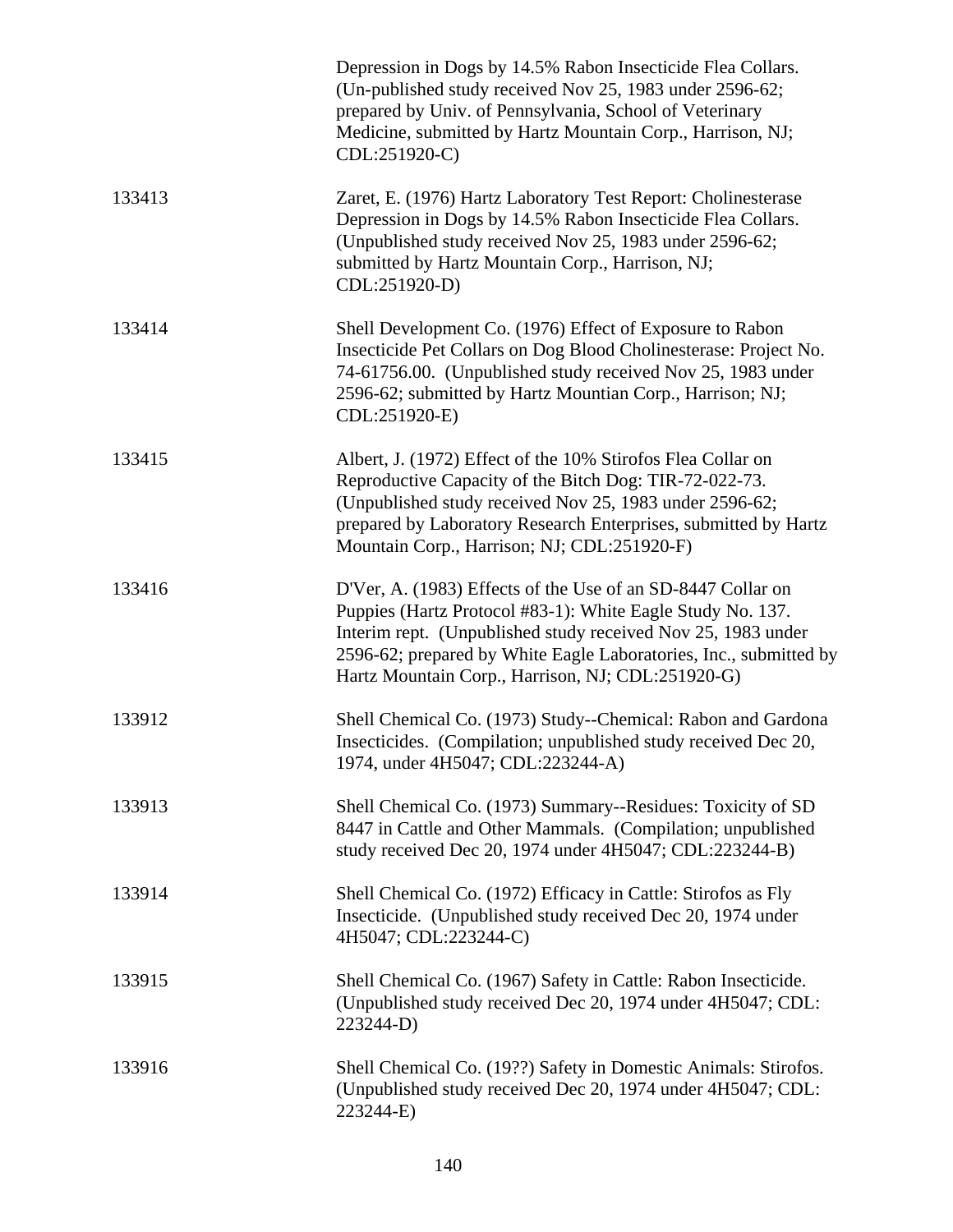|        | Depression in Dogs by 14.5% Rabon Insecticide Flea Collars.<br>(Un-published study received Nov 25, 1983 under 2596-62;<br>prepared by Univ. of Pennsylvania, School of Veterinary<br>Medicine, submitted by Hartz Mountain Corp., Harrison, NJ;<br>CDL:251920-C)                                                   |
|--------|---------------------------------------------------------------------------------------------------------------------------------------------------------------------------------------------------------------------------------------------------------------------------------------------------------------------|
| 133413 | Zaret, E. (1976) Hartz Laboratory Test Report: Cholinesterase<br>Depression in Dogs by 14.5% Rabon Insecticide Flea Collars.<br>(Unpublished study received Nov 25, 1983 under 2596-62;<br>submitted by Hartz Mountain Corp., Harrison, NJ;<br>CDL:251920-D)                                                        |
| 133414 | Shell Development Co. (1976) Effect of Exposure to Rabon<br>Insecticide Pet Collars on Dog Blood Cholinesterase: Project No.<br>74-61756.00. (Unpublished study received Nov 25, 1983 under<br>2596-62; submitted by Hartz Mountian Corp., Harrison; NJ;<br>CDL:251920-E)                                           |
| 133415 | Albert, J. (1972) Effect of the 10% Stirofos Flea Collar on<br>Reproductive Capacity of the Bitch Dog: TIR-72-022-73.<br>(Unpublished study received Nov 25, 1983 under 2596-62;<br>prepared by Laboratory Research Enterprises, submitted by Hartz<br>Mountain Corp., Harrison; NJ; CDL:251920-F)                  |
| 133416 | D'Ver, A. (1983) Effects of the Use of an SD-8447 Collar on<br>Puppies (Hartz Protocol #83-1): White Eagle Study No. 137.<br>Interim rept. (Unpublished study received Nov 25, 1983 under<br>2596-62; prepared by White Eagle Laboratories, Inc., submitted by<br>Hartz Mountain Corp., Harrison, NJ; CDL:251920-G) |
| 133912 | Shell Chemical Co. (1973) Study--Chemical: Rabon and Gardona<br>Insecticides. (Compilation; unpublished study received Dec 20,<br>1974, under 4H5047; CDL:223244-A)                                                                                                                                                 |
| 133913 | Shell Chemical Co. (1973) Summary--Residues: Toxicity of SD<br>8447 in Cattle and Other Mammals. (Compilation; unpublished<br>study received Dec 20, 1974 under 4H5047; CDL:223244-B)                                                                                                                               |
| 133914 | Shell Chemical Co. (1972) Efficacy in Cattle: Stirofos as Fly<br>Insecticide. (Unpublished study received Dec 20, 1974 under<br>4H5047; CDL:223244-C)                                                                                                                                                               |
| 133915 | Shell Chemical Co. (1967) Safety in Cattle: Rabon Insecticide.<br>(Unpublished study received Dec 20, 1974 under 4H5047; CDL:<br>223244-D)                                                                                                                                                                          |
| 133916 | Shell Chemical Co. (19??) Safety in Domestic Animals: Stirofos.<br>(Unpublished study received Dec 20, 1974 under 4H5047; CDL:<br>223244-E)                                                                                                                                                                         |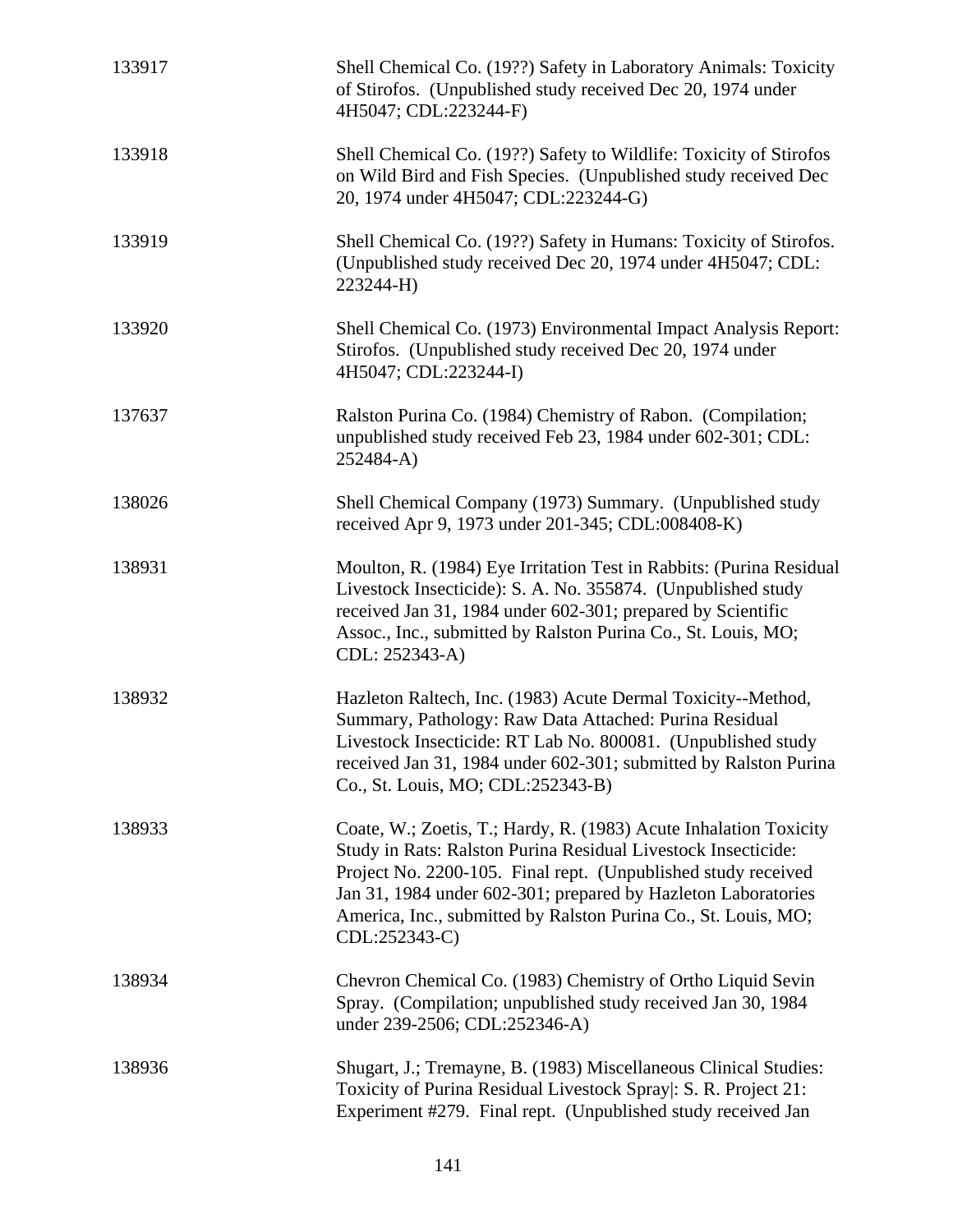| 133917 | Shell Chemical Co. (19??) Safety in Laboratory Animals: Toxicity<br>of Stirofos. (Unpublished study received Dec 20, 1974 under<br>4H5047; CDL:223244-F)                                                                                                                                                                                                |
|--------|---------------------------------------------------------------------------------------------------------------------------------------------------------------------------------------------------------------------------------------------------------------------------------------------------------------------------------------------------------|
| 133918 | Shell Chemical Co. (19??) Safety to Wildlife: Toxicity of Stirofos<br>on Wild Bird and Fish Species. (Unpublished study received Dec<br>20, 1974 under 4H5047; CDL:223244-G)                                                                                                                                                                            |
| 133919 | Shell Chemical Co. (19??) Safety in Humans: Toxicity of Stirofos.<br>(Unpublished study received Dec 20, 1974 under 4H5047; CDL:<br>223244-H)                                                                                                                                                                                                           |
| 133920 | Shell Chemical Co. (1973) Environmental Impact Analysis Report:<br>Stirofos. (Unpublished study received Dec 20, 1974 under<br>4H5047; CDL:223244-I)                                                                                                                                                                                                    |
| 137637 | Ralston Purina Co. (1984) Chemistry of Rabon. (Compilation;<br>unpublished study received Feb 23, 1984 under 602-301; CDL:<br>252484-A)                                                                                                                                                                                                                 |
| 138026 | Shell Chemical Company (1973) Summary. (Unpublished study<br>received Apr 9, 1973 under 201-345; CDL:008408-K)                                                                                                                                                                                                                                          |
| 138931 | Moulton, R. (1984) Eye Irritation Test in Rabbits: (Purina Residual<br>Livestock Insecticide): S. A. No. 355874. (Unpublished study<br>received Jan 31, 1984 under 602-301; prepared by Scientific<br>Assoc., Inc., submitted by Ralston Purina Co., St. Louis, MO;<br>CDL: 252343-A)                                                                   |
| 138932 | Hazleton Raltech, Inc. (1983) Acute Dermal Toxicity--Method,<br>Summary, Pathology: Raw Data Attached: Purina Residual<br>Livestock Insecticide: RT Lab No. 800081. (Unpublished study<br>received Jan 31, 1984 under 602-301; submitted by Ralston Purina<br>Co., St. Louis, MO; CDL:252343-B)                                                         |
| 138933 | Coate, W.; Zoetis, T.; Hardy, R. (1983) Acute Inhalation Toxicity<br>Study in Rats: Ralston Purina Residual Livestock Insecticide:<br>Project No. 2200-105. Final rept. (Unpublished study received<br>Jan 31, 1984 under 602-301; prepared by Hazleton Laboratories<br>America, Inc., submitted by Ralston Purina Co., St. Louis, MO;<br>CDL:252343-C) |
| 138934 | Chevron Chemical Co. (1983) Chemistry of Ortho Liquid Sevin<br>Spray. (Compilation; unpublished study received Jan 30, 1984<br>under 239-2506; CDL:252346-A)                                                                                                                                                                                            |
| 138936 | Shugart, J.; Tremayne, B. (1983) Miscellaneous Clinical Studies:<br>Toxicity of Purina Residual Livestock Spray : S. R. Project 21:<br>Experiment #279. Final rept. (Unpublished study received Jan                                                                                                                                                     |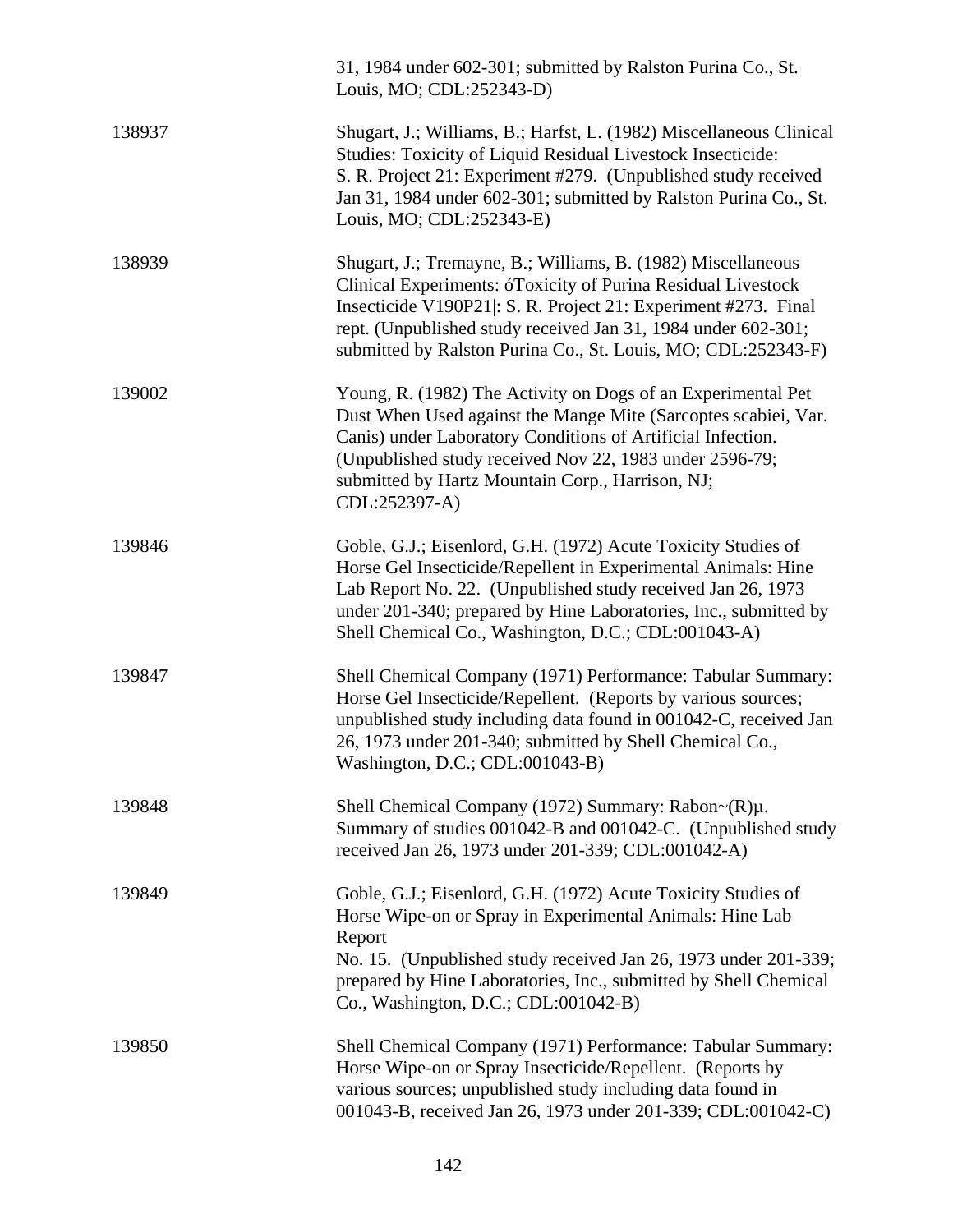|        | 31, 1984 under 602-301; submitted by Ralston Purina Co., St.<br>Louis, MO; CDL:252343-D)                                                                                                                                                                                                                                        |
|--------|---------------------------------------------------------------------------------------------------------------------------------------------------------------------------------------------------------------------------------------------------------------------------------------------------------------------------------|
| 138937 | Shugart, J.; Williams, B.; Harfst, L. (1982) Miscellaneous Clinical<br>Studies: Toxicity of Liquid Residual Livestock Insecticide:<br>S. R. Project 21: Experiment #279. (Unpublished study received<br>Jan 31, 1984 under 602-301; submitted by Ralston Purina Co., St.<br>Louis, MO; CDL:252343-E)                            |
| 138939 | Shugart, J.; Tremayne, B.; Williams, B. (1982) Miscellaneous<br>Clinical Experiments: óToxicity of Purina Residual Livestock<br>Insecticide V190P21: S. R. Project 21: Experiment #273. Final<br>rept. (Unpublished study received Jan 31, 1984 under 602-301;<br>submitted by Ralston Purina Co., St. Louis, MO; CDL:252343-F) |
| 139002 | Young, R. (1982) The Activity on Dogs of an Experimental Pet<br>Dust When Used against the Mange Mite (Sarcoptes scabiei, Var.<br>Canis) under Laboratory Conditions of Artificial Infection.<br>(Unpublished study received Nov 22, 1983 under 2596-79;<br>submitted by Hartz Mountain Corp., Harrison, NJ;<br>CDL:252397-A)   |
| 139846 | Goble, G.J.; Eisenlord, G.H. (1972) Acute Toxicity Studies of<br>Horse Gel Insecticide/Repellent in Experimental Animals: Hine<br>Lab Report No. 22. (Unpublished study received Jan 26, 1973)<br>under 201-340; prepared by Hine Laboratories, Inc., submitted by<br>Shell Chemical Co., Washington, D.C.; CDL:001043-A)       |
| 139847 | Shell Chemical Company (1971) Performance: Tabular Summary:<br>Horse Gel Insecticide/Repellent. (Reports by various sources;<br>unpublished study including data found in 001042-C, received Jan<br>26, 1973 under 201-340; submitted by Shell Chemical Co.,<br>Washington, D.C.; CDL:001043-B)                                 |
| 139848 | Shell Chemical Company (1972) Summary: $Rabon \sim (R)\mu$ .<br>Summary of studies 001042-B and 001042-C. (Unpublished study<br>received Jan 26, 1973 under 201-339; CDL:001042-A)                                                                                                                                              |
| 139849 | Goble, G.J.; Eisenlord, G.H. (1972) Acute Toxicity Studies of<br>Horse Wipe-on or Spray in Experimental Animals: Hine Lab<br>Report<br>No. 15. (Unpublished study received Jan 26, 1973 under 201-339;<br>prepared by Hine Laboratories, Inc., submitted by Shell Chemical<br>Co., Washington, D.C.; CDL:001042-B)              |
| 139850 | Shell Chemical Company (1971) Performance: Tabular Summary:<br>Horse Wipe-on or Spray Insecticide/Repellent. (Reports by<br>various sources; unpublished study including data found in<br>001043-B, received Jan 26, 1973 under 201-339; CDL:001042-C)                                                                          |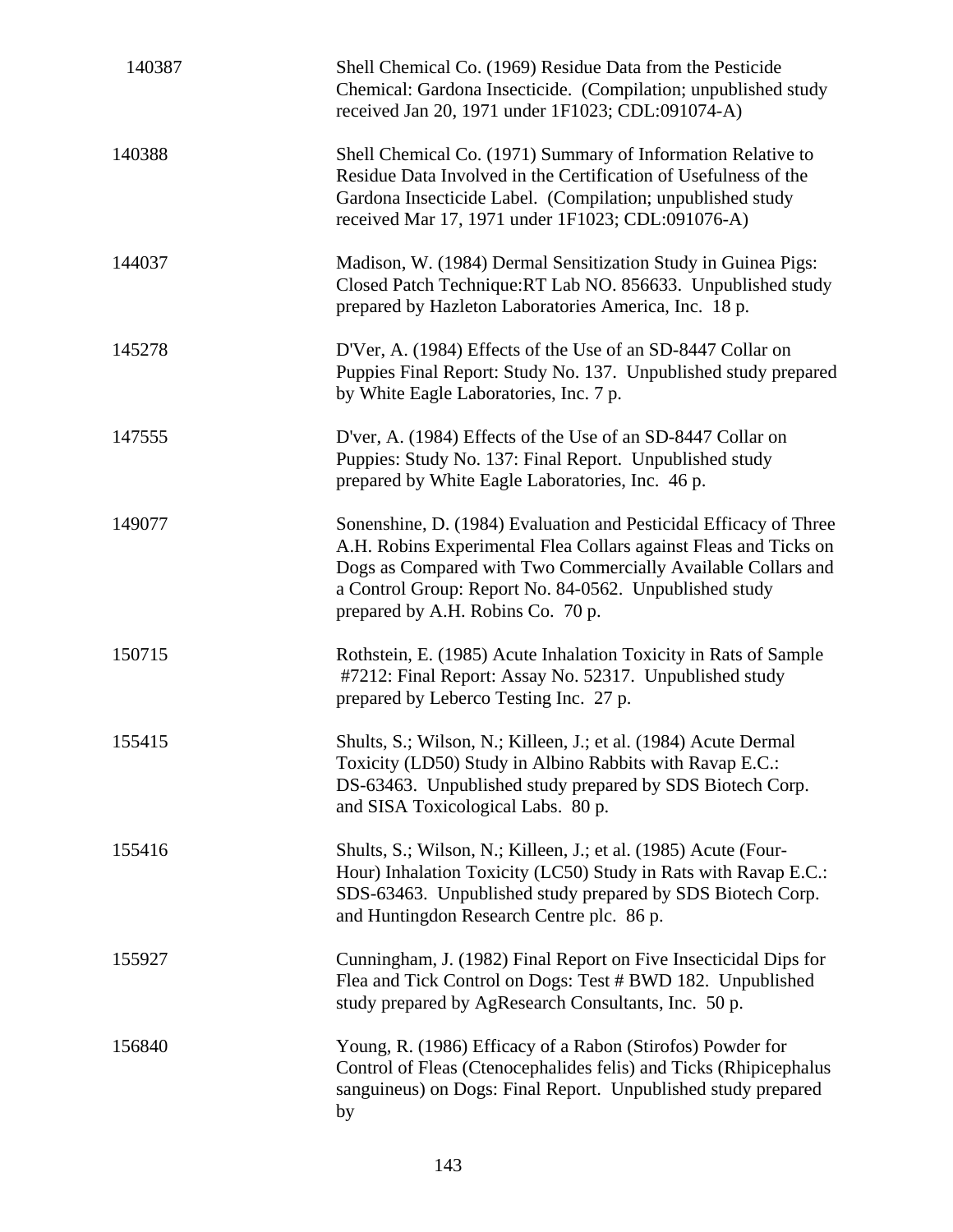| 140387 | Shell Chemical Co. (1969) Residue Data from the Pesticide<br>Chemical: Gardona Insecticide. (Compilation; unpublished study<br>received Jan 20, 1971 under 1F1023; CDL:091074-A)                                                                                                                     |
|--------|------------------------------------------------------------------------------------------------------------------------------------------------------------------------------------------------------------------------------------------------------------------------------------------------------|
| 140388 | Shell Chemical Co. (1971) Summary of Information Relative to<br>Residue Data Involved in the Certification of Usefulness of the<br>Gardona Insecticide Label. (Compilation; unpublished study<br>received Mar 17, 1971 under 1F1023; CDL:091076-A)                                                   |
| 144037 | Madison, W. (1984) Dermal Sensitization Study in Guinea Pigs:<br>Closed Patch Technique:RT Lab NO. 856633. Unpublished study<br>prepared by Hazleton Laboratories America, Inc. 18 p.                                                                                                                |
| 145278 | D'Ver, A. (1984) Effects of the Use of an SD-8447 Collar on<br>Puppies Final Report: Study No. 137. Unpublished study prepared<br>by White Eagle Laboratories, Inc. 7 p.                                                                                                                             |
| 147555 | D'ver, A. (1984) Effects of the Use of an SD-8447 Collar on<br>Puppies: Study No. 137: Final Report. Unpublished study<br>prepared by White Eagle Laboratories, Inc. 46 p.                                                                                                                           |
| 149077 | Sonenshine, D. (1984) Evaluation and Pesticidal Efficacy of Three<br>A.H. Robins Experimental Flea Collars against Fleas and Ticks on<br>Dogs as Compared with Two Commercially Available Collars and<br>a Control Group: Report No. 84-0562. Unpublished study<br>prepared by A.H. Robins Co. 70 p. |
| 150715 | Rothstein, E. (1985) Acute Inhalation Toxicity in Rats of Sample<br>#7212: Final Report: Assay No. 52317. Unpublished study<br>prepared by Leberco Testing Inc. 27 p.                                                                                                                                |
| 155415 | Shults, S.; Wilson, N.; Killeen, J.; et al. (1984) Acute Dermal<br>Toxicity (LD50) Study in Albino Rabbits with Ravap E.C.:<br>DS-63463. Unpublished study prepared by SDS Biotech Corp.<br>and SISA Toxicological Labs. 80 p.                                                                       |
| 155416 | Shults, S.; Wilson, N.; Killeen, J.; et al. (1985) Acute (Four-<br>Hour) Inhalation Toxicity (LC50) Study in Rats with Ravap E.C.:<br>SDS-63463. Unpublished study prepared by SDS Biotech Corp.<br>and Huntingdon Research Centre plc. 86 p.                                                        |
| 155927 | Cunningham, J. (1982) Final Report on Five Insecticidal Dips for<br>Flea and Tick Control on Dogs: Test # BWD 182. Unpublished<br>study prepared by AgResearch Consultants, Inc. 50 p.                                                                                                               |
| 156840 | Young, R. (1986) Efficacy of a Rabon (Stirofos) Powder for<br>Control of Fleas (Ctenocephalides felis) and Ticks (Rhipicephalus<br>sanguineus) on Dogs: Final Report. Unpublished study prepared<br>by                                                                                               |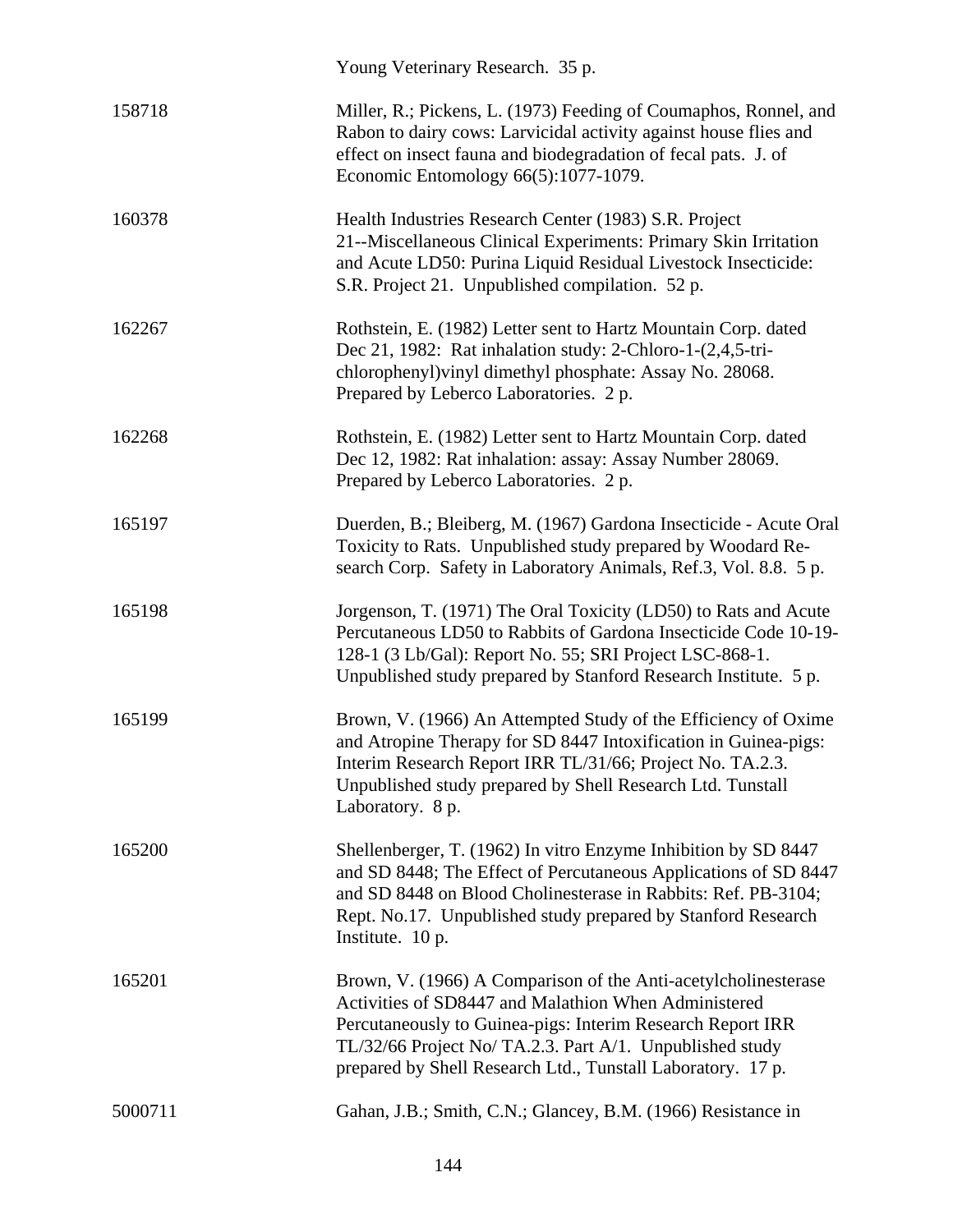|         | Young Veterinary Research. 35 p.                                                                                                                                                                                                                                                                                |
|---------|-----------------------------------------------------------------------------------------------------------------------------------------------------------------------------------------------------------------------------------------------------------------------------------------------------------------|
| 158718  | Miller, R.; Pickens, L. (1973) Feeding of Coumaphos, Ronnel, and<br>Rabon to dairy cows: Larvicidal activity against house flies and<br>effect on insect fauna and biodegradation of fecal pats. J. of<br>Economic Entomology 66(5):1077-1079.                                                                  |
| 160378  | Health Industries Research Center (1983) S.R. Project<br>21--Miscellaneous Clinical Experiments: Primary Skin Irritation<br>and Acute LD50: Purina Liquid Residual Livestock Insecticide:<br>S.R. Project 21. Unpublished compilation. 52 p.                                                                    |
| 162267  | Rothstein, E. (1982) Letter sent to Hartz Mountain Corp. dated<br>Dec 21, 1982: Rat inhalation study: 2-Chloro-1-(2,4,5-tri-<br>chlorophenyl) vinyl dimethyl phosphate: Assay No. 28068.<br>Prepared by Leberco Laboratories. 2 p.                                                                              |
| 162268  | Rothstein, E. (1982) Letter sent to Hartz Mountain Corp. dated<br>Dec 12, 1982: Rat inhalation: assay: Assay Number 28069.<br>Prepared by Leberco Laboratories. 2 p.                                                                                                                                            |
| 165197  | Duerden, B.; Bleiberg, M. (1967) Gardona Insecticide - Acute Oral<br>Toxicity to Rats. Unpublished study prepared by Woodard Re-<br>search Corp. Safety in Laboratory Animals, Ref.3, Vol. 8.8. 5 p.                                                                                                            |
| 165198  | Jorgenson, T. (1971) The Oral Toxicity (LD50) to Rats and Acute<br>Percutaneous LD50 to Rabbits of Gardona Insecticide Code 10-19-<br>128-1 (3 Lb/Gal): Report No. 55; SRI Project LSC-868-1.<br>Unpublished study prepared by Stanford Research Institute. 5 p.                                                |
| 165199  | Brown, V. (1966) An Attempted Study of the Efficiency of Oxime<br>and Atropine Therapy for SD 8447 Intoxification in Guinea-pigs:<br>Interim Research Report IRR TL/31/66; Project No. TA.2.3.<br>Unpublished study prepared by Shell Research Ltd. Tunstall<br>Laboratory. 8 p.                                |
| 165200  | Shellenberger, T. (1962) In vitro Enzyme Inhibition by SD 8447<br>and SD 8448; The Effect of Percutaneous Applications of SD 8447<br>and SD 8448 on Blood Cholinesterase in Rabbits: Ref. PB-3104;<br>Rept. No.17. Unpublished study prepared by Stanford Research<br>Institute. 10 p.                          |
| 165201  | Brown, V. (1966) A Comparison of the Anti-acetylcholinesterase<br>Activities of SD8447 and Malathion When Administered<br>Percutaneously to Guinea-pigs: Interim Research Report IRR<br>TL/32/66 Project No/ TA.2.3. Part A/1. Unpublished study<br>prepared by Shell Research Ltd., Tunstall Laboratory. 17 p. |
| 5000711 | Gahan, J.B.; Smith, C.N.; Glancey, B.M. (1966) Resistance in                                                                                                                                                                                                                                                    |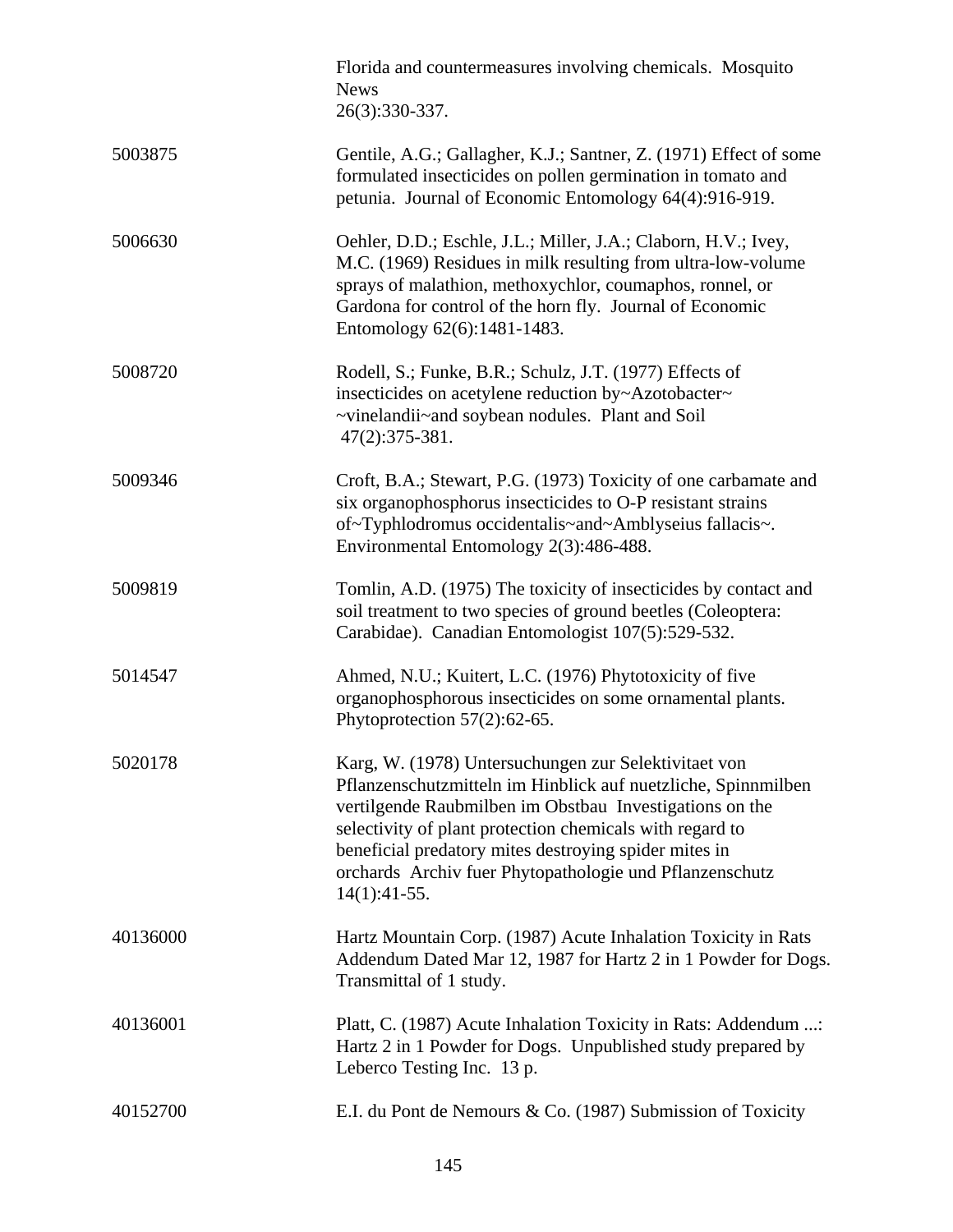|          | Florida and countermeasures involving chemicals. Mosquito<br><b>News</b><br>26(3):330-337.                                                                                                                                                                                                                                                                                         |
|----------|------------------------------------------------------------------------------------------------------------------------------------------------------------------------------------------------------------------------------------------------------------------------------------------------------------------------------------------------------------------------------------|
| 5003875  | Gentile, A.G.; Gallagher, K.J.; Santner, Z. (1971) Effect of some<br>formulated insecticides on pollen germination in tomato and<br>petunia. Journal of Economic Entomology 64(4):916-919.                                                                                                                                                                                         |
| 5006630  | Oehler, D.D.; Eschle, J.L.; Miller, J.A.; Claborn, H.V.; Ivey,<br>M.C. (1969) Residues in milk resulting from ultra-low-volume<br>sprays of malathion, methoxychlor, coumaphos, ronnel, or<br>Gardona for control of the horn fly. Journal of Economic<br>Entomology 62(6):1481-1483.                                                                                              |
| 5008720  | Rodell, S.; Funke, B.R.; Schulz, J.T. (1977) Effects of<br>insecticides on acetylene reduction by~Azotobacter~<br>~vinelandii~and soybean nodules. Plant and Soil<br>47(2):375-381.                                                                                                                                                                                                |
| 5009346  | Croft, B.A.; Stewart, P.G. (1973) Toxicity of one carbamate and<br>six organophosphorus insecticides to O-P resistant strains<br>of~Typhlodromus occidentalis~and~Amblyseius fallacis~.<br>Environmental Entomology 2(3):486-488.                                                                                                                                                  |
| 5009819  | Tomlin, A.D. (1975) The toxicity of insecticides by contact and<br>soil treatment to two species of ground beetles (Coleoptera:<br>Carabidae). Canadian Entomologist 107(5):529-532.                                                                                                                                                                                               |
| 5014547  | Ahmed, N.U.; Kuitert, L.C. (1976) Phytotoxicity of five<br>organophosphorous insecticides on some ornamental plants.<br>Phytoprotection 57(2):62-65.                                                                                                                                                                                                                               |
| 5020178  | Karg, W. (1978) Untersuchungen zur Selektivitaet von<br>Pflanzenschutzmitteln im Hinblick auf nuetzliche, Spinnmilben<br>vertilgende Raubmilben im Obstbau Investigations on the<br>selectivity of plant protection chemicals with regard to<br>beneficial predatory mites destroying spider mites in<br>orchards Archiv fuer Phytopathologie und Pflanzenschutz<br>$14(1):41-55.$ |
| 40136000 | Hartz Mountain Corp. (1987) Acute Inhalation Toxicity in Rats<br>Addendum Dated Mar 12, 1987 for Hartz 2 in 1 Powder for Dogs.<br>Transmittal of 1 study.                                                                                                                                                                                                                          |
| 40136001 | Platt, C. (1987) Acute Inhalation Toxicity in Rats: Addendum :<br>Hartz 2 in 1 Powder for Dogs. Unpublished study prepared by<br>Leberco Testing Inc. 13 p.                                                                                                                                                                                                                        |
| 40152700 | E.I. du Pont de Nemours & Co. (1987) Submission of Toxicity                                                                                                                                                                                                                                                                                                                        |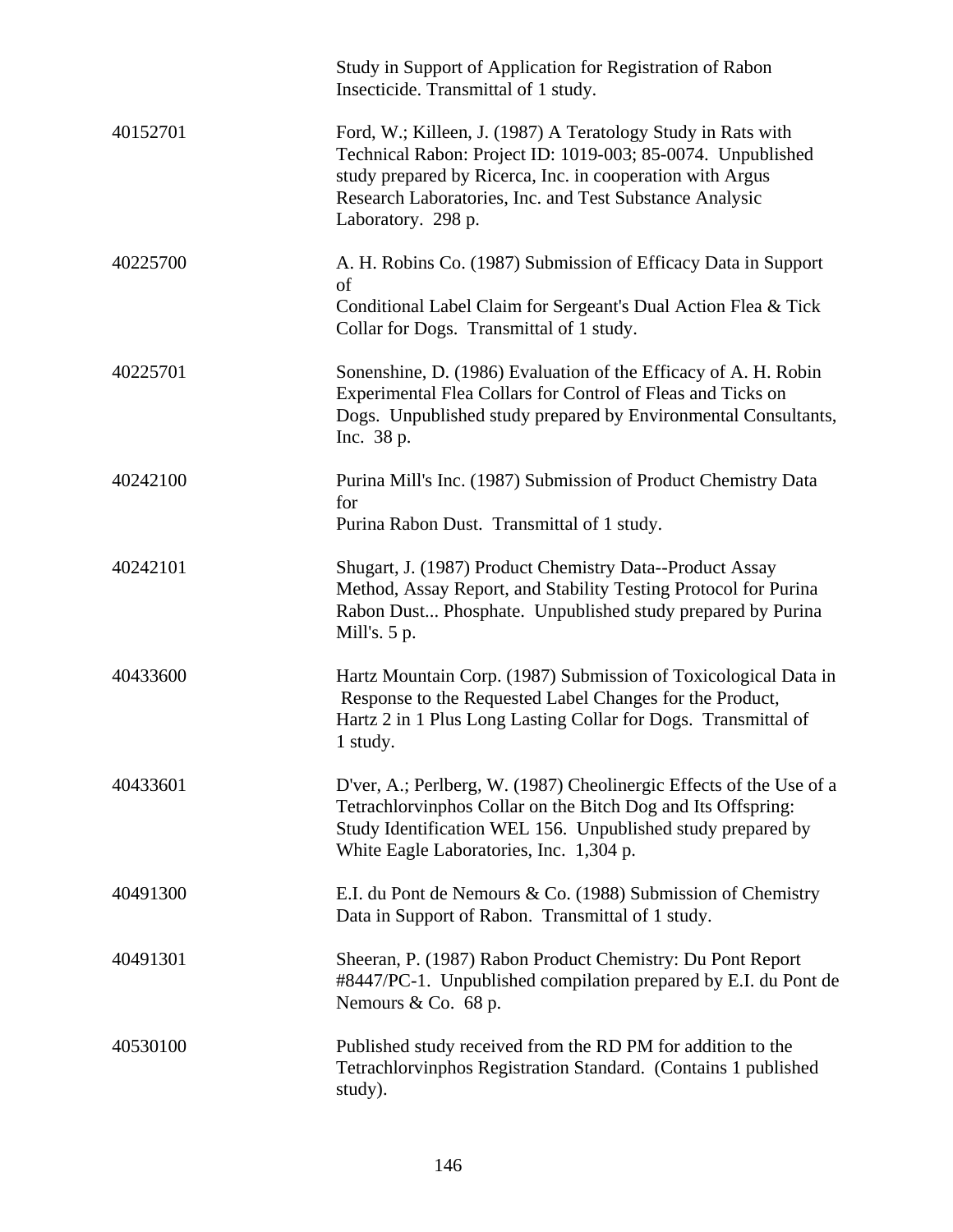|          | Study in Support of Application for Registration of Rabon<br>Insecticide. Transmittal of 1 study.                                                                                                                                                                         |
|----------|---------------------------------------------------------------------------------------------------------------------------------------------------------------------------------------------------------------------------------------------------------------------------|
| 40152701 | Ford, W.; Killeen, J. (1987) A Teratology Study in Rats with<br>Technical Rabon: Project ID: 1019-003; 85-0074. Unpublished<br>study prepared by Ricerca, Inc. in cooperation with Argus<br>Research Laboratories, Inc. and Test Substance Analysic<br>Laboratory. 298 p. |
| 40225700 | A. H. Robins Co. (1987) Submission of Efficacy Data in Support<br>of<br>Conditional Label Claim for Sergeant's Dual Action Flea & Tick<br>Collar for Dogs. Transmittal of 1 study.                                                                                        |
| 40225701 | Sonenshine, D. (1986) Evaluation of the Efficacy of A. H. Robin<br>Experimental Flea Collars for Control of Fleas and Ticks on<br>Dogs. Unpublished study prepared by Environmental Consultants,<br>Inc. 38 p.                                                            |
| 40242100 | Purina Mill's Inc. (1987) Submission of Product Chemistry Data<br>for<br>Purina Rabon Dust. Transmittal of 1 study.                                                                                                                                                       |
| 40242101 | Shugart, J. (1987) Product Chemistry Data--Product Assay<br>Method, Assay Report, and Stability Testing Protocol for Purina<br>Rabon Dust Phosphate. Unpublished study prepared by Purina<br>Mill's. $5 p.$                                                               |
| 40433600 | Hartz Mountain Corp. (1987) Submission of Toxicological Data in<br>Response to the Requested Label Changes for the Product,<br>Hartz 2 in 1 Plus Long Lasting Collar for Dogs. Transmittal of<br>1 study.                                                                 |
| 40433601 | D'ver, A.; Perlberg, W. (1987) Cheolinergic Effects of the Use of a<br>Tetrachlorvinphos Collar on the Bitch Dog and Its Offspring:<br>Study Identification WEL 156. Unpublished study prepared by<br>White Eagle Laboratories, Inc. 1,304 p.                             |
| 40491300 | E.I. du Pont de Nemours & Co. (1988) Submission of Chemistry<br>Data in Support of Rabon. Transmittal of 1 study.                                                                                                                                                         |
| 40491301 | Sheeran, P. (1987) Rabon Product Chemistry: Du Pont Report<br>#8447/PC-1. Unpublished compilation prepared by E.I. du Pont de<br>Nemours & Co. 68 p.                                                                                                                      |
| 40530100 | Published study received from the RD PM for addition to the<br>Tetrachlorvinphos Registration Standard. (Contains 1 published<br>study).                                                                                                                                  |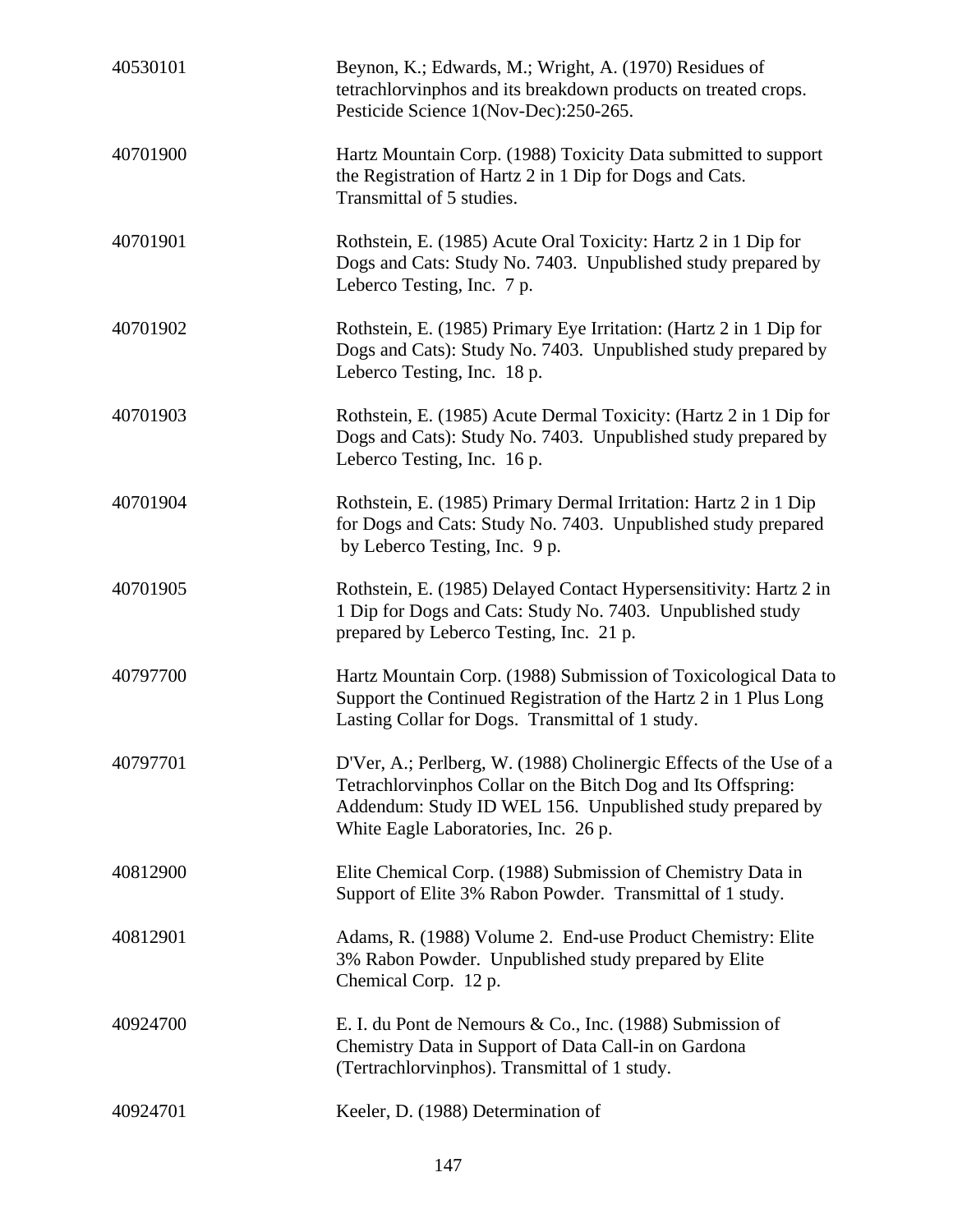| 40530101 | Beynon, K.; Edwards, M.; Wright, A. (1970) Residues of<br>tetrachlorvinphos and its breakdown products on treated crops.<br>Pesticide Science 1(Nov-Dec):250-265.                                                                       |
|----------|-----------------------------------------------------------------------------------------------------------------------------------------------------------------------------------------------------------------------------------------|
| 40701900 | Hartz Mountain Corp. (1988) Toxicity Data submitted to support<br>the Registration of Hartz 2 in 1 Dip for Dogs and Cats.<br>Transmittal of 5 studies.                                                                                  |
| 40701901 | Rothstein, E. (1985) Acute Oral Toxicity: Hartz 2 in 1 Dip for<br>Dogs and Cats: Study No. 7403. Unpublished study prepared by<br>Leberco Testing, Inc. 7 p.                                                                            |
| 40701902 | Rothstein, E. (1985) Primary Eye Irritation: (Hartz 2 in 1 Dip for<br>Dogs and Cats): Study No. 7403. Unpublished study prepared by<br>Leberco Testing, Inc. 18 p.                                                                      |
| 40701903 | Rothstein, E. (1985) Acute Dermal Toxicity: (Hartz 2 in 1 Dip for<br>Dogs and Cats): Study No. 7403. Unpublished study prepared by<br>Leberco Testing, Inc. 16 p.                                                                       |
| 40701904 | Rothstein, E. (1985) Primary Dermal Irritation: Hartz 2 in 1 Dip<br>for Dogs and Cats: Study No. 7403. Unpublished study prepared<br>by Leberco Testing, Inc. 9 p.                                                                      |
| 40701905 | Rothstein, E. (1985) Delayed Contact Hypersensitivity: Hartz 2 in<br>1 Dip for Dogs and Cats: Study No. 7403. Unpublished study<br>prepared by Leberco Testing, Inc. 21 p.                                                              |
| 40797700 | Hartz Mountain Corp. (1988) Submission of Toxicological Data to<br>Support the Continued Registration of the Hartz 2 in 1 Plus Long<br>Lasting Collar for Dogs. Transmittal of 1 study.                                                 |
| 40797701 | D'Ver, A.; Perlberg, W. (1988) Cholinergic Effects of the Use of a<br>Tetrachlorvinphos Collar on the Bitch Dog and Its Offspring:<br>Addendum: Study ID WEL 156. Unpublished study prepared by<br>White Eagle Laboratories, Inc. 26 p. |
| 40812900 | Elite Chemical Corp. (1988) Submission of Chemistry Data in<br>Support of Elite 3% Rabon Powder. Transmittal of 1 study.                                                                                                                |
| 40812901 | Adams, R. (1988) Volume 2. End-use Product Chemistry: Elite<br>3% Rabon Powder. Unpublished study prepared by Elite<br>Chemical Corp. 12 p.                                                                                             |
| 40924700 | E. I. du Pont de Nemours & Co., Inc. $(1988)$ Submission of<br>Chemistry Data in Support of Data Call-in on Gardona<br>(Tertrachlorvinphos). Transmittal of 1 study.                                                                    |
| 40924701 | Keeler, D. (1988) Determination of                                                                                                                                                                                                      |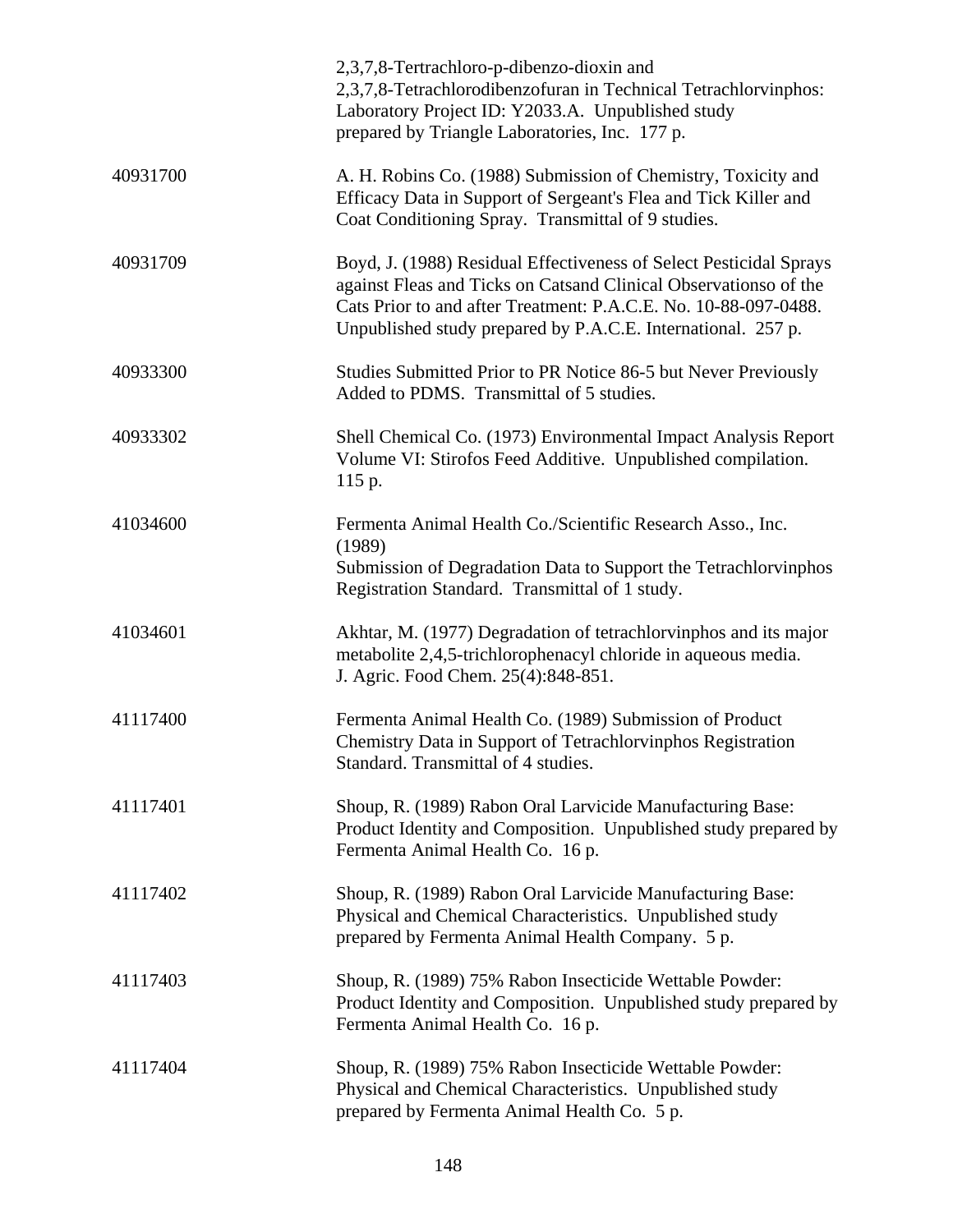|          | 2,3,7,8-Tertrachloro-p-dibenzo-dioxin and<br>2,3,7,8-Tetrachlorodibenzofuran in Technical Tetrachlorvinphos:<br>Laboratory Project ID: Y2033.A. Unpublished study<br>prepared by Triangle Laboratories, Inc. 177 p.                                                       |
|----------|---------------------------------------------------------------------------------------------------------------------------------------------------------------------------------------------------------------------------------------------------------------------------|
| 40931700 | A. H. Robins Co. (1988) Submission of Chemistry, Toxicity and<br>Efficacy Data in Support of Sergeant's Flea and Tick Killer and<br>Coat Conditioning Spray. Transmittal of 9 studies.                                                                                    |
| 40931709 | Boyd, J. (1988) Residual Effectiveness of Select Pesticidal Sprays<br>against Fleas and Ticks on Catsand Clinical Observationso of the<br>Cats Prior to and after Treatment: P.A.C.E. No. 10-88-097-0488.<br>Unpublished study prepared by P.A.C.E. International. 257 p. |
| 40933300 | Studies Submitted Prior to PR Notice 86-5 but Never Previously<br>Added to PDMS. Transmittal of 5 studies.                                                                                                                                                                |
| 40933302 | Shell Chemical Co. (1973) Environmental Impact Analysis Report<br>Volume VI: Stirofos Feed Additive. Unpublished compilation.<br>115 p.                                                                                                                                   |
| 41034600 | Fermenta Animal Health Co./Scientific Research Asso., Inc.<br>(1989)<br>Submission of Degradation Data to Support the Tetrachlorvinphos<br>Registration Standard. Transmittal of 1 study.                                                                                 |
| 41034601 | Akhtar, M. (1977) Degradation of tetrachlorvinphos and its major<br>metabolite 2,4,5-trichlorophenacyl chloride in aqueous media.<br>J. Agric. Food Chem. 25(4):848-851.                                                                                                  |
| 41117400 | Fermenta Animal Health Co. (1989) Submission of Product<br>Chemistry Data in Support of Tetrachlorvinphos Registration<br>Standard. Transmittal of 4 studies.                                                                                                             |
| 41117401 | Shoup, R. (1989) Rabon Oral Larvicide Manufacturing Base:<br>Product Identity and Composition. Unpublished study prepared by<br>Fermenta Animal Health Co. 16 p.                                                                                                          |
| 41117402 | Shoup, R. (1989) Rabon Oral Larvicide Manufacturing Base:<br>Physical and Chemical Characteristics. Unpublished study<br>prepared by Fermenta Animal Health Company. 5 p.                                                                                                 |
| 41117403 | Shoup, R. (1989) 75% Rabon Insecticide Wettable Powder:<br>Product Identity and Composition. Unpublished study prepared by<br>Fermenta Animal Health Co. 16 p.                                                                                                            |
| 41117404 | Shoup, R. (1989) 75% Rabon Insecticide Wettable Powder:<br>Physical and Chemical Characteristics. Unpublished study<br>prepared by Fermenta Animal Health Co. 5 p.                                                                                                        |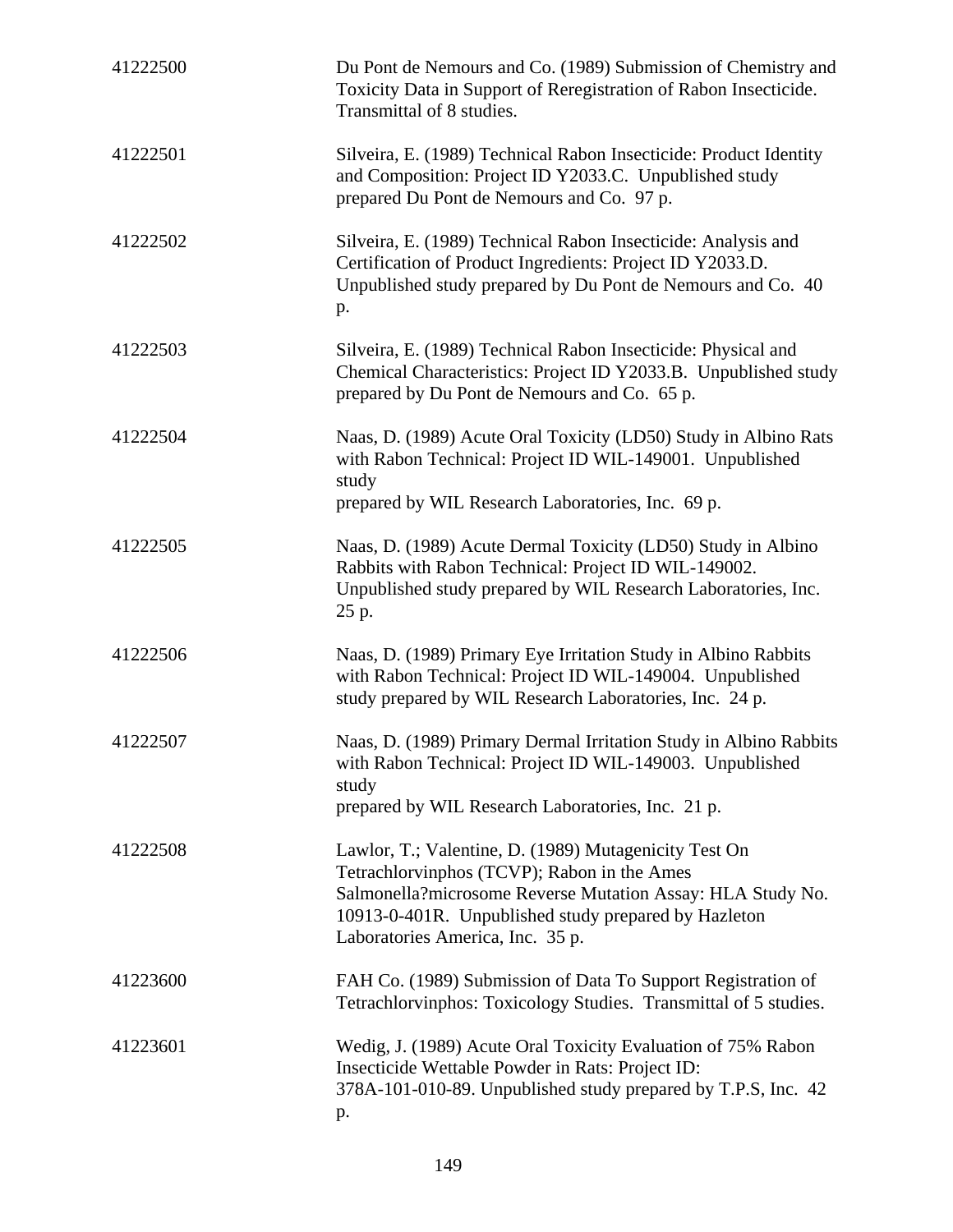| 41222500 | Du Pont de Nemours and Co. (1989) Submission of Chemistry and<br>Toxicity Data in Support of Reregistration of Rabon Insecticide.<br>Transmittal of 8 studies.                                                                                                 |
|----------|----------------------------------------------------------------------------------------------------------------------------------------------------------------------------------------------------------------------------------------------------------------|
| 41222501 | Silveira, E. (1989) Technical Rabon Insecticide: Product Identity<br>and Composition: Project ID Y2033.C. Unpublished study<br>prepared Du Pont de Nemours and Co. 97 p.                                                                                       |
| 41222502 | Silveira, E. (1989) Technical Rabon Insecticide: Analysis and<br>Certification of Product Ingredients: Project ID Y2033.D.<br>Unpublished study prepared by Du Pont de Nemours and Co. 40<br>p.                                                                |
| 41222503 | Silveira, E. (1989) Technical Rabon Insecticide: Physical and<br>Chemical Characteristics: Project ID Y2033.B. Unpublished study<br>prepared by Du Pont de Nemours and Co. 65 p.                                                                               |
| 41222504 | Naas, D. (1989) Acute Oral Toxicity (LD50) Study in Albino Rats<br>with Rabon Technical: Project ID WIL-149001. Unpublished<br>study<br>prepared by WIL Research Laboratories, Inc. 69 p.                                                                      |
| 41222505 | Naas, D. (1989) Acute Dermal Toxicity (LD50) Study in Albino<br>Rabbits with Rabon Technical: Project ID WIL-149002.<br>Unpublished study prepared by WIL Research Laboratories, Inc.<br>25 p.                                                                 |
| 41222506 | Naas, D. (1989) Primary Eye Irritation Study in Albino Rabbits<br>with Rabon Technical: Project ID WIL-149004. Unpublished<br>study prepared by WIL Research Laboratories, Inc. 24 p.                                                                          |
| 41222507 | Naas, D. (1989) Primary Dermal Irritation Study in Albino Rabbits<br>with Rabon Technical: Project ID WIL-149003. Unpublished<br>study<br>prepared by WIL Research Laboratories, Inc. 21 p.                                                                    |
| 41222508 | Lawlor, T.; Valentine, D. (1989) Mutagenicity Test On<br>Tetrachlorvinphos (TCVP); Rabon in the Ames<br>Salmonella?microsome Reverse Mutation Assay: HLA Study No.<br>10913-0-401R. Unpublished study prepared by Hazleton<br>Laboratories America, Inc. 35 p. |
| 41223600 | FAH Co. (1989) Submission of Data To Support Registration of<br>Tetrachlorvinphos: Toxicology Studies. Transmittal of 5 studies.                                                                                                                               |
| 41223601 | Wedig, J. (1989) Acute Oral Toxicity Evaluation of 75% Rabon<br>Insecticide Wettable Powder in Rats: Project ID:<br>378A-101-010-89. Unpublished study prepared by T.P.S, Inc. 42<br>p.                                                                        |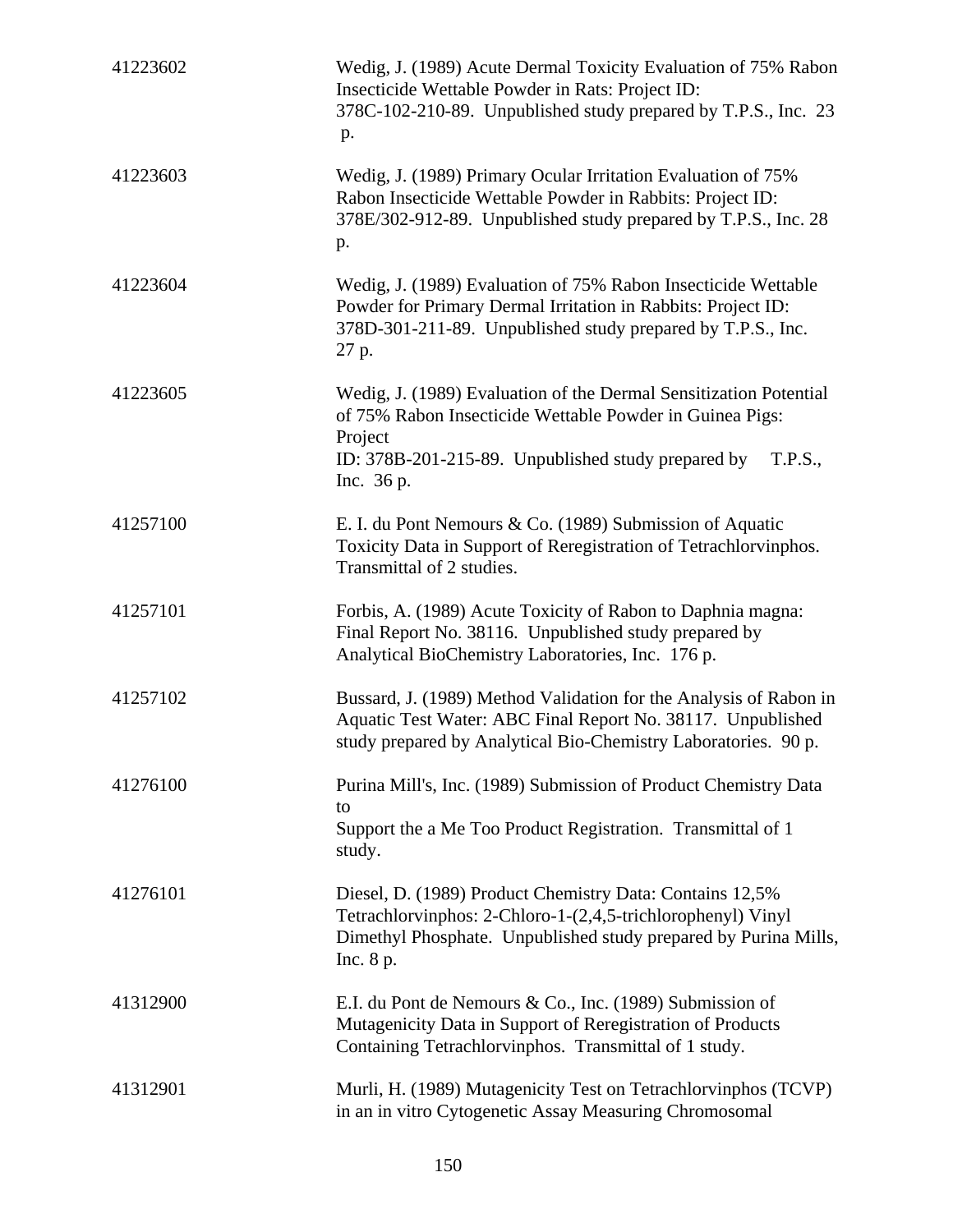| 41223602 | Wedig, J. (1989) Acute Dermal Toxicity Evaluation of 75% Rabon<br>Insecticide Wettable Powder in Rats: Project ID:<br>378C-102-210-89. Unpublished study prepared by T.P.S., Inc. 23<br>p.                              |
|----------|-------------------------------------------------------------------------------------------------------------------------------------------------------------------------------------------------------------------------|
| 41223603 | Wedig, J. (1989) Primary Ocular Irritation Evaluation of 75%<br>Rabon Insecticide Wettable Powder in Rabbits: Project ID:<br>378E/302-912-89. Unpublished study prepared by T.P.S., Inc. 28<br>p.                       |
| 41223604 | Wedig, J. (1989) Evaluation of 75% Rabon Insecticide Wettable<br>Powder for Primary Dermal Irritation in Rabbits: Project ID:<br>378D-301-211-89. Unpublished study prepared by T.P.S., Inc.<br>27 p.                   |
| 41223605 | Wedig, J. (1989) Evaluation of the Dermal Sensitization Potential<br>of 75% Rabon Insecticide Wettable Powder in Guinea Pigs:<br>Project<br>ID: 378B-201-215-89. Unpublished study prepared by<br>T.P.S.,<br>Inc. 36 p. |
| 41257100 | E. I. du Pont Nemours & Co. (1989) Submission of Aquatic<br>Toxicity Data in Support of Reregistration of Tetrachlorvinphos.<br>Transmittal of 2 studies.                                                               |
| 41257101 | Forbis, A. (1989) Acute Toxicity of Rabon to Daphnia magna:<br>Final Report No. 38116. Unpublished study prepared by<br>Analytical BioChemistry Laboratories, Inc. 176 p.                                               |
| 41257102 | Bussard, J. (1989) Method Validation for the Analysis of Rabon in<br>Aquatic Test Water: ABC Final Report No. 38117. Unpublished<br>study prepared by Analytical Bio-Chemistry Laboratories. 90 p.                      |
| 41276100 | Purina Mill's, Inc. (1989) Submission of Product Chemistry Data<br>to<br>Support the a Me Too Product Registration. Transmittal of 1<br>study.                                                                          |
| 41276101 | Diesel, D. (1989) Product Chemistry Data: Contains 12,5%<br>Tetrachlorvinphos: 2-Chloro-1-(2,4,5-trichlorophenyl) Vinyl<br>Dimethyl Phosphate. Unpublished study prepared by Purina Mills,<br>Inc. 8 p.                 |
| 41312900 | E.I. du Pont de Nemours & Co., Inc. (1989) Submission of<br>Mutagenicity Data in Support of Reregistration of Products<br>Containing Tetrachlorvinphos. Transmittal of 1 study.                                         |
| 41312901 | Murli, H. (1989) Mutagenicity Test on Tetrachlorvinphos (TCVP)<br>in an in vitro Cytogenetic Assay Measuring Chromosomal                                                                                                |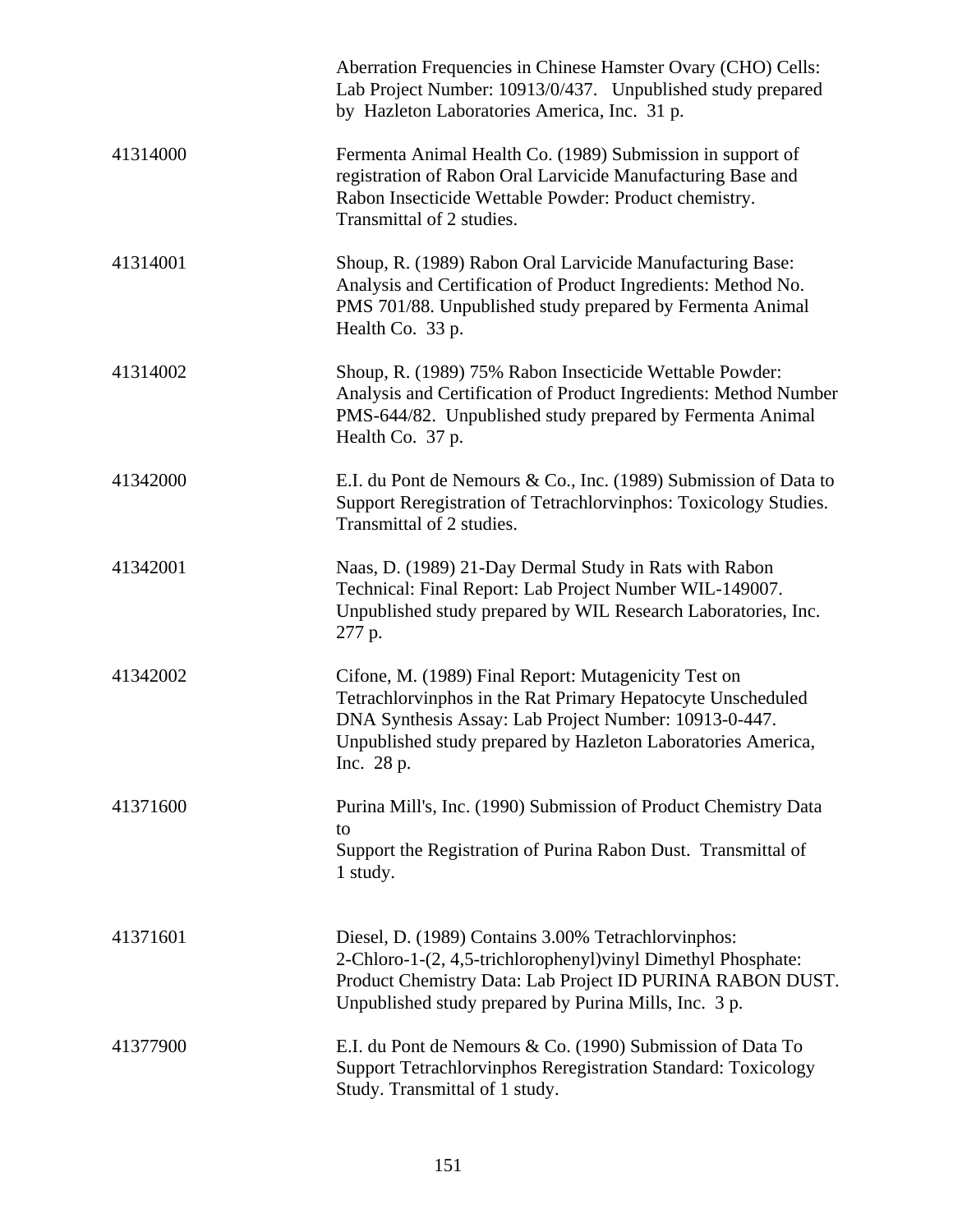|          | Aberration Frequencies in Chinese Hamster Ovary (CHO) Cells:<br>Lab Project Number: 10913/0/437. Unpublished study prepared<br>by Hazleton Laboratories America, Inc. 31 p.                                                                                |
|----------|------------------------------------------------------------------------------------------------------------------------------------------------------------------------------------------------------------------------------------------------------------|
| 41314000 | Fermenta Animal Health Co. (1989) Submission in support of<br>registration of Rabon Oral Larvicide Manufacturing Base and<br>Rabon Insecticide Wettable Powder: Product chemistry.<br>Transmittal of 2 studies.                                            |
| 41314001 | Shoup, R. (1989) Rabon Oral Larvicide Manufacturing Base:<br>Analysis and Certification of Product Ingredients: Method No.<br>PMS 701/88. Unpublished study prepared by Fermenta Animal<br>Health Co. 33 p.                                                |
| 41314002 | Shoup, R. (1989) 75% Rabon Insecticide Wettable Powder:<br>Analysis and Certification of Product Ingredients: Method Number<br>PMS-644/82. Unpublished study prepared by Fermenta Animal<br>Health Co. 37 p.                                               |
| 41342000 | E.I. du Pont de Nemours & Co., Inc. (1989) Submission of Data to<br>Support Reregistration of Tetrachlorvinphos: Toxicology Studies.<br>Transmittal of 2 studies.                                                                                          |
| 41342001 | Naas, D. (1989) 21-Day Dermal Study in Rats with Rabon<br>Technical: Final Report: Lab Project Number WIL-149007.<br>Unpublished study prepared by WIL Research Laboratories, Inc.<br>277 p.                                                               |
| 41342002 | Cifone, M. (1989) Final Report: Mutagenicity Test on<br>Tetrachlorvinphos in the Rat Primary Hepatocyte Unscheduled<br>DNA Synthesis Assay: Lab Project Number: 10913-0-447.<br>Unpublished study prepared by Hazleton Laboratories America,<br>Inc. 28 p. |
| 41371600 | Purina Mill's, Inc. (1990) Submission of Product Chemistry Data<br>to<br>Support the Registration of Purina Rabon Dust. Transmittal of<br>1 study.                                                                                                         |
| 41371601 | Diesel, D. (1989) Contains 3.00% Tetrachlorvinphos:<br>2-Chloro-1-(2, 4,5-trichlorophenyl) vinyl Dimethyl Phosphate:<br>Product Chemistry Data: Lab Project ID PURINA RABON DUST.<br>Unpublished study prepared by Purina Mills, Inc. 3 p.                 |
| 41377900 | E.I. du Pont de Nemours & Co. (1990) Submission of Data To<br>Support Tetrachlorvinphos Reregistration Standard: Toxicology<br>Study. Transmittal of 1 study.                                                                                              |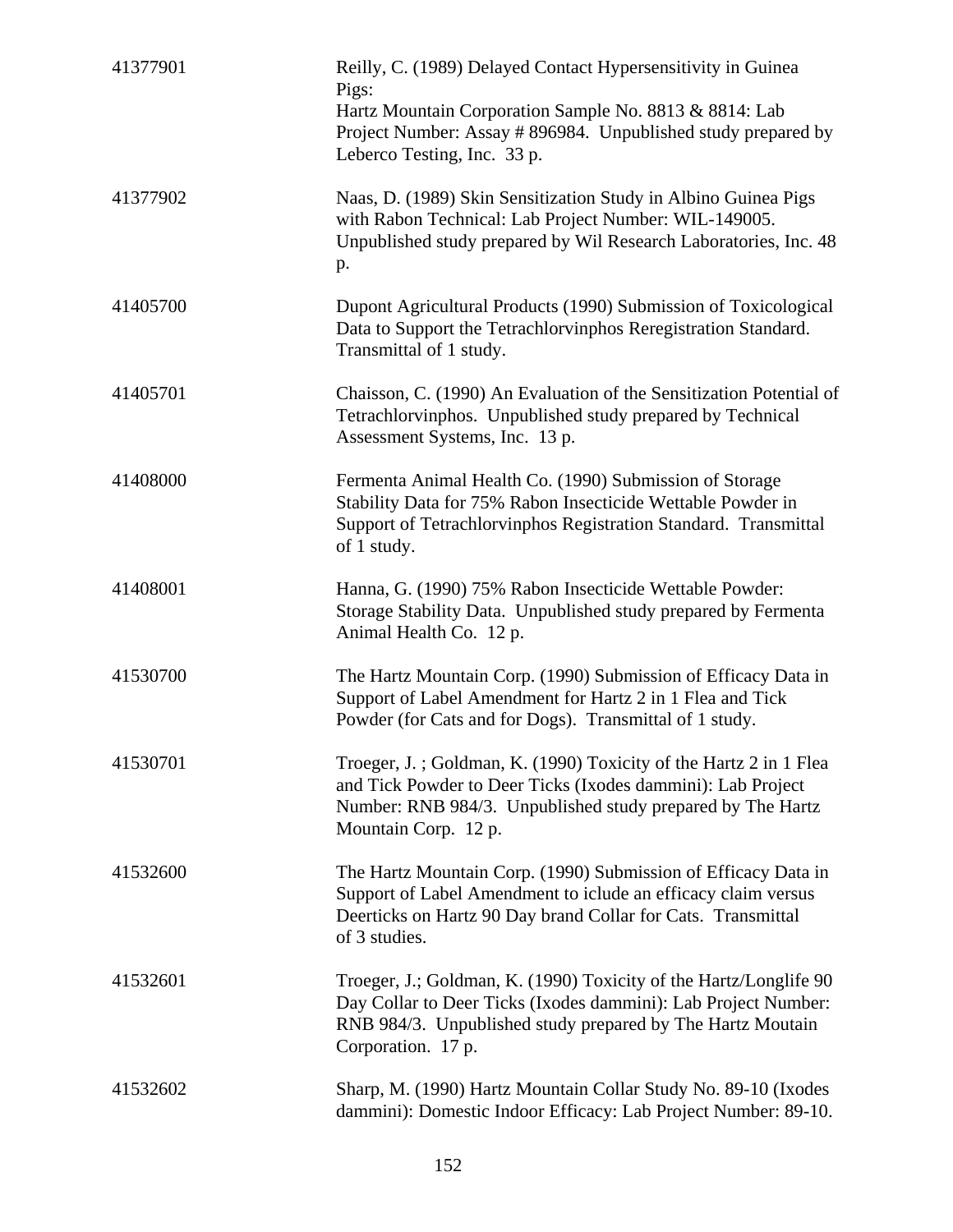| 41377901 | Reilly, C. (1989) Delayed Contact Hypersensitivity in Guinea<br>Pigs:                                                                                                                                                   |
|----------|-------------------------------------------------------------------------------------------------------------------------------------------------------------------------------------------------------------------------|
|          | Hartz Mountain Corporation Sample No. 8813 & 8814: Lab<br>Project Number: Assay # 896984. Unpublished study prepared by<br>Leberco Testing, Inc. 33 p.                                                                  |
| 41377902 | Naas, D. (1989) Skin Sensitization Study in Albino Guinea Pigs<br>with Rabon Technical: Lab Project Number: WIL-149005.<br>Unpublished study prepared by Wil Research Laboratories, Inc. 48<br>p.                       |
| 41405700 | Dupont Agricultural Products (1990) Submission of Toxicological<br>Data to Support the Tetrachlorvinphos Reregistration Standard.<br>Transmittal of 1 study.                                                            |
| 41405701 | Chaisson, C. (1990) An Evaluation of the Sensitization Potential of<br>Tetrachlorvinphos. Unpublished study prepared by Technical<br>Assessment Systems, Inc. 13 p.                                                     |
| 41408000 | Fermenta Animal Health Co. (1990) Submission of Storage<br>Stability Data for 75% Rabon Insecticide Wettable Powder in<br>Support of Tetrachlorvinphos Registration Standard. Transmittal<br>of 1 study.                |
| 41408001 | Hanna, G. (1990) 75% Rabon Insecticide Wettable Powder:<br>Storage Stability Data. Unpublished study prepared by Fermenta<br>Animal Health Co. 12 p.                                                                    |
| 41530700 | The Hartz Mountain Corp. (1990) Submission of Efficacy Data in<br>Support of Label Amendment for Hartz 2 in 1 Flea and Tick<br>Powder (for Cats and for Dogs). Transmittal of 1 study.                                  |
| 41530701 | Troeger, J.; Goldman, K. (1990) Toxicity of the Hartz 2 in 1 Flea<br>and Tick Powder to Deer Ticks (Ixodes dammini): Lab Project<br>Number: RNB 984/3. Unpublished study prepared by The Hartz<br>Mountain Corp. 12 p.  |
| 41532600 | The Hartz Mountain Corp. (1990) Submission of Efficacy Data in<br>Support of Label Amendment to iclude an efficacy claim versus<br>Deerticks on Hartz 90 Day brand Collar for Cats. Transmittal<br>of 3 studies.        |
| 41532601 | Troeger, J.; Goldman, K. (1990) Toxicity of the Hartz/Longlife 90<br>Day Collar to Deer Ticks (Ixodes dammini): Lab Project Number:<br>RNB 984/3. Unpublished study prepared by The Hartz Moutain<br>Corporation. 17 p. |
| 41532602 | Sharp, M. (1990) Hartz Mountain Collar Study No. 89-10 (Ixodes<br>dammini): Domestic Indoor Efficacy: Lab Project Number: 89-10.                                                                                        |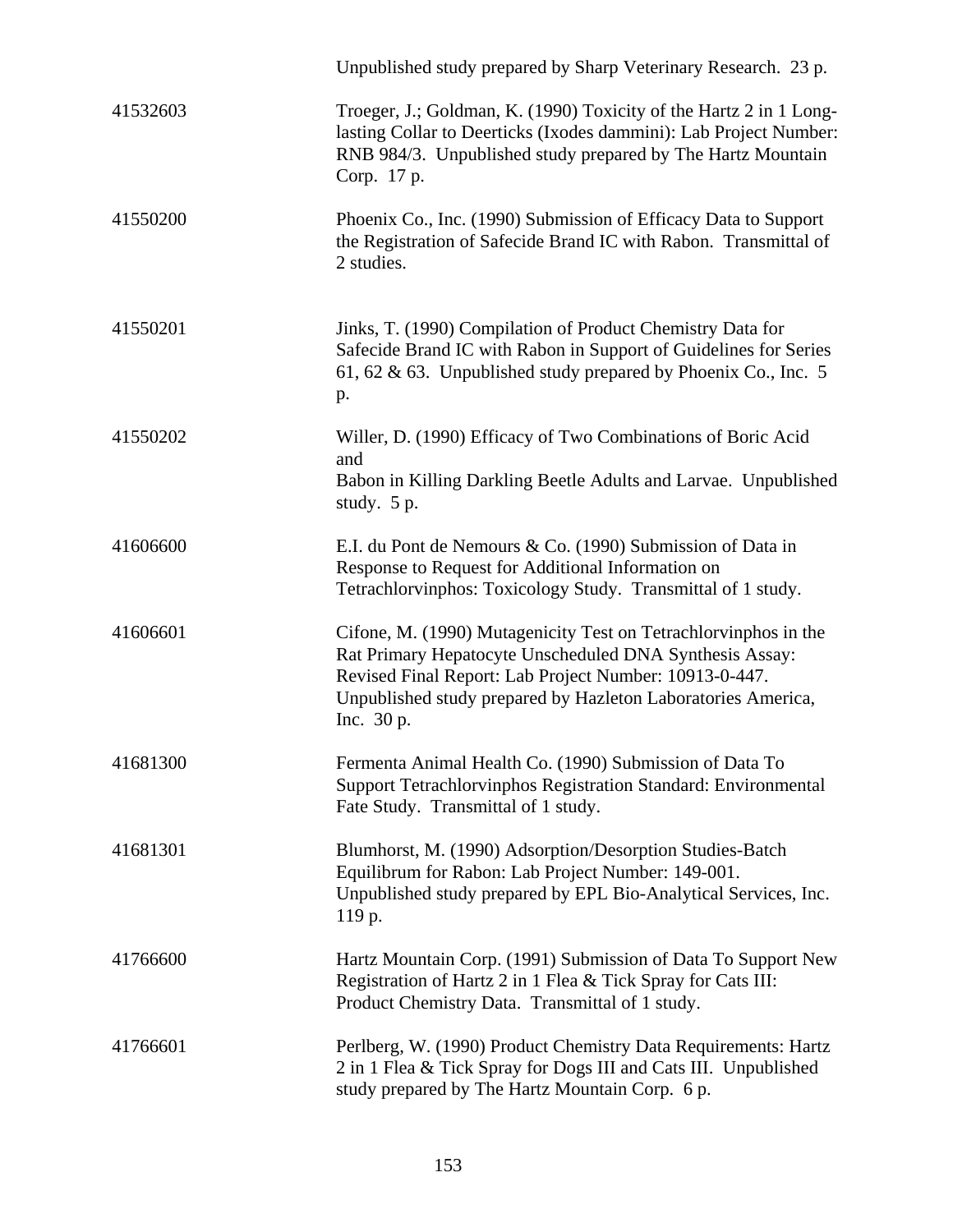|          | Unpublished study prepared by Sharp Veterinary Research. 23 p.                                                                                                                                                                                                     |
|----------|--------------------------------------------------------------------------------------------------------------------------------------------------------------------------------------------------------------------------------------------------------------------|
| 41532603 | Troeger, J.; Goldman, K. (1990) Toxicity of the Hartz 2 in 1 Long-<br>lasting Collar to Deerticks (Ixodes dammini): Lab Project Number:<br>RNB 984/3. Unpublished study prepared by The Hartz Mountain<br>Corp. 17 p.                                              |
| 41550200 | Phoenix Co., Inc. (1990) Submission of Efficacy Data to Support<br>the Registration of Safecide Brand IC with Rabon. Transmittal of<br>2 studies.                                                                                                                  |
| 41550201 | Jinks, T. (1990) Compilation of Product Chemistry Data for<br>Safecide Brand IC with Rabon in Support of Guidelines for Series<br>61, 62 & 63. Unpublished study prepared by Phoenix Co., Inc. 5<br>p.                                                             |
| 41550202 | Willer, D. (1990) Efficacy of Two Combinations of Boric Acid<br>and<br>Babon in Killing Darkling Beetle Adults and Larvae. Unpublished<br>study. $5 p.$                                                                                                            |
| 41606600 | E.I. du Pont de Nemours & Co. (1990) Submission of Data in<br>Response to Request for Additional Information on<br>Tetrachlorvinphos: Toxicology Study. Transmittal of 1 study.                                                                                    |
| 41606601 | Cifone, M. (1990) Mutagenicity Test on Tetrachlorvinphos in the<br>Rat Primary Hepatocyte Unscheduled DNA Synthesis Assay:<br>Revised Final Report: Lab Project Number: 10913-0-447.<br>Unpublished study prepared by Hazleton Laboratories America,<br>Inc. 30 p. |
| 41681300 | Fermenta Animal Health Co. (1990) Submission of Data To<br>Support Tetrachlorvinphos Registration Standard: Environmental<br>Fate Study. Transmittal of 1 study.                                                                                                   |
| 41681301 | Blumhorst, M. (1990) Adsorption/Desorption Studies-Batch<br>Equilibrum for Rabon: Lab Project Number: 149-001.<br>Unpublished study prepared by EPL Bio-Analytical Services, Inc.<br>119 p.                                                                        |
| 41766600 | Hartz Mountain Corp. (1991) Submission of Data To Support New<br>Registration of Hartz 2 in 1 Flea & Tick Spray for Cats III:<br>Product Chemistry Data. Transmittal of 1 study.                                                                                   |
| 41766601 | Perlberg, W. (1990) Product Chemistry Data Requirements: Hartz<br>2 in 1 Flea & Tick Spray for Dogs III and Cats III. Unpublished<br>study prepared by The Hartz Mountain Corp. 6 p.                                                                               |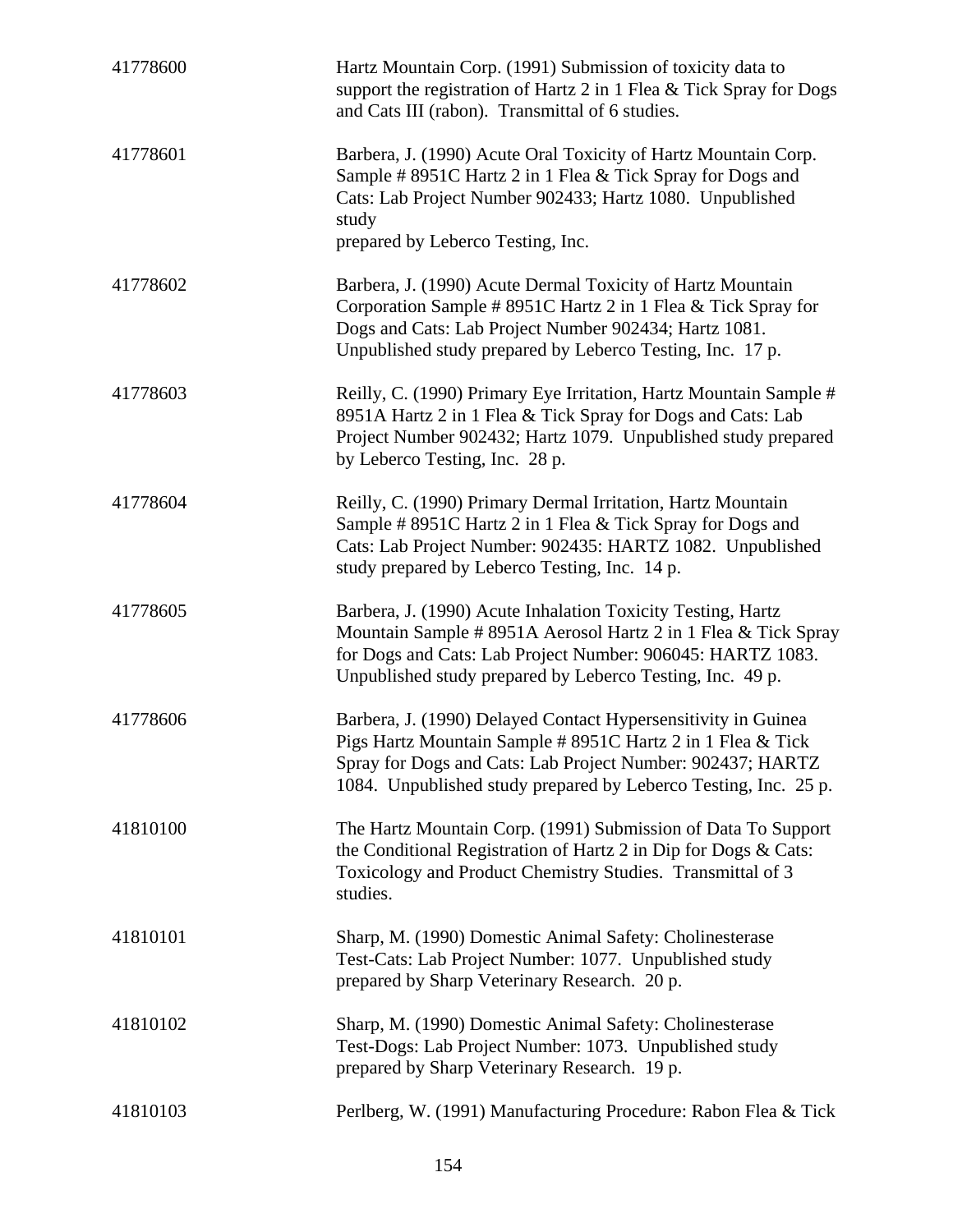| 41778600 | Hartz Mountain Corp. (1991) Submission of toxicity data to<br>support the registration of Hartz 2 in 1 Flea & Tick Spray for Dogs<br>and Cats III (rabon). Transmittal of 6 studies.                                                                          |
|----------|---------------------------------------------------------------------------------------------------------------------------------------------------------------------------------------------------------------------------------------------------------------|
| 41778601 | Barbera, J. (1990) Acute Oral Toxicity of Hartz Mountain Corp.<br>Sample # 8951C Hartz 2 in 1 Flea & Tick Spray for Dogs and<br>Cats: Lab Project Number 902433; Hartz 1080. Unpublished<br>study<br>prepared by Leberco Testing, Inc.                        |
| 41778602 | Barbera, J. (1990) Acute Dermal Toxicity of Hartz Mountain<br>Corporation Sample # 8951C Hartz 2 in 1 Flea & Tick Spray for<br>Dogs and Cats: Lab Project Number 902434; Hartz 1081.<br>Unpublished study prepared by Leberco Testing, Inc. 17 p.             |
| 41778603 | Reilly, C. (1990) Primary Eye Irritation, Hartz Mountain Sample #<br>8951A Hartz 2 in 1 Flea & Tick Spray for Dogs and Cats: Lab<br>Project Number 902432; Hartz 1079. Unpublished study prepared<br>by Leberco Testing, Inc. 28 p.                           |
| 41778604 | Reilly, C. (1990) Primary Dermal Irritation, Hartz Mountain<br>Sample # 8951C Hartz 2 in 1 Flea & Tick Spray for Dogs and<br>Cats: Lab Project Number: 902435: HARTZ 1082. Unpublished<br>study prepared by Leberco Testing, Inc. 14 p.                       |
| 41778605 | Barbera, J. (1990) Acute Inhalation Toxicity Testing, Hartz<br>Mountain Sample # 8951A Aerosol Hartz 2 in 1 Flea & Tick Spray<br>for Dogs and Cats: Lab Project Number: 906045: HARTZ 1083.<br>Unpublished study prepared by Leberco Testing, Inc. 49 p.      |
| 41778606 | Barbera, J. (1990) Delayed Contact Hypersensitivity in Guinea<br>Pigs Hartz Mountain Sample # 8951C Hartz 2 in 1 Flea & Tick<br>Spray for Dogs and Cats: Lab Project Number: 902437; HARTZ<br>1084. Unpublished study prepared by Leberco Testing, Inc. 25 p. |
| 41810100 | The Hartz Mountain Corp. (1991) Submission of Data To Support<br>the Conditional Registration of Hartz 2 in Dip for Dogs & Cats:<br>Toxicology and Product Chemistry Studies. Transmittal of 3<br>studies.                                                    |
| 41810101 | Sharp, M. (1990) Domestic Animal Safety: Cholinesterase<br>Test-Cats: Lab Project Number: 1077. Unpublished study<br>prepared by Sharp Veterinary Research. 20 p.                                                                                             |
| 41810102 | Sharp, M. (1990) Domestic Animal Safety: Cholinesterase<br>Test-Dogs: Lab Project Number: 1073. Unpublished study<br>prepared by Sharp Veterinary Research. 19 p.                                                                                             |
| 41810103 | Perlberg, W. (1991) Manufacturing Procedure: Rabon Flea & Tick                                                                                                                                                                                                |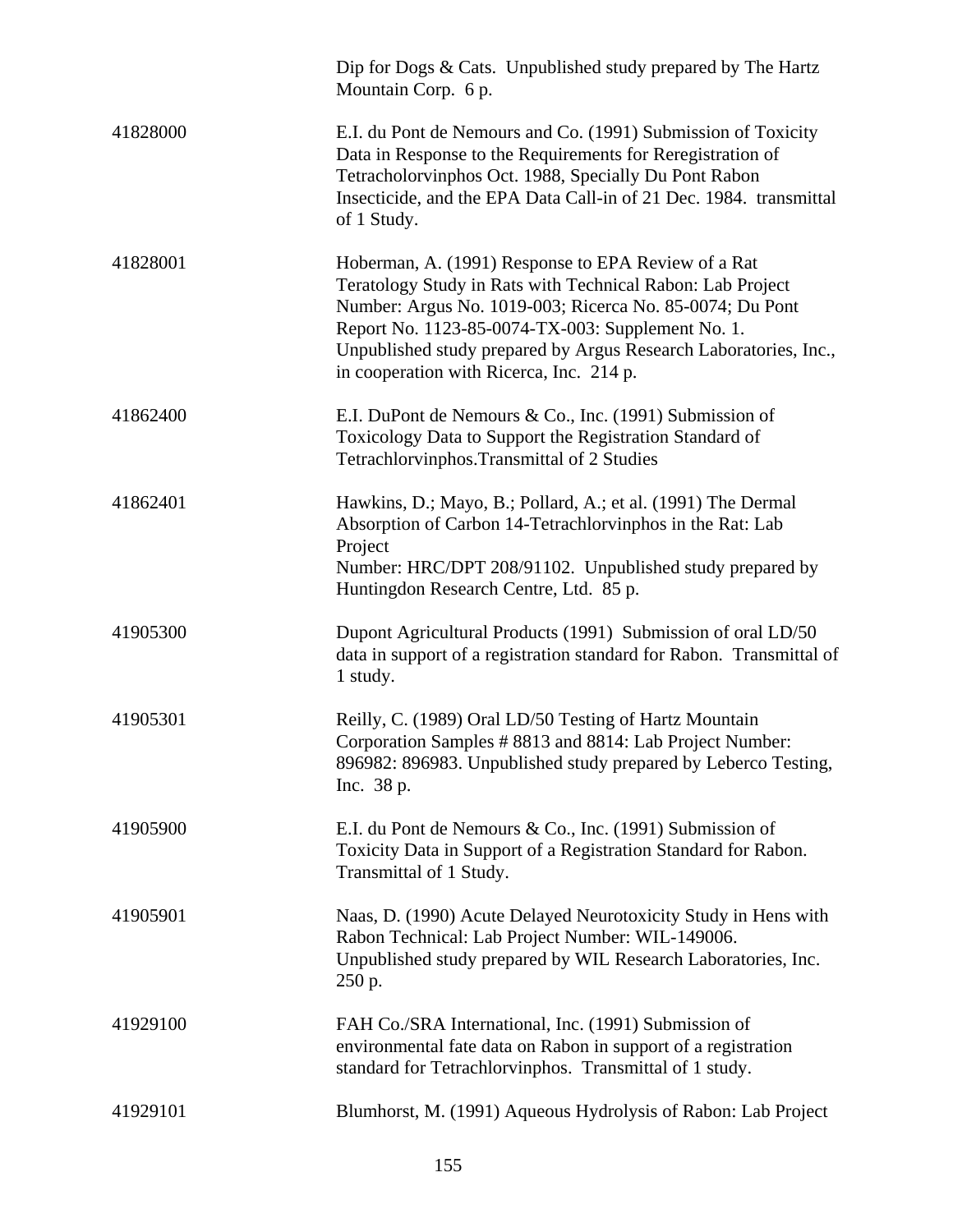|          | Dip for Dogs $& Cast.$ Unpublished study prepared by The Hartz<br>Mountain Corp. 6 p.                                                                                                                                                                                                                                                              |
|----------|----------------------------------------------------------------------------------------------------------------------------------------------------------------------------------------------------------------------------------------------------------------------------------------------------------------------------------------------------|
| 41828000 | E.I. du Pont de Nemours and Co. (1991) Submission of Toxicity<br>Data in Response to the Requirements for Reregistration of<br>Tetracholorvinphos Oct. 1988, Specially Du Pont Rabon<br>Insecticide, and the EPA Data Call-in of 21 Dec. 1984. transmittal<br>of 1 Study.                                                                          |
| 41828001 | Hoberman, A. (1991) Response to EPA Review of a Rat<br>Teratology Study in Rats with Technical Rabon: Lab Project<br>Number: Argus No. 1019-003; Ricerca No. 85-0074; Du Pont<br>Report No. 1123-85-0074-TX-003: Supplement No. 1.<br>Unpublished study prepared by Argus Research Laboratories, Inc.,<br>in cooperation with Ricerca, Inc. 214 p. |
| 41862400 | E.I. DuPont de Nemours & Co., Inc. (1991) Submission of<br>Toxicology Data to Support the Registration Standard of<br>Tetrachlorvinphos. Transmittal of 2 Studies                                                                                                                                                                                  |
| 41862401 | Hawkins, D.; Mayo, B.; Pollard, A.; et al. (1991) The Dermal<br>Absorption of Carbon 14-Tetrachlorvinphos in the Rat: Lab<br>Project<br>Number: HRC/DPT 208/91102. Unpublished study prepared by<br>Huntingdon Research Centre, Ltd. 85 p.                                                                                                         |
| 41905300 | Dupont Agricultural Products (1991) Submission of oral LD/50<br>data in support of a registration standard for Rabon. Transmittal of<br>1 study.                                                                                                                                                                                                   |
| 41905301 | Reilly, C. (1989) Oral LD/50 Testing of Hartz Mountain<br>Corporation Samples # 8813 and 8814: Lab Project Number:<br>896982: 896983. Unpublished study prepared by Leberco Testing,<br>Inc. 38 p.                                                                                                                                                 |
| 41905900 | E.I. du Pont de Nemours & Co., Inc. (1991) Submission of<br>Toxicity Data in Support of a Registration Standard for Rabon.<br>Transmittal of 1 Study.                                                                                                                                                                                              |
| 41905901 | Naas, D. (1990) Acute Delayed Neurotoxicity Study in Hens with<br>Rabon Technical: Lab Project Number: WIL-149006.<br>Unpublished study prepared by WIL Research Laboratories, Inc.<br>250 p.                                                                                                                                                      |
| 41929100 | FAH Co./SRA International, Inc. (1991) Submission of<br>environmental fate data on Rabon in support of a registration<br>standard for Tetrachlorvinphos. Transmittal of 1 study.                                                                                                                                                                   |
| 41929101 | Blumhorst, M. (1991) Aqueous Hydrolysis of Rabon: Lab Project                                                                                                                                                                                                                                                                                      |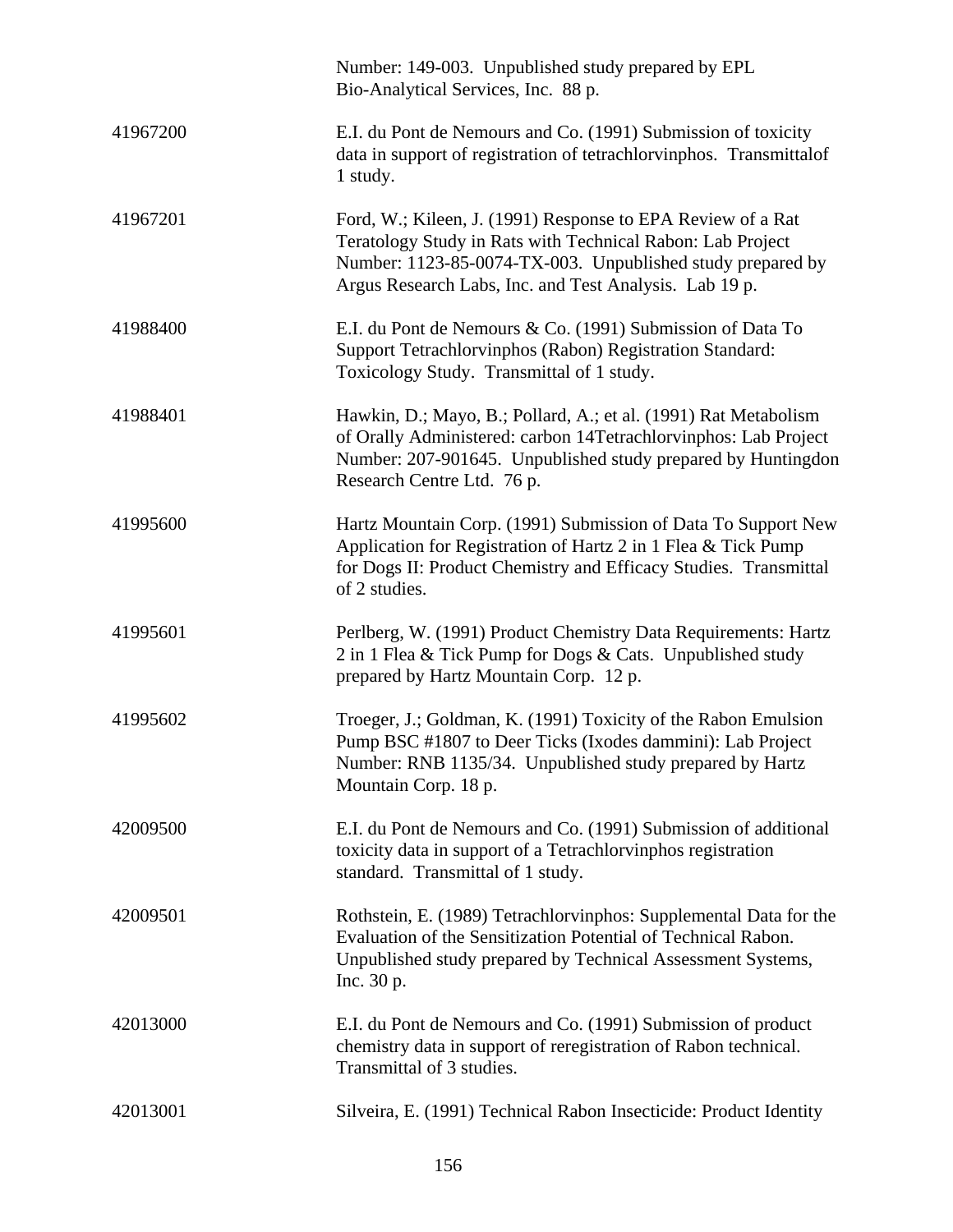|          | Number: 149-003. Unpublished study prepared by EPL<br>Bio-Analytical Services, Inc. 88 p.                                                                                                                                                         |
|----------|---------------------------------------------------------------------------------------------------------------------------------------------------------------------------------------------------------------------------------------------------|
| 41967200 | E.I. du Pont de Nemours and Co. (1991) Submission of toxicity<br>data in support of registration of tetrachlorvinphos. Transmittalof<br>1 study.                                                                                                  |
| 41967201 | Ford, W.; Kileen, J. (1991) Response to EPA Review of a Rat<br>Teratology Study in Rats with Technical Rabon: Lab Project<br>Number: 1123-85-0074-TX-003. Unpublished study prepared by<br>Argus Research Labs, Inc. and Test Analysis. Lab 19 p. |
| 41988400 | E.I. du Pont de Nemours & Co. (1991) Submission of Data To<br>Support Tetrachlorvinphos (Rabon) Registration Standard:<br>Toxicology Study. Transmittal of 1 study.                                                                               |
| 41988401 | Hawkin, D.; Mayo, B.; Pollard, A.; et al. (1991) Rat Metabolism<br>of Orally Administered: carbon 14Tetrachlorvinphos: Lab Project<br>Number: 207-901645. Unpublished study prepared by Huntingdon<br>Research Centre Ltd. 76 p.                  |
| 41995600 | Hartz Mountain Corp. (1991) Submission of Data To Support New<br>Application for Registration of Hartz 2 in 1 Flea & Tick Pump<br>for Dogs II: Product Chemistry and Efficacy Studies. Transmittal<br>of 2 studies.                               |
| 41995601 | Perlberg, W. (1991) Product Chemistry Data Requirements: Hartz<br>2 in 1 Flea & Tick Pump for Dogs & Cats. Unpublished study<br>prepared by Hartz Mountain Corp. 12 p.                                                                            |
| 41995602 | Troeger, J.; Goldman, K. (1991) Toxicity of the Rabon Emulsion<br>Pump BSC #1807 to Deer Ticks (Ixodes dammini): Lab Project<br>Number: RNB 1135/34. Unpublished study prepared by Hartz<br>Mountain Corp. 18 p.                                  |
| 42009500 | E.I. du Pont de Nemours and Co. (1991) Submission of additional<br>toxicity data in support of a Tetrachlorvinphos registration<br>standard. Transmittal of 1 study.                                                                              |
| 42009501 | Rothstein, E. (1989) Tetrachlorvinphos: Supplemental Data for the<br>Evaluation of the Sensitization Potential of Technical Rabon.<br>Unpublished study prepared by Technical Assessment Systems,<br>Inc. $30 p$ .                                |
| 42013000 | E.I. du Pont de Nemours and Co. (1991) Submission of product<br>chemistry data in support of reregistration of Rabon technical.<br>Transmittal of 3 studies.                                                                                      |
| 42013001 | Silveira, E. (1991) Technical Rabon Insecticide: Product Identity                                                                                                                                                                                 |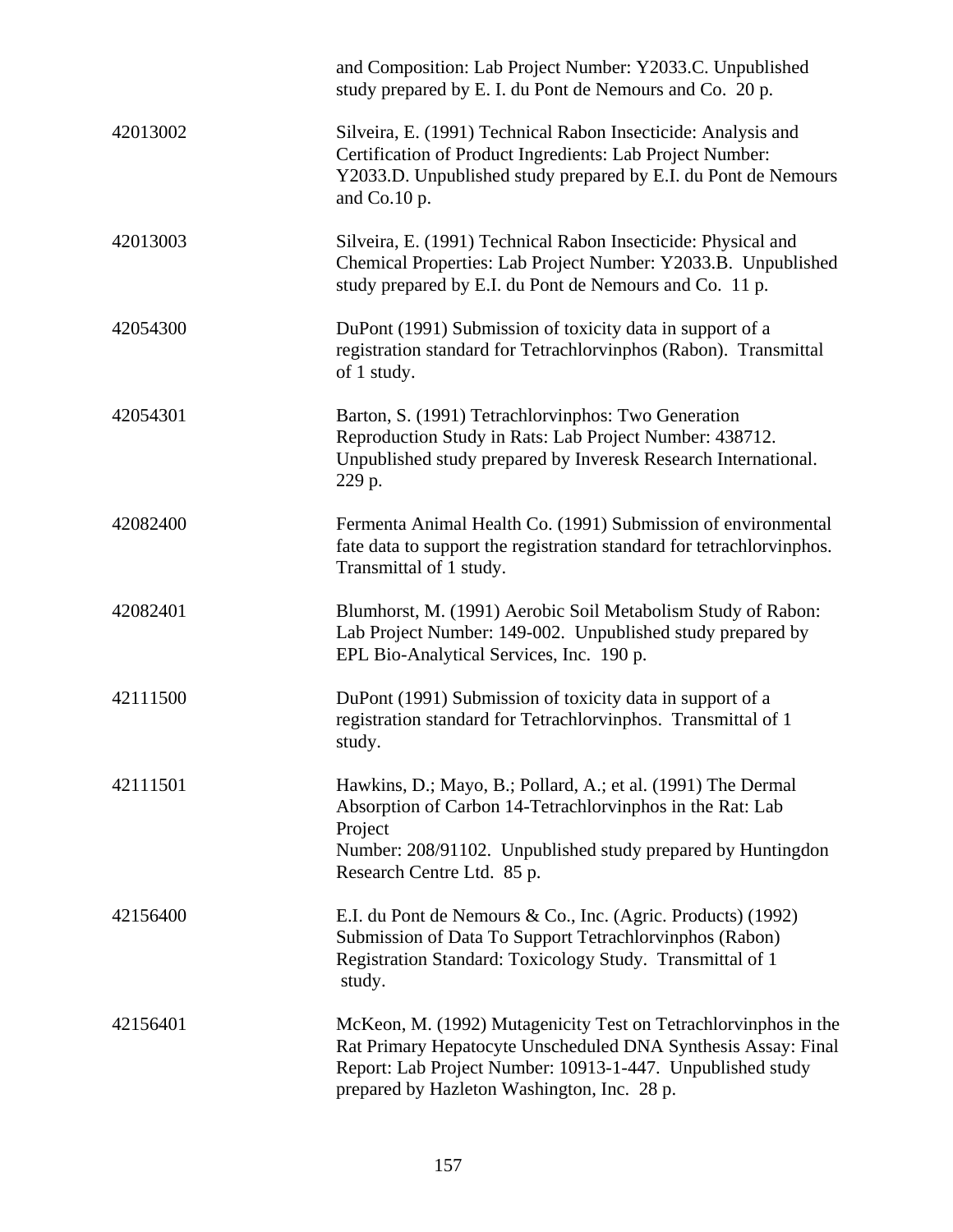|          | and Composition: Lab Project Number: Y2033.C. Unpublished<br>study prepared by E. I. du Pont de Nemours and Co. 20 p.                                                                                                                         |
|----------|-----------------------------------------------------------------------------------------------------------------------------------------------------------------------------------------------------------------------------------------------|
| 42013002 | Silveira, E. (1991) Technical Rabon Insecticide: Analysis and<br>Certification of Product Ingredients: Lab Project Number:<br>Y2033.D. Unpublished study prepared by E.I. du Pont de Nemours<br>and Co.10 p.                                  |
| 42013003 | Silveira, E. (1991) Technical Rabon Insecticide: Physical and<br>Chemical Properties: Lab Project Number: Y2033.B. Unpublished<br>study prepared by E.I. du Pont de Nemours and Co. 11 p.                                                     |
| 42054300 | DuPont (1991) Submission of toxicity data in support of a<br>registration standard for Tetrachlorvinphos (Rabon). Transmittal<br>of 1 study.                                                                                                  |
| 42054301 | Barton, S. (1991) Tetrachlorvinphos: Two Generation<br>Reproduction Study in Rats: Lab Project Number: 438712.<br>Unpublished study prepared by Inveresk Research International.<br>229 p.                                                    |
| 42082400 | Fermenta Animal Health Co. (1991) Submission of environmental<br>fate data to support the registration standard for tetrachlorvinphos.<br>Transmittal of 1 study.                                                                             |
| 42082401 | Blumhorst, M. (1991) Aerobic Soil Metabolism Study of Rabon:<br>Lab Project Number: 149-002. Unpublished study prepared by<br>EPL Bio-Analytical Services, Inc. 190 p.                                                                        |
| 42111500 | DuPont (1991) Submission of toxicity data in support of a<br>registration standard for Tetrachlorvinphos. Transmittal of 1<br>study.                                                                                                          |
| 42111501 | Hawkins, D.; Mayo, B.; Pollard, A.; et al. (1991) The Dermal<br>Absorption of Carbon 14-Tetrachlorvinphos in the Rat: Lab<br>Project<br>Number: 208/91102. Unpublished study prepared by Huntingdon<br>Research Centre Ltd. 85 p.             |
| 42156400 | E.I. du Pont de Nemours & Co., Inc. (Agric. Products) (1992)<br>Submission of Data To Support Tetrachlorvinphos (Rabon)<br>Registration Standard: Toxicology Study. Transmittal of 1<br>study.                                                |
| 42156401 | McKeon, M. (1992) Mutagenicity Test on Tetrachlorvinphos in the<br>Rat Primary Hepatocyte Unscheduled DNA Synthesis Assay: Final<br>Report: Lab Project Number: 10913-1-447. Unpublished study<br>prepared by Hazleton Washington, Inc. 28 p. |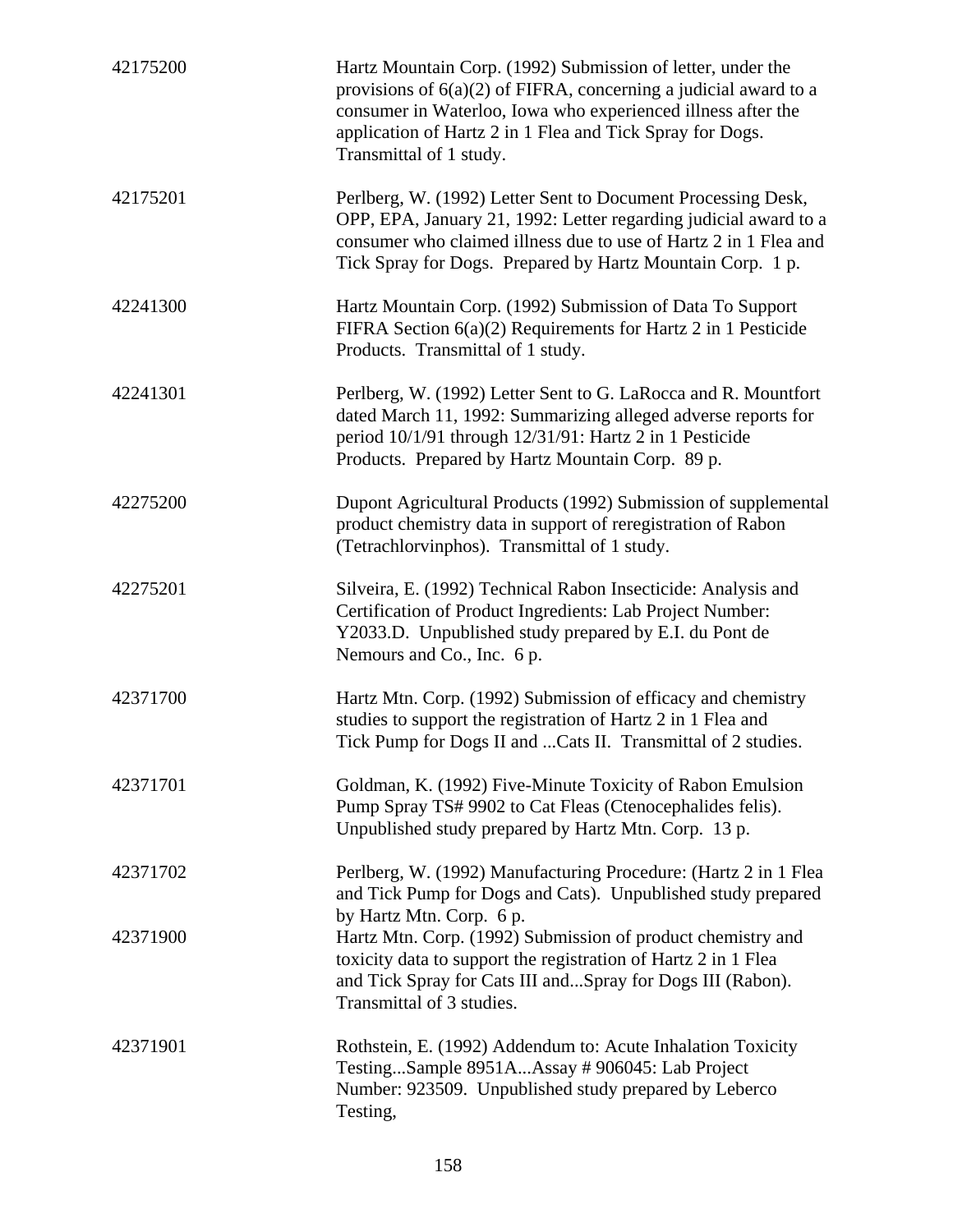| 42175200 | Hartz Mountain Corp. (1992) Submission of letter, under the<br>provisions of $6(a)(2)$ of FIFRA, concerning a judicial award to a<br>consumer in Waterloo, Iowa who experienced illness after the<br>application of Hartz 2 in 1 Flea and Tick Spray for Dogs.<br>Transmittal of 1 study. |
|----------|-------------------------------------------------------------------------------------------------------------------------------------------------------------------------------------------------------------------------------------------------------------------------------------------|
| 42175201 | Perlberg, W. (1992) Letter Sent to Document Processing Desk,<br>OPP, EPA, January 21, 1992: Letter regarding judicial award to a<br>consumer who claimed illness due to use of Hartz 2 in 1 Flea and<br>Tick Spray for Dogs. Prepared by Hartz Mountain Corp. 1 p.                        |
| 42241300 | Hartz Mountain Corp. (1992) Submission of Data To Support<br>FIFRA Section $6(a)(2)$ Requirements for Hartz 2 in 1 Pesticide<br>Products. Transmittal of 1 study.                                                                                                                         |
| 42241301 | Perlberg, W. (1992) Letter Sent to G. LaRocca and R. Mountfort<br>dated March 11, 1992: Summarizing alleged adverse reports for<br>period 10/1/91 through 12/31/91: Hartz 2 in 1 Pesticide<br>Products. Prepared by Hartz Mountain Corp. 89 p.                                            |
| 42275200 | Dupont Agricultural Products (1992) Submission of supplemental<br>product chemistry data in support of reregistration of Rabon<br>(Tetrachlorvinphos). Transmittal of 1 study.                                                                                                            |
| 42275201 | Silveira, E. (1992) Technical Rabon Insecticide: Analysis and<br>Certification of Product Ingredients: Lab Project Number:<br>Y2033.D. Unpublished study prepared by E.I. du Pont de<br>Nemours and Co., Inc. 6 p.                                                                        |
| 42371700 | Hartz Mtn. Corp. (1992) Submission of efficacy and chemistry<br>studies to support the registration of Hartz 2 in 1 Flea and<br>Tick Pump for Dogs II and  Cats II. Transmittal of 2 studies.                                                                                             |
| 42371701 | Goldman, K. (1992) Five-Minute Toxicity of Rabon Emulsion<br>Pump Spray TS# 9902 to Cat Fleas (Ctenocephalides felis).<br>Unpublished study prepared by Hartz Mtn. Corp. 13 p.                                                                                                            |
| 42371702 | Perlberg, W. (1992) Manufacturing Procedure: (Hartz 2 in 1 Flea<br>and Tick Pump for Dogs and Cats). Unpublished study prepared<br>by Hartz Mtn. Corp. 6 p.                                                                                                                               |
| 42371900 | Hartz Mtn. Corp. (1992) Submission of product chemistry and<br>toxicity data to support the registration of Hartz 2 in 1 Flea<br>and Tick Spray for Cats III andSpray for Dogs III (Rabon).<br>Transmittal of 3 studies.                                                                  |
| 42371901 | Rothstein, E. (1992) Addendum to: Acute Inhalation Toxicity<br>TestingSample 8951AAssay # 906045: Lab Project<br>Number: 923509. Unpublished study prepared by Leberco<br>Testing,                                                                                                        |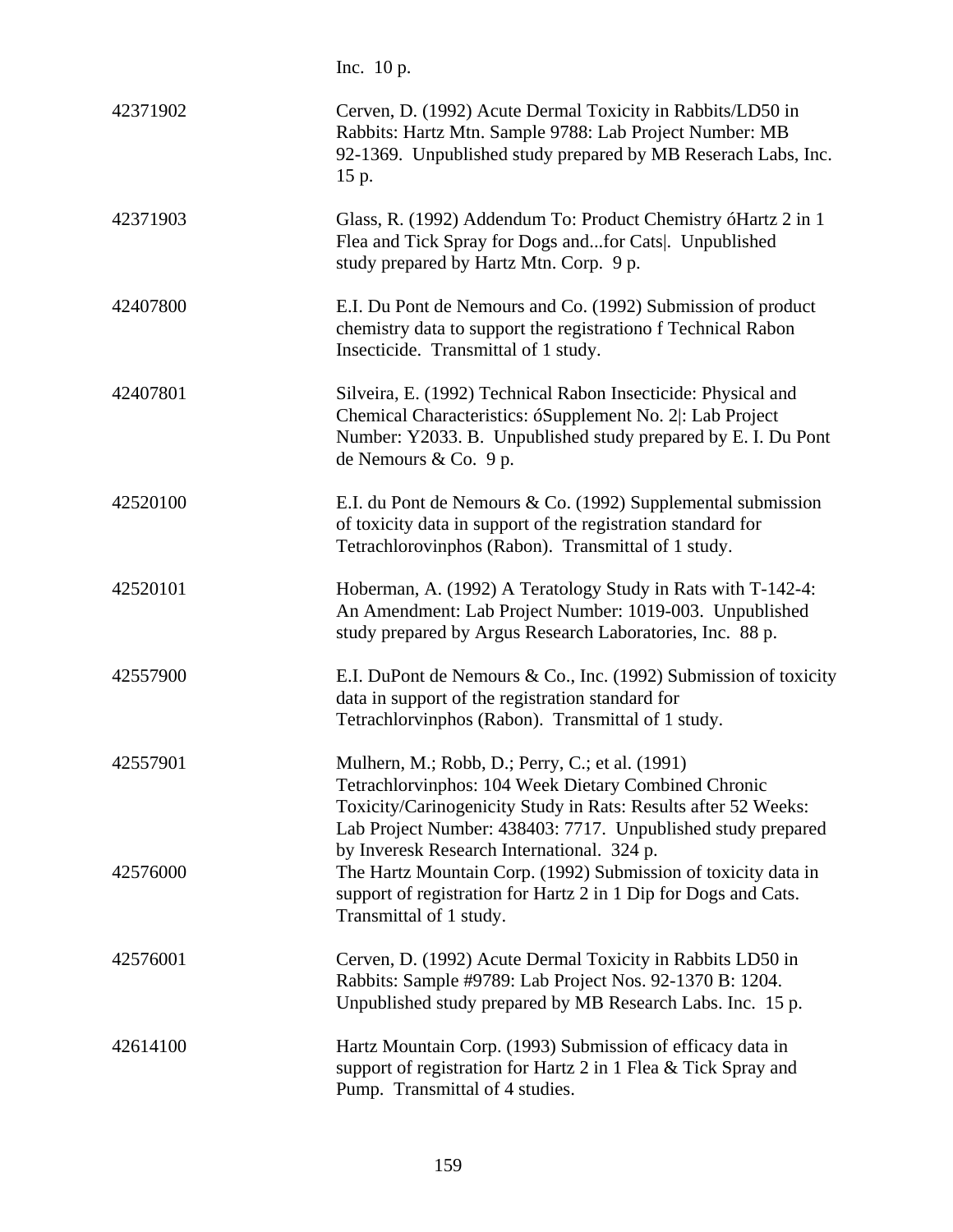Inc. 10 p.

| 42371902 | Cerven, D. (1992) Acute Dermal Toxicity in Rabbits/LD50 in<br>Rabbits: Hartz Mtn. Sample 9788: Lab Project Number: MB<br>92-1369. Unpublished study prepared by MB Reserach Labs, Inc.<br>15 p.                                           |
|----------|-------------------------------------------------------------------------------------------------------------------------------------------------------------------------------------------------------------------------------------------|
| 42371903 | Glass, R. (1992) Addendum To: Product Chemistry óHartz 2 in 1<br>Flea and Tick Spray for Dogs andfor Cats . Unpublished<br>study prepared by Hartz Mtn. Corp. 9 p.                                                                        |
| 42407800 | E.I. Du Pont de Nemours and Co. (1992) Submission of product<br>chemistry data to support the registrationo f Technical Rabon<br>Insecticide. Transmittal of 1 study.                                                                     |
| 42407801 | Silveira, E. (1992) Technical Rabon Insecticide: Physical and<br>Chemical Characteristics: óSupplement No. 2 : Lab Project<br>Number: Y2033. B. Unpublished study prepared by E. I. Du Pont<br>de Nemours & Co. 9 p.                      |
| 42520100 | E.I. du Pont de Nemours & Co. (1992) Supplemental submission<br>of toxicity data in support of the registration standard for<br>Tetrachlorovinphos (Rabon). Transmittal of 1 study.                                                       |
| 42520101 | Hoberman, A. (1992) A Teratology Study in Rats with T-142-4:<br>An Amendment: Lab Project Number: 1019-003. Unpublished<br>study prepared by Argus Research Laboratories, Inc. 88 p.                                                      |
| 42557900 | E.I. DuPont de Nemours & Co., Inc. (1992) Submission of toxicity<br>data in support of the registration standard for<br>Tetrachlorvinphos (Rabon). Transmittal of 1 study.                                                                |
| 42557901 | Mulhern, M.; Robb, D.; Perry, C.; et al. (1991)<br>Tetrachlorvinphos: 104 Week Dietary Combined Chronic<br>Toxicity/Carinogenicity Study in Rats: Results after 52 Weeks:<br>Lab Project Number: 438403: 7717. Unpublished study prepared |
| 42576000 | by Inveresk Research International. 324 p.<br>The Hartz Mountain Corp. (1992) Submission of toxicity data in<br>support of registration for Hartz 2 in 1 Dip for Dogs and Cats.<br>Transmittal of 1 study.                                |
| 42576001 | Cerven, D. (1992) Acute Dermal Toxicity in Rabbits LD50 in<br>Rabbits: Sample #9789: Lab Project Nos. 92-1370 B: 1204.<br>Unpublished study prepared by MB Research Labs. Inc. 15 p.                                                      |
| 42614100 | Hartz Mountain Corp. (1993) Submission of efficacy data in<br>support of registration for Hartz 2 in 1 Flea & Tick Spray and<br>Pump. Transmittal of 4 studies.                                                                           |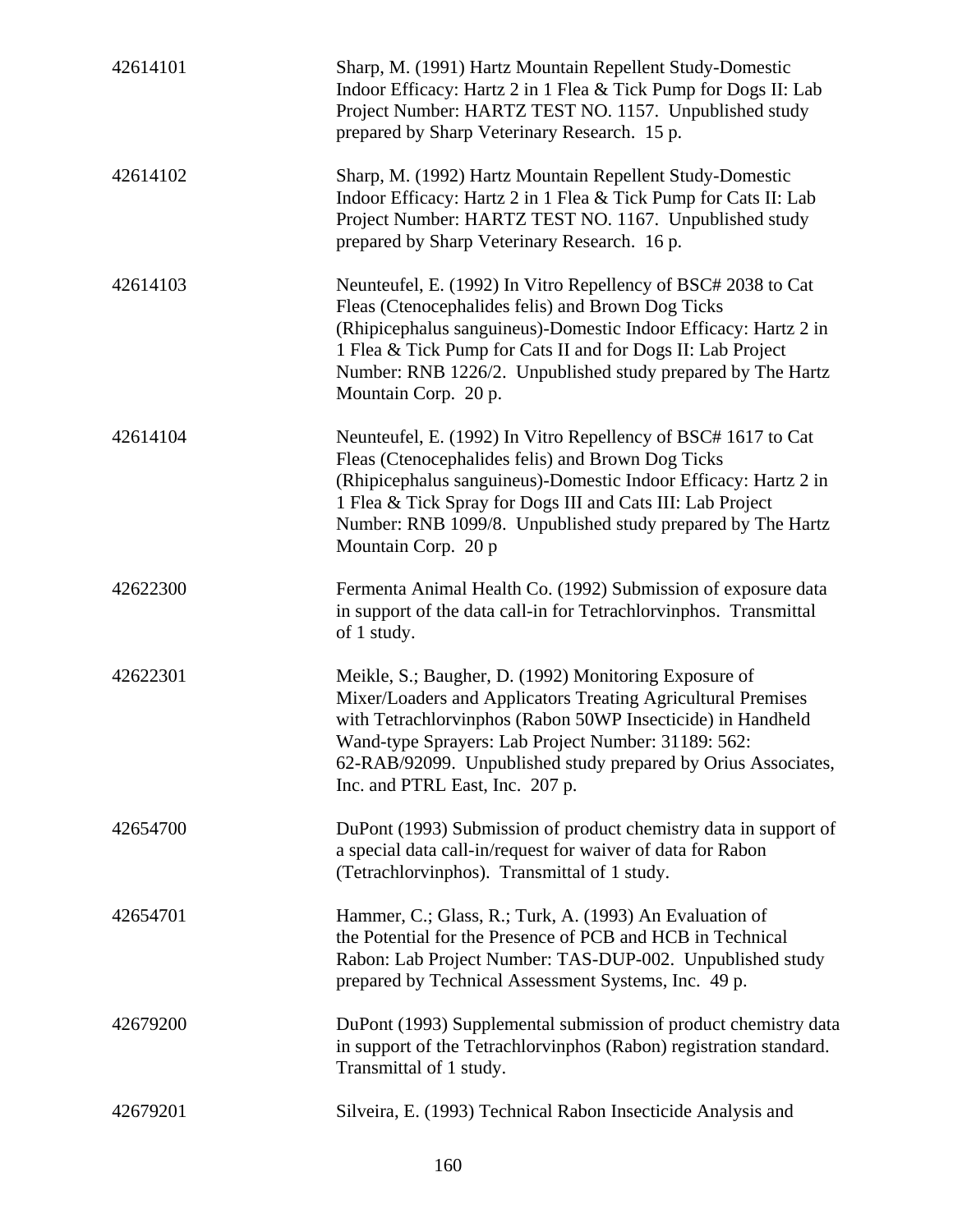| 42614101 | Sharp, M. (1991) Hartz Mountain Repellent Study-Domestic<br>Indoor Efficacy: Hartz 2 in 1 Flea & Tick Pump for Dogs II: Lab<br>Project Number: HARTZ TEST NO. 1157. Unpublished study<br>prepared by Sharp Veterinary Research. 15 p.                                                                                                           |
|----------|-------------------------------------------------------------------------------------------------------------------------------------------------------------------------------------------------------------------------------------------------------------------------------------------------------------------------------------------------|
| 42614102 | Sharp, M. (1992) Hartz Mountain Repellent Study-Domestic<br>Indoor Efficacy: Hartz 2 in 1 Flea & Tick Pump for Cats II: Lab<br>Project Number: HARTZ TEST NO. 1167. Unpublished study<br>prepared by Sharp Veterinary Research. 16 p.                                                                                                           |
| 42614103 | Neunteufel, E. (1992) In Vitro Repellency of BSC# 2038 to Cat<br>Fleas (Ctenocephalides felis) and Brown Dog Ticks<br>(Rhipicephalus sanguineus)-Domestic Indoor Efficacy: Hartz 2 in<br>1 Flea & Tick Pump for Cats II and for Dogs II: Lab Project<br>Number: RNB 1226/2. Unpublished study prepared by The Hartz<br>Mountain Corp. 20 p.     |
| 42614104 | Neunteufel, E. (1992) In Vitro Repellency of BSC# 1617 to Cat<br>Fleas (Ctenocephalides felis) and Brown Dog Ticks<br>(Rhipicephalus sanguineus)-Domestic Indoor Efficacy: Hartz 2 in<br>1 Flea & Tick Spray for Dogs III and Cats III: Lab Project<br>Number: RNB 1099/8. Unpublished study prepared by The Hartz<br>Mountain Corp. 20 p       |
| 42622300 | Fermenta Animal Health Co. (1992) Submission of exposure data<br>in support of the data call-in for Tetrachlorvinphos. Transmittal<br>of 1 study.                                                                                                                                                                                               |
| 42622301 | Meikle, S.; Baugher, D. (1992) Monitoring Exposure of<br>Mixer/Loaders and Applicators Treating Agricultural Premises<br>with Tetrachlorvinphos (Rabon 50WP Insecticide) in Handheld<br>Wand-type Sprayers: Lab Project Number: 31189: 562:<br>62-RAB/92099. Unpublished study prepared by Orius Associates,<br>Inc. and PTRL East, Inc. 207 p. |
| 42654700 | DuPont (1993) Submission of product chemistry data in support of<br>a special data call-in/request for waiver of data for Rabon<br>(Tetrachlorvinphos). Transmittal of 1 study.                                                                                                                                                                 |
| 42654701 | Hammer, C.; Glass, R.; Turk, A. (1993) An Evaluation of<br>the Potential for the Presence of PCB and HCB in Technical<br>Rabon: Lab Project Number: TAS-DUP-002. Unpublished study<br>prepared by Technical Assessment Systems, Inc. 49 p.                                                                                                      |
| 42679200 | DuPont (1993) Supplemental submission of product chemistry data<br>in support of the Tetrachlorvinphos (Rabon) registration standard.<br>Transmittal of 1 study.                                                                                                                                                                                |
| 42679201 | Silveira, E. (1993) Technical Rabon Insecticide Analysis and                                                                                                                                                                                                                                                                                    |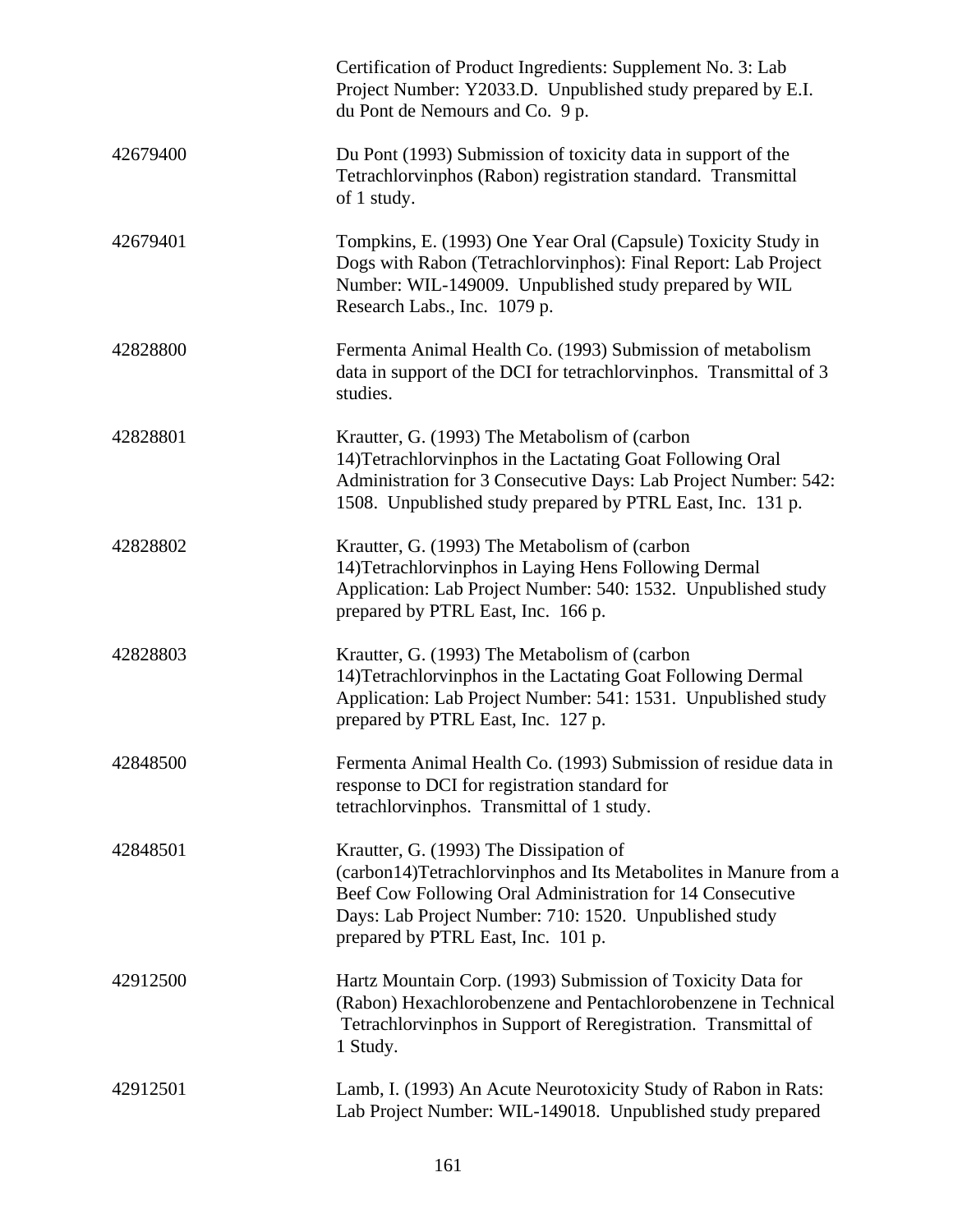|          | Certification of Product Ingredients: Supplement No. 3: Lab<br>Project Number: Y2033.D. Unpublished study prepared by E.I.<br>du Pont de Nemours and Co. 9 p.                                                                                                           |
|----------|-------------------------------------------------------------------------------------------------------------------------------------------------------------------------------------------------------------------------------------------------------------------------|
| 42679400 | Du Pont (1993) Submission of toxicity data in support of the<br>Tetrachlorvinphos (Rabon) registration standard. Transmittal<br>of 1 study.                                                                                                                             |
| 42679401 | Tompkins, E. (1993) One Year Oral (Capsule) Toxicity Study in<br>Dogs with Rabon (Tetrachlorvinphos): Final Report: Lab Project<br>Number: WIL-149009. Unpublished study prepared by WIL<br>Research Labs., Inc. 1079 p.                                                |
| 42828800 | Fermenta Animal Health Co. (1993) Submission of metabolism<br>data in support of the DCI for tetrachloryinphos. Transmittal of 3<br>studies.                                                                                                                            |
| 42828801 | Krautter, G. (1993) The Metabolism of (carbon<br>14) Tetrachlorvinphos in the Lactating Goat Following Oral<br>Administration for 3 Consecutive Days: Lab Project Number: 542:<br>1508. Unpublished study prepared by PTRL East, Inc. 131 p.                            |
| 42828802 | Krautter, G. (1993) The Metabolism of (carbon<br>14) Tetrachlorvinphos in Laying Hens Following Dermal<br>Application: Lab Project Number: 540: 1532. Unpublished study<br>prepared by PTRL East, Inc. 166 p.                                                           |
| 42828803 | Krautter, G. (1993) The Metabolism of (carbon<br>14) Tetrachlorvinphos in the Lactating Goat Following Dermal<br>Application: Lab Project Number: 541: 1531. Unpublished study<br>prepared by PTRL East, Inc. 127 p.                                                    |
| 42848500 | Fermenta Animal Health Co. (1993) Submission of residue data in<br>response to DCI for registration standard for<br>tetrachlorvinphos. Transmittal of 1 study.                                                                                                          |
| 42848501 | Krautter, G. (1993) The Dissipation of<br>(carbon14)Tetrachlorvinphos and Its Metabolites in Manure from a<br>Beef Cow Following Oral Administration for 14 Consecutive<br>Days: Lab Project Number: 710: 1520. Unpublished study<br>prepared by PTRL East, Inc. 101 p. |
| 42912500 | Hartz Mountain Corp. (1993) Submission of Toxicity Data for<br>(Rabon) Hexachlorobenzene and Pentachlorobenzene in Technical<br>Tetrachlorvinphos in Support of Reregistration. Transmittal of<br>1 Study.                                                              |
| 42912501 | Lamb, I. (1993) An Acute Neurotoxicity Study of Rabon in Rats:<br>Lab Project Number: WIL-149018. Unpublished study prepared                                                                                                                                            |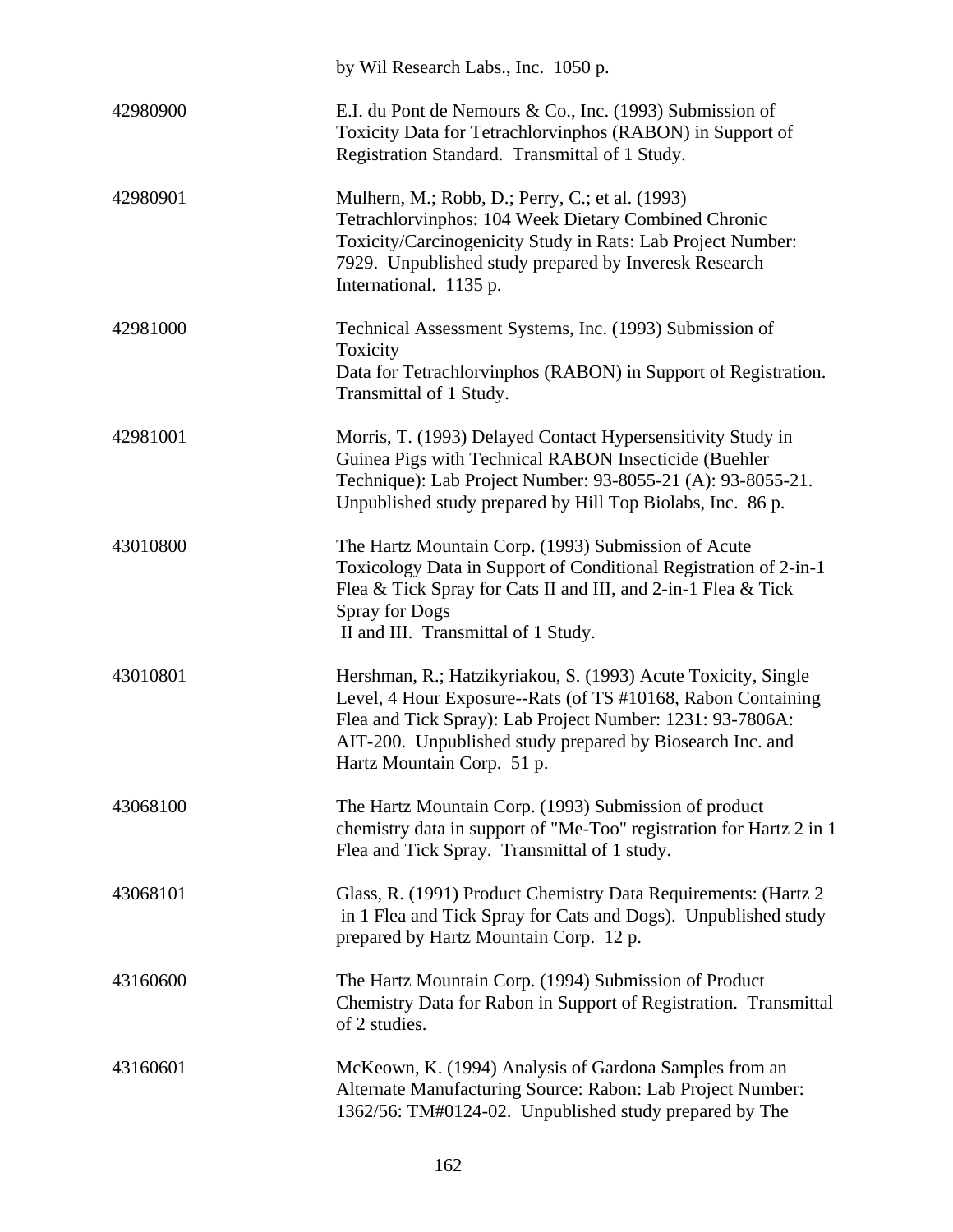|          | by Wil Research Labs., Inc. 1050 p.                                                                                                                                                                                                                                                   |
|----------|---------------------------------------------------------------------------------------------------------------------------------------------------------------------------------------------------------------------------------------------------------------------------------------|
| 42980900 | E.I. du Pont de Nemours & Co., Inc. (1993) Submission of<br>Toxicity Data for Tetrachlorvinphos (RABON) in Support of<br>Registration Standard. Transmittal of 1 Study.                                                                                                               |
| 42980901 | Mulhern, M.; Robb, D.; Perry, C.; et al. (1993)<br>Tetrachlorvinphos: 104 Week Dietary Combined Chronic<br>Toxicity/Carcinogenicity Study in Rats: Lab Project Number:<br>7929. Unpublished study prepared by Inveresk Research<br>International. 1135 p.                             |
| 42981000 | Technical Assessment Systems, Inc. (1993) Submission of<br>Toxicity<br>Data for Tetrachlorvinphos (RABON) in Support of Registration.<br>Transmittal of 1 Study.                                                                                                                      |
| 42981001 | Morris, T. (1993) Delayed Contact Hypersensitivity Study in<br>Guinea Pigs with Technical RABON Insecticide (Buehler<br>Technique): Lab Project Number: 93-8055-21 (A): 93-8055-21.<br>Unpublished study prepared by Hill Top Biolabs, Inc. 86 p.                                     |
| 43010800 | The Hartz Mountain Corp. (1993) Submission of Acute<br>Toxicology Data in Support of Conditional Registration of 2-in-1<br>Flea & Tick Spray for Cats II and III, and 2-in-1 Flea & Tick<br><b>Spray for Dogs</b><br>II and III. Transmittal of 1 Study.                              |
| 43010801 | Hershman, R.; Hatzikyriakou, S. (1993) Acute Toxicity, Single<br>Level, 4 Hour Exposure--Rats (of TS #10168, Rabon Containing<br>Flea and Tick Spray): Lab Project Number: 1231: 93-7806A:<br>AIT-200. Unpublished study prepared by Biosearch Inc. and<br>Hartz Mountain Corp. 51 p. |
| 43068100 | The Hartz Mountain Corp. (1993) Submission of product<br>chemistry data in support of "Me-Too" registration for Hartz 2 in 1<br>Flea and Tick Spray. Transmittal of 1 study.                                                                                                          |
| 43068101 | Glass, R. (1991) Product Chemistry Data Requirements: (Hartz 2<br>in 1 Flea and Tick Spray for Cats and Dogs). Unpublished study<br>prepared by Hartz Mountain Corp. 12 p.                                                                                                            |
| 43160600 | The Hartz Mountain Corp. (1994) Submission of Product<br>Chemistry Data for Rabon in Support of Registration. Transmittal<br>of 2 studies.                                                                                                                                            |
| 43160601 | McKeown, K. (1994) Analysis of Gardona Samples from an<br>Alternate Manufacturing Source: Rabon: Lab Project Number:<br>1362/56: TM#0124-02. Unpublished study prepared by The                                                                                                        |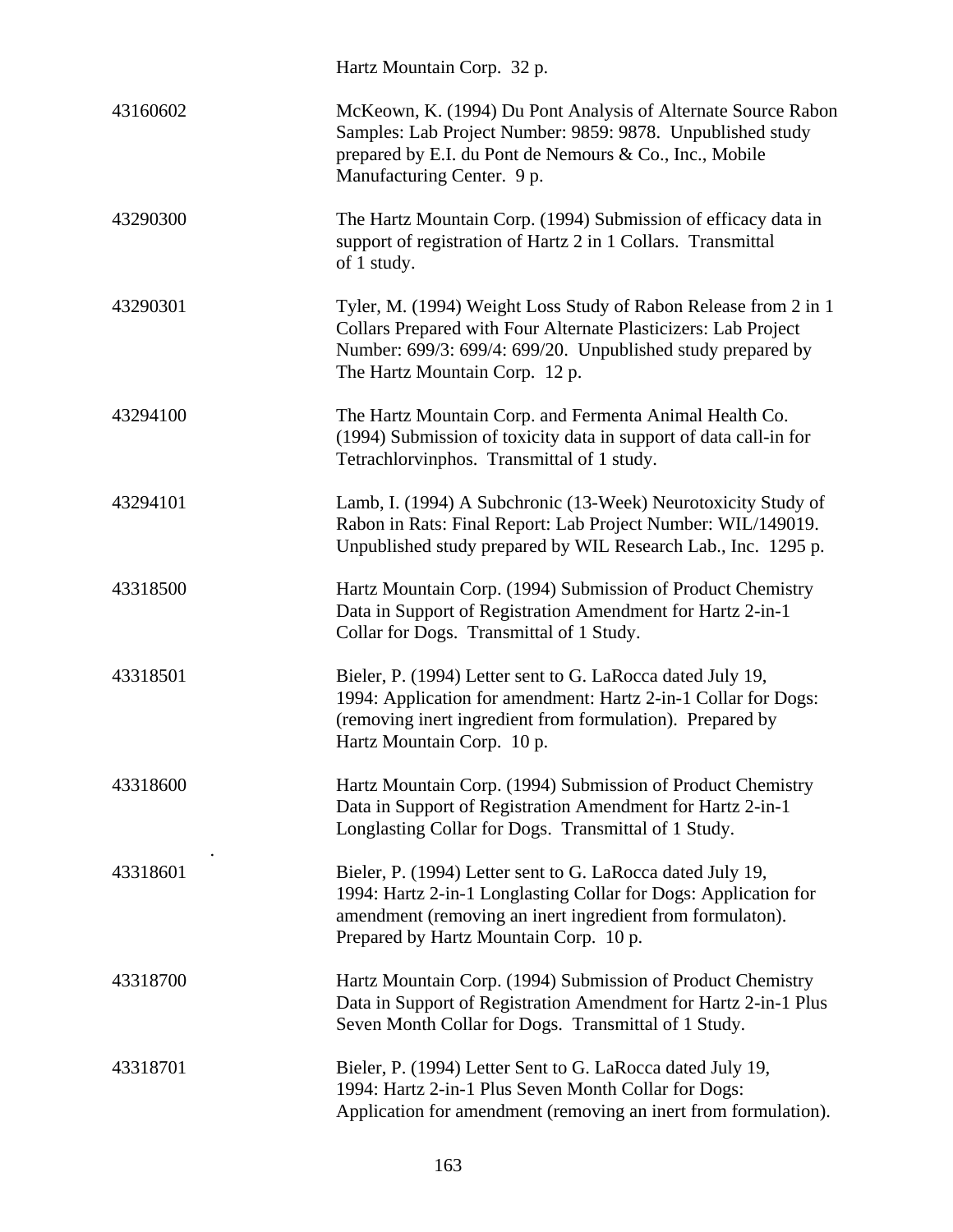|          | Hartz Mountain Corp. 32 p.                                                                                                                                                                                                           |
|----------|--------------------------------------------------------------------------------------------------------------------------------------------------------------------------------------------------------------------------------------|
| 43160602 | McKeown, K. (1994) Du Pont Analysis of Alternate Source Rabon<br>Samples: Lab Project Number: 9859: 9878. Unpublished study<br>prepared by E.I. du Pont de Nemours & Co., Inc., Mobile<br>Manufacturing Center. 9 p.                 |
| 43290300 | The Hartz Mountain Corp. (1994) Submission of efficacy data in<br>support of registration of Hartz 2 in 1 Collars. Transmittal<br>of 1 study.                                                                                        |
| 43290301 | Tyler, M. (1994) Weight Loss Study of Rabon Release from 2 in 1<br>Collars Prepared with Four Alternate Plasticizers: Lab Project<br>Number: 699/3: 699/4: 699/20. Unpublished study prepared by<br>The Hartz Mountain Corp. 12 p.   |
| 43294100 | The Hartz Mountain Corp. and Fermenta Animal Health Co.<br>(1994) Submission of toxicity data in support of data call-in for<br>Tetrachlorvinphos. Transmittal of 1 study.                                                           |
| 43294101 | Lamb, I. (1994) A Subchronic (13-Week) Neurotoxicity Study of<br>Rabon in Rats: Final Report: Lab Project Number: WIL/149019.<br>Unpublished study prepared by WIL Research Lab., Inc. 1295 p.                                       |
| 43318500 | Hartz Mountain Corp. (1994) Submission of Product Chemistry<br>Data in Support of Registration Amendment for Hartz 2-in-1<br>Collar for Dogs. Transmittal of 1 Study.                                                                |
| 43318501 | Bieler, P. (1994) Letter sent to G. LaRocca dated July 19,<br>1994: Application for amendment: Hartz 2-in-1 Collar for Dogs:<br>(removing inert ingredient from formulation). Prepared by<br>Hartz Mountain Corp. 10 p.              |
| 43318600 | Hartz Mountain Corp. (1994) Submission of Product Chemistry<br>Data in Support of Registration Amendment for Hartz 2-in-1<br>Longlasting Collar for Dogs. Transmittal of 1 Study.                                                    |
| 43318601 | Bieler, P. (1994) Letter sent to G. LaRocca dated July 19,<br>1994: Hartz 2-in-1 Longlasting Collar for Dogs: Application for<br>amendment (removing an inert ingredient from formulaton).<br>Prepared by Hartz Mountain Corp. 10 p. |
| 43318700 | Hartz Mountain Corp. (1994) Submission of Product Chemistry<br>Data in Support of Registration Amendment for Hartz 2-in-1 Plus<br>Seven Month Collar for Dogs. Transmittal of 1 Study.                                               |
| 43318701 | Bieler, P. (1994) Letter Sent to G. LaRocca dated July 19,<br>1994: Hartz 2-in-1 Plus Seven Month Collar for Dogs:<br>Application for amendment (removing an inert from formulation).                                                |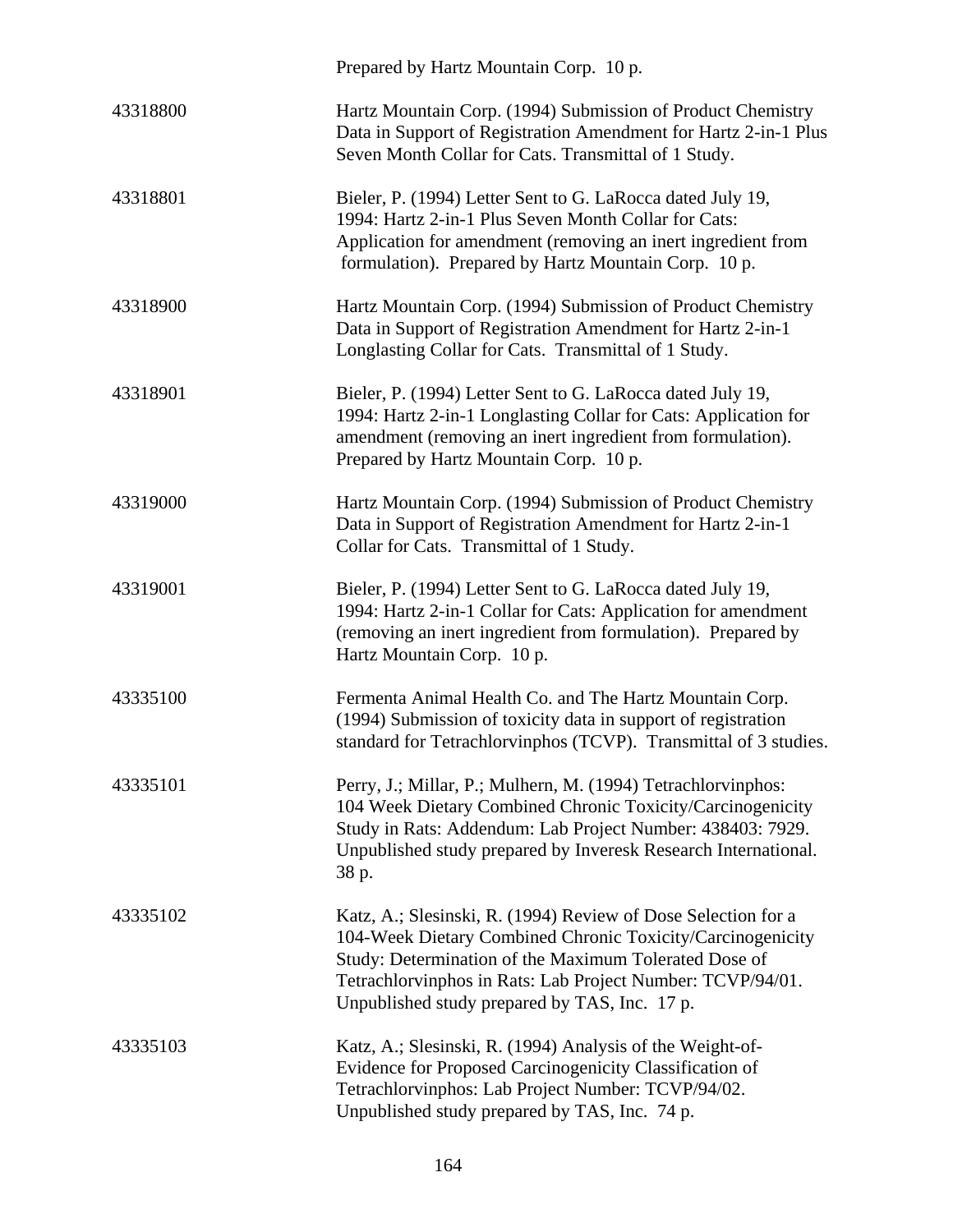|          | Prepared by Hartz Mountain Corp. 10 p.                                                                                                                                                                                                                                                              |
|----------|-----------------------------------------------------------------------------------------------------------------------------------------------------------------------------------------------------------------------------------------------------------------------------------------------------|
| 43318800 | Hartz Mountain Corp. (1994) Submission of Product Chemistry<br>Data in Support of Registration Amendment for Hartz 2-in-1 Plus<br>Seven Month Collar for Cats. Transmittal of 1 Study.                                                                                                              |
| 43318801 | Bieler, P. (1994) Letter Sent to G. LaRocca dated July 19,<br>1994: Hartz 2-in-1 Plus Seven Month Collar for Cats:<br>Application for amendment (removing an inert ingredient from<br>formulation). Prepared by Hartz Mountain Corp. 10 p.                                                          |
| 43318900 | Hartz Mountain Corp. (1994) Submission of Product Chemistry<br>Data in Support of Registration Amendment for Hartz 2-in-1<br>Longlasting Collar for Cats. Transmittal of 1 Study.                                                                                                                   |
| 43318901 | Bieler, P. (1994) Letter Sent to G. LaRocca dated July 19,<br>1994: Hartz 2-in-1 Longlasting Collar for Cats: Application for<br>amendment (removing an inert ingredient from formulation).<br>Prepared by Hartz Mountain Corp. 10 p.                                                               |
| 43319000 | Hartz Mountain Corp. (1994) Submission of Product Chemistry<br>Data in Support of Registration Amendment for Hartz 2-in-1<br>Collar for Cats. Transmittal of 1 Study.                                                                                                                               |
| 43319001 | Bieler, P. (1994) Letter Sent to G. LaRocca dated July 19,<br>1994: Hartz 2-in-1 Collar for Cats: Application for amendment<br>(removing an inert ingredient from formulation). Prepared by<br>Hartz Mountain Corp. 10 p.                                                                           |
| 43335100 | Fermenta Animal Health Co. and The Hartz Mountain Corp.<br>(1994) Submission of toxicity data in support of registration<br>standard for Tetrachlorvinphos (TCVP). Transmittal of 3 studies.                                                                                                        |
| 43335101 | Perry, J.; Millar, P.; Mulhern, M. (1994) Tetrachlorvinphos:<br>104 Week Dietary Combined Chronic Toxicity/Carcinogenicity<br>Study in Rats: Addendum: Lab Project Number: 438403: 7929.<br>Unpublished study prepared by Inveresk Research International.<br>38 p.                                 |
| 43335102 | Katz, A.; Slesinski, R. (1994) Review of Dose Selection for a<br>104-Week Dietary Combined Chronic Toxicity/Carcinogenicity<br>Study: Determination of the Maximum Tolerated Dose of<br>Tetrachlorvinphos in Rats: Lab Project Number: TCVP/94/01.<br>Unpublished study prepared by TAS, Inc. 17 p. |
| 43335103 | Katz, A.; Slesinski, R. (1994) Analysis of the Weight-of-<br>Evidence for Proposed Carcinogenicity Classification of<br>Tetrachlorvinphos: Lab Project Number: TCVP/94/02.<br>Unpublished study prepared by TAS, Inc. 74 p.                                                                         |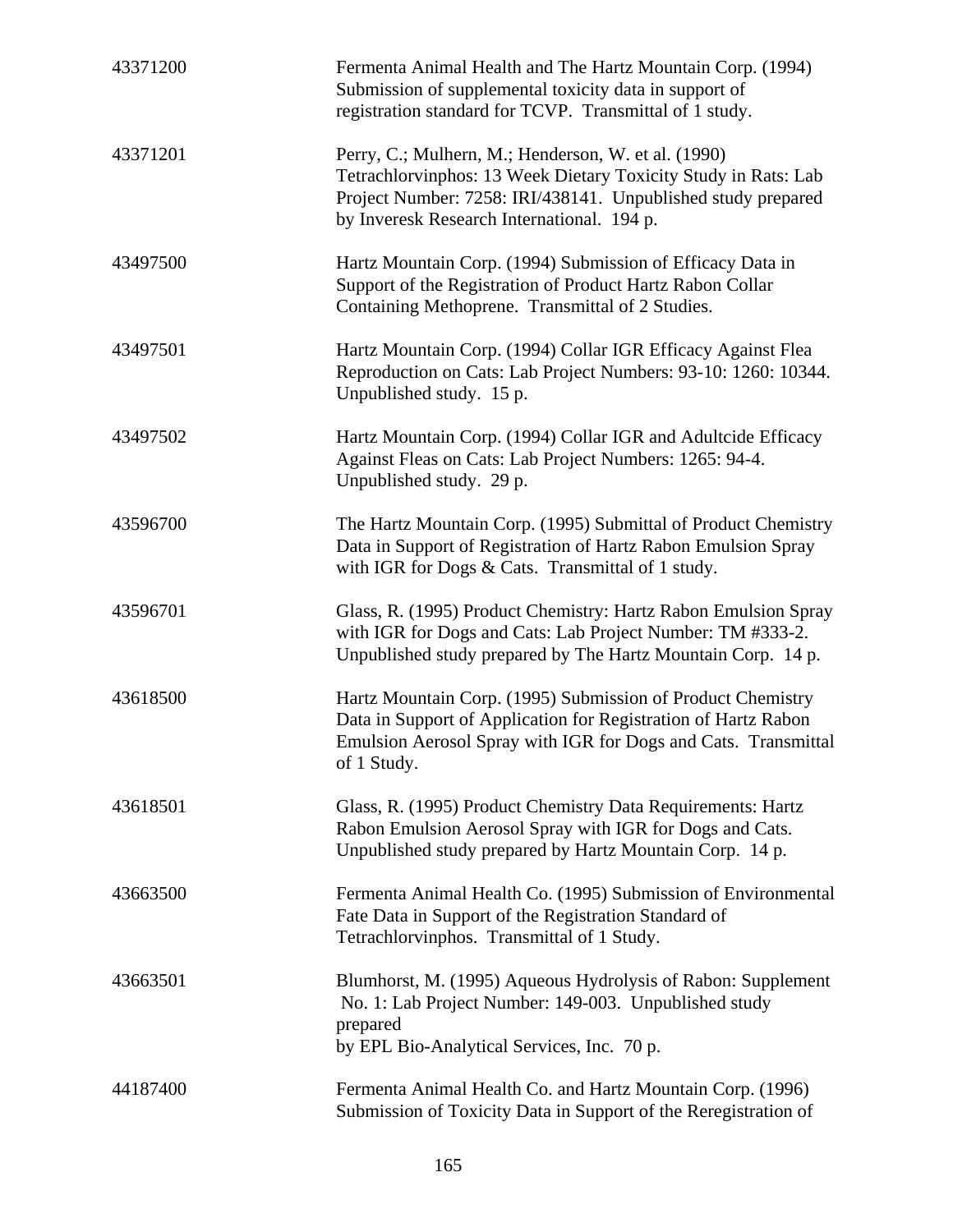| 43371200 | Fermenta Animal Health and The Hartz Mountain Corp. (1994)<br>Submission of supplemental toxicity data in support of<br>registration standard for TCVP. Transmittal of 1 study.                                                     |
|----------|-------------------------------------------------------------------------------------------------------------------------------------------------------------------------------------------------------------------------------------|
| 43371201 | Perry, C.; Mulhern, M.; Henderson, W. et al. (1990)<br>Tetrachlorvinphos: 13 Week Dietary Toxicity Study in Rats: Lab<br>Project Number: 7258: IRI/438141. Unpublished study prepared<br>by Inveresk Research International. 194 p. |
| 43497500 | Hartz Mountain Corp. (1994) Submission of Efficacy Data in<br>Support of the Registration of Product Hartz Rabon Collar<br>Containing Methoprene. Transmittal of 2 Studies.                                                         |
| 43497501 | Hartz Mountain Corp. (1994) Collar IGR Efficacy Against Flea<br>Reproduction on Cats: Lab Project Numbers: 93-10: 1260: 10344.<br>Unpublished study. 15 p.                                                                          |
| 43497502 | Hartz Mountain Corp. (1994) Collar IGR and Adultcide Efficacy<br>Against Fleas on Cats: Lab Project Numbers: 1265: 94-4.<br>Unpublished study. 29 p.                                                                                |
| 43596700 | The Hartz Mountain Corp. (1995) Submittal of Product Chemistry<br>Data in Support of Registration of Hartz Rabon Emulsion Spray<br>with IGR for Dogs & Cats. Transmittal of 1 study.                                                |
| 43596701 | Glass, R. (1995) Product Chemistry: Hartz Rabon Emulsion Spray<br>with IGR for Dogs and Cats: Lab Project Number: TM #333-2.<br>Unpublished study prepared by The Hartz Mountain Corp. 14 p.                                        |
| 43618500 | Hartz Mountain Corp. (1995) Submission of Product Chemistry<br>Data in Support of Application for Registration of Hartz Rabon<br>Emulsion Aerosol Spray with IGR for Dogs and Cats. Transmittal<br>of 1 Study.                      |
| 43618501 | Glass, R. (1995) Product Chemistry Data Requirements: Hartz<br>Rabon Emulsion Aerosol Spray with IGR for Dogs and Cats.<br>Unpublished study prepared by Hartz Mountain Corp. 14 p.                                                 |
| 43663500 | Fermenta Animal Health Co. (1995) Submission of Environmental<br>Fate Data in Support of the Registration Standard of<br>Tetrachlorvinphos. Transmittal of 1 Study.                                                                 |
| 43663501 | Blumhorst, M. (1995) Aqueous Hydrolysis of Rabon: Supplement<br>No. 1: Lab Project Number: 149-003. Unpublished study<br>prepared<br>by EPL Bio-Analytical Services, Inc. 70 p.                                                     |
| 44187400 | Fermenta Animal Health Co. and Hartz Mountain Corp. (1996)<br>Submission of Toxicity Data in Support of the Reregistration of                                                                                                       |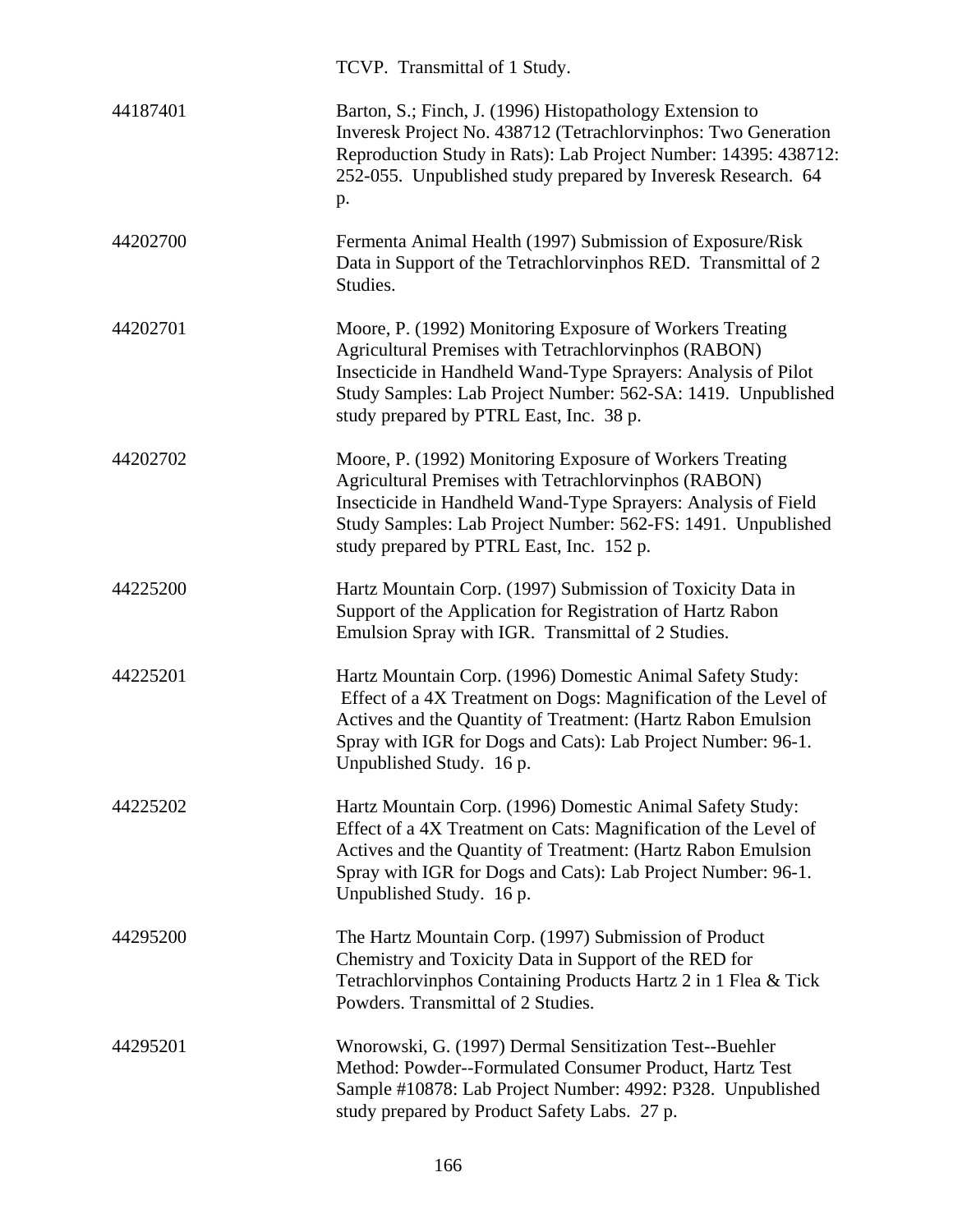|          | TCVP. Transmittal of 1 Study.                                                                                                                                                                                                                                                                 |
|----------|-----------------------------------------------------------------------------------------------------------------------------------------------------------------------------------------------------------------------------------------------------------------------------------------------|
| 44187401 | Barton, S.; Finch, J. (1996) Histopathology Extension to<br>Inveresk Project No. 438712 (Tetrachlorvinphos: Two Generation<br>Reproduction Study in Rats): Lab Project Number: 14395: 438712:<br>252-055. Unpublished study prepared by Inveresk Research. 64<br>p.                           |
| 44202700 | Fermenta Animal Health (1997) Submission of Exposure/Risk<br>Data in Support of the Tetrachlorvinphos RED. Transmittal of 2<br>Studies.                                                                                                                                                       |
| 44202701 | Moore, P. (1992) Monitoring Exposure of Workers Treating<br>Agricultural Premises with Tetrachlorvinphos (RABON)<br>Insecticide in Handheld Wand-Type Sprayers: Analysis of Pilot<br>Study Samples: Lab Project Number: 562-SA: 1419. Unpublished<br>study prepared by PTRL East, Inc. 38 p.  |
| 44202702 | Moore, P. (1992) Monitoring Exposure of Workers Treating<br>Agricultural Premises with Tetrachlorvinphos (RABON)<br>Insecticide in Handheld Wand-Type Sprayers: Analysis of Field<br>Study Samples: Lab Project Number: 562-FS: 1491. Unpublished<br>study prepared by PTRL East, Inc. 152 p. |
| 44225200 | Hartz Mountain Corp. (1997) Submission of Toxicity Data in<br>Support of the Application for Registration of Hartz Rabon<br>Emulsion Spray with IGR. Transmittal of 2 Studies.                                                                                                                |
| 44225201 | Hartz Mountain Corp. (1996) Domestic Animal Safety Study:<br>Effect of a 4X Treatment on Dogs: Magnification of the Level of<br>Actives and the Quantity of Treatment: (Hartz Rabon Emulsion<br>Spray with IGR for Dogs and Cats): Lab Project Number: 96-1.<br>Unpublished Study. 16 p.      |
| 44225202 | Hartz Mountain Corp. (1996) Domestic Animal Safety Study:<br>Effect of a 4X Treatment on Cats: Magnification of the Level of<br>Actives and the Quantity of Treatment: (Hartz Rabon Emulsion<br>Spray with IGR for Dogs and Cats): Lab Project Number: 96-1.<br>Unpublished Study. 16 p.      |
| 44295200 | The Hartz Mountain Corp. (1997) Submission of Product<br>Chemistry and Toxicity Data in Support of the RED for<br>Tetrachlorvinphos Containing Products Hartz 2 in 1 Flea & Tick<br>Powders. Transmittal of 2 Studies.                                                                        |
| 44295201 | Wnorowski, G. (1997) Dermal Sensitization Test--Buehler<br>Method: Powder--Formulated Consumer Product, Hartz Test<br>Sample #10878: Lab Project Number: 4992: P328. Unpublished<br>study prepared by Product Safety Labs. 27 p.                                                              |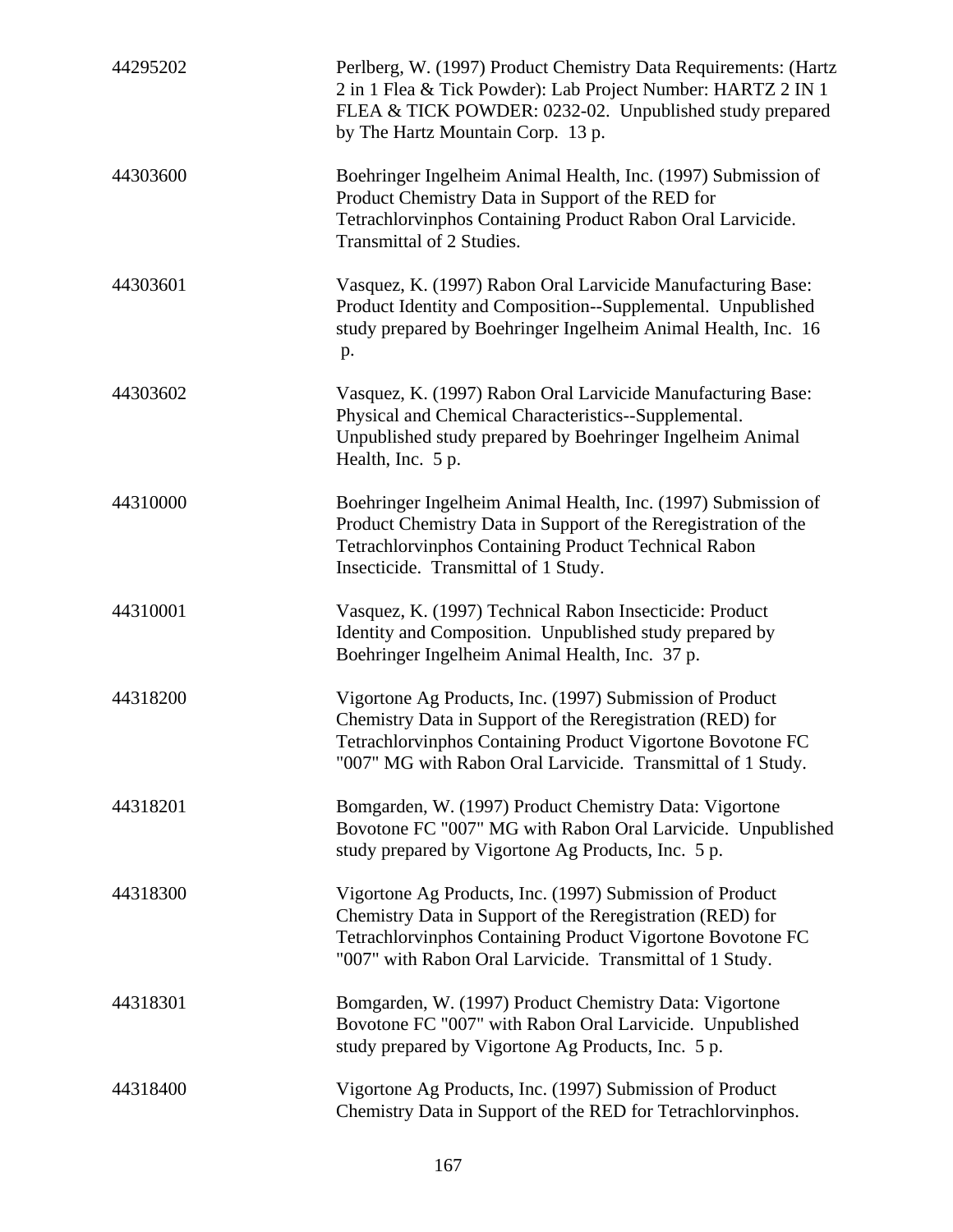| 44295202 | Perlberg, W. (1997) Product Chemistry Data Requirements: (Hartz<br>2 in 1 Flea & Tick Powder): Lab Project Number: HARTZ 2 IN 1<br>FLEA & TICK POWDER: 0232-02. Unpublished study prepared<br>by The Hartz Mountain Corp. 13 p.                    |
|----------|----------------------------------------------------------------------------------------------------------------------------------------------------------------------------------------------------------------------------------------------------|
| 44303600 | Boehringer Ingelheim Animal Health, Inc. (1997) Submission of<br>Product Chemistry Data in Support of the RED for<br>Tetrachlorvinphos Containing Product Rabon Oral Larvicide.<br>Transmittal of 2 Studies.                                       |
| 44303601 | Vasquez, K. (1997) Rabon Oral Larvicide Manufacturing Base:<br>Product Identity and Composition--Supplemental. Unpublished<br>study prepared by Boehringer Ingelheim Animal Health, Inc. 16<br>p.                                                  |
| 44303602 | Vasquez, K. (1997) Rabon Oral Larvicide Manufacturing Base:<br>Physical and Chemical Characteristics--Supplemental.<br>Unpublished study prepared by Boehringer Ingelheim Animal<br>Health, Inc. 5 p.                                              |
| 44310000 | Boehringer Ingelheim Animal Health, Inc. (1997) Submission of<br>Product Chemistry Data in Support of the Reregistration of the<br><b>Tetrachlorvinphos Containing Product Technical Rabon</b><br>Insecticide. Transmittal of 1 Study.             |
| 44310001 | Vasquez, K. (1997) Technical Rabon Insecticide: Product<br>Identity and Composition. Unpublished study prepared by<br>Boehringer Ingelheim Animal Health, Inc. 37 p.                                                                               |
| 44318200 | Vigortone Ag Products, Inc. (1997) Submission of Product<br>Chemistry Data in Support of the Reregistration (RED) for<br>Tetrachlorvinphos Containing Product Vigortone Bovotone FC<br>"007" MG with Rabon Oral Larvicide. Transmittal of 1 Study. |
| 44318201 | Bomgarden, W. (1997) Product Chemistry Data: Vigortone<br>Bovotone FC "007" MG with Rabon Oral Larvicide. Unpublished<br>study prepared by Vigortone Ag Products, Inc. 5 p.                                                                        |
| 44318300 | Vigortone Ag Products, Inc. (1997) Submission of Product<br>Chemistry Data in Support of the Reregistration (RED) for<br>Tetrachlorvinphos Containing Product Vigortone Bovotone FC<br>"007" with Rabon Oral Larvicide. Transmittal of 1 Study.    |
| 44318301 | Bomgarden, W. (1997) Product Chemistry Data: Vigortone<br>Bovotone FC "007" with Rabon Oral Larvicide. Unpublished<br>study prepared by Vigortone Ag Products, Inc. 5 p.                                                                           |
| 44318400 | Vigortone Ag Products, Inc. (1997) Submission of Product<br>Chemistry Data in Support of the RED for Tetrachlorvinphos.                                                                                                                            |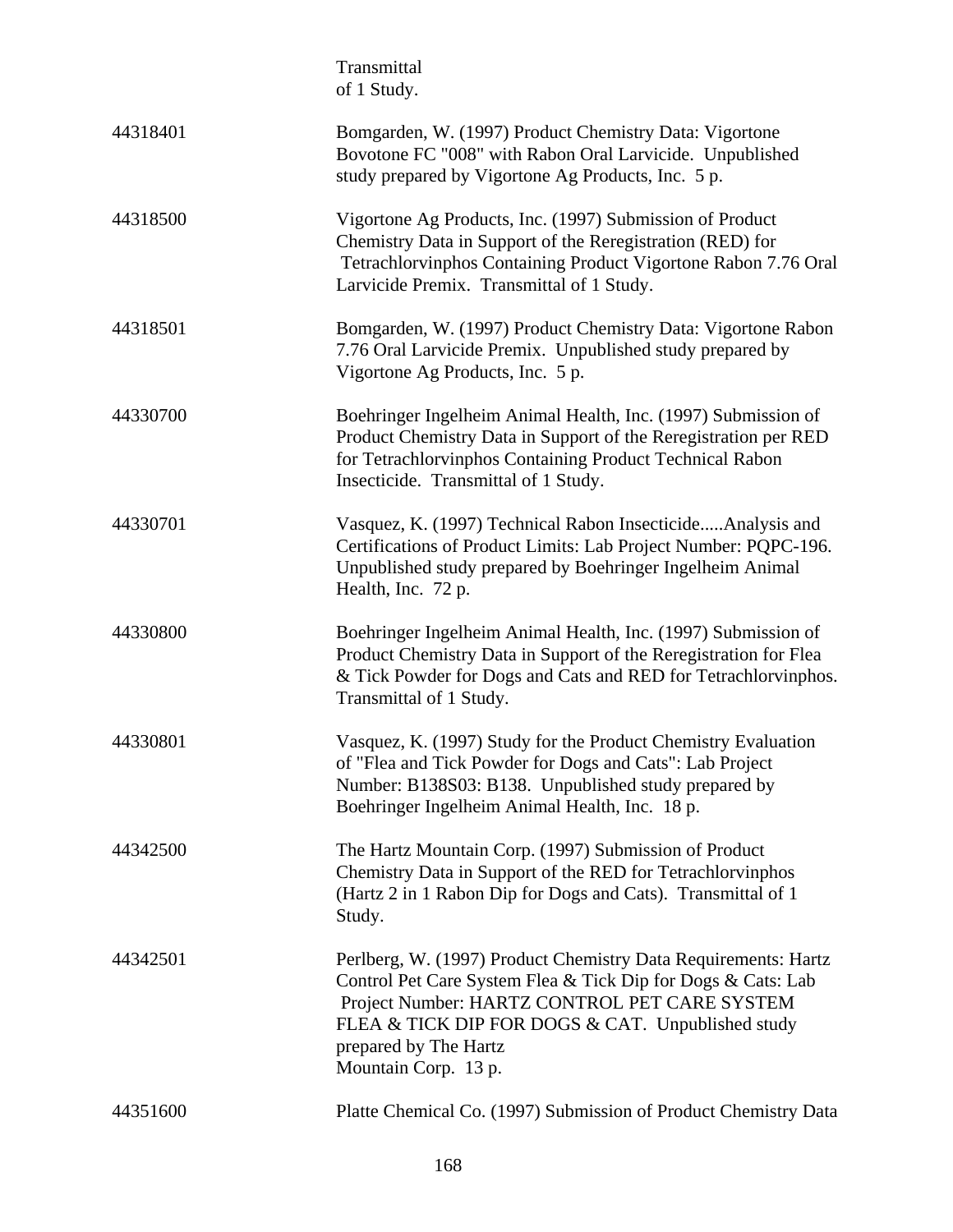|          | Transmittal<br>of 1 Study.                                                                                                                                                                                                                                                            |
|----------|---------------------------------------------------------------------------------------------------------------------------------------------------------------------------------------------------------------------------------------------------------------------------------------|
| 44318401 | Bomgarden, W. (1997) Product Chemistry Data: Vigortone<br>Bovotone FC "008" with Rabon Oral Larvicide. Unpublished<br>study prepared by Vigortone Ag Products, Inc. 5 p.                                                                                                              |
| 44318500 | Vigortone Ag Products, Inc. (1997) Submission of Product<br>Chemistry Data in Support of the Reregistration (RED) for<br>Tetrachlorvinphos Containing Product Vigortone Rabon 7.76 Oral<br>Larvicide Premix. Transmittal of 1 Study.                                                  |
| 44318501 | Bomgarden, W. (1997) Product Chemistry Data: Vigortone Rabon<br>7.76 Oral Larvicide Premix. Unpublished study prepared by<br>Vigortone Ag Products, Inc. 5 p.                                                                                                                         |
| 44330700 | Boehringer Ingelheim Animal Health, Inc. (1997) Submission of<br>Product Chemistry Data in Support of the Reregistration per RED<br>for Tetrachlorvinphos Containing Product Technical Rabon<br>Insecticide. Transmittal of 1 Study.                                                  |
| 44330701 | Vasquez, K. (1997) Technical Rabon InsecticideAnalysis and<br>Certifications of Product Limits: Lab Project Number: PQPC-196.<br>Unpublished study prepared by Boehringer Ingelheim Animal<br>Health, Inc. 72 p.                                                                      |
| 44330800 | Boehringer Ingelheim Animal Health, Inc. (1997) Submission of<br>Product Chemistry Data in Support of the Reregistration for Flea<br>& Tick Powder for Dogs and Cats and RED for Tetrachlorvinphos.<br>Transmittal of 1 Study.                                                        |
| 44330801 | Vasquez, K. (1997) Study for the Product Chemistry Evaluation<br>of "Flea and Tick Powder for Dogs and Cats": Lab Project<br>Number: B138S03: B138. Unpublished study prepared by<br>Boehringer Ingelheim Animal Health, Inc. 18 p.                                                   |
| 44342500 | The Hartz Mountain Corp. (1997) Submission of Product<br>Chemistry Data in Support of the RED for Tetrachlorvinphos<br>(Hartz 2 in 1 Rabon Dip for Dogs and Cats). Transmittal of 1<br>Study.                                                                                         |
| 44342501 | Perlberg, W. (1997) Product Chemistry Data Requirements: Hartz<br>Control Pet Care System Flea & Tick Dip for Dogs & Cats: Lab<br>Project Number: HARTZ CONTROL PET CARE SYSTEM<br>FLEA & TICK DIP FOR DOGS & CAT. Unpublished study<br>prepared by The Hartz<br>Mountain Corp. 13 p. |
| 44351600 | Platte Chemical Co. (1997) Submission of Product Chemistry Data                                                                                                                                                                                                                       |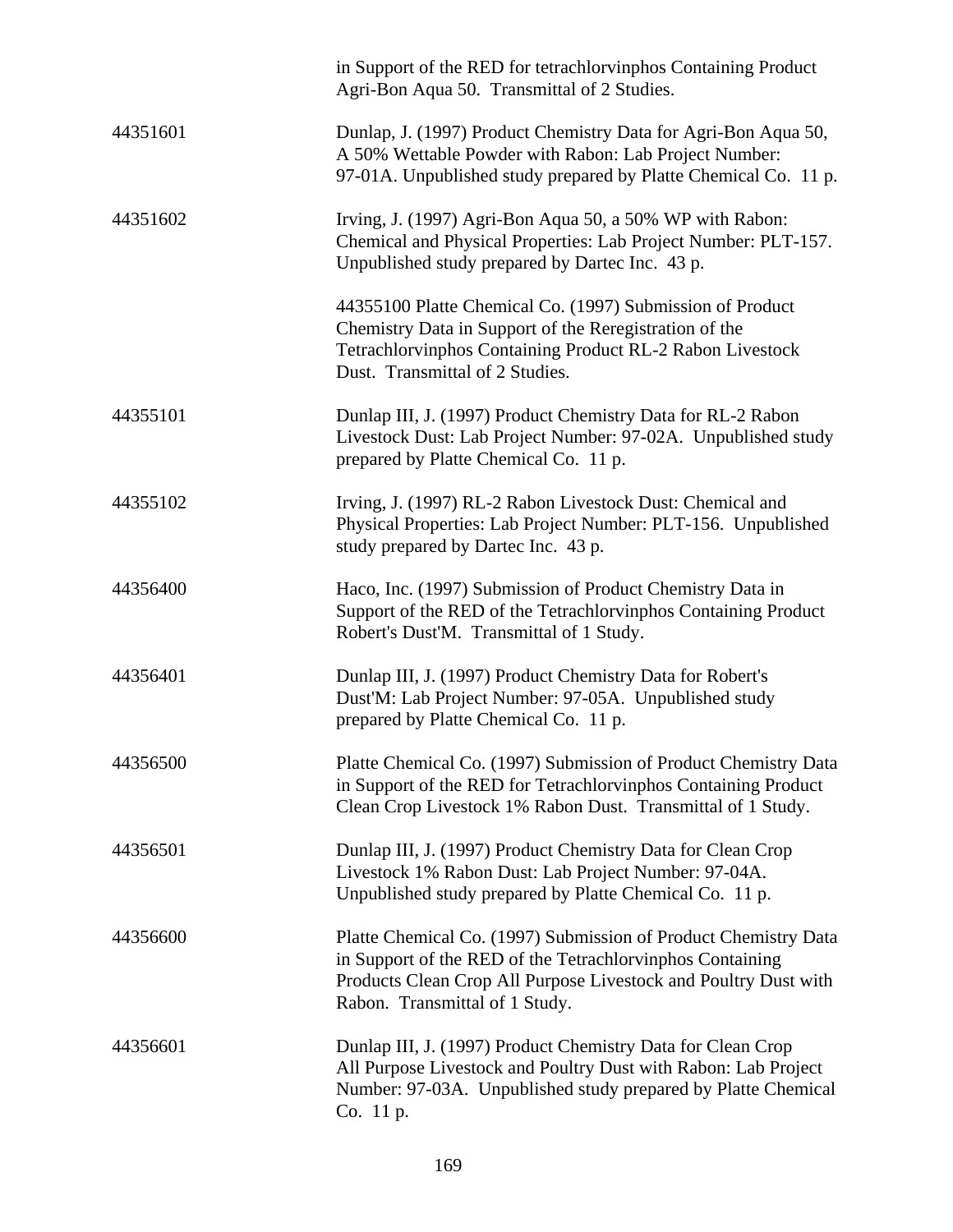|          | in Support of the RED for tetrachlorvinphos Containing Product<br>Agri-Bon Aqua 50. Transmittal of 2 Studies.                                                                                                                     |
|----------|-----------------------------------------------------------------------------------------------------------------------------------------------------------------------------------------------------------------------------------|
| 44351601 | Dunlap, J. (1997) Product Chemistry Data for Agri-Bon Aqua 50,<br>A 50% Wettable Powder with Rabon: Lab Project Number:<br>97-01A. Unpublished study prepared by Platte Chemical Co. 11 p.                                        |
| 44351602 | Irving, J. (1997) Agri-Bon Aqua 50, a 50% WP with Rabon:<br>Chemical and Physical Properties: Lab Project Number: PLT-157.<br>Unpublished study prepared by Dartec Inc. 43 p.                                                     |
|          | 44355100 Platte Chemical Co. (1997) Submission of Product<br>Chemistry Data in Support of the Reregistration of the<br>Tetrachlorvinphos Containing Product RL-2 Rabon Livestock<br>Dust. Transmittal of 2 Studies.               |
| 44355101 | Dunlap III, J. (1997) Product Chemistry Data for RL-2 Rabon<br>Livestock Dust: Lab Project Number: 97-02A. Unpublished study<br>prepared by Platte Chemical Co. 11 p.                                                             |
| 44355102 | Irving, J. (1997) RL-2 Rabon Livestock Dust: Chemical and<br>Physical Properties: Lab Project Number: PLT-156. Unpublished<br>study prepared by Dartec Inc. 43 p.                                                                 |
| 44356400 | Haco, Inc. (1997) Submission of Product Chemistry Data in<br>Support of the RED of the Tetrachlorvinphos Containing Product<br>Robert's Dust'M. Transmittal of 1 Study.                                                           |
| 44356401 | Dunlap III, J. (1997) Product Chemistry Data for Robert's<br>Dust'M: Lab Project Number: 97-05A. Unpublished study<br>prepared by Platte Chemical Co. 11 p.                                                                       |
| 44356500 | Platte Chemical Co. (1997) Submission of Product Chemistry Data<br>in Support of the RED for Tetrachlorvinphos Containing Product<br>Clean Crop Livestock 1% Rabon Dust. Transmittal of 1 Study.                                  |
| 44356501 | Dunlap III, J. (1997) Product Chemistry Data for Clean Crop<br>Livestock 1% Rabon Dust: Lab Project Number: 97-04A.<br>Unpublished study prepared by Platte Chemical Co. 11 p.                                                    |
| 44356600 | Platte Chemical Co. (1997) Submission of Product Chemistry Data<br>in Support of the RED of the Tetrachlorvinphos Containing<br>Products Clean Crop All Purpose Livestock and Poultry Dust with<br>Rabon. Transmittal of 1 Study. |
| 44356601 | Dunlap III, J. (1997) Product Chemistry Data for Clean Crop<br>All Purpose Livestock and Poultry Dust with Rabon: Lab Project<br>Number: 97-03A. Unpublished study prepared by Platte Chemical<br>Co. 11 p.                       |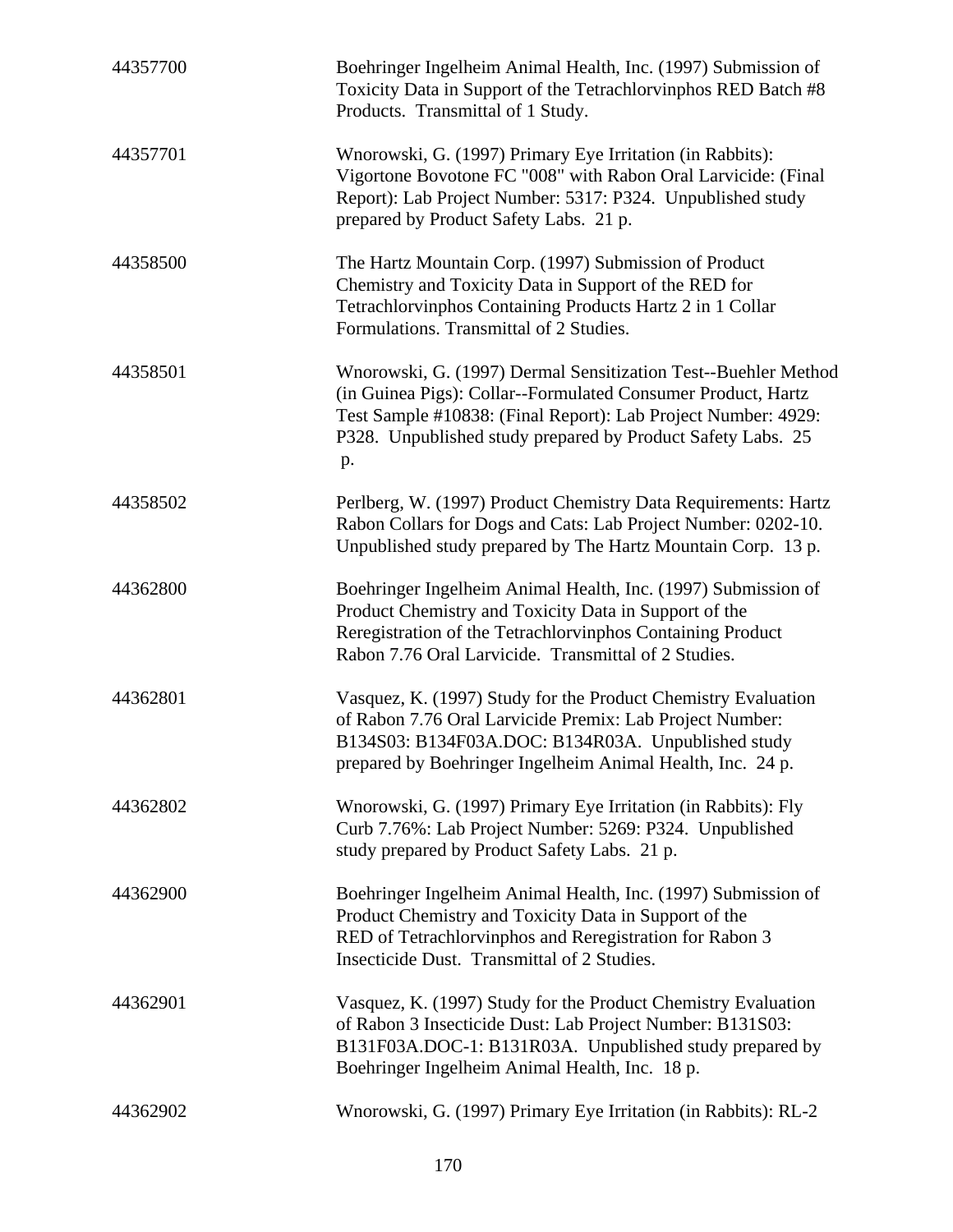| 44357700 | Boehringer Ingelheim Animal Health, Inc. (1997) Submission of<br>Toxicity Data in Support of the Tetrachlorvinphos RED Batch #8<br>Products. Transmittal of 1 Study.                                                                                                 |
|----------|----------------------------------------------------------------------------------------------------------------------------------------------------------------------------------------------------------------------------------------------------------------------|
| 44357701 | Wnorowski, G. (1997) Primary Eye Irritation (in Rabbits):<br>Vigortone Bovotone FC "008" with Rabon Oral Larvicide: (Final<br>Report): Lab Project Number: 5317: P324. Unpublished study<br>prepared by Product Safety Labs. 21 p.                                   |
| 44358500 | The Hartz Mountain Corp. (1997) Submission of Product<br>Chemistry and Toxicity Data in Support of the RED for<br>Tetrachlorvinphos Containing Products Hartz 2 in 1 Collar<br>Formulations. Transmittal of 2 Studies.                                               |
| 44358501 | Wnorowski, G. (1997) Dermal Sensitization Test--Buehler Method<br>(in Guinea Pigs): Collar--Formulated Consumer Product, Hartz<br>Test Sample #10838: (Final Report): Lab Project Number: 4929:<br>P328. Unpublished study prepared by Product Safety Labs. 25<br>p. |
| 44358502 | Perlberg, W. (1997) Product Chemistry Data Requirements: Hartz<br>Rabon Collars for Dogs and Cats: Lab Project Number: 0202-10.<br>Unpublished study prepared by The Hartz Mountain Corp. 13 p.                                                                      |
| 44362800 | Boehringer Ingelheim Animal Health, Inc. (1997) Submission of<br>Product Chemistry and Toxicity Data in Support of the<br>Reregistration of the Tetrachlorvinphos Containing Product<br>Rabon 7.76 Oral Larvicide. Transmittal of 2 Studies.                         |
| 44362801 | Vasquez, K. (1997) Study for the Product Chemistry Evaluation<br>of Rabon 7.76 Oral Larvicide Premix: Lab Project Number:<br>B134S03: B134F03A.DOC: B134R03A. Unpublished study<br>prepared by Boehringer Ingelheim Animal Health, Inc. 24 p.                        |
| 44362802 | Wnorowski, G. (1997) Primary Eye Irritation (in Rabbits): Fly<br>Curb 7.76%: Lab Project Number: 5269: P324. Unpublished<br>study prepared by Product Safety Labs. 21 p.                                                                                             |
| 44362900 | Boehringer Ingelheim Animal Health, Inc. (1997) Submission of<br>Product Chemistry and Toxicity Data in Support of the<br>RED of Tetrachlorvinphos and Reregistration for Rabon 3<br>Insecticide Dust. Transmittal of 2 Studies.                                     |
| 44362901 | Vasquez, K. (1997) Study for the Product Chemistry Evaluation<br>of Rabon 3 Insecticide Dust: Lab Project Number: B131S03:<br>B131F03A.DOC-1: B131R03A. Unpublished study prepared by<br>Boehringer Ingelheim Animal Health, Inc. 18 p.                              |
| 44362902 | Wnorowski, G. (1997) Primary Eye Irritation (in Rabbits): RL-2                                                                                                                                                                                                       |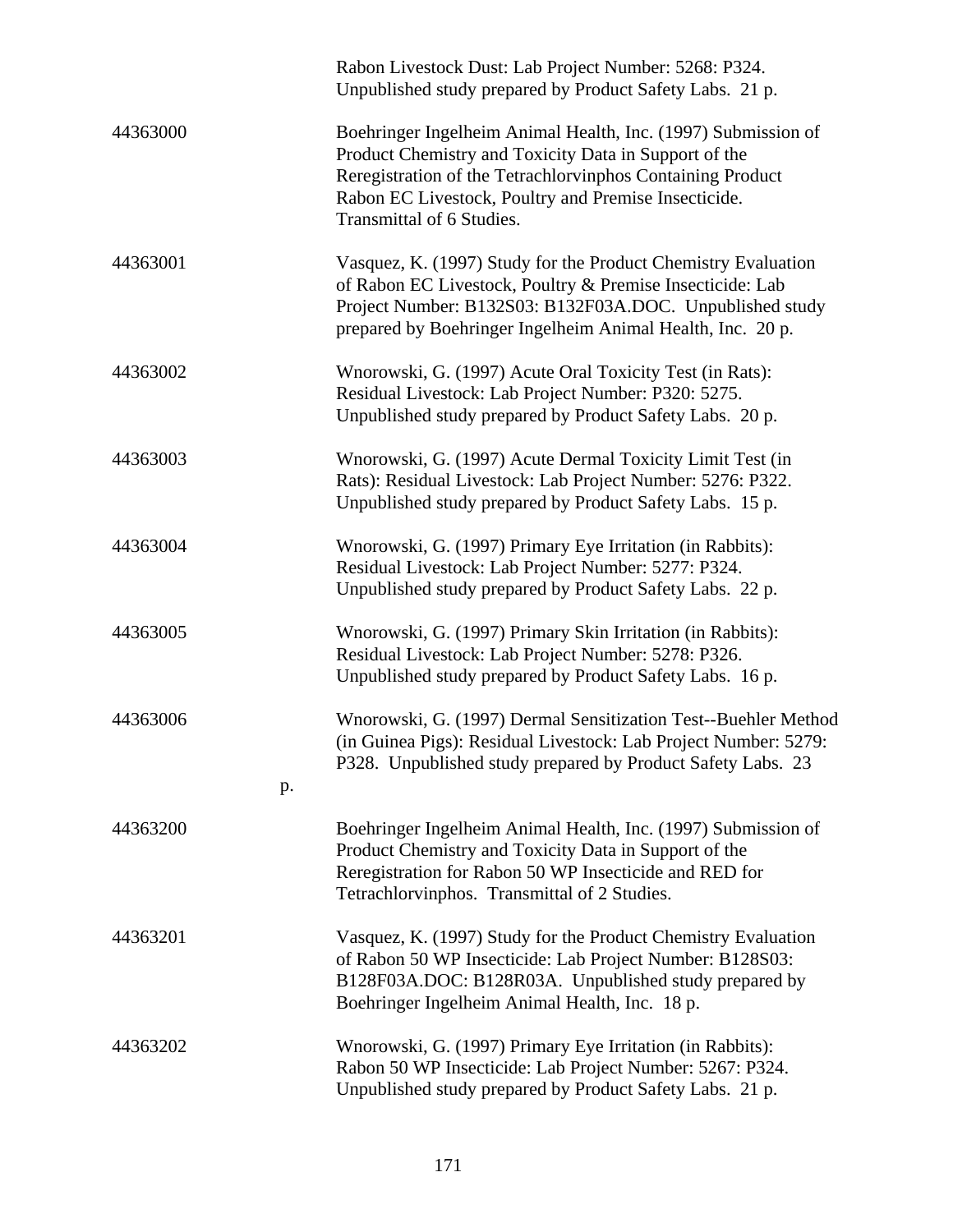|                | Rabon Livestock Dust: Lab Project Number: 5268: P324.<br>Unpublished study prepared by Product Safety Labs. 21 p.                                                                                                                                                         |
|----------------|---------------------------------------------------------------------------------------------------------------------------------------------------------------------------------------------------------------------------------------------------------------------------|
| 44363000       | Boehringer Ingelheim Animal Health, Inc. (1997) Submission of<br>Product Chemistry and Toxicity Data in Support of the<br>Reregistration of the Tetrachlorvinphos Containing Product<br>Rabon EC Livestock, Poultry and Premise Insecticide.<br>Transmittal of 6 Studies. |
| 44363001       | Vasquez, K. (1997) Study for the Product Chemistry Evaluation<br>of Rabon EC Livestock, Poultry & Premise Insecticide: Lab<br>Project Number: B132S03: B132F03A.DOC. Unpublished study<br>prepared by Boehringer Ingelheim Animal Health, Inc. 20 p.                      |
| 44363002       | Wnorowski, G. (1997) Acute Oral Toxicity Test (in Rats):<br>Residual Livestock: Lab Project Number: P320: 5275.<br>Unpublished study prepared by Product Safety Labs. 20 p.                                                                                               |
| 44363003       | Wnorowski, G. (1997) Acute Dermal Toxicity Limit Test (in<br>Rats): Residual Livestock: Lab Project Number: 5276: P322.<br>Unpublished study prepared by Product Safety Labs. 15 p.                                                                                       |
| 44363004       | Wnorowski, G. (1997) Primary Eye Irritation (in Rabbits):<br>Residual Livestock: Lab Project Number: 5277: P324.<br>Unpublished study prepared by Product Safety Labs. 22 p.                                                                                              |
| 44363005       | Wnorowski, G. (1997) Primary Skin Irritation (in Rabbits):<br>Residual Livestock: Lab Project Number: 5278: P326.<br>Unpublished study prepared by Product Safety Labs. 16 p.                                                                                             |
| 44363006<br>p. | Wnorowski, G. (1997) Dermal Sensitization Test--Buehler Method<br>(in Guinea Pigs): Residual Livestock: Lab Project Number: 5279:<br>P328. Unpublished study prepared by Product Safety Labs. 23                                                                          |
| 44363200       | Boehringer Ingelheim Animal Health, Inc. (1997) Submission of<br>Product Chemistry and Toxicity Data in Support of the<br>Reregistration for Rabon 50 WP Insecticide and RED for<br>Tetrachlorvinphos. Transmittal of 2 Studies.                                          |
| 44363201       | Vasquez, K. (1997) Study for the Product Chemistry Evaluation<br>of Rabon 50 WP Insecticide: Lab Project Number: B128S03:<br>B128F03A.DOC: B128R03A. Unpublished study prepared by<br>Boehringer Ingelheim Animal Health, Inc. 18 p.                                      |
| 44363202       | Wnorowski, G. (1997) Primary Eye Irritation (in Rabbits):<br>Rabon 50 WP Insecticide: Lab Project Number: 5267: P324.<br>Unpublished study prepared by Product Safety Labs. 21 p.                                                                                         |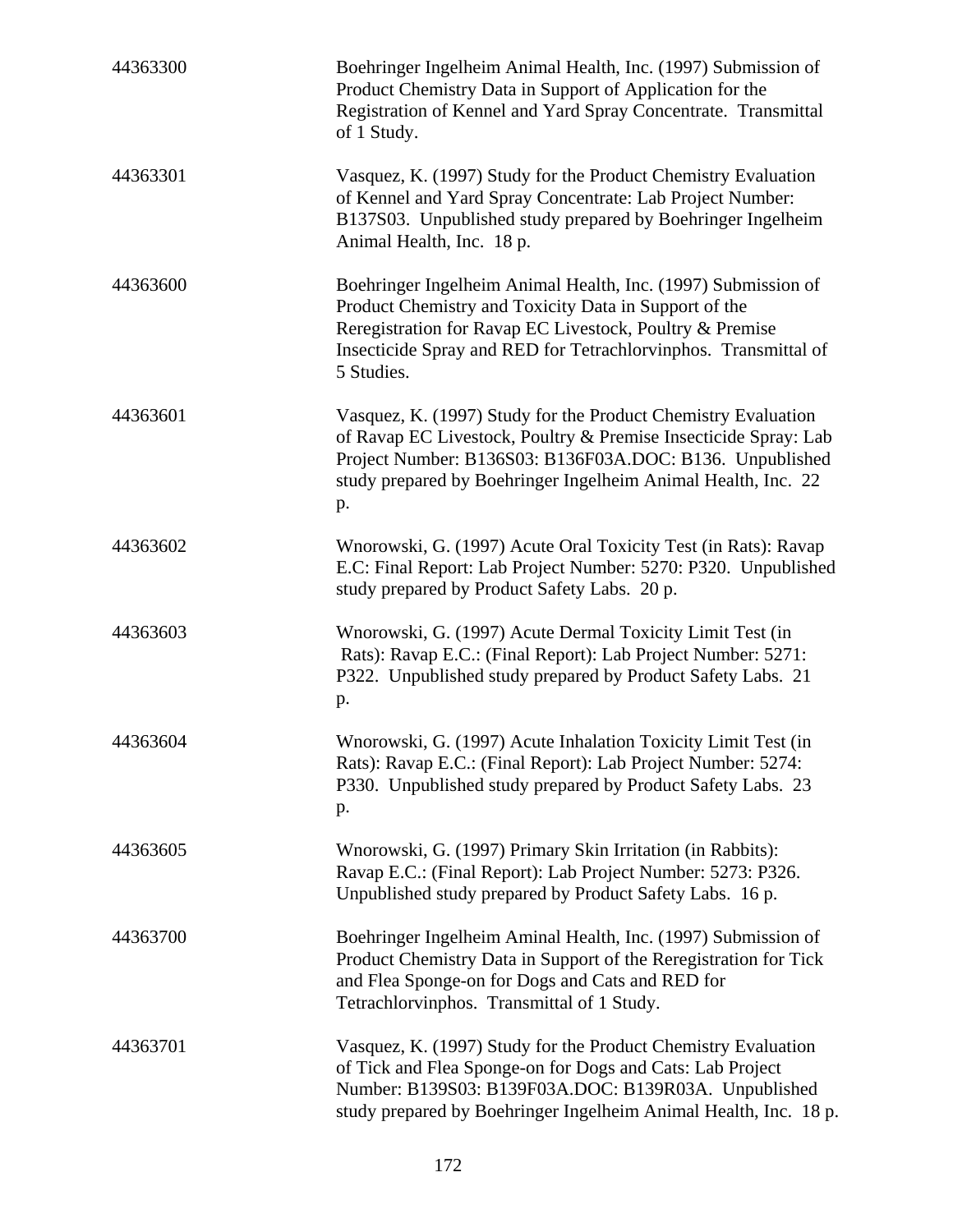| 44363300 | Boehringer Ingelheim Animal Health, Inc. (1997) Submission of<br>Product Chemistry Data in Support of Application for the<br>Registration of Kennel and Yard Spray Concentrate. Transmittal<br>of 1 Study.                                                          |
|----------|---------------------------------------------------------------------------------------------------------------------------------------------------------------------------------------------------------------------------------------------------------------------|
| 44363301 | Vasquez, K. (1997) Study for the Product Chemistry Evaluation<br>of Kennel and Yard Spray Concentrate: Lab Project Number:<br>B137S03. Unpublished study prepared by Boehringer Ingelheim<br>Animal Health, Inc. 18 p.                                              |
| 44363600 | Boehringer Ingelheim Animal Health, Inc. (1997) Submission of<br>Product Chemistry and Toxicity Data in Support of the<br>Reregistration for Ravap EC Livestock, Poultry & Premise<br>Insecticide Spray and RED for Tetrachlorvinphos. Transmittal of<br>5 Studies. |
| 44363601 | Vasquez, K. (1997) Study for the Product Chemistry Evaluation<br>of Ravap EC Livestock, Poultry & Premise Insecticide Spray: Lab<br>Project Number: B136S03: B136F03A.DOC: B136. Unpublished<br>study prepared by Boehringer Ingelheim Animal Health, Inc. 22<br>p. |
| 44363602 | Wnorowski, G. (1997) Acute Oral Toxicity Test (in Rats): Ravap<br>E.C: Final Report: Lab Project Number: 5270: P320. Unpublished<br>study prepared by Product Safety Labs. 20 p.                                                                                    |
| 44363603 | Wnorowski, G. (1997) Acute Dermal Toxicity Limit Test (in<br>Rats): Ravap E.C.: (Final Report): Lab Project Number: 5271:<br>P322. Unpublished study prepared by Product Safety Labs. 21<br>p.                                                                      |
| 44363604 | Wnorowski, G. (1997) Acute Inhalation Toxicity Limit Test (in<br>Rats): Ravap E.C.: (Final Report): Lab Project Number: 5274:<br>P330. Unpublished study prepared by Product Safety Labs. 23<br>p.                                                                  |
| 44363605 | Wnorowski, G. (1997) Primary Skin Irritation (in Rabbits):<br>Ravap E.C.: (Final Report): Lab Project Number: 5273: P326.<br>Unpublished study prepared by Product Safety Labs. 16 p.                                                                               |
| 44363700 | Boehringer Ingelheim Aminal Health, Inc. (1997) Submission of<br>Product Chemistry Data in Support of the Reregistration for Tick<br>and Flea Sponge-on for Dogs and Cats and RED for<br>Tetrachlorvinphos. Transmittal of 1 Study.                                 |
| 44363701 | Vasquez, K. (1997) Study for the Product Chemistry Evaluation<br>of Tick and Flea Sponge-on for Dogs and Cats: Lab Project<br>Number: B139S03: B139F03A.DOC: B139R03A. Unpublished<br>study prepared by Boehringer Ingelheim Animal Health, Inc. 18 p.              |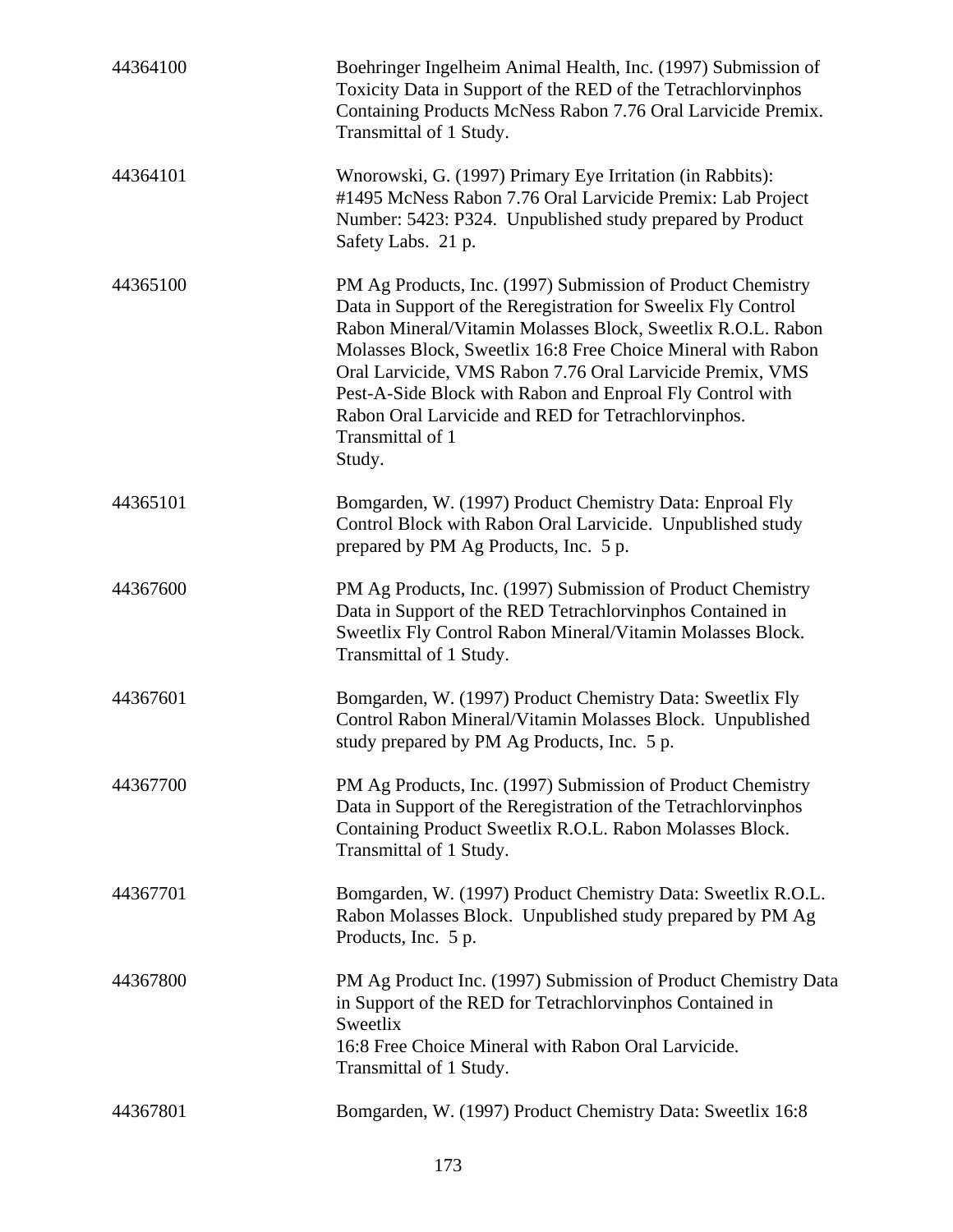| 44364100 | Boehringer Ingelheim Animal Health, Inc. (1997) Submission of<br>Toxicity Data in Support of the RED of the Tetrachlorvinphos<br>Containing Products McNess Rabon 7.76 Oral Larvicide Premix.<br>Transmittal of 1 Study.                                                                                                                                                                                                                                                   |
|----------|----------------------------------------------------------------------------------------------------------------------------------------------------------------------------------------------------------------------------------------------------------------------------------------------------------------------------------------------------------------------------------------------------------------------------------------------------------------------------|
| 44364101 | Wnorowski, G. (1997) Primary Eye Irritation (in Rabbits):<br>#1495 McNess Rabon 7.76 Oral Larvicide Premix: Lab Project<br>Number: 5423: P324. Unpublished study prepared by Product<br>Safety Labs. 21 p.                                                                                                                                                                                                                                                                 |
| 44365100 | PM Ag Products, Inc. (1997) Submission of Product Chemistry<br>Data in Support of the Reregistration for Sweelix Fly Control<br>Rabon Mineral/Vitamin Molasses Block, Sweetlix R.O.L. Rabon<br>Molasses Block, Sweetlix 16:8 Free Choice Mineral with Rabon<br>Oral Larvicide, VMS Rabon 7.76 Oral Larvicide Premix, VMS<br>Pest-A-Side Block with Rabon and Enproal Fly Control with<br>Rabon Oral Larvicide and RED for Tetrachlorvinphos.<br>Transmittal of 1<br>Study. |
| 44365101 | Bomgarden, W. (1997) Product Chemistry Data: Enproal Fly<br>Control Block with Rabon Oral Larvicide. Unpublished study<br>prepared by PM Ag Products, Inc. 5 p.                                                                                                                                                                                                                                                                                                            |
| 44367600 | PM Ag Products, Inc. (1997) Submission of Product Chemistry<br>Data in Support of the RED Tetrachlorvinphos Contained in<br>Sweetlix Fly Control Rabon Mineral/Vitamin Molasses Block.<br>Transmittal of 1 Study.                                                                                                                                                                                                                                                          |
| 44367601 | Bomgarden, W. (1997) Product Chemistry Data: Sweetlix Fly<br>Control Rabon Mineral/Vitamin Molasses Block. Unpublished<br>study prepared by PM Ag Products, Inc. 5 p.                                                                                                                                                                                                                                                                                                      |
| 44367700 | PM Ag Products, Inc. (1997) Submission of Product Chemistry<br>Data in Support of the Reregistration of the Tetrachlorvinphos<br>Containing Product Sweetlix R.O.L. Rabon Molasses Block.<br>Transmittal of 1 Study.                                                                                                                                                                                                                                                       |
| 44367701 | Bomgarden, W. (1997) Product Chemistry Data: Sweetlix R.O.L.<br>Rabon Molasses Block. Unpublished study prepared by PM Ag<br>Products, Inc. 5 p.                                                                                                                                                                                                                                                                                                                           |
| 44367800 | PM Ag Product Inc. (1997) Submission of Product Chemistry Data<br>in Support of the RED for Tetrachlorvinphos Contained in<br>Sweetlix<br>16:8 Free Choice Mineral with Rabon Oral Larvicide.<br>Transmittal of 1 Study.                                                                                                                                                                                                                                                   |
| 44367801 | Bomgarden, W. (1997) Product Chemistry Data: Sweetlix 16:8                                                                                                                                                                                                                                                                                                                                                                                                                 |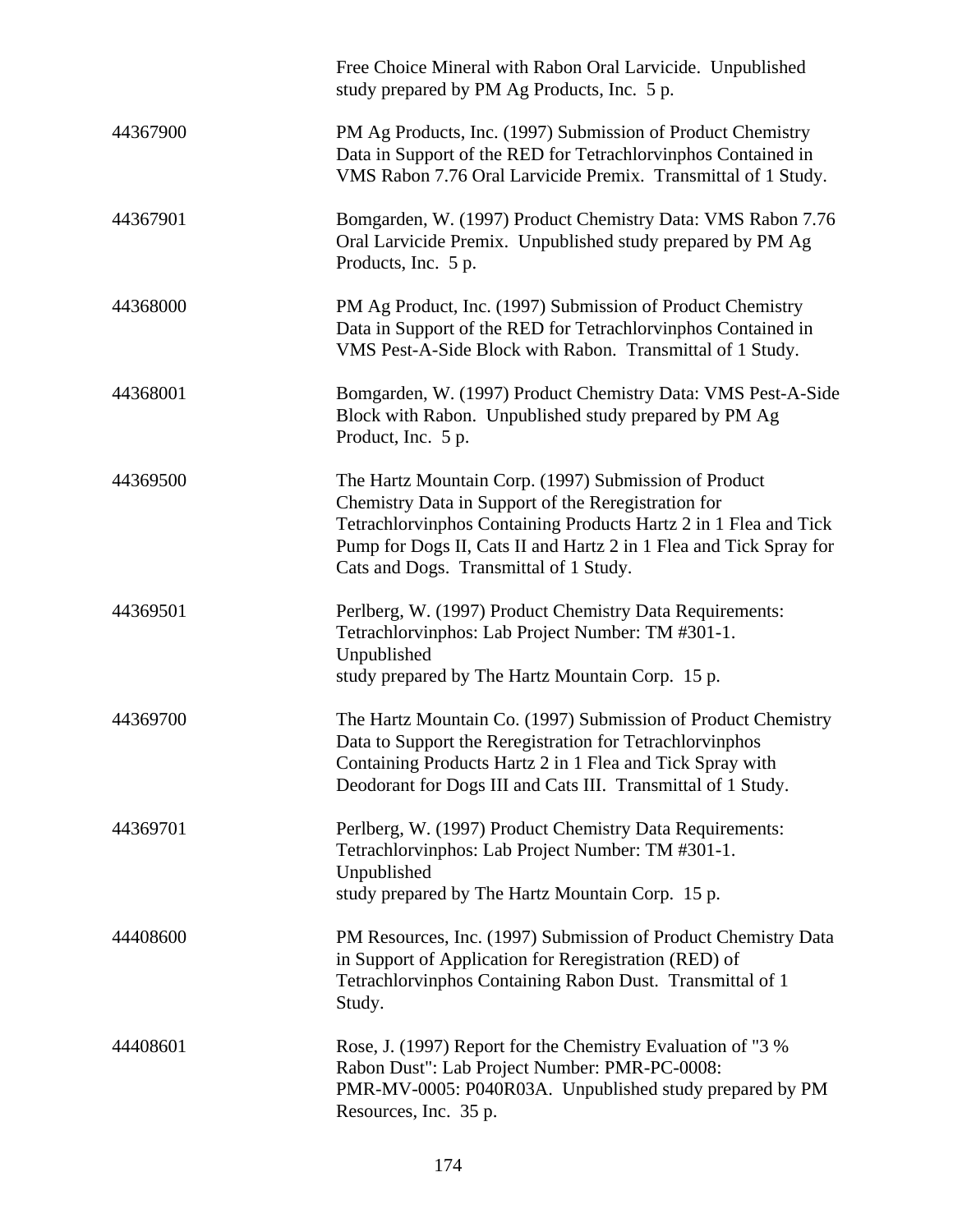|          | Free Choice Mineral with Rabon Oral Larvicide. Unpublished<br>study prepared by PM Ag Products, Inc. 5 p.                                                                                                                                                                                        |
|----------|--------------------------------------------------------------------------------------------------------------------------------------------------------------------------------------------------------------------------------------------------------------------------------------------------|
| 44367900 | PM Ag Products, Inc. (1997) Submission of Product Chemistry<br>Data in Support of the RED for Tetrachlorvinphos Contained in<br>VMS Rabon 7.76 Oral Larvicide Premix. Transmittal of 1 Study.                                                                                                    |
| 44367901 | Bomgarden, W. (1997) Product Chemistry Data: VMS Rabon 7.76<br>Oral Larvicide Premix. Unpublished study prepared by PM Ag<br>Products, Inc. 5 p.                                                                                                                                                 |
| 44368000 | PM Ag Product, Inc. (1997) Submission of Product Chemistry<br>Data in Support of the RED for Tetrachlorvinphos Contained in<br>VMS Pest-A-Side Block with Rabon. Transmittal of 1 Study.                                                                                                         |
| 44368001 | Bomgarden, W. (1997) Product Chemistry Data: VMS Pest-A-Side<br>Block with Rabon. Unpublished study prepared by PM Ag<br>Product, Inc. 5 p.                                                                                                                                                      |
| 44369500 | The Hartz Mountain Corp. (1997) Submission of Product<br>Chemistry Data in Support of the Reregistration for<br>Tetrachlorvinphos Containing Products Hartz 2 in 1 Flea and Tick<br>Pump for Dogs II, Cats II and Hartz 2 in 1 Flea and Tick Spray for<br>Cats and Dogs. Transmittal of 1 Study. |
| 44369501 | Perlberg, W. (1997) Product Chemistry Data Requirements:<br>Tetrachlorvinphos: Lab Project Number: TM #301-1.<br>Unpublished<br>study prepared by The Hartz Mountain Corp. 15 p.                                                                                                                 |
| 44369700 | The Hartz Mountain Co. (1997) Submission of Product Chemistry<br>Data to Support the Reregistration for Tetrachlorvinphos<br>Containing Products Hartz 2 in 1 Flea and Tick Spray with<br>Deodorant for Dogs III and Cats III. Transmittal of 1 Study.                                           |
| 44369701 | Perlberg, W. (1997) Product Chemistry Data Requirements:<br>Tetrachlorvinphos: Lab Project Number: TM #301-1.<br>Unpublished<br>study prepared by The Hartz Mountain Corp. 15 p.                                                                                                                 |
| 44408600 | PM Resources, Inc. (1997) Submission of Product Chemistry Data<br>in Support of Application for Reregistration (RED) of<br>Tetrachlorvinphos Containing Rabon Dust. Transmittal of 1<br>Study.                                                                                                   |
| 44408601 | Rose, J. (1997) Report for the Chemistry Evaluation of "3 %<br>Rabon Dust": Lab Project Number: PMR-PC-0008:<br>PMR-MV-0005: P040R03A. Unpublished study prepared by PM<br>Resources, Inc. 35 p.                                                                                                 |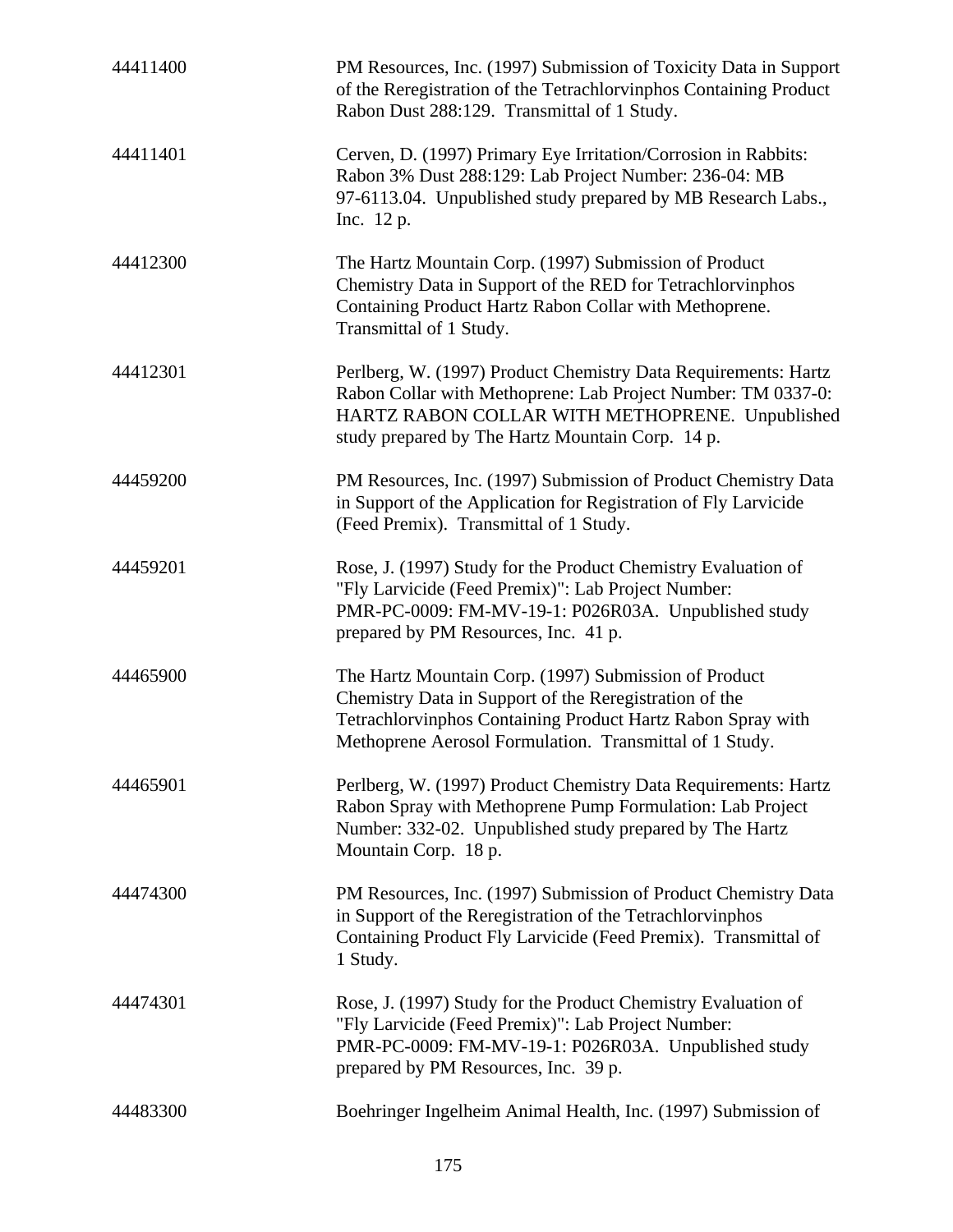| 44411400 | PM Resources, Inc. (1997) Submission of Toxicity Data in Support<br>of the Reregistration of the Tetrachlorvinphos Containing Product<br>Rabon Dust 288:129. Transmittal of 1 Study.                                                      |
|----------|-------------------------------------------------------------------------------------------------------------------------------------------------------------------------------------------------------------------------------------------|
| 44411401 | Cerven, D. (1997) Primary Eye Irritation/Corrosion in Rabbits:<br>Rabon 3% Dust 288:129: Lab Project Number: 236-04: MB<br>97-6113.04. Unpublished study prepared by MB Research Labs.,<br>Inc. 12 p.                                     |
| 44412300 | The Hartz Mountain Corp. (1997) Submission of Product<br>Chemistry Data in Support of the RED for Tetrachlorvinphos<br>Containing Product Hartz Rabon Collar with Methoprene.<br>Transmittal of 1 Study.                                  |
| 44412301 | Perlberg, W. (1997) Product Chemistry Data Requirements: Hartz<br>Rabon Collar with Methoprene: Lab Project Number: TM 0337-0:<br>HARTZ RABON COLLAR WITH METHOPRENE. Unpublished<br>study prepared by The Hartz Mountain Corp. 14 p.     |
| 44459200 | PM Resources, Inc. (1997) Submission of Product Chemistry Data<br>in Support of the Application for Registration of Fly Larvicide<br>(Feed Premix). Transmittal of 1 Study.                                                               |
| 44459201 | Rose, J. (1997) Study for the Product Chemistry Evaluation of<br>"Fly Larvicide (Feed Premix)": Lab Project Number:<br>PMR-PC-0009: FM-MV-19-1: P026R03A. Unpublished study<br>prepared by PM Resources, Inc. 41 p.                       |
| 44465900 | The Hartz Mountain Corp. (1997) Submission of Product<br>Chemistry Data in Support of the Reregistration of the<br>Tetrachlorvinphos Containing Product Hartz Rabon Spray with<br>Methoprene Aerosol Formulation. Transmittal of 1 Study. |
| 44465901 | Perlberg, W. (1997) Product Chemistry Data Requirements: Hartz<br>Rabon Spray with Methoprene Pump Formulation: Lab Project<br>Number: 332-02. Unpublished study prepared by The Hartz<br>Mountain Corp. 18 p.                            |
| 44474300 | PM Resources, Inc. (1997) Submission of Product Chemistry Data<br>in Support of the Reregistration of the Tetrachlorvinphos<br>Containing Product Fly Larvicide (Feed Premix). Transmittal of<br>1 Study.                                 |
| 44474301 | Rose, J. (1997) Study for the Product Chemistry Evaluation of<br>"Fly Larvicide (Feed Premix)": Lab Project Number:<br>PMR-PC-0009: FM-MV-19-1: P026R03A. Unpublished study<br>prepared by PM Resources, Inc. 39 p.                       |
| 44483300 | Boehringer Ingelheim Animal Health, Inc. (1997) Submission of                                                                                                                                                                             |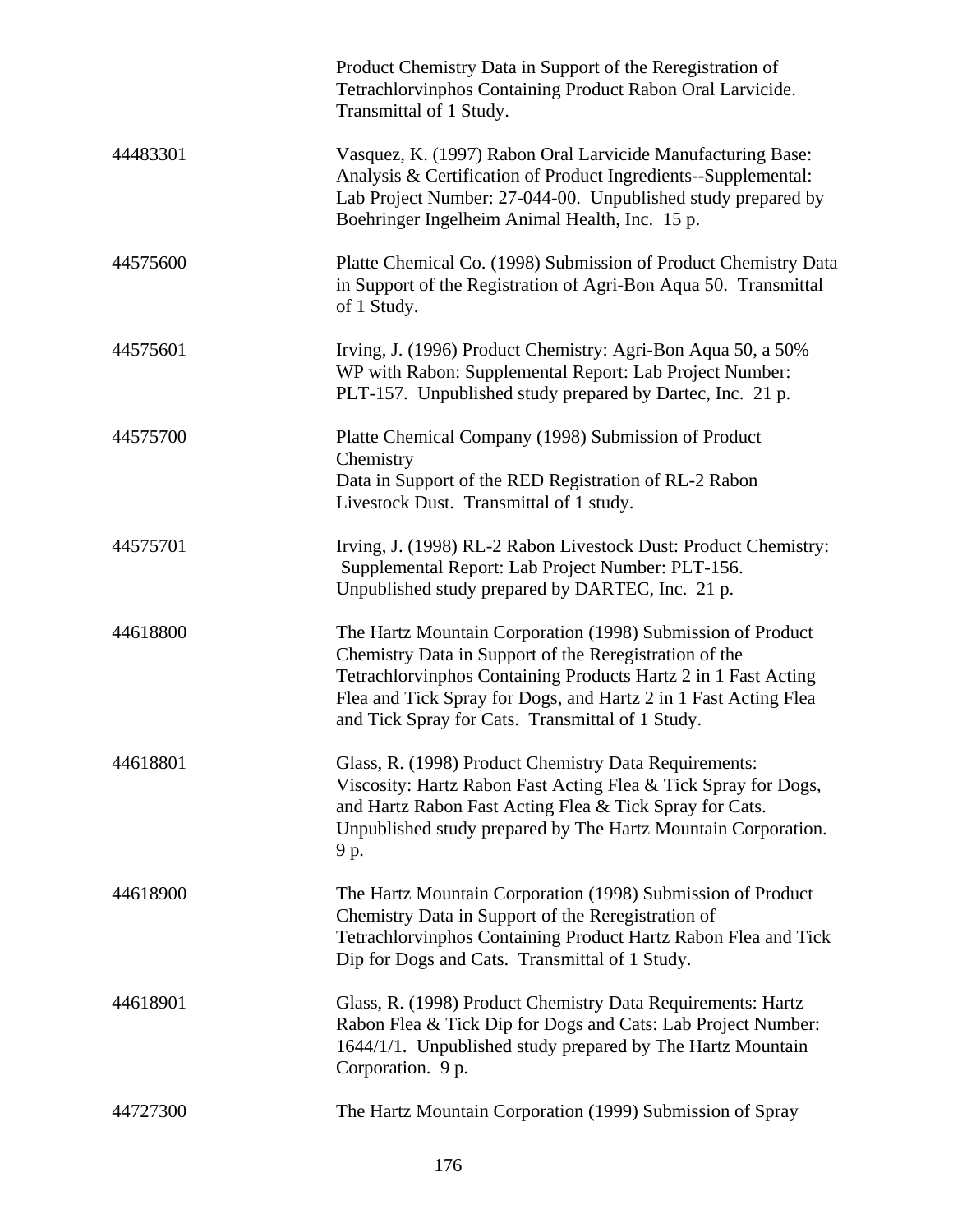|          | Product Chemistry Data in Support of the Reregistration of<br>Tetrachlorvinphos Containing Product Rabon Oral Larvicide.<br>Transmittal of 1 Study.                                                                                                                                                            |
|----------|----------------------------------------------------------------------------------------------------------------------------------------------------------------------------------------------------------------------------------------------------------------------------------------------------------------|
| 44483301 | Vasquez, K. (1997) Rabon Oral Larvicide Manufacturing Base:<br>Analysis & Certification of Product Ingredients--Supplemental:<br>Lab Project Number: 27-044-00. Unpublished study prepared by<br>Boehringer Ingelheim Animal Health, Inc. 15 p.                                                                |
| 44575600 | Platte Chemical Co. (1998) Submission of Product Chemistry Data<br>in Support of the Registration of Agri-Bon Aqua 50. Transmittal<br>of 1 Study.                                                                                                                                                              |
| 44575601 | Irving, J. (1996) Product Chemistry: Agri-Bon Aqua 50, a 50%<br>WP with Rabon: Supplemental Report: Lab Project Number:<br>PLT-157. Unpublished study prepared by Dartec, Inc. 21 p.                                                                                                                           |
| 44575700 | Platte Chemical Company (1998) Submission of Product<br>Chemistry<br>Data in Support of the RED Registration of RL-2 Rabon<br>Livestock Dust. Transmittal of 1 study.                                                                                                                                          |
| 44575701 | Irving, J. (1998) RL-2 Rabon Livestock Dust: Product Chemistry:<br>Supplemental Report: Lab Project Number: PLT-156.<br>Unpublished study prepared by DARTEC, Inc. 21 p.                                                                                                                                       |
| 44618800 | The Hartz Mountain Corporation (1998) Submission of Product<br>Chemistry Data in Support of the Reregistration of the<br>Tetrachlorvinphos Containing Products Hartz 2 in 1 Fast Acting<br>Flea and Tick Spray for Dogs, and Hartz 2 in 1 Fast Acting Flea<br>and Tick Spray for Cats. Transmittal of 1 Study. |
| 44618801 | Glass, R. (1998) Product Chemistry Data Requirements:<br>Viscosity: Hartz Rabon Fast Acting Flea & Tick Spray for Dogs,<br>and Hartz Rabon Fast Acting Flea & Tick Spray for Cats.<br>Unpublished study prepared by The Hartz Mountain Corporation.<br>9 p.                                                    |
| 44618900 | The Hartz Mountain Corporation (1998) Submission of Product<br>Chemistry Data in Support of the Reregistration of<br>Tetrachlorvinphos Containing Product Hartz Rabon Flea and Tick<br>Dip for Dogs and Cats. Transmittal of 1 Study.                                                                          |
| 44618901 | Glass, R. (1998) Product Chemistry Data Requirements: Hartz<br>Rabon Flea & Tick Dip for Dogs and Cats: Lab Project Number:<br>1644/1/1. Unpublished study prepared by The Hartz Mountain<br>Corporation. 9 p.                                                                                                 |
| 44727300 | The Hartz Mountain Corporation (1999) Submission of Spray                                                                                                                                                                                                                                                      |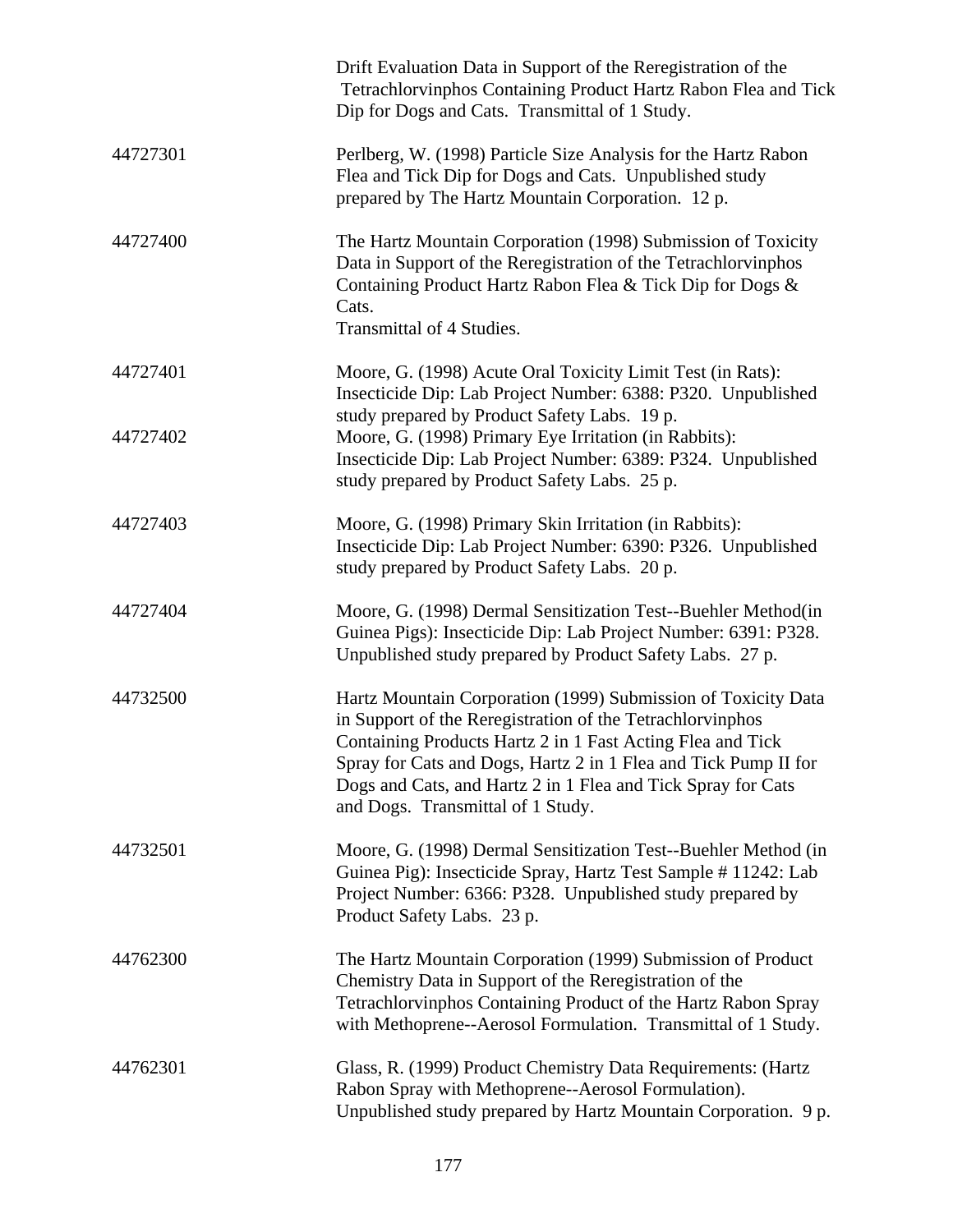|                      | Drift Evaluation Data in Support of the Reregistration of the<br>Tetrachlorvinphos Containing Product Hartz Rabon Flea and Tick<br>Dip for Dogs and Cats. Transmittal of 1 Study.                                                                                                                                                                                |
|----------------------|------------------------------------------------------------------------------------------------------------------------------------------------------------------------------------------------------------------------------------------------------------------------------------------------------------------------------------------------------------------|
| 44727301             | Perlberg, W. (1998) Particle Size Analysis for the Hartz Rabon<br>Flea and Tick Dip for Dogs and Cats. Unpublished study<br>prepared by The Hartz Mountain Corporation. 12 p.                                                                                                                                                                                    |
| 44727400             | The Hartz Mountain Corporation (1998) Submission of Toxicity<br>Data in Support of the Reregistration of the Tetrachlorvinphos<br>Containing Product Hartz Rabon Flea & Tick Dip for Dogs &<br>Cats.<br><b>Transmittal of 4 Studies.</b>                                                                                                                         |
| 44727401<br>44727402 | Moore, G. (1998) Acute Oral Toxicity Limit Test (in Rats):<br>Insecticide Dip: Lab Project Number: 6388: P320. Unpublished<br>study prepared by Product Safety Labs. 19 p.<br>Moore, G. (1998) Primary Eye Irritation (in Rabbits):<br>Insecticide Dip: Lab Project Number: 6389: P324. Unpublished                                                              |
|                      | study prepared by Product Safety Labs. 25 p.                                                                                                                                                                                                                                                                                                                     |
| 44727403             | Moore, G. (1998) Primary Skin Irritation (in Rabbits):<br>Insecticide Dip: Lab Project Number: 6390: P326. Unpublished<br>study prepared by Product Safety Labs. 20 p.                                                                                                                                                                                           |
| 44727404             | Moore, G. (1998) Dermal Sensitization Test--Buehler Method(in<br>Guinea Pigs): Insecticide Dip: Lab Project Number: 6391: P328.<br>Unpublished study prepared by Product Safety Labs. 27 p.                                                                                                                                                                      |
| 44732500             | Hartz Mountain Corporation (1999) Submission of Toxicity Data<br>in Support of the Reregistration of the Tetrachlorvinphos<br>Containing Products Hartz 2 in 1 Fast Acting Flea and Tick<br>Spray for Cats and Dogs, Hartz 2 in 1 Flea and Tick Pump II for<br>Dogs and Cats, and Hartz 2 in 1 Flea and Tick Spray for Cats<br>and Dogs. Transmittal of 1 Study. |
| 44732501             | Moore, G. (1998) Dermal Sensitization Test--Buehler Method (in<br>Guinea Pig): Insecticide Spray, Hartz Test Sample # 11242: Lab<br>Project Number: 6366: P328. Unpublished study prepared by<br>Product Safety Labs. 23 p.                                                                                                                                      |
| 44762300             | The Hartz Mountain Corporation (1999) Submission of Product<br>Chemistry Data in Support of the Reregistration of the<br>Tetrachlorvinphos Containing Product of the Hartz Rabon Spray<br>with Methoprene--Aerosol Formulation. Transmittal of 1 Study.                                                                                                          |
| 44762301             | Glass, R. (1999) Product Chemistry Data Requirements: (Hartz<br>Rabon Spray with Methoprene--Aerosol Formulation).<br>Unpublished study prepared by Hartz Mountain Corporation. 9 p.                                                                                                                                                                             |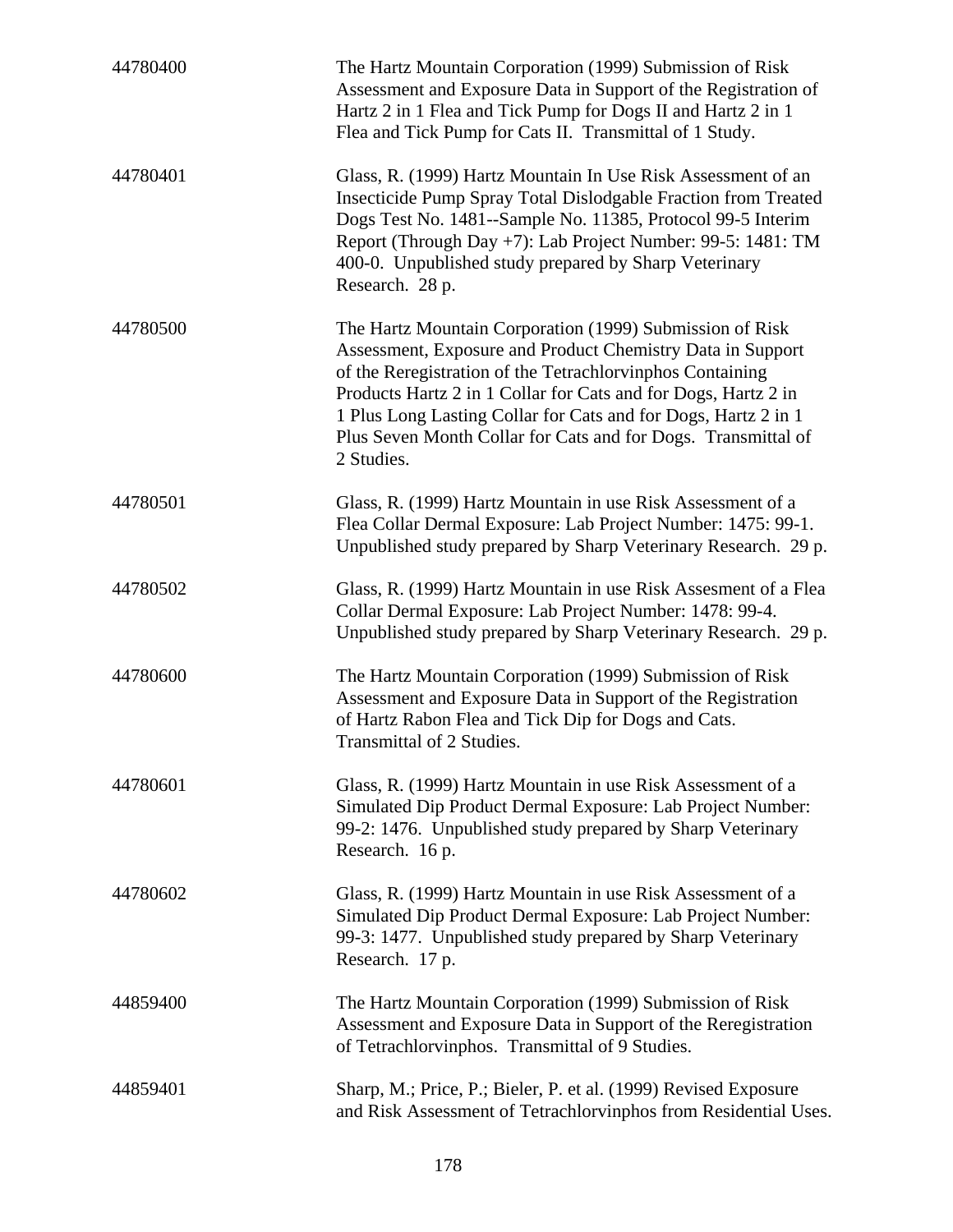| 44780400 | The Hartz Mountain Corporation (1999) Submission of Risk<br>Assessment and Exposure Data in Support of the Registration of<br>Hartz 2 in 1 Flea and Tick Pump for Dogs II and Hartz 2 in 1<br>Flea and Tick Pump for Cats II. Transmittal of 1 Study.                                                                                                                                                  |
|----------|--------------------------------------------------------------------------------------------------------------------------------------------------------------------------------------------------------------------------------------------------------------------------------------------------------------------------------------------------------------------------------------------------------|
| 44780401 | Glass, R. (1999) Hartz Mountain In Use Risk Assessment of an<br>Insecticide Pump Spray Total Dislodgable Fraction from Treated<br>Dogs Test No. 1481--Sample No. 11385, Protocol 99-5 Interim<br>Report (Through Day +7): Lab Project Number: 99-5: 1481: TM<br>400-0. Unpublished study prepared by Sharp Veterinary<br>Research. 28 p.                                                               |
| 44780500 | The Hartz Mountain Corporation (1999) Submission of Risk<br>Assessment, Exposure and Product Chemistry Data in Support<br>of the Reregistration of the Tetrachlorvinphos Containing<br>Products Hartz 2 in 1 Collar for Cats and for Dogs, Hartz 2 in<br>1 Plus Long Lasting Collar for Cats and for Dogs, Hartz 2 in 1<br>Plus Seven Month Collar for Cats and for Dogs. Transmittal of<br>2 Studies. |
| 44780501 | Glass, R. (1999) Hartz Mountain in use Risk Assessment of a<br>Flea Collar Dermal Exposure: Lab Project Number: 1475: 99-1.<br>Unpublished study prepared by Sharp Veterinary Research. 29 p.                                                                                                                                                                                                          |
| 44780502 | Glass, R. (1999) Hartz Mountain in use Risk Assesment of a Flea<br>Collar Dermal Exposure: Lab Project Number: 1478: 99-4.<br>Unpublished study prepared by Sharp Veterinary Research. 29 p.                                                                                                                                                                                                           |
| 44780600 | The Hartz Mountain Corporation (1999) Submission of Risk<br>Assessment and Exposure Data in Support of the Registration<br>of Hartz Rabon Flea and Tick Dip for Dogs and Cats.<br>Transmittal of 2 Studies.                                                                                                                                                                                            |
| 44780601 | Glass, R. (1999) Hartz Mountain in use Risk Assessment of a<br>Simulated Dip Product Dermal Exposure: Lab Project Number:<br>99-2: 1476. Unpublished study prepared by Sharp Veterinary<br>Research. 16 p.                                                                                                                                                                                             |
| 44780602 | Glass, R. (1999) Hartz Mountain in use Risk Assessment of a<br>Simulated Dip Product Dermal Exposure: Lab Project Number:<br>99-3: 1477. Unpublished study prepared by Sharp Veterinary<br>Research. 17 p.                                                                                                                                                                                             |
| 44859400 | The Hartz Mountain Corporation (1999) Submission of Risk<br>Assessment and Exposure Data in Support of the Reregistration<br>of Tetrachlorvinphos. Transmittal of 9 Studies.                                                                                                                                                                                                                           |
| 44859401 | Sharp, M.; Price, P.; Bieler, P. et al. (1999) Revised Exposure<br>and Risk Assessment of Tetrachlorvinphos from Residential Uses.                                                                                                                                                                                                                                                                     |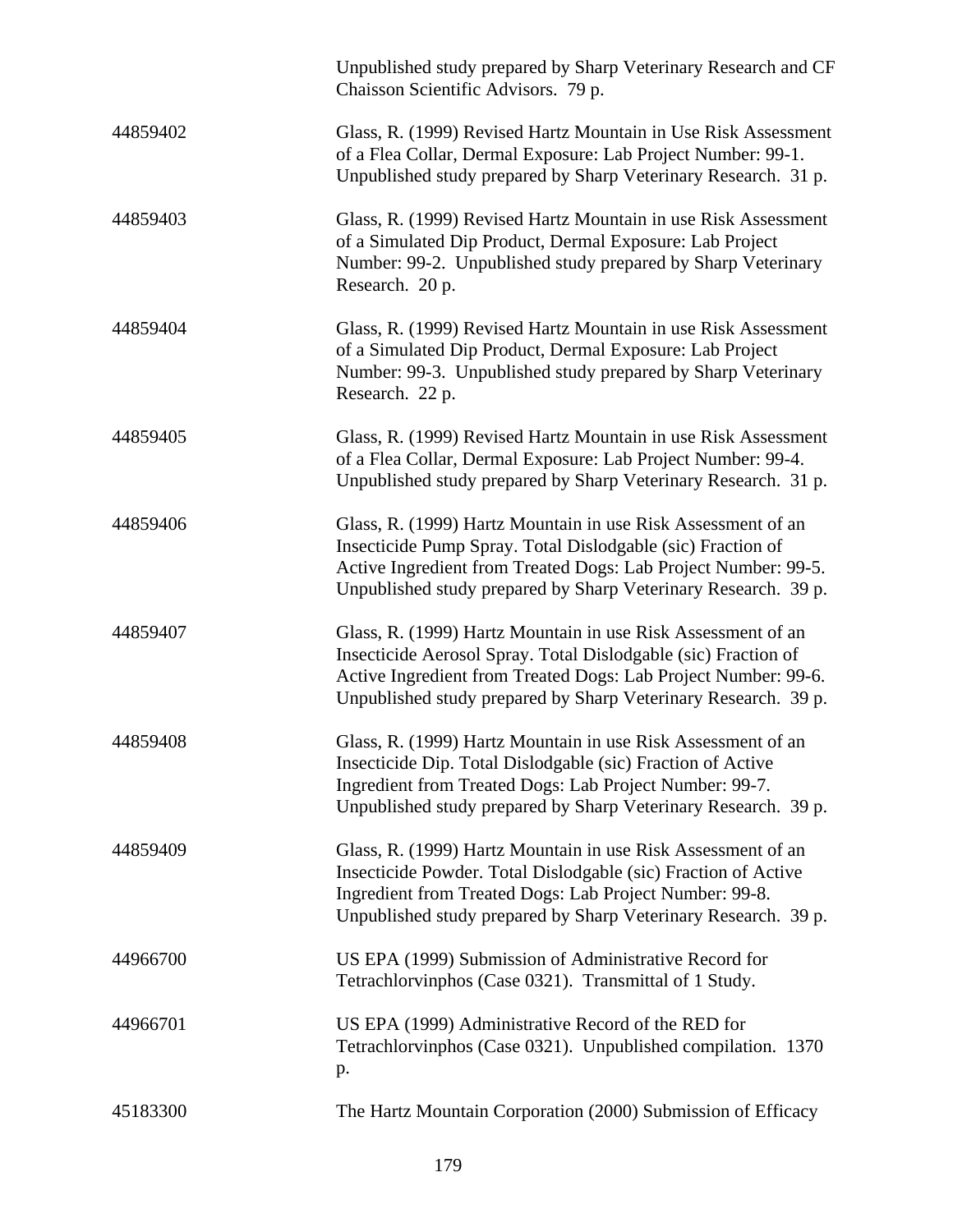|          | Unpublished study prepared by Sharp Veterinary Research and CF<br>Chaisson Scientific Advisors. 79 p.                                                                                                                                                              |
|----------|--------------------------------------------------------------------------------------------------------------------------------------------------------------------------------------------------------------------------------------------------------------------|
| 44859402 | Glass, R. (1999) Revised Hartz Mountain in Use Risk Assessment<br>of a Flea Collar, Dermal Exposure: Lab Project Number: 99-1.<br>Unpublished study prepared by Sharp Veterinary Research. 31 p.                                                                   |
| 44859403 | Glass, R. (1999) Revised Hartz Mountain in use Risk Assessment<br>of a Simulated Dip Product, Dermal Exposure: Lab Project<br>Number: 99-2. Unpublished study prepared by Sharp Veterinary<br>Research. 20 p.                                                      |
| 44859404 | Glass, R. (1999) Revised Hartz Mountain in use Risk Assessment<br>of a Simulated Dip Product, Dermal Exposure: Lab Project<br>Number: 99-3. Unpublished study prepared by Sharp Veterinary<br>Research. 22 p.                                                      |
| 44859405 | Glass, R. (1999) Revised Hartz Mountain in use Risk Assessment<br>of a Flea Collar, Dermal Exposure: Lab Project Number: 99-4.<br>Unpublished study prepared by Sharp Veterinary Research. 31 p.                                                                   |
| 44859406 | Glass, R. (1999) Hartz Mountain in use Risk Assessment of an<br>Insecticide Pump Spray. Total Dislodgable (sic) Fraction of<br>Active Ingredient from Treated Dogs: Lab Project Number: 99-5.<br>Unpublished study prepared by Sharp Veterinary Research. 39 p.    |
| 44859407 | Glass, R. (1999) Hartz Mountain in use Risk Assessment of an<br>Insecticide Aerosol Spray. Total Dislodgable (sic) Fraction of<br>Active Ingredient from Treated Dogs: Lab Project Number: 99-6.<br>Unpublished study prepared by Sharp Veterinary Research. 39 p. |
| 44859408 | Glass, R. (1999) Hartz Mountain in use Risk Assessment of an<br>Insecticide Dip. Total Dislodgable (sic) Fraction of Active<br>Ingredient from Treated Dogs: Lab Project Number: 99-7.<br>Unpublished study prepared by Sharp Veterinary Research. 39 p.           |
| 44859409 | Glass, R. (1999) Hartz Mountain in use Risk Assessment of an<br>Insecticide Powder. Total Dislodgable (sic) Fraction of Active<br>Ingredient from Treated Dogs: Lab Project Number: 99-8.<br>Unpublished study prepared by Sharp Veterinary Research. 39 p.        |
| 44966700 | US EPA (1999) Submission of Administrative Record for<br>Tetrachlorvinphos (Case 0321). Transmittal of 1 Study.                                                                                                                                                    |
| 44966701 | US EPA (1999) Administrative Record of the RED for<br>Tetrachlorvinphos (Case 0321). Unpublished compilation. 1370<br>p.                                                                                                                                           |
| 45183300 | The Hartz Mountain Corporation (2000) Submission of Efficacy                                                                                                                                                                                                       |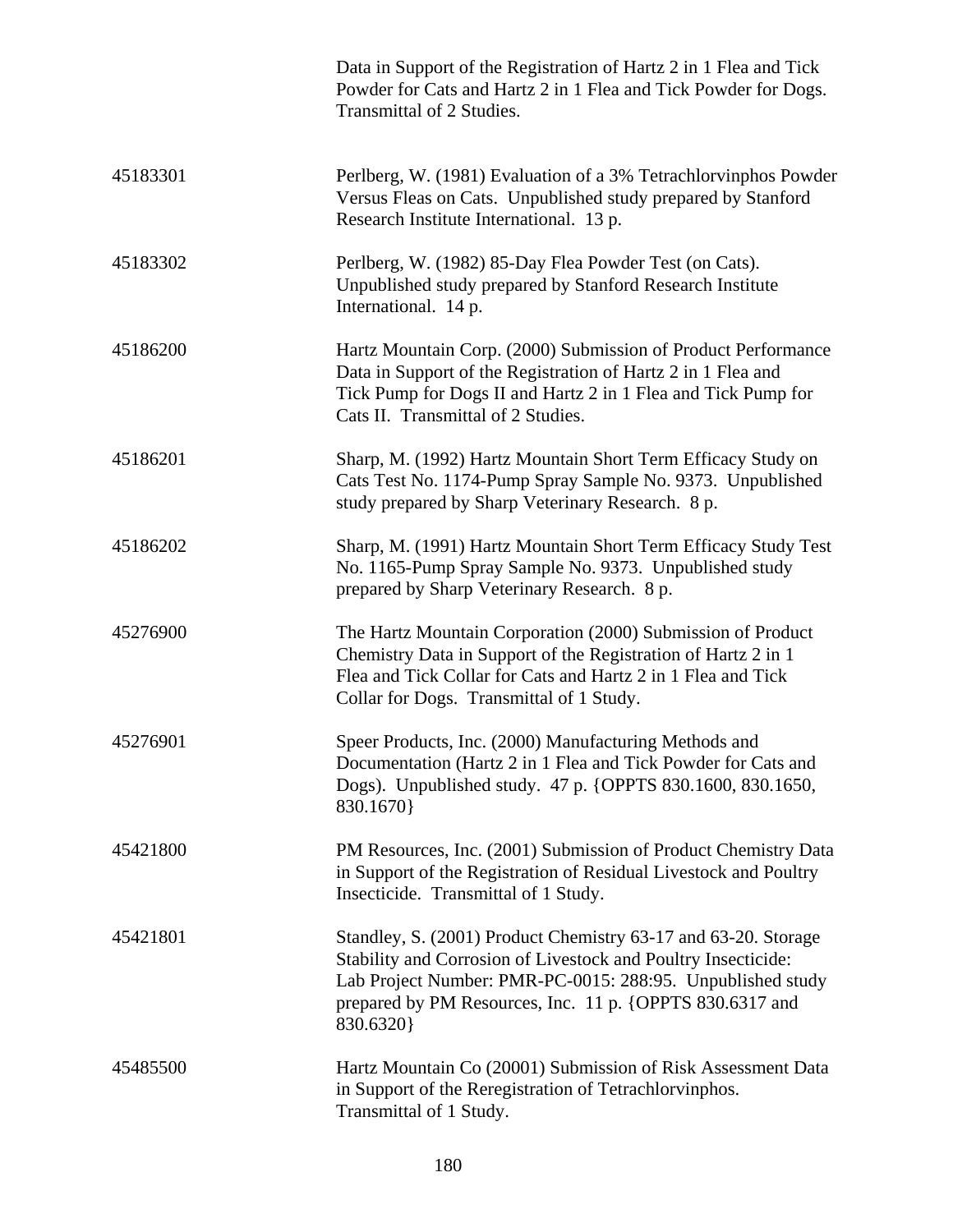|          | Data in Support of the Registration of Hartz 2 in 1 Flea and Tick<br>Powder for Cats and Hartz 2 in 1 Flea and Tick Powder for Dogs.<br>Transmittal of 2 Studies.                                                                                                      |
|----------|------------------------------------------------------------------------------------------------------------------------------------------------------------------------------------------------------------------------------------------------------------------------|
| 45183301 | Perlberg, W. (1981) Evaluation of a 3% Tetrachlorvinphos Powder<br>Versus Fleas on Cats. Unpublished study prepared by Stanford<br>Research Institute International. 13 p.                                                                                             |
| 45183302 | Perlberg, W. (1982) 85-Day Flea Powder Test (on Cats).<br>Unpublished study prepared by Stanford Research Institute<br>International. 14 p.                                                                                                                            |
| 45186200 | Hartz Mountain Corp. (2000) Submission of Product Performance<br>Data in Support of the Registration of Hartz 2 in 1 Flea and<br>Tick Pump for Dogs II and Hartz 2 in 1 Flea and Tick Pump for<br>Cats II. Transmittal of 2 Studies.                                   |
| 45186201 | Sharp, M. (1992) Hartz Mountain Short Term Efficacy Study on<br>Cats Test No. 1174-Pump Spray Sample No. 9373. Unpublished<br>study prepared by Sharp Veterinary Research. 8 p.                                                                                        |
| 45186202 | Sharp, M. (1991) Hartz Mountain Short Term Efficacy Study Test<br>No. 1165-Pump Spray Sample No. 9373. Unpublished study<br>prepared by Sharp Veterinary Research. 8 p.                                                                                                |
| 45276900 | The Hartz Mountain Corporation (2000) Submission of Product<br>Chemistry Data in Support of the Registration of Hartz 2 in 1<br>Flea and Tick Collar for Cats and Hartz 2 in 1 Flea and Tick<br>Collar for Dogs. Transmittal of 1 Study.                               |
| 45276901 | Speer Products, Inc. (2000) Manufacturing Methods and<br>Documentation (Hartz 2 in 1 Flea and Tick Powder for Cats and<br>Dogs). Unpublished study. 47 p. {OPPTS 830.1600, 830.1650,<br>830.1670}                                                                      |
| 45421800 | PM Resources, Inc. (2001) Submission of Product Chemistry Data<br>in Support of the Registration of Residual Livestock and Poultry<br>Insecticide. Transmittal of 1 Study.                                                                                             |
| 45421801 | Standley, S. (2001) Product Chemistry 63-17 and 63-20. Storage<br>Stability and Corrosion of Livestock and Poultry Insecticide:<br>Lab Project Number: PMR-PC-0015: 288:95. Unpublished study<br>prepared by PM Resources, Inc. 11 p. {OPPTS 830.6317 and<br>830.6320} |
| 45485500 | Hartz Mountain Co (20001) Submission of Risk Assessment Data<br>in Support of the Reregistration of Tetrachlorvinphos.<br>Transmittal of 1 Study.                                                                                                                      |